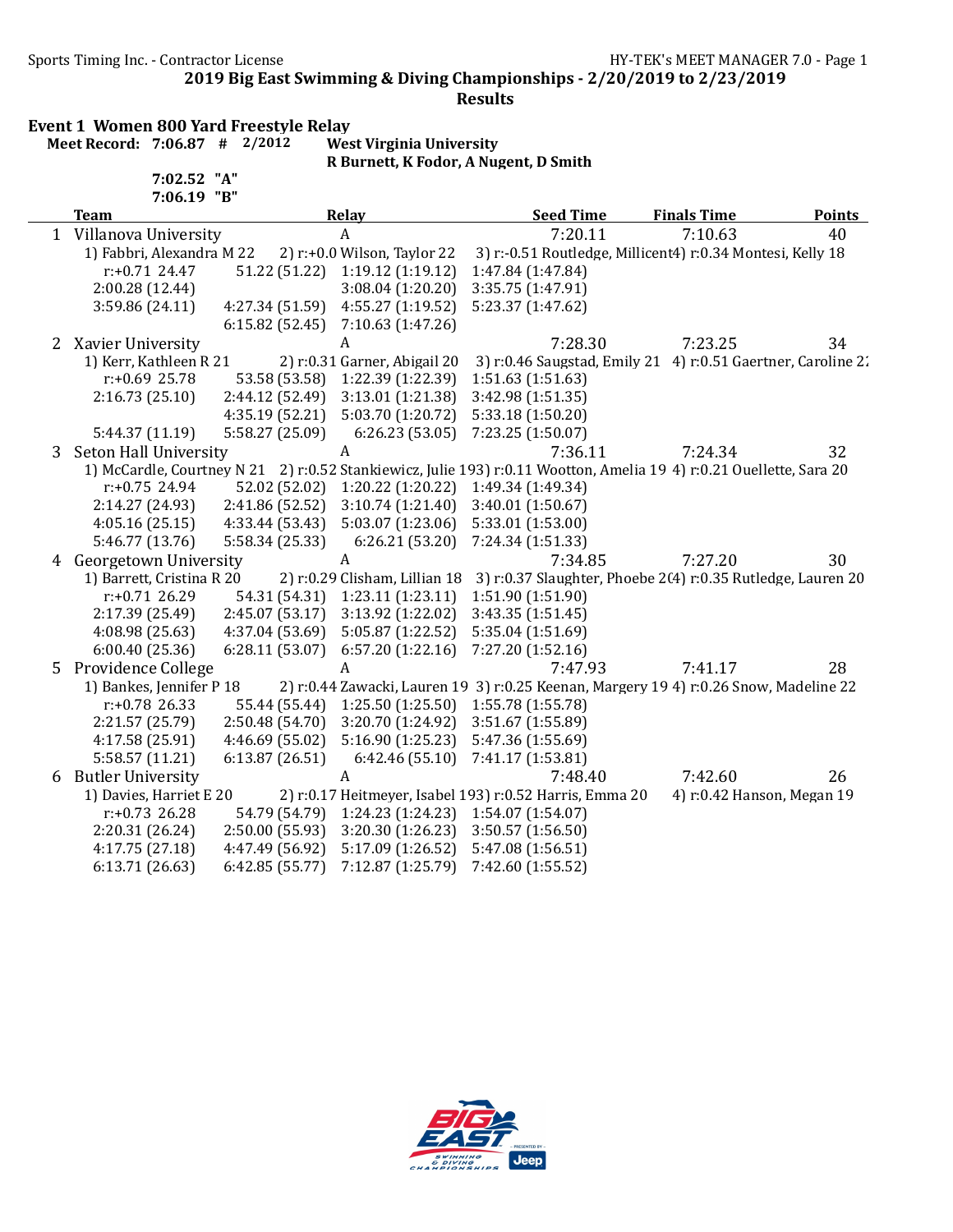Sports Timing Inc. - Contractor License General Accords 2008 HY-TEK's MEET MANAGER 7.0 - Page 1

2019 Big East Swimming & Diving Championships - 2/20/2019 to 2/23/2019

Results

### Event 1 Women 800 Yard Freestyle Relay<br>Meet Record: 7:06.87  $#$  2/2012 West Virginia University Meet Record:  $7:06.87$  #  $2/2012$

7:02.52 "A"

R Burnett, K Fodor, A Nugent, D Smith

|   | 7:06.19 "B"               |                 |                               |                                                                                                                     |                            |               |
|---|---------------------------|-----------------|-------------------------------|---------------------------------------------------------------------------------------------------------------------|----------------------------|---------------|
|   | <b>Team</b>               |                 | Relay                         | <b>Seed Time</b>                                                                                                    | <b>Finals Time</b>         | <b>Points</b> |
|   | 1 Villanova University    |                 | $\mathbf{A}$                  | 7:20.11                                                                                                             | 7:10.63                    | 40            |
|   | 1) Fabbri, Alexandra M 22 |                 | 2) r:+0.0 Wilson, Taylor 22   | 3) r:-0.51 Routledge, Millicent4) r:0.34 Montesi, Kelly 18                                                          |                            |               |
|   | $r: +0.71$ 24.47          | 51.22 (51.22)   | 1:19.12 (1:19.12)             | 1:47.84 (1:47.84)                                                                                                   |                            |               |
|   | 2:00.28 (12.44)           |                 | 3:08.04(1:20.20)              | 3:35.75 (1:47.91)                                                                                                   |                            |               |
|   | 3:59.86(24.11)            | 4:27.34 (51.59) | 4:55.27 (1:19.52)             | 5:23.37 (1:47.62)                                                                                                   |                            |               |
|   |                           | 6:15.82(52.45)  | 7:10.63 (1:47.26)             |                                                                                                                     |                            |               |
| 2 | Xavier University         |                 | A                             | 7:28.30                                                                                                             | 7:23.25                    | 34            |
|   | 1) Kerr, Kathleen R 21    |                 | 2) r:0.31 Garner, Abigail 20  | 3) r:0.46 Saugstad, Emily 21 4) r:0.51 Gaertner, Caroline 2.                                                        |                            |               |
|   | $r: +0.69$ 25.78          | 53.58 (53.58)   | 1:22.39 (1:22.39)             | 1:51.63 (1:51.63)                                                                                                   |                            |               |
|   | 2:16.73(25.10)            | 2:44.12 (52.49) | 3:13.01 (1:21.38)             | 3:42.98 (1:51.35)                                                                                                   |                            |               |
|   |                           | 4:35.19 (52.21) | 5:03.70 (1:20.72)             | 5:33.18 (1:50.20)                                                                                                   |                            |               |
|   | 5:44.37 (11.19)           | 5:58.27 (25.09) | 6:26.23(53.05)                | 7:23.25 (1:50.07)                                                                                                   |                            |               |
| 3 | Seton Hall University     |                 | A                             | 7:36.11                                                                                                             | 7:24.34                    | 32            |
|   |                           |                 |                               | 1) McCardle, Courtney N 21 2) r:0.52 Stankiewicz, Julie 193) r:0.11 Wootton, Amelia 19 4) r:0.21 Ouellette, Sara 20 |                            |               |
|   | $r: +0.75$ 24.94          | 52.02 (52.02)   | 1:20.22 (1:20.22)             | 1:49.34 (1:49.34)                                                                                                   |                            |               |
|   | 2:14.27 (24.93)           | 2:41.86 (52.52) | 3:10.74(1:21.40)              | 3:40.01(1:50.67)                                                                                                    |                            |               |
|   | 4:05.16(25.15)            | 4:33.44 (53.43) | 5:03.07 (1:23.06)             | 5:33.01 (1:53.00)                                                                                                   |                            |               |
|   | 5:46.77 (13.76)           | 5:58.34 (25.33) | 6:26.21(53.20)                | 7:24.34 (1:51.33)                                                                                                   |                            |               |
|   | 4 Georgetown University   |                 | A                             | 7:34.85                                                                                                             | 7:27.20                    | 30            |
|   | 1) Barrett, Cristina R 20 |                 | 2) r:0.29 Clisham, Lillian 18 | 3) r:0.37 Slaughter, Phoebe 2(4) r:0.35 Rutledge, Lauren 20                                                         |                            |               |
|   | $r: +0.71$ 26.29          | 54.31 (54.31)   | 1:23.11(1:23.11)              | 1:51.90 (1:51.90)                                                                                                   |                            |               |
|   | 2:17.39 (25.49)           | 2:45.07 (53.17) | 3:13.92 (1:22.02)             | 3:43.35 (1:51.45)                                                                                                   |                            |               |
|   | 4:08.98 (25.63)           | 4:37.04 (53.69) | 5:05.87 (1:22.52)             | 5:35.04 (1:51.69)                                                                                                   |                            |               |
|   | 6:00.40(25.36)            | 6:28.11(53.07)  | 6:57.20(1:22.16)              | 7:27.20 (1:52.16)                                                                                                   |                            |               |
| 5 | Providence College        |                 | A                             | 7:47.93                                                                                                             | 7:41.17                    | 28            |
|   | 1) Bankes, Jennifer P 18  |                 |                               | 2) r:0.44 Zawacki, Lauren 19 3) r:0.25 Keenan, Margery 19 4) r:0.26 Snow, Madeline 22                               |                            |               |
|   | $r: +0.78$ 26.33          | 55.44 (55.44)   | 1:25.50(1:25.50)              | 1:55.78 (1:55.78)                                                                                                   |                            |               |
|   | 2:21.57 (25.79)           | 2:50.48 (54.70) | 3:20.70 (1:24.92)             | 3:51.67 (1:55.89)                                                                                                   |                            |               |
|   | 4:17.58 (25.91)           | 4:46.69 (55.02) | 5:16.90 (1:25.23)             | 5:47.36 (1:55.69)                                                                                                   |                            |               |
|   | 5:58.57 (11.21)           | 6:13.87(26.51)  | 6:42.46(55.10)                | 7:41.17 (1:53.81)                                                                                                   |                            |               |
| 6 | <b>Butler University</b>  |                 | A                             | 7:48.40                                                                                                             | 7:42.60                    | 26            |
|   | 1) Davies, Harriet E 20   |                 |                               | 2) r:0.17 Heitmeyer, Isabel 193) r:0.52 Harris, Emma 20                                                             | 4) r:0.42 Hanson, Megan 19 |               |
|   | $r: +0.73$ 26.28          | 54.79 (54.79)   | 1:24.23(1:24.23)              | 1:54.07 (1:54.07)                                                                                                   |                            |               |
|   | 2:20.31 (26.24)           | 2:50.00 (55.93) | 3:20.30 (1:26.23)             | 3:50.57 (1:56.50)                                                                                                   |                            |               |
|   | 4:17.75(27.18)            | 4:47.49 (56.92) | 5:17.09 (1:26.52)             | 5:47.08 (1:56.51)                                                                                                   |                            |               |
|   | 6:13.71(26.63)            | 6:42.85 (55.77) | 7:12.87 (1:25.79)             | 7:42.60 (1:55.52)                                                                                                   |                            |               |
|   |                           |                 |                               |                                                                                                                     |                            |               |

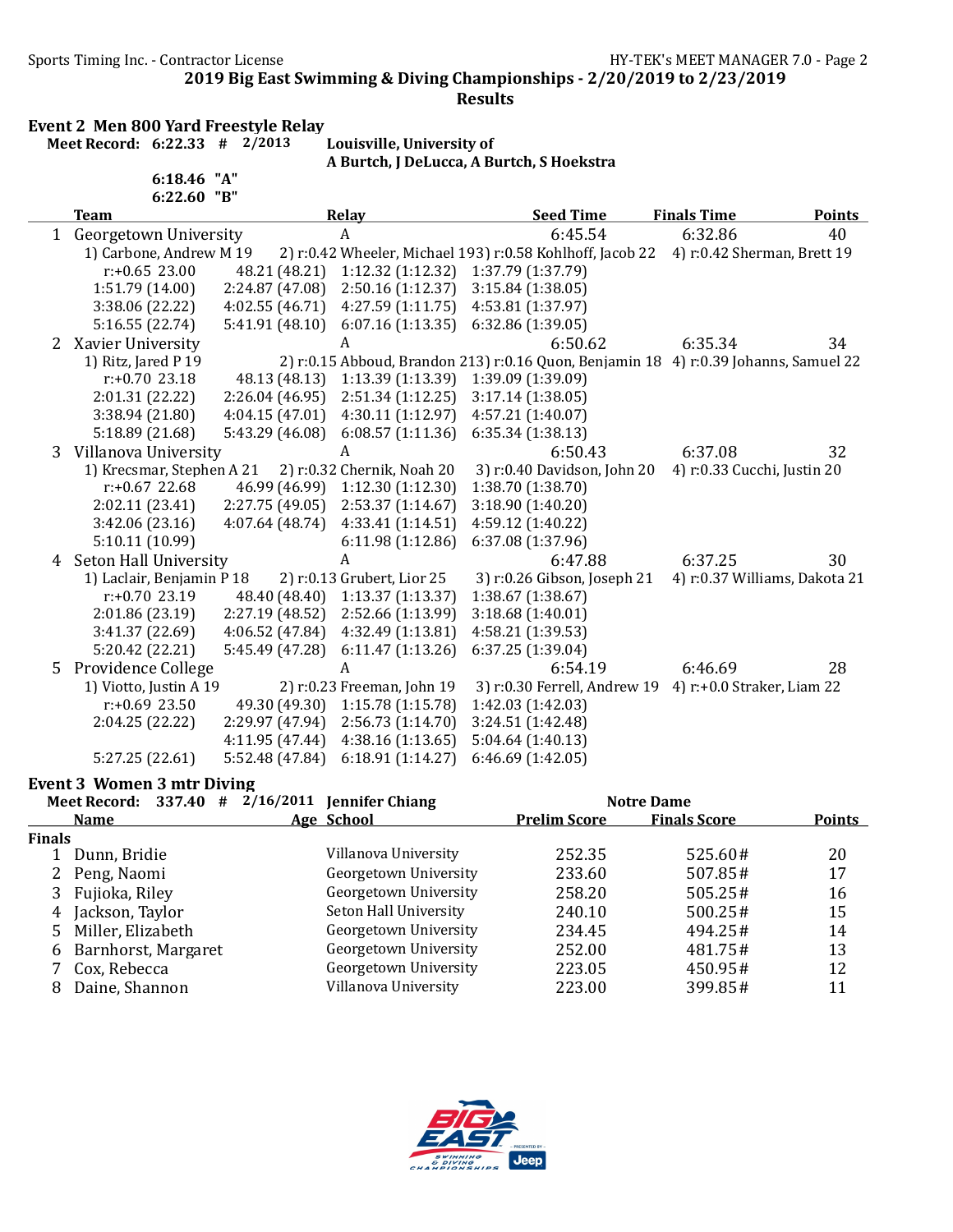Sports Timing Inc. - Contractor License Germany Sports Timing Inc. - Contractor License

2019 Big East Swimming & Diving Championships - 2/20/2019 to 2/23/2019

### Results

Event 2 Men 800 Yard Freestyle Relay

Meet Record: 6:22.33 # 2/2013 Louisville, University of A Burtch, J DeLucca, A Burtch, S Hoekstra

|   | 6:18.46                      | "A"<br>"В"      |                            |                                                                                      |                             |                               |
|---|------------------------------|-----------------|----------------------------|--------------------------------------------------------------------------------------|-----------------------------|-------------------------------|
|   | 6:22.60<br><b>Team</b>       |                 | Relay                      | <b>Seed Time</b>                                                                     | <b>Finals Time</b>          | <b>Points</b>                 |
| 1 | <b>Georgetown University</b> |                 | $\boldsymbol{A}$           | 6:45.54                                                                              | 6:32.86                     | 40                            |
|   | 1) Carbone, Andrew M 19      |                 |                            | 2) r:0.42 Wheeler, Michael 193) r:0.58 Kohlhoff, Jacob 22                            | 4) r:0.42 Sherman, Brett 19 |                               |
|   | $r: +0.65$ 23.00             | 48.21 (48.21)   | 1:12.32 (1:12.32)          | 1:37.79 (1:37.79)                                                                    |                             |                               |
|   | 1:51.79 (14.00)              | 2:24.87 (47.08) | 2:50.16(1:12.37)           | 3:15.84(1:38.05)                                                                     |                             |                               |
|   | 3:38.06 (22.22)              | 4:02.55(46.71)  | 4:27.59(1:11.75)           | 4:53.81 (1:37.97)                                                                    |                             |                               |
|   | 5:16.55 (22.74)              | 5:41.91(48.10)  | 6:07.16(1:13.35)           | 6:32.86(1:39.05)                                                                     |                             |                               |
| 2 | Xavier University            |                 | A                          | 6:50.62                                                                              | 6:35.34                     | 34                            |
|   | 1) Ritz, Jared P 19          |                 |                            | 2) r:0.15 Abboud, Brandon 213) r:0.16 Quon, Benjamin 18 4) r:0.39 Johanns, Samuel 22 |                             |                               |
|   | $r: +0.70$ 23.18             | 48.13 (48.13)   | 1:13.39(1:13.39)           | 1:39.09 (1:39.09)                                                                    |                             |                               |
|   | 2:01.31 (22.22)              | 2:26.04 (46.95) | 2:51.34(1:12.25)           | 3:17.14(1:38.05)                                                                     |                             |                               |
|   | 3:38.94 (21.80)              | 4:04.15(47.01)  | 4:30.11(1:12.97)           | 4:57.21 (1:40.07)                                                                    |                             |                               |
|   | 5:18.89 (21.68)              | 5:43.29 (46.08) | 6:08.57(1:11.36)           | 6:35.34(1:38.13)                                                                     |                             |                               |
| 3 | Villanova University         |                 | A                          | 6:50.43                                                                              | 6:37.08                     | 32                            |
|   | 1) Krecsmar, Stephen A 21    |                 | 2) r:0.32 Chernik, Noah 20 | 3) r:0.40 Davidson, John 20                                                          | 4) r:0.33 Cucchi, Justin 20 |                               |
|   | $r: +0.67$ 22.68             | 46.99 (46.99)   | 1:12.30 (1:12.30)          | 1:38.70 (1:38.70)                                                                    |                             |                               |
|   | 2:02.11 (23.41)              | 2:27.75 (49.05) | 2:53.37 (1:14.67)          | 3:18.90 (1:40.20)                                                                    |                             |                               |
|   | 3:42.06(23.16)               | 4:07.64(48.74)  | 4:33.41(1:14.51)           | 4:59.12 (1:40.22)                                                                    |                             |                               |
|   | 5:10.11 (10.99)              |                 | 6:11.98 (1:12.86)          | 6:37.08 (1:37.96)                                                                    |                             |                               |
|   | 4 Seton Hall University      |                 | A                          | 6:47.88                                                                              | 6:37.25                     | 30                            |
|   | 1) Laclair, Benjamin P 18    |                 | 2) r:0.13 Grubert, Lior 25 | 3) r:0.26 Gibson, Joseph 21                                                          |                             | 4) r:0.37 Williams, Dakota 21 |
|   | $r: +0.70$ 23.19             | 48.40 (48.40)   | 1:13.37(1:13.37)           | 1:38.67 (1:38.67)                                                                    |                             |                               |
|   | 2:01.86(23.19)               | 2:27.19 (48.52) | 2:52.66 (1:13.99)          | 3:18.68 (1:40.01)                                                                    |                             |                               |
|   | 3:41.37 (22.69)              | 4:06.52 (47.84) | 4:32.49 (1:13.81)          | 4:58.21 (1:39.53)                                                                    |                             |                               |
|   | 5:20.42 (22.21)              | 5:45.49 (47.28) | 6:11.47(1:13.26)           | 6:37.25 (1:39.04)                                                                    |                             |                               |
| 5 | <b>Providence College</b>    |                 | A                          | 6:54.19                                                                              | 6:46.69                     | 28                            |
|   | 1) Viotto, Justin A 19       |                 | 2) r:0.23 Freeman, John 19 | 3) r:0.30 Ferrell, Andrew 19 4) r:+0.0 Straker, Liam 22                              |                             |                               |
|   | $r: +0.69$ 23.50             | 49.30 (49.30)   | 1:15.78(1:15.78)           | 1:42.03 (1:42.03)                                                                    |                             |                               |
|   | 2:04.25 (22.22)              | 2:29.97 (47.94) | 2:56.73 (1:14.70)          | 3:24.51 (1:42.48)                                                                    |                             |                               |
|   |                              | 4:11.95(47.44)  | 4:38.16(1:13.65)           | 5:04.64(1:40.13)                                                                     |                             |                               |
|   | 5:27.25(22.61)               | 5:52.48 (47.84) | 6:18.91(1:14.27)           | 6:46.69(1:42.05)                                                                     |                             |                               |

### Event 3 Women 3 mtr Diving

|               | Meet Record: 337.40 # | 2/16/2011 Jennifer Chiang |                     | <b>Notre Dame</b>   |               |
|---------------|-----------------------|---------------------------|---------------------|---------------------|---------------|
|               | <b>Name</b>           | Age School                | <b>Prelim Score</b> | <b>Finals Score</b> | <b>Points</b> |
| <b>Finals</b> |                       |                           |                     |                     |               |
|               | Dunn, Bridie          | Villanova University      | 252.35              | 525.60#             | 20            |
| 2             | Peng, Naomi           | Georgetown University     | 233.60              | 507.85#             | 17            |
|               | Fujioka, Riley        | Georgetown University     | 258.20              | $505.25 \#$         | 16            |
| 4             | Jackson, Taylor       | Seton Hall University     | 240.10              | 500.25#             | 15            |
| 5.            | Miller, Elizabeth     | Georgetown University     | 234.45              | 494.25#             | 14            |
| 6             | Barnhorst, Margaret   | Georgetown University     | 252.00              | 481.75#             | 13            |
|               | Cox, Rebecca          | Georgetown University     | 223.05              | 450.95#             | 12            |
| 8             | Daine, Shannon        | Villanova University      | 223.00              | 399.85#             | 11            |

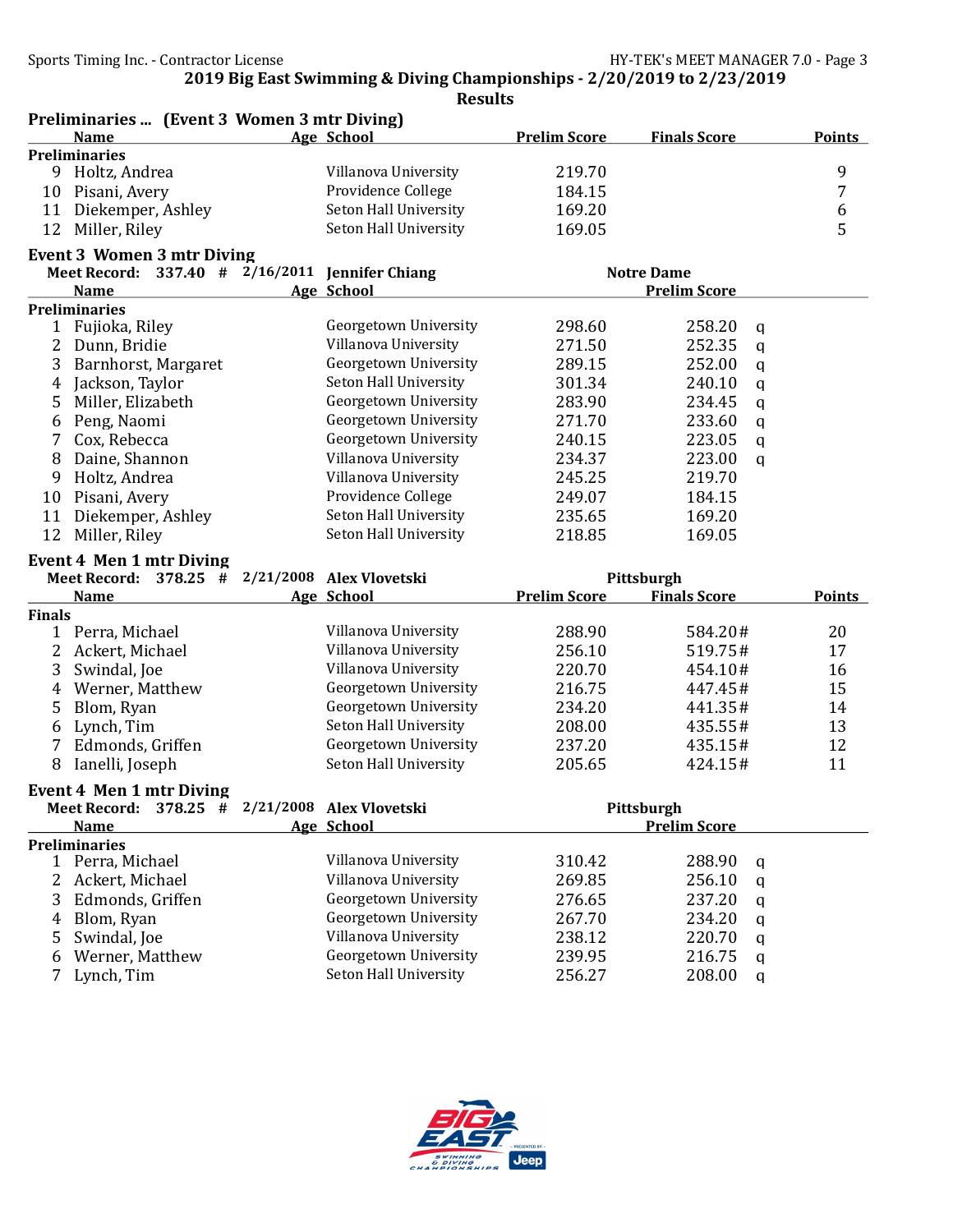Preliminaries ... (Event 3 Women 3 mtr Diving)

2019 Big East Swimming & Diving Championships - 2/20/2019 to 2/23/2019

|               | <b>Name</b>                                                                           | Age School            | <b>Prelim Score</b> | <b>Finals Score</b>               | <b>Points</b> |
|---------------|---------------------------------------------------------------------------------------|-----------------------|---------------------|-----------------------------------|---------------|
|               | <b>Preliminaries</b>                                                                  |                       |                     |                                   |               |
|               | 9 Holtz, Andrea                                                                       | Villanova University  | 219.70              |                                   | 9             |
| 10            | Pisani, Avery                                                                         | Providence College    | 184.15              |                                   | 7             |
| 11            | Diekemper, Ashley                                                                     | Seton Hall University | 169.20              |                                   | 6             |
| 12            | Miller, Riley                                                                         | Seton Hall University | 169.05              |                                   | 5             |
|               | <b>Event 3 Women 3 mtr Diving</b>                                                     |                       |                     |                                   |               |
|               | Meet Record: $337.40$ # $2/16/2011$ Jennifer Chiang                                   |                       |                     | <b>Notre Dame</b>                 |               |
|               | <b>Name</b>                                                                           | Age School            |                     | <b>Prelim Score</b>               |               |
|               | <b>Preliminaries</b>                                                                  |                       |                     |                                   |               |
| $\mathbf{1}$  | Fujioka, Riley                                                                        | Georgetown University | 298.60              | 258.20<br>q                       |               |
| 2             | Dunn, Bridie                                                                          | Villanova University  | 271.50              | 252.35<br>q                       |               |
| 3             | Barnhorst, Margaret                                                                   | Georgetown University | 289.15              | 252.00<br>q                       |               |
| 4             | Jackson, Taylor                                                                       | Seton Hall University | 301.34              | 240.10<br>$\mathbf q$             |               |
| 5             | Miller, Elizabeth                                                                     | Georgetown University | 283.90              | 234.45<br>$\mathbf q$             |               |
| 6             | Peng, Naomi                                                                           | Georgetown University | 271.70              | 233.60<br>$\mathbf q$             |               |
|               | Cox, Rebecca                                                                          | Georgetown University | 240.15              | 223.05<br>$\mathbf q$             |               |
| 8             | Daine, Shannon                                                                        | Villanova University  | 234.37              | 223.00<br>$\mathbf q$             |               |
| 9             | Holtz, Andrea                                                                         | Villanova University  | 245.25              | 219.70                            |               |
| 10            | Pisani, Avery                                                                         | Providence College    | 249.07              | 184.15                            |               |
| 11            | Diekemper, Ashley                                                                     | Seton Hall University | 235.65              | 169.20                            |               |
| 12            | Miller, Riley                                                                         | Seton Hall University | 218.85              | 169.05                            |               |
|               | <b>Event 4 Men 1 mtr Diving</b>                                                       |                       |                     |                                   |               |
|               |                                                                                       |                       |                     |                                   |               |
|               |                                                                                       |                       |                     |                                   |               |
|               | Meet Record: $378.25$ # $2/21/2008$ Alex Vlovetski<br><b>Name</b>                     | Age School            | <b>Prelim Score</b> | Pittsburgh<br><b>Finals Score</b> | <b>Points</b> |
| <b>Finals</b> |                                                                                       |                       |                     |                                   |               |
|               | 1 Perra, Michael                                                                      | Villanova University  | 288.90              | 584.20#                           | 20            |
| 2             | Ackert, Michael                                                                       | Villanova University  | 256.10              | 519.75#                           | 17            |
| 3             | Swindal, Joe                                                                          | Villanova University  | 220.70              | 454.10#                           | 16            |
| 4             | Werner, Matthew                                                                       | Georgetown University | 216.75              | 447.45#                           | 15            |
| 5             | Blom, Ryan                                                                            | Georgetown University | 234.20              | 441.35#                           | 14            |
| 6             | Lynch, Tim                                                                            | Seton Hall University | 208.00              | 435.55#                           | 13            |
| 7             | Edmonds, Griffen                                                                      | Georgetown University | 237.20              | 435.15#                           | 12            |
| 8             | Ianelli, Joseph                                                                       | Seton Hall University | 205.65              | 424.15#                           | 11            |
|               |                                                                                       |                       |                     |                                   |               |
|               | <b>Event 4 Men 1 mtr Diving</b><br>Meet Record: $378.25$ # $2/21/2008$ Alex Vlovetski |                       |                     |                                   |               |
|               | <b>Name</b>                                                                           | Age School            |                     | Pittsburgh<br><b>Prelim Score</b> |               |
|               | <b>Preliminaries</b>                                                                  |                       |                     |                                   |               |
| 1             | Perra, Michael                                                                        | Villanova University  | 310.42              | 288.90<br>q                       |               |
| 2             | Ackert, Michael                                                                       | Villanova University  | 269.85              | 256.10<br>q                       |               |
| 3             | Edmonds, Griffen                                                                      | Georgetown University | 276.65              | 237.20<br>q                       |               |
| 4             | Blom, Ryan                                                                            | Georgetown University | 267.70              | 234.20<br>q                       |               |
| 5             | Swindal, Joe                                                                          | Villanova University  | 238.12              | 220.70<br>q                       |               |
| 6             | Werner, Matthew                                                                       | Georgetown University | 239.95              | 216.75<br>$\mathsf{q}$            |               |
| 7             | Lynch, Tim                                                                            | Seton Hall University | 256.27              | 208.00<br>q                       |               |

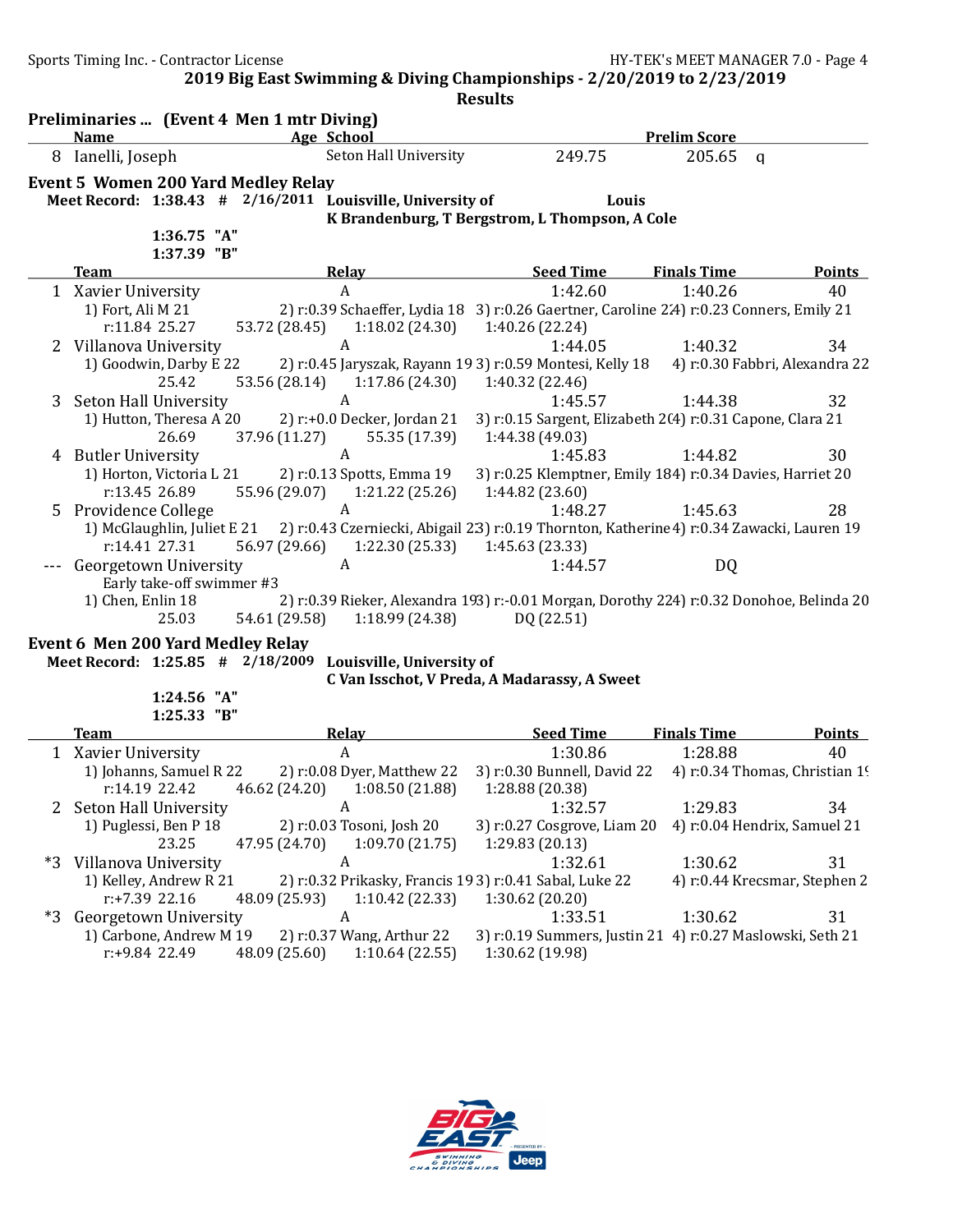Sports Timing Inc. - Contractor License Government Contractor HY-TEK's MEET MANAGER 7.0 - Page 4

2019 Big East Swimming & Diving Championships - 2/20/2019 to 2/23/2019

| Age School<br>8 Ianelli, Joseph<br>Seton Hall University<br>249.75<br>205.65<br>q<br><b>Event 5 Women 200 Yard Medley Relay</b><br>Meet Record: 1:38.43 # 2/16/2011 Louisville, University of<br>Louis<br>K Brandenburg, T Bergstrom, L Thompson, A Cole<br>1:36.75 "A"<br>1:37.39 "B"<br><b>Seed Time</b><br>Relay<br><b>Finals Time</b><br><b>Points</b><br><b>Team</b><br>1:42.60<br>1:40.26<br>A<br>40<br>1 Xavier University<br>2) r:0.39 Schaeffer, Lydia 18 3) r:0.26 Gaertner, Caroline 2.4) r:0.23 Conners, Emily 21<br>1) Fort, Ali M 21<br>r:11.84 25.27<br>53.72 (28.45)<br>1:18.02(24.30)<br>1:40.26 (22.24)<br>2 Villanova University<br>A<br>1:44.05<br>1:40.32<br>34<br>1) Goodwin, Darby E 22<br>2) r:0.45 Jaryszak, Rayann 19 3) r:0.59 Montesi, Kelly 18 (4) r:0.30 Fabbri, Alexandra 22<br>25.42<br>1:40.32 (22.46)<br>53.56 (28.14) 1:17.86 (24.30)<br>32<br>Seton Hall University<br>A<br>1:45.57<br>1:44.38<br>3<br>1) Hutton, Theresa A 20<br>2) r:+0.0 Decker, Jordan 21<br>3) r:0.15 Sargent, Elizabeth 2(4) r:0.31 Capone, Clara 21<br>37.96 (11.27)<br>55.35 (17.39)<br>1:44.38 (49.03)<br>26.69<br>A<br>1:45.83<br>30<br><b>Butler University</b><br>1:44.82<br>4<br>2) r:0.13 Spotts, Emma 19<br>3) r:0.25 Klemptner, Emily 184) r:0.34 Davies, Harriet 20<br>1) Horton, Victoria L 21<br>r:13.45 26.89<br>55.96 (29.07) 1:21.22 (25.26)<br>1:44.82 (23.60)<br>Providence College<br>$\boldsymbol{A}$<br>1:48.27<br>1:45.63<br>28<br>5.<br>2) r:0.43 Czerniecki, Abigail 23) r:0.19 Thornton, Katherine 4) r:0.34 Zawacki, Lauren 19<br>1) McGlaughlin, Juliet E 21<br>56.97 (29.66) 1:22.30 (25.33)<br>r:14.41 27.31<br>1:45.63 (23.33)<br>$\boldsymbol{A}$<br>Georgetown University<br>1:44.57<br>DQ<br>Early take-off swimmer #3<br>2) r:0.39 Rieker, Alexandra 193) r:-0.01 Morgan, Dorothy 224) r:0.32 Donohoe, Belinda 20<br>1) Chen, Enlin 18<br>54.61 (29.58)<br>1:18.99 (24.38)<br>25.03<br>DQ (22.51)<br>Event 6 Men 200 Yard Medley Relay<br>Meet Record: 1:25.85 # 2/18/2009 Louisville, University of<br>C Van Isschot, V Preda, A Madarassy, A Sweet<br>1:24.56 "A"<br>1:25.33 "B"<br><b>Seed Time</b><br><b>Finals Time</b><br><b>Team</b><br><b>Relay</b><br><b>Points</b><br>$\boldsymbol{A}$<br>1:30.86<br>1:28.88<br>1 Xavier University<br>40<br>2) r:0.08 Dyer, Matthew 22<br>3) r:0.30 Bunnell, David 22<br>1) Johanns, Samuel R 22<br>4) r:0.34 Thomas, Christian 19<br>r:14.19 22.42<br>46.62 (24.20)<br>1:28.88 (20.38)<br>1:08.50(21.88)<br>1:32.57<br>1:29.83<br>2 Seton Hall University<br>34<br><b>A</b><br>2) r:0.03 Tosoni, Josh 20<br>1) Puglessi, Ben P 18<br>3) r:0.27 Cosgrove, Liam 20 4) r:0.04 Hendrix, Samuel 21<br>23.25<br>47.95 (24.70)<br>1:09.70(21.75)<br>1:29.83 (20.13)<br>1:30.62<br>*3<br>Villanova University<br>1:32.61<br>31<br>A<br>1) Kelley, Andrew R 21<br>4) r:0.44 Krecsmar, Stephen 2<br>2) r:0.32 Prikasky, Francis 193) r:0.41 Sabal, Luke 22<br>r:+7.39 22.16<br>1:30.62 (20.20)<br>48.09 (25.93)<br>1:10.42(22.33)<br>$*3$<br>Georgetown University<br>1:30.62<br>31<br>1:33.51<br>A<br>1) Carbone, Andrew M 19<br>2) r:0.37 Wang, Arthur 22<br>3) r:0.19 Summers, Justin 21 4) r:0.27 Maslowski, Seth 21 | Preliminaries  (Event 4 Men 1 mtr Diving)<br><b>Name</b> |  |                |                 | <b>Prelim Score</b> |  |
|--------------------------------------------------------------------------------------------------------------------------------------------------------------------------------------------------------------------------------------------------------------------------------------------------------------------------------------------------------------------------------------------------------------------------------------------------------------------------------------------------------------------------------------------------------------------------------------------------------------------------------------------------------------------------------------------------------------------------------------------------------------------------------------------------------------------------------------------------------------------------------------------------------------------------------------------------------------------------------------------------------------------------------------------------------------------------------------------------------------------------------------------------------------------------------------------------------------------------------------------------------------------------------------------------------------------------------------------------------------------------------------------------------------------------------------------------------------------------------------------------------------------------------------------------------------------------------------------------------------------------------------------------------------------------------------------------------------------------------------------------------------------------------------------------------------------------------------------------------------------------------------------------------------------------------------------------------------------------------------------------------------------------------------------------------------------------------------------------------------------------------------------------------------------------------------------------------------------------------------------------------------------------------------------------------------------------------------------------------------------------------------------------------------------------------------------------------------------------------------------------------------------------------------------------------------------------------------------------------------------------------------------------------------------------------------------------------------------------------------------------------------------------------------------------------------------------------------------------------------------------------------------------------------------------------------------------------------------------------------------------------------------------------------------------------------------------------------------------------------------------------------------------------------------------------------------------------|----------------------------------------------------------|--|----------------|-----------------|---------------------|--|
|                                                                                                                                                                                                                                                                                                                                                                                                                                                                                                                                                                                                                                                                                                                                                                                                                                                                                                                                                                                                                                                                                                                                                                                                                                                                                                                                                                                                                                                                                                                                                                                                                                                                                                                                                                                                                                                                                                                                                                                                                                                                                                                                                                                                                                                                                                                                                                                                                                                                                                                                                                                                                                                                                                                                                                                                                                                                                                                                                                                                                                                                                                                                                                                                        |                                                          |  |                |                 |                     |  |
|                                                                                                                                                                                                                                                                                                                                                                                                                                                                                                                                                                                                                                                                                                                                                                                                                                                                                                                                                                                                                                                                                                                                                                                                                                                                                                                                                                                                                                                                                                                                                                                                                                                                                                                                                                                                                                                                                                                                                                                                                                                                                                                                                                                                                                                                                                                                                                                                                                                                                                                                                                                                                                                                                                                                                                                                                                                                                                                                                                                                                                                                                                                                                                                                        |                                                          |  |                |                 |                     |  |
|                                                                                                                                                                                                                                                                                                                                                                                                                                                                                                                                                                                                                                                                                                                                                                                                                                                                                                                                                                                                                                                                                                                                                                                                                                                                                                                                                                                                                                                                                                                                                                                                                                                                                                                                                                                                                                                                                                                                                                                                                                                                                                                                                                                                                                                                                                                                                                                                                                                                                                                                                                                                                                                                                                                                                                                                                                                                                                                                                                                                                                                                                                                                                                                                        |                                                          |  |                |                 |                     |  |
|                                                                                                                                                                                                                                                                                                                                                                                                                                                                                                                                                                                                                                                                                                                                                                                                                                                                                                                                                                                                                                                                                                                                                                                                                                                                                                                                                                                                                                                                                                                                                                                                                                                                                                                                                                                                                                                                                                                                                                                                                                                                                                                                                                                                                                                                                                                                                                                                                                                                                                                                                                                                                                                                                                                                                                                                                                                                                                                                                                                                                                                                                                                                                                                                        |                                                          |  |                |                 |                     |  |
|                                                                                                                                                                                                                                                                                                                                                                                                                                                                                                                                                                                                                                                                                                                                                                                                                                                                                                                                                                                                                                                                                                                                                                                                                                                                                                                                                                                                                                                                                                                                                                                                                                                                                                                                                                                                                                                                                                                                                                                                                                                                                                                                                                                                                                                                                                                                                                                                                                                                                                                                                                                                                                                                                                                                                                                                                                                                                                                                                                                                                                                                                                                                                                                                        |                                                          |  |                |                 |                     |  |
|                                                                                                                                                                                                                                                                                                                                                                                                                                                                                                                                                                                                                                                                                                                                                                                                                                                                                                                                                                                                                                                                                                                                                                                                                                                                                                                                                                                                                                                                                                                                                                                                                                                                                                                                                                                                                                                                                                                                                                                                                                                                                                                                                                                                                                                                                                                                                                                                                                                                                                                                                                                                                                                                                                                                                                                                                                                                                                                                                                                                                                                                                                                                                                                                        |                                                          |  |                |                 |                     |  |
|                                                                                                                                                                                                                                                                                                                                                                                                                                                                                                                                                                                                                                                                                                                                                                                                                                                                                                                                                                                                                                                                                                                                                                                                                                                                                                                                                                                                                                                                                                                                                                                                                                                                                                                                                                                                                                                                                                                                                                                                                                                                                                                                                                                                                                                                                                                                                                                                                                                                                                                                                                                                                                                                                                                                                                                                                                                                                                                                                                                                                                                                                                                                                                                                        |                                                          |  |                |                 |                     |  |
|                                                                                                                                                                                                                                                                                                                                                                                                                                                                                                                                                                                                                                                                                                                                                                                                                                                                                                                                                                                                                                                                                                                                                                                                                                                                                                                                                                                                                                                                                                                                                                                                                                                                                                                                                                                                                                                                                                                                                                                                                                                                                                                                                                                                                                                                                                                                                                                                                                                                                                                                                                                                                                                                                                                                                                                                                                                                                                                                                                                                                                                                                                                                                                                                        |                                                          |  |                |                 |                     |  |
|                                                                                                                                                                                                                                                                                                                                                                                                                                                                                                                                                                                                                                                                                                                                                                                                                                                                                                                                                                                                                                                                                                                                                                                                                                                                                                                                                                                                                                                                                                                                                                                                                                                                                                                                                                                                                                                                                                                                                                                                                                                                                                                                                                                                                                                                                                                                                                                                                                                                                                                                                                                                                                                                                                                                                                                                                                                                                                                                                                                                                                                                                                                                                                                                        |                                                          |  |                |                 |                     |  |
|                                                                                                                                                                                                                                                                                                                                                                                                                                                                                                                                                                                                                                                                                                                                                                                                                                                                                                                                                                                                                                                                                                                                                                                                                                                                                                                                                                                                                                                                                                                                                                                                                                                                                                                                                                                                                                                                                                                                                                                                                                                                                                                                                                                                                                                                                                                                                                                                                                                                                                                                                                                                                                                                                                                                                                                                                                                                                                                                                                                                                                                                                                                                                                                                        |                                                          |  |                |                 |                     |  |
|                                                                                                                                                                                                                                                                                                                                                                                                                                                                                                                                                                                                                                                                                                                                                                                                                                                                                                                                                                                                                                                                                                                                                                                                                                                                                                                                                                                                                                                                                                                                                                                                                                                                                                                                                                                                                                                                                                                                                                                                                                                                                                                                                                                                                                                                                                                                                                                                                                                                                                                                                                                                                                                                                                                                                                                                                                                                                                                                                                                                                                                                                                                                                                                                        |                                                          |  |                |                 |                     |  |
|                                                                                                                                                                                                                                                                                                                                                                                                                                                                                                                                                                                                                                                                                                                                                                                                                                                                                                                                                                                                                                                                                                                                                                                                                                                                                                                                                                                                                                                                                                                                                                                                                                                                                                                                                                                                                                                                                                                                                                                                                                                                                                                                                                                                                                                                                                                                                                                                                                                                                                                                                                                                                                                                                                                                                                                                                                                                                                                                                                                                                                                                                                                                                                                                        |                                                          |  |                |                 |                     |  |
|                                                                                                                                                                                                                                                                                                                                                                                                                                                                                                                                                                                                                                                                                                                                                                                                                                                                                                                                                                                                                                                                                                                                                                                                                                                                                                                                                                                                                                                                                                                                                                                                                                                                                                                                                                                                                                                                                                                                                                                                                                                                                                                                                                                                                                                                                                                                                                                                                                                                                                                                                                                                                                                                                                                                                                                                                                                                                                                                                                                                                                                                                                                                                                                                        |                                                          |  |                |                 |                     |  |
|                                                                                                                                                                                                                                                                                                                                                                                                                                                                                                                                                                                                                                                                                                                                                                                                                                                                                                                                                                                                                                                                                                                                                                                                                                                                                                                                                                                                                                                                                                                                                                                                                                                                                                                                                                                                                                                                                                                                                                                                                                                                                                                                                                                                                                                                                                                                                                                                                                                                                                                                                                                                                                                                                                                                                                                                                                                                                                                                                                                                                                                                                                                                                                                                        |                                                          |  |                |                 |                     |  |
|                                                                                                                                                                                                                                                                                                                                                                                                                                                                                                                                                                                                                                                                                                                                                                                                                                                                                                                                                                                                                                                                                                                                                                                                                                                                                                                                                                                                                                                                                                                                                                                                                                                                                                                                                                                                                                                                                                                                                                                                                                                                                                                                                                                                                                                                                                                                                                                                                                                                                                                                                                                                                                                                                                                                                                                                                                                                                                                                                                                                                                                                                                                                                                                                        |                                                          |  |                |                 |                     |  |
|                                                                                                                                                                                                                                                                                                                                                                                                                                                                                                                                                                                                                                                                                                                                                                                                                                                                                                                                                                                                                                                                                                                                                                                                                                                                                                                                                                                                                                                                                                                                                                                                                                                                                                                                                                                                                                                                                                                                                                                                                                                                                                                                                                                                                                                                                                                                                                                                                                                                                                                                                                                                                                                                                                                                                                                                                                                                                                                                                                                                                                                                                                                                                                                                        |                                                          |  |                |                 |                     |  |
|                                                                                                                                                                                                                                                                                                                                                                                                                                                                                                                                                                                                                                                                                                                                                                                                                                                                                                                                                                                                                                                                                                                                                                                                                                                                                                                                                                                                                                                                                                                                                                                                                                                                                                                                                                                                                                                                                                                                                                                                                                                                                                                                                                                                                                                                                                                                                                                                                                                                                                                                                                                                                                                                                                                                                                                                                                                                                                                                                                                                                                                                                                                                                                                                        |                                                          |  |                |                 |                     |  |
|                                                                                                                                                                                                                                                                                                                                                                                                                                                                                                                                                                                                                                                                                                                                                                                                                                                                                                                                                                                                                                                                                                                                                                                                                                                                                                                                                                                                                                                                                                                                                                                                                                                                                                                                                                                                                                                                                                                                                                                                                                                                                                                                                                                                                                                                                                                                                                                                                                                                                                                                                                                                                                                                                                                                                                                                                                                                                                                                                                                                                                                                                                                                                                                                        |                                                          |  |                |                 |                     |  |
|                                                                                                                                                                                                                                                                                                                                                                                                                                                                                                                                                                                                                                                                                                                                                                                                                                                                                                                                                                                                                                                                                                                                                                                                                                                                                                                                                                                                                                                                                                                                                                                                                                                                                                                                                                                                                                                                                                                                                                                                                                                                                                                                                                                                                                                                                                                                                                                                                                                                                                                                                                                                                                                                                                                                                                                                                                                                                                                                                                                                                                                                                                                                                                                                        |                                                          |  |                |                 |                     |  |
|                                                                                                                                                                                                                                                                                                                                                                                                                                                                                                                                                                                                                                                                                                                                                                                                                                                                                                                                                                                                                                                                                                                                                                                                                                                                                                                                                                                                                                                                                                                                                                                                                                                                                                                                                                                                                                                                                                                                                                                                                                                                                                                                                                                                                                                                                                                                                                                                                                                                                                                                                                                                                                                                                                                                                                                                                                                                                                                                                                                                                                                                                                                                                                                                        |                                                          |  |                |                 |                     |  |
|                                                                                                                                                                                                                                                                                                                                                                                                                                                                                                                                                                                                                                                                                                                                                                                                                                                                                                                                                                                                                                                                                                                                                                                                                                                                                                                                                                                                                                                                                                                                                                                                                                                                                                                                                                                                                                                                                                                                                                                                                                                                                                                                                                                                                                                                                                                                                                                                                                                                                                                                                                                                                                                                                                                                                                                                                                                                                                                                                                                                                                                                                                                                                                                                        |                                                          |  |                |                 |                     |  |
|                                                                                                                                                                                                                                                                                                                                                                                                                                                                                                                                                                                                                                                                                                                                                                                                                                                                                                                                                                                                                                                                                                                                                                                                                                                                                                                                                                                                                                                                                                                                                                                                                                                                                                                                                                                                                                                                                                                                                                                                                                                                                                                                                                                                                                                                                                                                                                                                                                                                                                                                                                                                                                                                                                                                                                                                                                                                                                                                                                                                                                                                                                                                                                                                        |                                                          |  |                |                 |                     |  |
|                                                                                                                                                                                                                                                                                                                                                                                                                                                                                                                                                                                                                                                                                                                                                                                                                                                                                                                                                                                                                                                                                                                                                                                                                                                                                                                                                                                                                                                                                                                                                                                                                                                                                                                                                                                                                                                                                                                                                                                                                                                                                                                                                                                                                                                                                                                                                                                                                                                                                                                                                                                                                                                                                                                                                                                                                                                                                                                                                                                                                                                                                                                                                                                                        |                                                          |  |                |                 |                     |  |
|                                                                                                                                                                                                                                                                                                                                                                                                                                                                                                                                                                                                                                                                                                                                                                                                                                                                                                                                                                                                                                                                                                                                                                                                                                                                                                                                                                                                                                                                                                                                                                                                                                                                                                                                                                                                                                                                                                                                                                                                                                                                                                                                                                                                                                                                                                                                                                                                                                                                                                                                                                                                                                                                                                                                                                                                                                                                                                                                                                                                                                                                                                                                                                                                        |                                                          |  |                |                 |                     |  |
|                                                                                                                                                                                                                                                                                                                                                                                                                                                                                                                                                                                                                                                                                                                                                                                                                                                                                                                                                                                                                                                                                                                                                                                                                                                                                                                                                                                                                                                                                                                                                                                                                                                                                                                                                                                                                                                                                                                                                                                                                                                                                                                                                                                                                                                                                                                                                                                                                                                                                                                                                                                                                                                                                                                                                                                                                                                                                                                                                                                                                                                                                                                                                                                                        |                                                          |  |                |                 |                     |  |
|                                                                                                                                                                                                                                                                                                                                                                                                                                                                                                                                                                                                                                                                                                                                                                                                                                                                                                                                                                                                                                                                                                                                                                                                                                                                                                                                                                                                                                                                                                                                                                                                                                                                                                                                                                                                                                                                                                                                                                                                                                                                                                                                                                                                                                                                                                                                                                                                                                                                                                                                                                                                                                                                                                                                                                                                                                                                                                                                                                                                                                                                                                                                                                                                        |                                                          |  |                |                 |                     |  |
|                                                                                                                                                                                                                                                                                                                                                                                                                                                                                                                                                                                                                                                                                                                                                                                                                                                                                                                                                                                                                                                                                                                                                                                                                                                                                                                                                                                                                                                                                                                                                                                                                                                                                                                                                                                                                                                                                                                                                                                                                                                                                                                                                                                                                                                                                                                                                                                                                                                                                                                                                                                                                                                                                                                                                                                                                                                                                                                                                                                                                                                                                                                                                                                                        |                                                          |  |                |                 |                     |  |
|                                                                                                                                                                                                                                                                                                                                                                                                                                                                                                                                                                                                                                                                                                                                                                                                                                                                                                                                                                                                                                                                                                                                                                                                                                                                                                                                                                                                                                                                                                                                                                                                                                                                                                                                                                                                                                                                                                                                                                                                                                                                                                                                                                                                                                                                                                                                                                                                                                                                                                                                                                                                                                                                                                                                                                                                                                                                                                                                                                                                                                                                                                                                                                                                        |                                                          |  |                |                 |                     |  |
|                                                                                                                                                                                                                                                                                                                                                                                                                                                                                                                                                                                                                                                                                                                                                                                                                                                                                                                                                                                                                                                                                                                                                                                                                                                                                                                                                                                                                                                                                                                                                                                                                                                                                                                                                                                                                                                                                                                                                                                                                                                                                                                                                                                                                                                                                                                                                                                                                                                                                                                                                                                                                                                                                                                                                                                                                                                                                                                                                                                                                                                                                                                                                                                                        |                                                          |  |                |                 |                     |  |
|                                                                                                                                                                                                                                                                                                                                                                                                                                                                                                                                                                                                                                                                                                                                                                                                                                                                                                                                                                                                                                                                                                                                                                                                                                                                                                                                                                                                                                                                                                                                                                                                                                                                                                                                                                                                                                                                                                                                                                                                                                                                                                                                                                                                                                                                                                                                                                                                                                                                                                                                                                                                                                                                                                                                                                                                                                                                                                                                                                                                                                                                                                                                                                                                        |                                                          |  |                |                 |                     |  |
|                                                                                                                                                                                                                                                                                                                                                                                                                                                                                                                                                                                                                                                                                                                                                                                                                                                                                                                                                                                                                                                                                                                                                                                                                                                                                                                                                                                                                                                                                                                                                                                                                                                                                                                                                                                                                                                                                                                                                                                                                                                                                                                                                                                                                                                                                                                                                                                                                                                                                                                                                                                                                                                                                                                                                                                                                                                                                                                                                                                                                                                                                                                                                                                                        |                                                          |  |                |                 |                     |  |
|                                                                                                                                                                                                                                                                                                                                                                                                                                                                                                                                                                                                                                                                                                                                                                                                                                                                                                                                                                                                                                                                                                                                                                                                                                                                                                                                                                                                                                                                                                                                                                                                                                                                                                                                                                                                                                                                                                                                                                                                                                                                                                                                                                                                                                                                                                                                                                                                                                                                                                                                                                                                                                                                                                                                                                                                                                                                                                                                                                                                                                                                                                                                                                                                        |                                                          |  |                |                 |                     |  |
|                                                                                                                                                                                                                                                                                                                                                                                                                                                                                                                                                                                                                                                                                                                                                                                                                                                                                                                                                                                                                                                                                                                                                                                                                                                                                                                                                                                                                                                                                                                                                                                                                                                                                                                                                                                                                                                                                                                                                                                                                                                                                                                                                                                                                                                                                                                                                                                                                                                                                                                                                                                                                                                                                                                                                                                                                                                                                                                                                                                                                                                                                                                                                                                                        |                                                          |  |                |                 |                     |  |
|                                                                                                                                                                                                                                                                                                                                                                                                                                                                                                                                                                                                                                                                                                                                                                                                                                                                                                                                                                                                                                                                                                                                                                                                                                                                                                                                                                                                                                                                                                                                                                                                                                                                                                                                                                                                                                                                                                                                                                                                                                                                                                                                                                                                                                                                                                                                                                                                                                                                                                                                                                                                                                                                                                                                                                                                                                                                                                                                                                                                                                                                                                                                                                                                        |                                                          |  |                |                 |                     |  |
|                                                                                                                                                                                                                                                                                                                                                                                                                                                                                                                                                                                                                                                                                                                                                                                                                                                                                                                                                                                                                                                                                                                                                                                                                                                                                                                                                                                                                                                                                                                                                                                                                                                                                                                                                                                                                                                                                                                                                                                                                                                                                                                                                                                                                                                                                                                                                                                                                                                                                                                                                                                                                                                                                                                                                                                                                                                                                                                                                                                                                                                                                                                                                                                                        |                                                          |  |                |                 |                     |  |
|                                                                                                                                                                                                                                                                                                                                                                                                                                                                                                                                                                                                                                                                                                                                                                                                                                                                                                                                                                                                                                                                                                                                                                                                                                                                                                                                                                                                                                                                                                                                                                                                                                                                                                                                                                                                                                                                                                                                                                                                                                                                                                                                                                                                                                                                                                                                                                                                                                                                                                                                                                                                                                                                                                                                                                                                                                                                                                                                                                                                                                                                                                                                                                                                        |                                                          |  |                |                 |                     |  |
|                                                                                                                                                                                                                                                                                                                                                                                                                                                                                                                                                                                                                                                                                                                                                                                                                                                                                                                                                                                                                                                                                                                                                                                                                                                                                                                                                                                                                                                                                                                                                                                                                                                                                                                                                                                                                                                                                                                                                                                                                                                                                                                                                                                                                                                                                                                                                                                                                                                                                                                                                                                                                                                                                                                                                                                                                                                                                                                                                                                                                                                                                                                                                                                                        |                                                          |  |                |                 |                     |  |
|                                                                                                                                                                                                                                                                                                                                                                                                                                                                                                                                                                                                                                                                                                                                                                                                                                                                                                                                                                                                                                                                                                                                                                                                                                                                                                                                                                                                                                                                                                                                                                                                                                                                                                                                                                                                                                                                                                                                                                                                                                                                                                                                                                                                                                                                                                                                                                                                                                                                                                                                                                                                                                                                                                                                                                                                                                                                                                                                                                                                                                                                                                                                                                                                        |                                                          |  |                |                 |                     |  |
|                                                                                                                                                                                                                                                                                                                                                                                                                                                                                                                                                                                                                                                                                                                                                                                                                                                                                                                                                                                                                                                                                                                                                                                                                                                                                                                                                                                                                                                                                                                                                                                                                                                                                                                                                                                                                                                                                                                                                                                                                                                                                                                                                                                                                                                                                                                                                                                                                                                                                                                                                                                                                                                                                                                                                                                                                                                                                                                                                                                                                                                                                                                                                                                                        |                                                          |  |                |                 |                     |  |
|                                                                                                                                                                                                                                                                                                                                                                                                                                                                                                                                                                                                                                                                                                                                                                                                                                                                                                                                                                                                                                                                                                                                                                                                                                                                                                                                                                                                                                                                                                                                                                                                                                                                                                                                                                                                                                                                                                                                                                                                                                                                                                                                                                                                                                                                                                                                                                                                                                                                                                                                                                                                                                                                                                                                                                                                                                                                                                                                                                                                                                                                                                                                                                                                        |                                                          |  |                |                 |                     |  |
|                                                                                                                                                                                                                                                                                                                                                                                                                                                                                                                                                                                                                                                                                                                                                                                                                                                                                                                                                                                                                                                                                                                                                                                                                                                                                                                                                                                                                                                                                                                                                                                                                                                                                                                                                                                                                                                                                                                                                                                                                                                                                                                                                                                                                                                                                                                                                                                                                                                                                                                                                                                                                                                                                                                                                                                                                                                                                                                                                                                                                                                                                                                                                                                                        |                                                          |  |                |                 |                     |  |
| 48.09 (25.60)                                                                                                                                                                                                                                                                                                                                                                                                                                                                                                                                                                                                                                                                                                                                                                                                                                                                                                                                                                                                                                                                                                                                                                                                                                                                                                                                                                                                                                                                                                                                                                                                                                                                                                                                                                                                                                                                                                                                                                                                                                                                                                                                                                                                                                                                                                                                                                                                                                                                                                                                                                                                                                                                                                                                                                                                                                                                                                                                                                                                                                                                                                                                                                                          | r:+9.84 22.49                                            |  | 1:10.64(22.55) | 1:30.62 (19.98) |                     |  |

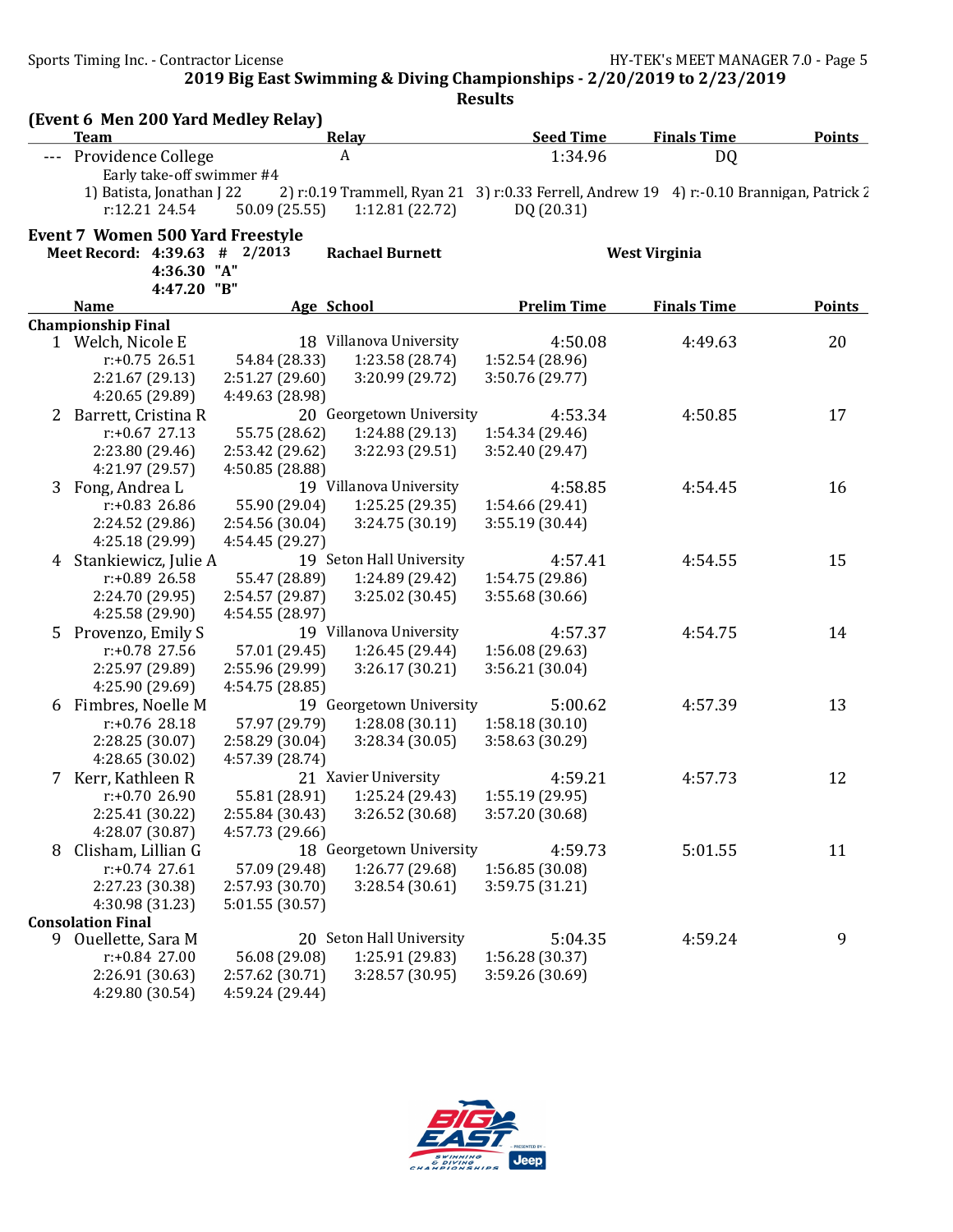Sports Timing Inc. - Contractor License Government Contractor License HY-TEK's MEET MANAGER 7.0 - Page 5

2019 Big East Swimming & Diving Championships - 2/20/2019 to 2/23/2019

|   | (Event 6 Men 200 Yard Medley Relay)<br><b>Team</b>                                      |                 | <b>Relay</b>             | <b>Seed Time</b>                                                                                                          | <b>Finals Time</b>   | <b>Points</b> |
|---|-----------------------------------------------------------------------------------------|-----------------|--------------------------|---------------------------------------------------------------------------------------------------------------------------|----------------------|---------------|
|   | --- Providence College                                                                  |                 | A                        | 1:34.96                                                                                                                   | DQ                   |               |
|   | Early take-off swimmer #4<br>1) Batista, Jonathan J 22<br>r:12.21 24.54                 | 50.09 (25.55)   | 1:12.81(22.72)           | 2) r:0.19 Trammell, Ryan 21 3) r:0.33 Ferrell, Andrew 19 4) r:-0.10 Brannigan, Patrick $\overline{\lambda}$<br>DQ (20.31) |                      |               |
|   | <b>Event 7 Women 500 Yard Freestyle</b><br>Meet Record: 4:39.63 # 2/2013<br>4:36.30 "A" |                 | <b>Rachael Burnett</b>   |                                                                                                                           | <b>West Virginia</b> |               |
|   | 4:47.20 "B"<br><b>Name</b>                                                              |                 | Age School               | <b>Prelim Time</b>                                                                                                        | <b>Finals Time</b>   | <b>Points</b> |
|   | <b>Championship Final</b>                                                               |                 |                          |                                                                                                                           |                      |               |
|   | 1 Welch, Nicole E                                                                       |                 | 18 Villanova University  | 4:50.08                                                                                                                   | 4:49.63              | 20            |
|   | $r: +0.75$ 26.51                                                                        | 54.84 (28.33)   | 1:23.58 (28.74)          | 1:52.54 (28.96)                                                                                                           |                      |               |
|   | 2:21.67 (29.13)                                                                         | 2:51.27 (29.60) | 3:20.99 (29.72)          | 3:50.76 (29.77)                                                                                                           |                      |               |
|   | 4:20.65 (29.89)                                                                         | 4:49.63 (28.98) |                          |                                                                                                                           |                      |               |
| 2 | Barrett, Cristina R                                                                     |                 | 20 Georgetown University | 4:53.34                                                                                                                   | 4:50.85              | 17            |
|   | $r: +0.67$ 27.13                                                                        | 55.75 (28.62)   | 1:24.88 (29.13)          | 1:54.34 (29.46)                                                                                                           |                      |               |
|   | 2:23.80 (29.46)                                                                         | 2:53.42 (29.62) | 3:22.93 (29.51)          | 3:52.40 (29.47)                                                                                                           |                      |               |
|   | 4:21.97 (29.57)                                                                         | 4:50.85 (28.88) |                          |                                                                                                                           |                      |               |
|   | 3 Fong, Andrea L                                                                        |                 | 19 Villanova University  | 4:58.85                                                                                                                   | 4:54.45              | 16            |
|   | $r: +0.83$ 26.86                                                                        | 55.90 (29.04)   | 1:25.25(29.35)           | 1:54.66 (29.41)                                                                                                           |                      |               |
|   | 2:24.52 (29.86)                                                                         | 2:54.56 (30.04) | 3:24.75 (30.19)          | 3:55.19 (30.44)                                                                                                           |                      |               |
|   | 4:25.18 (29.99)                                                                         | 4:54.45 (29.27) |                          |                                                                                                                           |                      |               |
|   | 4 Stankiewicz, Julie A                                                                  |                 | 19 Seton Hall University | 4:57.41                                                                                                                   | 4:54.55              | 15            |
|   | r:+0.89 26.58                                                                           | 55.47 (28.89)   | 1:24.89 (29.42)          | 1:54.75 (29.86)                                                                                                           |                      |               |
|   | 2:24.70 (29.95)                                                                         | 2:54.57 (29.87) | 3:25.02 (30.45)          | 3:55.68 (30.66)                                                                                                           |                      |               |
|   | 4:25.58 (29.90)                                                                         | 4:54.55 (28.97) |                          |                                                                                                                           |                      |               |
| 5 | Provenzo, Emily S                                                                       |                 | 19 Villanova University  | 4:57.37                                                                                                                   | 4:54.75              | 14            |
|   | $r: +0.78$ 27.56                                                                        | 57.01 (29.45)   | 1:26.45 (29.44)          | 1:56.08 (29.63)                                                                                                           |                      |               |
|   | 2:25.97 (29.89)                                                                         | 2:55.96 (29.99) | 3:26.17(30.21)           | 3:56.21 (30.04)                                                                                                           |                      |               |
|   | 4:25.90 (29.69)                                                                         | 4:54.75 (28.85) |                          |                                                                                                                           |                      |               |
| 6 | Fimbres, Noelle M                                                                       |                 | 19 Georgetown University | 5:00.62                                                                                                                   | 4:57.39              | 13            |
|   | $r: +0.76$ 28.18                                                                        | 57.97 (29.79)   | 1:28.08(30.11)           | 1:58.18(30.10)                                                                                                            |                      |               |
|   | 2:28.25 (30.07)                                                                         | 2:58.29 (30.04) | 3:28.34(30.05)           | 3:58.63 (30.29)                                                                                                           |                      |               |
|   | 4:28.65 (30.02)                                                                         | 4:57.39 (28.74) |                          |                                                                                                                           |                      |               |
|   | 7 Kerr, Kathleen R                                                                      |                 | 21 Xavier University     | 4:59.21                                                                                                                   | 4:57.73              | 12            |
|   | $r: +0.7026.90$                                                                         | 55.81 (28.91)   | 1:25.24 (29.43)          | 1:55.19 (29.95)                                                                                                           |                      |               |
|   | 2:25.41 (30.22)                                                                         | 2:55.84 (30.43) | 3:26.52 (30.68)          | 3:57.20 (30.68)                                                                                                           |                      |               |
|   | 4:28.07 (30.87)                                                                         | 4:57.73 (29.66) |                          |                                                                                                                           |                      |               |
| 8 | Clisham, Lillian G                                                                      |                 | 18 Georgetown University | 4:59.73                                                                                                                   | 5:01.55              | 11            |
|   | $r: +0.74$ 27.61                                                                        | 57.09 (29.48)   | 1:26.77 (29.68)          | 1:56.85 (30.08)                                                                                                           |                      |               |
|   | 2:27.23 (30.38)                                                                         | 2:57.93 (30.70) | 3:28.54(30.61)           | 3:59.75 (31.21)                                                                                                           |                      |               |
|   | 4:30.98 (31.23)                                                                         | 5:01.55 (30.57) |                          |                                                                                                                           |                      |               |
|   | <b>Consolation Final</b>                                                                |                 |                          |                                                                                                                           |                      |               |
| 9 | Ouellette, Sara M                                                                       |                 | 20 Seton Hall University | 5:04.35                                                                                                                   | 4:59.24              | 9             |
|   | r:+0.84 27.00                                                                           | 56.08 (29.08)   | 1:25.91 (29.83)          | 1:56.28 (30.37)                                                                                                           |                      |               |
|   | 2:26.91 (30.63)                                                                         | 2:57.62 (30.71) | 3:28.57 (30.95)          | 3:59.26 (30.69)                                                                                                           |                      |               |
|   | 4:29.80 (30.54)                                                                         | 4:59.24 (29.44) |                          |                                                                                                                           |                      |               |

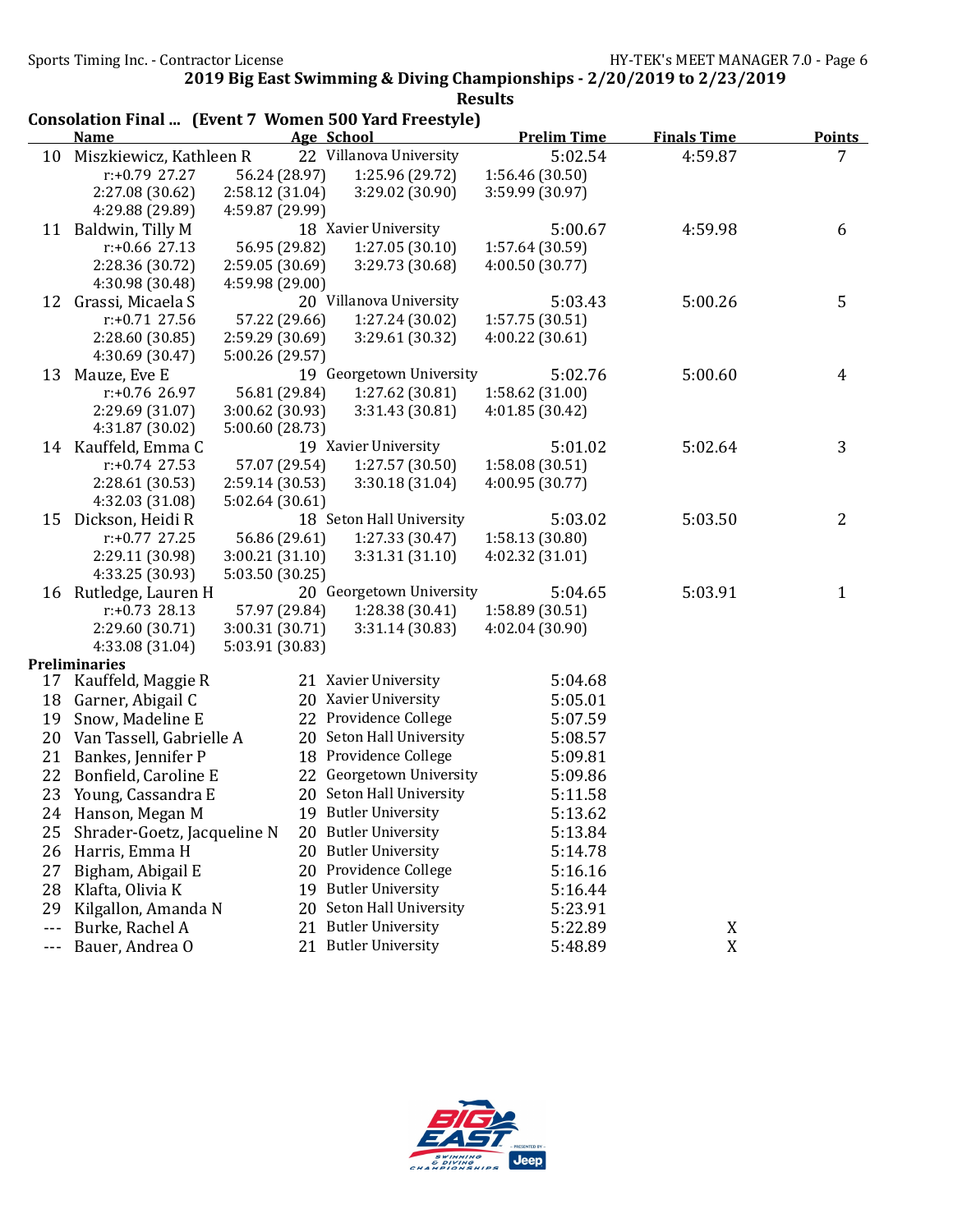| <b>Prelim Time</b><br><b>Finals Time</b><br><b>Name</b><br>Age School<br>22 Villanova University<br>5:02.54<br>4:59.87<br>Miszkiewicz, Kathleen R<br>10<br>56.24 (28.97)<br>1:25.96 (29.72)<br>1:56.46 (30.50)<br>$r: +0.79$ 27.27<br>2:27.08 (30.62)<br>2:58.12 (31.04)<br>3:29.02 (30.90)<br>3:59.99 (30.97)<br>4:29.88 (29.89)<br>4:59.87 (29.99)<br>11 Baldwin, Tilly M<br>18 Xavier University<br>5:00.67<br>4:59.98<br>$r: +0.66$ 27.13<br>56.95 (29.82)<br>1:27.05(30.10)<br>1:57.64 (30.59)<br>2:28.36 (30.72)<br>2:59.05 (30.69)<br>3:29.73 (30.68)<br>4:00.50 (30.77) | <b>Points</b><br>7<br>6 |
|---------------------------------------------------------------------------------------------------------------------------------------------------------------------------------------------------------------------------------------------------------------------------------------------------------------------------------------------------------------------------------------------------------------------------------------------------------------------------------------------------------------------------------------------------------------------------------|-------------------------|
|                                                                                                                                                                                                                                                                                                                                                                                                                                                                                                                                                                                 |                         |
|                                                                                                                                                                                                                                                                                                                                                                                                                                                                                                                                                                                 |                         |
|                                                                                                                                                                                                                                                                                                                                                                                                                                                                                                                                                                                 |                         |
|                                                                                                                                                                                                                                                                                                                                                                                                                                                                                                                                                                                 |                         |
|                                                                                                                                                                                                                                                                                                                                                                                                                                                                                                                                                                                 |                         |
|                                                                                                                                                                                                                                                                                                                                                                                                                                                                                                                                                                                 |                         |
|                                                                                                                                                                                                                                                                                                                                                                                                                                                                                                                                                                                 |                         |
|                                                                                                                                                                                                                                                                                                                                                                                                                                                                                                                                                                                 |                         |
| 4:30.98 (30.48)<br>4:59.98 (29.00)                                                                                                                                                                                                                                                                                                                                                                                                                                                                                                                                              |                         |
| 20 Villanova University<br>Grassi, Micaela S<br>5:03.43<br>5:00.26<br>12                                                                                                                                                                                                                                                                                                                                                                                                                                                                                                        | 5                       |
| $r: +0.71$ 27.56<br>57.22 (29.66)<br>1:27.24 (30.02)<br>1:57.75 (30.51)                                                                                                                                                                                                                                                                                                                                                                                                                                                                                                         |                         |
| 2:28.60 (30.85)<br>4:00.22(30.61)<br>2:59.29 (30.69)<br>3:29.61 (30.32)                                                                                                                                                                                                                                                                                                                                                                                                                                                                                                         |                         |
| 4:30.69 (30.47)<br>5:00.26 (29.57)                                                                                                                                                                                                                                                                                                                                                                                                                                                                                                                                              |                         |
| 5:00.60<br>Mauze, Eve E<br>19 Georgetown University<br>5:02.76<br>13                                                                                                                                                                                                                                                                                                                                                                                                                                                                                                            | 4                       |
| r:+0.76 26.97<br>56.81 (29.84)<br>1:27.62 (30.81)<br>1:58.62 (31.00)                                                                                                                                                                                                                                                                                                                                                                                                                                                                                                            |                         |
| 2:29.69 (31.07)<br>3:00.62 (30.93)<br>3:31.43 (30.81)<br>4:01.85 (30.42)                                                                                                                                                                                                                                                                                                                                                                                                                                                                                                        |                         |
| 4:31.87 (30.02)<br>5:00.60 (28.73)                                                                                                                                                                                                                                                                                                                                                                                                                                                                                                                                              |                         |
| 19 Xavier University<br>5:02.64<br>14 Kauffeld, Emma C<br>5:01.02                                                                                                                                                                                                                                                                                                                                                                                                                                                                                                               | 3                       |
| 57.07 (29.54)<br>$r: +0.74$ 27.53<br>1:27.57 (30.50)<br>1:58.08(30.51)                                                                                                                                                                                                                                                                                                                                                                                                                                                                                                          |                         |
| 2:28.61 (30.53)<br>2:59.14 (30.53)<br>3:30.18(31.04)<br>4:00.95(30.77)                                                                                                                                                                                                                                                                                                                                                                                                                                                                                                          |                         |
| 4:32.03 (31.08)<br>5:02.64 (30.61)<br>5:03.50                                                                                                                                                                                                                                                                                                                                                                                                                                                                                                                                   |                         |
| 18 Seton Hall University<br>5:03.02<br>15<br>Dickson, Heidi R<br>56.86 (29.61)                                                                                                                                                                                                                                                                                                                                                                                                                                                                                                  | 2                       |
| 1:27.33 (30.47)<br>$r: +0.77$ 27.25<br>1:58.13 (30.80)<br>2:29.11 (30.98)<br>3:00.21(31.10)<br>3:31.31 (31.10)<br>4:02.32 (31.01)                                                                                                                                                                                                                                                                                                                                                                                                                                               |                         |
| 4:33.25 (30.93)<br>5:03.50 (30.25)                                                                                                                                                                                                                                                                                                                                                                                                                                                                                                                                              |                         |
| 20 Georgetown University<br>5:03.91<br>16 Rutledge, Lauren H<br>5:04.65                                                                                                                                                                                                                                                                                                                                                                                                                                                                                                         | $\mathbf{1}$            |
| $r: +0.73$ 28.13<br>57.97 (29.84)<br>1:28.38 (30.41)<br>1:58.89 (30.51)                                                                                                                                                                                                                                                                                                                                                                                                                                                                                                         |                         |
| 2:29.60 (30.71)<br>3:00.31 (30.71)<br>3:31.14 (30.83)<br>4:02.04 (30.90)                                                                                                                                                                                                                                                                                                                                                                                                                                                                                                        |                         |
| 4:33.08 (31.04)<br>5:03.91 (30.83)                                                                                                                                                                                                                                                                                                                                                                                                                                                                                                                                              |                         |
| <b>Preliminaries</b>                                                                                                                                                                                                                                                                                                                                                                                                                                                                                                                                                            |                         |
| 21 Xavier University<br>Kauffeld, Maggie R<br>5:04.68<br>17                                                                                                                                                                                                                                                                                                                                                                                                                                                                                                                     |                         |
| 20 Xavier University<br>5:05.01<br>18<br>Garner, Abigail C                                                                                                                                                                                                                                                                                                                                                                                                                                                                                                                      |                         |
| 22 Providence College<br>19<br>Snow, Madeline E<br>5:07.59                                                                                                                                                                                                                                                                                                                                                                                                                                                                                                                      |                         |
| 20 Seton Hall University<br>20<br>Van Tassell, Gabrielle A<br>5:08.57                                                                                                                                                                                                                                                                                                                                                                                                                                                                                                           |                         |
| 18 Providence College<br>21<br>Bankes, Jennifer P<br>5:09.81                                                                                                                                                                                                                                                                                                                                                                                                                                                                                                                    |                         |
| 22 Georgetown University<br>22<br>Bonfield, Caroline E<br>5:09.86                                                                                                                                                                                                                                                                                                                                                                                                                                                                                                               |                         |
| 23<br>20 Seton Hall University<br>Young, Cassandra E<br>5:11.58                                                                                                                                                                                                                                                                                                                                                                                                                                                                                                                 |                         |
| 19 Butler University<br>Hanson, Megan M<br>5:13.62<br>24                                                                                                                                                                                                                                                                                                                                                                                                                                                                                                                        |                         |
| 20 Butler University<br>Shrader-Goetz, Jacqueline N<br>25<br>5:13.84                                                                                                                                                                                                                                                                                                                                                                                                                                                                                                            |                         |
| 20 Butler University<br>26<br>Harris, Emma H<br>5:14.78                                                                                                                                                                                                                                                                                                                                                                                                                                                                                                                         |                         |
| 20 Providence College<br>27<br>Bigham, Abigail E<br>5:16.16                                                                                                                                                                                                                                                                                                                                                                                                                                                                                                                     |                         |
| <b>Butler University</b><br>28<br>Klafta, Olivia K<br>19<br>5:16.44                                                                                                                                                                                                                                                                                                                                                                                                                                                                                                             |                         |
| Seton Hall University<br>29<br>Kilgallon, Amanda N<br>20<br>5:23.91                                                                                                                                                                                                                                                                                                                                                                                                                                                                                                             |                         |
| <b>Butler University</b><br>Burke, Rachel A<br>5:22.89<br>X<br>21<br>$- - -$                                                                                                                                                                                                                                                                                                                                                                                                                                                                                                    |                         |
| 21 Butler University<br>Bauer, Andrea O<br>X<br>5:48.89<br>---                                                                                                                                                                                                                                                                                                                                                                                                                                                                                                                  |                         |

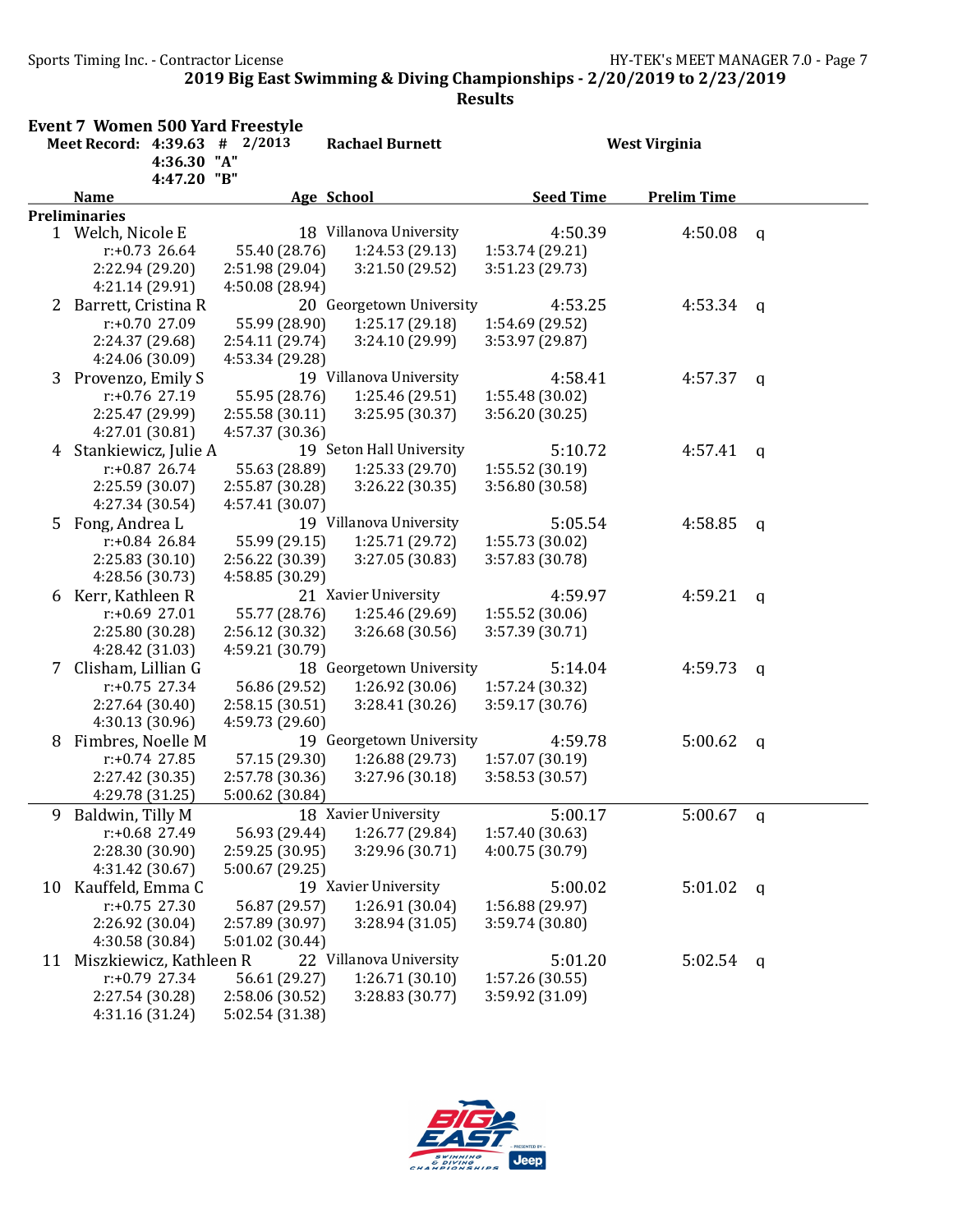|    | <b>Event 7 Women 500 Yard Freestyle</b> |                 |                          |                  |                      |              |
|----|-----------------------------------------|-----------------|--------------------------|------------------|----------------------|--------------|
|    | Meet Record: 4:39.63 # 2/2013           |                 | <b>Rachael Burnett</b>   |                  | <b>West Virginia</b> |              |
|    | 4:36.30 "A"                             |                 |                          |                  |                      |              |
|    | 4:47.20 "B"<br><b>Name</b>              |                 | <b>Age School</b>        | <b>Seed Time</b> | <b>Prelim Time</b>   |              |
|    | <b>Preliminaries</b>                    |                 |                          |                  |                      |              |
|    | 1 Welch, Nicole E                       |                 | 18 Villanova University  | 4:50.39          | 4:50.08              | q            |
|    | $r: +0.73$ 26.64                        | 55.40 (28.76)   | 1:24.53 (29.13)          | 1:53.74 (29.21)  |                      |              |
|    | 2:22.94 (29.20)                         | 2:51.98 (29.04) | 3:21.50 (29.52)          | 3:51.23 (29.73)  |                      |              |
|    | 4:21.14 (29.91)                         | 4:50.08 (28.94) |                          |                  |                      |              |
| 2  | Barrett, Cristina R                     |                 | 20 Georgetown University | 4:53.25          | 4:53.34              | q            |
|    | r:+0.70 27.09                           | 55.99 (28.90)   | 1:25.17 (29.18)          | 1:54.69 (29.52)  |                      |              |
|    | 2:24.37 (29.68)                         | 2:54.11 (29.74) | 3:24.10 (29.99)          | 3:53.97 (29.87)  |                      |              |
|    | 4:24.06 (30.09)                         | 4:53.34 (29.28) |                          |                  |                      |              |
|    | 3 Provenzo, Emily S                     |                 | 19 Villanova University  | 4:58.41          | 4:57.37              | $\mathbf{q}$ |
|    | $r: +0.76$ 27.19                        | 55.95 (28.76)   | 1:25.46 (29.51)          | 1:55.48 (30.02)  |                      |              |
|    | 2:25.47 (29.99)                         | 2:55.58(30.11)  | 3:25.95 (30.37)          | 3:56.20 (30.25)  |                      |              |
|    | 4:27.01 (30.81)                         | 4:57.37 (30.36) |                          |                  |                      |              |
|    | 4 Stankiewicz, Julie A                  |                 | 19 Seton Hall University | 5:10.72          | 4:57.41              | $\mathbf q$  |
|    | $r: +0.87$ 26.74                        | 55.63 (28.89)   | 1:25.33 (29.70)          | 1:55.52(30.19)   |                      |              |
|    | 2:25.59 (30.07)                         | 2:55.87 (30.28) | 3:26.22 (30.35)          | 3:56.80 (30.58)  |                      |              |
|    | 4:27.34 (30.54)                         | 4:57.41 (30.07) |                          |                  |                      |              |
|    | 5 Fong, Andrea L                        |                 | 19 Villanova University  | 5:05.54          | 4:58.85              | $\mathsf{q}$ |
|    | $r: +0.84$ 26.84                        | 55.99 (29.15)   | 1:25.71 (29.72)          | 1:55.73 (30.02)  |                      |              |
|    | 2:25.83(30.10)                          | 2:56.22 (30.39) | 3:27.05 (30.83)          | 3:57.83 (30.78)  |                      |              |
|    | 4:28.56 (30.73)                         | 4:58.85 (30.29) |                          |                  |                      |              |
|    | 6 Kerr, Kathleen R                      |                 | 21 Xavier University     | 4:59.97          | 4:59.21              | $\mathbf q$  |
|    | $r: +0.69$ 27.01                        | 55.77 (28.76)   | 1:25.46 (29.69)          | 1:55.52 (30.06)  |                      |              |
|    | 2:25.80 (30.28)                         | 2:56.12 (30.32) | 3:26.68 (30.56)          | 3:57.39 (30.71)  |                      |              |
|    | 4:28.42 (31.03)                         | 4:59.21 (30.79) |                          |                  |                      |              |
| 7  | Clisham, Lillian G                      |                 | 18 Georgetown University | 5:14.04          | 4:59.73              | $\mathsf{q}$ |
|    | $r: +0.75$ 27.34                        | 56.86 (29.52)   | 1:26.92 (30.06)          | 1:57.24 (30.32)  |                      |              |
|    | 2:27.64 (30.40)                         | 2:58.15(30.51)  | 3:28.41(30.26)           | 3:59.17 (30.76)  |                      |              |
|    | 4:30.13 (30.96)                         | 4:59.73 (29.60) |                          |                  |                      |              |
| 8  | Fimbres, Noelle M                       |                 | 19 Georgetown University | 4:59.78          | 5:00.62              | $\mathsf{q}$ |
|    | $r: +0.74$ 27.85                        | 57.15 (29.30)   | 1:26.88 (29.73)          | 1:57.07 (30.19)  |                      |              |
|    | 2:27.42 (30.35)                         | 2:57.78 (30.36) | 3:27.96 (30.18)          | 3:58.53 (30.57)  |                      |              |
|    | 4:29.78 (31.25)                         | 5:00.62 (30.84) |                          |                  |                      |              |
| 9  | Baldwin, Tilly M                        |                 | 18 Xavier University     | 5:00.17          | $5:00.67$ q          |              |
|    | r:+0.68 27.49                           | 56.93 (29.44)   | 1:26.77 (29.84)          | 1:57.40 (30.63)  |                      |              |
|    | 2:28.30 (30.90)                         | 2:59.25 (30.95) | 3:29.96 (30.71)          | 4:00.75 (30.79)  |                      |              |
|    | 4:31.42 (30.67)                         | 5:00.67 (29.25) |                          |                  |                      |              |
| 10 | Kauffeld, Emma C                        |                 | 19 Xavier University     | 5:00.02          | 5:01.02              | $\mathsf{q}$ |
|    | $r: +0.75$ 27.30                        | 56.87 (29.57)   | 1:26.91 (30.04)          | 1:56.88 (29.97)  |                      |              |
|    | 2:26.92 (30.04)                         | 2:57.89 (30.97) | 3:28.94(31.05)           | 3:59.74 (30.80)  |                      |              |
|    | 4:30.58 (30.84)                         | 5:01.02 (30.44) |                          |                  |                      |              |
|    | 11 Miszkiewicz, Kathleen R              |                 | 22 Villanova University  | 5:01.20          | 5:02.54              | $\mathbf{q}$ |
|    | $r: +0.79$ 27.34                        | 56.61 (29.27)   | 1:26.71(30.10)           | 1:57.26 (30.55)  |                      |              |
|    | 2:27.54 (30.28)                         | 2:58.06 (30.52) | 3:28.83 (30.77)          | 3:59.92 (31.09)  |                      |              |
|    | 4:31.16 (31.24)                         | 5:02.54 (31.38) |                          |                  |                      |              |

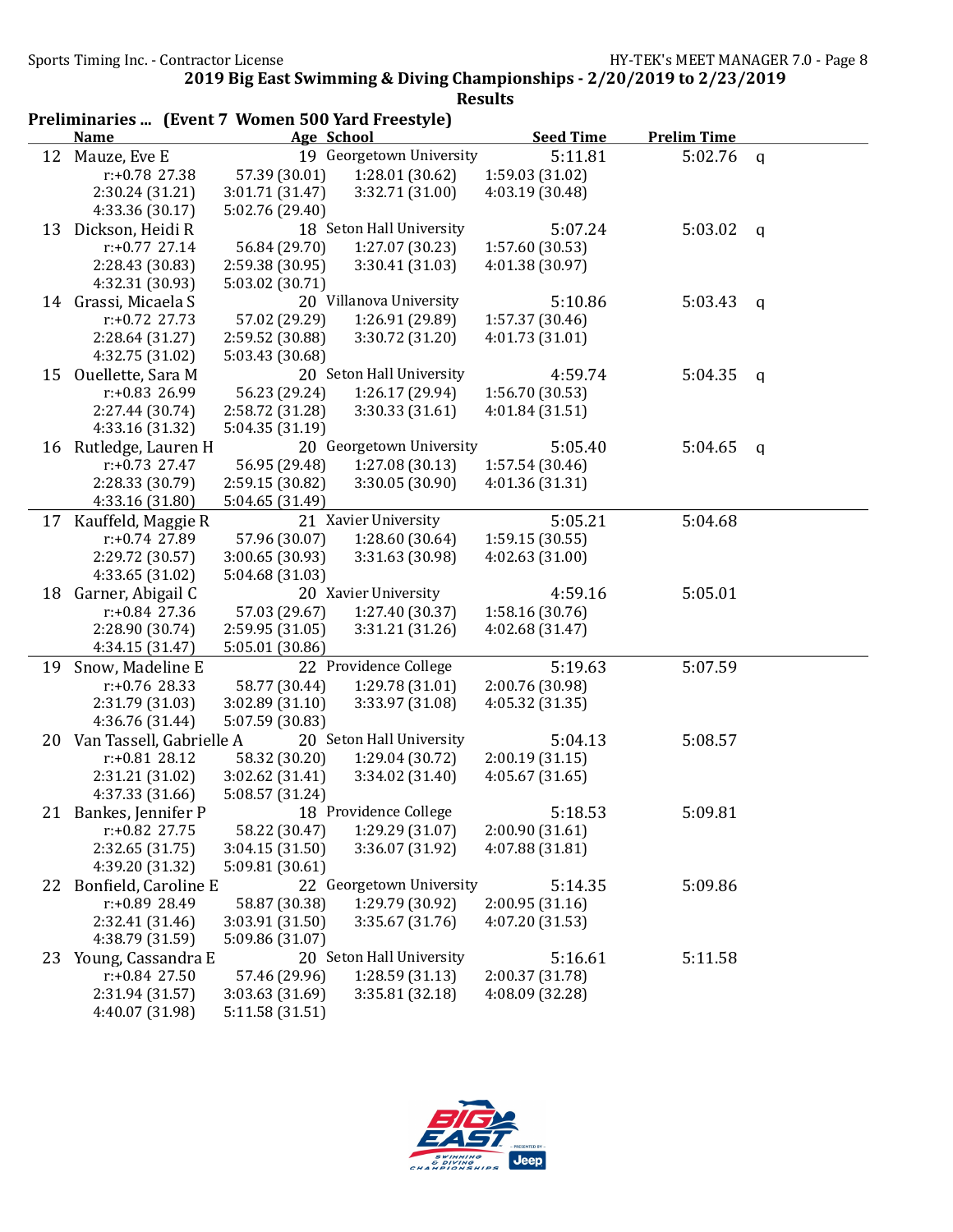|    | Preliminaries  (Event 7 Women 500 Yard Freestyle) |                 |                          |                  |                    |              |
|----|---------------------------------------------------|-----------------|--------------------------|------------------|--------------------|--------------|
|    | <b>Name</b>                                       |                 | Age School               | <b>Seed Time</b> | <b>Prelim Time</b> |              |
|    | 12 Mauze, Eve E                                   |                 | 19 Georgetown University | 5:11.81          | 5:02.76            | $\mathsf{q}$ |
|    | r:+0.78 27.38                                     | 57.39 (30.01)   | 1:28.01 (30.62)          | 1:59.03 (31.02)  |                    |              |
|    | 2:30.24 (31.21)                                   | 3:01.71 (31.47) | 3:32.71 (31.00)          | 4:03.19 (30.48)  |                    |              |
|    | 4:33.36 (30.17)                                   | 5:02.76 (29.40) |                          |                  |                    |              |
|    | 13 Dickson, Heidi R                               |                 | 18 Seton Hall University | 5:07.24          | 5:03.02            | $\mathsf{q}$ |
|    | $r: +0.77$ 27.14                                  | 56.84 (29.70)   | 1:27.07 (30.23)          | 1:57.60 (30.53)  |                    |              |
|    | 2:28.43 (30.83)                                   | 2:59.38 (30.95) | 3:30.41 (31.03)          | 4:01.38 (30.97)  |                    |              |
|    | 4:32.31 (30.93)                                   | 5:03.02 (30.71) |                          |                  |                    |              |
|    | 14 Grassi, Micaela S                              |                 | 20 Villanova University  | 5:10.86          | 5:03.43            | q            |
|    | $r: +0.72$ 27.73                                  | 57.02 (29.29)   | 1:26.91 (29.89)          | 1:57.37 (30.46)  |                    |              |
|    | 2:28.64 (31.27)                                   | 2:59.52 (30.88) | 3:30.72 (31.20)          | 4:01.73 (31.01)  |                    |              |
|    | 4:32.75 (31.02)                                   | 5:03.43 (30.68) |                          |                  |                    |              |
| 15 | Ouellette, Sara M                                 |                 | 20 Seton Hall University | 4:59.74          | 5:04.35            | q            |
|    | r:+0.83 26.99                                     | 56.23 (29.24)   | 1:26.17 (29.94)          | 1:56.70 (30.53)  |                    |              |
|    | 2:27.44 (30.74)                                   | 2:58.72 (31.28) | 3:30.33 (31.61)          | 4:01.84 (31.51)  |                    |              |
|    | 4:33.16 (31.32)                                   | 5:04.35 (31.19) |                          |                  |                    |              |
| 16 | Rutledge, Lauren H                                |                 | 20 Georgetown University | 5:05.40          | 5:04.65            | $\mathsf{q}$ |
|    | $r: +0.73$ 27.47                                  | 56.95 (29.48)   | 1:27.08 (30.13)          | 1:57.54 (30.46)  |                    |              |
|    | 2:28.33 (30.79)                                   | 2:59.15 (30.82) | 3:30.05 (30.90)          | 4:01.36 (31.31)  |                    |              |
|    | 4:33.16 (31.80)                                   | 5:04.65 (31.49) |                          |                  |                    |              |
|    | 17 Kauffeld, Maggie R                             |                 | 21 Xavier University     | 5:05.21          | 5:04.68            |              |
|    | r:+0.74 27.89                                     | 57.96 (30.07)   | 1:28.60 (30.64)          | 1:59.15(30.55)   |                    |              |
|    | 2:29.72 (30.57)                                   | 3:00.65 (30.93) | 3:31.63 (30.98)          | 4:02.63 (31.00)  |                    |              |
|    | 4:33.65 (31.02)                                   | 5:04.68 (31.03) |                          |                  |                    |              |
| 18 | Garner, Abigail C                                 |                 | 20 Xavier University     | 4:59.16          | 5:05.01            |              |
|    | $r: +0.84$ 27.36                                  | 57.03 (29.67)   | 1:27.40 (30.37)          | 1:58.16 (30.76)  |                    |              |
|    | 2:28.90 (30.74)                                   | 2:59.95 (31.05) | 3:31.21 (31.26)          | 4:02.68 (31.47)  |                    |              |
|    | 4:34.15 (31.47)                                   | 5:05.01 (30.86) |                          |                  |                    |              |
| 19 | Snow, Madeline E                                  |                 | 22 Providence College    | 5:19.63          | 5:07.59            |              |
|    | $r: +0.76$ 28.33                                  | 58.77 (30.44)   | 1:29.78 (31.01)          | 2:00.76 (30.98)  |                    |              |
|    | 2:31.79 (31.03)                                   | 3:02.89 (31.10) | 3:33.97 (31.08)          | 4:05.32 (31.35)  |                    |              |
|    | 4:36.76 (31.44)                                   | 5:07.59 (30.83) |                          |                  |                    |              |
| 20 | Van Tassell, Gabrielle A                          |                 | 20 Seton Hall University | 5:04.13          | 5:08.57            |              |
|    | $r: +0.81$ 28.12                                  | 58.32 (30.20)   | 1:29.04(30.72)           | 2:00.19(31.15)   |                    |              |
|    | 2:31.21 (31.02)                                   | 3:02.62 (31.41) | 3:34.02 (31.40)          | 4:05.67(31.65)   |                    |              |
|    | 4:37.33 (31.66)                                   | 5:08.57 (31.24) |                          |                  |                    |              |
|    | 21 Bankes, Jennifer P                             |                 | 18 Providence College    | 5:18.53          | 5:09.81            |              |
|    | r:+0.82 27.75                                     | 58.22 (30.47)   | 1:29.29 (31.07)          | 2:00.90 (31.61)  |                    |              |
|    | 2:32.65 (31.75)                                   | 3:04.15(31.50)  | 3:36.07 (31.92)          | 4:07.88 (31.81)  |                    |              |
|    | 4:39.20 (31.32)                                   | 5:09.81 (30.61) |                          |                  |                    |              |
| 22 | Bonfield, Caroline E                              |                 | 22 Georgetown University | 5:14.35          | 5:09.86            |              |
|    | r:+0.89 28.49                                     | 58.87 (30.38)   | 1:29.79 (30.92)          | 2:00.95(31.16)   |                    |              |
|    | 2:32.41 (31.46)                                   | 3:03.91 (31.50) | 3:35.67 (31.76)          | 4:07.20 (31.53)  |                    |              |
|    | 4:38.79 (31.59)                                   | 5:09.86 (31.07) |                          |                  |                    |              |
| 23 | Young, Cassandra E                                |                 | 20 Seton Hall University | 5:16.61          | 5:11.58            |              |
|    | $r: +0.84$ 27.50                                  | 57.46 (29.96)   | 1:28.59(31.13)           | 2:00.37 (31.78)  |                    |              |
|    | 2:31.94 (31.57)                                   | 3:03.63 (31.69) | 3:35.81 (32.18)          | 4:08.09 (32.28)  |                    |              |
|    | 4:40.07 (31.98)                                   | 5:11.58 (31.51) |                          |                  |                    |              |

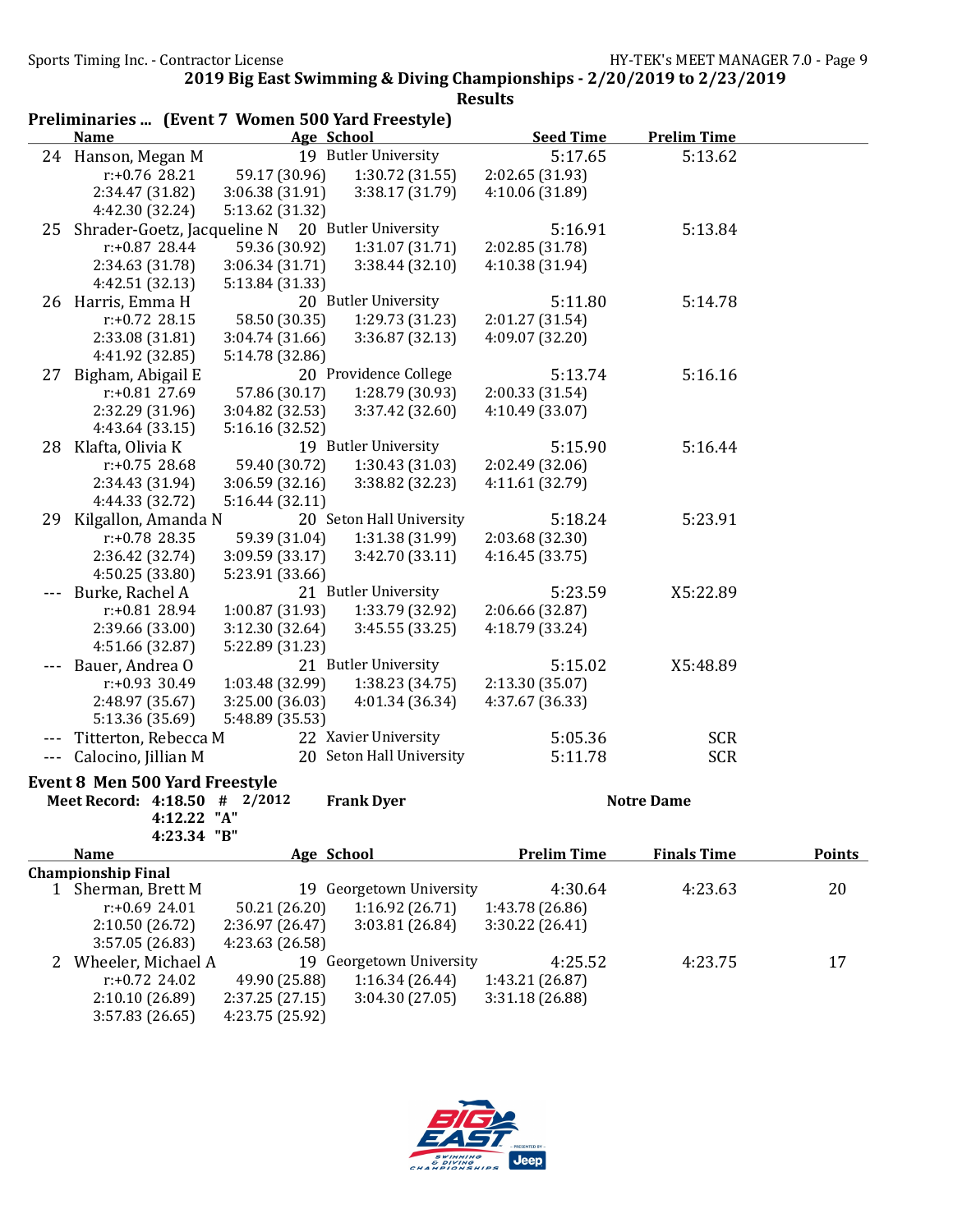|                      | Preliminaries  (Event 7 Women 500 Yard Freestyle) |                 |                          |                    |                    |               |
|----------------------|---------------------------------------------------|-----------------|--------------------------|--------------------|--------------------|---------------|
|                      | <b>Name</b>                                       |                 | Age School               | <b>Seed Time</b>   | <b>Prelim Time</b> |               |
|                      | 24 Hanson, Megan M                                |                 | 19 Butler University     | 5:17.65            | 5:13.62            |               |
|                      | $r: +0.76$ 28.21                                  | 59.17 (30.96)   | 1:30.72(31.55)           | 2:02.65 (31.93)    |                    |               |
|                      | 2:34.47 (31.82)                                   | 3:06.38(31.91)  | 3:38.17 (31.79)          | 4:10.06 (31.89)    |                    |               |
|                      | 4:42.30 (32.24)                                   | 5:13.62 (31.32) |                          |                    |                    |               |
| 25                   | Shrader-Goetz, Jacqueline N 20 Butler University  |                 |                          | 5:16.91            | 5:13.84            |               |
|                      | $r: +0.87$ 28.44                                  | 59.36 (30.92)   | 1:31.07 (31.71)          | 2:02.85 (31.78)    |                    |               |
|                      | 2:34.63 (31.78)                                   | 3:06.34(31.71)  | 3:38.44(32.10)           | 4:10.38 (31.94)    |                    |               |
|                      | 4:42.51 (32.13)                                   | 5:13.84 (31.33) |                          |                    |                    |               |
|                      | 26 Harris, Emma H                                 |                 | 20 Butler University     | 5:11.80            | 5:14.78            |               |
|                      | $r: +0.72$ 28.15                                  | 58.50 (30.35)   | 1:29.73 (31.23)          | 2:01.27 (31.54)    |                    |               |
|                      | 2:33.08 (31.81)                                   | 3:04.74 (31.66) | 3:36.87 (32.13)          | 4:09.07 (32.20)    |                    |               |
|                      | 4:41.92 (32.85)                                   | 5:14.78 (32.86) |                          |                    |                    |               |
| 27                   | Bigham, Abigail E                                 |                 | 20 Providence College    | 5:13.74            | 5:16.16            |               |
|                      | $r: +0.81$ 27.69                                  | 57.86 (30.17)   | 1:28.79 (30.93)          | 2:00.33 (31.54)    |                    |               |
|                      | 2:32.29 (31.96)                                   | 3:04.82 (32.53) | 3:37.42 (32.60)          | 4:10.49 (33.07)    |                    |               |
|                      | 4:43.64 (33.15)                                   | 5:16.16 (32.52) |                          |                    |                    |               |
|                      | 28 Klafta, Olivia K                               |                 | 19 Butler University     | 5:15.90            | 5:16.44            |               |
|                      | $r: +0.75$ 28.68                                  | 59.40 (30.72)   | 1:30.43 (31.03)          | 2:02.49 (32.06)    |                    |               |
|                      | 2:34.43 (31.94)                                   | 3:06.59(32.16)  | 3:38.82 (32.23)          | 4:11.61 (32.79)    |                    |               |
|                      | 4:44.33 (32.72)                                   | 5:16.44(32.11)  |                          |                    |                    |               |
| 29                   | Kilgallon, Amanda N                               |                 | 20 Seton Hall University | 5:18.24            | 5:23.91            |               |
|                      | $r: +0.78$ 28.35                                  | 59.39 (31.04)   | 1:31.38 (31.99)          | 2:03.68 (32.30)    |                    |               |
|                      | 2:36.42 (32.74)                                   | 3:09.59(33.17)  | 3:42.70(33.11)           | 4:16.45 (33.75)    |                    |               |
|                      | 4:50.25 (33.80)                                   | 5:23.91 (33.66) |                          |                    |                    |               |
|                      | Burke, Rachel A                                   |                 | 21 Butler University     | 5:23.59            | X5:22.89           |               |
|                      | r:+0.81 28.94                                     | 1:00.87 (31.93) | 1:33.79 (32.92)          | 2:06.66 (32.87)    |                    |               |
|                      | 2:39.66 (33.00)                                   | 3:12.30 (32.64) | 3:45.55(33.25)           | 4:18.79 (33.24)    |                    |               |
|                      | 4:51.66 (32.87)                                   | 5:22.89 (31.23) |                          |                    |                    |               |
|                      | Bauer, Andrea O                                   |                 | 21 Butler University     | 5:15.02            | X5:48.89           |               |
|                      | $r: +0.93$ 30.49                                  | 1:03.48 (32.99) | 1:38.23 (34.75)          | 2:13.30 (35.07)    |                    |               |
|                      | 2:48.97 (35.67)                                   | 3:25.00 (36.03) | 4:01.34 (36.34)          | 4:37.67 (36.33)    |                    |               |
|                      | 5:13.36 (35.69)                                   | 5:48.89 (35.53) |                          |                    |                    |               |
|                      | Titterton, Rebecca M                              |                 | 22 Xavier University     | 5:05.36            | <b>SCR</b>         |               |
| $\sim$ $\sim$ $\sim$ | Calocino, Jillian M                               |                 | 20 Seton Hall University | 5:11.78            | <b>SCR</b>         |               |
|                      |                                                   |                 |                          |                    |                    |               |
|                      | <b>Event 8 Men 500 Yard Freestyle</b>             |                 | <b>Frank Dyer</b>        |                    |                    |               |
|                      | Meet Record: 4:18.50 # 2/2012<br>4:12.22 "A"      |                 |                          |                    | <b>Notre Dame</b>  |               |
|                      | 4:23.34 "B"                                       |                 |                          |                    |                    |               |
|                      | <b>Name</b>                                       |                 | Age School               | <b>Prelim Time</b> | <b>Finals Time</b> | <b>Points</b> |
|                      | <b>Championship Final</b>                         |                 |                          |                    |                    |               |
|                      | 1 Sherman, Brett M                                |                 | 19 Georgetown University | 4:30.64            | 4:23.63            | 20            |
|                      | $r: +0.6924.01$                                   | 50.21 (26.20)   | 1:16.92(26.71)           | 1:43.78 (26.86)    |                    |               |
|                      | 2:10.50 (26.72)                                   | 2:36.97 (26.47) | 3:03.81 (26.84)          | 3:30.22 (26.41)    |                    |               |
|                      | 3:57.05 (26.83)                                   | 4:23.63 (26.58) |                          |                    |                    |               |
| 2                    | Wheeler, Michael A                                |                 | 19 Georgetown University | 4:25.52            | 4:23.75            | 17            |
|                      | $r: +0.72$ 24.02                                  | 49.90 (25.88)   | 1:16.34(26.44)           | 1:43.21 (26.87)    |                    |               |
|                      | 2:10.10 (26.89)                                   | 2:37.25 (27.15) | 3:04.30 (27.05)          | 3:31.18 (26.88)    |                    |               |
|                      | 3:57.83 (26.65)                                   | 4:23.75 (25.92) |                          |                    |                    |               |

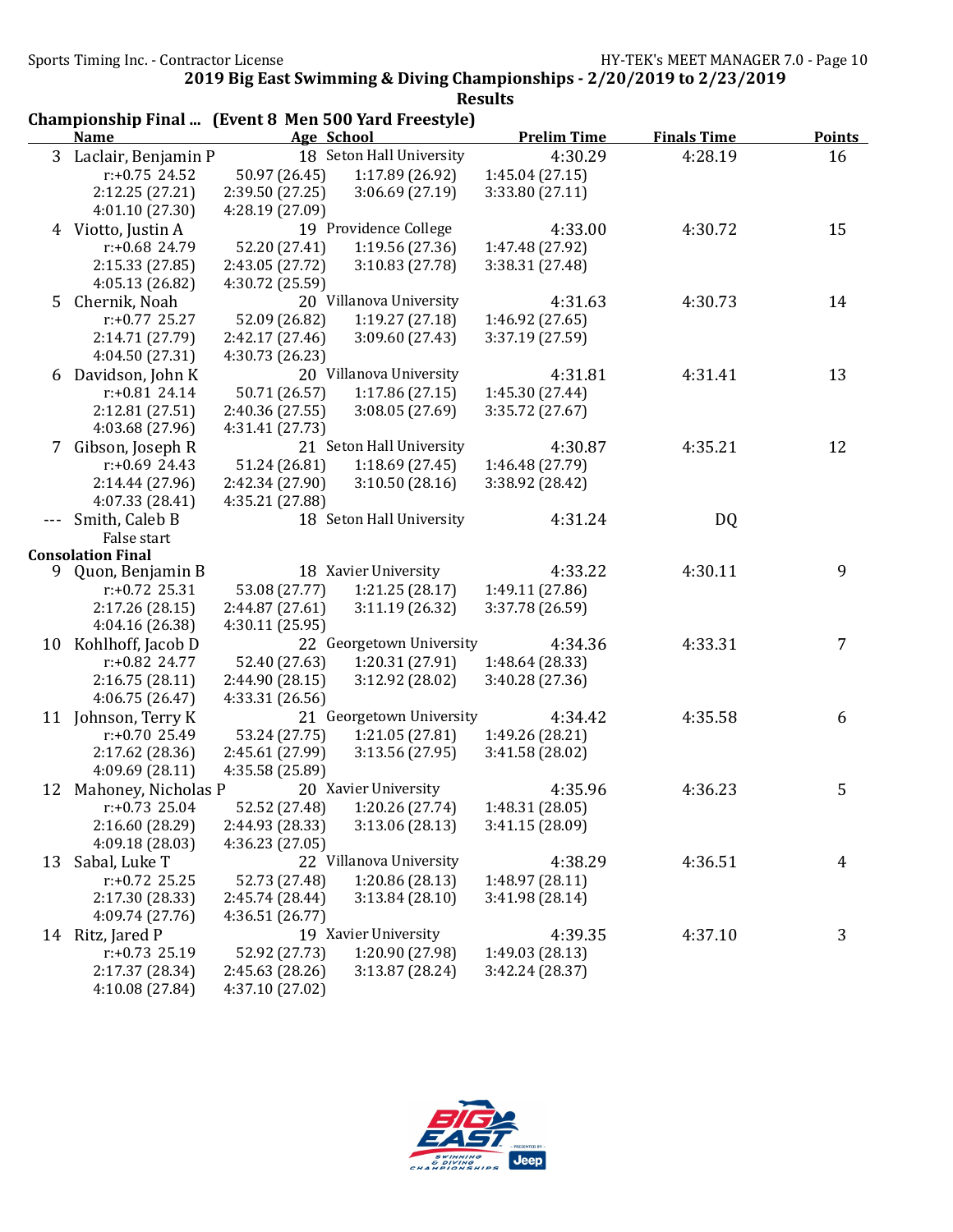|             | Championship Final  (Event 8 Men 500 Yard Freestyle) |                 |                               |                    |                    |                |
|-------------|------------------------------------------------------|-----------------|-------------------------------|--------------------|--------------------|----------------|
|             | <b>Name</b>                                          | Age School      |                               | <b>Prelim Time</b> | <b>Finals Time</b> | <b>Points</b>  |
|             | 3 Laclair, Benjamin P                                |                 | 18 Seton Hall University      | 4:30.29            | 4:28.19            | 16             |
|             | $r: +0.75$ 24.52                                     | 50.97 (26.45)   | 1:17.89 (26.92)               | 1:45.04(27.15)     |                    |                |
|             | 2:12.25 (27.21)                                      | 2:39.50 (27.25) | 3:06.69(27.19)                | 3:33.80 (27.11)    |                    |                |
|             | 4:01.10 (27.30)                                      | 4:28.19 (27.09) |                               |                    |                    |                |
|             | 4 Viotto, Justin A                                   |                 | 19 Providence College         | 4:33.00            | 4:30.72            | 15             |
|             | r:+0.68 24.79                                        | 52.20 (27.41)   | 1:19.56 (27.36)               | 1:47.48 (27.92)    |                    |                |
|             | 2:15.33(27.85)                                       | 2:43.05 (27.72) | 3:10.83(27.78)                | 3:38.31 (27.48)    |                    |                |
|             | 4:05.13 (26.82)                                      | 4:30.72 (25.59) |                               |                    |                    |                |
| $5^{\circ}$ | Chernik, Noah                                        |                 | 20 Villanova University       | 4:31.63            | 4:30.73            | 14             |
|             | $r: +0.77$ 25.27                                     | 52.09 (26.82)   | 1:19.27(27.18)                | 1:46.92 (27.65)    |                    |                |
|             | 2:14.71 (27.79)                                      | 2:42.17 (27.46) | 3:09.60(27.43)                | 3:37.19 (27.59)    |                    |                |
|             | 4:04.50 (27.31)                                      | 4:30.73 (26.23) |                               |                    |                    |                |
|             | 6 Davidson, John K                                   |                 | 20 Villanova University       | 4:31.81            | 4:31.41            | 13             |
|             | $r: +0.81$ 24.14                                     | 50.71 (26.57)   | 1:17.86(27.15)                | 1:45.30 (27.44)    |                    |                |
|             | 2:12.81 (27.51)                                      | 2:40.36 (27.55) | 3:08.05(27.69)                | 3:35.72 (27.67)    |                    |                |
|             | 4:03.68 (27.96)                                      | 4:31.41 (27.73) |                               |                    |                    |                |
|             | 7 Gibson, Joseph R                                   |                 | 21 Seton Hall University      | 4:30.87            | 4:35.21            | 12             |
|             | $r: +0.69$ 24.43                                     | 51.24 (26.81)   | 1:18.69(27.45)                | 1:46.48 (27.79)    |                    |                |
|             | 2:14.44 (27.96)                                      | 2:42.34 (27.90) | 3:10.50(28.16)                | 3:38.92 (28.42)    |                    |                |
|             | 4:07.33 (28.41)                                      | 4:35.21 (27.88) |                               |                    |                    |                |
|             | Smith, Caleb B                                       |                 | 18 Seton Hall University      | 4:31.24            | DQ                 |                |
|             | False start                                          |                 |                               |                    |                    |                |
|             | <b>Consolation Final</b>                             |                 |                               |                    |                    |                |
|             | 9 Quon, Benjamin B                                   |                 | 18 Xavier University          | 4:33.22            | 4:30.11            | 9              |
|             | $r: +0.72$ 25.31                                     | 53.08 (27.77)   | 1:21.25(28.17)                | 1:49.11 (27.86)    |                    |                |
|             | 2:17.26(28.15)                                       | 2:44.87 (27.61) | 3:11.19(26.32)                | 3:37.78 (26.59)    |                    |                |
|             | 4:04.16 (26.38)                                      | 4:30.11 (25.95) |                               |                    |                    |                |
|             | 10 Kohlhoff, Jacob D                                 |                 | 22 Georgetown University      | 4:34.36            | 4:33.31            | $\overline{7}$ |
|             | $r: +0.82$ 24.77                                     | 52.40 (27.63)   | 1:20.31 (27.91)               | 1:48.64 (28.33)    |                    |                |
|             | 2:16.75(28.11)                                       | 2:44.90 (28.15) | 3:12.92(28.02)                | 3:40.28 (27.36)    |                    |                |
|             | 4:06.75 (26.47)                                      | 4:33.31 (26.56) |                               |                    |                    |                |
|             | 11 Johnson, Terry K                                  |                 | 21 Georgetown University      | 4:34.42            | 4:35.58            | 6              |
|             | r:+0.70 25.49                                        | 53.24 (27.75)   | 1:21.05(27.81)                | 1:49.26 (28.21)    |                    |                |
|             | 2:17.62 (28.36)                                      | 2:45.61 (27.99) | 3:13.56(27.95)                | 3:41.58 (28.02)    |                    |                |
|             | 4:09.69 (28.11)                                      | 4:35.58 (25.89) |                               |                    |                    |                |
|             | 12 Mahoney, Nicholas P                               |                 | 20 Xavier University          | 4:35.96            | 4:36.23            | 5              |
|             | $r: +0.73$ 25.04                                     |                 | 52.52 (27.48) 1:20.26 (27.74) | 1:48.31 (28.05)    |                    |                |
|             | 2:16.60 (28.29)                                      | 2:44.93 (28.33) | 3:13.06(28.13)                | 3:41.15 (28.09)    |                    |                |
|             | 4:09.18 (28.03)                                      | 4:36.23 (27.05) |                               |                    |                    |                |
| 13          | Sabal, Luke T                                        |                 | 22 Villanova University       | 4:38.29            | 4:36.51            | 4              |
|             | $r: +0.72$ 25.25                                     | 52.73 (27.48)   | 1:20.86 (28.13)               | 1:48.97 (28.11)    |                    |                |
|             | 2:17.30 (28.33)                                      | 2:45.74 (28.44) | 3:13.84(28.10)                | 3:41.98 (28.14)    |                    |                |
|             | 4:09.74 (27.76)                                      | 4:36.51(26.77)  |                               |                    |                    |                |
|             | 14 Ritz, Jared P                                     |                 | 19 Xavier University          | 4:39.35            | 4:37.10            | 3              |
|             | $r: +0.73$ 25.19                                     | 52.92 (27.73)   | 1:20.90 (27.98)               | 1:49.03 (28.13)    |                    |                |
|             | 2:17.37 (28.34)                                      | 2:45.63 (28.26) | 3:13.87 (28.24)               | 3:42.24(28.37)     |                    |                |
|             | 4:10.08 (27.84)                                      | 4:37.10 (27.02) |                               |                    |                    |                |

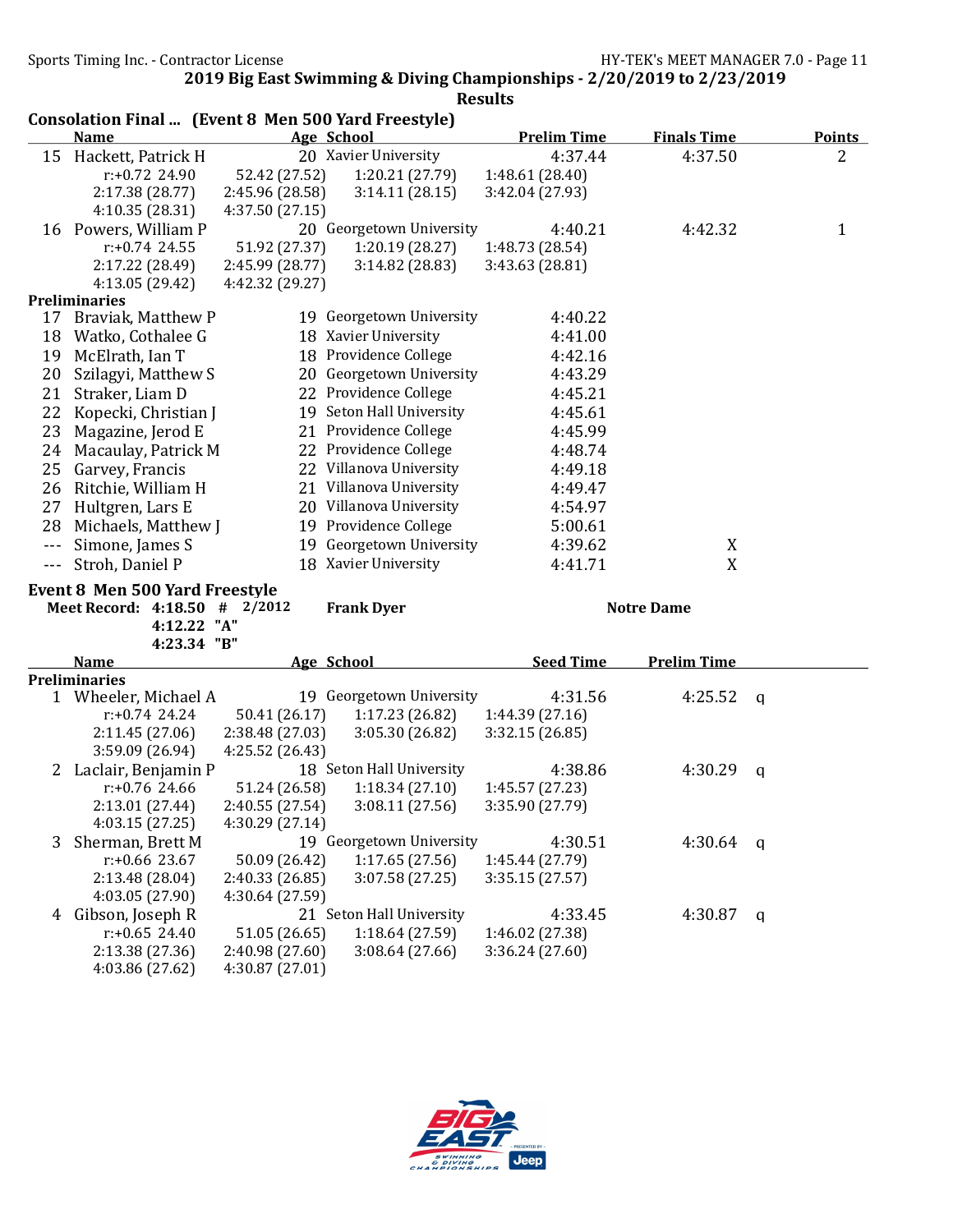Consolation Final ... (Event 8 Men 500 Yard Freestyle)

2019 Big East Swimming & Diving Championships - 2/20/2019 to 2/23/2019 Results

|                        | <b>Name</b>                                                            |                                    | Age School                       | <b>Prelim Time</b>                 | <b>Finals Time</b> | <b>Points</b>  |
|------------------------|------------------------------------------------------------------------|------------------------------------|----------------------------------|------------------------------------|--------------------|----------------|
|                        | 15 Hackett, Patrick H                                                  |                                    | 20 Xavier University             | 4:37.44                            | 4:37.50            | $\overline{2}$ |
|                        | r:+0.72 24.90                                                          | 52.42 (27.52)                      | 1:20.21 (27.79)                  | 1:48.61 (28.40)                    |                    |                |
|                        | 2:17.38 (28.77)                                                        | 2:45.96 (28.58)                    | 3:14.11(28.15)                   | 3:42.04 (27.93)                    |                    |                |
|                        | 4:10.35 (28.31)                                                        | 4:37.50 (27.15)                    |                                  |                                    |                    |                |
|                        | 16 Powers, William P                                                   |                                    | 20 Georgetown University         | 4:40.21                            | 4:42.32            | $\mathbf{1}$   |
|                        | $r: +0.74$ 24.55                                                       | 51.92 (27.37)                      | 1:20.19(28.27)                   | 1:48.73 (28.54)                    |                    |                |
|                        | 2:17.22 (28.49)                                                        | 2:45.99 (28.77)                    | 3:14.82(28.83)                   | 3:43.63 (28.81)                    |                    |                |
|                        | 4:13.05 (29.42)                                                        | 4:42.32 (29.27)                    |                                  |                                    |                    |                |
|                        | <b>Preliminaries</b>                                                   |                                    |                                  |                                    |                    |                |
|                        | 17 Braviak, Matthew P                                                  |                                    | 19 Georgetown University         | 4:40.22                            |                    |                |
| 18                     | Watko, Cothalee G                                                      |                                    | 18 Xavier University             | 4:41.00                            |                    |                |
| 19                     | McElrath, Ian T                                                        |                                    | 18 Providence College            | 4:42.16                            |                    |                |
| 20                     | Szilagyi, Matthew S                                                    |                                    | 20 Georgetown University         | 4:43.29                            |                    |                |
| 21                     | Straker, Liam D                                                        |                                    | 22 Providence College            | 4:45.21                            |                    |                |
| 22                     | Kopecki, Christian J                                                   |                                    | 19 Seton Hall University         | 4:45.61                            |                    |                |
| 23                     | Magazine, Jerod E                                                      |                                    | 21 Providence College            | 4:45.99                            |                    |                |
| 24                     | Macaulay, Patrick M                                                    |                                    | 22 Providence College            | 4:48.74                            |                    |                |
| 25                     | Garvey, Francis                                                        |                                    | 22 Villanova University          | 4:49.18                            |                    |                |
| 26                     | Ritchie, William H                                                     |                                    | 21 Villanova University          | 4:49.47                            |                    |                |
| 27                     | Hultgren, Lars E                                                       |                                    | 20 Villanova University          | 4:54.97                            |                    |                |
| 28                     | Michaels, Matthew J                                                    |                                    | 19 Providence College            | 5:00.61                            |                    |                |
| $\qquad \qquad -$      | Simone, James S                                                        |                                    | 19 Georgetown University         | 4:39.62                            | X                  |                |
| $\scriptstyle\cdots$ . | Stroh, Daniel P                                                        |                                    | 18 Xavier University             | 4:41.71                            | X                  |                |
|                        |                                                                        |                                    |                                  |                                    |                    |                |
|                        | <b>Event 8 Men 500 Yard Freestyle</b><br>Meet Record: 4:18.50 # 2/2012 |                                    | <b>Frank Dyer</b>                |                                    | <b>Notre Dame</b>  |                |
|                        | 4:12.22 "A"                                                            |                                    |                                  |                                    |                    |                |
|                        | 4:23.34 "B"                                                            |                                    |                                  |                                    |                    |                |
|                        | <b>Name</b>                                                            |                                    | Age School                       | <b>Seed Time</b>                   |                    |                |
|                        | <b>Preliminaries</b>                                                   |                                    |                                  |                                    |                    |                |
|                        |                                                                        |                                    |                                  |                                    | <b>Prelim Time</b> |                |
|                        |                                                                        |                                    |                                  |                                    |                    |                |
|                        | 1 Wheeler, Michael A                                                   |                                    | 19 Georgetown University         | 4:31.56                            | 4:25.52            | $\mathsf{q}$   |
|                        | $r: +0.74$ 24.24                                                       | 50.41 (26.17)                      | 1:17.23 (26.82)                  | 1:44.39(27.16)                     |                    |                |
|                        | 2:11.45(27.06)                                                         | 2:38.48 (27.03)<br>4:25.52 (26.43) | 3:05.30(26.82)                   | 3:32.15 (26.85)                    |                    |                |
|                        | 3:59.09 (26.94)                                                        |                                    | 18 Seton Hall University         | 4:38.86                            | 4:30.29            |                |
|                        | 2 Laclair, Benjamin P<br>$r: +0.76$ 24.66                              |                                    |                                  |                                    |                    | $\mathbf q$    |
|                        | 2:13.01 (27.44)                                                        | 51.24 (26.58)<br>2:40.55 (27.54)   | 1:18.34(27.10)<br>3:08.11(27.56) | 1:45.57 (27.23)<br>3:35.90 (27.79) |                    |                |
|                        | 4:03.15(27.25)                                                         | 4:30.29 (27.14)                    |                                  |                                    |                    |                |
| 3                      | Sherman, Brett M                                                       |                                    | 19 Georgetown University         | 4:30.51                            | 4:30.64            |                |
|                        | $r: +0.66$ 23.67                                                       | 50.09 (26.42)                      | 1:17.65(27.56)                   | 1:45.44 (27.79)                    |                    | q              |
|                        | 2:13.48 (28.04)                                                        | 2:40.33 (26.85)                    | 3:07.58 (27.25)                  | 3:35.15(27.57)                     |                    |                |
|                        | 4:03.05 (27.90)                                                        | 4:30.64 (27.59)                    |                                  |                                    |                    |                |
| 4                      | Gibson, Joseph R                                                       |                                    | 21 Seton Hall University         | 4:33.45                            | 4:30.87            | q              |
|                        | $r: +0.65$ 24.40                                                       | 51.05 (26.65)                      | 1:18.64 (27.59)                  | 1:46.02 (27.38)                    |                    |                |
|                        | 2:13.38 (27.36)                                                        | 2:40.98 (27.60)                    | 3:08.64 (27.66)                  | 3:36.24(27.60)                     |                    |                |
|                        | 4:03.86 (27.62)                                                        | 4:30.87 (27.01)                    |                                  |                                    |                    |                |

Jeep -<br>Hips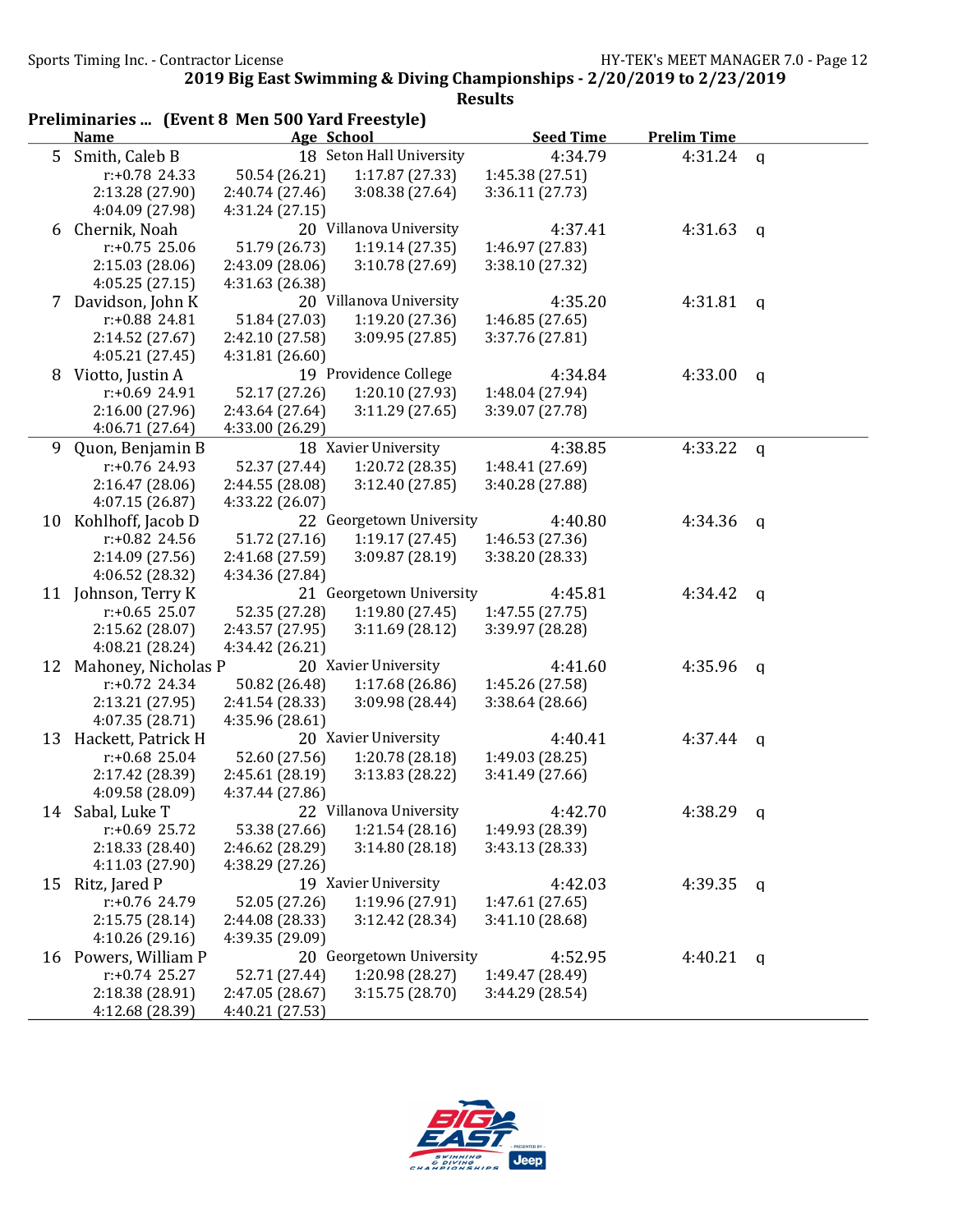| <b>Prelim Time</b><br>4:31.24 $q$ |
|-----------------------------------|
|                                   |
|                                   |
|                                   |
|                                   |
|                                   |
| 4:31.63<br>q                      |
|                                   |
|                                   |
|                                   |
| 4:31.81<br>q                      |
|                                   |
|                                   |
|                                   |
| 4:33.00<br>$\mathsf{q}$           |
|                                   |
|                                   |
|                                   |
| 4:33.22<br>q                      |
|                                   |
|                                   |
|                                   |
| 4:34.36<br>q                      |
|                                   |
|                                   |
|                                   |
| 4:34.42<br>q                      |
|                                   |
|                                   |
|                                   |
| 4:35.96<br>$\mathsf{q}$           |
|                                   |
|                                   |
|                                   |
| 4:37.44<br>q                      |
|                                   |
|                                   |
|                                   |
| 4:38.29 $q$                       |
|                                   |
|                                   |
|                                   |
| 4:39.35<br>q                      |
|                                   |
|                                   |
|                                   |
| 4:40.21<br>$\mathbf{q}$           |
|                                   |
|                                   |
|                                   |
|                                   |

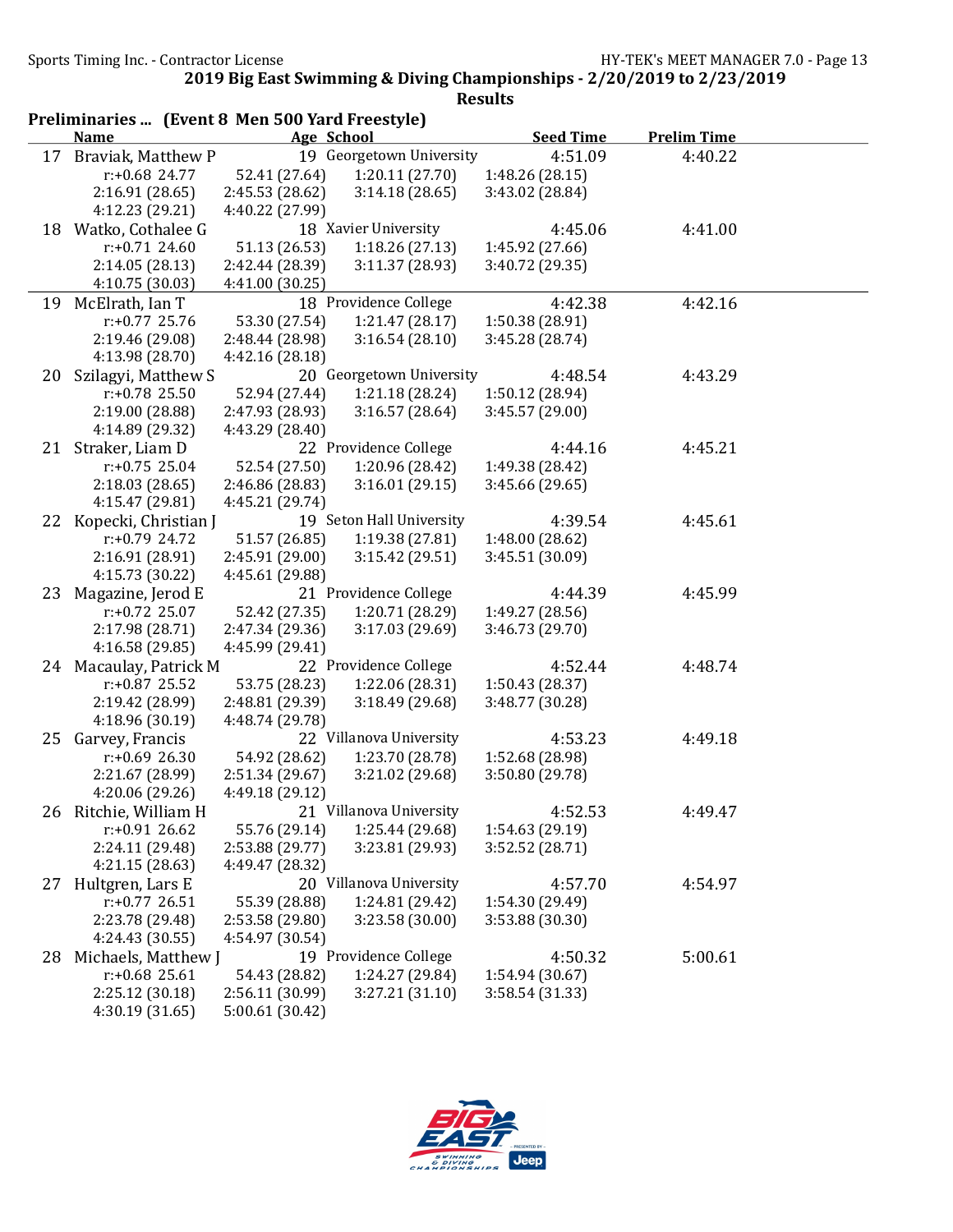|    | Preliminaries  (Event 8 Men 500 Yard Freestyle) |                 |                          |                  |                    |  |  |
|----|-------------------------------------------------|-----------------|--------------------------|------------------|--------------------|--|--|
|    | <b>Name</b>                                     |                 | <b>Age School</b>        | <b>Seed Time</b> | <b>Prelim Time</b> |  |  |
|    | 17 Braviak, Matthew P                           |                 | 19 Georgetown University | 4:51.09          | 4:40.22            |  |  |
|    | $r: +0.68$ 24.77                                | 52.41 (27.64)   | 1:20.11(27.70)           | 1:48.26 (28.15)  |                    |  |  |
|    | 2:16.91 (28.65)                                 | 2:45.53 (28.62) | 3:14.18(28.65)           | 3:43.02 (28.84)  |                    |  |  |
|    | 4:12.23 (29.21)                                 | 4:40.22 (27.99) |                          |                  |                    |  |  |
|    | 18 Watko, Cothalee G                            |                 | 18 Xavier University     | 4:45.06          | 4:41.00            |  |  |
|    | $r: +0.71$ 24.60                                | 51.13 (26.53)   | 1:18.26(27.13)           | 1:45.92 (27.66)  |                    |  |  |
|    | 2:14.05 (28.13)                                 | 2:42.44 (28.39) | 3:11.37(28.93)           | 3:40.72 (29.35)  |                    |  |  |
|    | 4:10.75 (30.03)                                 | 4:41.00 (30.25) |                          |                  |                    |  |  |
| 19 | McElrath, Ian T                                 |                 | 18 Providence College    | 4:42.38          | 4:42.16            |  |  |
|    | $r: +0.77$ 25.76                                | 53.30 (27.54)   | 1:21.47(28.17)           | 1:50.38 (28.91)  |                    |  |  |
|    | 2:19.46 (29.08)                                 | 2:48.44 (28.98) | 3:16.54(28.10)           | 3:45.28 (28.74)  |                    |  |  |
|    | 4:13.98 (28.70)                                 | 4:42.16 (28.18) |                          |                  |                    |  |  |
| 20 | Szilagyi, Matthew S                             |                 | 20 Georgetown University | 4:48.54          | 4:43.29            |  |  |
|    | $r: +0.78$ 25.50                                | 52.94 (27.44)   | 1:21.18 (28.24)          | 1:50.12 (28.94)  |                    |  |  |
|    | 2:19.00 (28.88)                                 | 2:47.93 (28.93) | 3:16.57(28.64)           | 3:45.57 (29.00)  |                    |  |  |
|    | 4:14.89 (29.32)                                 | 4:43.29 (28.40) |                          |                  |                    |  |  |
|    | 21 Straker, Liam D                              |                 | 22 Providence College    | 4:44.16          | 4:45.21            |  |  |
|    | $r: +0.75$ 25.04                                | 52.54 (27.50)   | 1:20.96 (28.42)          | 1:49.38 (28.42)  |                    |  |  |
|    | 2:18.03(28.65)                                  | 2:46.86 (28.83) | 3:16.01(29.15)           | 3:45.66 (29.65)  |                    |  |  |
|    | 4:15.47 (29.81)                                 | 4:45.21 (29.74) |                          |                  |                    |  |  |
|    | 22 Kopecki, Christian J                         |                 | 19 Seton Hall University | 4:39.54          | 4:45.61            |  |  |
|    | r:+0.79 24.72                                   | 51.57 (26.85)   | 1:19.38 (27.81)          | 1:48.00 (28.62)  |                    |  |  |
|    | 2:16.91 (28.91)                                 | 2:45.91 (29.00) | 3:15.42(29.51)           | 3:45.51 (30.09)  |                    |  |  |
|    | 4:15.73 (30.22)                                 | 4:45.61 (29.88) |                          |                  |                    |  |  |
| 23 | Magazine, Jerod E                               |                 | 21 Providence College    | 4:44.39          | 4:45.99            |  |  |
|    | $r: +0.72$ 25.07                                | 52.42 (27.35)   | 1:20.71 (28.29)          | 1:49.27 (28.56)  |                    |  |  |
|    | 2:17.98 (28.71)                                 | 2:47.34 (29.36) | 3:17.03(29.69)           | 3:46.73 (29.70)  |                    |  |  |
|    | 4:16.58 (29.85)                                 | 4:45.99 (29.41) |                          |                  |                    |  |  |
|    | 24 Macaulay, Patrick M                          |                 | 22 Providence College    | 4:52.44          | 4:48.74            |  |  |
|    | $r: +0.87$ 25.52                                | 53.75 (28.23)   | 1:22.06 (28.31)          | 1:50.43 (28.37)  |                    |  |  |
|    | 2:19.42 (28.99)                                 | 2:48.81 (29.39) | 3:18.49(29.68)           | 3:48.77 (30.28)  |                    |  |  |
|    | 4:18.96 (30.19)                                 | 4:48.74 (29.78) |                          |                  |                    |  |  |
|    |                                                 |                 | 22 Villanova University  | 4:53.23          | 4:49.18            |  |  |
| 25 | Garvey, Francis                                 |                 |                          |                  |                    |  |  |
|    | $r: +0.69$ 26.30                                | 54.92 (28.62)   | 1:23.70 (28.78)          | 1:52.68 (28.98)  |                    |  |  |
|    | 2:21.67 (28.99)<br>4:20.06(29.26)               | 2:51.34 (29.67) | 3:21.02 (29.68)          | 3:50.80 (29.78)  |                    |  |  |
|    |                                                 | 4:49.18 (29.12) |                          |                  |                    |  |  |
|    | 26 Ritchie, William H                           |                 | 21 Villanova University  | 4:52.53          | 4:49.47            |  |  |
|    | $r: +0.91$ 26.62                                | 55.76 (29.14)   | 1:25.44 (29.68)          | 1:54.63 (29.19)  |                    |  |  |
|    | 2:24.11 (29.48)                                 | 2:53.88 (29.77) | 3:23.81 (29.93)          | 3:52.52 (28.71)  |                    |  |  |
|    | 4:21.15 (28.63)                                 | 4:49.47 (28.32) |                          |                  |                    |  |  |
| 27 | Hultgren, Lars E                                |                 | 20 Villanova University  | 4:57.70          | 4:54.97            |  |  |
|    | $r: +0.77$ 26.51                                | 55.39 (28.88)   | 1:24.81 (29.42)          | 1:54.30 (29.49)  |                    |  |  |
|    | 2:23.78 (29.48)                                 | 2:53.58 (29.80) | 3:23.58 (30.00)          | 3:53.88 (30.30)  |                    |  |  |
|    | 4:24.43 (30.55)                                 | 4:54.97 (30.54) |                          |                  |                    |  |  |
| 28 | Michaels, Matthew J                             |                 | 19 Providence College    | 4:50.32          | 5:00.61            |  |  |
|    | $r: +0.68$ 25.61                                | 54.43 (28.82)   | 1:24.27 (29.84)          | 1:54.94 (30.67)  |                    |  |  |
|    | 2:25.12 (30.18)                                 | 2:56.11 (30.99) | 3:27.21 (31.10)          | 3:58.54 (31.33)  |                    |  |  |
|    | 4:30.19 (31.65)                                 | 5:00.61 (30.42) |                          |                  |                    |  |  |

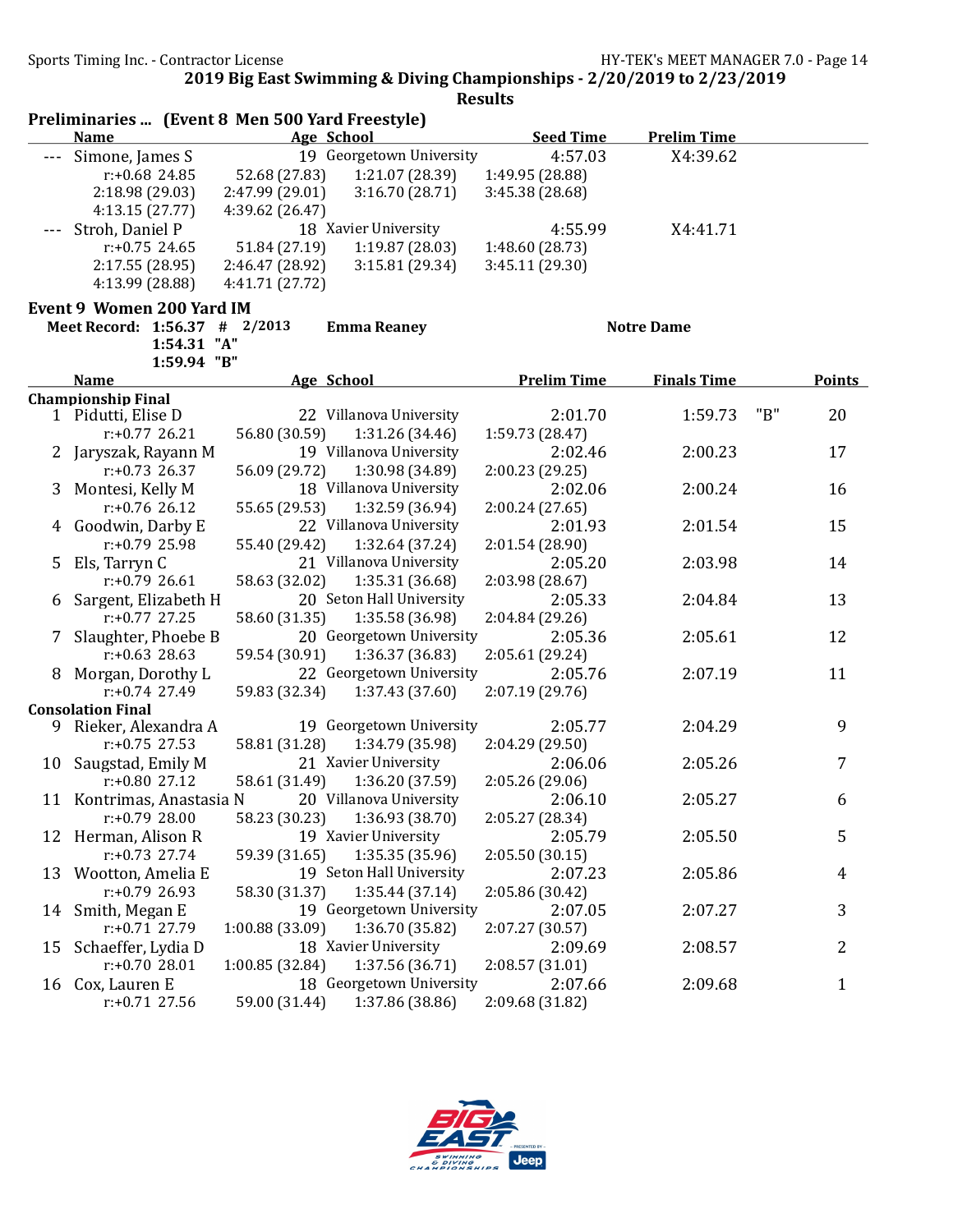#### Preliminaries ... (Event 8 Men 500 Yard Freestyle) Name Age School Seed Time Prelim Time --- Simone, James S 19 Georgetown University 4:57.03 X4:39.62 r:+0.68 24.85 52.68 (27.83) 1:21.07 (28.39) 1:49.95 (28.88) 2:18.98 (29.03) 2:47.99 (29.01) 3:16.70 (28.71) 3:45.38 (28.68) 4:13.15 (27.77) 4:39.62 (26.47) --- Stroh, Daniel P 18 Xavier University 4:55.99 X4:41.71<br>
r:+0.75 24.65 51.84 (27.19) 1:19.87 (28.03) 1:48.60 (28.73) r:+0.75 24.65 51.84 (27.19) 1:19.87 (28.03) 1:48.60 (28.73) 2:17.55 (28.95) 2:46.47 (28.92) 3:15.81 (29.34) 3:45.11 (29.30) 4:13.99 (28.88) 4:41.71 (27.72) Event 9 Women 200 Yard IM Meet Record: 1:56.37 # 2/2013 Emma Reaney Notre Dame 1:54.31 "A" 1:59.94 "B" Name Age School Prelim Time Finals Time Points Championship Final 1 Pidutti, Elise D 22 Villanova University 2:01.70 1:59.73 "B" 20 r:+0.77 26.21 56.80 (30.59) 1:31.26 (34.46) 1:59.73 (28.47) 2 Jaryszak, Rayann M 19 Villanova University 2:02.46 2:00.23 17 r:+0.73 26.37 56.09 (29.72) 1:30.98 (34.89) 2:00.23 (29.25) 3 Montesi, Kelly M 18 Villanova University 2:02.06 2:00.24 16 r:+0.76 26.12 55.65 (29.53) 1:32.59 (36.94) 2:00.24 (27.65) 4 Goodwin, Darby E 22 Villanova University 2:01.93 2:01.54 15 r:+0.79 25.98 55.40 (29.42) 1:32.64 (37.24) 2:01.54 (28.90) 5 Els, Tarryn C 21 Villanova University 2:05.20 2:03.98 14 r:+0.79 26.61 58.63 (32.02) 1:35.31 (36.68) 2:03.98 (28.67) 6 Sargent, Elizabeth H 20 Seton Hall University 2:05.33 2:04.84 13 r:+0.77 27.25 58.60 (31.35) 1:35.58 (36.98) 2:04.84 (29.26) 7 Slaughter, Phoebe B 20 Georgetown University 2:05.36 2:05.61 12 r:+0.63 28.63 59.54 (30.91) 1:36.37 (36.83) 2:05.61 (29.24) 8 Morgan, Dorothy L 22 Georgetown University 2:05.76 2:07.19 11<br>
r:+0.74 27.49 59.83 (32.34) 1:37.43 (37.60) 2:07.19 (29.76) 2:07.19 (29.76) Consolation Final 9 Rieker, Alexandra A 19 Georgetown University 2:05.77 2:04.29 <br>
r:+0.75 27.53 58.81 (31.28) 1:34.79 (35.98) 2:04.29 (29.50) r:+0.75 27.53 58.81 (31.28) 1:34.79 (35.98) 2:04.29 (29.50) 10 Saugstad, Emily M 21 Xavier University 2:06.06 2:05.26 7 r:+0.80 27.12 58.61 (31.49) 1:36.20 (37.59) 2:05.26 (29.06) 11 Kontrimas, Anastasia N 20 Villanova University 2:06.10 2:05.27 6 r:+0.79 28.00 58.23 (30.23) 1:36.93 (38.70) 2:05.27 (28.34) 12 Herman, Alison R 19 Xavier University 2:05.79 2:05.50 5<br>
r:+0.73 27.74 59.39 (31.65) 1:35.35 (35.96) 2:05.50 (30.15) r:+0.73 27.74 59.39 (31.65) 1:35.35 (35.96) 2:05.50 (30.15) 13 Wootton, Amelia E 19 Seton Hall University 2:07.23 2:05.86 4 r:+0.79 26.93 58.30 (31.37) 1:35.44 (37.14) 2:05.86 (30.42) 14 Smith, Megan E 19 Georgetown University 2:07.05 2:07.27 3 r:+0.71 27.79 1:00.88 (33.09) 1:36.70 (35.82) 2:07.27 (30.57) 15 Schaeffer, Lydia D 18 Xavier University 2:09.69 2:08.57 2 r:+0.70 28.01 1:00.85 (32.84) 1:37.56 (36.71) 2:08.57 (31.01) 16 Cox, Lauren E 18 Georgetown University 2:07.66 2:09.68 1 r:+0.71 27.56 59.00 (31.44) 1:37.86 (38.86) 2:09.68 (31.82)

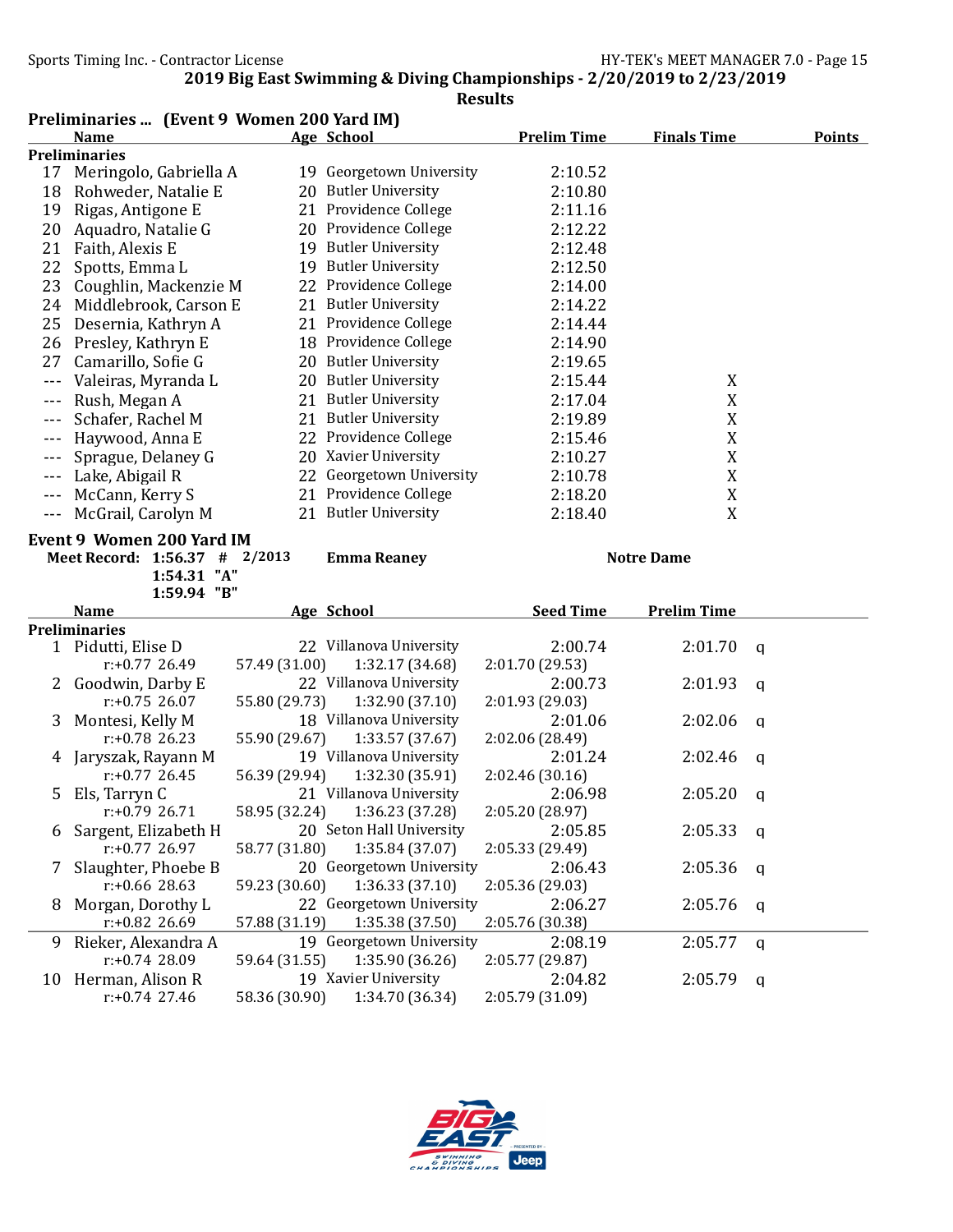## Results

|                      | Preliminaries  (Event 9 Women 200 Yard IM) |               |                               |                    |                    |               |
|----------------------|--------------------------------------------|---------------|-------------------------------|--------------------|--------------------|---------------|
|                      | <b>Name</b>                                |               | Age School                    | <b>Prelim Time</b> | <b>Finals Time</b> | <b>Points</b> |
|                      | <b>Preliminaries</b>                       |               |                               |                    |                    |               |
| 17                   | Meringolo, Gabriella A                     |               | 19 Georgetown University      | 2:10.52            |                    |               |
| 18                   | Rohweder, Natalie E                        |               | 20 Butler University          | 2:10.80            |                    |               |
| 19                   | Rigas, Antigone E                          |               | 21 Providence College         | 2:11.16            |                    |               |
| 20                   | Aquadro, Natalie G                         |               | 20 Providence College         | 2:12.22            |                    |               |
| 21                   | Faith, Alexis E                            |               | 19 Butler University          | 2:12.48            |                    |               |
| 22                   | Spotts, Emma L                             |               | 19 Butler University          | 2:12.50            |                    |               |
| 23                   | Coughlin, Mackenzie M                      |               | 22 Providence College         | 2:14.00            |                    |               |
| 24                   | Middlebrook, Carson E                      |               | 21 Butler University          | 2:14.22            |                    |               |
| 25                   | Desernia, Kathryn A                        |               | 21 Providence College         | 2:14.44            |                    |               |
|                      | 26 Presley, Kathryn E                      |               | 18 Providence College         | 2:14.90            |                    |               |
|                      | 27 Camarillo, Sofie G                      |               | 20 Butler University          | 2:19.65            |                    |               |
| $- - -$              | Valeiras, Myranda L                        |               | 20 Butler University          | 2:15.44            | X                  |               |
| $- - -$              | Rush, Megan A                              |               | 21 Butler University          | 2:17.04            | X                  |               |
| $- - -$              | Schafer, Rachel M                          |               | 21 Butler University          | 2:19.89            | X                  |               |
|                      | Haywood, Anna E                            |               | 22 Providence College         | 2:15.46            | $\mathbf X$        |               |
|                      | Sprague, Delaney G                         |               | 20 Xavier University          | 2:10.27            | $\mathbf X$        |               |
| $\sim$ $\sim$ $\sim$ | Lake, Abigail R                            |               | 22 Georgetown University      | 2:10.78            | $\mathbf X$        |               |
|                      | McCann, Kerry S                            |               | 21 Providence College         | 2:18.20            | X                  |               |
| $- - -$              | McGrail, Carolyn M                         |               | 21 Butler University          | 2:18.40            | X                  |               |
|                      | <b>Event 9 Women 200 Yard IM</b>           |               |                               |                    |                    |               |
|                      | Meet Record: 1:56.37 # 2/2013              |               | <b>Emma Reaney</b>            |                    | <b>Notre Dame</b>  |               |
|                      | 1:54.31 "A"                                |               |                               |                    |                    |               |
|                      | 1:59.94 "B"                                |               |                               |                    |                    |               |
|                      | <u>Name</u>                                |               | Age School                    | <b>Seed Time</b>   | <b>Prelim Time</b> |               |
|                      | <b>Preliminaries</b>                       |               |                               |                    |                    |               |
|                      | 1 Pidutti, Elise D                         |               | 22 Villanova University       | 2:00.74            | 2:01.70            | $\mathbf{q}$  |
|                      | $r: +0.77$ 26.49                           | 57.49 (31.00) | 1:32.17 (34.68)               | 2:01.70 (29.53)    |                    |               |
| 2                    | Goodwin, Darby E                           |               | 22 Villanova University       | 2:00.73            | 2:01.93            | q             |
|                      | $r: +0.75$ 26.07                           | 55.80 (29.73) | 1:32.90 (37.10)               | 2:01.93 (29.03)    |                    |               |
| 3                    | Montesi, Kelly M                           |               | 18 Villanova University       | 2:01.06            | 2:02.06            | q             |
|                      | $r: +0.78$ 26.23                           | 55.90 (29.67) | 1:33.57 (37.67)               | 2:02.06 (28.49)    |                    |               |
|                      | Jaryszak, Rayann M                         |               | 19 Villanova University       | 2:01.24            | 2:02.46            | q             |
|                      | $r: +0.77$ 26.45                           | 56.39 (29.94) | 1:32.30 (35.91)               | 2:02.46 (30.16)    |                    |               |
| 5                    | Els, Tarryn C                              |               | 21 Villanova University       | 2:06.98            | 2:05.20            | q             |
|                      | r:+0.79 26.71                              |               | 58.95 (32.24) 1:36.23 (37.28) | 2:05.20 (28.97)    |                    |               |
| 6                    | Sargent, Elizabeth H                       |               | 20 Seton Hall University      | 2:05.85            | 2:05.33            | q             |
|                      | $r: +0.77$ 26.97                           | 58.77 (31.80) | 1:35.84 (37.07)               | 2:05.33 (29.49)    |                    |               |
| 7                    | Slaughter, Phoebe B                        |               | 20 Georgetown University      | 2:06.43            | 2:05.36            | q             |
|                      | $r: +0.66$ 28.63                           | 59.23 (30.60) | 1:36.33(37.10)                | 2:05.36 (29.03)    |                    |               |
| 8                    | Morgan, Dorothy L                          |               | 22 Georgetown University      | 2:06.27            | 2:05.76            | q             |
|                      | $r: +0.82$ 26.69                           | 57.88 (31.19) | 1:35.38 (37.50)               | 2:05.76 (30.38)    |                    |               |

9 Rieker, Alexandra A 19 Georgetown University 2:08.19 2:05.77 q<br>r:+0.74 28.09 59.64 (31.55) 1:35.90 (36.26) 2:05.77 (29.87)

59.64 (31.55) 1:35.90 (36.26) 2:05.77 (29.87)<br>19 Xavier University 2:04.8 10 Herman, Alison R 19 Xavier University 2:04.82 2:05.79 q<br>
r:+0.74 27.46 58.36 (30.90) 1:34.70 (36.34) 2:05.79 (31.09) r:+0.74 27.46 58.36 (30.90) 1:34.70 (36.34) 2:05.79 (31.09)

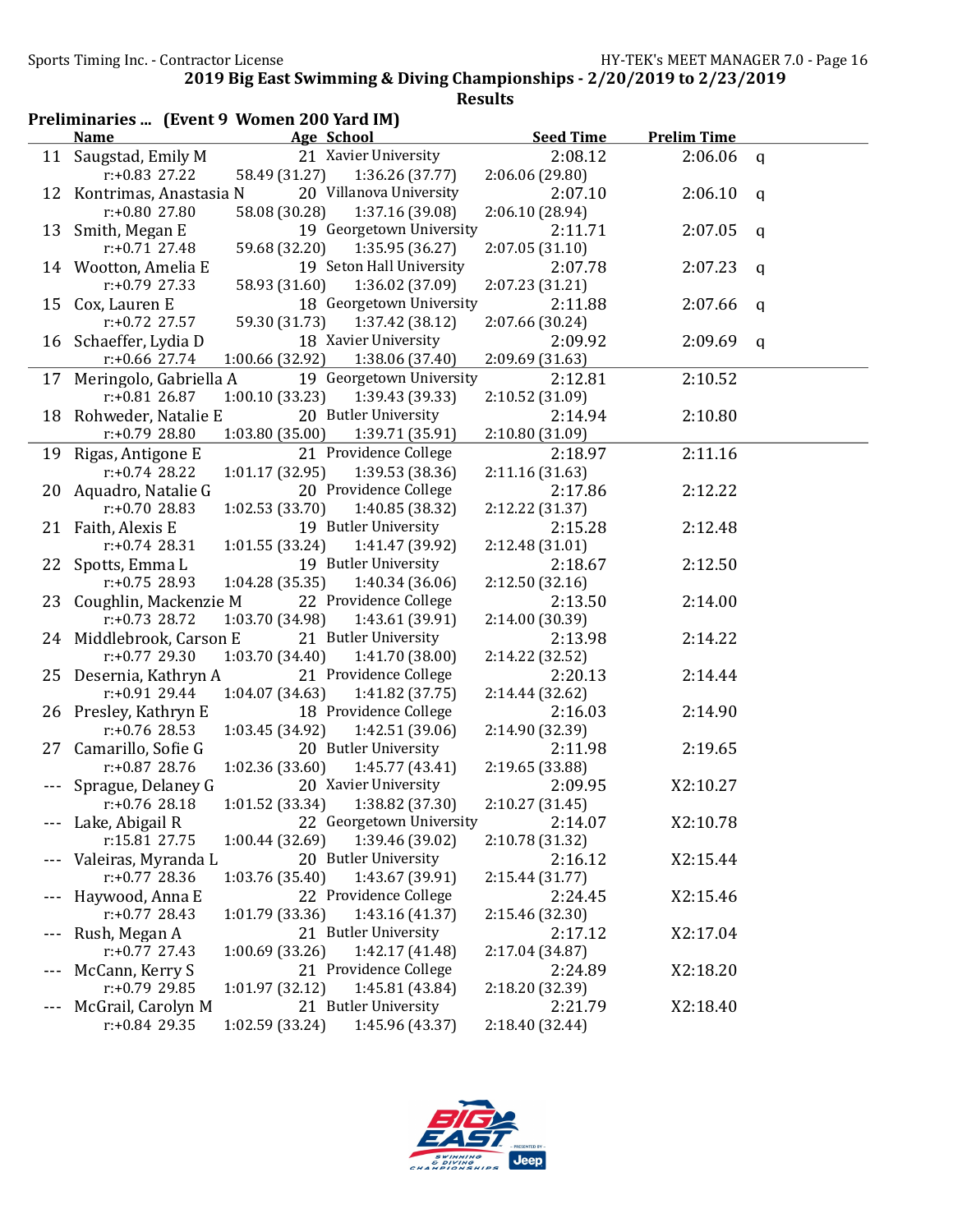| Results |
|---------|
|---------|

|       | Preliminaries  (Event 9 Women 200 Yard IM) |                 |                                   |                  |                    |              |
|-------|--------------------------------------------|-----------------|-----------------------------------|------------------|--------------------|--------------|
|       | <b>Name</b>                                |                 | Age School                        | <b>Seed Time</b> | <b>Prelim Time</b> |              |
|       | 11 Saugstad, Emily M                       |                 | 21 Xavier University              | 2:08.12          | 2:06.06            | $\mathbf{q}$ |
|       | $r: +0.83$ 27.22                           | 58.49 (31.27)   | 1:36.26(37.77)                    | 2:06.06 (29.80)  |                    |              |
| 12    | Kontrimas, Anastasia N                     |                 | 20 Villanova University           | 2:07.10          | 2:06.10            | q            |
|       | $r: +0.80$ 27.80                           | 58.08 (30.28)   | 1:37.16 (39.08)                   | 2:06.10 (28.94)  |                    |              |
|       | 13 Smith, Megan E                          |                 | 19 Georgetown University          | 2:11.71          | 2:07.05            | q            |
|       | $r: +0.71$ 27.48                           | 59.68 (32.20)   | 1:35.95 (36.27)                   | 2:07.05 (31.10)  |                    |              |
|       | 14 Wootton, Amelia E                       |                 | 19 Seton Hall University          | 2:07.78          | 2:07.23            | q            |
|       | $r: +0.79$ 27.33                           | 58.93 (31.60)   | 1:36.02 (37.09)                   | 2:07.23 (31.21)  |                    |              |
| 15    | Cox, Lauren E                              |                 | 18 Georgetown University          | 2:11.88          | 2:07.66            | q            |
|       | $r: +0.72$ 27.57                           | 59.30 (31.73)   | 1:37.42 (38.12)                   | 2:07.66 (30.24)  |                    |              |
|       | 16 Schaeffer, Lydia D                      |                 | 18 Xavier University              | 2:09.92          | 2:09.69            | q            |
|       | $r: +0.66$ 27.74                           | 1:00.66 (32.92) | 1:38.06 (37.40)                   | 2:09.69 (31.63)  |                    |              |
|       | 17 Meringolo, Gabriella A                  |                 | 19 Georgetown University          | 2:12.81          | 2:10.52            |              |
|       | $r: +0.81$ 26.87                           | 1:00.10(33.23)  | 1:39.43 (39.33)                   | 2:10.52 (31.09)  |                    |              |
|       | 18 Rohweder, Natalie E                     |                 | 20 Butler University              | 2:14.94          | 2:10.80            |              |
|       | $r: +0.79$ 28.80                           | 1:03.80(35.00)  | 1:39.71 (35.91)                   | 2:10.80 (31.09)  |                    |              |
|       | 19 Rigas, Antigone E                       |                 | 21 Providence College             | 2:18.97          | 2:11.16            |              |
|       | $r: +0.74$ 28.22                           | 1:01.17(32.95)  | 1:39.53 (38.36)                   | 2:11.16 (31.63)  |                    |              |
| 20    | Aquadro, Natalie G                         |                 | 20 Providence College             | 2:17.86          | 2:12.22            |              |
|       | $r: +0.70$ 28.83                           | 1:02.53 (33.70) | 1:40.85 (38.32)                   | 2:12.22 (31.37)  |                    |              |
|       | 21 Faith, Alexis E                         |                 | 19 Butler University              | 2:15.28          | 2:12.48            |              |
|       | $r: +0.74$ 28.31                           | 1:01.55(33.24)  | 1:41.47 (39.92)                   | 2:12.48 (31.01)  |                    |              |
|       | 22 Spotts, Emma L                          |                 | 19 Butler University              | 2:18.67          | 2:12.50            |              |
|       | $r: +0.75$ 28.93                           | 1:04.28 (35.35) | 1:40.34 (36.06)                   | 2:12.50 (32.16)  |                    |              |
| 23    | Coughlin, Mackenzie M                      |                 | 22 Providence College             | 2:13.50          | 2:14.00            |              |
|       | $r: +0.73$ 28.72                           | 1:03.70 (34.98) | 1:43.61 (39.91)                   | 2:14.00 (30.39)  |                    |              |
|       | 24 Middlebrook, Carson E                   |                 | 21 Butler University              | 2:13.98          | 2:14.22            |              |
|       | r:+0.77 29.30                              | 1:03.70 (34.40) | 1:41.70 (38.00)                   | 2:14.22 (32.52)  |                    |              |
|       | 25 Desernia, Kathryn A                     |                 | 21 Providence College             | 2:20.13          | 2:14.44            |              |
|       | $r: +0.91$ 29.44                           | 1:04.07 (34.63) | 1:41.82 (37.75)                   | 2:14.44 (32.62)  |                    |              |
|       | 26 Presley, Kathryn E                      |                 | 18 Providence College             | 2:16.03          | 2:14.90            |              |
|       | $r: +0.76$ 28.53                           | 1:03.45 (34.92) | 1:42.51 (39.06)                   | 2:14.90 (32.39)  |                    |              |
| 27    | Camarillo, Sofie G                         |                 | 20 Butler University              | 2:11.98          | 2:19.65            |              |
|       | $r: +0.87$ 28.76                           | 1:02.36(33.60)  | 1:45.77 (43.41)                   | 2:19.65 (33.88)  |                    |              |
|       | Sprague, Delaney G                         |                 | 20 Xavier University              | 2:09.95          | X2:10.27           |              |
|       | r:+0.76 28.18                              |                 | $1:01.52(33.34)$ $1:38.82(37.30)$ | 2:10.27 (31.45)  |                    |              |
|       | Lake, Abigail R                            |                 | 22 Georgetown University          | 2:14.07          | X2:10.78           |              |
|       | r:15.81 27.75                              | 1:00.44 (32.69) | 1:39.46 (39.02)                   | 2:10.78 (31.32)  |                    |              |
|       | Valeiras, Myranda L                        |                 | 20 Butler University              | 2:16.12          | X2:15.44           |              |
|       | $r: +0.77$ 28.36                           | 1:03.76 (35.40) | 1:43.67 (39.91)                   | 2:15.44 (31.77)  |                    |              |
|       | Haywood, Anna E                            |                 | 22 Providence College             | 2:24.45          | X2:15.46           |              |
|       | $r: +0.77$ 28.43                           | 1:01.79 (33.36) | 1:43.16(41.37)                    | 2:15.46 (32.30)  |                    |              |
|       | Rush, Megan A                              |                 | 21 Butler University              | 2:17.12          | X2:17.04           |              |
| $---$ | $r: +0.77$ 27.43                           | 1:00.69 (33.26) | 1:42.17 (41.48)                   | 2:17.04 (34.87)  |                    |              |
|       | McCann, Kerry S                            |                 | 21 Providence College             | 2:24.89          | X2:18.20           |              |
| $---$ | r:+0.79 29.85                              | 1:01.97(32.12)  | 1:45.81 (43.84)                   | 2:18.20 (32.39)  |                    |              |
|       | McGrail, Carolyn M                         |                 | 21 Butler University              | 2:21.79          | X2:18.40           |              |
|       | r:+0.84 29.35                              | 1:02.59 (33.24) | 1:45.96 (43.37)                   | 2:18.40 (32.44)  |                    |              |
|       |                                            |                 |                                   |                  |                    |              |

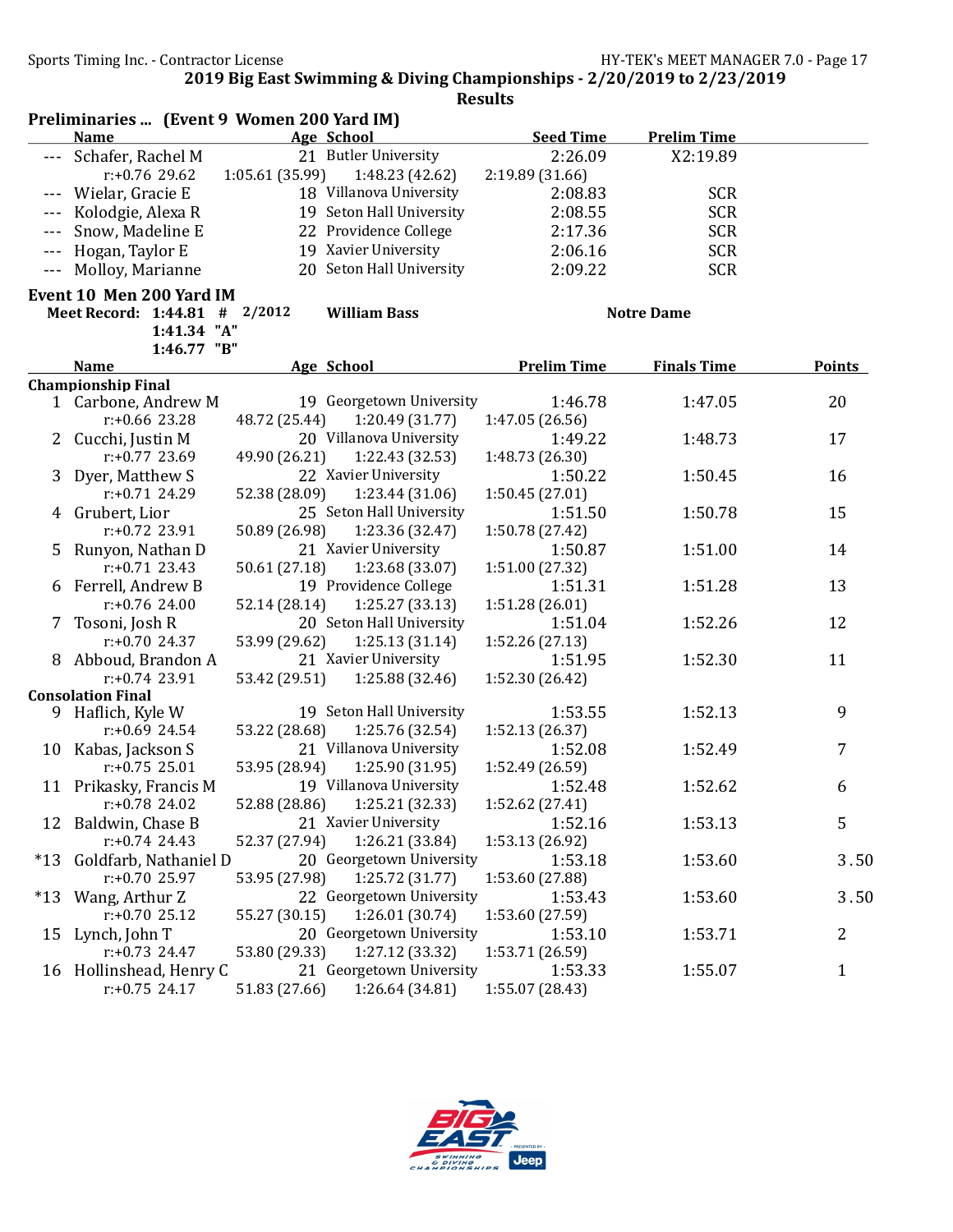|         |                               | Preliminaries  (Event 9 Women 200 Yard IM) |                    |                    |               |
|---------|-------------------------------|--------------------------------------------|--------------------|--------------------|---------------|
|         | <b>Name</b>                   | Age School                                 | <b>Seed Time</b>   | <b>Prelim Time</b> |               |
|         | Schafer, Rachel M             | 21 Butler University                       | 2:26.09            | X2:19.89           |               |
|         | $r: +0.76$ 29.62              | 1:05.61 (35.99)<br>1:48.23 (42.62)         | 2:19.89 (31.66)    |                    |               |
|         | Wielar, Gracie E              | 18 Villanova University                    | 2:08.83            | <b>SCR</b>         |               |
|         | Kolodgie, Alexa R             | 19 Seton Hall University                   | 2:08.55            | <b>SCR</b>         |               |
|         | Snow, Madeline E              | 22 Providence College                      | 2:17.36            | <b>SCR</b>         |               |
| $---$   | Hogan, Taylor E               | 19 Xavier University                       | 2:06.16            | <b>SCR</b>         |               |
| $- - -$ | Molloy, Marianne              | 20 Seton Hall University                   | 2:09.22            | <b>SCR</b>         |               |
|         | Event 10 Men 200 Yard IM      |                                            |                    |                    |               |
|         | Meet Record: 1:44.81 # 2/2012 | <b>William Bass</b>                        |                    | <b>Notre Dame</b>  |               |
|         | 1:41.34 "A"                   |                                            |                    |                    |               |
|         | 1:46.77 "B"                   |                                            |                    |                    |               |
|         | <b>Name</b>                   | Age School                                 | <b>Prelim Time</b> | <b>Finals Time</b> | <b>Points</b> |
|         | <b>Championship Final</b>     |                                            |                    |                    |               |
|         | 1 Carbone, Andrew M           | 19 Georgetown University                   | 1:46.78            | 1:47.05            | 20            |
|         | $r: +0.66$ 23.28              | 48.72 (25.44)<br>1:20.49(31.77)            | 1:47.05 (26.56)    |                    |               |
|         | 2 Cucchi, Justin M            | 20 Villanova University                    | 1:49.22            | 1:48.73            | 17            |
|         | $r: +0.77$ 23.69              | 1:22.43 (32.53)<br>49.90 (26.21)           | 1:48.73 (26.30)    |                    |               |
| 3       | Dyer, Matthew S               | 22 Xavier University                       | 1:50.22            | 1:50.45            | 16            |
|         | $r: +0.71$ 24.29              | 52.38 (28.09)<br>1:23.44 (31.06)           | 1:50.45 (27.01)    |                    |               |
|         | 4 Grubert, Lior               | 25 Seton Hall University                   | 1:51.50            | 1:50.78            | 15            |
|         | $r: +0.72$ 23.91              | 50.89 (26.98)<br>1:23.36 (32.47)           | 1:50.78 (27.42)    |                    |               |
| 5.      | Runyon, Nathan D              | 21 Xavier University                       | 1:50.87            | 1:51.00            | 14            |
|         | $r: +0.71$ 23.43              | 50.61 (27.18)<br>1:23.68 (33.07)           | 1:51.00 (27.32)    |                    |               |
| 6       | Ferrell, Andrew B             | 19 Providence College                      | 1:51.31            | 1:51.28            | 13            |
|         | $r: +0.76$ 24.00              | 1:25.27(33.13)<br>52.14 (28.14)            | 1:51.28 (26.01)    |                    |               |
| 7       | Tosoni, Josh R                | 20 Seton Hall University                   | 1:51.04            | 1:52.26            | 12            |
|         | $r: +0.70$ 24.37              | 53.99 (29.62)<br>1:25.13(31.14)            | 1:52.26 (27.13)    |                    |               |
|         | 8 Abboud, Brandon A           | 21 Xavier University                       | 1:51.95            | 1:52.30            | 11            |
|         | $r: +0.74$ 23.91              | 53.42 (29.51)<br>1:25.88 (32.46)           | 1:52.30 (26.42)    |                    |               |
|         | <b>Consolation Final</b>      |                                            |                    |                    |               |
|         | 9 Haflich, Kyle W             | 19 Seton Hall University                   | 1:53.55            | 1:52.13            | 9             |
|         | $r: +0.69$ 24.54              | 53.22 (28.68)<br>1:25.76 (32.54)           | 1:52.13 (26.37)    |                    |               |
|         | 10 Kabas, Jackson S           | 21 Villanova University                    | 1:52.08            | 1:52.49            | 7             |
|         | $r: +0.75$ 25.01              | 53.95 (28.94)<br>1:25.90 (31.95)           | 1:52.49 (26.59)    |                    |               |
|         | 11 Prikasky, Francis M        | 19 Villanova University                    | 1:52.48            | 1:52.62            | 6             |
|         | r:+0.78 24.02                 | 52.88 (28.86) 1:25.21 (32.33)              | 1:52.62 (27.41)    |                    |               |
| 12      | Baldwin, Chase B              | 21 Xavier University                       | 1:52.16            | 1:53.13            | 5             |
|         | $r: +0.74$ 24.43              | 52.37 (27.94)<br>1:26.21 (33.84)           | 1:53.13 (26.92)    |                    |               |
| $*13$   | Goldfarb, Nathaniel D         | 20 Georgetown University                   | 1:53.18            | 1:53.60            | 3.50          |
|         | $r: +0.70$ 25.97              | 53.95 (27.98)<br>1:25.72 (31.77)           | 1:53.60 (27.88)    |                    |               |
| $*13$   | Wang, Arthur Z                | 22 Georgetown University                   | 1:53.43            | 1:53.60            | 3.50          |
|         | $r: +0.70$ 25.12              | 1:26.01(30.74)<br>55.27 (30.15)            | 1:53.60 (27.59)    |                    |               |
| 15      | Lynch, John T                 | 20 Georgetown University                   | 1:53.10            | 1:53.71            | 2             |
|         | $r: +0.73$ 24.47              | 1:27.12 (33.32)<br>53.80 (29.33)           | 1:53.71 (26.59)    |                    |               |
|         | 16 Hollinshead, Henry C       | 21 Georgetown University                   | 1:53.33            | 1:55.07            | $\mathbf{1}$  |
|         | $r: +0.75$ 24.17              | 51.83 (27.66)<br>1:26.64 (34.81)           | 1:55.07 (28.43)    |                    |               |

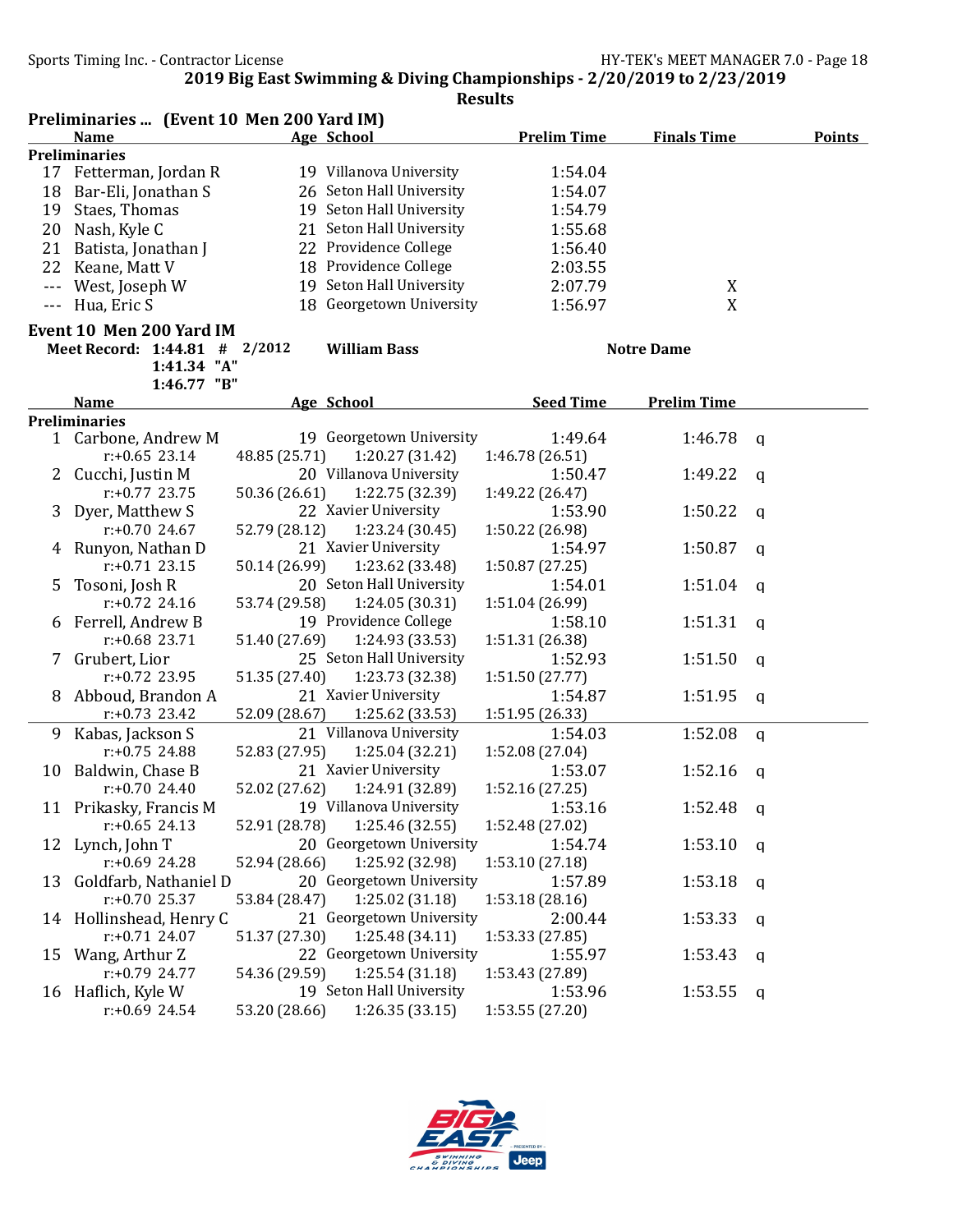|                      | Preliminaries  (Event 10 Men 200 Yard IM) |               |                          |                    |                    |               |  |  |
|----------------------|-------------------------------------------|---------------|--------------------------|--------------------|--------------------|---------------|--|--|
|                      | <b>Name</b>                               |               | Age School               | <b>Prelim Time</b> | <b>Finals Time</b> | <b>Points</b> |  |  |
|                      | <b>Preliminaries</b>                      |               |                          |                    |                    |               |  |  |
|                      | 17 Fetterman, Jordan R                    |               | 19 Villanova University  | 1:54.04            |                    |               |  |  |
| 18                   | Bar-Eli, Jonathan S                       |               | 26 Seton Hall University | 1:54.07            |                    |               |  |  |
| 19                   | Staes, Thomas                             |               | 19 Seton Hall University | 1:54.79            |                    |               |  |  |
| 20                   | Nash, Kyle C                              |               | 21 Seton Hall University | 1:55.68            |                    |               |  |  |
| 21                   | Batista, Jonathan J                       |               | 22 Providence College    | 1:56.40            |                    |               |  |  |
| 22                   | Keane, Matt V                             |               | 18 Providence College    | 2:03.55            |                    |               |  |  |
| $\sim$ $\sim$ $\sim$ | West, Joseph W                            |               | 19 Seton Hall University | 2:07.79            | X                  |               |  |  |
| $- - -$              | Hua, Eric S                               |               | 18 Georgetown University | 1:56.97            | X                  |               |  |  |
|                      | Event 10 Men 200 Yard IM                  |               |                          |                    |                    |               |  |  |
|                      | Meet Record: 1:44.81 # 2/2012             |               | <b>William Bass</b>      |                    | <b>Notre Dame</b>  |               |  |  |
|                      | 1:41.34 "A"                               |               |                          |                    |                    |               |  |  |
|                      | 1:46.77 "B"                               |               |                          |                    |                    |               |  |  |
|                      | <b>Name</b>                               |               | Age School               | <b>Seed Time</b>   | <b>Prelim Time</b> |               |  |  |
|                      | <b>Preliminaries</b>                      |               |                          |                    |                    |               |  |  |
| 1                    | Carbone, Andrew M                         |               | 19 Georgetown University | 1:49.64            | 1:46.78            | q             |  |  |
|                      | $r: +0.65$ 23.14                          | 48.85 (25.71) | 1:20.27 (31.42)          | 1:46.78 (26.51)    |                    |               |  |  |
| 2                    | Cucchi, Justin M                          |               | 20 Villanova University  | 1:50.47            | 1:49.22            | a             |  |  |
|                      | $r: +0.77$ 23.75                          | 50.36 (26.61) | 1:22.75 (32.39)          | 1:49.22 (26.47)    |                    |               |  |  |
| 3                    | Dyer, Matthew S                           |               | 22 Xavier University     | 1:53.90            | 1:50.22            | a             |  |  |
|                      | $r: +0.70$ 24.67                          | 52.79 (28.12) | 1:23.24 (30.45)          | 1:50.22 (26.98)    |                    |               |  |  |
| 4                    | Runyon, Nathan D                          |               | 21 Xavier University     | 1:54.97            | 1:50.87            | q             |  |  |
|                      | $r: +0.71$ 23.15                          | 50.14 (26.99) | 1:23.62 (33.48)          | 1:50.87 (27.25)    |                    |               |  |  |
| 5                    | Tosoni, Josh R                            |               | 20 Seton Hall University | 1:54.01            | 1:51.04            | a             |  |  |
|                      | $r: +0.72$ 24.16                          | 53.74 (29.58) | 1:24.05 (30.31)          | 1:51.04 (26.99)    |                    |               |  |  |
| 6                    | Ferrell, Andrew B                         |               | 19 Providence College    | 1:58.10            | 1:51.31            | q             |  |  |
|                      | $r: +0.68$ 23.71                          | 51.40 (27.69) | 1:24.93 (33.53)          | 1:51.31 (26.38)    |                    |               |  |  |
| T                    | Grubert, Lior                             |               | 25 Seton Hall University | 1:52.93            | 1:51.50            | q             |  |  |
|                      | $r: +0.72$ 23.95                          | 51.35 (27.40) | 1:23.73 (32.38)          | 1:51.50 (27.77)    |                    |               |  |  |
| 8                    | Abboud, Brandon A                         |               | 21 Xavier University     | 1:54.87            | 1:51.95            | q             |  |  |
|                      | $r: +0.73$ 23.42                          | 52.09 (28.67) | 1:25.62 (33.53)          | 1:51.95 (26.33)    |                    |               |  |  |
| 9                    | Kabas, Jackson S                          |               | 21 Villanova University  | 1:54.03            | 1:52.08            | q             |  |  |
|                      | r:+0.75 24.88                             | 52.83 (27.95) | 1:25.04(32.21)           | 1:52.08 (27.04)    |                    |               |  |  |
| 10                   | Baldwin, Chase B                          |               | 21 Xavier University     | 1:53.07            | 1:52.16            | q             |  |  |
|                      | $r: +0.70$ 24.40                          | 52.02 (27.62) | 1:24.91 (32.89)          | 1:52.16(27.25)     |                    |               |  |  |
|                      | 11 Prikasky, Francis M                    |               | 19 Villanova University  | 1:53.16            | 1:52.48 $q$        |               |  |  |
|                      | $r: +0.65$ 24.13                          | 52.91 (28.78) | 1:25.46 (32.55)          | 1:52.48 (27.02)    |                    |               |  |  |
|                      | 12 Lynch, John T                          |               | 20 Georgetown University | 1:54.74            | 1:53.10            | q             |  |  |
|                      | $r: +0.69$ 24.28                          | 52.94 (28.66) | 1:25.92 (32.98)          | 1:53.10 (27.18)    |                    |               |  |  |
| 13                   | Goldfarb, Nathaniel D                     |               | 20 Georgetown University | 1:57.89            | 1:53.18            | $\mathsf{q}$  |  |  |
|                      | $r: +0.70$ 25.37                          | 53.84 (28.47) | 1:25.02 (31.18)          | 1:53.18 (28.16)    |                    |               |  |  |
|                      | 14 Hollinshead, Henry C                   |               | 21 Georgetown University | 2:00.44            | 1:53.33            | q             |  |  |
|                      | $r: +0.71$ 24.07                          | 51.37 (27.30) | 1:25.48 (34.11)          | 1:53.33 (27.85)    |                    |               |  |  |
| 15                   | Wang, Arthur Z                            |               | 22 Georgetown University | 1:55.97            | 1:53.43            | q             |  |  |
|                      | $r: +0.79$ 24.77                          | 54.36 (29.59) | 1:25.54(31.18)           | 1:53.43 (27.89)    |                    |               |  |  |
|                      | 16 Haflich, Kyle W                        |               | 19 Seton Hall University | 1:53.96            | 1:53.55            | q             |  |  |
|                      | $r: +0.69$ 24.54                          | 53.20 (28.66) | 1:26.35(33.15)           | 1:53.55 (27.20)    |                    |               |  |  |

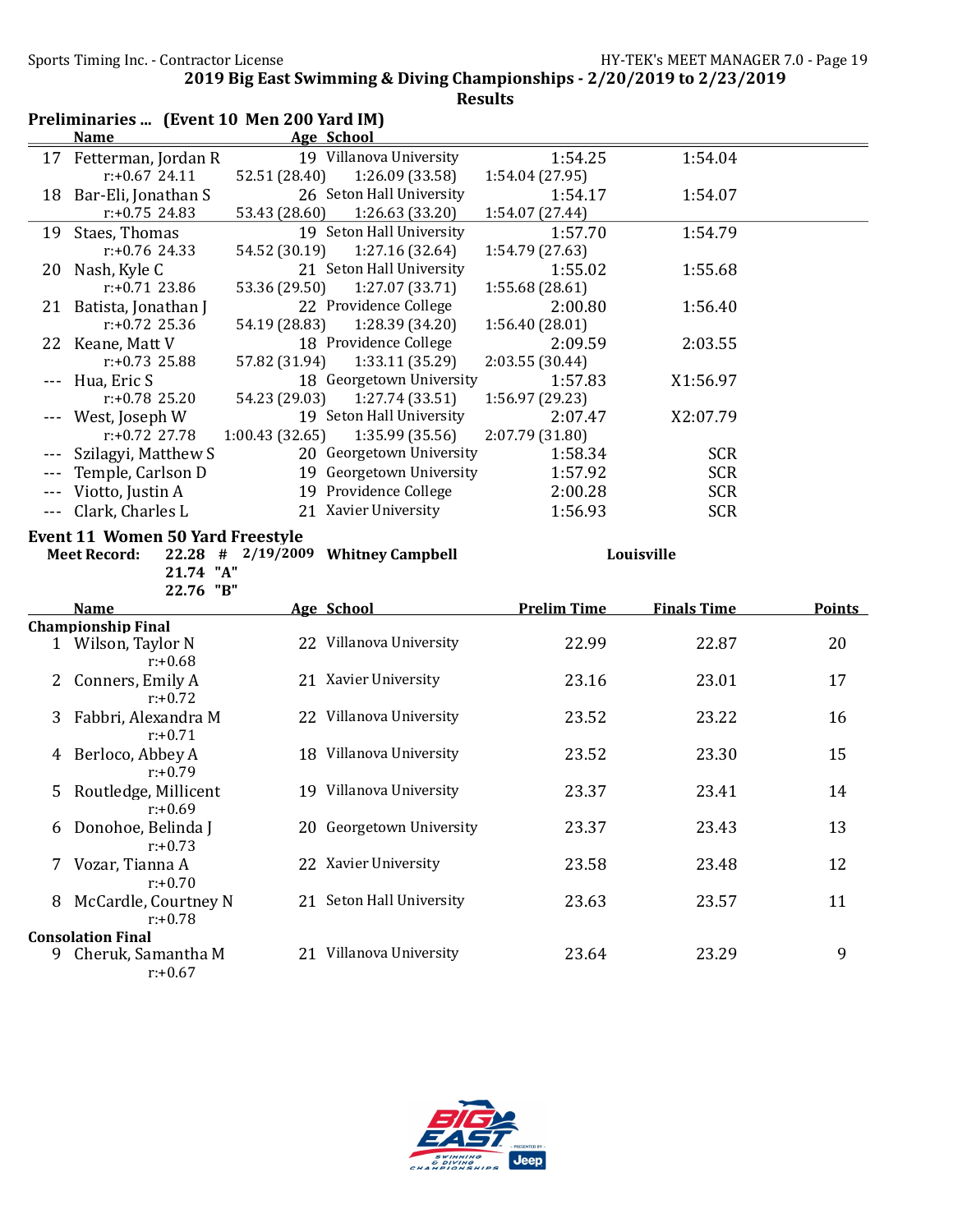|         | Preliminaries  (Event 10 Men 200 Yard IM)        |                |                                    |                    |                    |               |
|---------|--------------------------------------------------|----------------|------------------------------------|--------------------|--------------------|---------------|
|         | <b>Name</b>                                      |                | <b>Age School</b>                  |                    |                    |               |
|         | 17 Fetterman, Jordan R                           |                | 19 Villanova University            | 1:54.25            | 1:54.04            |               |
|         | $r: +0.67$ 24.11                                 | 52.51 (28.40)  | 1:26.09 (33.58)                    | 1:54.04 (27.95)    |                    |               |
|         | 18 Bar-Eli, Jonathan S                           |                | 26 Seton Hall University           | 1:54.17            | 1:54.07            |               |
|         | $r: +0.75$ 24.83                                 | 53.43 (28.60)  | 1:26.63(33.20)                     | 1:54.07 (27.44)    |                    |               |
|         | 19 Staes, Thomas                                 |                | 19 Seton Hall University           | 1:57.70            | 1:54.79            |               |
|         | $r: +0.76$ 24.33                                 | 54.52 (30.19)  | 1:27.16 (32.64)                    | 1:54.79 (27.63)    |                    |               |
| 20      | Nash, Kyle C                                     |                | 21 Seton Hall University           | 1:55.02            | 1:55.68            |               |
|         | $r: +0.71$ 23.86                                 | 53.36 (29.50)  | 1:27.07 (33.71)                    | 1:55.68 (28.61)    |                    |               |
|         | 21 Batista, Jonathan J                           |                | 22 Providence College              | 2:00.80            | 1:56.40            |               |
|         | $r: +0.72$ 25.36                                 | 54.19 (28.83)  | 1:28.39 (34.20)                    | 1:56.40 (28.01)    |                    |               |
| 22      | Keane, Matt V                                    |                | 18 Providence College              | 2:09.59            | 2:03.55            |               |
|         | $r: +0.73$ 25.88                                 | 57.82 (31.94)  | 1:33.11 (35.29)                    | 2:03.55 (30.44)    |                    |               |
|         | Hua, Eric S                                      |                | 18 Georgetown University           | 1:57.83            | X1:56.97           |               |
|         | $r: +0.78$ 25.20                                 | 54.23 (29.03)  | 1:27.74 (33.51)                    | 1:56.97 (29.23)    |                    |               |
|         | West, Joseph W                                   |                | 19 Seton Hall University           | 2:07.47            | X2:07.79           |               |
|         | $r: +0.72$ 27.78                                 | 1:00.43(32.65) | 1:35.99 (35.56)                    | 2:07.79 (31.80)    |                    |               |
|         | Szilagyi, Matthew S                              |                | 20 Georgetown University           | 1:58.34            | <b>SCR</b>         |               |
|         | Temple, Carlson D                                |                | 19 Georgetown University           | 1:57.92            | <b>SCR</b>         |               |
|         | Viotto, Justin A                                 |                | 19 Providence College              | 2:00.28            | <b>SCR</b>         |               |
| $- - -$ | Clark, Charles L                                 |                | 21 Xavier University               | 1:56.93            | <b>SCR</b>         |               |
|         | <b>Event 11 Women 50 Yard Freestyle</b>          |                |                                    |                    |                    |               |
|         |                                                  |                |                                    |                    |                    |               |
|         | <b>Meet Record:</b>                              |                | 22.28 # 2/19/2009 Whitney Campbell |                    | Louisville         |               |
|         | 21.74 "A"                                        |                |                                    |                    |                    |               |
|         | 22.76 "B"                                        |                |                                    |                    |                    |               |
|         | <b>Name</b>                                      |                | Age School                         | <b>Prelim Time</b> | <b>Finals Time</b> | <b>Points</b> |
|         | <b>Championship Final</b>                        |                |                                    |                    |                    |               |
|         | 1 Wilson, Taylor N                               |                | 22 Villanova University            | 22.99              | 22.87              | 20            |
|         | $r: +0.68$                                       |                |                                    |                    |                    |               |
| 2       | Conners, Emily A                                 |                | 21 Xavier University               | 23.16              | 23.01              | 17            |
|         | $r: +0.72$                                       |                |                                    |                    |                    |               |
| 3       | Fabbri, Alexandra M                              |                | 22 Villanova University            | 23.52              | 23.22              | 16            |
|         | $r: +0.71$                                       |                |                                    |                    |                    |               |
| 4       | Berloco, Abbey A                                 |                | 18 Villanova University            | 23.52              | 23.30              | 15            |
|         | $r: +0.79$                                       |                |                                    |                    |                    |               |
| 5       | Routledge, Millicent                             |                | 19 Villanova University            | 23.37              | 23.41              | 14            |
|         | $r: +0.69$                                       |                |                                    |                    |                    |               |
|         | Donohoe, Belinda J                               |                | 20 Georgetown University           | 23.37              | 23.43              | 13            |
|         | $r: +0.73$                                       |                |                                    |                    |                    |               |
| γ       | Vozar, Tianna A                                  |                | 22 Xavier University               | 23.58              | 23.48              | 12            |
|         | $r: +0.70$                                       |                |                                    |                    |                    |               |
| 8       | McCardle, Courtney N                             |                | 21 Seton Hall University           | 23.63              | 23.57              | 11            |
|         | $r: +0.78$                                       |                |                                    |                    |                    |               |
|         | <b>Consolation Final</b><br>9 Cheruk, Samantha M |                | 21 Villanova University            | 23.64              | 23.29              | 9             |

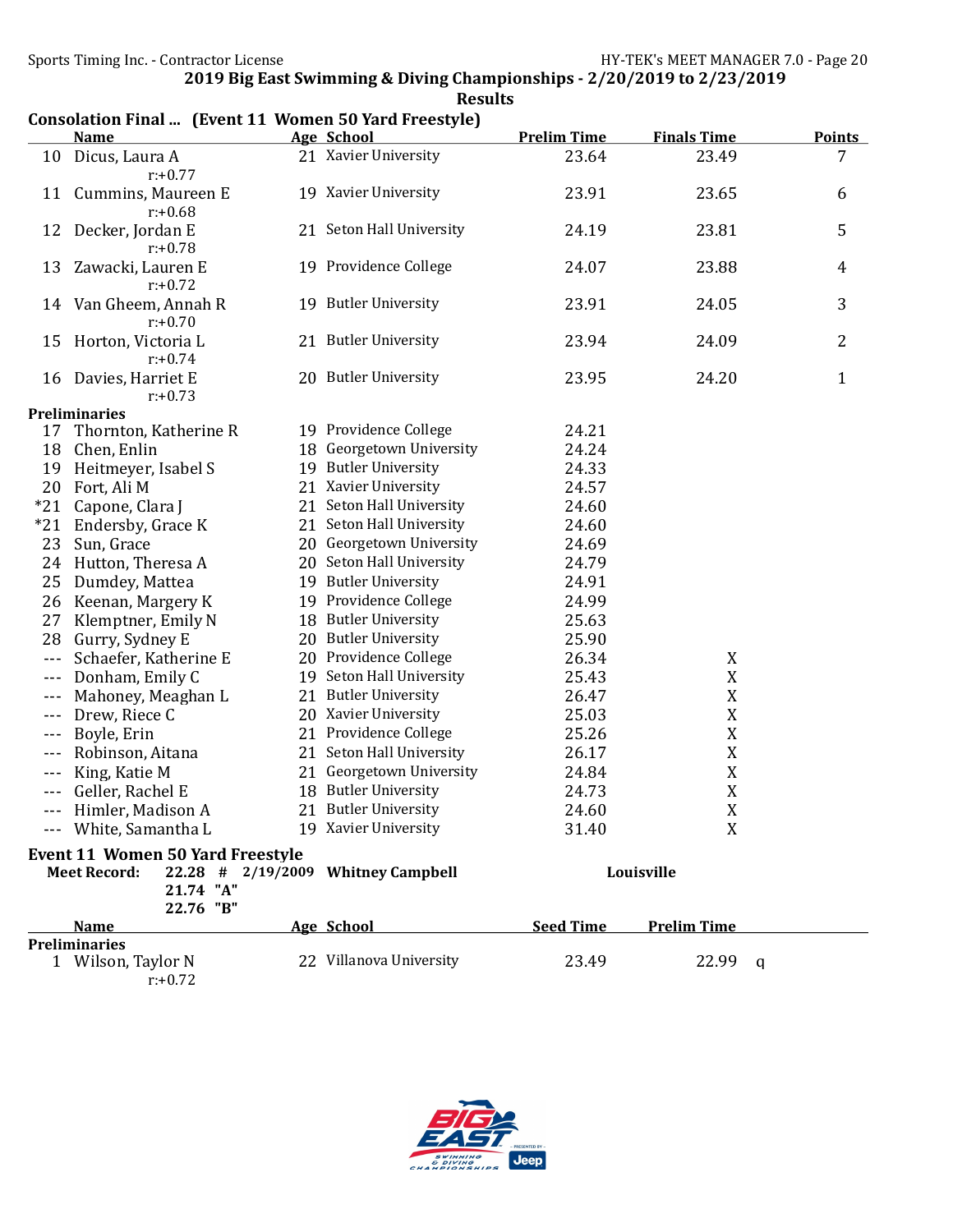|                      | $\alpha$ consultation final  The fit is a women by far a free style<br><u>Name</u> | <b>Age School</b>                  | <b>Prelim Time</b> | <b>Finals Time</b> | <b>Points</b>  |
|----------------------|------------------------------------------------------------------------------------|------------------------------------|--------------------|--------------------|----------------|
| 10                   | Dicus, Laura A                                                                     | 21 Xavier University               | 23.64              | 23.49              | 7              |
|                      | $r: +0.77$                                                                         |                                    |                    |                    |                |
| 11                   | Cummins, Maureen E                                                                 | 19 Xavier University               | 23.91              | 23.65              | 6              |
|                      | $r: +0.68$                                                                         |                                    |                    |                    |                |
| 12                   | Decker, Jordan E                                                                   | 21 Seton Hall University           | 24.19              | 23.81              | 5              |
|                      | $r: +0.78$                                                                         |                                    |                    |                    |                |
| 13                   | Zawacki, Lauren E                                                                  | 19 Providence College              | 24.07              | 23.88              | $\overline{4}$ |
|                      | $r: +0.72$                                                                         |                                    |                    |                    |                |
| 14                   | Van Gheem, Annah R                                                                 | 19 Butler University               | 23.91              | 24.05              | 3              |
|                      | $r: +0.70$                                                                         |                                    |                    |                    |                |
| 15                   | Horton, Victoria L                                                                 | 21 Butler University               | 23.94              | 24.09              | $\overline{2}$ |
|                      | $r: +0.74$                                                                         |                                    |                    |                    |                |
| 16                   | Davies, Harriet E                                                                  | 20 Butler University               | 23.95              | 24.20              | $\mathbf{1}$   |
|                      | $r: +0.73$                                                                         |                                    |                    |                    |                |
|                      | <b>Preliminaries</b>                                                               |                                    |                    |                    |                |
| 17                   | Thornton, Katherine R                                                              | 19 Providence College              | 24.21              |                    |                |
| 18                   | Chen, Enlin                                                                        | 18 Georgetown University           | 24.24              |                    |                |
| 19                   | Heitmeyer, Isabel S                                                                | 19 Butler University               | 24.33              |                    |                |
| 20                   | Fort, Ali M                                                                        | 21 Xavier University               | 24.57              |                    |                |
| $*21$                | Capone, Clara J                                                                    | 21 Seton Hall University           | 24.60              |                    |                |
| $*21$                | Endersby, Grace K                                                                  | 21 Seton Hall University           | 24.60              |                    |                |
| 23                   | Sun, Grace                                                                         | 20 Georgetown University           | 24.69              |                    |                |
| 24                   | Hutton, Theresa A                                                                  | 20 Seton Hall University           | 24.79              |                    |                |
| 25                   | Dumdey, Mattea                                                                     | 19 Butler University               | 24.91              |                    |                |
| 26                   | Keenan, Margery K                                                                  | 19 Providence College              | 24.99              |                    |                |
| 27                   | Klemptner, Emily N                                                                 | 18 Butler University               | 25.63              |                    |                |
| 28                   | Gurry, Sydney E                                                                    | 20 Butler University               | 25.90              |                    |                |
| $\sim$ $\sim$ $\sim$ | Schaefer, Katherine E                                                              | 20 Providence College              | 26.34              | X                  |                |
| $- - -$              | Donham, Emily C                                                                    | 19 Seton Hall University           | 25.43              | X                  |                |
| $- - -$              | Mahoney, Meaghan L                                                                 | 21 Butler University               | 26.47              | X                  |                |
| $- - -$              | Drew, Riece C                                                                      | 20 Xavier University               | 25.03              | X                  |                |
| $- - -$              | Boyle, Erin                                                                        | 21 Providence College              | 25.26              | X                  |                |
| $---$                | Robinson, Aitana                                                                   | 21 Seton Hall University           | 26.17              | X                  |                |
| $- - -$              | King, Katie M                                                                      | 21 Georgetown University           | 24.84              | $\mathbf X$        |                |
| $- - -$              | Geller, Rachel E                                                                   | 18 Butler University               | 24.73              | $\mathbf X$        |                |
| ---                  | Himler, Madison A                                                                  | 21 Butler University               | 24.60              | $\mathbf X$        |                |
|                      | --- White, Samantha L                                                              | 19 Xavier University               | 31.40              | X                  |                |
|                      |                                                                                    |                                    |                    |                    |                |
|                      | <b>Event 11 Women 50 Yard Freestyle</b>                                            |                                    |                    |                    |                |
|                      | <b>Meet Record:</b>                                                                | 22.28 # 2/19/2009 Whitney Campbell |                    | Louisville         |                |
|                      | 21.74 "A"<br>22.76 "B"                                                             |                                    |                    |                    |                |
|                      | <b>Name</b>                                                                        | Age School                         | <b>Seed Time</b>   | <b>Prelim Time</b> |                |
|                      | <b>Preliminaries</b>                                                               |                                    |                    |                    |                |
|                      | 1 Wilson, Taylor N                                                                 | 22 Villanova University            | 23.49              | 22.99              | q              |
|                      | $r: +0.72$                                                                         |                                    |                    |                    |                |

# Consolation Final ... (Event 11 Women 50 Yard Freestyle)

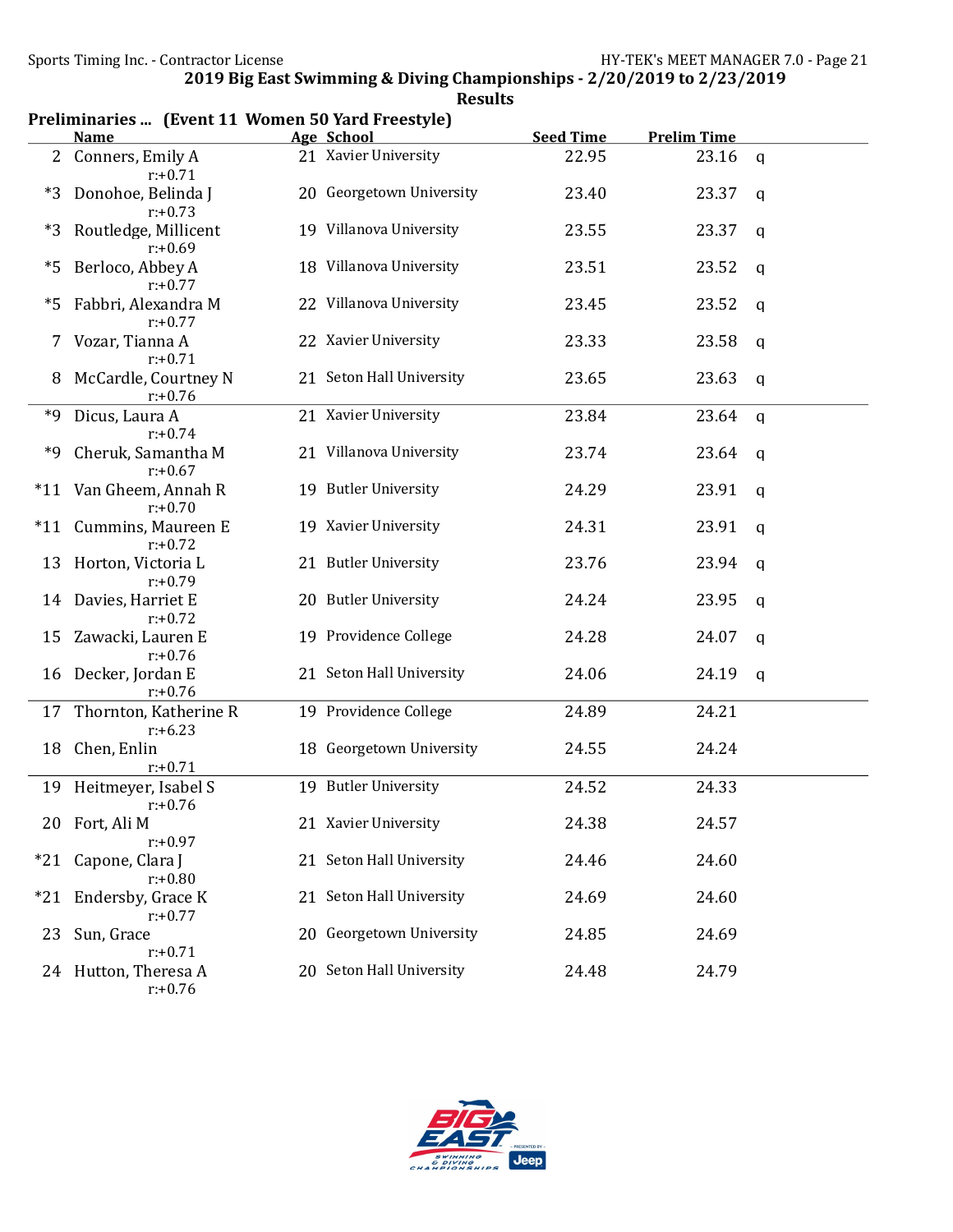|       | лісэ… темене іг монісн эр тага песэсуют<br><u>Name</u> | Age School               | <b>Seed Time</b> | <b>Prelim Time</b> |             |
|-------|--------------------------------------------------------|--------------------------|------------------|--------------------|-------------|
|       | 2 Conners, Emily A<br>$r: +0.71$                       | 21 Xavier University     | 22.95            | 23.16              | q           |
| $*3$  | Donohoe, Belinda J<br>$r: +0.73$                       | 20 Georgetown University | 23.40            | 23.37              | a           |
| *3    | Routledge, Millicent<br>$r: +0.69$                     | 19 Villanova University  | 23.55            | 23.37              | a           |
| *5    | Berloco, Abbey A<br>$r: +0.77$                         | 18 Villanova University  | 23.51            | 23.52              | q           |
| *5    | Fabbri, Alexandra M<br>$r: +0.77$                      | 22 Villanova University  | 23.45            | 23.52              | q           |
|       | Vozar, Tianna A<br>$r: +0.71$                          | 22 Xavier University     | 23.33            | 23.58              | q           |
| 8     | McCardle, Courtney N<br>$r: +0.76$                     | 21 Seton Hall University | 23.65            | 23.63              | a           |
| *9    | Dicus, Laura A<br>$r: +0.74$                           | 21 Xavier University     | 23.84            | 23.64              | $\mathbf q$ |
| *9    | Cheruk, Samantha M<br>$r: +0.67$                       | 21 Villanova University  | 23.74            | 23.64              | a           |
| $*11$ | Van Gheem, Annah R<br>$r: +0.70$                       | 19 Butler University     | 24.29            | 23.91              | q           |
| $*11$ | Cummins, Maureen E<br>$r: +0.72$                       | 19 Xavier University     | 24.31            | 23.91              | q           |
| 13    | Horton, Victoria L<br>$r: +0.79$                       | 21 Butler University     | 23.76            | 23.94              | q           |
| 14    | Davies, Harriet E<br>$r: +0.72$                        | 20 Butler University     | 24.24            | 23.95              | q           |
| 15    | Zawacki, Lauren E<br>$r: +0.76$                        | 19 Providence College    | 24.28            | 24.07              | a           |
| 16    | Decker, Jordan E<br>$r: +0.76$                         | 21 Seton Hall University | 24.06            | 24.19              | $\mathbf q$ |
| 17    | Thornton, Katherine R<br>$r: +6.23$                    | 19 Providence College    | 24.89            | 24.21              |             |
| 18    | Chen, Enlin<br>$r: +0.71$                              | 18 Georgetown University | 24.55            | 24.24              |             |
| 19    | Heitmeyer, Isabel S<br>$r: +0.76$                      | 19 Butler University     | 24.52            | 24.33              |             |
|       | 20 Fort, Ali M<br>$r: +0.97$                           | 21 Xavier University     | 24.38            | 24.57              |             |
| $*21$ | Capone, Clara J<br>$r: +0.80$                          | 21 Seton Hall University | 24.46            | 24.60              |             |
| $*21$ | Endersby, Grace K<br>$r: +0.77$                        | 21 Seton Hall University | 24.69            | 24.60              |             |
| 23    | Sun, Grace<br>$r: +0.71$                               | 20 Georgetown University | 24.85            | 24.69              |             |
|       | 24 Hutton, Theresa A<br>$r: +0.76$                     | 20 Seton Hall University | 24.48            | 24.79              |             |

## Results Preliminaries ... (Event 11 Women 50 Yard Freestyle)

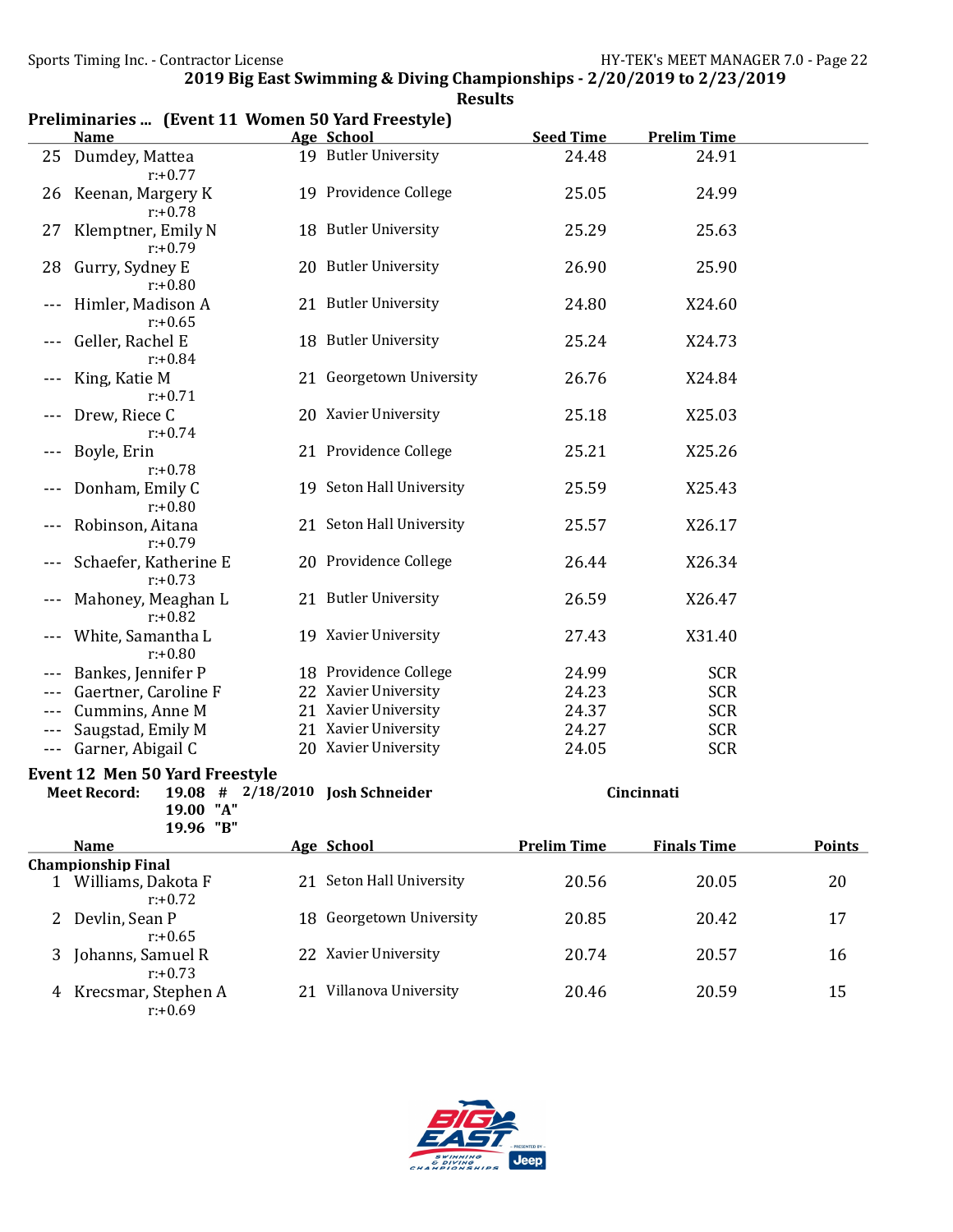|         | Prendinaries  (Event 11 women 50 rard Freestyle)<br><u>Name</u> | Age School               | <b>Seed Time</b>   | <b>Prelim Time</b> |               |
|---------|-----------------------------------------------------------------|--------------------------|--------------------|--------------------|---------------|
|         | 25 Dumdey, Mattea                                               | 19 Butler University     | 24.48              | 24.91              |               |
|         | $r: +0.77$                                                      |                          |                    |                    |               |
|         | 26 Keenan, Margery K<br>$r: +0.78$                              | 19 Providence College    | 25.05              | 24.99              |               |
| 27      | Klemptner, Emily N<br>$r: +0.79$                                | 18 Butler University     | 25.29              | 25.63              |               |
| 28      | Gurry, Sydney E<br>$r: +0.80$                                   | 20 Butler University     | 26.90              | 25.90              |               |
| $---$   | Himler, Madison A<br>$r: +0.65$                                 | 21 Butler University     | 24.80              | X24.60             |               |
| $---$   | Geller, Rachel E<br>$r: +0.84$                                  | 18 Butler University     | 25.24              | X24.73             |               |
| $---$   | King, Katie M<br>$r: +0.71$                                     | 21 Georgetown University | 26.76              | X24.84             |               |
|         | Drew, Riece C<br>$r: +0.74$                                     | 20 Xavier University     | 25.18              | X25.03             |               |
|         | Boyle, Erin<br>$r: +0.78$                                       | 21 Providence College    | 25.21              | X25.26             |               |
| ---     | Donham, Emily C<br>$r: +0.80$                                   | 19 Seton Hall University | 25.59              | X25.43             |               |
| $---$   | Robinson, Aitana<br>$r: +0.79$                                  | 21 Seton Hall University | 25.57              | X26.17             |               |
| $---$   | Schaefer, Katherine E<br>$r: +0.73$                             | 20 Providence College    | 26.44              | X26.34             |               |
|         | Mahoney, Meaghan L<br>$r: +0.82$                                | 21 Butler University     | 26.59              | X26.47             |               |
|         | White, Samantha L<br>$r: +0.80$                                 | 19 Xavier University     | 27.43              | X31.40             |               |
|         | Bankes, Jennifer P                                              | 18 Providence College    | 24.99              | <b>SCR</b>         |               |
|         | Gaertner, Caroline F                                            | 22 Xavier University     | 24.23              | <b>SCR</b>         |               |
| ---     | Cummins, Anne M                                                 | 21 Xavier University     | 24.37              | <b>SCR</b>         |               |
|         | Saugstad, Emily M                                               | 21 Xavier University     | 24.27              | <b>SCR</b>         |               |
| $- - -$ | Garner, Abigail C                                               | 20 Xavier University     | 24.05              | <b>SCR</b>         |               |
|         | <b>Event 12 Men 50 Yard Freestyle</b>                           |                          |                    |                    |               |
|         | $19.08$ # 2/18/2010<br><b>Meet Record:</b>                      | <b>Josh Schneider</b>    |                    | Cincinnati         |               |
|         | 19.00 "A"                                                       |                          |                    |                    |               |
|         | 19.96 "B"                                                       |                          |                    |                    |               |
|         | <b>Name</b>                                                     | Age School               | <b>Prelim Time</b> | <b>Finals Time</b> | <b>Points</b> |
|         | <b>Championship Final</b>                                       |                          |                    |                    |               |
|         | 1 Williams, Dakota F<br>$r: +0.72$                              | 21 Seton Hall University | 20.56              | 20.05              | 20            |
| 2       | Devlin, Sean P<br>$r: +0.65$                                    | 18 Georgetown University | 20.85              | 20.42              | 17            |
| 3       | Johanns, Samuel R<br>$r: +0.73$                                 | 22 Xavier University     | 20.74              | 20.57              | 16            |
| 4       | Krecsmar, Stephen A<br>$r: +0.69$                               | 21 Villanova University  | 20.46              | 20.59              | 15            |



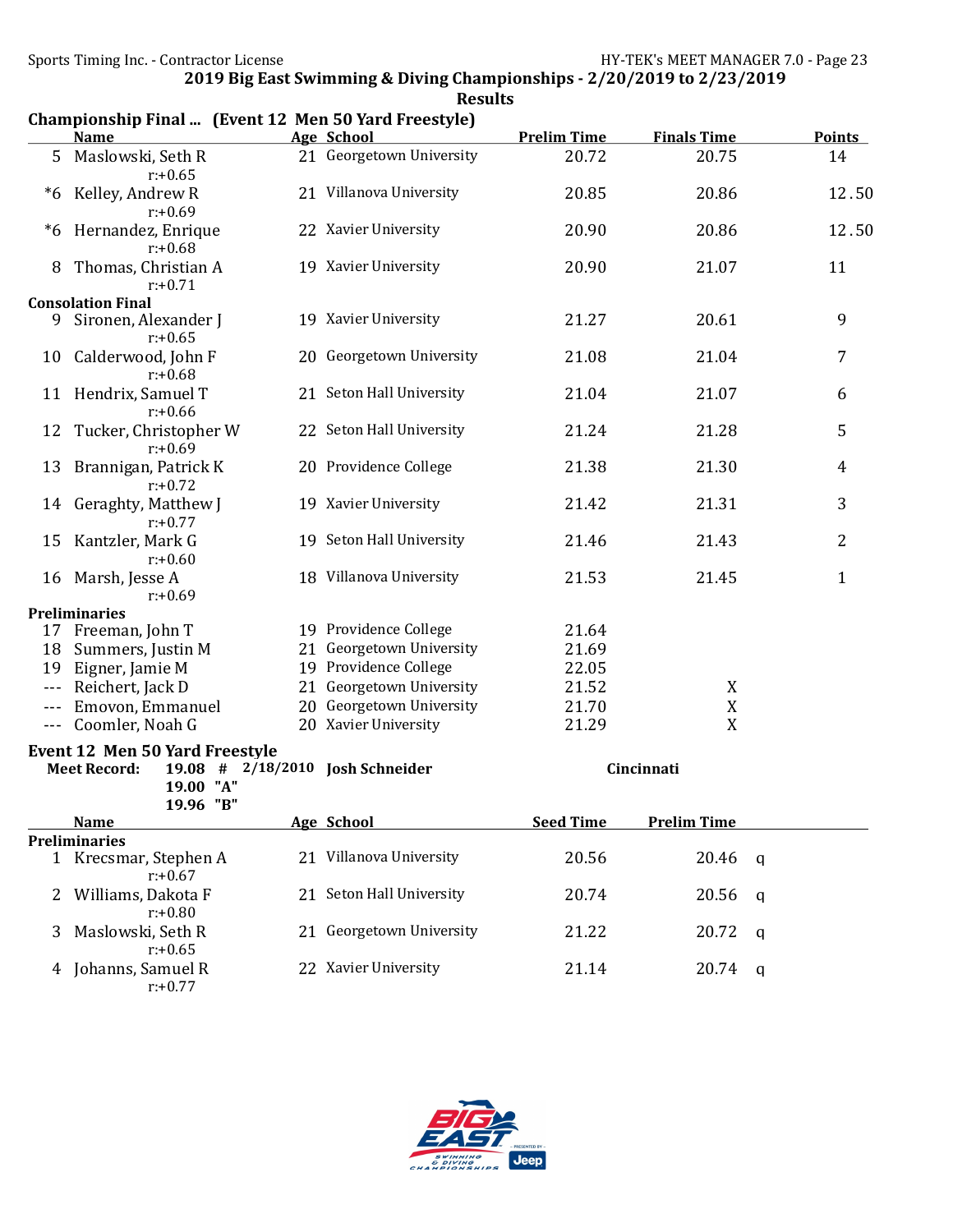|                                                                                                  | Championship Final  (Event 12 Men 50 Yard Freestyle)<br><b>Name</b> | Age School               | <b>Prelim Time</b> | <b>Finals Time</b> | <b>Points</b>  |
|--------------------------------------------------------------------------------------------------|---------------------------------------------------------------------|--------------------------|--------------------|--------------------|----------------|
| 5 <sup>1</sup>                                                                                   | Maslowski, Seth R<br>$r: +0.65$                                     | 21 Georgetown University | 20.72              | 20.75              | 14             |
| $^*6$                                                                                            | Kelley, Andrew R<br>$r: +0.69$                                      | 21 Villanova University  | 20.85              | 20.86              | 12.50          |
| *6                                                                                               | Hernandez, Enrique<br>$r: +0.68$                                    | 22 Xavier University     | 20.90              | 20.86              | 12.50          |
| 8                                                                                                | Thomas, Christian A<br>$r: +0.71$                                   | 19 Xavier University     | 20.90              | 21.07              | 11             |
|                                                                                                  | <b>Consolation Final</b>                                            |                          |                    |                    |                |
| 9                                                                                                | Sironen, Alexander J<br>$r: +0.65$                                  | 19 Xavier University     | 21.27              | 20.61              | 9              |
|                                                                                                  | 10 Calderwood, John F<br>$r: +0.68$                                 | 20 Georgetown University | 21.08              | 21.04              | $\overline{7}$ |
|                                                                                                  | 11 Hendrix, Samuel T<br>$r: +0.66$                                  | 21 Seton Hall University | 21.04              | 21.07              | 6              |
| 12                                                                                               | Tucker, Christopher W<br>$r: +0.69$                                 | 22 Seton Hall University | 21.24              | 21.28              | 5              |
|                                                                                                  | 13 Brannigan, Patrick K<br>$r: +0.72$                               | 20 Providence College    | 21.38              | 21.30              | $\overline{4}$ |
| 14                                                                                               | Geraghty, Matthew J<br>$r: +0.77$                                   | 19 Xavier University     | 21.42              | 21.31              | 3              |
| 15                                                                                               | Kantzler, Mark G<br>$r: +0.60$                                      | 19 Seton Hall University | 21.46              | 21.43              | $\overline{2}$ |
|                                                                                                  | 16 Marsh, Jesse A<br>$r: +0.69$                                     | 18 Villanova University  | 21.53              | 21.45              | $\mathbf{1}$   |
|                                                                                                  | <b>Preliminaries</b>                                                |                          |                    |                    |                |
|                                                                                                  | 17 Freeman, John T                                                  | 19 Providence College    | 21.64              |                    |                |
| 18                                                                                               | Summers, Justin M                                                   | 21 Georgetown University | 21.69              |                    |                |
| 19                                                                                               | Eigner, Jamie M                                                     | 19 Providence College    | 22.05              |                    |                |
| $- - -$                                                                                          | Reichert, Jack D                                                    | 21 Georgetown University | 21.52              | X                  |                |
| $---$                                                                                            | Emovon, Emmanuel                                                    | 20 Georgetown University | 21.70              | $\mathbf X$        |                |
| $\qquad \qquad - -$                                                                              | Coomler, Noah G                                                     | 20 Xavier University     | 21.29              | X                  |                |
| <b>Event 12 Men 50 Yard Freestyle</b><br>$19.08$ # 2/18/2010<br><b>Meet Record:</b><br>19.00 "A" |                                                                     | <b>Josh Schneider</b>    |                    | Cincinnati         |                |
|                                                                                                  | 19.96 "B"                                                           |                          |                    |                    |                |
|                                                                                                  | <b>Name</b>                                                         | Age School               | <b>Seed Time</b>   | <b>Prelim Time</b> |                |
|                                                                                                  | <b>Preliminaries</b><br>1 Krecsmar, Stephen A<br>$r: +0.67$         | 21 Villanova University  | 20.56              | 20.46              | a              |
| 2                                                                                                | Williams, Dakota F<br>$r: +0.80$                                    | 21 Seton Hall University | 20.74              | 20.56              | q              |
| 3                                                                                                | Maslowski, Seth R<br>$r: +0.65$                                     | 21 Georgetown University | 21.22              | 20.72              | q              |
| 4                                                                                                | Johanns, Samuel R<br>$r: +0.77$                                     | 22 Xavier University     | 21.14              | 20.74              | q              |

## Results Championship Final ... (Event 12 Men 50 Yord Freestyle)

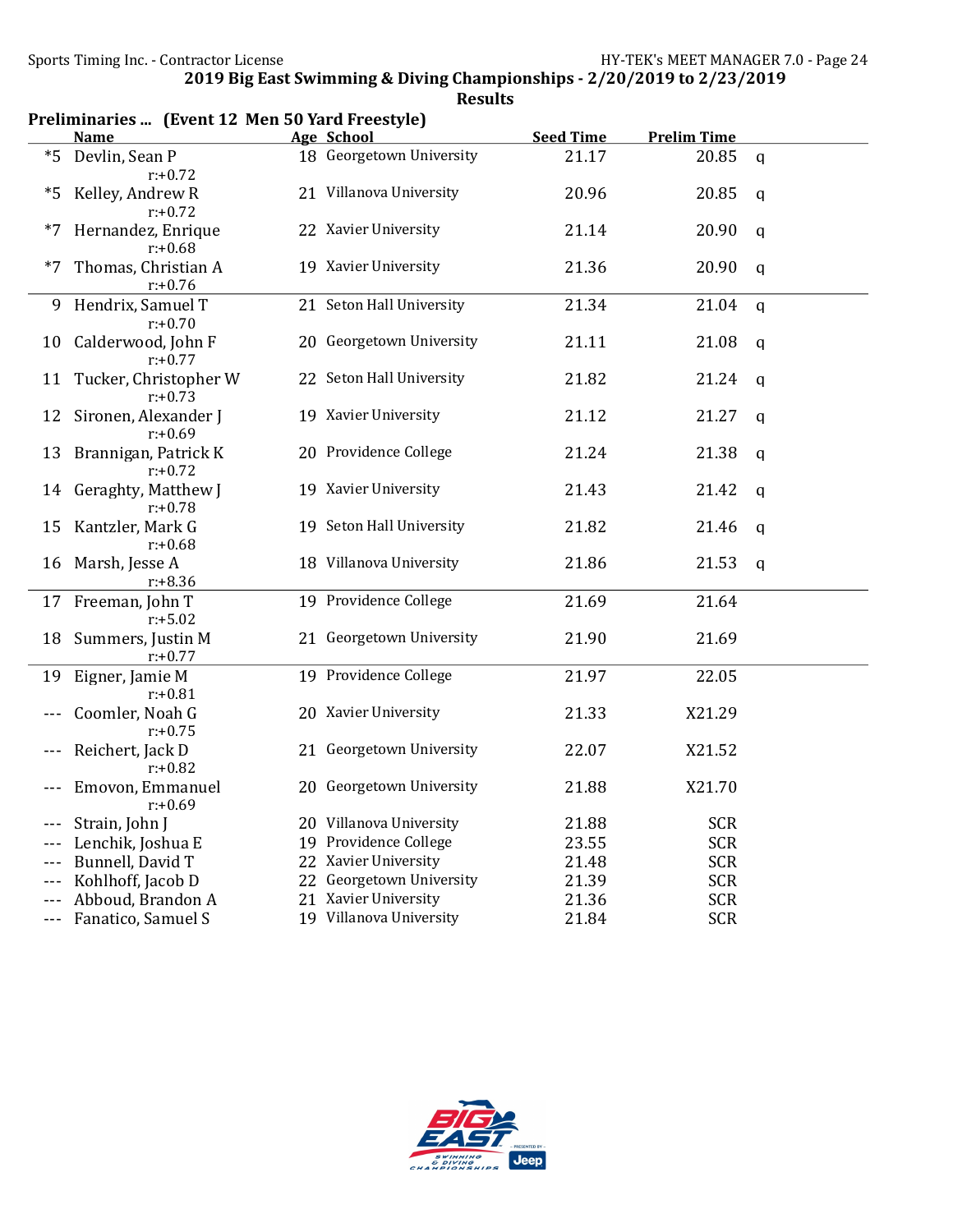|         | Preliminaries  (Event 12 Men 50 Yard Freestyle)<br><b>Name</b> | <b>Prelim Time</b> |                                               |                           |                          |              |
|---------|----------------------------------------------------------------|--------------------|-----------------------------------------------|---------------------------|--------------------------|--------------|
| $*5$    | Devlin, Sean P                                                 |                    | Age School<br>18 Georgetown University        | <b>Seed Time</b><br>21.17 | 20.85                    | $\mathbf q$  |
|         | $r: +0.72$                                                     |                    |                                               |                           |                          |              |
| *5      | Kelley, Andrew R                                               |                    | 21 Villanova University                       | 20.96                     | 20.85                    | q            |
|         | $r: +0.72$                                                     |                    |                                               |                           |                          |              |
| $*7$    | Hernandez, Enrique                                             |                    | 22 Xavier University                          | 21.14                     | 20.90                    | q            |
|         | $r: +0.68$                                                     |                    |                                               |                           |                          |              |
| $*7$    | Thomas, Christian A                                            |                    | 19 Xavier University                          | 21.36                     | 20.90                    | q            |
|         | $r: +0.76$                                                     |                    |                                               |                           |                          |              |
| 9       | Hendrix, Samuel T                                              |                    | 21 Seton Hall University                      | 21.34                     | 21.04                    | $\mathsf{q}$ |
|         | $r: +0.70$                                                     |                    | 20 Georgetown University                      |                           |                          |              |
| 10      | Calderwood, John F<br>$r: +0.77$                               |                    |                                               | 21.11                     | 21.08                    | q            |
| 11      | Tucker, Christopher W                                          |                    | 22 Seton Hall University                      | 21.82                     | 21.24                    | a            |
|         | $r: +0.73$                                                     |                    |                                               |                           |                          |              |
| 12      | Sironen, Alexander J                                           |                    | 19 Xavier University                          | 21.12                     | 21.27                    | $\mathsf{q}$ |
|         | $r: +0.69$                                                     |                    |                                               |                           |                          |              |
| 13      | Brannigan, Patrick K                                           |                    | 20 Providence College                         | 21.24                     | 21.38                    | q            |
|         | $r: +0.72$                                                     |                    |                                               |                           |                          |              |
| 14      | Geraghty, Matthew J                                            |                    | 19 Xavier University                          | 21.43                     | 21.42                    | q            |
|         | $r: +0.78$                                                     |                    |                                               |                           |                          |              |
| 15      | Kantzler, Mark G                                               |                    | 19 Seton Hall University                      | 21.82                     | 21.46                    | q            |
|         | $r: +0.68$                                                     |                    | 18 Villanova University                       |                           |                          |              |
| 16      | Marsh, Jesse A<br>$r: +8.36$                                   |                    |                                               | 21.86                     | 21.53                    | $\mathsf{q}$ |
| 17      | Freeman, John T                                                |                    | 19 Providence College                         | 21.69                     | 21.64                    |              |
|         | $r: +5.02$                                                     |                    |                                               |                           |                          |              |
| 18      | Summers, Justin M                                              |                    | 21 Georgetown University                      | 21.90                     | 21.69                    |              |
|         | $r: +0.77$                                                     |                    |                                               |                           |                          |              |
| 19      | Eigner, Jamie M                                                |                    | 19 Providence College                         | 21.97                     | 22.05                    |              |
|         | $r: +0.81$                                                     |                    |                                               |                           |                          |              |
|         | Coomler, Noah G                                                |                    | 20 Xavier University                          | 21.33                     | X21.29                   |              |
|         | $r: +0.75$                                                     |                    |                                               |                           |                          |              |
|         | Reichert, Jack D                                               |                    | 21 Georgetown University                      | 22.07                     | X21.52                   |              |
|         | $r: +0.82$                                                     |                    |                                               |                           |                          |              |
|         | Emovon, Emmanuel                                               |                    | 20 Georgetown University                      | 21.88                     | X21.70                   |              |
|         | $r: +0.69$                                                     |                    |                                               |                           |                          |              |
|         | Strain, John J                                                 |                    | 20 Villanova University                       | 21.88                     | <b>SCR</b>               |              |
| $---$   | Lenchik, Joshua E                                              |                    | 19 Providence College                         | 23.55                     | <b>SCR</b>               |              |
| $---$   | Bunnell, David T                                               |                    | 22 Xavier University<br>Georgetown University | 21.48                     | <b>SCR</b>               |              |
| $---$   | Kohlhoff, Jacob D<br>Abboud, Brandon A                         | 22                 | 21 Xavier University                          | 21.39<br>21.36            | <b>SCR</b><br><b>SCR</b> |              |
| $---$   | Fanatico, Samuel S                                             |                    | 19 Villanova University                       | 21.84                     | <b>SCR</b>               |              |
| $- - -$ |                                                                |                    |                                               |                           |                          |              |



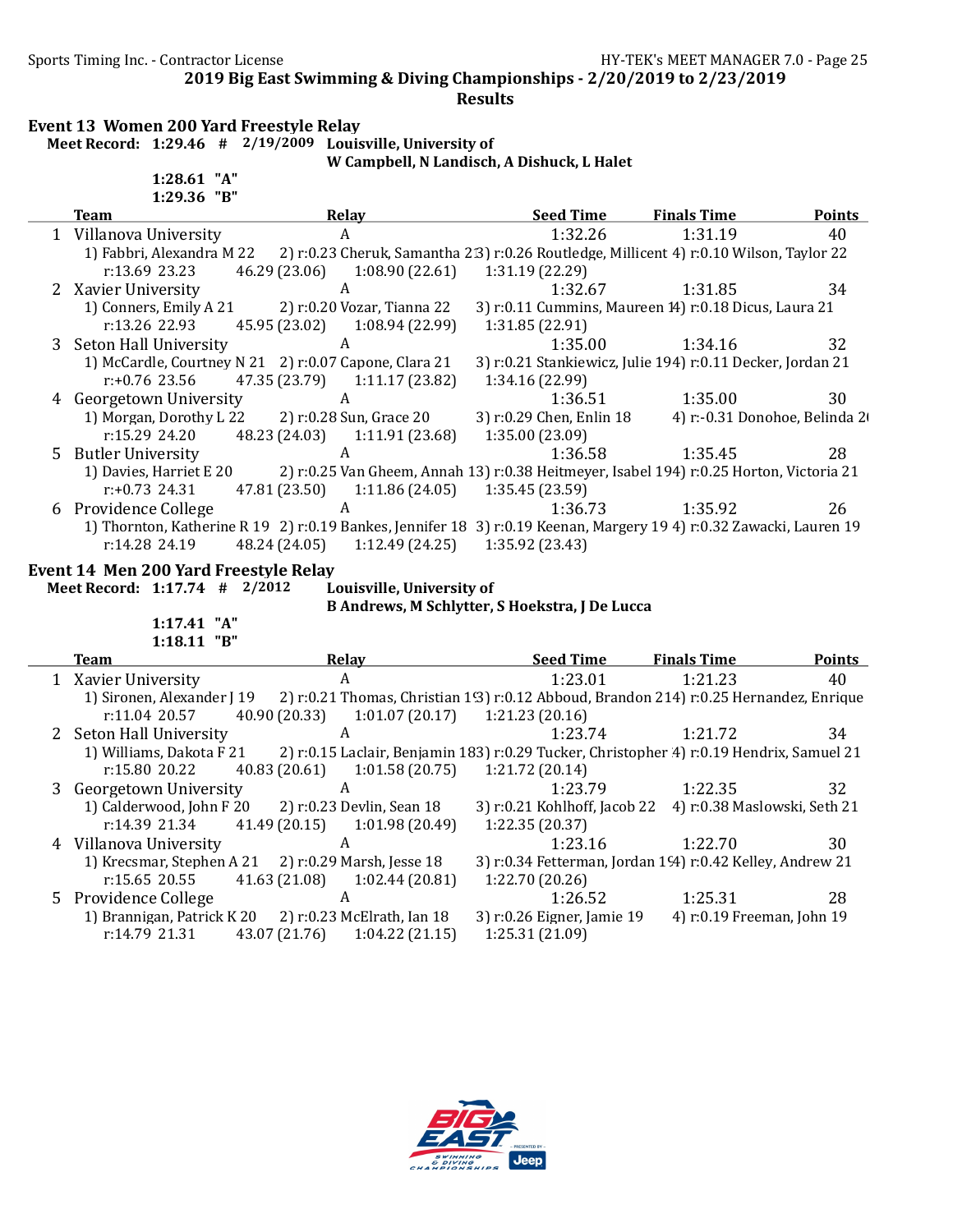Sports Timing Inc. - Contractor License Germany Sports Timing Inc. - Contractor License

2019 Big East Swimming & Diving Championships - 2/20/2019 to 2/23/2019

### Results

### Event 13 Women 200 Yard Freestyle Relay Meet Record: 1:29.46 # 2/19/2009 Louisville, University of

1:28.61 "A"

W Campbell, N Landisch, A Dishuck, L Halet

| 1:29.36 "B"                                         |                                                                                                                                                        |                                                                               |                               |               |
|-----------------------------------------------------|--------------------------------------------------------------------------------------------------------------------------------------------------------|-------------------------------------------------------------------------------|-------------------------------|---------------|
| <b>Team</b>                                         | Relay                                                                                                                                                  | <b>Seed Time</b>                                                              | <b>Finals Time</b>            | <b>Points</b> |
| 1 Villanova University                              | $\mathbf{A}$                                                                                                                                           | 1:32.26                                                                       | 1:31.19                       | 40            |
| 1) Fabbri, Alexandra M 22<br>r:13.69 23.23          | 2) r:0.23 Cheruk, Samantha 2.3) r:0.26 Routledge, Millicent 4) r:0.10 Wilson, Taylor 22<br>46.29 (23.06)<br>1:08.90(22.61)                             | 1:31.19 (22.29)                                                               |                               |               |
| 2 Xavier University                                 | $\boldsymbol{A}$                                                                                                                                       | 1:32.67                                                                       | 1:31.85                       | 34            |
| 1) Conners, Emily A 21<br>r:13.26 22.93             | 2) r:0.20 Vozar, Tianna 22<br>1:08.94 (22.99)<br>45.95 (23.02)                                                                                         | 3) r:0.11 Cummins, Maureen 14) r:0.18 Dicus, Laura 21<br>1:31.85 (22.91)      |                               |               |
| 3 Seton Hall University                             | A                                                                                                                                                      | 1:35.00                                                                       | 1:34.16                       | 32            |
| $r: +0.76$ 23.56                                    | 1) McCardle, Courtney N 21 2) r:0.07 Capone, Clara 21<br>47.35 (23.79)<br>1:11.17 (23.82)                                                              | 3) r:0.21 Stankiewicz, Julie 194) r:0.11 Decker, Jordan 21<br>1:34.16 (22.99) |                               |               |
| 4 Georgetown University                             | A                                                                                                                                                      | 1:36.51                                                                       | 1:35.00                       | 30            |
| 1) Morgan, Dorothy L 22<br>r:15.29 24.20            | 2) r:0.28 Sun, Grace 20<br>48.23 (24.03) 1:11.91 (23.68)                                                                                               | 3) r:0.29 Chen, Enlin 18<br>1:35.00 (23.09)                                   | 4) r:-0.31 Donohoe, Belinda 2 |               |
| 5 Butler University                                 | A                                                                                                                                                      | 1:36.58                                                                       | 1:35.45                       | 28            |
| 1) Davies, Harriet E 20<br>$r: +0.73$ 24.31         | 2) r:0.25 Van Gheem, Annah 13) r:0.38 Heitmeyer, Isabel 194) r:0.25 Horton, Victoria 21<br>47.81 (23.50)<br>1:11.86(24.05)                             | 1:35.45 (23.59)                                                               |                               |               |
| 6 Providence College                                | $\boldsymbol{A}$                                                                                                                                       | 1:36.73                                                                       | 1:35.92                       | 26            |
| r:14.28 24.19                                       | 1) Thornton, Katherine R 19 2) r:0.19 Bankes, Jennifer 18 3) r:0.19 Keenan, Margery 19 4) r:0.32 Zawacki, Lauren 19<br>48.24 (24.05)<br>1:12.49(24.25) | 1:35.92 (23.43)                                                               |                               |               |
| <b>Event 14 Men 200 Yard Freestyle Relay</b>        |                                                                                                                                                        |                                                                               |                               |               |
| Meet Record: 1:17.74 # 2/2012                       | Louisville, University of                                                                                                                              |                                                                               |                               |               |
|                                                     |                                                                                                                                                        | B Andrews, M Schlytter, S Hoekstra, J De Lucca                                |                               |               |
| 1:17.41 "A"                                         |                                                                                                                                                        |                                                                               |                               |               |
| 1:18.11 "B"                                         |                                                                                                                                                        |                                                                               |                               |               |
| <b>Team</b>                                         | Relay                                                                                                                                                  | <b>Seed Time</b>                                                              | <b>Finals Time</b>            | <b>Points</b> |
| 1 Xavier University                                 | A                                                                                                                                                      | 1:23.01                                                                       | 1:21.23                       | 40            |
| 1) Sironen, Alexander J 19<br>r:11.04 20.57         | 2) r:0.21 Thomas, Christian 193) r:0.12 Abboud, Brandon 214) r:0.25 Hernandez, Enrique                                                                 |                                                                               |                               |               |
|                                                     | 40.90 (20.33)<br>1:01.07(20.17)<br>$\mathbf{A}$                                                                                                        | 1:21.23(20.16)<br>1:23.74                                                     | 1:21.72                       | 34            |
| 2 Seton Hall University<br>1) Williams, Dakota F 21 | 2) r:0.15 Laclair, Benjamin 183) r:0.29 Tucker, Christopher 4) r:0.19 Hendrix, Samuel 21                                                               |                                                                               |                               |               |
| r:15.80 20.22                                       | 40.83 (20.61)<br>1:01.58(20.75)                                                                                                                        | 1:21.72 (20.14)                                                               |                               |               |
| 3 Georgetown University                             | $\boldsymbol{A}$                                                                                                                                       | 1:23.79                                                                       | 1:22.35                       | 32            |
| 1) Calderwood, John F 20                            | 2) r:0.23 Devlin, Sean 18                                                                                                                              | 3) r:0.21 Kohlhoff, Jacob 22 4) r:0.38 Maslowski, Seth 21                     |                               |               |
| r:14.39 21.34                                       | 41.49 (20.15)<br>1:01.98 (20.49)                                                                                                                       | 1:22.35 (20.37)                                                               |                               |               |
| 4 Villanova University                              | A                                                                                                                                                      | 1:23.16                                                                       | 1:22.70                       | 30            |
| 1) Krecsmar, Stephen A 21                           | 2) r:0.29 Marsh, Jesse 18                                                                                                                              | 3) r:0.34 Fetterman, Jordan 14) r:0.42 Kelley, Andrew 21                      |                               |               |
| r:15.65 20.55                                       | 41.63 (21.08)<br>1:02.44(20.81)                                                                                                                        | 1:22.70 (20.26)                                                               |                               |               |
| 5 Providence College                                | A                                                                                                                                                      | 1:26.52                                                                       | 1:25.31                       | 28            |
| 1) Brannigan, Patrick K 20<br>r:14.79 21.31         | 2) r:0.23 McElrath, Ian 18<br>43.07 (21.76)<br>1:04.22(21.15)                                                                                          | 3) r:0.26 Eigner, Jamie 19<br>1:25.31 (21.09)                                 | 4) r:0.19 Freeman, John 19    |               |

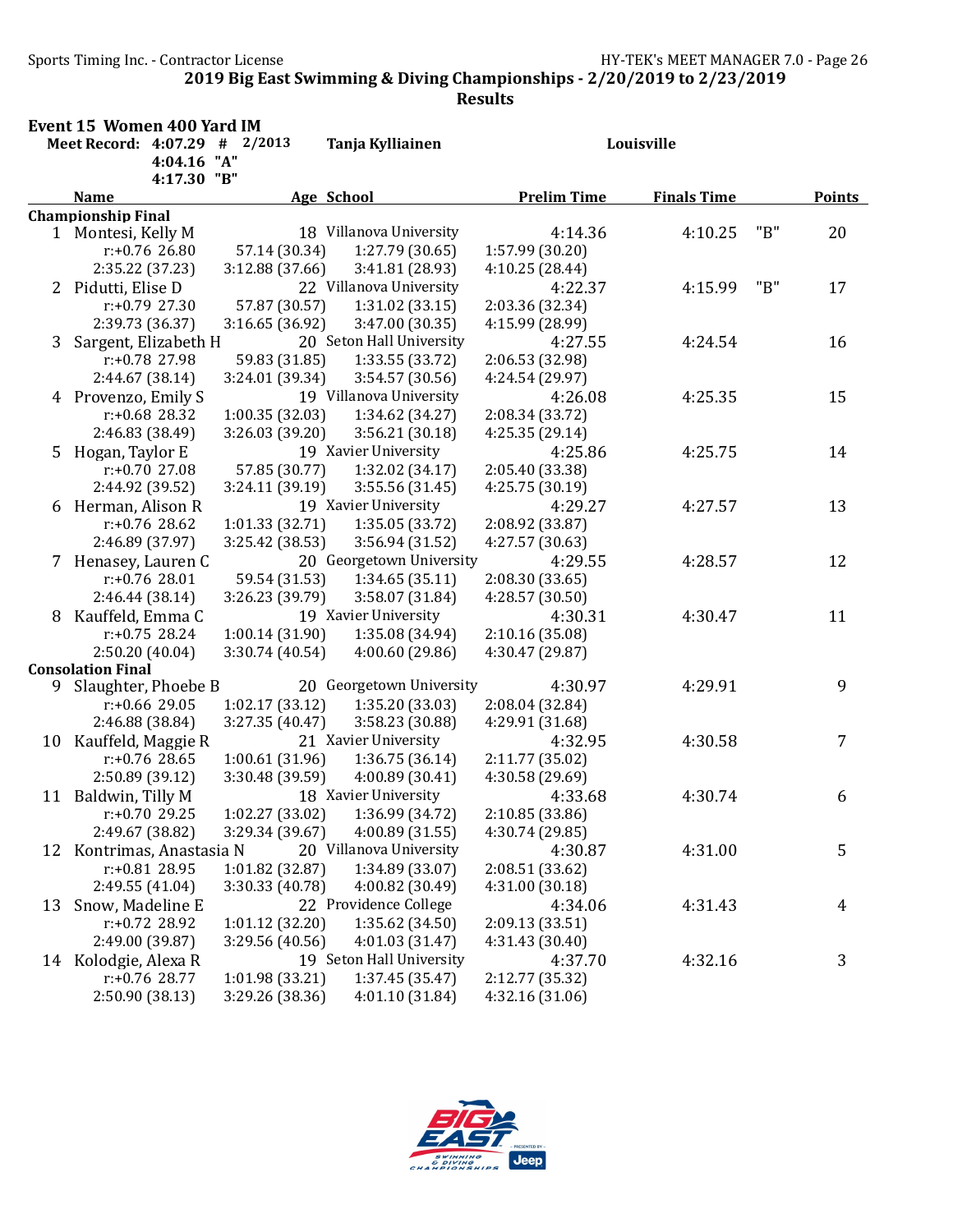Sports Timing Inc. - Contractor License Germany Sports Assembly Pressure HY-TEK's MEET MANAGER 7.0 - Page 26

2019 Big East Swimming & Diving Championships - 2/20/2019 to 2/23/2019

|    | Event 15 Women 400 Yard IM              |                 |                                        |                                    |                    |     |               |  |
|----|-----------------------------------------|-----------------|----------------------------------------|------------------------------------|--------------------|-----|---------------|--|
|    | Meet Record: 4:07.29 # 2/2013           |                 | Tanja Kylliainen                       | Louisville                         |                    |     |               |  |
|    | 4:04.16                                 | "A"             |                                        |                                    |                    |     |               |  |
|    | 4:17.30 "B"                             |                 |                                        |                                    |                    |     |               |  |
|    | <b>Name</b>                             |                 | Age School                             | <b>Prelim Time</b>                 | <b>Finals Time</b> |     | <b>Points</b> |  |
|    | <b>Championship Final</b>               |                 |                                        |                                    |                    |     |               |  |
|    | 1 Montesi, Kelly M                      |                 | 18 Villanova University                | 4:14.36                            | 4:10.25            | "B" | 20            |  |
|    | $r: +0.76$ 26.80                        | 57.14 (30.34)   | 1:27.79 (30.65)                        | 1:57.99 (30.20)                    |                    |     |               |  |
|    | 2:35.22 (37.23)                         | 3:12.88 (37.66) | 3:41.81 (28.93)                        | 4:10.25 (28.44)                    |                    |     |               |  |
|    | 2 Pidutti, Elise D                      |                 | 22 Villanova University                | 4:22.37                            | 4:15.99            | "B" | 17            |  |
|    | $r: +0.79$ 27.30                        | 57.87 (30.57)   | 1:31.02(33.15)                         | 2:03.36 (32.34)                    |                    |     |               |  |
|    | 2:39.73 (36.37)                         | 3:16.65(36.92)  | 3:47.00 (30.35)                        | 4:15.99 (28.99)                    |                    |     |               |  |
| 3  | Sargent, Elizabeth H                    |                 | 20 Seton Hall University               | 4:27.55                            | 4:24.54            |     | 16            |  |
|    | r:+0.78 27.98                           | 59.83 (31.85)   | 1:33.55 (33.72)                        | 2:06.53 (32.98)                    |                    |     |               |  |
|    | 2:44.67 (38.14)                         | 3:24.01 (39.34) | 3:54.57 (30.56)                        | 4:24.54 (29.97)                    |                    |     |               |  |
|    | 4 Provenzo, Emily S<br>$r: +0.68$ 28.32 |                 | 19 Villanova University                | 4:26.08                            | 4:25.35            |     | 15            |  |
|    | 2:46.83 (38.49)                         | 1:00.35(32.03)  | 1:34.62 (34.27)                        | 2:08.34 (33.72)<br>4:25.35(29.14)  |                    |     |               |  |
|    | 5 Hogan, Taylor E                       | 3:26.03 (39.20) | 3:56.21(30.18)<br>19 Xavier University | 4:25.86                            | 4:25.75            |     | 14            |  |
|    | $r: +0.70$ 27.08                        | 57.85 (30.77)   | 1:32.02 (34.17)                        |                                    |                    |     |               |  |
|    | 2:44.92 (39.52)                         | 3:24.11 (39.19) | 3:55.56(31.45)                         | 2:05.40 (33.38)<br>4:25.75 (30.19) |                    |     |               |  |
|    | 6 Herman, Alison R                      |                 | 19 Xavier University                   | 4:29.27                            | 4:27.57            |     | 13            |  |
|    | $r: +0.76$ 28.62                        | 1:01.33(32.71)  | 1:35.05 (33.72)                        | 2:08.92 (33.87)                    |                    |     |               |  |
|    | 2:46.89 (37.97)                         | 3:25.42 (38.53) | 3:56.94 (31.52)                        | 4:27.57 (30.63)                    |                    |     |               |  |
|    | 7 Henasey, Lauren C                     |                 | 20 Georgetown University               | 4:29.55                            | 4:28.57            |     | 12            |  |
|    | $r: +0.76$ 28.01                        | 59.54 (31.53)   | 1:34.65(35.11)                         | 2:08.30 (33.65)                    |                    |     |               |  |
|    | 2:46.44 (38.14)                         | 3:26.23 (39.79) | 3:58.07 (31.84)                        | 4:28.57 (30.50)                    |                    |     |               |  |
| 8  | Kauffeld, Emma C                        |                 | 19 Xavier University                   | 4:30.31                            | 4:30.47            |     | 11            |  |
|    | $r: +0.75$ 28.24                        | 1:00.14(31.90)  | 1:35.08 (34.94)                        | 2:10.16 (35.08)                    |                    |     |               |  |
|    | 2:50.20(40.04)                          | 3:30.74 (40.54) | 4:00.60(29.86)                         | 4:30.47 (29.87)                    |                    |     |               |  |
|    | <b>Consolation Final</b>                |                 |                                        |                                    |                    |     |               |  |
| 9. | Slaughter, Phoebe B                     |                 | 20 Georgetown University               | 4:30.97                            | 4:29.91            |     | 9             |  |
|    | $r: +0.66$ 29.05                        | 1:02.17(33.12)  | 1:35.20 (33.03)                        | 2:08.04 (32.84)                    |                    |     |               |  |
|    | 2:46.88 (38.84)                         | 3:27.35 (40.47) | 3:58.23 (30.88)                        | 4:29.91 (31.68)                    |                    |     |               |  |
| 10 | Kauffeld, Maggie R                      |                 | 21 Xavier University                   | 4:32.95                            | 4:30.58            |     | 7             |  |
|    | $r: +0.76$ 28.65                        | 1:00.61(31.96)  | 1:36.75(36.14)                         | 2:11.77 (35.02)                    |                    |     |               |  |
|    | 2:50.89 (39.12)                         | 3:30.48 (39.59) | 4:00.89 (30.41)                        | 4:30.58 (29.69)                    |                    |     |               |  |
|    | 11 Baldwin, Tilly M                     |                 | 18 Xavier University                   | 4:33.68                            | 4:30.74            |     | 6             |  |
|    | r:+0.70 29.25                           | 1:02.27 (33.02) | 1:36.99 (34.72)                        | 2:10.85 (33.86)                    |                    |     |               |  |
|    | 2:49.67 (38.82)                         | 3:29.34 (39.67) | 4:00.89 (31.55)                        | 4:30.74 (29.85)                    |                    |     |               |  |
| 12 | Kontrimas, Anastasia N                  |                 | 20 Villanova University                | 4:30.87                            | 4:31.00            |     | 5             |  |
|    | $r: +0.81$ 28.95                        | 1:01.82 (32.87) | 1:34.89 (33.07)                        | 2:08.51 (33.62)                    |                    |     |               |  |
|    | 2:49.55 (41.04)                         | 3:30.33 (40.78) | 4:00.82 (30.49)                        | 4:31.00 (30.18)                    |                    |     |               |  |
| 13 | Snow, Madeline E                        |                 | 22 Providence College                  | 4:34.06                            | 4:31.43            |     | 4             |  |
|    | r:+0.72 28.92                           | 1:01.12 (32.20) | 1:35.62 (34.50)                        | 2:09.13 (33.51)                    |                    |     |               |  |
|    | 2:49.00 (39.87)                         | 3:29.56 (40.56) | 4:01.03(31.47)                         | 4:31.43 (30.40)                    |                    |     |               |  |
|    | 14 Kolodgie, Alexa R                    |                 | 19 Seton Hall University               | 4:37.70                            | 4:32.16            |     | 3             |  |
|    | $r: +0.76$ 28.77                        | 1:01.98(33.21)  | 1:37.45 (35.47)                        | 2:12.77 (35.32)                    |                    |     |               |  |
|    | 2:50.90 (38.13)                         | 3:29.26 (38.36) | 4:01.10 (31.84)                        | 4:32.16(31.06)                     |                    |     |               |  |

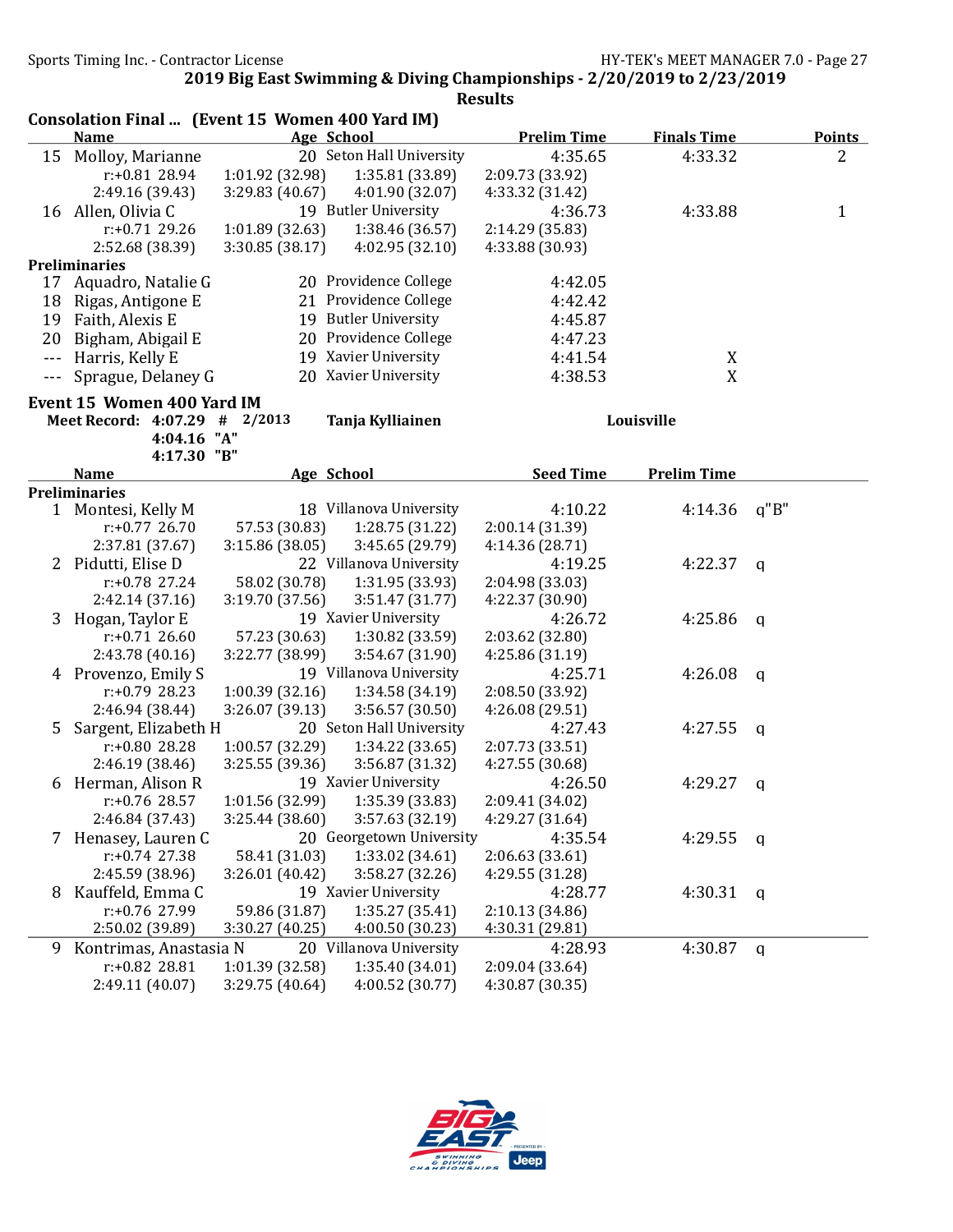|         | Consolation Final  (Event 15 Women 400 Yard IM)<br><b>Name</b> |                 | <b>Age School</b>                          | <b>Prelim Time</b>         | <b>Finals Time</b> |             | <b>Points</b> |
|---------|----------------------------------------------------------------|-----------------|--------------------------------------------|----------------------------|--------------------|-------------|---------------|
|         | 15 Molloy, Marianne                                            |                 | 20 Seton Hall University                   | 4:35.65                    | 4:33.32            |             | 2             |
|         | $r: +0.81$ 28.94                                               | 1:01.92 (32.98) | 1:35.81 (33.89)                            | 2:09.73 (33.92)            |                    |             |               |
|         | 2:49.16 (39.43)                                                | 3:29.83 (40.67) | 4:01.90 (32.07)                            | 4:33.32 (31.42)            |                    |             |               |
|         | 16 Allen, Olivia C                                             |                 | 19 Butler University                       | 4:36.73                    | 4:33.88            |             | 1             |
|         | $r: +0.71$ 29.26                                               | 1:01.89 (32.63) | 1:38.46 (36.57)                            | 2:14.29 (35.83)            |                    |             |               |
|         | 2:52.68 (38.39)                                                | 3:30.85(38.17)  | 4:02.95 (32.10)                            | 4:33.88 (30.93)            |                    |             |               |
|         | <b>Preliminaries</b>                                           |                 |                                            |                            |                    |             |               |
| 17      | Aquadro, Natalie G                                             |                 | 20 Providence College                      | 4:42.05                    |                    |             |               |
| 18      | Rigas, Antigone E                                              |                 | 21 Providence College                      | 4:42.42                    |                    |             |               |
| 19      | Faith, Alexis E                                                |                 | 19 Butler University                       | 4:45.87                    |                    |             |               |
| 20      | Bigham, Abigail E                                              |                 | 20 Providence College                      | 4:47.23                    |                    |             |               |
| $- - -$ | Harris, Kelly E                                                |                 | 19 Xavier University                       | 4:41.54                    | X                  |             |               |
| ---     | Sprague, Delaney G                                             |                 | 20 Xavier University                       | 4:38.53                    | X                  |             |               |
|         | Event 15 Women 400 Yard IM                                     |                 |                                            |                            |                    |             |               |
|         | Meet Record: 4:07.29 # 2/2013                                  |                 | Tanja Kylliainen                           |                            | Louisville         |             |               |
|         | 4:04.16 "A"                                                    |                 |                                            |                            |                    |             |               |
|         | 4:17.30 "B"                                                    |                 |                                            |                            |                    |             |               |
|         | <b>Name</b>                                                    |                 | Age School                                 | <b>Seed Time</b>           | <b>Prelim Time</b> |             |               |
|         | <b>Preliminaries</b>                                           |                 |                                            |                            |                    |             |               |
|         | 1 Montesi, Kelly M                                             |                 | 18 Villanova University                    | 4:10.22                    | 4:14.36            | q''B''      |               |
|         | $r: +0.77$ 26.70                                               | 57.53 (30.83)   | 1:28.75 (31.22)                            | 2:00.14 (31.39)            |                    |             |               |
|         | 2:37.81 (37.67)                                                | 3:15.86 (38.05) | 3:45.65 (29.79)                            | 4:14.36 (28.71)            |                    |             |               |
|         | 2 Pidutti, Elise D                                             |                 | 22 Villanova University                    | 4:19.25                    | 4:22.37            | q           |               |
|         | $r: +0.78$ 27.24                                               | 58.02 (30.78)   | 1:31.95 (33.93)                            | 2:04.98 (33.03)            |                    |             |               |
|         | 2:42.14(37.16)                                                 | 3:19.70(37.56)  | 3:51.47 (31.77)                            | 4:22.37 (30.90)            |                    |             |               |
| 3       | Hogan, Taylor E                                                |                 | 19 Xavier University                       | 4:26.72                    | 4:25.86            | q           |               |
|         | $r: +0.71$ 26.60                                               | 57.23 (30.63)   | 1:30.82 (33.59)                            | 2:03.62 (32.80)            |                    |             |               |
|         | 2:43.78 (40.16)                                                | 3:22.77 (38.99) | 3:54.67 (31.90)                            | 4:25.86 (31.19)            |                    |             |               |
|         | 4 Provenzo, Emily S                                            |                 | 19 Villanova University                    | 4:25.71                    | 4:26.08            | q           |               |
|         | $r: +0.79$ 28.23                                               | 1:00.39(32.16)  | 1:34.58 (34.19)                            | 2:08.50 (33.92)            |                    |             |               |
|         | 2:46.94 (38.44)                                                | 3:26.07 (39.13) | 3:56.57 (30.50)                            | 4:26.08 (29.51)            |                    |             |               |
| 5       | Sargent, Elizabeth H                                           |                 | 20 Seton Hall University                   | 4:27.43                    | 4:27.55            | q           |               |
|         | r:+0.80 28.28                                                  | 1:00.57 (32.29) | 1:34.22 (33.65)                            | 2:07.73 (33.51)            |                    |             |               |
|         | 2:46.19 (38.46)                                                | 3:25.55 (39.36) | 3:56.87 (31.32)                            | 4:27.55 (30.68)            |                    |             |               |
|         | 6 Herman, Alison R                                             |                 | 19 Xavier University                       | 4:26.50                    | 4:29.27            | q           |               |
|         | r:+0.76 28.57                                                  | 1:01.56 (32.99) | 1:35.39 (33.83)                            | 2:09.41 (34.02)            |                    |             |               |
|         | 2:46.84 (37.43)                                                | 3:25.44 (38.60) | 3:57.63 (32.19)                            | 4:29.27 (31.64)            |                    |             |               |
|         | 7 Henasey, Lauren C                                            |                 | 20 Georgetown University                   | 4:35.54                    | 4:29.55            | $\mathbf q$ |               |
|         | $r: +0.74$ 27.38                                               | 58.41 (31.03)   | 1:33.02 (34.61)                            | 2:06.63(33.61)             |                    |             |               |
|         | 2:45.59 (38.96)                                                | 3:26.01 (40.42) | 3:58.27 (32.26)                            | 4:29.55 (31.28)            |                    |             |               |
| 8       | Kauffeld, Emma C                                               |                 | 19 Xavier University                       | 4:28.77                    | 4:30.31            | q           |               |
|         | r:+0.76 27.99                                                  | 59.86 (31.87)   | 1:35.27 (35.41)                            | 2:10.13 (34.86)            |                    |             |               |
|         | 2:50.02 (39.89)                                                | 3:30.27 (40.25) | 4:00.50 (30.23)                            | 4:30.31 (29.81)            |                    |             |               |
|         |                                                                |                 |                                            |                            |                    |             |               |
|         |                                                                |                 |                                            |                            |                    |             |               |
| 9       | Kontrimas, Anastasia N<br>$r: +0.82$ 28.81                     | 1:01.39 (32.58) | 20 Villanova University<br>1:35.40 (34.01) | 4:28.93<br>2:09.04 (33.64) | 4:30.87            | $\mathbf q$ |               |

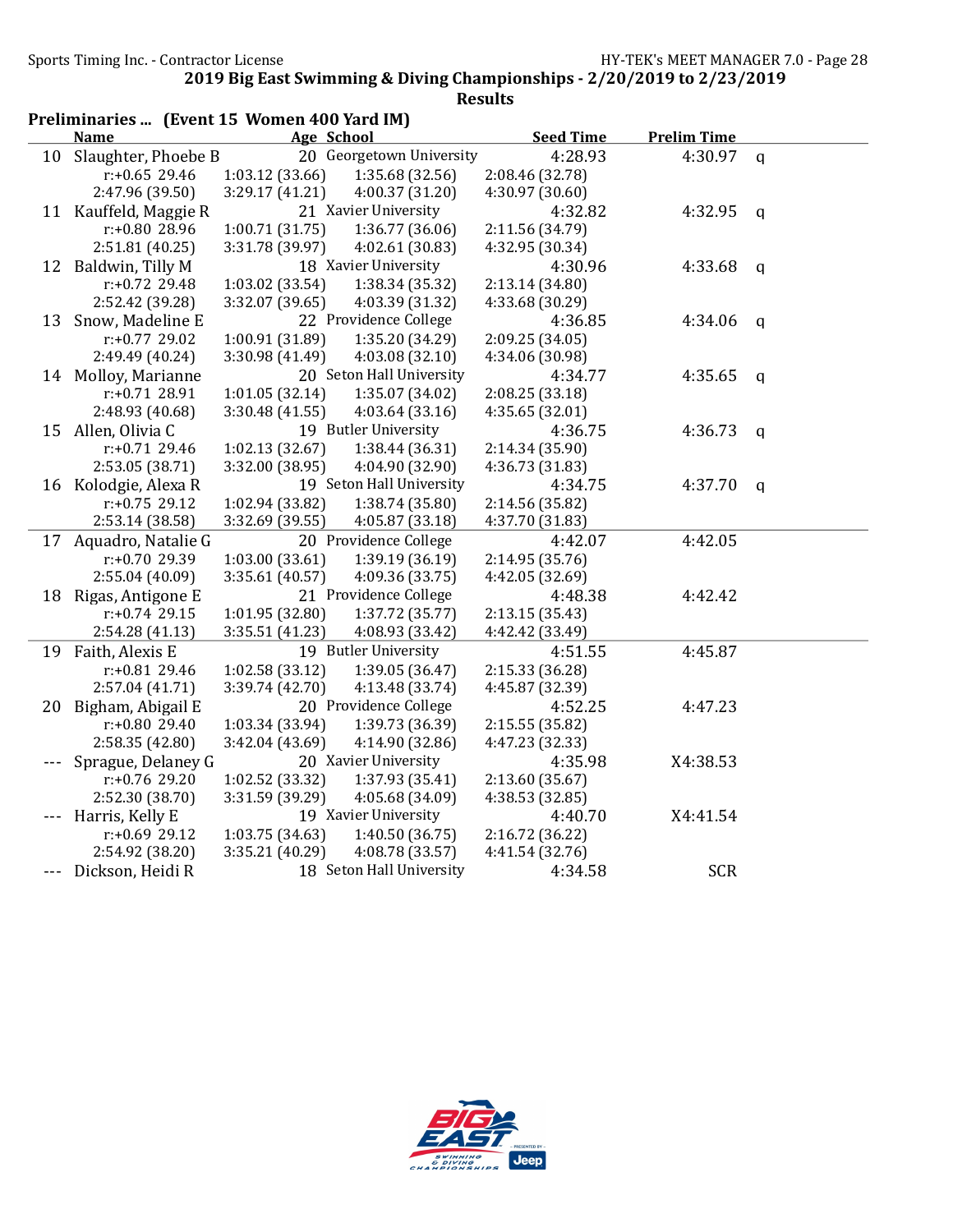|     | Preliminaries  (Event 15 Women 400 Yard IM) |                      |                          |                  |                    |              |  |  |
|-----|---------------------------------------------|----------------------|--------------------------|------------------|--------------------|--------------|--|--|
|     | <b>Name</b>                                 | Age School           |                          | <b>Seed Time</b> | <b>Prelim Time</b> |              |  |  |
| 10  | Slaughter, Phoebe B                         |                      | 20 Georgetown University | 4:28.93          | 4:30.97            | $\mathbf q$  |  |  |
|     | $r: +0.65$ 29.46                            | 1:03.12 (33.66)      | 1:35.68 (32.56)          | 2:08.46 (32.78)  |                    |              |  |  |
|     | 2:47.96 (39.50)                             | 3:29.17 (41.21)      | 4:00.37 (31.20)          | 4:30.97 (30.60)  |                    |              |  |  |
|     | 11 Kauffeld, Maggie R                       | 21 Xavier University |                          | 4:32.82          | 4:32.95            | $\mathbf{q}$ |  |  |
|     | r:+0.80 28.96                               | 1:00.71(31.75)       | 1:36.77 (36.06)          | 2:11.56 (34.79)  |                    |              |  |  |
|     | 2:51.81(40.25)                              | 3:31.78 (39.97)      | 4:02.61 (30.83)          | 4:32.95 (30.34)  |                    |              |  |  |
| 12  | Baldwin, Tilly M                            | 18 Xavier University |                          | 4:30.96          | 4:33.68            | $\mathbf q$  |  |  |
|     | r:+0.72 29.48                               | 1:03.02 (33.54)      | 1:38.34 (35.32)          | 2:13.14 (34.80)  |                    |              |  |  |
|     | 2:52.42 (39.28)                             | 3:32.07 (39.65)      | 4:03.39 (31.32)          | 4:33.68 (30.29)  |                    |              |  |  |
| 13  | Snow, Madeline E                            |                      | 22 Providence College    | 4:36.85          | 4:34.06            | $\mathbf{q}$ |  |  |
|     | $r: +0.77$ 29.02                            | 1:00.91 (31.89)      | 1:35.20 (34.29)          | 2:09.25 (34.05)  |                    |              |  |  |
|     | 2:49.49 (40.24)                             | 3:30.98 (41.49)      | 4:03.08 (32.10)          | 4:34.06 (30.98)  |                    |              |  |  |
|     | 14 Molloy, Marianne                         |                      | 20 Seton Hall University | 4:34.77          | 4:35.65            | q            |  |  |
|     | $r: +0.7128.91$                             | 1:01.05(32.14)       | 1:35.07 (34.02)          | 2:08.25 (33.18)  |                    |              |  |  |
|     | 2:48.93 (40.68)                             | 3:30.48(41.55)       | 4:03.64(33.16)           | 4:35.65(32.01)   |                    |              |  |  |
|     | 15 Allen, Olivia C                          | 19 Butler University |                          | 4:36.75          | 4:36.73            | $\mathsf{q}$ |  |  |
|     | r:+0.71 29.46                               | 1:02.13 (32.67)      | 1:38.44 (36.31)          | 2:14.34 (35.90)  |                    |              |  |  |
|     | 2:53.05 (38.71)                             | 3:32.00 (38.95)      | 4:04.90 (32.90)          | 4:36.73 (31.83)  |                    |              |  |  |
|     | 16 Kolodgie, Alexa R                        |                      | 19 Seton Hall University | 4:34.75          | 4:37.70            | $\mathbf q$  |  |  |
|     | r:+0.75 29.12                               | 1:02.94 (33.82)      | 1:38.74 (35.80)          | 2:14.56 (35.82)  |                    |              |  |  |
|     | 2:53.14 (38.58)                             | 3:32.69 (39.55)      | 4:05.87 (33.18)          | 4:37.70 (31.83)  |                    |              |  |  |
| 17  | Aquadro, Natalie G                          |                      | 20 Providence College    | 4:42.07          | 4:42.05            |              |  |  |
|     | r:+0.70 29.39                               | 1:03.00 (33.61)      | 1:39.19 (36.19)          | 2:14.95 (35.76)  |                    |              |  |  |
|     | 2:55.04(40.09)                              | 3:35.61 (40.57)      | 4:09.36 (33.75)          | 4:42.05 (32.69)  |                    |              |  |  |
|     | 18 Rigas, Antigone E                        |                      | 21 Providence College    | 4:48.38          | 4:42.42            |              |  |  |
|     | $r: +0.74$ 29.15                            | 1:01.95 (32.80)      | 1:37.72 (35.77)          | 2:13.15(35.43)   |                    |              |  |  |
|     | 2:54.28(41.13)                              | 3:35.51 (41.23)      | 4:08.93 (33.42)          | 4:42.42 (33.49)  |                    |              |  |  |
| 19  | Faith, Alexis E                             | 19 Butler University |                          | 4:51.55          | 4:45.87            |              |  |  |
|     | r:+0.81 29.46                               | 1:02.58 (33.12)      | 1:39.05 (36.47)          | 2:15.33 (36.28)  |                    |              |  |  |
|     | 2:57.04(41.71)                              | 3:39.74 (42.70)      | 4:13.48 (33.74)          | 4:45.87 (32.39)  |                    |              |  |  |
| 20  | Bigham, Abigail E                           |                      | 20 Providence College    | 4:52.25          | 4:47.23            |              |  |  |
|     | $r: +0.8029.40$                             | 1:03.34 (33.94)      | 1:39.73 (36.39)          | 2:15.55 (35.82)  |                    |              |  |  |
|     | 2:58.35 (42.80)                             | 3:42.04 (43.69)      | 4:14.90 (32.86)          | 4:47.23 (32.33)  |                    |              |  |  |
|     | Sprague, Delaney G                          | 20 Xavier University |                          | 4:35.98          | X4:38.53           |              |  |  |
|     | r:+0.76 29.20                               | 1:02.52 (33.32)      | 1:37.93 (35.41)          | 2:13.60 (35.67)  |                    |              |  |  |
|     | 2:52.30 (38.70)                             | 3:31.59 (39.29)      | 4:05.68 (34.09)          | 4:38.53 (32.85)  |                    |              |  |  |
|     | Harris, Kelly E                             | 19 Xavier University |                          | 4:40.70          | X4:41.54           |              |  |  |
|     | $r: +0.69$ 29.12                            | 1:03.75 (34.63)      | 1:40.50 (36.75)          | 2:16.72 (36.22)  |                    |              |  |  |
|     | 2:54.92 (38.20)                             | 3:35.21 (40.29)      | 4:08.78 (33.57)          | 4:41.54 (32.76)  |                    |              |  |  |
| --- | Dickson, Heidi R                            |                      | 18 Seton Hall University | 4:34.58          | <b>SCR</b>         |              |  |  |

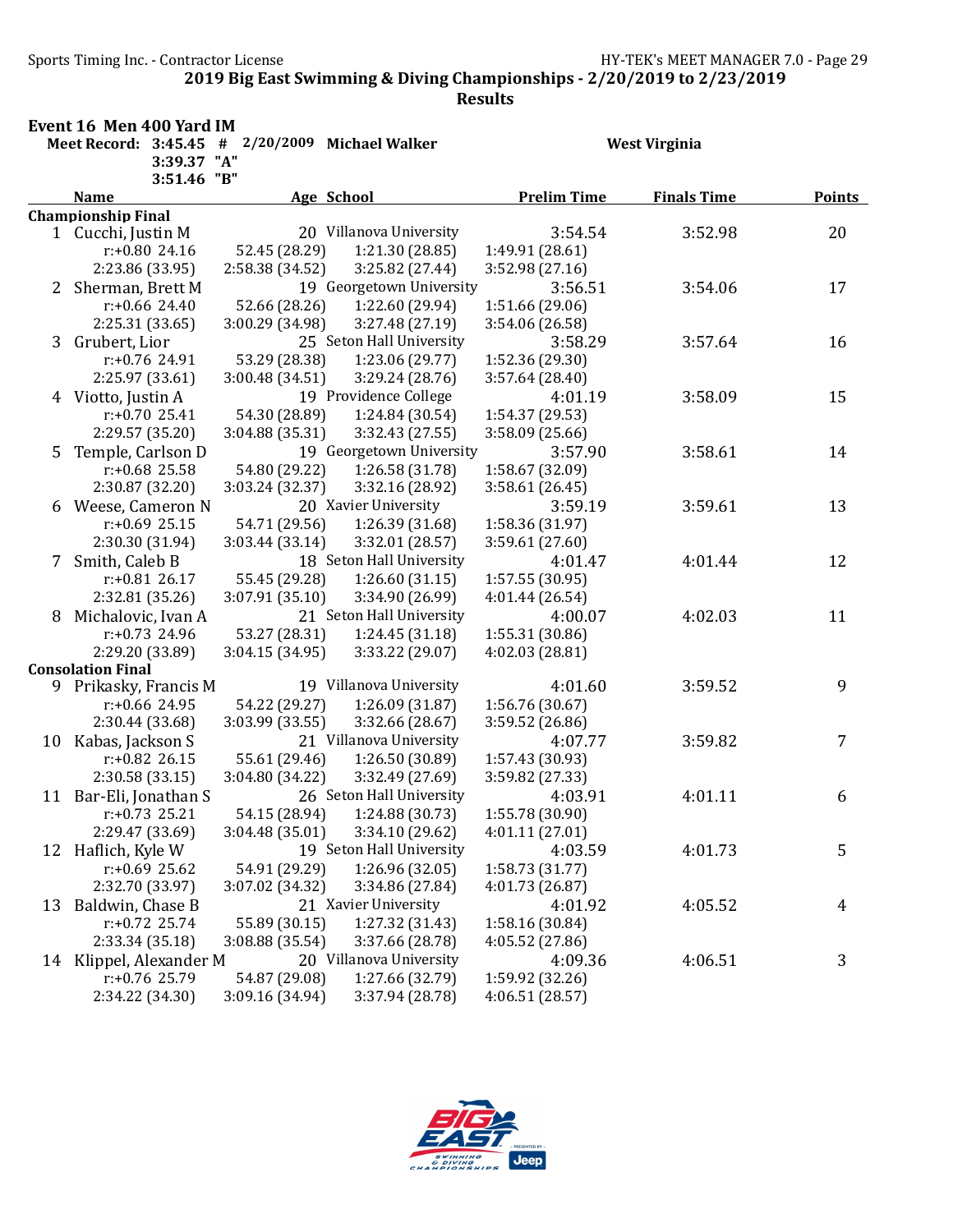Event 16 Men 400 Yard IM

Sports Timing Inc. - Contractor License Germany Sports Timing Inc. - Contractor License

2019 Big East Swimming & Diving Championships - 2/20/2019 to 2/23/2019

| Meet Record: $3:45.45$ # $2/20/2009$ Michael Walker |                           |                 |                          |                    | <b>West Virginia</b> |        |
|-----------------------------------------------------|---------------------------|-----------------|--------------------------|--------------------|----------------------|--------|
|                                                     | 3:39.37 "A"               |                 |                          |                    |                      |        |
|                                                     | 3:51.46 "B"               |                 |                          |                    |                      |        |
|                                                     | <b>Name</b>               |                 | Age School               | <b>Prelim Time</b> | <b>Finals Time</b>   | Points |
|                                                     | <b>Championship Final</b> |                 |                          |                    |                      |        |
|                                                     | 1 Cucchi, Justin M        |                 | 20 Villanova University  | 3:54.54            | 3:52.98              | 20     |
|                                                     | $r: +0.80$ 24.16          | 52.45 (28.29)   | 1:21.30 (28.85)          | 1:49.91 (28.61)    |                      |        |
|                                                     | 2:23.86 (33.95)           | 2:58.38 (34.52) | 3:25.82 (27.44)          | 3:52.98(27.16)     |                      |        |
| 2                                                   | Sherman, Brett M          |                 | 19 Georgetown University | 3:56.51            | 3:54.06              | 17     |
|                                                     | $r: +0.66$ 24.40          | 52.66 (28.26)   | 1:22.60 (29.94)          | 1:51.66 (29.06)    |                      |        |
|                                                     | 2:25.31 (33.65)           | 3:00.29 (34.98) | 3:27.48 (27.19)          | 3:54.06 (26.58)    |                      |        |
|                                                     | 3 Grubert, Lior           |                 | 25 Seton Hall University | 3:58.29            | 3:57.64              | 16     |
|                                                     | $r: +0.76$ 24.91          | 53.29 (28.38)   | 1:23.06 (29.77)          | 1:52.36 (29.30)    |                      |        |
|                                                     | 2:25.97 (33.61)           | 3:00.48 (34.51) | 3:29.24 (28.76)          | 3:57.64(28.40)     |                      |        |
|                                                     | 4 Viotto, Justin A        |                 | 19 Providence College    | 4:01.19            | 3:58.09              | 15     |
|                                                     | $r: +0.7025.41$           | 54.30 (28.89)   | 1:24.84 (30.54)          | 1:54.37 (29.53)    |                      |        |
|                                                     | 2:29.57 (35.20)           | 3:04.88 (35.31) | 3:32.43 (27.55)          | 3:58.09 (25.66)    |                      |        |
| 5                                                   | Temple, Carlson D         |                 | 19 Georgetown University | 3:57.90            | 3:58.61              | 14     |
|                                                     | $r: +0.68$ 25.58          | 54.80 (29.22)   | 1:26.58 (31.78)          | 1:58.67 (32.09)    |                      |        |
|                                                     | 2:30.87 (32.20)           | 3:03.24 (32.37) | 3:32.16 (28.92)          | 3:58.61(26.45)     |                      |        |
|                                                     | 6 Weese, Cameron N        |                 | 20 Xavier University     | 3:59.19            | 3:59.61              | 13     |
|                                                     | $r: +0.69$ 25.15          | 54.71 (29.56)   | 1:26.39 (31.68)          | 1:58.36 (31.97)    |                      |        |
|                                                     | 2:30.30 (31.94)           | 3:03.44 (33.14) | 3:32.01 (28.57)          | 3:59.61 (27.60)    |                      |        |
| 7                                                   | Smith, Caleb B            |                 | 18 Seton Hall University | 4:01.47            | 4:01.44              | 12     |
|                                                     | $r: +0.81$ 26.17          | 55.45 (29.28)   | 1:26.60(31.15)           | 1:57.55 (30.95)    |                      |        |
|                                                     | 2:32.81 (35.26)           | 3:07.91 (35.10) | 3:34.90 (26.99)          | 4:01.44 (26.54)    |                      |        |
| 8                                                   | Michalovic, Ivan A        |                 | 21 Seton Hall University | 4:00.07            | 4:02.03              | 11     |
|                                                     | $r: +0.73$ 24.96          | 53.27 (28.31)   | 1:24.45 (31.18)          | 1:55.31 (30.86)    |                      |        |
|                                                     | 2:29.20 (33.89)           | 3:04.15 (34.95) | 3:33.22 (29.07)          | 4:02.03(28.81)     |                      |        |
|                                                     | <b>Consolation Final</b>  |                 |                          |                    |                      |        |
|                                                     | 9 Prikasky, Francis M     |                 | 19 Villanova University  | 4:01.60            | 3:59.52              | 9      |
|                                                     | $r: +0.66$ 24.95          | 54.22 (29.27)   | 1:26.09 (31.87)          | 1:56.76 (30.67)    |                      |        |
|                                                     | 2:30.44 (33.68)           | 3:03.99 (33.55) | 3:32.66 (28.67)          | 3:59.52 (26.86)    |                      |        |
| 10                                                  | Kabas, Jackson S          |                 | 21 Villanova University  | 4:07.77            | 3:59.82              | 7      |
|                                                     | $r: +0.82$ 26.15          | 55.61 (29.46)   | 1:26.50 (30.89)          | 1:57.43 (30.93)    |                      |        |
|                                                     | 2:30.58 (33.15)           | 3:04.80 (34.22) | 3:32.49 (27.69)          | 3:59.82 (27.33)    |                      |        |
| 11                                                  | Bar-Eli, Jonathan S       |                 | 26 Seton Hall University | 4:03.91            | 4:01.11              | 6      |
|                                                     | $r: +0.73$ 25.21          | 54.15 (28.94)   | 1:24.88 (30.73)          | 1:55.78 (30.90)    |                      |        |
|                                                     | 2:29.47 (33.69)           | 3:04.48(35.01)  | 3:34.10 (29.62)          | 4:01.11 (27.01)    |                      |        |
| 12                                                  | Haflich, Kyle W           |                 | 19 Seton Hall University | 4:03.59            | 4:01.73              | 5      |
|                                                     | $r: +0.69$ 25.62          | 54.91 (29.29)   | 1:26.96 (32.05)          | 1:58.73 (31.77)    |                      |        |
|                                                     | 2:32.70 (33.97)           | 3:07.02 (34.32) | 3:34.86 (27.84)          | 4:01.73 (26.87)    |                      |        |
| 13                                                  | Baldwin, Chase B          |                 | 21 Xavier University     | 4:01.92            | 4:05.52              | 4      |
|                                                     | $r: +0.72$ 25.74          | 55.89 (30.15)   | 1:27.32 (31.43)          | 1:58.16 (30.84)    |                      |        |
|                                                     | 2:33.34 (35.18)           | 3:08.88 (35.54) | 3:37.66 (28.78)          | 4:05.52 (27.86)    |                      |        |
| 14                                                  | Klippel, Alexander M      |                 | 20 Villanova University  | 4:09.36            | 4:06.51              | 3      |
|                                                     | $r: +0.76$ 25.79          | 54.87 (29.08)   | 1:27.66 (32.79)          | 1:59.92 (32.26)    |                      |        |
|                                                     | 2:34.22 (34.30)           | 3:09.16 (34.94) | 3:37.94 (28.78)          | 4:06.51 (28.57)    |                      |        |

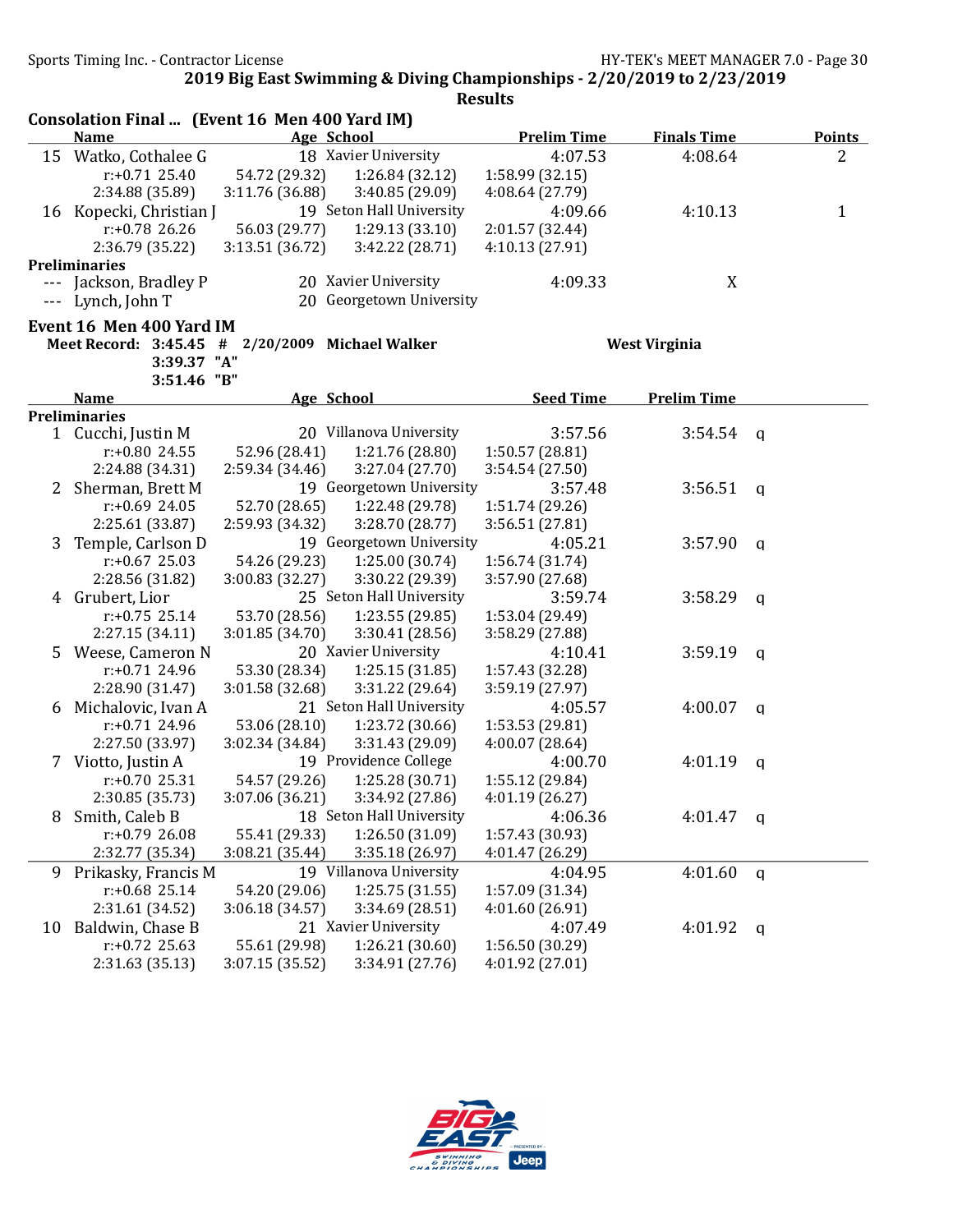|    | Consolation Final  (Event 16 Men 400 Yard IM) |                 |                          |                    |                      |              |               |
|----|-----------------------------------------------|-----------------|--------------------------|--------------------|----------------------|--------------|---------------|
|    | <b>Name</b>                                   |                 | Age School               | <b>Prelim Time</b> | <b>Finals Time</b>   |              | <b>Points</b> |
|    | 15 Watko, Cothalee G                          |                 | 18 Xavier University     | 4:07.53            | 4:08.64              |              | 2             |
|    | $r: +0.71$ 25.40                              | 54.72 (29.32)   | 1:26.84 (32.12)          | 1:58.99 (32.15)    |                      |              |               |
|    | 2:34.88 (35.89)                               | 3:11.76 (36.88) | 3:40.85 (29.09)          | 4:08.64 (27.79)    |                      |              |               |
|    | 16 Kopecki, Christian J                       |                 | 19 Seton Hall University | 4:09.66            | 4:10.13              |              | $\mathbf{1}$  |
|    | $r: +0.78$ 26.26                              | 56.03 (29.77)   | 1:29.13(33.10)           | 2:01.57 (32.44)    |                      |              |               |
|    | 2:36.79 (35.22)                               | 3:13.51 (36.72) | 3:42.22 (28.71)          | 4:10.13 (27.91)    |                      |              |               |
|    | <b>Preliminaries</b>                          |                 |                          |                    |                      |              |               |
|    | Jackson, Bradley P                            |                 | 20 Xavier University     | 4:09.33            | X                    |              |               |
|    | Lynch, John T                                 |                 | 20 Georgetown University |                    |                      |              |               |
|    | Event 16 Men 400 Yard IM                      |                 |                          |                    |                      |              |               |
|    | Meet Record: 3:45.45 #                        |                 | 2/20/2009 Michael Walker |                    | <b>West Virginia</b> |              |               |
|    | 3:39.37 "A"                                   |                 |                          |                    |                      |              |               |
|    | 3:51.46 "B"                                   |                 |                          |                    |                      |              |               |
|    | <b>Name</b>                                   |                 | Age School               | <b>Seed Time</b>   | <b>Prelim Time</b>   |              |               |
|    | <b>Preliminaries</b>                          |                 |                          |                    |                      |              |               |
|    | 1 Cucchi, Justin M                            |                 | 20 Villanova University  | 3:57.56            | 3:54.54              | <b>q</b>     |               |
|    | $r: +0.80$ 24.55                              | 52.96 (28.41)   | 1:21.76 (28.80)          | 1:50.57 (28.81)    |                      |              |               |
|    | 2:24.88 (34.31)                               | 2:59.34(34.46)  | 3:27.04 (27.70)          | 3:54.54 (27.50)    |                      |              |               |
| 2  | Sherman, Brett M                              |                 | 19 Georgetown University | 3:57.48            | 3:56.51              | $\mathsf{q}$ |               |
|    | $r: +0.69$ 24.05                              | 52.70 (28.65)   | 1:22.48 (29.78)          | 1:51.74 (29.26)    |                      |              |               |
|    | 2:25.61 (33.87)                               | 2:59.93 (34.32) | 3:28.70 (28.77)          | 3:56.51 (27.81)    |                      |              |               |
| 3  | Temple, Carlson D                             |                 | 19 Georgetown University | 4:05.21            | 3:57.90              | $\mathsf{q}$ |               |
|    | $r: +0.67$ 25.03                              | 54.26 (29.23)   | 1:25.00 (30.74)          | 1:56.74 (31.74)    |                      |              |               |
|    | 2:28.56 (31.82)                               | 3:00.83 (32.27) | 3:30.22 (29.39)          | 3:57.90 (27.68)    |                      |              |               |
|    | 4 Grubert, Lior                               |                 | 25 Seton Hall University | 3:59.74            | 3:58.29              | q            |               |
|    | $r: +0.75$ 25.14                              | 53.70 (28.56)   | 1:23.55 (29.85)          | 1:53.04 (29.49)    |                      |              |               |
|    | 2:27.15 (34.11)                               | 3:01.85 (34.70) | 3:30.41 (28.56)          | 3:58.29 (27.88)    |                      |              |               |
|    | 5 Weese, Cameron N                            |                 | 20 Xavier University     | 4:10.41            | 3:59.19              | q            |               |
|    | $r: +0.71$ 24.96                              | 53.30 (28.34)   | 1:25.15(31.85)           | 1:57.43 (32.28)    |                      |              |               |
|    | 2:28.90 (31.47)                               | 3:01.58 (32.68) | 3:31.22 (29.64)          | 3:59.19 (27.97)    |                      |              |               |
|    | 6 Michalovic, Ivan A                          |                 | 21 Seton Hall University | 4:05.57            | 4:00.07              | q            |               |
|    | r:+0.71 24.96                                 | 53.06 (28.10)   | 1:23.72 (30.66)          | 1:53.53 (29.81)    |                      |              |               |
|    | 2:27.50 (33.97)                               | 3:02.34 (34.84) | 3:31.43 (29.09)          | 4:00.07(28.64)     |                      |              |               |
|    | 7 Viotto, Justin A                            |                 | 19 Providence College    | 4:00.70            | 4:01.19              | q            |               |
|    | $r: +0.70$ 25.31                              | 54.57 (29.26)   | 1:25.28 (30.71)          | 1:55.12 (29.84)    |                      |              |               |
|    | 2:30.85 (35.73)                               | 3:07.06 (36.21) | 3:34.92 (27.86)          | 4:01.19 (26.27)    |                      |              |               |
| 8  | Smith, Caleb B                                |                 | 18 Seton Hall University | 4:06.36            | 4:01.47              | q            |               |
|    | $r: +0.79$ 26.08                              | 55.41 (29.33)   | 1:26.50 (31.09)          | 1:57.43 (30.93)    |                      |              |               |
|    | 2:32.77 (35.34)                               | 3:08.21(35.44)  | 3:35.18 (26.97)          | 4:01.47 (26.29)    |                      |              |               |
| 9  | Prikasky, Francis M                           |                 | 19 Villanova University  | 4:04.95            | 4:01.60              | $\mathsf{q}$ |               |
|    | $r: +0.68$ 25.14                              | 54.20 (29.06)   | 1:25.75(31.55)           | 1:57.09 (31.34)    |                      |              |               |
|    | 2:31.61 (34.52)                               | 3:06.18 (34.57) | 3:34.69 (28.51)          | 4:01.60 (26.91)    |                      |              |               |
| 10 | Baldwin, Chase B                              |                 | 21 Xavier University     | 4:07.49            | 4:01.92              | $\mathbf q$  |               |
|    | $r: +0.72$ 25.63                              | 55.61 (29.98)   | 1:26.21(30.60)           | 1:56.50 (30.29)    |                      |              |               |
|    | 2:31.63 (35.13)                               | 3:07.15 (35.52) | 3:34.91 (27.76)          | 4:01.92 (27.01)    |                      |              |               |

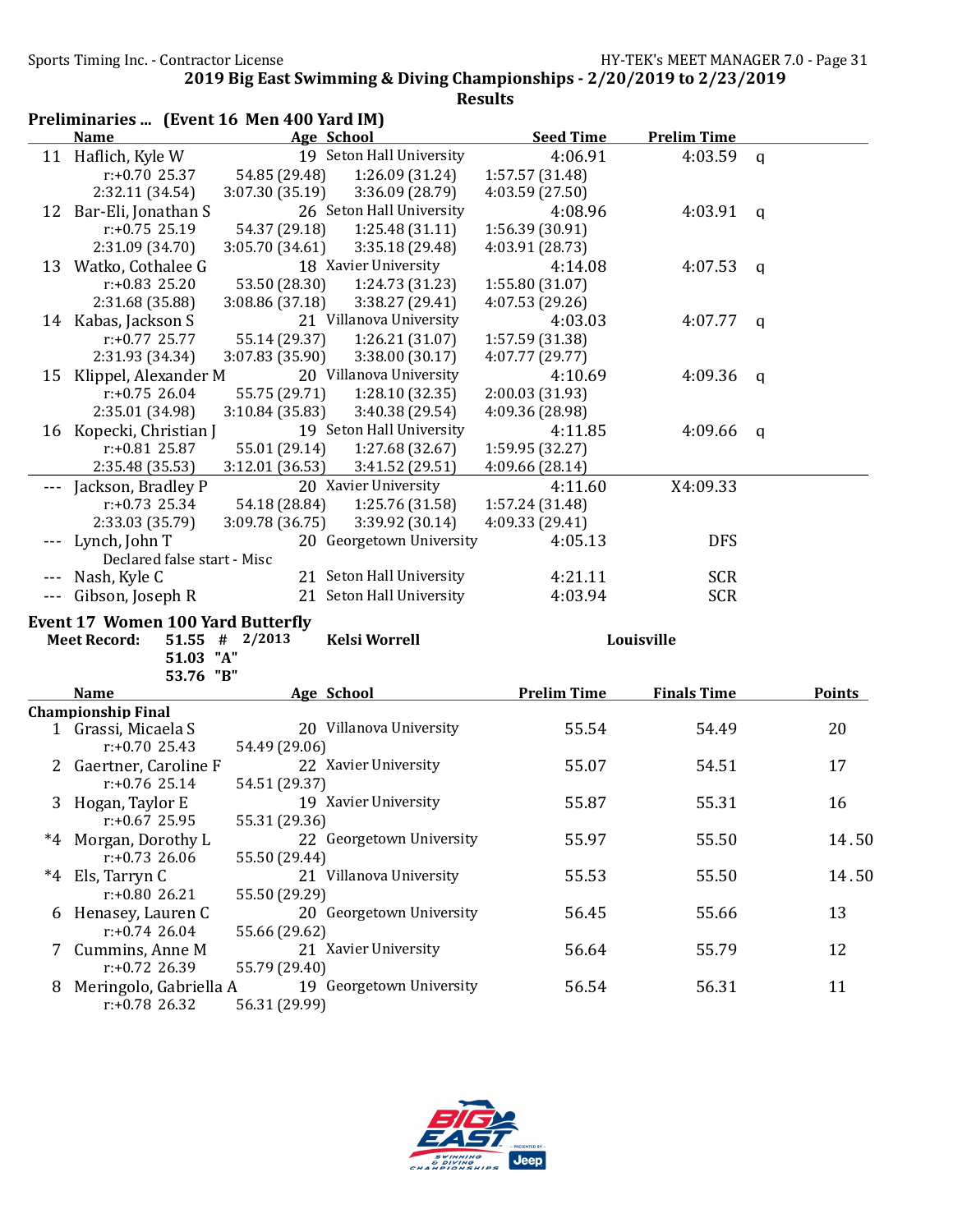|         | Preliminaries  (Event 16 Men 400 Yard IM)                       |                  |                          |                    |                    |              |               |
|---------|-----------------------------------------------------------------|------------------|--------------------------|--------------------|--------------------|--------------|---------------|
|         | <b>Name</b>                                                     | Age School       |                          | <b>Seed Time</b>   | <b>Prelim Time</b> |              |               |
|         | 11 Haflich, Kyle W                                              |                  | 19 Seton Hall University | 4:06.91            | 4:03.59            | $\mathbf{q}$ |               |
|         | $r: +0.70$ 25.37                                                | 54.85 (29.48)    | 1:26.09 (31.24)          | 1:57.57 (31.48)    |                    |              |               |
|         | 2:32.11 (34.54)                                                 | 3:07.30 (35.19)  | 3:36.09 (28.79)          | 4:03.59 (27.50)    |                    |              |               |
| 12      | Bar-Eli, Jonathan S                                             |                  | 26 Seton Hall University | 4:08.96            | 4:03.91            | q            |               |
|         | $r: +0.75$ 25.19                                                | 54.37 (29.18)    | 1:25.48(31.11)           | 1:56.39 (30.91)    |                    |              |               |
|         | 2:31.09 (34.70)                                                 | 3:05.70 (34.61)  | 3:35.18(29.48)           | 4:03.91 (28.73)    |                    |              |               |
|         | 13 Watko, Cothalee G                                            |                  | 18 Xavier University     | 4:14.08            | 4:07.53            | $\mathsf{q}$ |               |
|         | $r: +0.83$ 25.20                                                | 53.50 (28.30)    | 1:24.73 (31.23)          | 1:55.80 (31.07)    |                    |              |               |
|         | 2:31.68 (35.88)                                                 | 3:08.86(37.18)   | 3:38.27 (29.41)          | 4:07.53 (29.26)    |                    |              |               |
|         | 14 Kabas, Jackson S                                             |                  | 21 Villanova University  | 4:03.03            | 4:07.77            | $\mathsf{q}$ |               |
|         | $r: +0.77$ 25.77                                                | 55.14 (29.37)    | 1:26.21(31.07)           | 1:57.59 (31.38)    |                    |              |               |
|         | 2:31.93 (34.34)                                                 | 3:07.83 (35.90)  | 3:38.00 (30.17)          | 4:07.77 (29.77)    |                    |              |               |
|         | 15 Klippel, Alexander M                                         |                  | 20 Villanova University  | 4:10.69            | 4:09.36            | q            |               |
|         | $r: +0.75$ 26.04                                                | 55.75 (29.71)    | 1:28.10(32.35)           | 2:00.03 (31.93)    |                    |              |               |
|         | 2:35.01 (34.98)                                                 | 3:10.84 (35.83)  | 3:40.38 (29.54)          | 4:09.36 (28.98)    |                    |              |               |
|         | 16 Kopecki, Christian J                                         |                  | 19 Seton Hall University | 4:11.85            | 4:09.66            | q            |               |
|         | $r: +0.81$ 25.87                                                | 55.01 (29.14)    | 1:27.68 (32.67)          | 1:59.95 (32.27)    |                    |              |               |
|         | 2:35.48 (35.53)                                                 | 3:12.01 (36.53)  | 3:41.52 (29.51)          | 4:09.66 (28.14)    |                    |              |               |
|         | Jackson, Bradley P                                              |                  | 20 Xavier University     | 4:11.60            | X4:09.33           |              |               |
|         | $r: +0.73$ 25.34                                                | 54.18 (28.84)    | 1:25.76 (31.58)          | 1:57.24 (31.48)    |                    |              |               |
|         | 2:33.03 (35.79)                                                 | 3:09.78 (36.75)  | 3:39.92 (30.14)          | 4:09.33 (29.41)    |                    |              |               |
| $- - -$ | Lynch, John T                                                   |                  | 20 Georgetown University | 4:05.13            | <b>DFS</b>         |              |               |
|         | Declared false start - Misc                                     |                  |                          |                    |                    |              |               |
|         | Nash, Kyle C                                                    |                  | 21 Seton Hall University | 4:21.11            | <b>SCR</b>         |              |               |
|         | --- Gibson, Joseph R                                            |                  | 21 Seton Hall University | 4:03.94            | <b>SCR</b>         |              |               |
|         |                                                                 |                  |                          |                    |                    |              |               |
|         | <b>Event 17 Women 100 Yard Butterfly</b><br><b>Meet Record:</b> | $51.55$ # 2/2013 | <b>Kelsi Worrell</b>     |                    | Louisville         |              |               |
|         | 51.03 "A"                                                       |                  |                          |                    |                    |              |               |
|         | 53.76 "B"                                                       |                  |                          |                    |                    |              |               |
|         | <b>Name</b>                                                     | Age School       |                          | <b>Prelim Time</b> | <b>Finals Time</b> |              | <b>Points</b> |
|         | <b>Championship Final</b>                                       |                  |                          |                    |                    |              |               |
|         | 1 Grassi, Micaela S                                             |                  | 20 Villanova University  | 55.54              | 54.49              |              | 20            |
|         | $r: +0.70$ 25.43                                                | 54.49 (29.06)    |                          |                    |                    |              |               |
|         | 2 Gaertner, Caroline F                                          |                  | 22 Xavier University     | 55.07              | 54.51              |              | 17            |
|         | $r: +0.76$ 25.14                                                | 54.51 (29.37)    |                          |                    |                    |              |               |
|         | 3 Hogan, Taylor E                                               |                  | 19 Xavier University     | 55.87              | 55.31              |              | 16            |
|         | $r: +0.67$ 25.95                                                | 55.31 (29.36)    |                          |                    |                    |              |               |
|         | *4 Morgan, Dorothy L                                            |                  | 22 Georgetown University | 55.97              | 55.50              |              | 14.50         |
|         | $r: +0.73$ 26.06                                                | 55.50 (29.44)    |                          |                    |                    |              |               |
|         | *4 Els, Tarryn C                                                |                  | 21 Villanova University  | 55.53              | 55.50              |              | 14.50         |
|         | $r: +0.8026.21$                                                 | 55.50 (29.29)    |                          |                    |                    |              |               |
| 6       | Henasey, Lauren C                                               |                  | 20 Georgetown University | 56.45              | 55.66              |              | 13            |
|         | $r: +0.74$ 26.04                                                | 55.66 (29.62)    |                          |                    |                    |              |               |
|         | Cummins, Anne M                                                 |                  | 21 Xavier University     | 56.64              | 55.79              |              | 12            |
|         | r:+0.72 26.39                                                   | 55.79 (29.40)    |                          |                    |                    |              |               |
| 8       | Meringolo, Gabriella A                                          |                  | 19 Georgetown University | 56.54              | 56.31              |              | 11            |
|         | $r: +0.78$ 26.32                                                | 56.31 (29.99)    |                          |                    |                    |              |               |

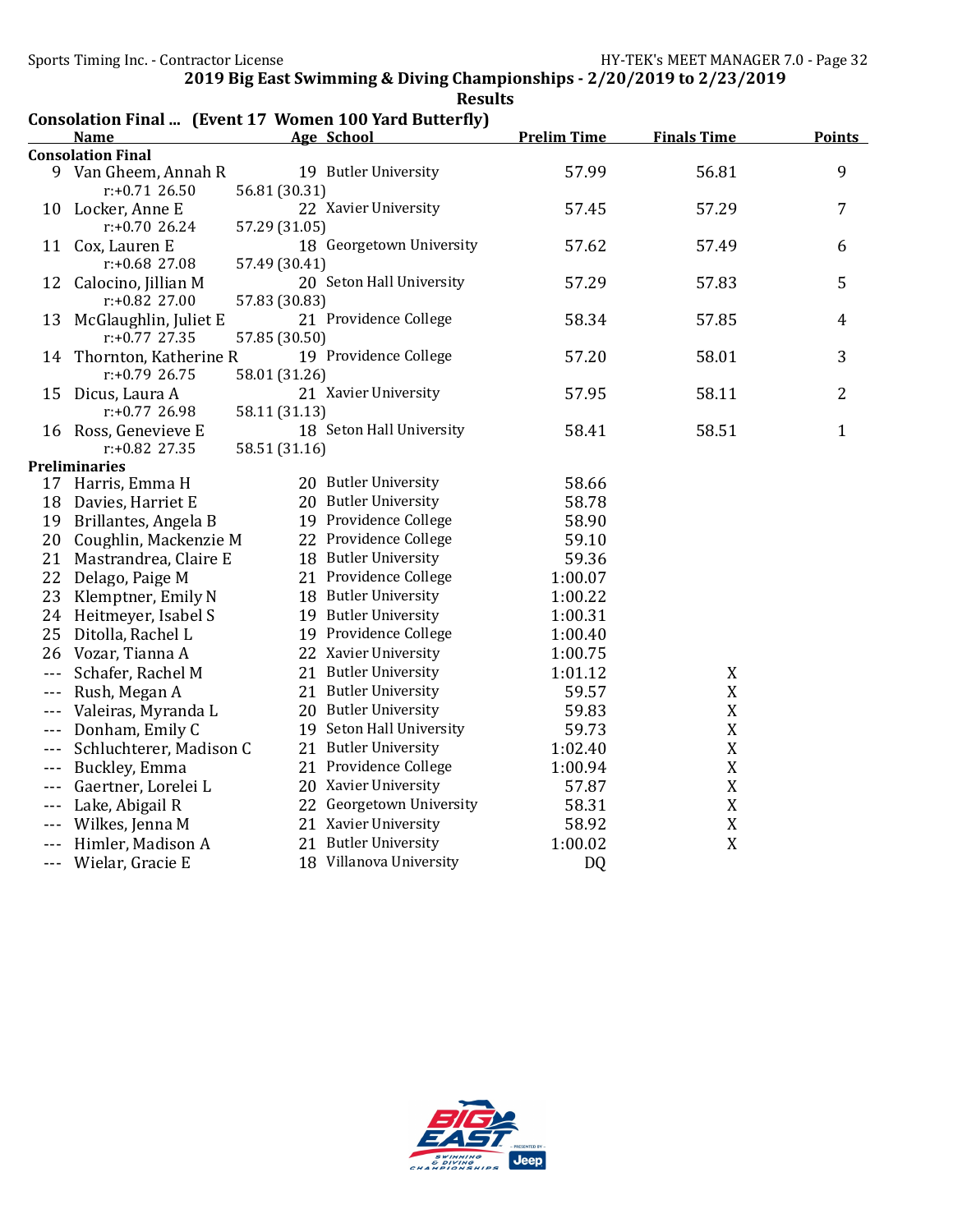|                      |                                              |               | Consolation Final  (Event 17 Women 100 Yard Butterfly) |                    |                    |                |
|----------------------|----------------------------------------------|---------------|--------------------------------------------------------|--------------------|--------------------|----------------|
|                      | <b>Name</b><br><b>Consolation Final</b>      |               | Age School                                             | <b>Prelim Time</b> | <b>Finals Time</b> | <b>Points</b>  |
|                      | 9 Van Gheem, Annah R<br>$r: +0.71$ 26.50     | 56.81 (30.31) | 19 Butler University                                   | 57.99              | 56.81              | 9              |
|                      | 10 Locker, Anne E<br>$r: +0.70$ 26.24        | 57.29 (31.05) | 22 Xavier University                                   | 57.45              | 57.29              | 7              |
|                      | 11 Cox, Lauren E<br>$r: +0.68$ 27.08         | 57.49 (30.41) | 18 Georgetown University                               | 57.62              | 57.49              | 6              |
| 12                   | Calocino, Jillian M<br>r:+0.82 27.00         | 57.83 (30.83) | 20 Seton Hall University                               | 57.29              | 57.83              | 5              |
| 13                   | McGlaughlin, Juliet E<br>r:+0.77 27.35       | 57.85 (30.50) | 21 Providence College                                  | 58.34              | 57.85              | 4              |
|                      | 14 Thornton, Katherine R<br>$r: +0.79$ 26.75 | 58.01 (31.26) | 19 Providence College                                  | 57.20              | 58.01              | 3              |
|                      | 15 Dicus, Laura A<br>r:+0.77 26.98           | 58.11 (31.13) | 21 Xavier University                                   | 57.95              | 58.11              | $\overline{2}$ |
|                      | 16 Ross, Genevieve E<br>r:+0.82 27.35        | 58.51 (31.16) | 18 Seton Hall University                               | 58.41              | 58.51              | $\mathbf{1}$   |
|                      | <b>Preliminaries</b>                         |               |                                                        |                    |                    |                |
|                      | 17 Harris, Emma H                            |               | 20 Butler University                                   | 58.66              |                    |                |
| 18                   | Davies, Harriet E                            |               | 20 Butler University                                   | 58.78              |                    |                |
|                      | 19 Brillantes, Angela B                      |               | 19 Providence College                                  | 58.90              |                    |                |
| 20                   | Coughlin, Mackenzie M                        |               | 22 Providence College                                  | 59.10              |                    |                |
|                      | 21 Mastrandrea, Claire E                     |               | 18 Butler University                                   | 59.36              |                    |                |
| 22                   | Delago, Paige M                              |               | 21 Providence College                                  | 1:00.07            |                    |                |
| 23                   | Klemptner, Emily N                           |               | 18 Butler University                                   | 1:00.22            |                    |                |
|                      | 24 Heitmeyer, Isabel S                       |               | 19 Butler University                                   | 1:00.31            |                    |                |
| 25                   | Ditolla, Rachel L                            |               | 19 Providence College                                  | 1:00.40            |                    |                |
| 26                   | Vozar, Tianna A                              |               | 22 Xavier University                                   | 1:00.75            |                    |                |
| $\sim$ $\sim$ $\sim$ | Schafer, Rachel M                            |               | 21 Butler University                                   | 1:01.12            | X                  |                |
| $- - -$              | Rush, Megan A                                |               | 21 Butler University                                   | 59.57              | X                  |                |
|                      | Valeiras, Myranda L                          |               | 20 Butler University                                   | 59.83              | X                  |                |
|                      | Donham, Emily C                              |               | 19 Seton Hall University                               | 59.73              | X                  |                |
| $- - -$              | Schluchterer, Madison C                      |               | 21 Butler University                                   | 1:02.40            | X                  |                |
| $- - -$              | Buckley, Emma                                |               | 21 Providence College                                  | 1:00.94            | $\mathbf X$        |                |
| $- - -$              | Gaertner, Lorelei L                          |               | 20 Xavier University                                   | 57.87              | $\mathbf X$        |                |
| $\sim$ $\sim$ $\sim$ | Lake, Abigail R                              |               | 22 Georgetown University                               | 58.31              | X                  |                |
|                      | Wilkes, Jenna M                              |               | 21 Xavier University                                   | 58.92              | X                  |                |
|                      | Himler, Madison A                            |               | 21 Butler University                                   | 1:00.02            | X                  |                |
|                      | --- Wielar, Gracie E                         |               | 18 Villanova University                                | D <sub>0</sub>     |                    |                |

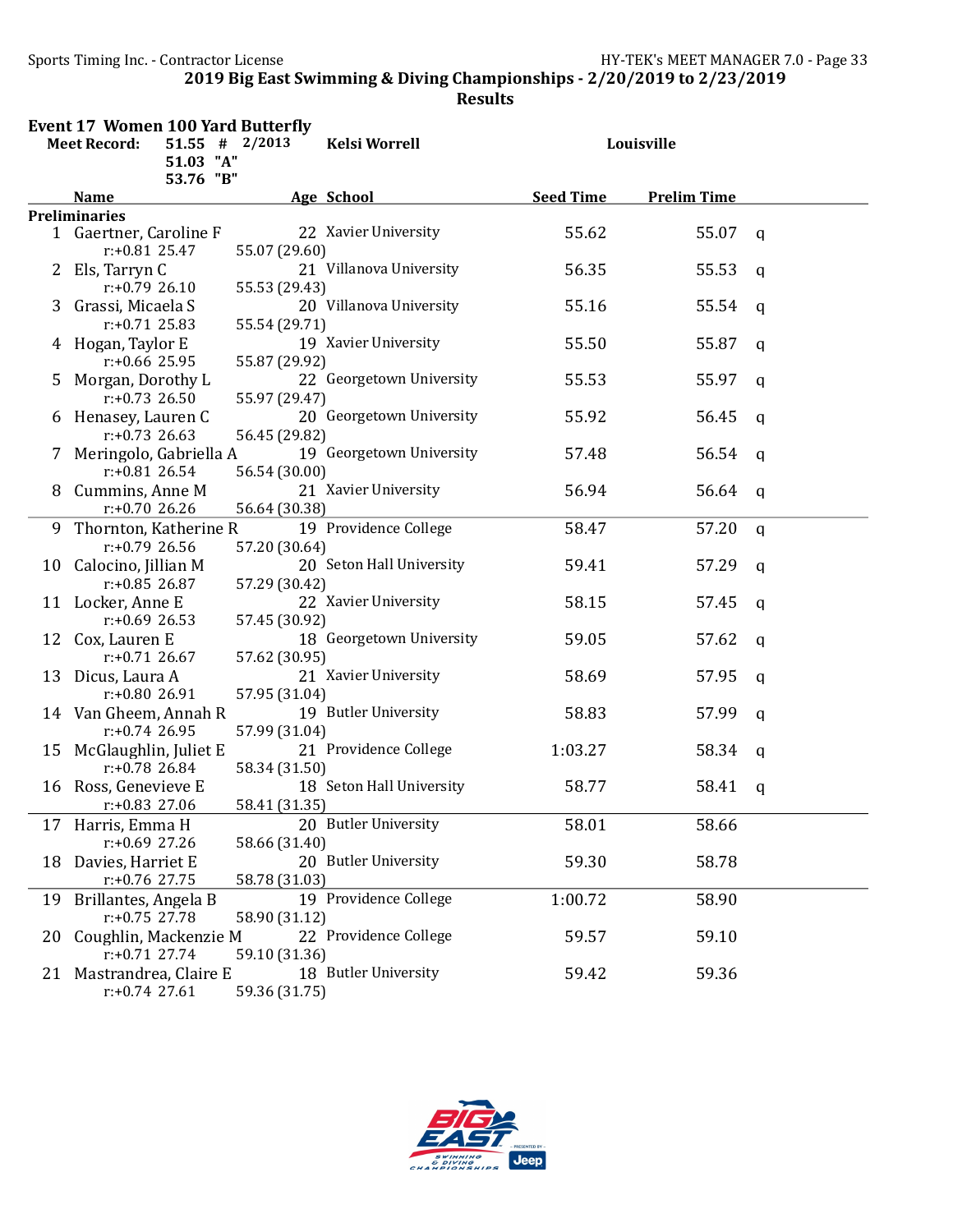|                                         | <b>Event 17 Women 100 Yard Butterfly</b> |           |               |                          |                  |                    |             |  |  |
|-----------------------------------------|------------------------------------------|-----------|---------------|--------------------------|------------------|--------------------|-------------|--|--|
| $51.55$ # 2/2013<br><b>Meet Record:</b> |                                          |           |               | <b>Kelsi Worrell</b>     |                  | Louisville         | q<br>q<br>q |  |  |
|                                         |                                          | 51.03 "A" |               |                          |                  |                    |             |  |  |
|                                         |                                          | 53.76 "B" |               |                          |                  |                    |             |  |  |
|                                         | <b>Name</b>                              |           |               | Age School               | <b>Seed Time</b> | <b>Prelim Time</b> |             |  |  |
|                                         | <b>Preliminaries</b>                     |           |               |                          |                  |                    |             |  |  |
|                                         | 1 Gaertner, Caroline F                   |           |               | 22 Xavier University     | 55.62            | 55.07              |             |  |  |
|                                         | $r: +0.81$ 25.47                         |           | 55.07 (29.60) |                          |                  |                    |             |  |  |
| 2                                       | Els, Tarryn C                            |           |               | 21 Villanova University  | 56.35            | 55.53              |             |  |  |
|                                         | $r: +0.7926.10$                          |           | 55.53 (29.43) |                          |                  |                    |             |  |  |
| 3                                       | Grassi, Micaela S                        |           |               | 20 Villanova University  | 55.16            | 55.54              |             |  |  |
|                                         | $r: +0.71$ 25.83                         |           | 55.54 (29.71) |                          |                  |                    |             |  |  |
|                                         | 4 Hogan, Taylor E                        |           |               | 19 Xavier University     | 55.50            | 55.87              | q           |  |  |
|                                         | $r: +0.66$ 25.95                         |           | 55.87 (29.92) |                          |                  |                    |             |  |  |
| 5                                       | Morgan, Dorothy L                        |           |               | 22 Georgetown University | 55.53            | 55.97              | q           |  |  |
|                                         | $r: +0.73$ 26.50                         |           | 55.97 (29.47) |                          |                  |                    |             |  |  |
| 6                                       | Henasey, Lauren C                        |           |               | 20 Georgetown University | 55.92            | 56.45              | q           |  |  |
|                                         | $r: +0.73$ 26.63                         |           | 56.45 (29.82) |                          |                  |                    |             |  |  |
|                                         | Meringolo, Gabriella A                   |           |               | 19 Georgetown University | 57.48            | 56.54              | q           |  |  |
|                                         | $r: +0.81$ 26.54                         |           | 56.54 (30.00) |                          |                  |                    |             |  |  |
| 8                                       | Cummins, Anne M                          |           |               | 21 Xavier University     | 56.94            | 56.64              | q           |  |  |
|                                         | $r: +0.7026.26$                          |           | 56.64 (30.38) |                          |                  |                    |             |  |  |
|                                         | 9 Thornton, Katherine R                  |           |               | 19 Providence College    | 58.47            | 57.20              | $\mathbf q$ |  |  |
|                                         | $r: +0.79$ 26.56                         |           | 57.20 (30.64) |                          |                  |                    |             |  |  |
|                                         | 10 Calocino, Jillian M                   |           |               | 20 Seton Hall University | 59.41            | 57.29              | q           |  |  |
|                                         | $r: +0.85$ 26.87                         |           | 57.29 (30.42) |                          |                  |                    |             |  |  |
|                                         | 11 Locker, Anne E                        |           |               | 22 Xavier University     | 58.15            | 57.45              | q           |  |  |
|                                         | $r: +0.69$ 26.53                         |           | 57.45 (30.92) |                          |                  |                    |             |  |  |
|                                         |                                          |           |               | 18 Georgetown University | 59.05            | 57.62              |             |  |  |
|                                         | 12 Cox, Lauren E<br>$r: +0.71$ 26.67     |           |               |                          |                  |                    | q           |  |  |
|                                         |                                          |           | 57.62 (30.95) |                          |                  |                    |             |  |  |
|                                         | 13 Dicus, Laura A                        |           |               | 21 Xavier University     | 58.69            | 57.95              | q           |  |  |
|                                         | $r: +0.8026.91$                          |           | 57.95 (31.04) |                          |                  |                    |             |  |  |
|                                         | 14 Van Gheem, Annah R                    |           |               | 19 Butler University     | 58.83            | 57.99              | $\mathbf q$ |  |  |
|                                         | $r: +0.74$ 26.95                         |           | 57.99 (31.04) |                          |                  |                    |             |  |  |
|                                         | 15 McGlaughlin, Juliet E                 |           |               | 21 Providence College    | 1:03.27          | 58.34              | q           |  |  |
|                                         | $r: +0.78$ 26.84                         |           | 58.34 (31.50) |                          |                  |                    |             |  |  |
| 16                                      | Ross, Genevieve E                        |           |               | 18 Seton Hall University | 58.77            | 58.41              | q           |  |  |
|                                         | $r: +0.83$ 27.06                         |           | 58.41 (31.35) |                          |                  |                    |             |  |  |
|                                         | 17 Harris, Emma H                        |           |               | 20 Butler University     | 58.01            | 58.66              |             |  |  |
|                                         | $r: +0.69$ 27.26                         |           | 58.66 (31.40) |                          |                  |                    |             |  |  |
| 18                                      | Davies, Harriet E                        |           |               | 20 Butler University     | 59.30            | 58.78              |             |  |  |
|                                         | $r: +0.76$ 27.75                         |           | 58.78 (31.03) |                          |                  |                    |             |  |  |
|                                         | 19 Brillantes, Angela B                  |           |               | 19 Providence College    | 1:00.72          | 58.90              |             |  |  |
|                                         | $r: +0.75$ 27.78                         |           | 58.90 (31.12) |                          |                  |                    |             |  |  |
| 20                                      | Coughlin, Mackenzie M                    |           |               | 22 Providence College    | 59.57            | 59.10              |             |  |  |
|                                         | $r: +0.71$ 27.74                         |           | 59.10 (31.36) |                          |                  |                    |             |  |  |
|                                         | 21 Mastrandrea, Claire E                 |           |               | 18 Butler University     | 59.42            | 59.36              |             |  |  |
|                                         | $r: +0.74$ 27.61                         |           | 59.36 (31.75) |                          |                  |                    |             |  |  |
|                                         |                                          |           |               |                          |                  |                    |             |  |  |

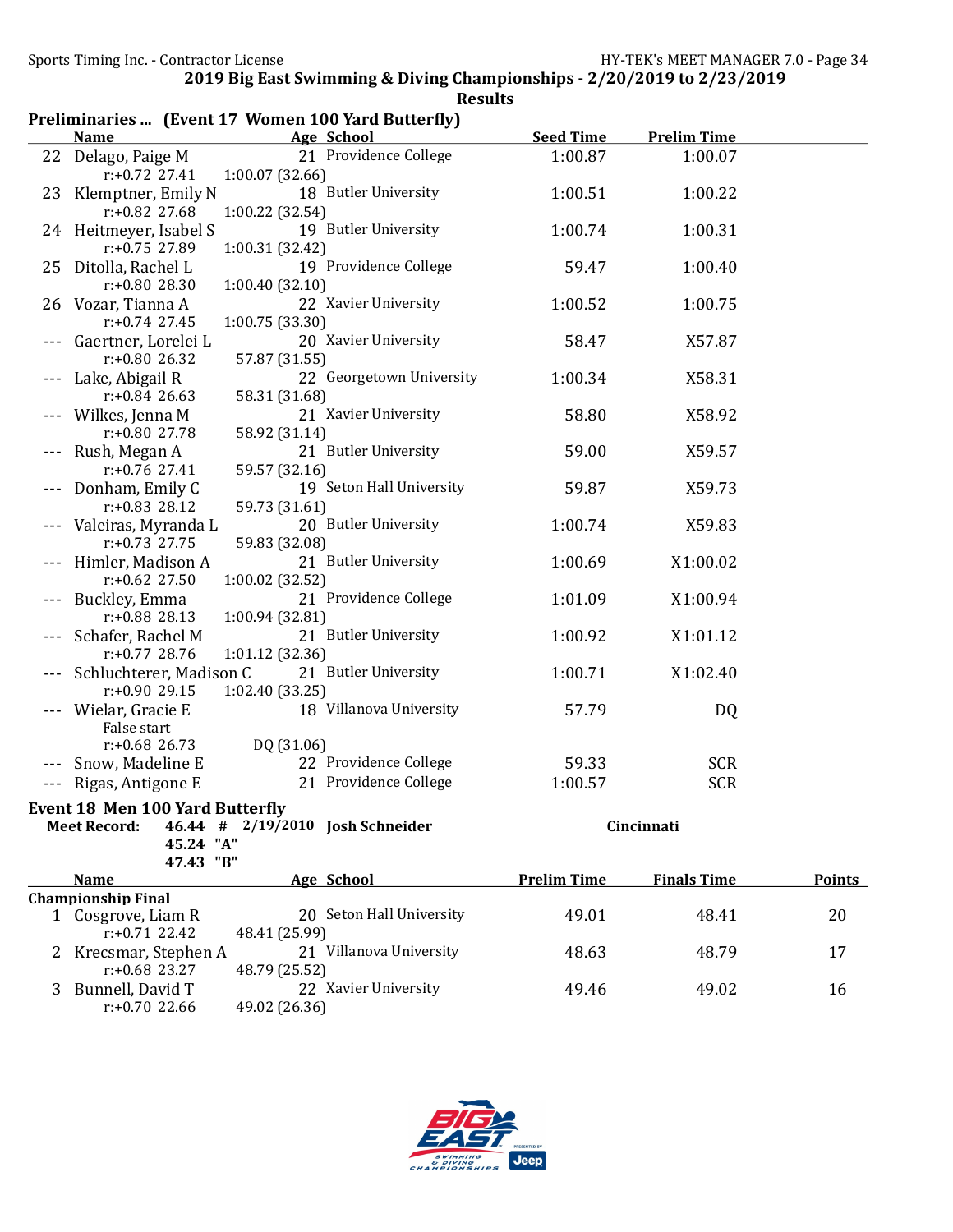| <b>Seed Time</b><br>Age School<br><b>Prelim Time</b><br><b>Name</b><br>21 Providence College<br>Delago, Paige M<br>1:00.87<br>1:00.07<br>22<br>$r: +0.72$ 27.41<br>1:00.07(32.66)<br>18 Butler University<br>1:00.51<br>Klemptner, Emily N<br>1:00.22<br>23<br>r:+0.82 27.68<br>1:00.22 (32.54)<br>19 Butler University<br>1:00.74<br>1:00.31<br>24 Heitmeyer, Isabel S<br>r:+0.75 27.89<br>1:00.31 (32.42)<br>25 Ditolla, Rachel L<br>19 Providence College<br>59.47<br>1:00.40<br>r:+0.80 28.30<br>1:00.40(32.10)<br>26 Vozar, Tianna A<br>22 Xavier University<br>1:00.52<br>1:00.75<br>$r: +0.74$ 27.45<br>1:00.75 (33.30)<br>20 Xavier University<br>Gaertner, Lorelei L<br>58.47<br>X57.87<br>$r: +0.80$ 26.32<br>57.87 (31.55)<br>22 Georgetown University<br>Lake, Abigail R<br>1:00.34<br>X58.31<br>$r: +0.84$ 26.63<br>58.31 (31.68)<br>21 Xavier University<br>Wilkes, Jenna M<br>58.80<br>X58.92<br>r:+0.80 27.78<br>58.92 (31.14)<br>21 Butler University<br>59.00<br>Rush, Megan A<br>X59.57<br>$r: +0.76$ 27.41<br>59.57 (32.16)<br>19 Seton Hall University<br>Donham, Emily C<br>59.87<br>X59.73<br>$r: +0.83$ 28.12<br>59.73 (31.61)<br>20 Butler University<br>1:00.74<br>Valeiras, Myranda L<br>X59.83<br>$r: +0.73$ 27.75<br>59.83 (32.08)<br>21 Butler University<br>1:00.69<br>X1:00.02<br>Himler, Madison A<br>$r: +0.62$ 27.50<br>1:00.02 (32.52)<br>Buckley, Emma<br>21 Providence College<br>1:01.09<br>X1:00.94<br>$r: +0.88$ 28.13<br>1:00.94 (32.81)<br>Schafer, Rachel M<br>21 Butler University<br>1:00.92<br>X1:01.12<br>1:01.12 (32.36)<br>$r: +0.77$ 28.76<br>Schluchterer, Madison C<br>21 Butler University<br>1:00.71<br>X1:02.40<br>r:+0.90 29.15<br>1:02.40 (33.25)<br>18 Villanova University<br>Wielar, Gracie E<br>57.79<br>DQ<br>False start<br>DQ (31.06)<br>$r: +0.68$ 26.73<br>22 Providence College<br><b>SCR</b><br>Snow, Madeline E<br>59.33<br>21 Providence College<br>1:00.57<br><b>SCR</b><br>Rigas, Antigone E<br>Event 18 Men 100 Yard Butterfly<br>Cincinnati<br><b>Meet Record:</b><br>46.44 # 2/19/2010 Josh Schneider<br>45.24 "A"<br>47.43 "B"<br><b>Prelim Time</b><br><b>Name</b><br>Age School<br><b>Finals Time</b><br><b>Points</b><br><b>Championship Final</b><br>20 Seton Hall University<br>49.01<br>48.41<br>20<br>1 Cosgrove, Liam R<br>$r: +0.71$ 22.42<br>48.41 (25.99)<br>2 Krecsmar, Stephen A<br>21 Villanova University<br>48.63<br>48.79<br>17<br>$r: +0.68$ 23.27<br>48.79 (25.52)<br>Bunnell, David T<br>22 Xavier University<br>49.46<br>49.02<br>16<br>3 |                  | Preliminaries  (Event 17 Women 100 Yard Butterfly) |  |  |
|---------------------------------------------------------------------------------------------------------------------------------------------------------------------------------------------------------------------------------------------------------------------------------------------------------------------------------------------------------------------------------------------------------------------------------------------------------------------------------------------------------------------------------------------------------------------------------------------------------------------------------------------------------------------------------------------------------------------------------------------------------------------------------------------------------------------------------------------------------------------------------------------------------------------------------------------------------------------------------------------------------------------------------------------------------------------------------------------------------------------------------------------------------------------------------------------------------------------------------------------------------------------------------------------------------------------------------------------------------------------------------------------------------------------------------------------------------------------------------------------------------------------------------------------------------------------------------------------------------------------------------------------------------------------------------------------------------------------------------------------------------------------------------------------------------------------------------------------------------------------------------------------------------------------------------------------------------------------------------------------------------------------------------------------------------------------------------------------------------------------------------------------------------------------------------------------------------------------------------------------------------------------------------------------------------------------------------------------------------------------------------------------------------------------------------------------------------------------------------------------------------------------------------------------|------------------|----------------------------------------------------|--|--|
|                                                                                                                                                                                                                                                                                                                                                                                                                                                                                                                                                                                                                                                                                                                                                                                                                                                                                                                                                                                                                                                                                                                                                                                                                                                                                                                                                                                                                                                                                                                                                                                                                                                                                                                                                                                                                                                                                                                                                                                                                                                                                                                                                                                                                                                                                                                                                                                                                                                                                                                                             |                  |                                                    |  |  |
|                                                                                                                                                                                                                                                                                                                                                                                                                                                                                                                                                                                                                                                                                                                                                                                                                                                                                                                                                                                                                                                                                                                                                                                                                                                                                                                                                                                                                                                                                                                                                                                                                                                                                                                                                                                                                                                                                                                                                                                                                                                                                                                                                                                                                                                                                                                                                                                                                                                                                                                                             |                  |                                                    |  |  |
|                                                                                                                                                                                                                                                                                                                                                                                                                                                                                                                                                                                                                                                                                                                                                                                                                                                                                                                                                                                                                                                                                                                                                                                                                                                                                                                                                                                                                                                                                                                                                                                                                                                                                                                                                                                                                                                                                                                                                                                                                                                                                                                                                                                                                                                                                                                                                                                                                                                                                                                                             |                  |                                                    |  |  |
|                                                                                                                                                                                                                                                                                                                                                                                                                                                                                                                                                                                                                                                                                                                                                                                                                                                                                                                                                                                                                                                                                                                                                                                                                                                                                                                                                                                                                                                                                                                                                                                                                                                                                                                                                                                                                                                                                                                                                                                                                                                                                                                                                                                                                                                                                                                                                                                                                                                                                                                                             |                  |                                                    |  |  |
|                                                                                                                                                                                                                                                                                                                                                                                                                                                                                                                                                                                                                                                                                                                                                                                                                                                                                                                                                                                                                                                                                                                                                                                                                                                                                                                                                                                                                                                                                                                                                                                                                                                                                                                                                                                                                                                                                                                                                                                                                                                                                                                                                                                                                                                                                                                                                                                                                                                                                                                                             |                  |                                                    |  |  |
|                                                                                                                                                                                                                                                                                                                                                                                                                                                                                                                                                                                                                                                                                                                                                                                                                                                                                                                                                                                                                                                                                                                                                                                                                                                                                                                                                                                                                                                                                                                                                                                                                                                                                                                                                                                                                                                                                                                                                                                                                                                                                                                                                                                                                                                                                                                                                                                                                                                                                                                                             |                  |                                                    |  |  |
|                                                                                                                                                                                                                                                                                                                                                                                                                                                                                                                                                                                                                                                                                                                                                                                                                                                                                                                                                                                                                                                                                                                                                                                                                                                                                                                                                                                                                                                                                                                                                                                                                                                                                                                                                                                                                                                                                                                                                                                                                                                                                                                                                                                                                                                                                                                                                                                                                                                                                                                                             |                  |                                                    |  |  |
|                                                                                                                                                                                                                                                                                                                                                                                                                                                                                                                                                                                                                                                                                                                                                                                                                                                                                                                                                                                                                                                                                                                                                                                                                                                                                                                                                                                                                                                                                                                                                                                                                                                                                                                                                                                                                                                                                                                                                                                                                                                                                                                                                                                                                                                                                                                                                                                                                                                                                                                                             |                  |                                                    |  |  |
|                                                                                                                                                                                                                                                                                                                                                                                                                                                                                                                                                                                                                                                                                                                                                                                                                                                                                                                                                                                                                                                                                                                                                                                                                                                                                                                                                                                                                                                                                                                                                                                                                                                                                                                                                                                                                                                                                                                                                                                                                                                                                                                                                                                                                                                                                                                                                                                                                                                                                                                                             |                  |                                                    |  |  |
|                                                                                                                                                                                                                                                                                                                                                                                                                                                                                                                                                                                                                                                                                                                                                                                                                                                                                                                                                                                                                                                                                                                                                                                                                                                                                                                                                                                                                                                                                                                                                                                                                                                                                                                                                                                                                                                                                                                                                                                                                                                                                                                                                                                                                                                                                                                                                                                                                                                                                                                                             |                  |                                                    |  |  |
|                                                                                                                                                                                                                                                                                                                                                                                                                                                                                                                                                                                                                                                                                                                                                                                                                                                                                                                                                                                                                                                                                                                                                                                                                                                                                                                                                                                                                                                                                                                                                                                                                                                                                                                                                                                                                                                                                                                                                                                                                                                                                                                                                                                                                                                                                                                                                                                                                                                                                                                                             |                  |                                                    |  |  |
|                                                                                                                                                                                                                                                                                                                                                                                                                                                                                                                                                                                                                                                                                                                                                                                                                                                                                                                                                                                                                                                                                                                                                                                                                                                                                                                                                                                                                                                                                                                                                                                                                                                                                                                                                                                                                                                                                                                                                                                                                                                                                                                                                                                                                                                                                                                                                                                                                                                                                                                                             |                  |                                                    |  |  |
|                                                                                                                                                                                                                                                                                                                                                                                                                                                                                                                                                                                                                                                                                                                                                                                                                                                                                                                                                                                                                                                                                                                                                                                                                                                                                                                                                                                                                                                                                                                                                                                                                                                                                                                                                                                                                                                                                                                                                                                                                                                                                                                                                                                                                                                                                                                                                                                                                                                                                                                                             |                  |                                                    |  |  |
|                                                                                                                                                                                                                                                                                                                                                                                                                                                                                                                                                                                                                                                                                                                                                                                                                                                                                                                                                                                                                                                                                                                                                                                                                                                                                                                                                                                                                                                                                                                                                                                                                                                                                                                                                                                                                                                                                                                                                                                                                                                                                                                                                                                                                                                                                                                                                                                                                                                                                                                                             |                  |                                                    |  |  |
|                                                                                                                                                                                                                                                                                                                                                                                                                                                                                                                                                                                                                                                                                                                                                                                                                                                                                                                                                                                                                                                                                                                                                                                                                                                                                                                                                                                                                                                                                                                                                                                                                                                                                                                                                                                                                                                                                                                                                                                                                                                                                                                                                                                                                                                                                                                                                                                                                                                                                                                                             |                  |                                                    |  |  |
|                                                                                                                                                                                                                                                                                                                                                                                                                                                                                                                                                                                                                                                                                                                                                                                                                                                                                                                                                                                                                                                                                                                                                                                                                                                                                                                                                                                                                                                                                                                                                                                                                                                                                                                                                                                                                                                                                                                                                                                                                                                                                                                                                                                                                                                                                                                                                                                                                                                                                                                                             |                  |                                                    |  |  |
|                                                                                                                                                                                                                                                                                                                                                                                                                                                                                                                                                                                                                                                                                                                                                                                                                                                                                                                                                                                                                                                                                                                                                                                                                                                                                                                                                                                                                                                                                                                                                                                                                                                                                                                                                                                                                                                                                                                                                                                                                                                                                                                                                                                                                                                                                                                                                                                                                                                                                                                                             |                  |                                                    |  |  |
|                                                                                                                                                                                                                                                                                                                                                                                                                                                                                                                                                                                                                                                                                                                                                                                                                                                                                                                                                                                                                                                                                                                                                                                                                                                                                                                                                                                                                                                                                                                                                                                                                                                                                                                                                                                                                                                                                                                                                                                                                                                                                                                                                                                                                                                                                                                                                                                                                                                                                                                                             |                  |                                                    |  |  |
|                                                                                                                                                                                                                                                                                                                                                                                                                                                                                                                                                                                                                                                                                                                                                                                                                                                                                                                                                                                                                                                                                                                                                                                                                                                                                                                                                                                                                                                                                                                                                                                                                                                                                                                                                                                                                                                                                                                                                                                                                                                                                                                                                                                                                                                                                                                                                                                                                                                                                                                                             |                  |                                                    |  |  |
|                                                                                                                                                                                                                                                                                                                                                                                                                                                                                                                                                                                                                                                                                                                                                                                                                                                                                                                                                                                                                                                                                                                                                                                                                                                                                                                                                                                                                                                                                                                                                                                                                                                                                                                                                                                                                                                                                                                                                                                                                                                                                                                                                                                                                                                                                                                                                                                                                                                                                                                                             |                  |                                                    |  |  |
|                                                                                                                                                                                                                                                                                                                                                                                                                                                                                                                                                                                                                                                                                                                                                                                                                                                                                                                                                                                                                                                                                                                                                                                                                                                                                                                                                                                                                                                                                                                                                                                                                                                                                                                                                                                                                                                                                                                                                                                                                                                                                                                                                                                                                                                                                                                                                                                                                                                                                                                                             |                  |                                                    |  |  |
|                                                                                                                                                                                                                                                                                                                                                                                                                                                                                                                                                                                                                                                                                                                                                                                                                                                                                                                                                                                                                                                                                                                                                                                                                                                                                                                                                                                                                                                                                                                                                                                                                                                                                                                                                                                                                                                                                                                                                                                                                                                                                                                                                                                                                                                                                                                                                                                                                                                                                                                                             |                  |                                                    |  |  |
|                                                                                                                                                                                                                                                                                                                                                                                                                                                                                                                                                                                                                                                                                                                                                                                                                                                                                                                                                                                                                                                                                                                                                                                                                                                                                                                                                                                                                                                                                                                                                                                                                                                                                                                                                                                                                                                                                                                                                                                                                                                                                                                                                                                                                                                                                                                                                                                                                                                                                                                                             |                  |                                                    |  |  |
|                                                                                                                                                                                                                                                                                                                                                                                                                                                                                                                                                                                                                                                                                                                                                                                                                                                                                                                                                                                                                                                                                                                                                                                                                                                                                                                                                                                                                                                                                                                                                                                                                                                                                                                                                                                                                                                                                                                                                                                                                                                                                                                                                                                                                                                                                                                                                                                                                                                                                                                                             |                  |                                                    |  |  |
|                                                                                                                                                                                                                                                                                                                                                                                                                                                                                                                                                                                                                                                                                                                                                                                                                                                                                                                                                                                                                                                                                                                                                                                                                                                                                                                                                                                                                                                                                                                                                                                                                                                                                                                                                                                                                                                                                                                                                                                                                                                                                                                                                                                                                                                                                                                                                                                                                                                                                                                                             |                  |                                                    |  |  |
|                                                                                                                                                                                                                                                                                                                                                                                                                                                                                                                                                                                                                                                                                                                                                                                                                                                                                                                                                                                                                                                                                                                                                                                                                                                                                                                                                                                                                                                                                                                                                                                                                                                                                                                                                                                                                                                                                                                                                                                                                                                                                                                                                                                                                                                                                                                                                                                                                                                                                                                                             |                  |                                                    |  |  |
|                                                                                                                                                                                                                                                                                                                                                                                                                                                                                                                                                                                                                                                                                                                                                                                                                                                                                                                                                                                                                                                                                                                                                                                                                                                                                                                                                                                                                                                                                                                                                                                                                                                                                                                                                                                                                                                                                                                                                                                                                                                                                                                                                                                                                                                                                                                                                                                                                                                                                                                                             |                  |                                                    |  |  |
|                                                                                                                                                                                                                                                                                                                                                                                                                                                                                                                                                                                                                                                                                                                                                                                                                                                                                                                                                                                                                                                                                                                                                                                                                                                                                                                                                                                                                                                                                                                                                                                                                                                                                                                                                                                                                                                                                                                                                                                                                                                                                                                                                                                                                                                                                                                                                                                                                                                                                                                                             |                  |                                                    |  |  |
|                                                                                                                                                                                                                                                                                                                                                                                                                                                                                                                                                                                                                                                                                                                                                                                                                                                                                                                                                                                                                                                                                                                                                                                                                                                                                                                                                                                                                                                                                                                                                                                                                                                                                                                                                                                                                                                                                                                                                                                                                                                                                                                                                                                                                                                                                                                                                                                                                                                                                                                                             |                  |                                                    |  |  |
|                                                                                                                                                                                                                                                                                                                                                                                                                                                                                                                                                                                                                                                                                                                                                                                                                                                                                                                                                                                                                                                                                                                                                                                                                                                                                                                                                                                                                                                                                                                                                                                                                                                                                                                                                                                                                                                                                                                                                                                                                                                                                                                                                                                                                                                                                                                                                                                                                                                                                                                                             |                  |                                                    |  |  |
|                                                                                                                                                                                                                                                                                                                                                                                                                                                                                                                                                                                                                                                                                                                                                                                                                                                                                                                                                                                                                                                                                                                                                                                                                                                                                                                                                                                                                                                                                                                                                                                                                                                                                                                                                                                                                                                                                                                                                                                                                                                                                                                                                                                                                                                                                                                                                                                                                                                                                                                                             |                  |                                                    |  |  |
|                                                                                                                                                                                                                                                                                                                                                                                                                                                                                                                                                                                                                                                                                                                                                                                                                                                                                                                                                                                                                                                                                                                                                                                                                                                                                                                                                                                                                                                                                                                                                                                                                                                                                                                                                                                                                                                                                                                                                                                                                                                                                                                                                                                                                                                                                                                                                                                                                                                                                                                                             |                  |                                                    |  |  |
|                                                                                                                                                                                                                                                                                                                                                                                                                                                                                                                                                                                                                                                                                                                                                                                                                                                                                                                                                                                                                                                                                                                                                                                                                                                                                                                                                                                                                                                                                                                                                                                                                                                                                                                                                                                                                                                                                                                                                                                                                                                                                                                                                                                                                                                                                                                                                                                                                                                                                                                                             |                  |                                                    |  |  |
|                                                                                                                                                                                                                                                                                                                                                                                                                                                                                                                                                                                                                                                                                                                                                                                                                                                                                                                                                                                                                                                                                                                                                                                                                                                                                                                                                                                                                                                                                                                                                                                                                                                                                                                                                                                                                                                                                                                                                                                                                                                                                                                                                                                                                                                                                                                                                                                                                                                                                                                                             |                  |                                                    |  |  |
|                                                                                                                                                                                                                                                                                                                                                                                                                                                                                                                                                                                                                                                                                                                                                                                                                                                                                                                                                                                                                                                                                                                                                                                                                                                                                                                                                                                                                                                                                                                                                                                                                                                                                                                                                                                                                                                                                                                                                                                                                                                                                                                                                                                                                                                                                                                                                                                                                                                                                                                                             |                  |                                                    |  |  |
|                                                                                                                                                                                                                                                                                                                                                                                                                                                                                                                                                                                                                                                                                                                                                                                                                                                                                                                                                                                                                                                                                                                                                                                                                                                                                                                                                                                                                                                                                                                                                                                                                                                                                                                                                                                                                                                                                                                                                                                                                                                                                                                                                                                                                                                                                                                                                                                                                                                                                                                                             |                  |                                                    |  |  |
|                                                                                                                                                                                                                                                                                                                                                                                                                                                                                                                                                                                                                                                                                                                                                                                                                                                                                                                                                                                                                                                                                                                                                                                                                                                                                                                                                                                                                                                                                                                                                                                                                                                                                                                                                                                                                                                                                                                                                                                                                                                                                                                                                                                                                                                                                                                                                                                                                                                                                                                                             |                  |                                                    |  |  |
|                                                                                                                                                                                                                                                                                                                                                                                                                                                                                                                                                                                                                                                                                                                                                                                                                                                                                                                                                                                                                                                                                                                                                                                                                                                                                                                                                                                                                                                                                                                                                                                                                                                                                                                                                                                                                                                                                                                                                                                                                                                                                                                                                                                                                                                                                                                                                                                                                                                                                                                                             |                  |                                                    |  |  |
|                                                                                                                                                                                                                                                                                                                                                                                                                                                                                                                                                                                                                                                                                                                                                                                                                                                                                                                                                                                                                                                                                                                                                                                                                                                                                                                                                                                                                                                                                                                                                                                                                                                                                                                                                                                                                                                                                                                                                                                                                                                                                                                                                                                                                                                                                                                                                                                                                                                                                                                                             |                  |                                                    |  |  |
|                                                                                                                                                                                                                                                                                                                                                                                                                                                                                                                                                                                                                                                                                                                                                                                                                                                                                                                                                                                                                                                                                                                                                                                                                                                                                                                                                                                                                                                                                                                                                                                                                                                                                                                                                                                                                                                                                                                                                                                                                                                                                                                                                                                                                                                                                                                                                                                                                                                                                                                                             |                  |                                                    |  |  |
|                                                                                                                                                                                                                                                                                                                                                                                                                                                                                                                                                                                                                                                                                                                                                                                                                                                                                                                                                                                                                                                                                                                                                                                                                                                                                                                                                                                                                                                                                                                                                                                                                                                                                                                                                                                                                                                                                                                                                                                                                                                                                                                                                                                                                                                                                                                                                                                                                                                                                                                                             |                  |                                                    |  |  |
|                                                                                                                                                                                                                                                                                                                                                                                                                                                                                                                                                                                                                                                                                                                                                                                                                                                                                                                                                                                                                                                                                                                                                                                                                                                                                                                                                                                                                                                                                                                                                                                                                                                                                                                                                                                                                                                                                                                                                                                                                                                                                                                                                                                                                                                                                                                                                                                                                                                                                                                                             |                  |                                                    |  |  |
|                                                                                                                                                                                                                                                                                                                                                                                                                                                                                                                                                                                                                                                                                                                                                                                                                                                                                                                                                                                                                                                                                                                                                                                                                                                                                                                                                                                                                                                                                                                                                                                                                                                                                                                                                                                                                                                                                                                                                                                                                                                                                                                                                                                                                                                                                                                                                                                                                                                                                                                                             |                  |                                                    |  |  |
|                                                                                                                                                                                                                                                                                                                                                                                                                                                                                                                                                                                                                                                                                                                                                                                                                                                                                                                                                                                                                                                                                                                                                                                                                                                                                                                                                                                                                                                                                                                                                                                                                                                                                                                                                                                                                                                                                                                                                                                                                                                                                                                                                                                                                                                                                                                                                                                                                                                                                                                                             |                  |                                                    |  |  |
|                                                                                                                                                                                                                                                                                                                                                                                                                                                                                                                                                                                                                                                                                                                                                                                                                                                                                                                                                                                                                                                                                                                                                                                                                                                                                                                                                                                                                                                                                                                                                                                                                                                                                                                                                                                                                                                                                                                                                                                                                                                                                                                                                                                                                                                                                                                                                                                                                                                                                                                                             |                  |                                                    |  |  |
|                                                                                                                                                                                                                                                                                                                                                                                                                                                                                                                                                                                                                                                                                                                                                                                                                                                                                                                                                                                                                                                                                                                                                                                                                                                                                                                                                                                                                                                                                                                                                                                                                                                                                                                                                                                                                                                                                                                                                                                                                                                                                                                                                                                                                                                                                                                                                                                                                                                                                                                                             |                  |                                                    |  |  |
|                                                                                                                                                                                                                                                                                                                                                                                                                                                                                                                                                                                                                                                                                                                                                                                                                                                                                                                                                                                                                                                                                                                                                                                                                                                                                                                                                                                                                                                                                                                                                                                                                                                                                                                                                                                                                                                                                                                                                                                                                                                                                                                                                                                                                                                                                                                                                                                                                                                                                                                                             | $r: +0.70$ 22.66 | 49.02 (26.36)                                      |  |  |

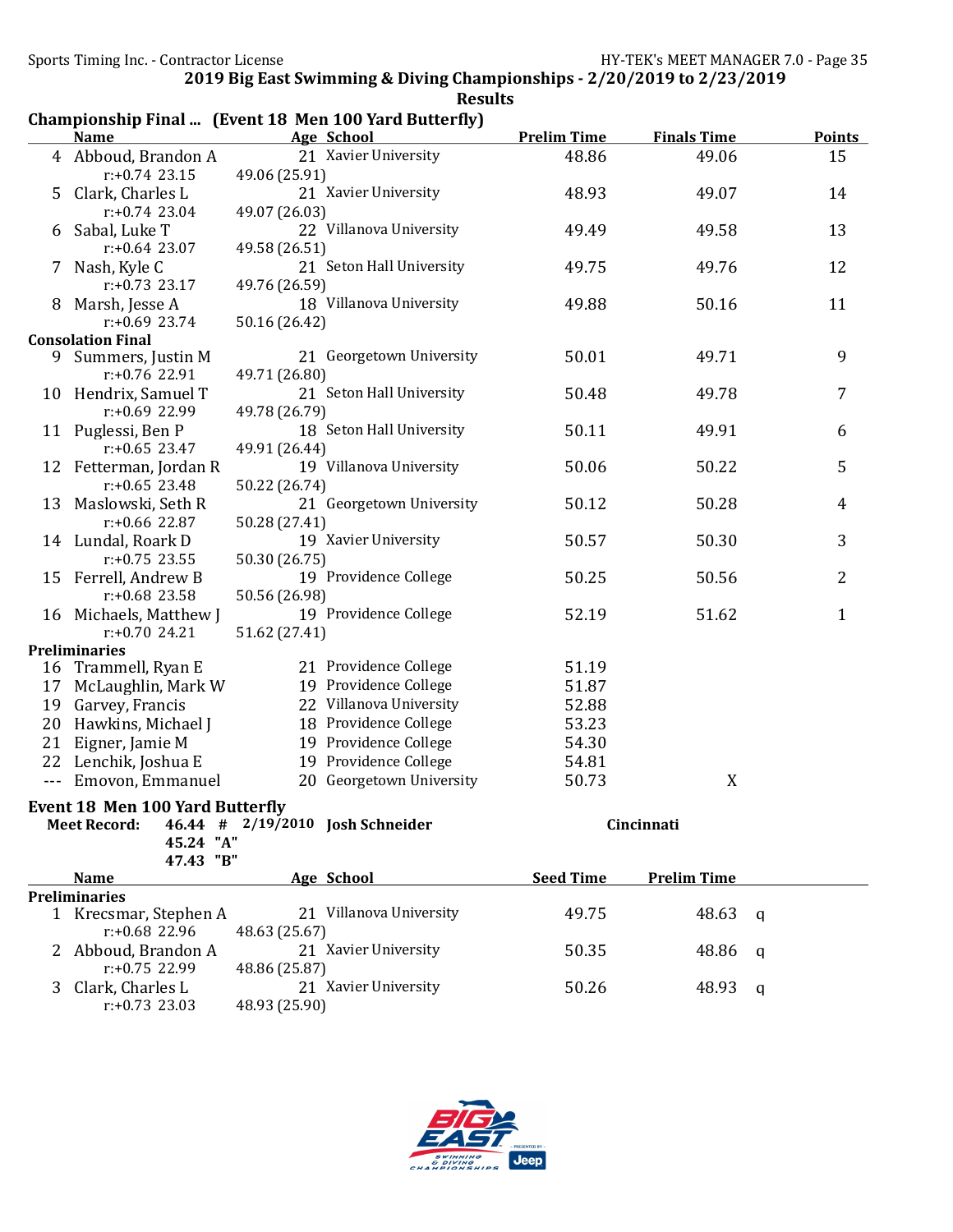|                                        |                                                       |                                  | <b>Results</b>                                 |                    |                    |                |  |  |
|----------------------------------------|-------------------------------------------------------|----------------------------------|------------------------------------------------|--------------------|--------------------|----------------|--|--|
|                                        | Championship Final  (Event 18 Men 100 Yard Butterfly) |                                  |                                                |                    |                    |                |  |  |
|                                        | <b>Name</b>                                           |                                  | <b>Age School</b>                              | <b>Prelim Time</b> | <b>Finals Time</b> | <b>Points</b>  |  |  |
|                                        | 4 Abboud, Brandon A<br>$r: +0.74$ 23.15               | 49.06 (25.91)                    | 21 Xavier University                           | 48.86              | 49.06              | 15             |  |  |
|                                        | 5 Clark, Charles L                                    |                                  | 21 Xavier University                           | 48.93              | 49.07              | 14             |  |  |
|                                        | $r: +0.74$ 23.04                                      | 49.07 (26.03)                    |                                                |                    |                    |                |  |  |
| 6                                      | Sabal, Luke T                                         |                                  | 22 Villanova University                        | 49.49              | 49.58              | 13             |  |  |
|                                        | $r: +0.64$ 23.07                                      | 49.58 (26.51)                    |                                                |                    |                    |                |  |  |
| 7.                                     | Nash, Kyle C                                          |                                  | 21 Seton Hall University                       | 49.75              | 49.76              | 12             |  |  |
|                                        | $r: +0.73$ 23.17                                      | 49.76 (26.59)                    |                                                |                    |                    |                |  |  |
| 8                                      | Marsh, Jesse A                                        |                                  | 18 Villanova University                        | 49.88              | 50.16              | 11             |  |  |
|                                        | $r: +0.69$ 23.74                                      | 50.16 (26.42)                    |                                                |                    |                    |                |  |  |
|                                        | <b>Consolation Final</b>                              |                                  |                                                |                    |                    |                |  |  |
|                                        | 9 Summers, Justin M                                   |                                  | 21 Georgetown University                       | 50.01              | 49.71              | 9              |  |  |
|                                        | r:+0.76 22.91                                         | 49.71 (26.80)                    |                                                |                    |                    |                |  |  |
|                                        | 10 Hendrix, Samuel T                                  |                                  | 21 Seton Hall University                       | 50.48              | 49.78              | 7              |  |  |
|                                        | r:+0.69 22.99                                         | 49.78 (26.79)                    | 18 Seton Hall University                       |                    |                    |                |  |  |
|                                        | 11 Puglessi, Ben P<br>$r: +0.65$ 23.47                | 49.91 (26.44)                    |                                                | 50.11              | 49.91              | 6              |  |  |
|                                        | 12 Fetterman, Jordan R                                |                                  | 19 Villanova University                        | 50.06              | 50.22              | 5              |  |  |
|                                        | $r: +0.65$ 23.48                                      | 50.22 (26.74)                    |                                                |                    |                    |                |  |  |
|                                        | 13 Maslowski, Seth R                                  |                                  | 21 Georgetown University                       | 50.12              | 50.28              | $\overline{4}$ |  |  |
|                                        | $r: +0.66$ 22.87                                      | 50.28 (27.41)                    |                                                |                    |                    |                |  |  |
|                                        | 14 Lundal, Roark D                                    |                                  | 19 Xavier University                           | 50.57              | 50.30              | 3              |  |  |
|                                        | $r: +0.75$ 23.55                                      | 50.30 (26.75)                    |                                                |                    |                    |                |  |  |
|                                        | 15 Ferrell, Andrew B                                  |                                  | 19 Providence College                          | 50.25              | 50.56              | 2              |  |  |
|                                        | $r: +0.68$ 23.58                                      | 50.56 (26.98)                    |                                                |                    |                    |                |  |  |
|                                        | 16 Michaels, Matthew J                                |                                  | 19 Providence College                          | 52.19              | 51.62              | $\mathbf 1$    |  |  |
|                                        | $r: +0.70$ 24.21                                      | 51.62 (27.41)                    |                                                |                    |                    |                |  |  |
|                                        | <b>Preliminaries</b>                                  |                                  |                                                |                    |                    |                |  |  |
|                                        | 16 Trammell, Ryan E                                   |                                  | 21 Providence College                          | 51.19              |                    |                |  |  |
|                                        | 17 McLaughlin, Mark W                                 |                                  | 19 Providence College                          | 51.87              |                    |                |  |  |
| 19                                     | Garvey, Francis                                       |                                  | 22 Villanova University                        | 52.88              |                    |                |  |  |
| 20                                     | Hawkins, Michael J                                    |                                  | 18 Providence College<br>19 Providence College | 53.23              |                    |                |  |  |
| 21                                     | Eigner, Jamie M                                       |                                  | 19 Providence College                          | 54.30              |                    |                |  |  |
| 22                                     | Lenchik, Joshua E                                     |                                  | 20 Georgetown University                       | 54.81              |                    |                |  |  |
| ---                                    | Emovon, Emmanuel                                      |                                  |                                                | 50.73              | X                  |                |  |  |
| <b>Event 18 Men 100 Yard Butterfly</b> |                                                       |                                  |                                                |                    |                    |                |  |  |
|                                        | <b>Meet Record:</b>                                   | 46.44 # 2/19/2010 Josh Schneider |                                                | Cincinnati         |                    |                |  |  |
|                                        | 45.24 "A"<br>47.43 "B"                                |                                  |                                                |                    |                    |                |  |  |
|                                        | <b>Name</b>                                           |                                  | Age School                                     | <b>Seed Time</b>   | <b>Prelim Time</b> |                |  |  |
|                                        | <b>Preliminaries</b>                                  |                                  |                                                |                    |                    |                |  |  |
|                                        | 1 Krecsmar, Stephen A                                 |                                  | 21 Villanova University                        | 49.75              | 48.63              | q              |  |  |
|                                        | r:+0.68 22.96                                         | 48.63 (25.67)                    |                                                |                    |                    |                |  |  |
|                                        | 2 Abboud, Brandon A                                   |                                  | 21 Xavier University                           | 50.35              | 48.86              | q              |  |  |
|                                        | $r: +0.75$ 22.99                                      | 48.86 (25.87)                    |                                                |                    |                    |                |  |  |
| 3                                      | Clark, Charles L<br>$r: +0.73$ 23.03                  |                                  | 21 Xavier University                           | 50.26              | 48.93              | q              |  |  |
|                                        |                                                       | 48.93 (25.90)                    |                                                |                    |                    |                |  |  |

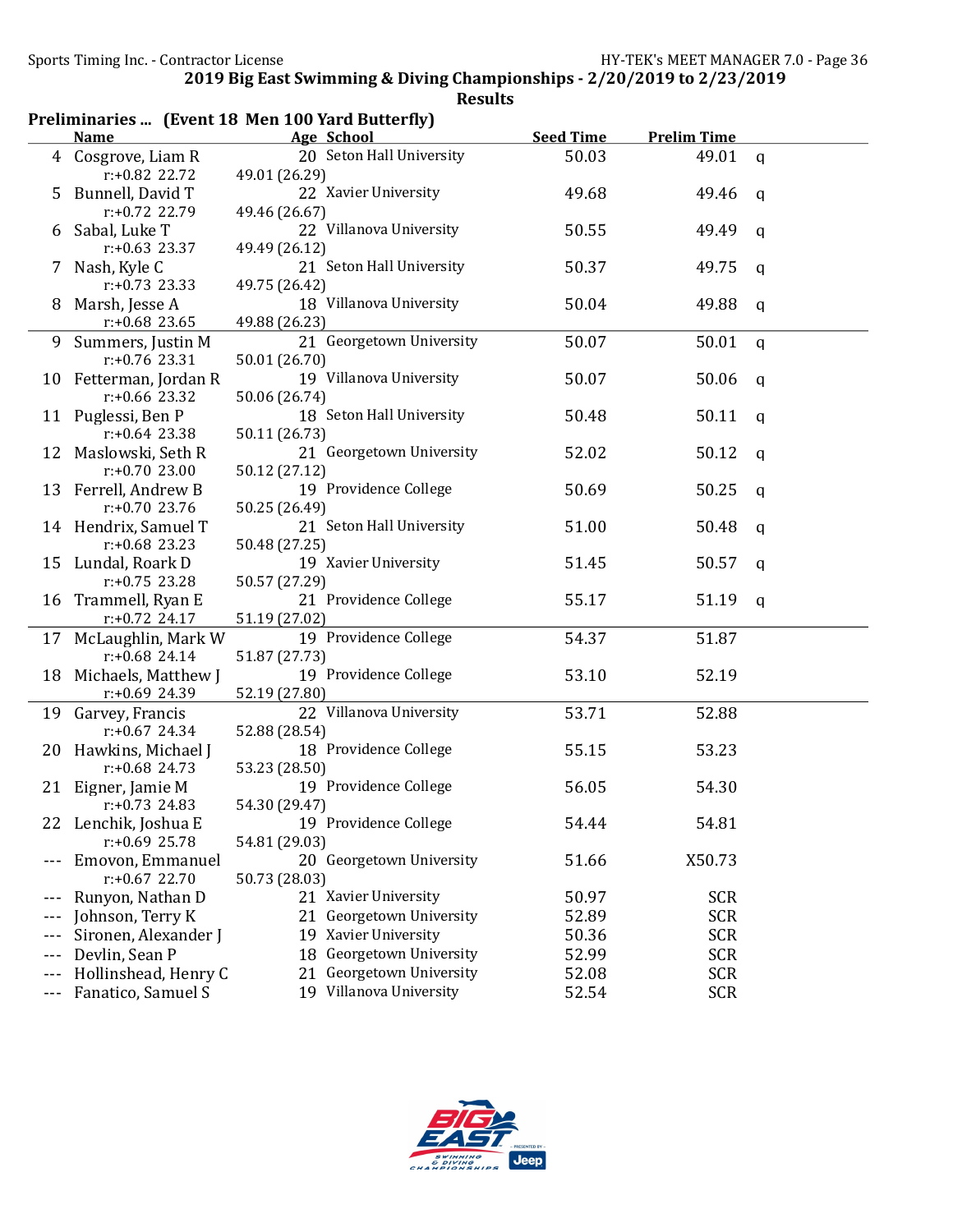| Preliminaries  (Event 18 Men 100 Yard Butterfly) |                      |                          |                  |                    |              |  |  |  |
|--------------------------------------------------|----------------------|--------------------------|------------------|--------------------|--------------|--|--|--|
|                                                  | <b>Name</b>          | Age School               | <b>Seed Time</b> | <b>Prelim Time</b> |              |  |  |  |
| 4                                                | Cosgrove, Liam R     | 20 Seton Hall University | 50.03            | 49.01              | $\mathbf{q}$ |  |  |  |
|                                                  | r:+0.82 22.72        | 49.01 (26.29)            |                  |                    |              |  |  |  |
| 5                                                | Bunnell, David T     | 22 Xavier University     | 49.68            | 49.46              | $\mathbf{q}$ |  |  |  |
|                                                  | r:+0.72 22.79        | 49.46 (26.67)            |                  |                    |              |  |  |  |
| b                                                | Sabal, Luke T        | 22 Villanova University  | 50.55            | 49.49              | $\mathbf q$  |  |  |  |
|                                                  | $r: +0.63$ 23.37     | 49.49 (26.12)            |                  |                    |              |  |  |  |
| 7                                                | Nash, Kyle C         | 21 Seton Hall University | 50.37            | 49.75              | $\mathbf q$  |  |  |  |
|                                                  | $r: +0.73$ 23.33     | 49.75 (26.42)            |                  |                    |              |  |  |  |
| 8                                                | Marsh, Jesse A       | 18 Villanova University  | 50.04            | 49.88              | q            |  |  |  |
|                                                  | $r: +0.68$ 23.65     | 49.88 (26.23)            |                  |                    |              |  |  |  |
| 9                                                | Summers, Justin M    | 21 Georgetown University | 50.07            | 50.01              | $\mathsf{q}$ |  |  |  |
|                                                  | $r: +0.76$ 23.31     | 50.01 (26.70)            |                  |                    |              |  |  |  |
| 10                                               | Fetterman, Jordan R  | 19 Villanova University  | 50.07            | 50.06              | q            |  |  |  |
|                                                  | $r: +0.66$ 23.32     | 50.06 (26.74)            |                  |                    |              |  |  |  |
|                                                  | 11 Puglessi, Ben P   | 18 Seton Hall University | 50.48            | 50.11              | q            |  |  |  |
|                                                  | $r: +0.64$ 23.38     | 50.11 (26.73)            |                  |                    |              |  |  |  |
| 12                                               | Maslowski, Seth R    | 21 Georgetown University | 52.02            | 50.12              | q            |  |  |  |
|                                                  | $r: +0.70$ 23.00     | 50.12 (27.12)            |                  |                    |              |  |  |  |
| 13                                               | Ferrell, Andrew B    | 19 Providence College    | 50.69            | 50.25              | q            |  |  |  |
|                                                  | $r: +0.70$ 23.76     | 50.25 (26.49)            |                  |                    |              |  |  |  |
|                                                  | 14 Hendrix, Samuel T | 21 Seton Hall University | 51.00            | 50.48              | q            |  |  |  |
|                                                  | $r: +0.68$ 23.23     | 50.48 (27.25)            |                  |                    |              |  |  |  |
| 15                                               | Lundal, Roark D      | 19 Xavier University     | 51.45            | 50.57              | q            |  |  |  |
|                                                  | $r: +0.75$ 23.28     | 50.57 (27.29)            |                  |                    |              |  |  |  |
| 16                                               | Trammell, Ryan E     | 21 Providence College    | 55.17            | 51.19              | q            |  |  |  |
|                                                  | $r: +0.72$ 24.17     | 51.19 (27.02)            |                  |                    |              |  |  |  |
| 17                                               | McLaughlin, Mark W   | 19 Providence College    | 54.37            | 51.87              |              |  |  |  |
|                                                  | $r: +0.68$ 24.14     | 51.87 (27.73)            |                  |                    |              |  |  |  |
| 18                                               | Michaels, Matthew J  | 19 Providence College    | 53.10            | 52.19              |              |  |  |  |
|                                                  | $r: +0.69$ 24.39     | 52.19 (27.80)            |                  |                    |              |  |  |  |
| 19                                               | Garvey, Francis      | 22 Villanova University  | 53.71            | 52.88              |              |  |  |  |
|                                                  | $r: +0.67$ 24.34     | 52.88 (28.54)            |                  |                    |              |  |  |  |
| 20                                               | Hawkins, Michael J   | 18 Providence College    | 55.15            | 53.23              |              |  |  |  |
|                                                  | $r: +0.68$ 24.73     | 53.23 (28.50)            |                  |                    |              |  |  |  |
|                                                  | 21 Eigner, Jamie M   | 19 Providence College    | 56.05            | 54.30              |              |  |  |  |
|                                                  | $r: +0.73$ 24.83     | 54.30 (29.47)            |                  |                    |              |  |  |  |
|                                                  | 22 Lenchik, Joshua E | 19 Providence College    | 54.44            | 54.81              |              |  |  |  |
|                                                  | $r: +0.69$ 25.78     | 54.81 (29.03)            |                  |                    |              |  |  |  |
|                                                  | Emovon, Emmanuel     | 20 Georgetown University | 51.66            | X50.73             |              |  |  |  |
|                                                  | $r: +0.67$ 22.70     | 50.73 (28.03)            |                  |                    |              |  |  |  |
|                                                  | Runyon, Nathan D     | 21 Xavier University     | 50.97            | <b>SCR</b>         |              |  |  |  |
|                                                  | Johnson, Terry K     | 21 Georgetown University | 52.89            | <b>SCR</b>         |              |  |  |  |
|                                                  | Sironen, Alexander J | 19 Xavier University     | 50.36            | <b>SCR</b>         |              |  |  |  |
| ---                                              | Devlin, Sean P       | 18 Georgetown University | 52.99            | <b>SCR</b>         |              |  |  |  |
| $---$                                            | Hollinshead, Henry C | 21 Georgetown University | 52.08            | <b>SCR</b>         |              |  |  |  |
| ---                                              | Fanatico, Samuel S   | 19 Villanova University  | 52.54            | <b>SCR</b>         |              |  |  |  |
|                                                  |                      |                          |                  |                    |              |  |  |  |

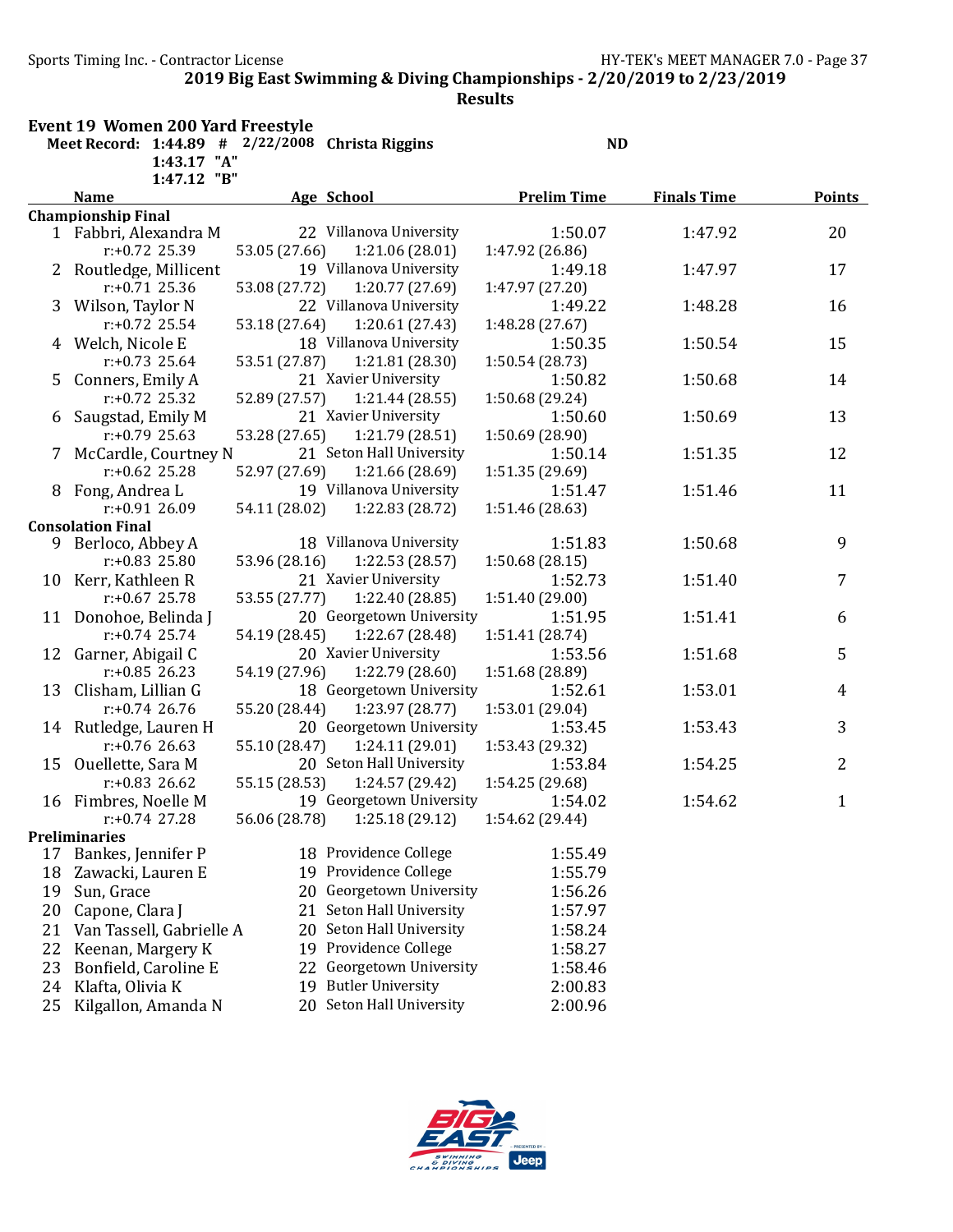Sports Timing Inc. - Contractor License Government Contractor HY-TEK's MEET MANAGER 7.0 - Page 37

2019 Big East Swimming & Diving Championships - 2/20/2019 to 2/23/2019

|    | <b>Event 19 Women 200 Yard Freestyle</b><br>Meet Record: $1:44.89$ # $2/22/2008$ Christa Riggins |               |                          | <b>ND</b>          |                    |               |
|----|--------------------------------------------------------------------------------------------------|---------------|--------------------------|--------------------|--------------------|---------------|
|    | 1:43.17 "A"                                                                                      |               |                          |                    |                    |               |
|    | 1:47.12 "B"<br><b>Name</b>                                                                       |               | Age School               | <b>Prelim Time</b> |                    |               |
|    | <b>Championship Final</b>                                                                        |               |                          |                    | <b>Finals Time</b> | <b>Points</b> |
|    | 1 Fabbri, Alexandra M                                                                            |               | 22 Villanova University  | 1:50.07            | 1:47.92            | 20            |
|    | $r: +0.72$ 25.39                                                                                 | 53.05 (27.66) | 1:21.06(28.01)           | 1:47.92 (26.86)    |                    |               |
|    | 2 Routledge, Millicent                                                                           |               | 19 Villanova University  | 1:49.18            | 1:47.97            | 17            |
|    | $r: +0.71$ 25.36                                                                                 | 53.08 (27.72) | 1:20.77 (27.69)          | 1:47.97 (27.20)    |                    |               |
|    | 3 Wilson, Taylor N                                                                               |               | 22 Villanova University  | 1:49.22            | 1:48.28            | 16            |
|    | $r: +0.72$ 25.54                                                                                 | 53.18 (27.64) | 1:20.61(27.43)           | 1:48.28 (27.67)    |                    |               |
|    | 4 Welch, Nicole E                                                                                |               | 18 Villanova University  | 1:50.35            | 1:50.54            | 15            |
|    | $r: +0.73$ 25.64                                                                                 | 53.51 (27.87) | 1:21.81(28.30)           | 1:50.54 (28.73)    |                    |               |
| 5. | Conners, Emily A                                                                                 |               | 21 Xavier University     | 1:50.82            | 1:50.68            | 14            |
|    | $r: +0.72$ 25.32                                                                                 | 52.89 (27.57) | 1:21.44(28.55)           | 1:50.68 (29.24)    |                    |               |
| 6  | Saugstad, Emily M                                                                                |               | 21 Xavier University     | 1:50.60            | 1:50.69            | 13            |
|    | r:+0.79 25.63                                                                                    | 53.28 (27.65) | 1:21.79 (28.51)          | 1:50.69 (28.90)    |                    |               |
|    | 7 McCardle, Courtney N                                                                           |               | 21 Seton Hall University | 1:50.14            | 1:51.35            | 12            |
|    | $r: +0.62$ 25.28                                                                                 | 52.97 (27.69) | 1:21.66 (28.69)          | 1:51.35 (29.69)    |                    |               |
|    | 8 Fong, Andrea L                                                                                 |               | 19 Villanova University  | 1:51.47            | 1:51.46            | 11            |
|    | r:+0.91 26.09                                                                                    | 54.11 (28.02) | 1:22.83 (28.72)          | 1:51.46 (28.63)    |                    |               |
|    | <b>Consolation Final</b>                                                                         |               |                          |                    |                    |               |
| 9. | Berloco, Abbey A                                                                                 |               | 18 Villanova University  | 1:51.83            | 1:50.68            | 9             |
|    | $r: +0.83$ 25.80                                                                                 | 53.96 (28.16) | 1:22.53 (28.57)          | 1:50.68(28.15)     |                    |               |
|    | 10 Kerr, Kathleen R                                                                              |               | 21 Xavier University     | 1:52.73            | 1:51.40            | 7             |
|    | $r: +0.67$ 25.78                                                                                 | 53.55 (27.77) | 1:22.40 (28.85)          | 1:51.40(29.00)     |                    |               |
|    | 11 Donohoe, Belinda J                                                                            |               | 20 Georgetown University | 1:51.95            | 1:51.41            | 6             |
|    | $r: +0.74$ 25.74                                                                                 | 54.19 (28.45) | 1:22.67 (28.48)          | 1:51.41 (28.74)    |                    |               |
|    | 12 Garner, Abigail C                                                                             |               | 20 Xavier University     | 1:53.56            | 1:51.68            | 5             |
|    | $r: +0.85$ 26.23                                                                                 | 54.19 (27.96) | 1:22.79 (28.60)          | 1:51.68 (28.89)    |                    |               |
|    | 13 Clisham, Lillian G                                                                            |               | 18 Georgetown University | 1:52.61            | 1:53.01            | 4             |
|    | $r: +0.74$ 26.76                                                                                 | 55.20 (28.44) | 1:23.97 (28.77)          | 1:53.01 (29.04)    |                    |               |
|    | 14 Rutledge, Lauren H                                                                            |               | 20 Georgetown University | 1:53.45            | 1:53.43            | 3             |
|    | $r: +0.76$ 26.63                                                                                 | 55.10 (28.47) | 1:24.11 (29.01)          | 1:53.43 (29.32)    |                    |               |
|    | 15 Ouellette, Sara M                                                                             |               | 20 Seton Hall University | 1:53.84            | 1:54.25            | 2             |
|    | $r: +0.83$ 26.62                                                                                 | 55.15 (28.53) | 1:24.57 (29.42)          | 1:54.25 (29.68)    |                    |               |
|    | 16 Fimbres, Noelle M                                                                             |               | 19 Georgetown University | 1:54.02            | 1:54.62            | $\mathbf{1}$  |
|    | $r: +0.74$ 27.28                                                                                 | 56.06 (28.78) | 1:25.18 (29.12)          | 1:54.62 (29.44)    |                    |               |
|    | <b>Preliminaries</b>                                                                             |               |                          |                    |                    |               |
| 17 | Bankes, Jennifer P                                                                               |               | 18 Providence College    | 1:55.49            |                    |               |
| 18 | Zawacki, Lauren E                                                                                |               | 19 Providence College    | 1:55.79            |                    |               |
| 19 | Sun, Grace                                                                                       | 20            | Georgetown University    | 1:56.26            |                    |               |
| 20 | Capone, Clara J                                                                                  | 21            | Seton Hall University    | 1:57.97            |                    |               |
| 21 | Van Tassell, Gabrielle A                                                                         | 20            | Seton Hall University    | 1:58.24            |                    |               |
| 22 | Keenan, Margery K                                                                                | 19            | Providence College       | 1:58.27            |                    |               |
|    |                                                                                                  |               | Georgetown University    |                    |                    |               |
| 23 | Bonfield, Caroline E                                                                             | 22            |                          | 1:58.46            |                    |               |
| 24 | Klafta, Olivia K                                                                                 | 19            | <b>Butler University</b> | 2:00.83            |                    |               |
| 25 | Kilgallon, Amanda N                                                                              |               | 20 Seton Hall University | 2:00.96            |                    |               |

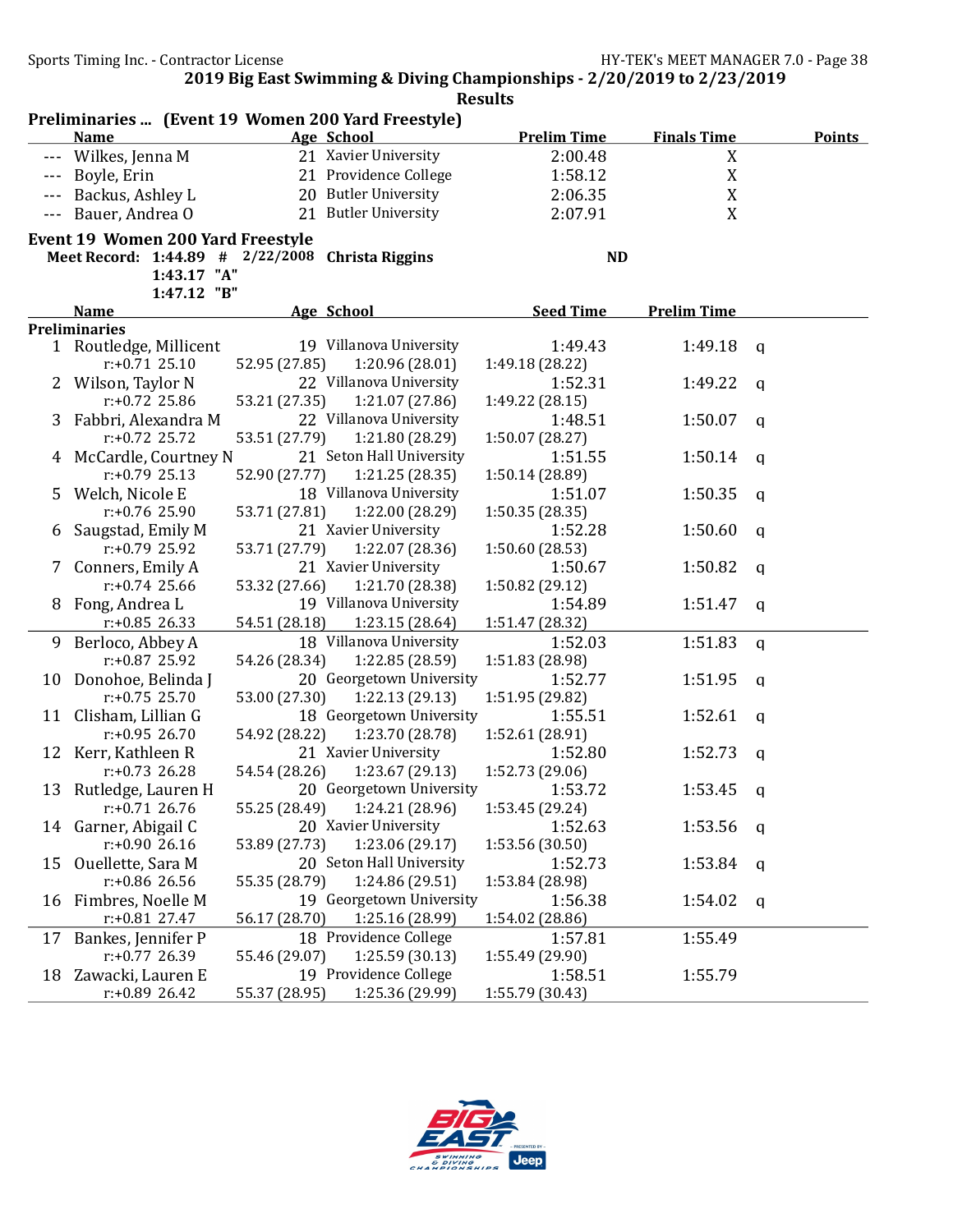|       | Preliminaries  (Event 19 Women 200 Yard Freestyle) |               |                                         |                            |                    |             |               |
|-------|----------------------------------------------------|---------------|-----------------------------------------|----------------------------|--------------------|-------------|---------------|
|       | <b>Name</b>                                        |               | Age School                              | <b>Prelim Time</b>         | <b>Finals Time</b> |             | <b>Points</b> |
|       | Wilkes, Jenna M                                    |               | 21 Xavier University                    | 2:00.48                    | X                  |             |               |
|       | Boyle, Erin                                        |               | 21 Providence College                   | 1:58.12                    | X                  |             |               |
|       | Backus, Ashley L                                   |               | 20 Butler University                    | 2:06.35                    | X                  |             |               |
| $---$ | Bauer, Andrea O                                    |               | 21 Butler University                    | 2:07.91                    | X                  |             |               |
|       | <b>Event 19 Women 200 Yard Freestyle</b>           |               |                                         |                            |                    |             |               |
|       | Meet Record: 1:44.89 # 2/22/2008 Christa Riggins   |               |                                         | <b>ND</b>                  |                    |             |               |
|       | 1:43.17 "A"                                        |               |                                         |                            |                    |             |               |
|       | 1:47.12 "B"                                        |               |                                         |                            |                    |             |               |
|       | <b>Name</b>                                        |               | Age School                              | <b>Seed Time</b>           | <b>Prelim Time</b> |             |               |
|       | <b>Preliminaries</b>                               |               |                                         |                            |                    |             |               |
|       | 1 Routledge, Millicent                             |               | 19 Villanova University                 | 1:49.43                    | 1:49.18            | q           |               |
|       | $r: +0.71$ 25.10                                   | 52.95 (27.85) | 1:20.96(28.01)                          | 1:49.18 (28.22)            |                    |             |               |
|       | 2 Wilson, Taylor N                                 |               | 22 Villanova University                 | 1:52.31                    | 1:49.22            | a           |               |
|       | $r: +0.72$ 25.86                                   | 53.21 (27.35) | 1:21.07 (27.86)                         | 1:49.22 (28.15)            |                    |             |               |
|       | 3 Fabbri, Alexandra M                              |               | 22 Villanova University                 | 1:48.51                    | 1:50.07            | a           |               |
|       | $r: +0.72$ 25.72                                   | 53.51 (27.79) | 1:21.80 (28.29)                         | 1:50.07 (28.27)            |                    |             |               |
|       | 4 McCardle, Courtney N                             |               | 21 Seton Hall University                | 1:51.55                    | 1:50.14            | a           |               |
|       | $r: +0.79$ 25.13                                   | 52.90 (27.77) | 1:21.25(28.35)                          | 1:50.14 (28.89)            |                    |             |               |
| 5     | Welch, Nicole E                                    |               | 18 Villanova University                 | 1:51.07                    | 1:50.35            | q           |               |
|       | $r: +0.76$ 25.90                                   | 53.71 (27.81) | 1:22.00 (28.29)                         | 1:50.35(28.35)             |                    |             |               |
| 6     | Saugstad, Emily M                                  |               | 21 Xavier University                    | 1:52.28                    | 1:50.60            | q           |               |
|       | r:+0.79 25.92                                      | 53.71 (27.79) | 1:22.07 (28.36)                         | 1:50.60 (28.53)            |                    |             |               |
| 7.    | Conners, Emily A                                   |               | 21 Xavier University                    | 1:50.67                    | 1:50.82            | a           |               |
|       | $r: +0.74$ 25.66                                   | 53.32 (27.66) | 1:21.70 (28.38)                         | 1:50.82 (29.12)            |                    |             |               |
| 8     | Fong, Andrea L                                     |               | 19 Villanova University                 | 1:54.89                    | 1:51.47            | a           |               |
|       | $r: +0.85$ 26.33                                   | 54.51 (28.18) | 1:23.15(28.64)                          | 1:51.47 (28.32)            |                    |             |               |
| 9     | Berloco, Abbey A                                   |               | 18 Villanova University                 | 1:52.03                    | 1:51.83            | $\mathbf q$ |               |
|       | $r: +0.87$ 25.92                                   | 54.26 (28.34) | 1:22.85 (28.59)                         | 1:51.83 (28.98)            |                    |             |               |
|       | 10 Donohoe, Belinda J                              |               | 20 Georgetown University                | 1:52.77                    | 1:51.95            | a           |               |
|       | $r: +0.75$ 25.70                                   | 53.00 (27.30) | 1:22.13(29.13)                          | 1:51.95 (29.82)<br>1:55.51 |                    |             |               |
|       | 11 Clisham, Lillian G<br>$r: +0.95$ 26.70          |               | 18 Georgetown University                |                            | 1:52.61            | q           |               |
|       |                                                    | 54.92 (28.22) | 1:23.70 (28.78)<br>21 Xavier University | 1:52.61 (28.91)            | 1:52.73            |             |               |
|       | 12 Kerr, Kathleen R<br>$r: +0.73$ 26.28            | 54.54 (28.26) | 1:23.67(29.13)                          | 1:52.80<br>1:52.73 (29.06) |                    | q           |               |
|       | 13 Rutledge, Lauren H                              |               | 20 Georgetown University                | 1:53.72                    | 1:53.45            |             |               |
|       | $r$ :+0.71 26.76                                   | 55.25 (28.49) | 1:24.21 (28.96)                         | 1:53.45 (29.24)            |                    | q           |               |
|       | 14 Garner, Abigail C                               |               | 20 Xavier University                    | 1:52.63                    | 1:53.56            | q           |               |
|       | r:+0.90 26.16                                      | 53.89 (27.73) | 1:23.06 (29.17)                         | 1:53.56 (30.50)            |                    |             |               |
|       | 15 Ouellette, Sara M                               |               | 20 Seton Hall University                | 1:52.73                    | 1:53.84            | q           |               |
|       | $r: +0.86$ 26.56                                   | 55.35 (28.79) | 1:24.86 (29.51)                         | 1:53.84 (28.98)            |                    |             |               |
|       | 16 Fimbres, Noelle M                               |               | 19 Georgetown University                | 1:56.38                    | 1:54.02            | q           |               |
|       | $r: +0.81$ 27.47                                   | 56.17 (28.70) | 1:25.16 (28.99)                         | 1:54.02 (28.86)            |                    |             |               |
| 17    | Bankes, Jennifer P                                 |               | 18 Providence College                   | 1:57.81                    | 1:55.49            |             |               |
|       | r:+0.77 26.39                                      | 55.46 (29.07) | 1:25.59(30.13)                          | 1:55.49 (29.90)            |                    |             |               |
|       | 18 Zawacki, Lauren E                               |               | 19 Providence College                   | 1:58.51                    | 1:55.79            |             |               |
|       | $r: +0.89$ 26.42                                   | 55.37 (28.95) | 1:25.36 (29.99)                         | 1:55.79 (30.43)            |                    |             |               |

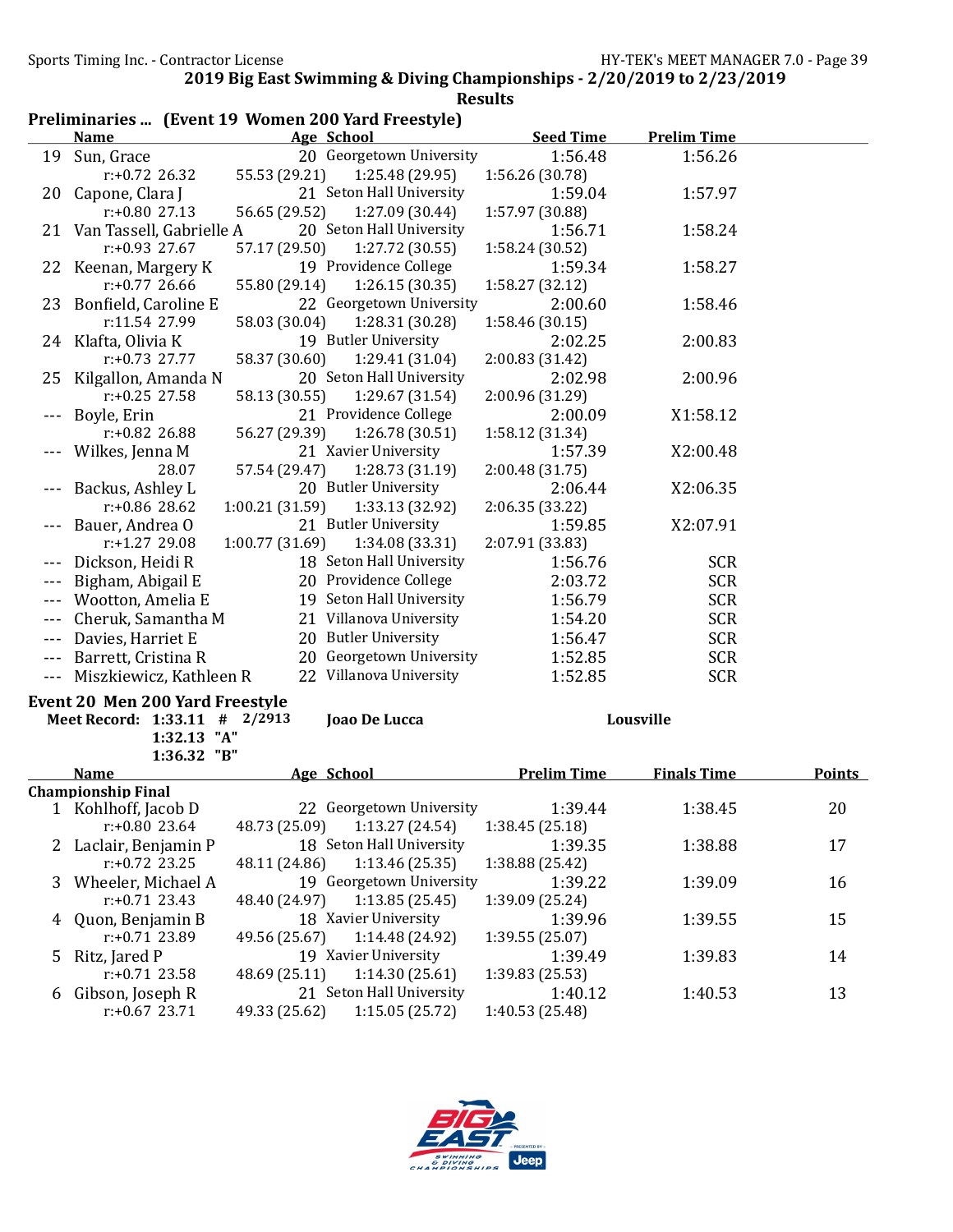## Preliminaries ... (Event 19 Women 200 Yard Freestyle)

|         | <b>Name</b>                     |                 | Age School                                    | <b>Seed Time</b>   | <b>Prelim Time</b> |               |
|---------|---------------------------------|-----------------|-----------------------------------------------|--------------------|--------------------|---------------|
|         | 19 Sun, Grace                   |                 | 20 Georgetown University                      | 1:56.48            | 1:56.26            |               |
|         | r:+0.72 26.32                   | 55.53 (29.21)   | 1:25.48 (29.95)                               | 1:56.26 (30.78)    |                    |               |
|         | 20 Capone, Clara J              |                 | 21 Seton Hall University                      | 1:59.04            | 1:57.97            |               |
|         | $r: +0.80$ 27.13                | 56.65 (29.52)   | 1:27.09 (30.44)                               | 1:57.97 (30.88)    |                    |               |
|         | 21 Van Tassell, Gabrielle A     |                 | 20 Seton Hall University                      | 1:56.71            | 1:58.24            |               |
|         | r:+0.93 27.67                   | 57.17 (29.50)   | 1:27.72 (30.55)                               | 1:58.24 (30.52)    |                    |               |
|         | 22 Keenan, Margery K            |                 | 19 Providence College                         | 1:59.34            | 1:58.27            |               |
|         | $r: +0.77$ 26.66                | 55.80 (29.14)   | 1:26.15(30.35)                                | 1:58.27 (32.12)    |                    |               |
|         | 23 Bonfield, Caroline E         |                 | 22 Georgetown University                      | 2:00.60            | 1:58.46            |               |
|         | r:11.54 27.99                   | 58.03 (30.04)   | 1:28.31 (30.28)                               | 1:58.46 (30.15)    |                    |               |
|         | 24 Klafta, Olivia K             |                 | 19 Butler University                          | 2:02.25            | 2:00.83            |               |
|         | $r: +0.73$ 27.77                | 58.37 (30.60)   | 1:29.41 (31.04)                               | 2:00.83(31.42)     |                    |               |
| 25      | Kilgallon, Amanda N             |                 | 20 Seton Hall University                      | 2:02.98            | 2:00.96            |               |
|         | $r: +0.25$ 27.58                | 58.13 (30.55)   | 1:29.67 (31.54)                               | 2:00.96 (31.29)    |                    |               |
|         | Boyle, Erin                     |                 | 21 Providence College                         | 2:00.09            | X1:58.12           |               |
|         | r:+0.82 26.88                   | 56.27 (29.39)   | 1:26.78 (30.51)                               | 1:58.12 (31.34)    |                    |               |
|         | Wilkes, Jenna M                 |                 | 21 Xavier University                          | 1:57.39            | X2:00.48           |               |
|         | 28.07                           | 57.54 (29.47)   | 1:28.73 (31.19)                               | 2:00.48 (31.75)    |                    |               |
|         | Backus, Ashley L                |                 | 20 Butler University                          | 2:06.44            | X2:06.35           |               |
|         | r:+0.86 28.62                   | 1:00.21 (31.59) | 1:33.13 (32.92)                               | 2:06.35 (33.22)    |                    |               |
|         | Bauer, Andrea O                 |                 | 21 Butler University                          | 1:59.85            | X2:07.91           |               |
|         | r:+1.27 29.08                   | 1:00.77(31.69)  | 1:34.08 (33.31)                               | 2:07.91 (33.83)    |                    |               |
|         | Dickson, Heidi R                |                 | 18 Seton Hall University                      | 1:56.76            | <b>SCR</b>         |               |
|         | Bigham, Abigail E               |                 | 20 Providence College                         | 2:03.72            | <b>SCR</b>         |               |
|         | Wootton, Amelia E               |                 | 19 Seton Hall University                      | 1:56.79            | <b>SCR</b>         |               |
|         | Cheruk, Samantha M              |                 | 21 Villanova University                       | 1:54.20            | <b>SCR</b>         |               |
| $- - -$ |                                 |                 | 20 Butler University                          |                    |                    |               |
| $- - -$ | Davies, Harriet E               |                 |                                               | 1:56.47            | <b>SCR</b>         |               |
| $- - -$ | Barrett, Cristina R             |                 | 20 Georgetown University                      | 1:52.85            | <b>SCR</b>         |               |
| $- - -$ | Miszkiewicz, Kathleen R         |                 | 22 Villanova University                       | 1:52.85            | <b>SCR</b>         |               |
|         | Event 20 Men 200 Yard Freestyle |                 |                                               |                    |                    |               |
|         | Meet Record: 1:33.11 # 2/2913   |                 | Joao De Lucca                                 |                    | Lousville          |               |
|         | 1:32.13 "A"                     |                 |                                               |                    |                    |               |
|         | 1:36.32 "B"                     |                 |                                               |                    |                    |               |
|         | <b>Name</b>                     |                 | Age School                                    | <b>Prelim Time</b> | <b>Finals Time</b> | <b>Points</b> |
|         | <b>Championship Final</b>       |                 |                                               |                    |                    |               |
|         | 1 Kohlhoff, Jacob D             |                 | 22 Georgetown University                      | 1:39.44            | 1:38.45            | 20            |
|         | $r: +0.80$ 23.64                |                 | 48.73 (25.09) 1:13.27 (24.54) 1:38.45 (25.18) |                    |                    |               |
| 2       | Laclair, Benjamin P             |                 | 18 Seton Hall University                      | 1:39.35            | 1:38.88            | 17            |
|         | $r: +0.72$ 23.25                | 48.11 (24.86)   | 1:13.46 (25.35)                               | 1:38.88 (25.42)    |                    |               |
| 3       | Wheeler, Michael A              |                 | 19 Georgetown University                      | 1:39.22            | 1:39.09            | 16            |
|         | $r: +0.71$ 23.43                | 48.40 (24.97)   | 1:13.85(25.45)                                | 1:39.09 (25.24)    |                    |               |
| 4       | Quon, Benjamin B                |                 | 18 Xavier University                          | 1:39.96            | 1:39.55            | 15            |
|         | r:+0.71 23.89                   | 49.56 (25.67)   | 1:14.48 (24.92)                               | 1:39.55(25.07)     |                    |               |
| 5       | Ritz, Jared P                   |                 | 19 Xavier University                          | 1:39.49            | 1:39.83            | 14            |
|         | $r: +0.71$ 23.58                | 48.69 (25.11)   | 1:14.30(25.61)                                | 1:39.83 (25.53)    |                    |               |
| 6       | Gibson, Joseph R                |                 | 21 Seton Hall University                      | 1:40.12            | 1:40.53            | 13            |
|         | $r: +0.67$ 23.71                | 49.33 (25.62)   | 1:15.05(25.72)                                | 1:40.53 (25.48)    |                    |               |

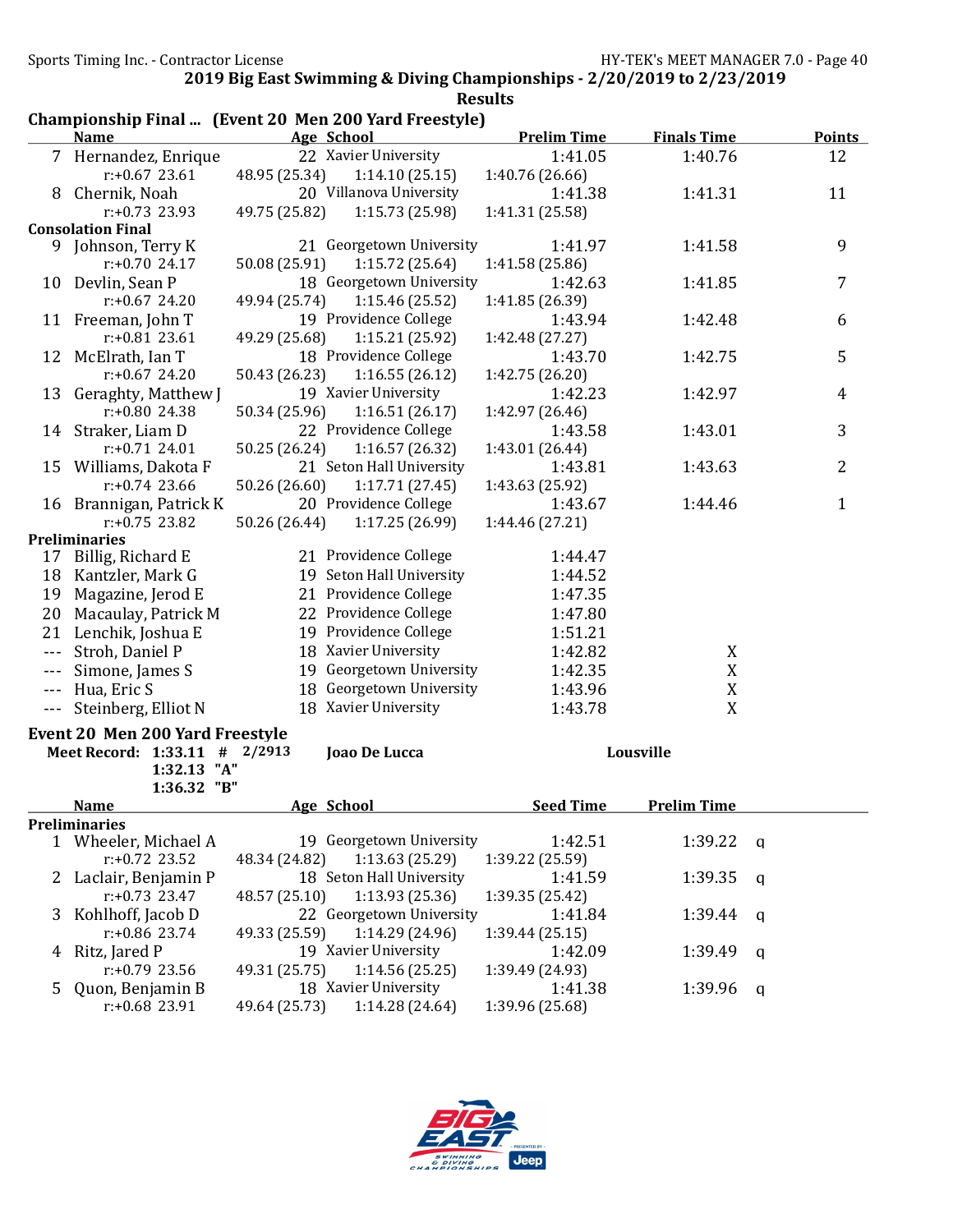|                      | Championship Final  (Event 20 Men 200 Yard Freestyle) |               |                          |                            |                    |   |               |
|----------------------|-------------------------------------------------------|---------------|--------------------------|----------------------------|--------------------|---|---------------|
|                      | <b>Name</b>                                           |               | Age School               | <b>Prelim Time</b>         | <b>Finals Time</b> |   | <b>Points</b> |
|                      | 7 Hernandez, Enrique                                  |               | 22 Xavier University     | 1:41.05                    | 1:40.76            |   | 12            |
|                      | $r: +0.67$ 23.61                                      | 48.95 (25.34) | 1:14.10(25.15)           | 1:40.76 (26.66)            |                    |   |               |
|                      | 8 Chernik, Noah                                       |               | 20 Villanova University  | 1:41.38                    | 1:41.31            |   | 11            |
|                      | $r: +0.73$ 23.93                                      | 49.75 (25.82) | 1:15.73 (25.98)          | 1:41.31 (25.58)            |                    |   |               |
|                      | <b>Consolation Final</b>                              |               |                          |                            |                    |   |               |
| 9.                   | Johnson, Terry K                                      |               | 21 Georgetown University | 1:41.97                    | 1:41.58            |   | 9             |
|                      | $r: +0.70$ 24.17                                      | 50.08 (25.91) | 1:15.72(25.64)           | 1:41.58 (25.86)            |                    |   |               |
|                      | 10 Devlin, Sean P                                     |               | 18 Georgetown University | 1:42.63                    | 1:41.85            |   | 7             |
|                      | $r: +0.67$ 24.20                                      | 49.94 (25.74) | 1:15.46 (25.52)          | 1:41.85 (26.39)            |                    |   |               |
|                      | 11 Freeman, John T                                    |               | 19 Providence College    | 1:43.94                    | 1:42.48            |   | 6             |
|                      | $r: +0.81$ 23.61                                      | 49.29 (25.68) | 1:15.21 (25.92)          | 1:42.48 (27.27)            |                    |   |               |
|                      | 12 McElrath, Ian T                                    |               | 18 Providence College    | 1:43.70                    | 1:42.75            |   | 5             |
|                      | $r: +0.67$ 24.20                                      | 50.43 (26.23) | 1:16.55(26.12)           | 1:42.75 (26.20)            |                    |   |               |
|                      | 13 Geraghty, Matthew J                                |               | 19 Xavier University     | 1:42.23                    | 1:42.97            |   | 4             |
|                      | $r: +0.80$ 24.38                                      | 50.34 (25.96) | 1:16.51(26.17)           | 1:42.97 (26.46)            |                    |   |               |
|                      | 14 Straker, Liam D                                    |               | 22 Providence College    | 1:43.58                    | 1:43.01            |   | 3             |
|                      | $r: +0.71$ 24.01                                      | 50.25 (26.24) | 1:16.57(26.32)           | 1:43.01 (26.44)            |                    |   |               |
|                      | 15 Williams, Dakota F                                 |               | 21 Seton Hall University | 1:43.81                    | 1:43.63            |   | 2             |
|                      | $r: +0.74$ 23.66                                      | 50.26 (26.60) | 1:17.71(27.45)           | 1:43.63 (25.92)            |                    |   |               |
|                      | 16 Brannigan, Patrick K                               |               | 20 Providence College    | 1:43.67                    | 1:44.46            |   | $\mathbf{1}$  |
|                      | $r: +0.75$ 23.82                                      | 50.26 (26.44) | 1:17.25 (26.99)          | 1:44.46 (27.21)            |                    |   |               |
|                      | <b>Preliminaries</b>                                  |               |                          |                            |                    |   |               |
|                      | 17 Billig, Richard E                                  |               | 21 Providence College    | 1:44.47                    |                    |   |               |
|                      | 18 Kantzler, Mark G                                   |               | 19 Seton Hall University | 1:44.52                    |                    |   |               |
|                      | 19 Magazine, Jerod E                                  |               | 21 Providence College    | 1:47.35                    |                    |   |               |
|                      | 20 Macaulay, Patrick M                                |               | 22 Providence College    | 1:47.80                    |                    |   |               |
|                      | 21 Lenchik, Joshua E                                  |               | 19 Providence College    | 1:51.21                    |                    |   |               |
|                      | --- Stroh, Daniel P                                   |               | 18 Xavier University     | 1:42.82                    | X                  |   |               |
| $\sim$ $\sim$        | Simone, James S                                       |               | 19 Georgetown University | 1:42.35                    | X                  |   |               |
|                      | --- Hua, Eric S                                       |               | 18 Georgetown University | 1:43.96                    | $\mathbf X$        |   |               |
| $\sim$ $\sim$ $\sim$ | Steinberg, Elliot N                                   |               | 18 Xavier University     | 1:43.78                    | X                  |   |               |
|                      |                                                       |               |                          |                            |                    |   |               |
|                      | <b>Event 20 Men 200 Yard Freestyle</b>                |               |                          |                            |                    |   |               |
|                      | Meet Record: 1:33.11 # 2/2913                         |               | Joao De Lucca            |                            | Lousville          |   |               |
|                      | 1:32.13 "A"                                           |               |                          |                            |                    |   |               |
|                      | 1:36.32 "B"                                           |               |                          |                            |                    |   |               |
|                      | <b>Name</b><br><b>Preliminaries</b>                   |               | Age School               | <b>Seed Time</b>           | <b>Prelim Time</b> |   |               |
|                      | 1 Wheeler, Michael A                                  |               | 19 Georgetown University | 1:42.51                    | 1:39.22            | q |               |
|                      | $r: +0.72$ 23.52                                      | 48.34 (24.82) | 1:13.63(25.29)           | 1:39.22 (25.59)            |                    |   |               |
|                      | Laclair, Benjamin P                                   |               | 18 Seton Hall University | 1:41.59                    | 1:39.35            |   |               |
| $\mathbf{Z}$         | $r: +0.73$ 23.47                                      | 48.57 (25.10) | 1:13.93 (25.36)          | 1:39.35 (25.42)            |                    | q |               |
|                      | Kohlhoff, Jacob D                                     |               | 22 Georgetown University | 1:41.84                    | 1:39.44            |   |               |
| 3                    | r:+0.86 23.74                                         | 49.33 (25.59) | 1:14.29 (24.96)          | 1:39.44(25.15)             |                    | q |               |
|                      | Ritz, Jared P                                         |               | 19 Xavier University     | 1:42.09                    |                    |   |               |
| 4                    |                                                       |               | 1:14.56(25.25)           |                            | 1:39.49            | q |               |
|                      | $r: +0.79$ 23.56                                      | 49.31 (25.75) | 18 Xavier University     | 1:39.49 (24.93)<br>1:41.38 |                    |   |               |
| 5                    | Quon, Benjamin B<br>r:+0.68 23.91                     | 49.64 (25.73) | 1:14.28(24.64)           | 1:39.96 (25.68)            | 1:39.96            | q |               |
|                      |                                                       |               |                          |                            |                    |   |               |

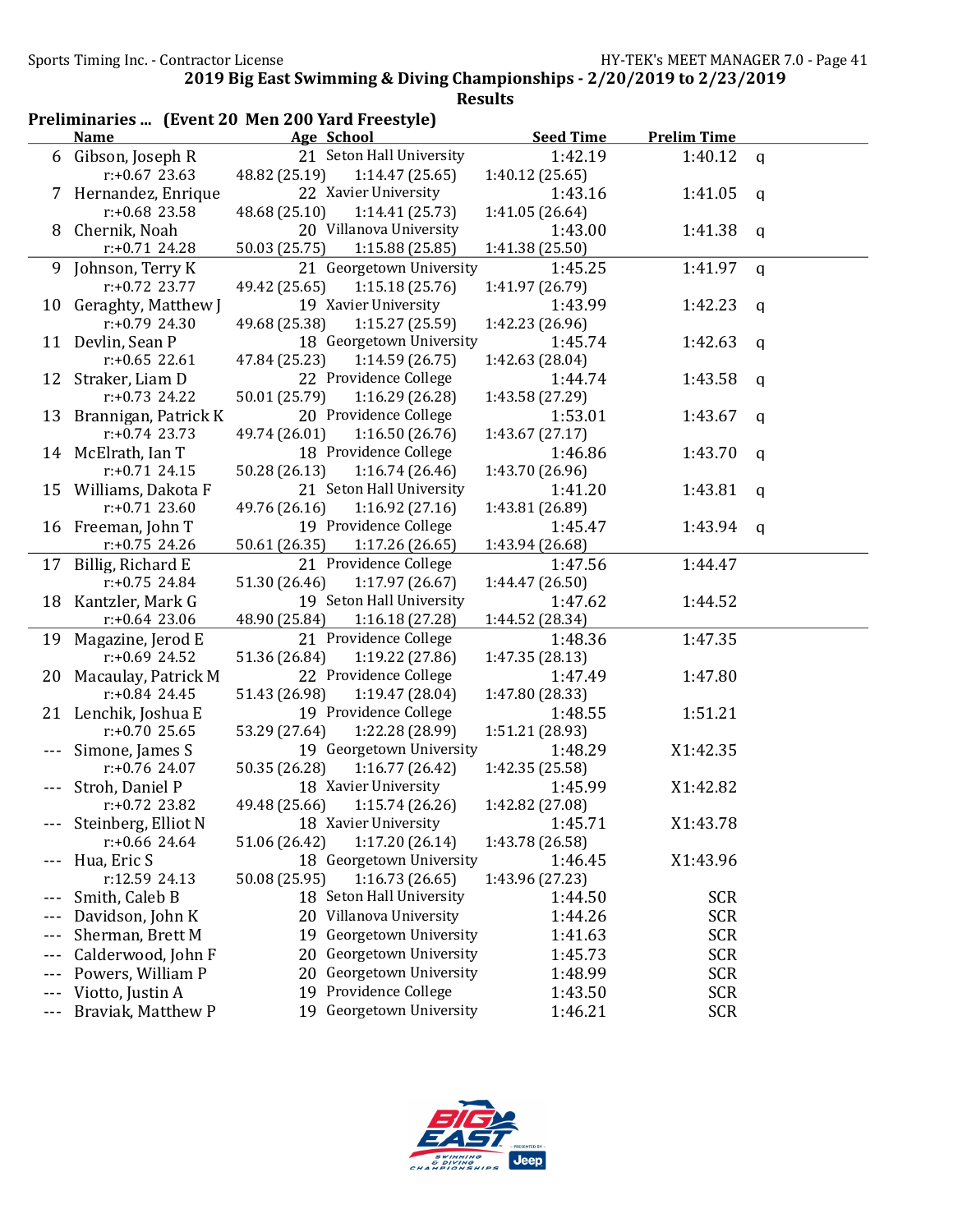|              |                                     | Preliminaries  (Event 20 Men 200 Yard Freestyle) |                            |                    |              |
|--------------|-------------------------------------|--------------------------------------------------|----------------------------|--------------------|--------------|
|              | <b>Name</b>                         | Age School                                       | <b>Seed Time</b>           | <b>Prelim Time</b> |              |
|              | 6 Gibson, Joseph R                  | 21 Seton Hall University                         | 1:42.19                    | 1:40.12 $q$        |              |
|              | $r: +0.67$ 23.63                    | 48.82 (25.19)<br>1:14.47(25.65)                  | 1:40.12 (25.65)            |                    |              |
|              | 7 Hernandez, Enrique                | 22 Xavier University                             | 1:43.16                    | 1:41.05            | $\mathbf{q}$ |
|              | $r: +0.68$ 23.58                    | 48.68 (25.10)<br>1:14.41(25.73)                  | 1:41.05 (26.64)            |                    |              |
|              | 8 Chernik, Noah                     | 20 Villanova University                          | 1:43.00                    | 1:41.38 $q$        |              |
|              | $r: +0.71$ 24.28                    | 50.03 (25.75)<br>1:15.88 (25.85)                 | 1:41.38 (25.50)            |                    |              |
| 9.           | Johnson, Terry K                    | 21 Georgetown University                         | 1:45.25                    | 1:41.97            | $\mathbf q$  |
|              | $r: +0.72$ 23.77                    | 49.42 (25.65)<br>1:15.18(25.76)                  | 1:41.97 (26.79)            |                    |              |
|              | 10 Geraghty, Matthew J              | 19 Xavier University                             | 1:43.99                    | 1:42.23            | q            |
|              | $r: +0.79$ 24.30                    | 49.68 (25.38)<br>1:15.27(25.59)                  | 1:42.23 (26.96)            |                    |              |
|              | 11 Devlin, Sean P                   | 18 Georgetown University                         | 1:45.74                    | 1:42.63            | q            |
|              | $r: +0.65$ 22.61                    | 47.84 (25.23)<br>1:14.59(26.75)                  | 1:42.63 (28.04)            |                    |              |
|              | 12 Straker, Liam D                  | 22 Providence College                            | 1:44.74                    | 1:43.58            | q            |
|              | $r: +0.73$ 24.22                    | 50.01 (25.79)<br>1:16.29(26.28)                  | 1:43.58 (27.29)            |                    |              |
|              | 13 Brannigan, Patrick K             | 20 Providence College                            | 1:53.01                    | 1:43.67            | $\mathbf q$  |
|              | $r: +0.74$ 23.73                    | 49.74 (26.01)<br>1:16.50(26.76)                  | 1:43.67(27.17)             |                    |              |
|              | 14 McElrath, Ian T                  | 18 Providence College                            | 1:46.86                    | 1:43.70            | q            |
|              | $r: +0.71$ 24.15                    | 50.28 (26.13)<br>1:16.74(26.46)                  | 1:43.70 (26.96)            |                    |              |
|              | 15 Williams, Dakota F               | 21 Seton Hall University                         | 1:41.20                    | 1:43.81            | q            |
|              | $r: +0.71$ 23.60                    | 1:16.92(27.16)<br>49.76 (26.16)                  | 1:43.81 (26.89)            |                    |              |
|              | 16 Freeman, John T                  | 19 Providence College                            | 1:45.47                    | 1:43.94 $q$        |              |
|              | $r: +0.75$ 24.26                    | 50.61 (26.35)<br>1:17.26 (26.65)                 | 1:43.94 (26.68)            |                    |              |
|              | 17 Billig, Richard E                | 21 Providence College                            | 1:47.56                    | 1:44.47            |              |
|              | $r: +0.75$ 24.84                    | 51.30 (26.46)<br>1:17.97(26.67)                  | 1:44.47 (26.50)            |                    |              |
|              | 18 Kantzler, Mark G                 | 19 Seton Hall University                         | 1:47.62                    | 1:44.52            |              |
|              | $r: +0.64$ 23.06                    | 48.90 (25.84)<br>1:16.18(27.28)                  | 1:44.52 (28.34)            |                    |              |
|              | 19 Magazine, Jerod E                | 21 Providence College                            | 1:48.36                    | 1:47.35            |              |
|              | $r: +0.69$ 24.52                    | 51.36 (26.84)<br>1:19.22 (27.86)                 | 1:47.35 (28.13)            |                    |              |
|              | 20 Macaulay, Patrick M              | 22 Providence College                            | 1:47.49                    | 1:47.80            |              |
|              | $r: +0.84$ 24.45                    | 51.43 (26.98)<br>1:19.47 (28.04)                 | 1:47.80 (28.33)            |                    |              |
|              | 21 Lenchik, Joshua E                | 19 Providence College<br>53.29 (27.64)           | 1:48.55<br>1:51.21 (28.93) | 1:51.21            |              |
|              | $r: +0.70$ 25.65                    | 1:22.28 (28.99)<br>19 Georgetown University      | 1:48.29                    |                    |              |
|              | Simone, James S<br>$r: +0.76$ 24.07 | 1:16.77(26.42)<br>50.35 (26.28)                  |                            | X1:42.35           |              |
|              | Stroh, Daniel P                     | 18 Xavier University                             | 1:42.35 (25.58)<br>1:45.99 | X1:42.82           |              |
|              | $r: +0.72$ 23.82                    | 49.48 (25.66)<br>1:15.74(26.26)                  | 1:42.82 (27.08)            |                    |              |
|              | Steinberg, Elliot N                 | 18 Xavier University                             | 1:45.71                    | X1:43.78           |              |
|              | $r: +0.66$ 24.64                    | 1:17.20(26.14)<br>51.06 (26.42)                  | 1:43.78 (26.58)            |                    |              |
|              | Hua, Eric S                         | 18 Georgetown University                         | 1:46.45                    | X1:43.96           |              |
|              | r:12.59 24.13                       | 50.08 (25.95)<br>1:16.73(26.65)                  | 1:43.96 (27.23)            |                    |              |
| ---          | Smith, Caleb B                      | 18 Seton Hall University                         | 1:44.50                    | <b>SCR</b>         |              |
|              | Davidson, John K                    | 20 Villanova University                          | 1:44.26                    | <b>SCR</b>         |              |
| ---<br>$---$ | Sherman, Brett M                    | Georgetown University<br>19                      | 1:41.63                    | <b>SCR</b>         |              |
|              | Calderwood, John F                  | Georgetown University<br>20                      | 1:45.73                    | <b>SCR</b>         |              |
| ---          | Powers, William P                   | Georgetown University<br>20                      | 1:48.99                    | <b>SCR</b>         |              |
| ---          | Viotto, Justin A                    | Providence College<br>19                         | 1:43.50                    | <b>SCR</b>         |              |
| ---          |                                     | 19 Georgetown University                         |                            |                    |              |
| $- - -$      | Braviak, Matthew P                  |                                                  | 1:46.21                    | <b>SCR</b>         |              |

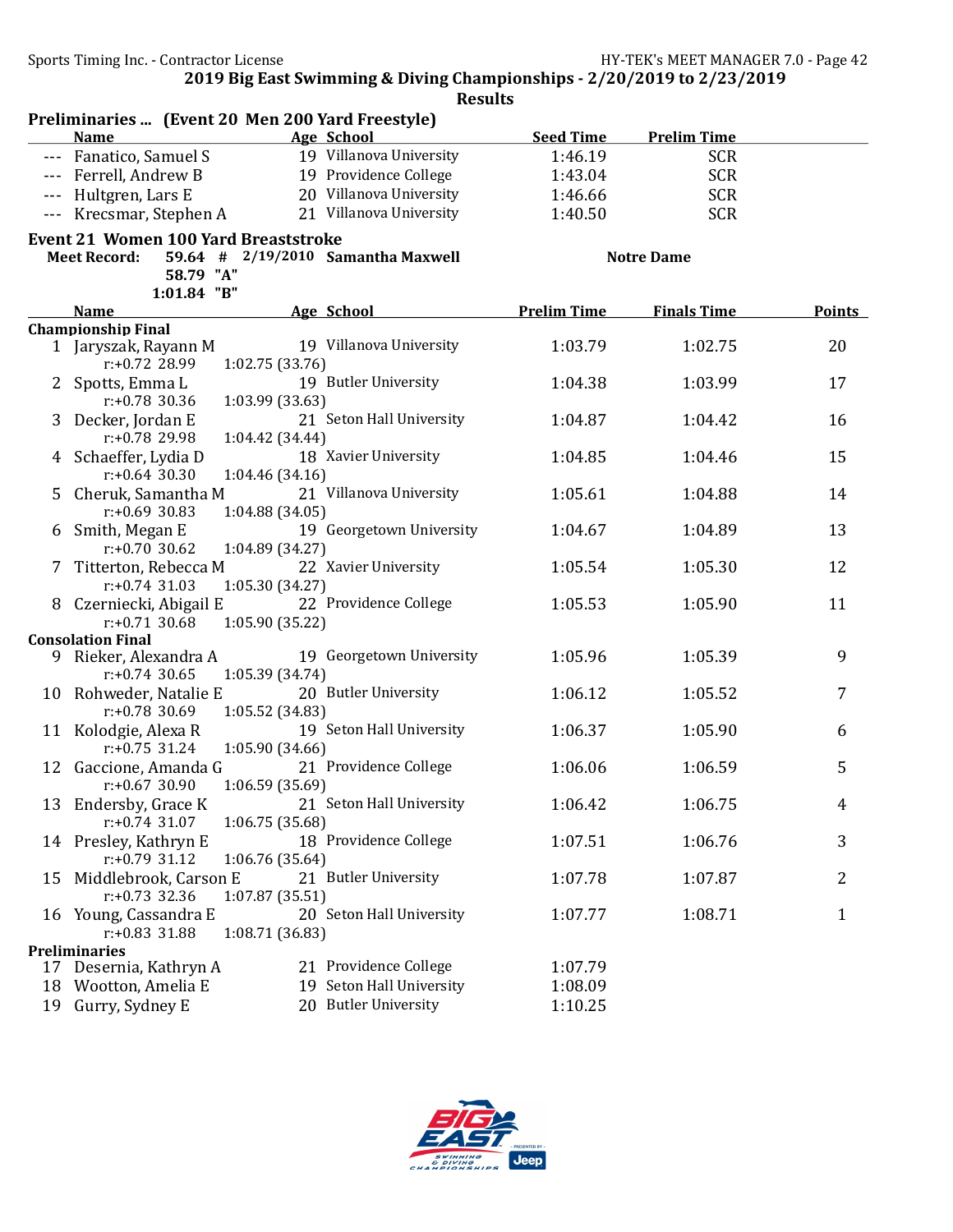|         |                                                              | <b>Results</b>                     |                    |                    |               |
|---------|--------------------------------------------------------------|------------------------------------|--------------------|--------------------|---------------|
|         | Preliminaries  (Event 20 Men 200 Yard Freestyle)             |                                    |                    |                    |               |
|         | <b>Name</b>                                                  | Age School                         | <b>Seed Time</b>   | <b>Prelim Time</b> |               |
|         | --- Fanatico, Samuel S                                       | 19 Villanova University            | 1:46.19            | <b>SCR</b>         |               |
|         | --- Ferrell, Andrew B                                        | 19 Providence College              | 1:43.04            | <b>SCR</b>         |               |
| $- - -$ | Hultgren, Lars E                                             | 20 Villanova University            | 1:46.66            | <b>SCR</b>         |               |
| $- - -$ | Krecsmar, Stephen A                                          | 21 Villanova University            | 1:40.50            | <b>SCR</b>         |               |
|         | <b>Event 21 Women 100 Yard Breaststroke</b>                  |                                    |                    |                    |               |
|         | <b>Meet Record:</b>                                          | 59.64 # 2/19/2010 Samantha Maxwell |                    | <b>Notre Dame</b>  |               |
|         | 58.79 "A"                                                    |                                    |                    |                    |               |
|         | 1:01.84 "B"                                                  |                                    |                    |                    |               |
|         | <b>Name</b>                                                  | Age School                         | <b>Prelim Time</b> | <b>Finals Time</b> | <b>Points</b> |
|         | <b>Championship Final</b><br>1 Jaryszak, Rayann M            | 19 Villanova University            | 1:03.79            | 1:02.75            | 20            |
|         | 1:02.75 (33.76)<br>$r: +0.72$ 28.99                          |                                    |                    |                    |               |
|         | 2 Spotts, Emma L                                             | 19 Butler University               | 1:04.38            | 1:03.99            | 17            |
|         | $r: +0.78$ 30.36<br>1:03.99 (33.63)                          |                                    |                    |                    |               |
| 3       | Decker, Jordan E                                             | 21 Seton Hall University           | 1:04.87            | 1:04.42            | 16            |
|         | r:+0.78 29.98<br>1:04.42 (34.44)                             |                                    |                    |                    |               |
|         | 4 Schaeffer, Lydia D                                         | 18 Xavier University               | 1:04.85            | 1:04.46            | 15            |
|         | $r: +0.64$ 30.30<br>1:04.46 (34.16)                          |                                    |                    |                    |               |
| 5       | Cheruk, Samantha M                                           | 21 Villanova University            | 1:05.61            | 1:04.88            | 14            |
|         | $r: +0.69$ 30.83<br>1:04.88(34.05)                           |                                    |                    |                    |               |
| 6       | Smith, Megan E                                               | 19 Georgetown University           | 1:04.67            | 1:04.89            | 13            |
|         | $r: +0.70$ 30.62<br>1:04.89 (34.27)                          |                                    |                    |                    |               |
| 7       | Titterton, Rebecca M                                         | 22 Xavier University               | 1:05.54            | 1:05.30            | 12            |
|         | 1:05.30 (34.27)<br>$r: +0.74$ 31.03                          |                                    |                    |                    |               |
| 8       | Czerniecki, Abigail E                                        | 22 Providence College              | 1:05.53            | 1:05.90            | 11            |
|         | $r: +0.71$ 30.68<br>1:05.90 (35.22)                          |                                    |                    |                    |               |
|         | <b>Consolation Final</b>                                     | 19 Georgetown University           | 1:05.96            |                    | 9             |
|         | 9 Rieker, Alexandra A<br>$r: +0.74$ 30.65<br>1:05.39 (34.74) |                                    |                    | 1:05.39            |               |
|         | 10 Rohweder, Natalie E                                       | 20 Butler University               | 1:06.12            | 1:05.52            | 7             |
|         | $r: +0.78$ 30.69<br>1:05.52 (34.83)                          |                                    |                    |                    |               |
|         | 11 Kolodgie, Alexa R                                         | 19 Seton Hall University           | 1:06.37            | 1:05.90            | 6             |
|         | $r: +0.75$ 31.24<br>1:05.90(34.66)                           |                                    |                    |                    |               |
|         | 12 Gaccione, Amanda G                                        | 21 Providence College              | 1:06.06            | 1:06.59            | 5             |
|         | 1:06.59 (35.69)<br>r:+0.67 30.90                             |                                    |                    |                    |               |
| 13      | Endersby, Grace K                                            | 21 Seton Hall University           | 1:06.42            | 1:06.75            | 4             |
|         | $r: +0.74$ 31.07<br>1:06.75(35.68)                           |                                    |                    |                    |               |
|         | 14 Presley, Kathryn E                                        | 18 Providence College              | 1:07.51            | 1:06.76            | 3             |
|         | $r: +0.79$ 31.12<br>1:06.76(35.64)                           |                                    |                    |                    |               |
| 15      | Middlebrook, Carson E                                        | 21 Butler University               | 1:07.78            | 1:07.87            | 2             |
|         | $r: +0.73$ 32.36<br>1:07.87 (35.51)                          |                                    |                    |                    |               |
|         | 16 Young, Cassandra E                                        | 20 Seton Hall University           | 1:07.77            | 1:08.71            | 1             |
|         | r:+0.83 31.88<br>1:08.71 (36.83)                             |                                    |                    |                    |               |
|         | <b>Preliminaries</b>                                         |                                    |                    |                    |               |
|         | 17 Desernia, Kathryn A                                       | 21 Providence College              | 1:07.79            |                    |               |
| 18      | Wootton, Amelia E                                            | 19 Seton Hall University           | 1:08.09            |                    |               |
| 19      | Gurry, Sydney E                                              | 20 Butler University               | 1:10.25            |                    |               |

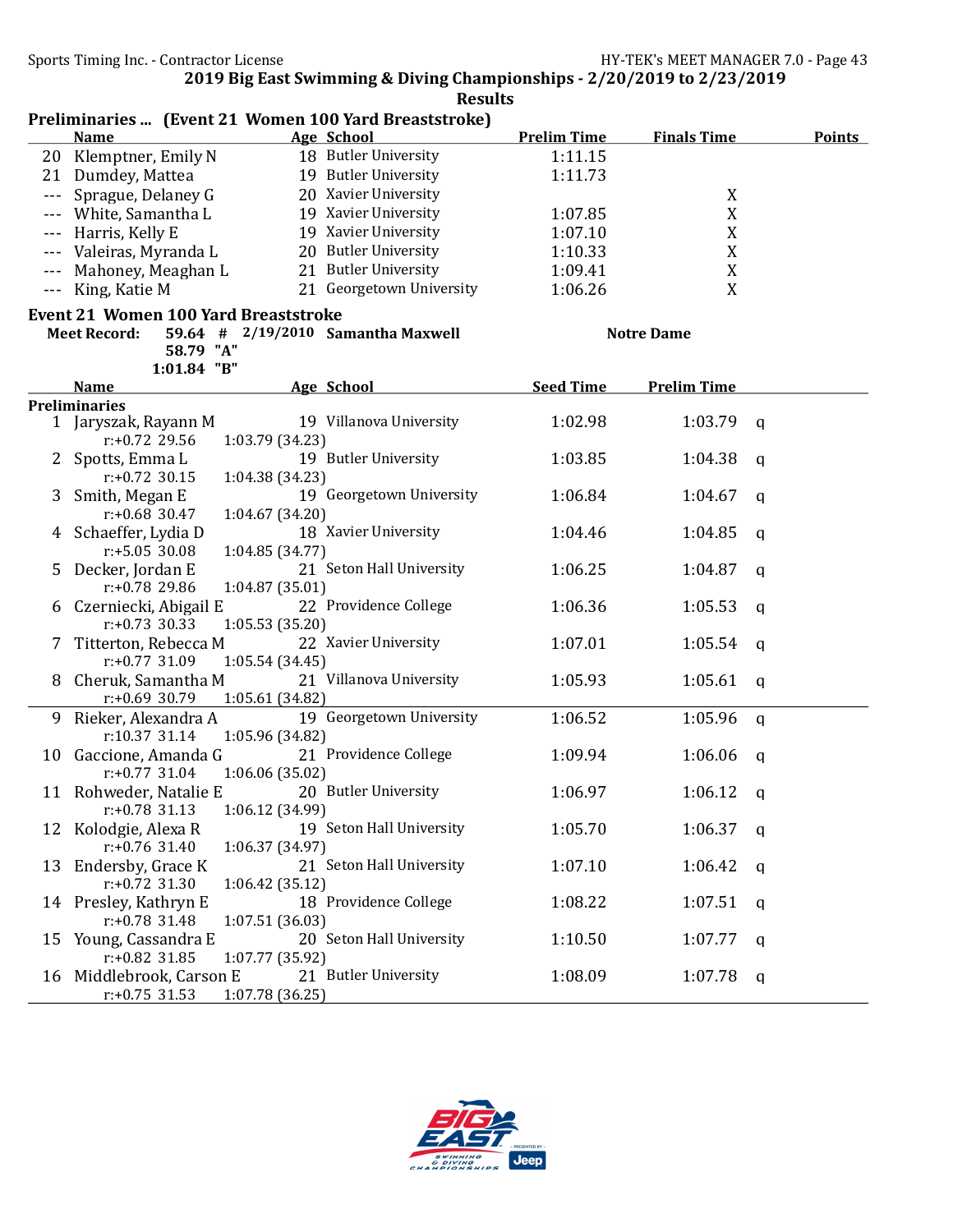|         |                                             |                 | Preliminaries  (Event 21 Women 100 Yard Breaststroke) |                    |                    |   |               |
|---------|---------------------------------------------|-----------------|-------------------------------------------------------|--------------------|--------------------|---|---------------|
|         | <b>Name</b>                                 |                 | <b>Age School</b>                                     | <b>Prelim Time</b> | <b>Finals Time</b> |   | <b>Points</b> |
| 20      | Klemptner, Emily N                          |                 | 18 Butler University                                  | 1:11.15            |                    |   |               |
| 21      | Dumdey, Mattea                              |                 | 19 Butler University                                  | 1:11.73            |                    |   |               |
| $- - -$ | Sprague, Delaney G                          |                 | 20 Xavier University                                  |                    | X                  |   |               |
| $---$   | White, Samantha L                           |                 | 19 Xavier University                                  | 1:07.85            | $\mathbf X$        |   |               |
| $---$   | Harris, Kelly E                             |                 | 19 Xavier University                                  | 1:07.10            | $\mathbf X$        |   |               |
| $---$   | Valeiras, Myranda L                         |                 | 20 Butler University                                  | 1:10.33            | $\mathbf X$        |   |               |
| $---$   | Mahoney, Meaghan L                          |                 | 21 Butler University                                  | 1:09.41            | $\mathbf X$        |   |               |
| $ -$    | King, Katie M                               |                 | 21 Georgetown University                              | 1:06.26            | X                  |   |               |
|         | <b>Event 21 Women 100 Yard Breaststroke</b> |                 |                                                       |                    |                    |   |               |
|         | <b>Meet Record:</b>                         |                 | 59.64 # 2/19/2010 Samantha Maxwell                    |                    | <b>Notre Dame</b>  |   |               |
|         | 58.79 "A"                                   |                 |                                                       |                    |                    |   |               |
|         | 1:01.84 "B"                                 |                 |                                                       |                    |                    |   |               |
|         | <b>Name</b>                                 |                 | Age School                                            | <b>Seed Time</b>   | <b>Prelim Time</b> |   |               |
|         | <b>Preliminaries</b>                        |                 |                                                       |                    |                    |   |               |
|         | 1 Jaryszak, Rayann M                        |                 | 19 Villanova University                               | 1:02.98            | 1:03.79            | q |               |
|         | $r: +0.72$ 29.56                            | 1:03.79 (34.23) |                                                       |                    |                    |   |               |
| 2       | Spotts, Emma L                              |                 | 19 Butler University                                  | 1:03.85            | 1:04.38            | a |               |
|         | $r: +0.72$ 30.15                            | 1:04.38 (34.23) |                                                       |                    |                    |   |               |
| 3       | Smith, Megan E                              |                 | 19 Georgetown University                              | 1:06.84            | 1:04.67            | a |               |
|         | $r: +0.68$ 30.47                            | 1:04.67 (34.20) |                                                       |                    |                    |   |               |
|         | 4 Schaeffer, Lydia D                        |                 | 18 Xavier University                                  | 1:04.46            | 1:04.85            | q |               |
|         | $r: +5.05$ 30.08                            | 1:04.85 (34.77) |                                                       |                    |                    |   |               |
| 5       | Decker, Jordan E                            |                 | 21 Seton Hall University                              | 1:06.25            | 1:04.87            | a |               |
|         | $r: +0.78$ 29.86                            | 1:04.87 (35.01) |                                                       |                    |                    |   |               |
| 6       | Czerniecki, Abigail E                       |                 | 22 Providence College                                 | 1:06.36            | 1:05.53            | a |               |
|         | $r: +0.73$ 30.33                            | 1:05.53 (35.20) |                                                       |                    |                    |   |               |
| 7       | Titterton, Rebecca M                        |                 | 22 Xavier University                                  | 1:07.01            | 1:05.54            | a |               |
|         | $r: +0.77$ 31.09                            | 1:05.54 (34.45) |                                                       |                    |                    |   |               |
| 8       | Cheruk, Samantha M                          |                 | 21 Villanova University                               | 1:05.93            | 1:05.61            | a |               |
|         | $r: +0.69$ 30.79                            | 1:05.61(34.82)  |                                                       |                    |                    |   |               |
| 9       | Rieker, Alexandra A                         |                 | 19 Georgetown University                              | 1:06.52            | 1:05.96            | q |               |
|         | r:10.37 31.14                               | 1:05.96 (34.82) |                                                       |                    |                    |   |               |
|         | 10 Gaccione, Amanda G                       |                 | 21 Providence College                                 | 1:09.94            | 1:06.06            | q |               |
|         | $r: +0.77$ 31.04                            | 1:06.06 (35.02) |                                                       |                    |                    |   |               |
|         | 11 Rohweder, Natalie E                      |                 | 20 Butler University                                  | 1:06.97            | 1:06.12            | q |               |
|         | $r$ :+0.78 31.13                            | 1:06.12 (34.99) |                                                       |                    |                    |   |               |
|         | 12 Kolodgie, Alexa R                        |                 | 19 Seton Hall University                              | 1:05.70            | 1:06.37            | a |               |
|         | $r: +0.76$ 31.40                            | 1:06.37 (34.97) |                                                       |                    |                    |   |               |
|         | 13 Endersby, Grace K                        |                 | 21 Seton Hall University                              | 1:07.10            | 1:06.42            | a |               |
|         | $r: +0.72$ 31.30                            | 1:06.42(35.12)  |                                                       |                    |                    |   |               |
|         | 14 Presley, Kathryn E                       |                 | 18 Providence College                                 | 1:08.22            | 1:07.51            | a |               |
|         | $r: +0.78$ 31.48                            | 1:07.51(36.03)  |                                                       |                    |                    |   |               |
|         | 15 Young, Cassandra E                       |                 | 20 Seton Hall University                              | 1:10.50            | 1:07.77            | q |               |
|         | $r: +0.82$ 31.85                            | 1:07.77 (35.92) |                                                       |                    |                    |   |               |
|         | 16 Middlebrook, Carson E                    |                 | 21 Butler University                                  | 1:08.09            | 1:07.78            | q |               |
|         | $r: +0.75$ 31.53                            | 1:07.78(36.25)  |                                                       |                    |                    |   |               |

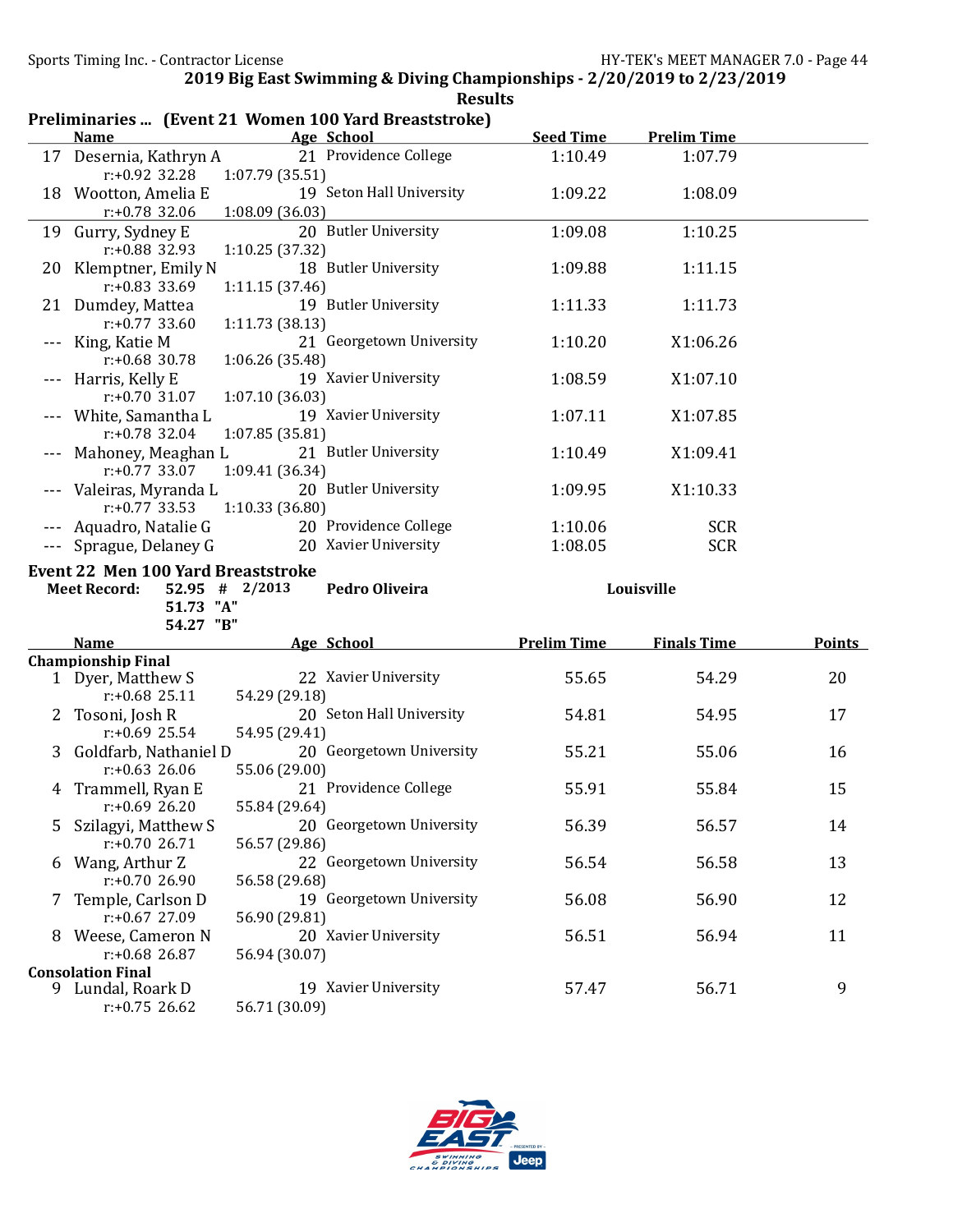|   |                                                |                                                               | Preliminaries  (Event 21 Women 100 Yard Breaststroke) |                    |                    |               |
|---|------------------------------------------------|---------------------------------------------------------------|-------------------------------------------------------|--------------------|--------------------|---------------|
|   | <b>Name</b>                                    |                                                               | <b>Age School</b>                                     | <b>Seed Time</b>   | <b>Prelim Time</b> |               |
|   | 17 Desernia, Kathryn A<br>r:+0.92 32.28        | 1:07.79 (35.51)                                               | 21 Providence College                                 | 1:10.49            | 1:07.79            |               |
|   | 18 Wootton, Amelia E<br>$r: +0.78$ 32.06       | 1:08.09(36.03)                                                | 19 Seton Hall University                              | 1:09.22            | 1:08.09            |               |
|   | 19 Gurry, Sydney E<br>r:+0.88 32.93            | 1:10.25 (37.32)                                               | 20 Butler University                                  | 1:09.08            | 1:10.25            |               |
|   | 20 Klemptner, Emily N<br>$r: +0.83$ 33.69      | 1:11.15 (37.46)                                               | 18 Butler University                                  | 1:09.88            | 1:11.15            |               |
|   | 21 Dumdey, Mattea<br>$r: +0.77$ 33.60          | 1:11.73 (38.13)                                               | 19 Butler University                                  | 1:11.33            | 1:11.73            |               |
|   | --- King, Katie M<br>$r: +0.68$ 30.78          | 1:06.26 (35.48)                                               | 21 Georgetown University                              | 1:10.20            | X1:06.26           |               |
|   | --- Harris, Kelly E<br>$r: +0.70$ 31.07        | 1:07.10 (36.03)                                               | 19 Xavier University                                  | 1:08.59            | X1:07.10           |               |
|   | --- White, Samantha L<br>$r: +0.78$ 32.04      | 1:07.85 (35.81)                                               | 19 Xavier University                                  | 1:07.11            | X1:07.85           |               |
|   | Mahoney, Meaghan L<br>$r: +0.77$ 33.07         | 1:09.41 (36.34)                                               | 21 Butler University                                  | 1:10.49            | X1:09.41           |               |
|   | Valeiras, Myranda L<br>$r: +0.77$ 33.53        | 1:10.33 (36.80)                                               | 20 Butler University                                  | 1:09.95            | X1:10.33           |               |
|   | Aquadro, Natalie G                             |                                                               | 20 Providence College                                 | 1:10.06            | <b>SCR</b>         |               |
|   | Sprague, Delaney G                             |                                                               | 20 Xavier University                                  | 1:08.05            | <b>SCR</b>         |               |
|   |                                                |                                                               |                                                       |                    |                    |               |
|   | <b>Meet Record:</b><br>51.73 "A"<br>54.27 "B"  | <b>Event 22 Men 100 Yard Breaststroke</b><br>$52.95$ # 2/2013 | Pedro Oliveira                                        |                    | Louisville         |               |
|   | <b>Name</b>                                    |                                                               | Age School                                            | <b>Prelim Time</b> | <b>Finals Time</b> | <b>Points</b> |
|   | <b>Championship Final</b><br>1 Dyer, Matthew S |                                                               | 22 Xavier University                                  | 55.65              | 54.29              | 20            |
| 2 | $r: +0.68$ 25.11<br>Tosoni, Josh R             | 54.29 (29.18)                                                 | 20 Seton Hall University                              | 54.81              | 54.95              | 17            |
| 3 | $r: +0.69$ 25.54<br>Goldfarb, Nathaniel D      | 54.95 (29.41)                                                 | 20 Georgetown University                              | 55.21              | 55.06              | 16            |
|   | $r: +0.63$ 26.06<br>4 Trammell, Ryan E         | 55.06 (29.00)                                                 | 21 Providence College                                 | 55.91              | 55.84              | 15            |
| 5 | $r: +0.69$ 26.20<br>Szilagyi, Matthew S        | 55.84 (29.64)                                                 | 20 Georgetown University                              | 56.39              | 56.57              | 14            |
| 6 | $r: +0.7026.71$<br>Wang, Arthur Z              | 56.57 (29.86)                                                 | 22 Georgetown University                              | 56.54              | 56.58              | 13            |
|   | $r: +0.7026.90$<br>Temple, Carlson D           | 56.58 (29.68)                                                 | 19 Georgetown University                              | 56.08              | 56.90              | 12            |
|   | r:+0.67 27.09<br>8 Weese, Cameron N            | 56.90 (29.81)                                                 | 20 Xavier University                                  | 56.51              | 56.94              | 11            |
|   | $r: +0.68$ 26.87<br><b>Consolation Final</b>   | 56.94 (30.07)                                                 |                                                       |                    |                    |               |

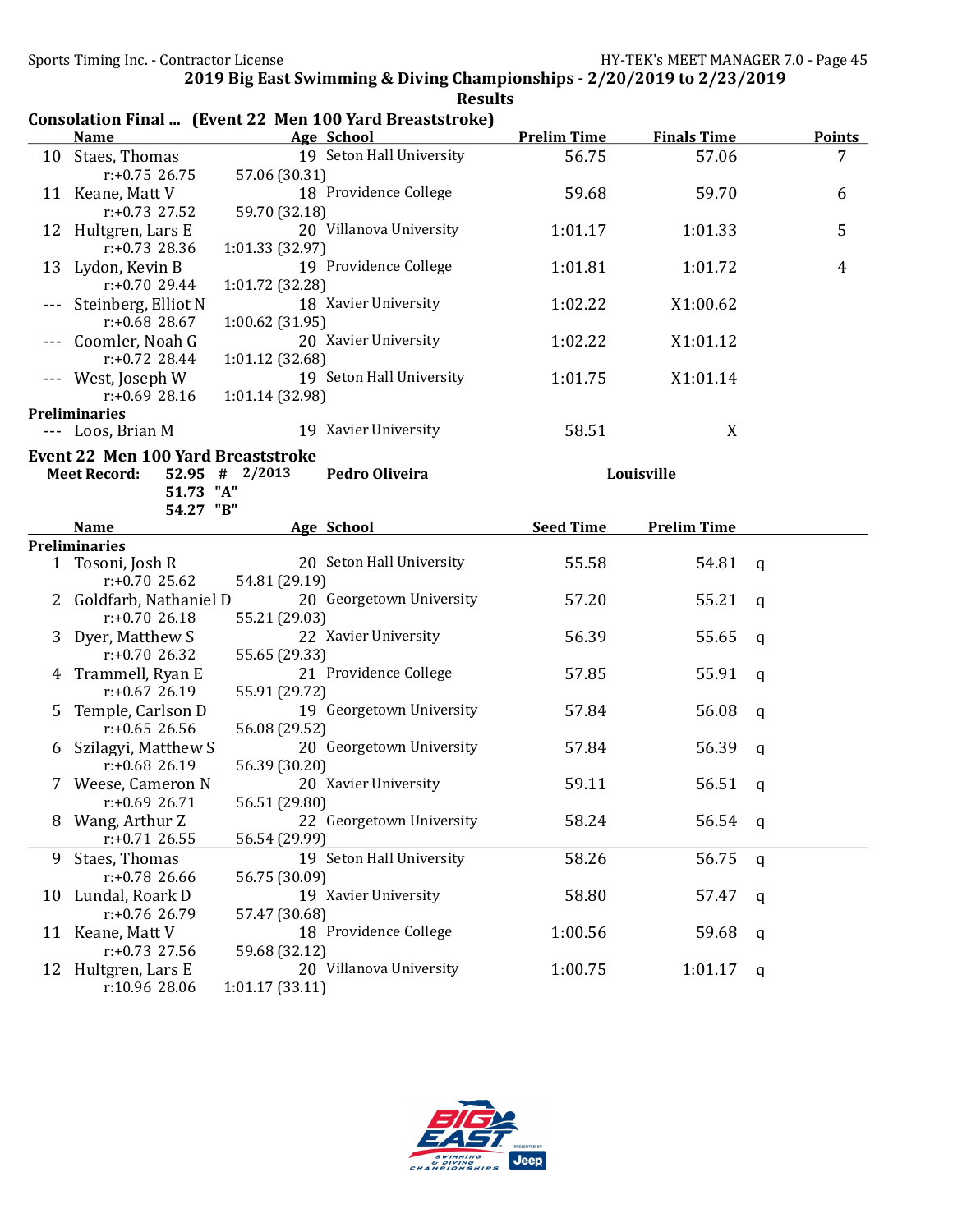|    |                                           | Consolation Final  (Event 22 Men 100 Yard Breaststroke) |                    |                    |                |
|----|-------------------------------------------|---------------------------------------------------------|--------------------|--------------------|----------------|
|    | <b>Name</b>                               | Age School                                              | <b>Prelim Time</b> | <b>Finals Time</b> | <b>Points</b>  |
| 10 | Staes, Thomas                             | 19 Seton Hall University                                | 56.75              | 57.06              | 7              |
|    | $r: +0.75$ 26.75                          | 57.06 (30.31)                                           |                    |                    |                |
|    | 11 Keane, Matt V                          | 18 Providence College                                   | 59.68              | 59.70              | 6              |
|    | $r: +0.73$ 27.52                          | 59.70 (32.18)                                           |                    |                    |                |
|    | 12 Hultgren, Lars E                       | 20 Villanova University                                 | 1:01.17            | 1:01.33            | 5              |
|    | $r: +0.73$ 28.36                          | 1:01.33 (32.97)                                         |                    |                    |                |
|    | 13 Lydon, Kevin B                         | 19 Providence College                                   | 1:01.81            | 1:01.72            | $\overline{4}$ |
|    | $r: +0.7029.44$                           | 1:01.72 (32.28)                                         |                    |                    |                |
|    | Steinberg, Elliot N                       | 18 Xavier University                                    | 1:02.22            | X1:00.62           |                |
|    | $r: +0.68$ 28.67                          | 1:00.62(31.95)                                          |                    |                    |                |
|    | Coomler, Noah G                           | 20 Xavier University                                    | 1:02.22            | X1:01.12           |                |
|    | $r: +0.72$ 28.44                          | 1:01.12 (32.68)                                         |                    |                    |                |
|    | --- West, Joseph W                        | 19 Seton Hall University                                | 1:01.75            | X1:01.14           |                |
|    | $r: +0.69$ 28.16                          | 1:01.14 (32.98)                                         |                    |                    |                |
|    | <b>Preliminaries</b>                      |                                                         |                    |                    |                |
|    | --- Loos, Brian M                         | 19 Xavier University                                    | 58.51              | X                  |                |
|    | <b>Event 22 Men 100 Yard Breaststroke</b> |                                                         |                    |                    |                |
|    | <b>Meet Record:</b>                       | Pedro Oliveira<br>52.95 # 2/2013                        |                    | Louisville         |                |
|    | 51.73 "A"                                 |                                                         |                    |                    |                |
|    | 54.27 "B"                                 |                                                         |                    |                    |                |
|    | <b>Name</b>                               | <b>Age School</b>                                       | <b>Seed Time</b>   | <b>Prelim Time</b> |                |
|    | <b>Preliminaries</b>                      |                                                         |                    |                    |                |
|    | 1 Tosoni, Josh R                          | 20 Seton Hall University                                | 55.58              | 54.81              | a              |
|    | $r: +0.70$ 25.62                          | 54.81 (29.19)                                           |                    |                    |                |
|    | Goldfarb, Nathaniel D                     | 20 Georgetown University                                | 57.20              | 55.21              | a              |
|    | $r: +0.7026.18$                           | 55.21 (29.03)                                           |                    |                    |                |
|    | Dyer, Matthew S                           | 22 Xavier University                                    | 56.39              | 55.65              | q              |
|    | r:+0.70 26.32                             | 55.65 (29.33)                                           |                    |                    |                |
| 4  | Trammell, Ryan E                          | 21 Providence College                                   | 57.85              | 55.91              | a              |
|    | $r: +0.67$ 26.19                          | 55.91 (29.72)                                           |                    |                    |                |
| 5. | Temple, Carlson D                         | 19 Georgetown University                                | 57.84              | 56.08              | a              |
|    | $r: +0.65$ 26.56                          | 56.08 (29.52)                                           |                    |                    |                |
| 6  | Szilagyi, Matthew S                       | 20 Georgetown University                                | 57.84              | 56.39              | a              |
|    | $r: +0.68$ 26.19                          | 56.39 (30.20)                                           |                    |                    |                |
|    | Weese, Cameron N                          | 20 Xavier University                                    | 59.11              | 56.51              | q              |
|    | $r: +0.69$ 26.71                          | 56.51 (29.80)                                           |                    |                    |                |
| 8  | Wang, Arthur Z                            | 22 Georgetown University                                | 58.24              | 56.54              | q              |
|    | $r: +0.71$ 26.55                          | 56.54 (29.99)                                           |                    |                    |                |
| 9  | Staes, Thomas                             | 19 Seton Hall University                                | 58.26              | 56.75              | q              |
|    | $r: +0.78$ 26.66                          | 56.75 (30.09)                                           |                    |                    |                |
| 10 | Lundal, Roark D                           | 19 Xavier University                                    | 58.80              | 57.47              | q              |
|    | r:+0.76 26.79                             | 57.47 (30.68)                                           |                    |                    |                |
|    | 11 Keane, Matt V                          | 18 Providence College                                   | 1:00.56            | 59.68              | q              |
|    | $r: +0.73$ 27.56                          | 59.68 (32.12)                                           |                    |                    |                |
|    | 12 Hultgren, Lars E                       | 20 Villanova University                                 | 1:00.75            | 1:01.17            | q              |
|    | r:10.96 28.06                             | 1:01.17(33.11)                                          |                    |                    |                |
|    |                                           |                                                         |                    |                    |                |

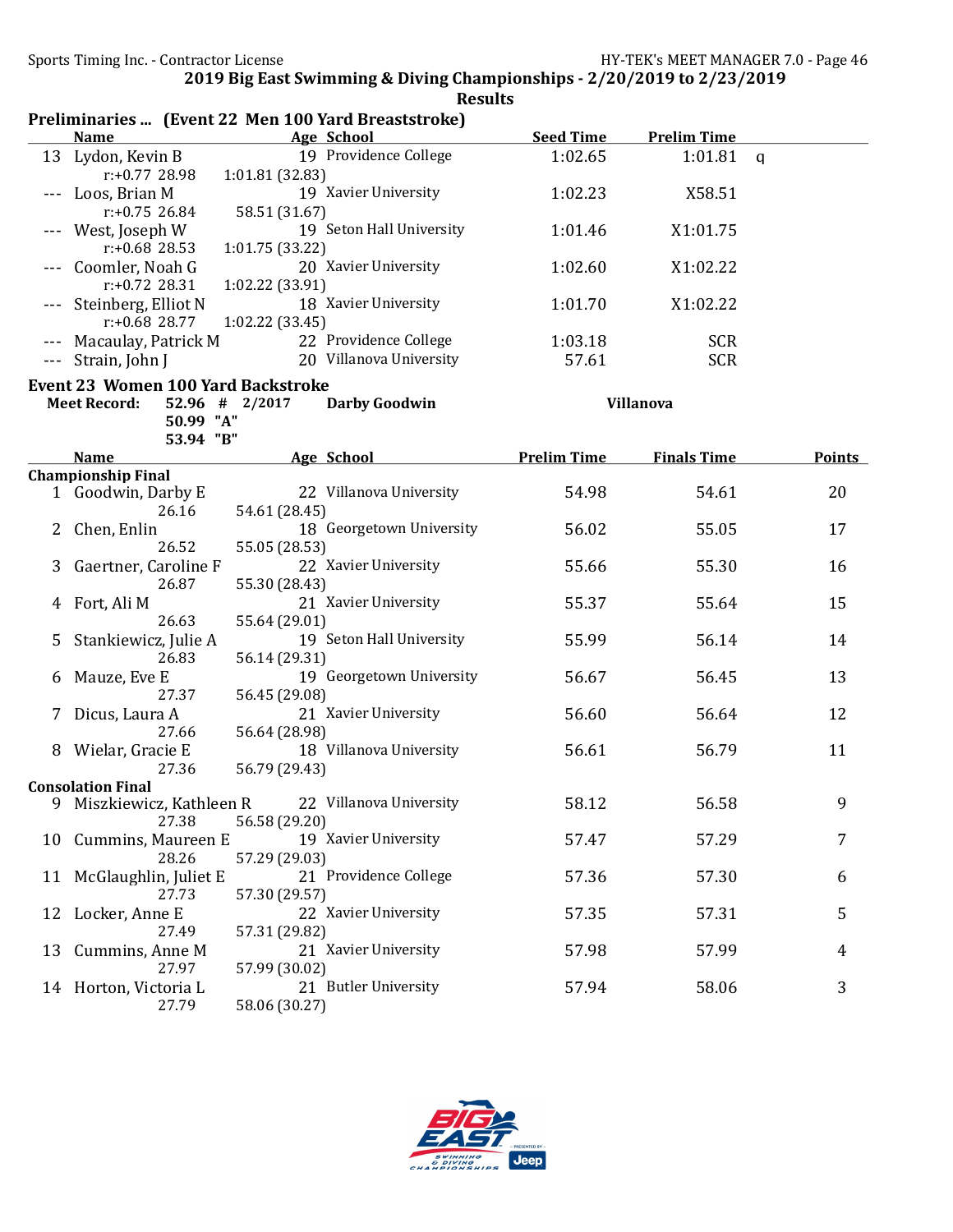|              |                                           | Preliminaries  (Event 22 Men 100 Yard Breaststroke) |                    |                    |               |
|--------------|-------------------------------------------|-----------------------------------------------------|--------------------|--------------------|---------------|
|              | <b>Name</b>                               | Age School                                          | <b>Seed Time</b>   | <b>Prelim Time</b> |               |
| 13           | Lydon, Kevin B                            | 19 Providence College                               | 1:02.65            | 1:01.81            | q             |
|              | $r: +0.77$ 28.98                          | 1:01.81 (32.83)                                     |                    |                    |               |
|              | Loos, Brian M                             | 19 Xavier University                                | 1:02.23            | X58.51             |               |
|              | $r: +0.75$ 26.84                          | 58.51 (31.67)                                       |                    |                    |               |
|              | West, Joseph W                            | 19 Seton Hall University                            | 1:01.46            | X1:01.75           |               |
|              | r:+0.68 28.53                             | 1:01.75 (33.22)                                     |                    |                    |               |
|              | Coomler, Noah G                           | 20 Xavier University                                | 1:02.60            | X1:02.22           |               |
|              | $r: +0.72$ 28.31                          | 1:02.22 (33.91)                                     |                    |                    |               |
|              | Steinberg, Elliot N                       | 18 Xavier University                                | 1:01.70            | X1:02.22           |               |
|              | $r: +0.68$ 28.77                          | 1:02.22 (33.45)                                     |                    |                    |               |
|              | Macaulay, Patrick M                       | 22 Providence College                               | 1:03.18            | <b>SCR</b>         |               |
|              | Strain, John J                            | 20 Villanova University                             | 57.61              | <b>SCR</b>         |               |
|              |                                           |                                                     |                    |                    |               |
|              | <b>Event 23 Women 100 Yard Backstroke</b> |                                                     |                    |                    |               |
|              | <b>Meet Record:</b>                       | 52.96 # 2/2017<br><b>Darby Goodwin</b>              |                    | Villanova          |               |
|              | 50.99 "A"                                 |                                                     |                    |                    |               |
|              | 53.94 "B"                                 |                                                     |                    |                    |               |
|              | <b>Name</b>                               | Age School                                          | <b>Prelim Time</b> | <b>Finals Time</b> | <b>Points</b> |
|              | <b>Championship Final</b>                 |                                                     |                    |                    |               |
| $\mathbf{1}$ | Goodwin, Darby E                          | 22 Villanova University                             | 54.98              | 54.61              | 20            |
|              | 26.16                                     | 54.61 (28.45)                                       |                    |                    |               |
|              | Chen, Enlin                               | 18 Georgetown University                            | 56.02              | 55.05              | 17            |
|              | 26.52                                     | 55.05 (28.53)                                       |                    |                    |               |
|              | Gaertner, Caroline F                      | 22 Xavier University                                | 55.66              | 55.30              | 16            |
|              | 26.87                                     | 55.30 (28.43)                                       |                    |                    |               |
|              | Fort, Ali M                               | 21 Xavier University                                | 55.37              | 55.64              | 15            |
|              | 26.63                                     | 55.64 (29.01)                                       |                    |                    |               |
| 5            | Stankiewicz, Julie A                      | 19 Seton Hall University                            | 55.99              | 56.14              | 14            |
|              | 26.83                                     | 56.14 (29.31)                                       |                    |                    |               |
| b            | Mauze, Eve E                              | 19 Georgetown University                            | 56.67              | 56.45              | 13            |
|              | 27.37                                     | 56.45 (29.08)                                       |                    |                    |               |
| 7            | Dicus, Laura A                            | 21 Xavier University                                | 56.60              | 56.64              | 12            |
|              | 27.66                                     | 56.64 (28.98)                                       |                    |                    |               |
|              | Wielar, Gracie E                          | 18 Villanova University                             | 56.61              | 56.79              | 11            |
|              | 27.36                                     | 56.79 (29.43)                                       |                    |                    |               |
|              | <b>Consolation Final</b>                  |                                                     |                    |                    |               |
|              | 9 Miszkiewicz, Kathleen R                 | 22 Villanova University                             | 58.12              | 56.58              | 9             |
|              | 27.38                                     | 56.58 (29.20)                                       |                    |                    |               |
| 10           | Cummins, Maureen E                        | 19 Xavier University                                | 57.47              | 57.29              | 7             |
|              | 28.26                                     | 57.29 (29.03)                                       |                    |                    |               |
| 11           | McGlaughlin, Juliet E                     | 21 Providence College                               | 57.36              | 57.30              | 6             |
|              | 27.73                                     | 57.30 (29.57)                                       |                    |                    |               |
| 12           | Locker, Anne E                            | 22 Xavier University                                | 57.35              | 57.31              | 5             |
|              | 27.49                                     | 57.31 (29.82)                                       |                    |                    |               |
| 13           | Cummins, Anne M                           | 21 Xavier University                                | 57.98              | 57.99              | 4             |
|              | 27.97                                     | 57.99 (30.02)                                       |                    |                    |               |
|              | 14 Horton, Victoria L                     | 21 Butler University                                | 57.94              | 58.06              | 3             |
|              | 27.79                                     | 58.06 (30.27)                                       |                    |                    |               |

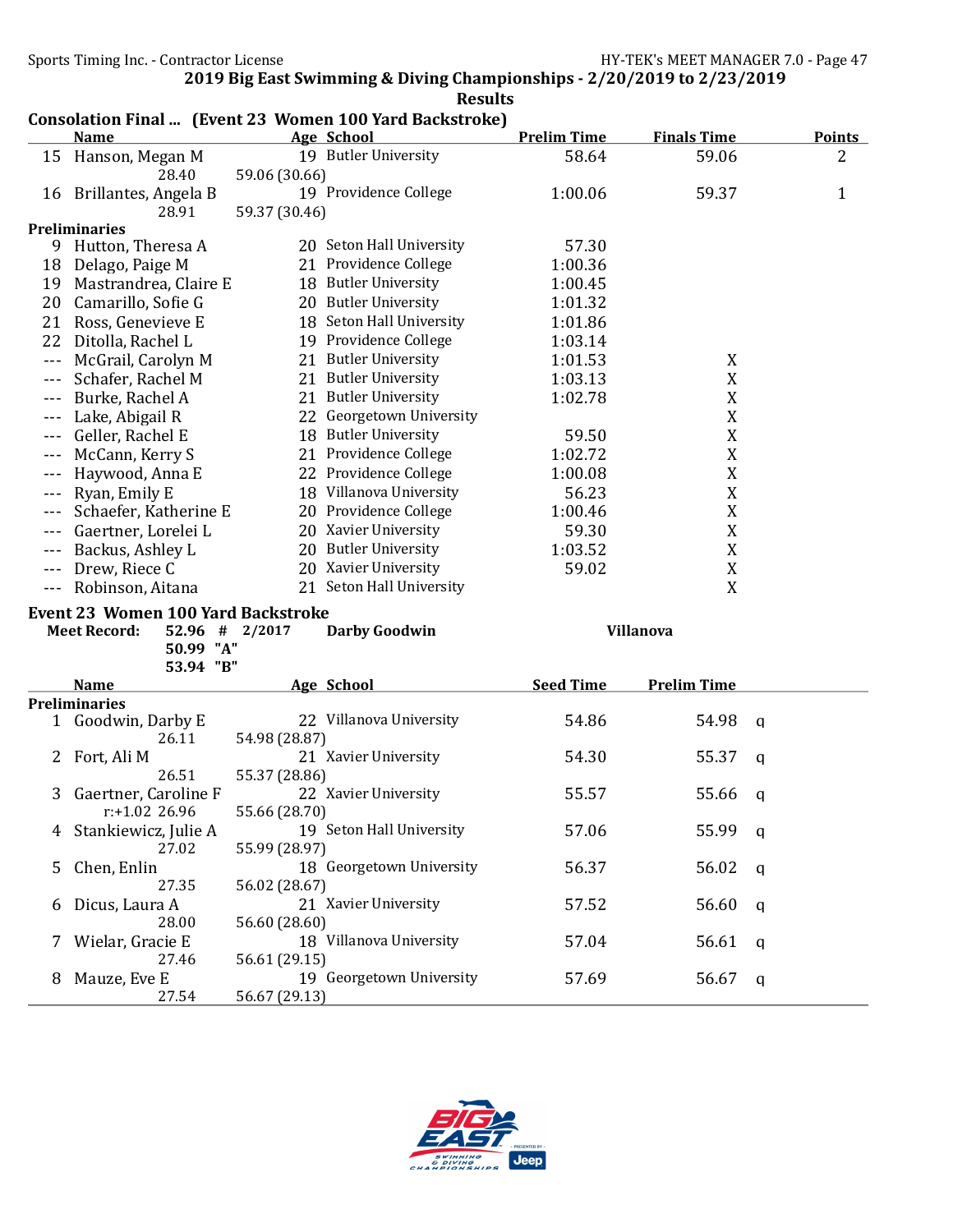|         | <b>Name</b>                               |               | Consolation Final  (Event 23 Women 100 Yard Backstroke)<br>Age School | <b>Prelim Time</b> | <b>Finals Time</b> | <b>Points</b> |
|---------|-------------------------------------------|---------------|-----------------------------------------------------------------------|--------------------|--------------------|---------------|
|         | 15 Hanson, Megan M                        |               | 19 Butler University                                                  | 58.64              | 59.06              | 2             |
|         | 28.40                                     | 59.06 (30.66) |                                                                       |                    |                    |               |
|         | 16 Brillantes, Angela B                   |               | 19 Providence College                                                 | 1:00.06            | 59.37              | 1             |
|         | 28.91                                     | 59.37 (30.46) |                                                                       |                    |                    |               |
|         | <b>Preliminaries</b>                      |               |                                                                       |                    |                    |               |
| 9       | Hutton, Theresa A                         |               | 20 Seton Hall University                                              | 57.30              |                    |               |
|         | 18 Delago, Paige M                        |               | 21 Providence College                                                 | 1:00.36            |                    |               |
|         | 19 Mastrandrea, Claire E                  |               | 18 Butler University                                                  | 1:00.45            |                    |               |
|         | 20 Camarillo, Sofie G                     |               | 20 Butler University                                                  | 1:01.32            |                    |               |
| 21      | Ross, Genevieve E                         |               | 18 Seton Hall University                                              | 1:01.86            |                    |               |
| 22      | Ditolla, Rachel L                         |               | 19 Providence College                                                 | 1:03.14            |                    |               |
|         |                                           |               | 21 Butler University                                                  |                    |                    |               |
| $- - -$ | McGrail, Carolyn M                        |               |                                                                       | 1:01.53            | X                  |               |
| $---$   | Schafer, Rachel M                         |               | 21 Butler University                                                  | 1:03.13            | X                  |               |
| $---$   | Burke, Rachel A                           |               | 21 Butler University                                                  | 1:02.78            | X                  |               |
| $- - -$ | Lake, Abigail R                           |               | 22 Georgetown University                                              |                    | $\mathbf X$        |               |
| $- - -$ | Geller, Rachel E                          |               | 18 Butler University                                                  | 59.50              | X                  |               |
| $- - -$ | McCann, Kerry S                           |               | 21 Providence College                                                 | 1:02.72            | X                  |               |
| $---$   | Haywood, Anna E                           |               | 22 Providence College                                                 | 1:00.08            | X                  |               |
|         | Ryan, Emily E                             |               | 18 Villanova University                                               | 56.23              | $\mathbf X$        |               |
|         | Schaefer, Katherine E                     |               | 20 Providence College                                                 | 1:00.46            | X                  |               |
| $- - -$ | Gaertner, Lorelei L                       |               | 20 Xavier University                                                  | 59.30              | X                  |               |
|         | Backus, Ashley L                          |               | 20 Butler University                                                  |                    |                    |               |
| $- - -$ |                                           |               |                                                                       |                    |                    |               |
|         |                                           |               |                                                                       | 1:03.52            | X                  |               |
| $- - -$ | Drew, Riece C                             |               | 20 Xavier University                                                  | 59.02              | X                  |               |
| $- - -$ | Robinson, Aitana                          |               | 21 Seton Hall University                                              |                    | X                  |               |
|         | <b>Event 23 Women 100 Yard Backstroke</b> |               |                                                                       |                    |                    |               |
|         | <b>Meet Record:</b><br>52.96 # 2/2017     |               | <b>Darby Goodwin</b>                                                  |                    | <b>Villanova</b>   |               |
|         | 50.99 "A"                                 |               |                                                                       |                    |                    |               |
|         | 53.94 "B"                                 |               |                                                                       |                    |                    |               |
|         | <b>Name</b>                               |               | Age School                                                            | <b>Seed Time</b>   | <b>Prelim Time</b> |               |
|         | <b>Preliminaries</b>                      |               |                                                                       |                    |                    |               |
|         | 1 Goodwin, Darby E                        |               | 22 Villanova University                                               | 54.86              | 54.98              | a             |
|         | 26.11                                     | 54.98 (28.87) |                                                                       |                    |                    |               |
| 2       | Fort, Ali M                               |               | 21 Xavier University                                                  | 54.30              | 55.37              | a             |
|         | 26.51                                     | 55.37 (28.86) |                                                                       |                    |                    |               |
| 3       | Gaertner, Caroline F                      |               | 22 Xavier University                                                  | 55.57              | 55.66              | q             |
|         | $r$ :+1.02 26.96                          | 55.66 (28.70) |                                                                       |                    |                    |               |
|         | Stankiewicz, Julie A                      |               | 19 Seton Hall University                                              | 57.06              | 55.99              | q             |
|         | 27.02                                     | 55.99 (28.97) |                                                                       |                    |                    |               |
| 5       | Chen, Enlin                               |               | 18 Georgetown University                                              | 56.37              | 56.02              | q             |
|         | 27.35                                     | 56.02 (28.67) |                                                                       |                    |                    |               |
| 6       |                                           |               | 21 Xavier University                                                  |                    |                    | q             |
|         | Dicus, Laura A<br>28.00                   |               |                                                                       | 57.52              | 56.60              |               |
|         |                                           | 56.60 (28.60) |                                                                       |                    |                    |               |
|         | Wielar, Gracie E                          |               | 18 Villanova University                                               | 57.04              | 56.61              | q             |
| 8       | 27.46<br>Mauze, Eve E                     | 56.61 (29.15) | 19 Georgetown University                                              | 57.69              | 56.67              | q             |



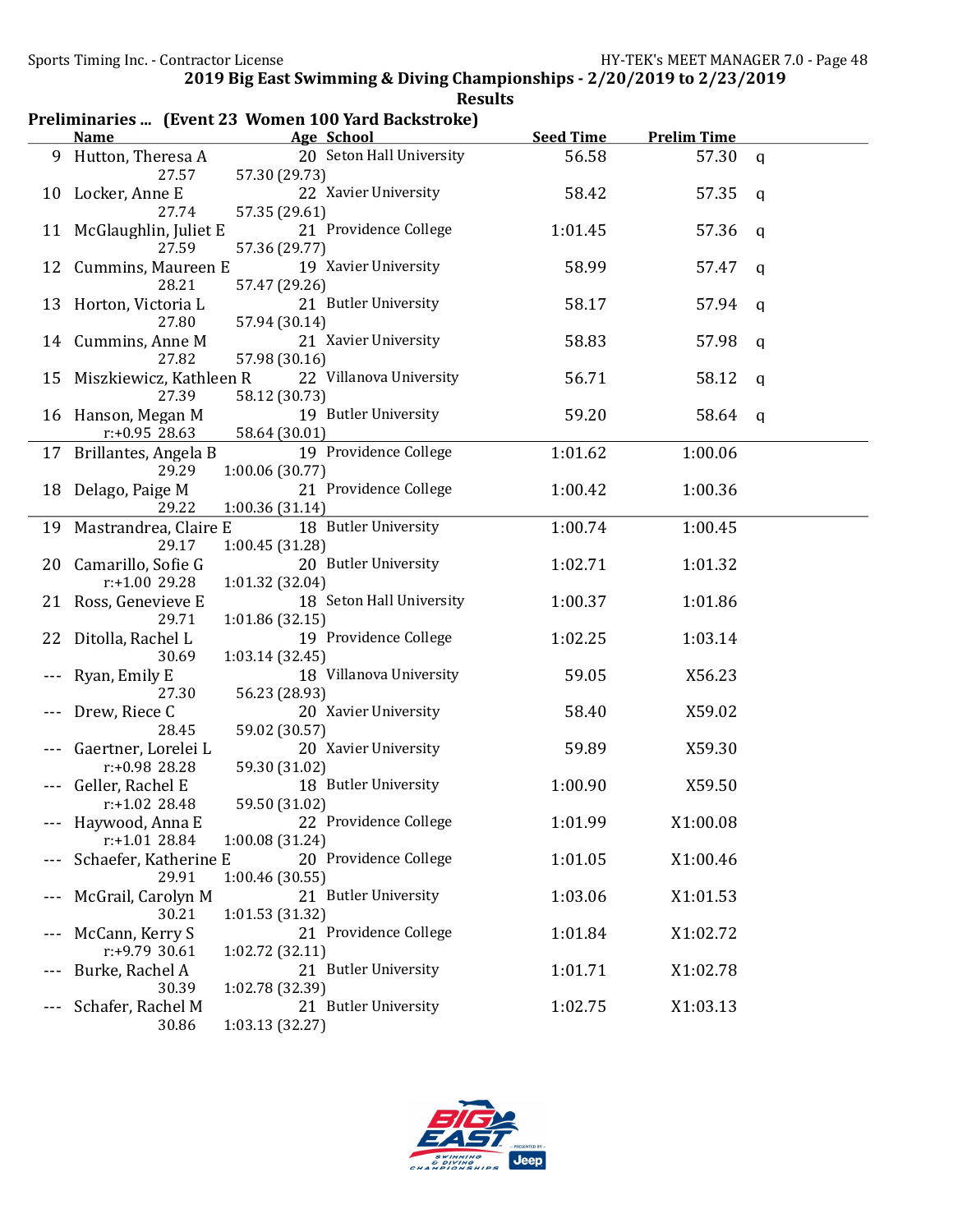|    | Preliminaries  (Event 23 Women 100 Yard Backstroke) |                                                            |                  |                    |              |  |  |
|----|-----------------------------------------------------|------------------------------------------------------------|------------------|--------------------|--------------|--|--|
|    | <b>Name</b>                                         | Age School                                                 | <b>Seed Time</b> | <b>Prelim Time</b> |              |  |  |
|    | 9 Hutton, Theresa A<br>27.57                        | 20 Seton Hall University<br>57.30 (29.73)                  | 56.58            | 57.30 q            |              |  |  |
| 10 | Locker, Anne E<br>27.74                             | 22 Xavier University<br>57.35 (29.61)                      | 58.42            | 57.35              | q            |  |  |
|    | 11 McGlaughlin, Juliet E                            | 21 Providence College                                      | 1:01.45          | 57.36              | q            |  |  |
| 12 | 27.59<br>Cummins, Maureen E                         | 57.36 (29.77)<br>19 Xavier University                      | 58.99            | 57.47              | $\mathsf{q}$ |  |  |
| 13 | 28.21<br>Horton, Victoria L                         | 57.47 (29.26)<br>21 Butler University                      | 58.17            | 57.94              | q            |  |  |
|    | 27.80<br>14 Cummins, Anne M<br>27.82                | 57.94 (30.14)<br>21 Xavier University                      | 58.83            | 57.98              | q            |  |  |
| 15 | Miszkiewicz, Kathleen R<br>27.39                    | 57.98 (30.16)<br>22 Villanova University<br>58.12 (30.73)  | 56.71            | 58.12              | q            |  |  |
|    | 16 Hanson, Megan M<br>$r: +0.95$ 28.63              | 19 Butler University<br>58.64 (30.01)                      | 59.20            | 58.64              | q            |  |  |
|    | 17 Brillantes, Angela B<br>29.29                    | 19 Providence College<br>1:00.06(30.77)                    | 1:01.62          | 1:00.06            |              |  |  |
|    | 18 Delago, Paige M<br>29.22                         | 21 Providence College<br>1:00.36(31.14)                    | 1:00.42          | 1:00.36            |              |  |  |
|    | 19 Mastrandrea, Claire E                            | 18 Butler University                                       | 1:00.74          | 1:00.45            |              |  |  |
|    | 29.17<br>20 Camarillo, Sofie G                      | 1:00.45 (31.28)<br>20 Butler University                    | 1:02.71          | 1:01.32            |              |  |  |
|    | r:+1.00 29.28<br>21 Ross, Genevieve E               | 1:01.32 (32.04)<br>18 Seton Hall University                | 1:00.37          | 1:01.86            |              |  |  |
|    | 29.71<br>22 Ditolla, Rachel L                       | 1:01.86(32.15)<br>19 Providence College                    | 1:02.25          | 1:03.14            |              |  |  |
|    | 30.69<br>Ryan, Emily E                              | 1:03.14(32.45)<br>18 Villanova University                  | 59.05            | X56.23             |              |  |  |
|    | 27.30<br>Drew, Riece C                              | 56.23 (28.93)<br>20 Xavier University                      | 58.40            | X59.02             |              |  |  |
|    | 28.45<br>Gaertner, Lorelei L                        | 59.02 (30.57)<br>20 Xavier University                      | 59.89            | X59.30             |              |  |  |
|    | r:+0.98 28.28<br>Geller, Rachel E                   | 59.30 (31.02)<br>18 Butler University                      | 1:00.90          | X59.50             |              |  |  |
|    | r:+1.02 28.48<br>Haywood, Anna E<br>r:+1.01 28.84   | 59.50 (31.02)<br>22 Providence College                     | 1:01.99          | X1:00.08           |              |  |  |
|    | Schaefer, Katherine E                               | 1:00.08 (31.24)<br>20 Providence College                   | 1:01.05          | X1:00.46           |              |  |  |
|    | 29.91<br>McGrail, Carolyn M                         | 1:00.46 (30.55)<br>21 Butler University                    | 1:03.06          | X1:01.53           |              |  |  |
|    | 30.21<br>McCann, Kerry S<br>r:+9.79 30.61           | 1:01.53 (31.32)<br>21 Providence College                   | 1:01.84          | X1:02.72           |              |  |  |
|    | Burke, Rachel A                                     | 1:02.72 (32.11)<br>21 Butler University                    | 1:01.71          | X1:02.78           |              |  |  |
|    | 30.39<br>Schafer, Rachel M<br>30.86                 | 1:02.78 (32.39)<br>21 Butler University<br>1:03.13 (32.27) | 1:02.75          | X1:03.13           |              |  |  |

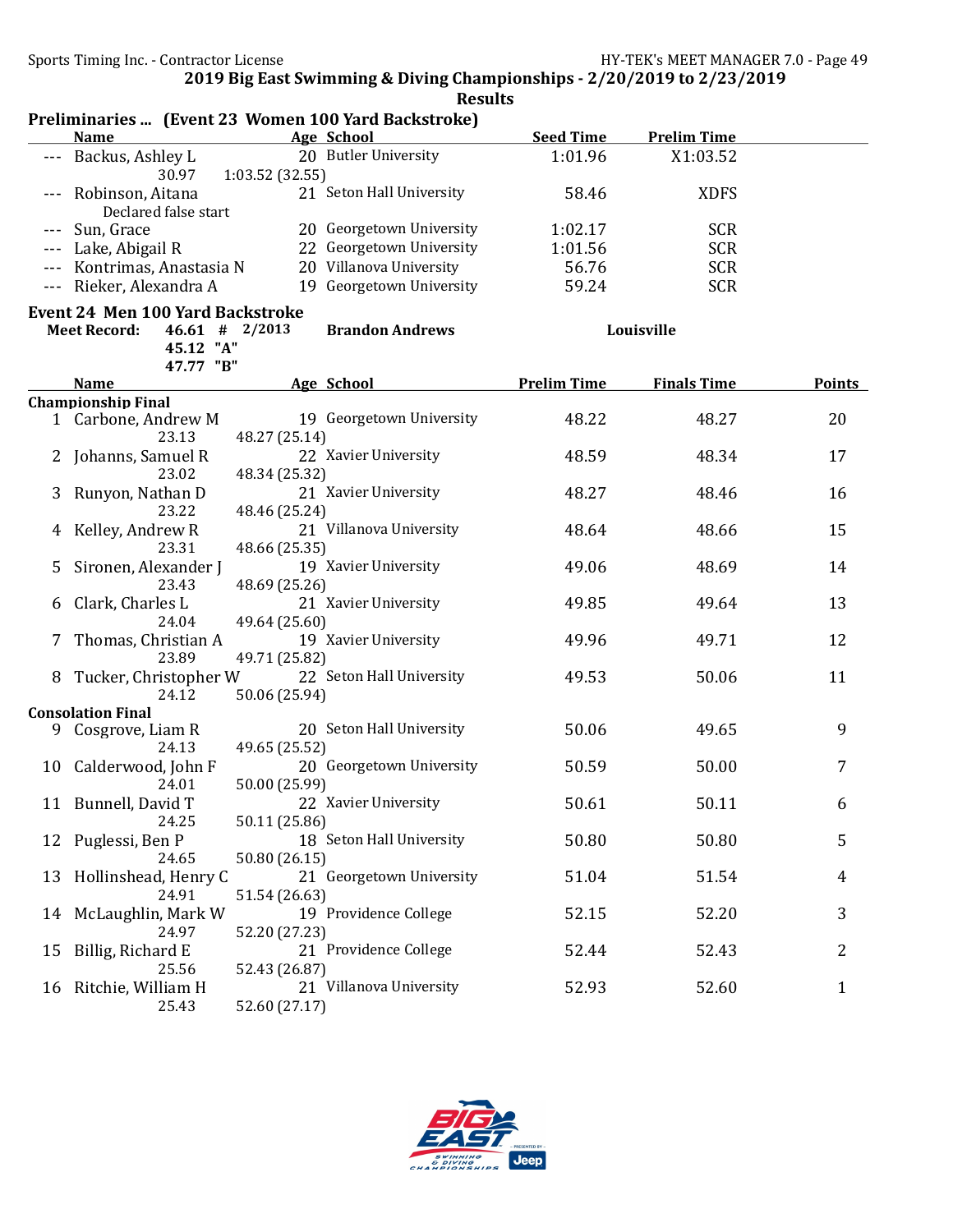|    | Preliminaries  (Event 23 Women 100 Yard Backstroke) |                                         |                          |                    |                    |        |
|----|-----------------------------------------------------|-----------------------------------------|--------------------------|--------------------|--------------------|--------|
|    | <b>Name</b>                                         | Age School                              |                          | <b>Seed Time</b>   | <b>Prelim Time</b> |        |
|    | Backus, Ashley L<br>30.97                           | 20 Butler University<br>1:03.52 (32.55) |                          | 1:01.96            | X1:03.52           |        |
|    | Robinson, Aitana                                    |                                         | 21 Seton Hall University | 58.46              | <b>XDFS</b>        |        |
|    | Declared false start                                |                                         |                          |                    |                    |        |
|    | Sun, Grace                                          |                                         | 20 Georgetown University | 1:02.17            | <b>SCR</b>         |        |
|    | Lake, Abigail R                                     |                                         | 22 Georgetown University | 1:01.56            | <b>SCR</b>         |        |
|    | Kontrimas, Anastasia N                              |                                         | 20 Villanova University  | 56.76              | <b>SCR</b>         |        |
|    | Rieker, Alexandra A                                 |                                         | 19 Georgetown University | 59.24              | <b>SCR</b>         |        |
|    | <b>Event 24 Men 100 Yard Backstroke</b>             |                                         |                          |                    |                    |        |
|    | $46.61$ # 2/2013<br><b>Meet Record:</b>             |                                         | <b>Brandon Andrews</b>   |                    | Louisville         |        |
|    | 45.12 "A"                                           |                                         |                          |                    |                    |        |
|    | 47.77 "B"                                           |                                         |                          |                    |                    |        |
|    | <b>Name</b>                                         | Age School                              |                          | <b>Prelim Time</b> | <b>Finals Time</b> | Points |
|    | <b>Championship Final</b>                           |                                         |                          |                    |                    |        |
|    | 1 Carbone, Andrew M<br>23.13                        | 48.27 (25.14)                           | 19 Georgetown University | 48.22              | 48.27              | 20     |
|    | Johanns, Samuel R                                   | 22 Xavier University                    |                          | 48.59              | 48.34              | 17     |
|    | 23.02                                               | 48.34 (25.32)                           |                          |                    |                    |        |
| 3  | Runyon, Nathan D                                    | 21 Xavier University                    |                          | 48.27              | 48.46              | 16     |
|    | 23.22                                               | 48.46 (25.24)                           |                          |                    |                    |        |
|    | Kelley, Andrew R                                    |                                         | 21 Villanova University  | 48.64              | 48.66              | 15     |
|    | 23.31                                               | 48.66 (25.35)                           |                          |                    |                    |        |
|    | Sironen, Alexander J                                | 19 Xavier University                    |                          | 49.06              | 48.69              | 14     |
|    | 23.43                                               | 48.69 (25.26)                           |                          |                    |                    |        |
| 6  | Clark, Charles L                                    | 21 Xavier University                    |                          | 49.85              | 49.64              | 13     |
|    | 24.04                                               | 49.64 (25.60)                           |                          |                    |                    |        |
| 7  | Thomas, Christian A                                 | 19 Xavier University                    |                          | 49.96              | 49.71              | 12     |
|    | 23.89                                               | 49.71 (25.82)                           |                          |                    |                    |        |
| 8  | Tucker, Christopher W                               |                                         | 22 Seton Hall University | 49.53              | 50.06              | 11     |
|    | 24.12                                               | 50.06 (25.94)                           |                          |                    |                    |        |
|    | <b>Consolation Final</b>                            |                                         |                          |                    |                    |        |
|    | 9 Cosgrove, Liam R                                  |                                         | 20 Seton Hall University | 50.06              | 49.65              | 9      |
|    | 24.13                                               | 49.65 (25.52)                           |                          |                    |                    |        |
|    | 10 Calderwood, John F                               |                                         | 20 Georgetown University | 50.59              | 50.00              | 7      |
|    | 24.01                                               | 50.00 (25.99)                           |                          |                    |                    |        |
|    | 11 Bunnell, David T                                 | 22 Xavier University                    |                          | 50.61              | 50.11              | 6      |
|    | 24.25                                               | 50.11 (25.86)                           |                          |                    |                    |        |
| 12 | Puglessi, Ben P                                     |                                         | 18 Seton Hall University | 50.80              | 50.80              | 5      |
|    | 24.65                                               | 50.80 (26.15)                           |                          |                    |                    |        |
| 13 | Hollinshead, Henry C                                |                                         | 21 Georgetown University | 51.04              | 51.54              | 4      |
|    | 24.91                                               | 51.54 (26.63)                           |                          |                    |                    |        |
|    | 14 McLaughlin, Mark W                               | 19 Providence College                   |                          | 52.15              | 52.20              | 3      |
|    | 24.97                                               | 52.20 (27.23)                           |                          |                    |                    |        |
| 15 | Billig, Richard E                                   | 21 Providence College                   |                          | 52.44              | 52.43              | 2      |
|    | 25.56                                               | 52.43 (26.87)                           |                          |                    |                    |        |
| 16 | Ritchie, William H                                  |                                         | 21 Villanova University  | 52.93              | 52.60              | 1      |
|    | 25.43                                               | 52.60 (27.17)                           |                          |                    |                    |        |

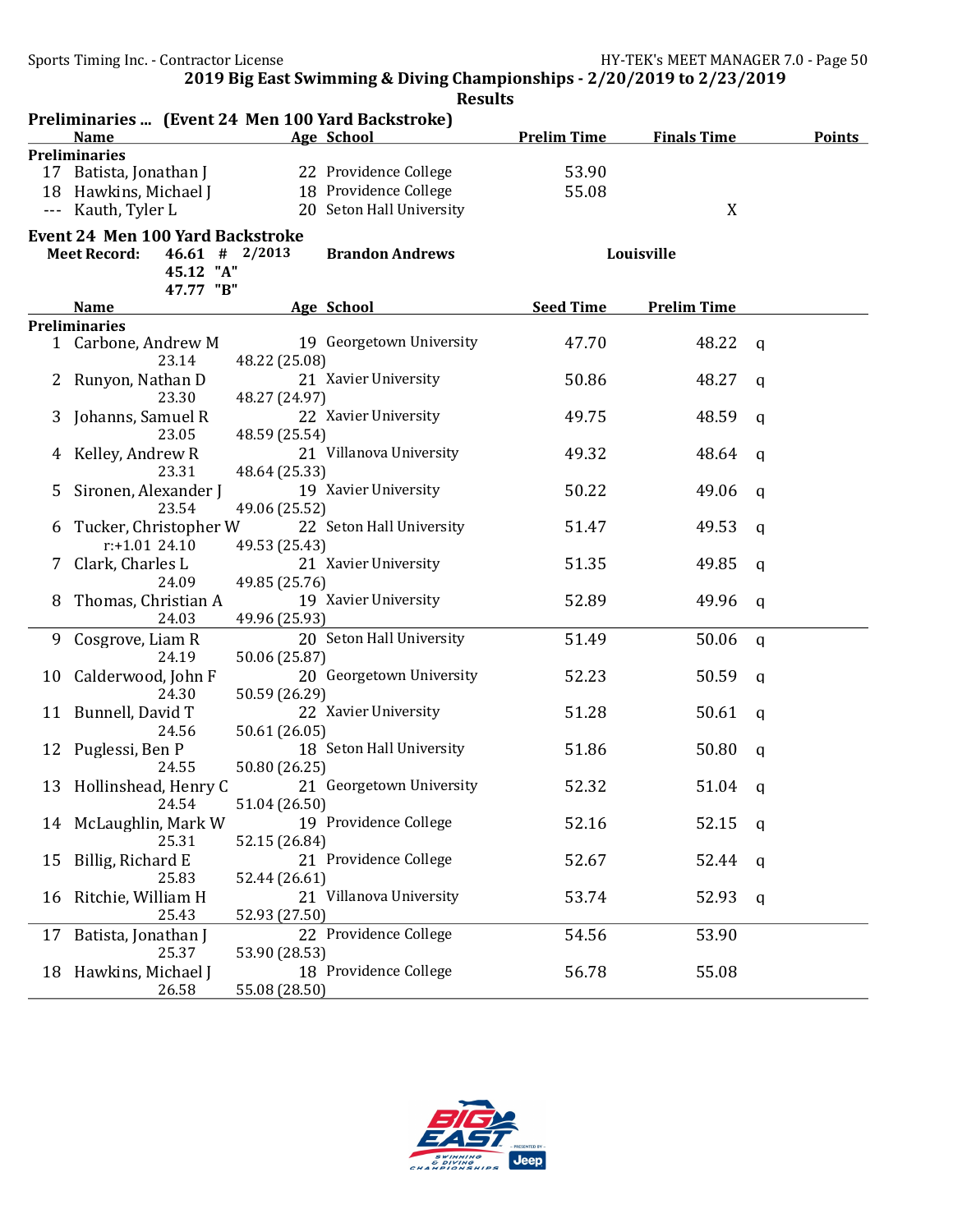|    |                                                   |               | <b>Results</b>           |                    |                    |   |               |
|----|---------------------------------------------------|---------------|--------------------------|--------------------|--------------------|---|---------------|
|    | Preliminaries  (Event 24 Men 100 Yard Backstroke) |               |                          |                    |                    |   |               |
|    | <b>Name</b>                                       |               | Age School               | <b>Prelim Time</b> | <b>Finals Time</b> |   | <b>Points</b> |
|    | <b>Preliminaries</b>                              |               |                          |                    |                    |   |               |
|    | 17 Batista, Jonathan J                            |               | 22 Providence College    | 53.90              |                    |   |               |
|    | 18 Hawkins, Michael J                             |               | 18 Providence College    | 55.08              |                    |   |               |
|    | Kauth, Tyler L                                    |               | 20 Seton Hall University |                    | X                  |   |               |
|    | <b>Event 24 Men 100 Yard Backstroke</b>           |               |                          |                    |                    |   |               |
|    | $46.61$ # 2/2013<br><b>Meet Record:</b>           |               | <b>Brandon Andrews</b>   |                    | Louisville         |   |               |
|    | 45.12 "A"                                         |               |                          |                    |                    |   |               |
|    | 47.77 "B"                                         |               |                          |                    |                    |   |               |
|    | Name                                              | Age School    |                          | <b>Seed Time</b>   | <b>Prelim Time</b> |   |               |
|    | <b>Preliminaries</b>                              |               |                          |                    |                    |   |               |
|    | 1 Carbone, Andrew M                               |               | 19 Georgetown University | 47.70              | 48.22              | a |               |
|    | 23.14                                             | 48.22 (25.08) |                          |                    |                    |   |               |
|    | Runyon, Nathan D                                  |               | 21 Xavier University     | 50.86              | 48.27              | a |               |
|    | 23.30                                             | 48.27 (24.97) |                          |                    |                    |   |               |
|    | Johanns, Samuel R                                 |               | 22 Xavier University     | 49.75              | 48.59              | a |               |
|    | 23.05                                             | 48.59 (25.54) |                          |                    |                    |   |               |
|    | Kelley, Andrew R                                  |               | 21 Villanova University  | 49.32              | 48.64              | a |               |
|    | 23.31                                             | 48.64 (25.33) |                          |                    |                    |   |               |
|    | Sironen, Alexander J                              |               | 19 Xavier University     | 50.22              | 49.06              | a |               |
|    | 23.54                                             | 49.06 (25.52) |                          |                    |                    |   |               |
| b  | Tucker, Christopher W                             |               | 22 Seton Hall University | 51.47              | 49.53              | a |               |
|    | $r: +1.01$ 24.10                                  | 49.53 (25.43) |                          |                    |                    |   |               |
| 7  | Clark, Charles L                                  |               | 21 Xavier University     | 51.35              | 49.85              | a |               |
|    | 24.09                                             | 49.85 (25.76) |                          |                    |                    |   |               |
|    | Thomas, Christian A                               |               | 19 Xavier University     | 52.89              | 49.96              | a |               |
|    | 24.03                                             | 49.96 (25.93) |                          |                    |                    |   |               |
| 9  | Cosgrove, Liam R                                  |               | 20 Seton Hall University | 51.49              | 50.06              |   |               |
|    | 24.19                                             | 50.06 (25.87) |                          |                    |                    | q |               |
|    |                                                   |               | 20 Georgetown University | 52.23              |                    |   |               |
| 10 | Calderwood, John F<br>24.30                       | 50.59 (26.29) |                          |                    | 50.59              | a |               |
|    |                                                   |               | 22 Xavier University     |                    |                    |   |               |
| 11 | Bunnell, David T                                  |               |                          | 51.28              | 50.61              | a |               |
|    | 24.56                                             | 50.61 (26.05) | 18 Seton Hall University |                    |                    |   |               |
|    | 12 Puglessi, Ben P                                |               |                          | 51.86              | 50.80              | a |               |
|    | 24.55                                             | 50.80 (26.25) |                          |                    |                    |   |               |
|    | 13 Hollinshead, Henry C                           |               | 21 Georgetown University | 52.32              | 51.04 q            |   |               |
|    | 24.54                                             | 51.04 (26.50) |                          |                    |                    |   |               |
| 14 | McLaughlin, Mark W                                |               | 19 Providence College    | 52.16              | 52.15              | q |               |
|    | 25.31                                             | 52.15 (26.84) |                          |                    |                    |   |               |
| 15 | Billig, Richard E                                 |               | 21 Providence College    | 52.67              | 52.44              | q |               |
|    | 25.83                                             | 52.44 (26.61) |                          |                    |                    |   |               |
| 16 | Ritchie, William H                                |               | 21 Villanova University  | 53.74              | 52.93              | q |               |
|    | 25.43                                             | 52.93 (27.50) |                          |                    |                    |   |               |
| 17 | Batista, Jonathan J                               |               | 22 Providence College    | 54.56              | 53.90              |   |               |
|    | 25.37                                             | 53.90 (28.53) |                          |                    |                    |   |               |
| 18 | Hawkins, Michael J                                |               | 18 Providence College    | 56.78              | 55.08              |   |               |
|    | 26.58                                             | 55.08 (28.50) |                          |                    |                    |   |               |

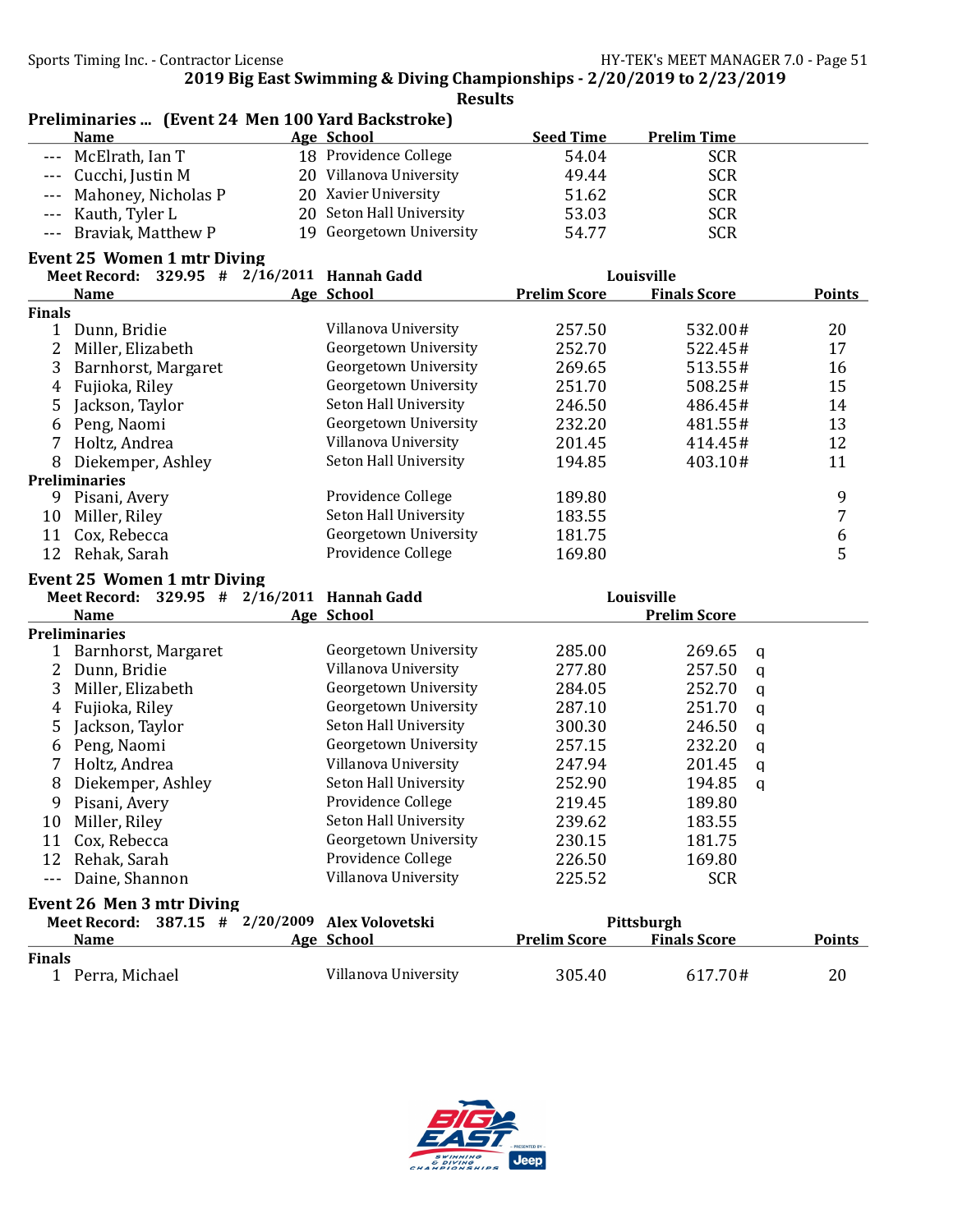Preliminaries ... (Event 24 Men 100 Yard Backstroke)

|                     | <b>Name</b>                                 | Age School                         | <b>Seed Time</b>    | <b>Prelim Time</b>  |                |
|---------------------|---------------------------------------------|------------------------------------|---------------------|---------------------|----------------|
| $\frac{1}{2}$       | McElrath, Ian T                             | 18 Providence College              | 54.04               | <b>SCR</b>          |                |
| $\qquad \qquad - -$ | Cucchi, Justin M                            | 20 Villanova University            | 49.44               | <b>SCR</b>          |                |
|                     | Mahoney, Nicholas P                         | 20 Xavier University               | 51.62               | <b>SCR</b>          |                |
| $- - -$             | Kauth, Tyler L                              | 20 Seton Hall University           | 53.03               | <b>SCR</b>          |                |
| $- - -$             | Braviak, Matthew P                          | 19 Georgetown University           | 54.77               | <b>SCR</b>          |                |
|                     | <b>Event 25 Women 1 mtr Diving</b>          |                                    |                     |                     |                |
|                     | Meet Record: 329.95 # 2/16/2011 Hannah Gadd |                                    |                     | Louisville          |                |
|                     | <b>Name</b>                                 | Age School                         | <b>Prelim Score</b> | <b>Finals Score</b> | Points         |
| <b>Finals</b>       |                                             |                                    |                     |                     |                |
|                     | 1 Dunn, Bridie                              | Villanova University               | 257.50              | 532.00#             | 20             |
| 2                   | Miller, Elizabeth                           | Georgetown University              | 252.70              | 522.45#             | 17             |
| 3                   | Barnhorst, Margaret                         | Georgetown University              | 269.65              | 513.55#             | 16             |
| $\overline{4}$      | Fujioka, Riley                              | Georgetown University              | 251.70              | 508.25#             | 15             |
| 5                   | Jackson, Taylor                             | Seton Hall University              | 246.50              | 486.45#             | 14             |
| 6                   | Peng, Naomi                                 | Georgetown University              | 232.20              | 481.55#             | 13             |
| 7                   | Holtz, Andrea                               | Villanova University               | 201.45              | 414.45#             | 12             |
| 8                   | Diekemper, Ashley                           | Seton Hall University              | 194.85              | 403.10#             | 11             |
|                     | <b>Preliminaries</b>                        |                                    |                     |                     |                |
| 9                   | Pisani, Avery                               | Providence College                 | 189.80              |                     | 9              |
| 10                  | Miller, Riley                               | Seton Hall University              | 183.55              |                     | $\overline{7}$ |
| 11                  | Cox, Rebecca                                | Georgetown University              | 181.75              |                     | 6              |
| 12                  | Rehak, Sarah                                | Providence College                 | 169.80              |                     | 5              |
|                     | <b>Event 25 Women 1 mtr Diving</b>          |                                    |                     |                     |                |
|                     | Meet Record: 329.95 # 2/16/2011 Hannah Gadd |                                    |                     | Louisville          |                |
|                     | <b>Name</b>                                 | Age School                         |                     | <b>Prelim Score</b> |                |
|                     | <b>Preliminaries</b>                        |                                    |                     |                     |                |
|                     | 1 Barnhorst, Margaret                       | Georgetown University              | 285.00              | 269.65<br>q         |                |
|                     | 2 Dunn, Bridie                              | Villanova University               | 277.80              | 257.50<br>q         |                |
| 3                   | Miller, Elizabeth                           | Georgetown University              | 284.05              | 252.70<br>q         |                |
| 4                   | Fujioka, Riley                              | Georgetown University              | 287.10              | 251.70<br>q         |                |
| 5                   | Jackson, Taylor                             | Seton Hall University              | 300.30              | 246.50<br>q         |                |
| 6                   | Peng, Naomi                                 | Georgetown University              | 257.15              | 232.20<br>q         |                |
| 7                   | Holtz, Andrea                               | Villanova University               | 247.94              | 201.45<br>q         |                |
| 8                   | Diekemper, Ashley                           | Seton Hall University              | 252.90              | 194.85<br>q         |                |
| 9                   | Pisani, Avery                               | Providence College                 | 219.45              | 189.80              |                |
| 10                  | Miller, Riley                               | Seton Hall University              | 239.62              | 183.55              |                |
|                     | 11 Cox, Rebecca                             | Georgetown University              | 230.15              | 181.75              |                |
| 12                  | Rehak, Sarah                                | Providence College                 | 226.50              | 169.80              |                |
| $- - -$             | Daine, Shannon                              | Villanova University               | 225.52              | <b>SCR</b>          |                |
|                     | Event 26 Men 3 mtr Diving                   |                                    |                     |                     |                |
|                     | <b>Meet Record:</b>                         | 387.15 # 2/20/2009 Alex Volovetski |                     | Pittsburgh          |                |
|                     | <b>Name</b>                                 | Age School                         | <b>Prelim Score</b> | <b>Finals Score</b> | <b>Points</b>  |
| <b>Finals</b>       |                                             |                                    |                     |                     |                |
|                     | 1 Perra, Michael                            | Villanova University               | 305.40              | 617.70#             | 20             |

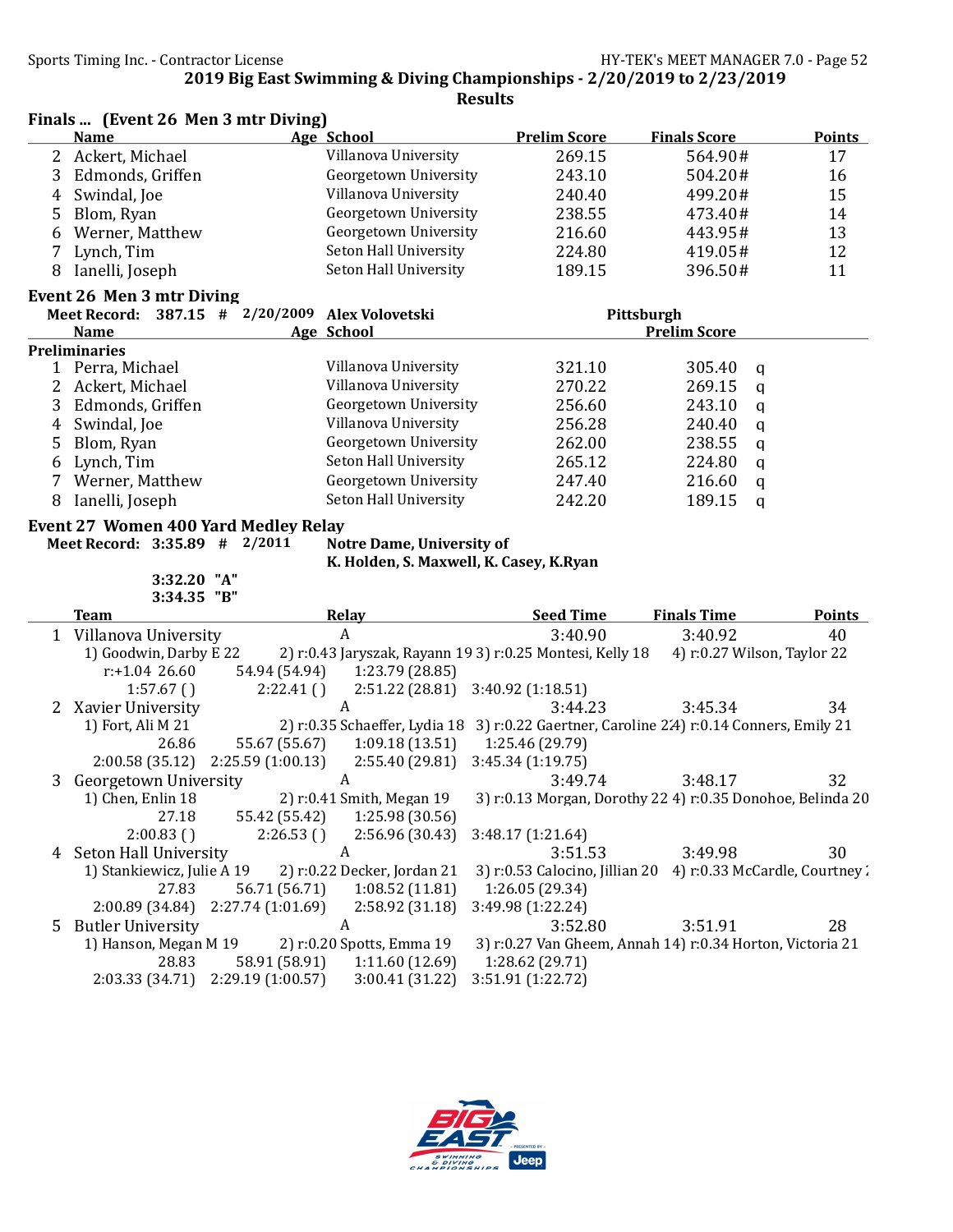Finals ... (Event 26 Men 3 mtr Diving)

2019 Big East Swimming & Diving Championships - 2/20/2019 to 2/23/2019

|              | <b>Name</b>                                     |                                    | Age School                              | <b>Prelim Score</b>                                                                      | <b>Finals Score</b>         | <b>Points</b> |  |
|--------------|-------------------------------------------------|------------------------------------|-----------------------------------------|------------------------------------------------------------------------------------------|-----------------------------|---------------|--|
|              | 2 Ackert, Michael                               |                                    | Villanova University                    | 269.15                                                                                   | 564.90#                     | 17            |  |
| 3            | Edmonds, Griffen                                |                                    | Georgetown University                   | 243.10                                                                                   | 504.20#                     | 16            |  |
| 4            | Swindal, Joe                                    |                                    | Villanova University                    | 240.40                                                                                   | 499.20#                     | 15            |  |
| 5            | Blom, Ryan                                      |                                    | Georgetown University                   | 238.55                                                                                   | 473.40#                     | 14            |  |
| 6            | Werner, Matthew                                 |                                    | Georgetown University                   | 216.60                                                                                   | 443.95#                     | 13            |  |
| 7            | Lynch, Tim                                      |                                    | Seton Hall University                   | 224.80                                                                                   | 419.05#                     | 12            |  |
| 8            | Ianelli, Joseph                                 |                                    | Seton Hall University                   | 189.15                                                                                   | 396.50#                     | 11            |  |
|              | Event 26 Men 3 mtr Diving                       |                                    |                                         |                                                                                          |                             |               |  |
|              | Meet Record: 387.15 # 2/20/2009 Alex Volovetski |                                    |                                         | Pittsburgh                                                                               |                             |               |  |
|              | <b>Name</b>                                     |                                    | Age School                              |                                                                                          | <b>Prelim Score</b>         |               |  |
|              | <b>Preliminaries</b>                            |                                    |                                         |                                                                                          |                             |               |  |
|              | 1 Perra, Michael                                |                                    | Villanova University                    | 321.10                                                                                   | 305.40<br>q                 |               |  |
| $\mathbf{2}$ | Ackert, Michael                                 |                                    | Villanova University                    | 270.22                                                                                   | 269.15<br>$\mathsf{q}$      |               |  |
| 3            | Edmonds, Griffen                                |                                    | Georgetown University                   | 256.60                                                                                   | 243.10<br>$\mathbf q$       |               |  |
| 4            | Swindal, Joe                                    |                                    | Villanova University                    | 256.28                                                                                   | 240.40<br>$\mathsf{q}$      |               |  |
| 5            | Blom, Ryan                                      |                                    | Georgetown University                   | 262.00                                                                                   | 238.55<br>$\mathbf q$       |               |  |
| 6            | Lynch, Tim                                      |                                    | Seton Hall University                   | 265.12                                                                                   | 224.80<br>$\mathbf q$       |               |  |
| 7            | Werner, Matthew                                 |                                    | Georgetown University                   | 247.40                                                                                   | 216.60<br>$\mathbf q$       |               |  |
| 8            | Ianelli, Joseph                                 |                                    | Seton Hall University                   | 242.20                                                                                   | 189.15<br>$\mathbf q$       |               |  |
|              | Event 27 Women 400 Yard Medley Relay            |                                    |                                         |                                                                                          |                             |               |  |
|              | Meet Record: 3:35.89 # 2/2011                   |                                    | <b>Notre Dame, University of</b>        |                                                                                          |                             |               |  |
|              |                                                 |                                    | K. Holden, S. Maxwell, K. Casey, K.Ryan |                                                                                          |                             |               |  |
|              | 3:32.20 "A"                                     |                                    |                                         |                                                                                          |                             |               |  |
|              | 3:34.35 "B"                                     |                                    |                                         |                                                                                          |                             |               |  |
|              | <b>Team</b>                                     |                                    | <b>Relay</b>                            | <b>Seed Time</b>                                                                         | <b>Finals Time</b>          | <b>Points</b> |  |
|              | 1 Villanova University                          |                                    | $\boldsymbol{A}$                        | 3:40.90                                                                                  | 3:40.92                     | 40            |  |
|              | 1) Goodwin, Darby E 22                          |                                    |                                         | 2) r:0.43 Jaryszak, Rayann 19 3) r:0.25 Montesi, Kelly 18                                | 4) r:0.27 Wilson, Taylor 22 |               |  |
|              | $r: +1.04$ 26.60                                | 54.94 (54.94)                      |                                         |                                                                                          |                             |               |  |
|              |                                                 |                                    | 1:23.79 (28.85)                         |                                                                                          |                             |               |  |
|              | 1:57.67()                                       | 2:22.41()                          | 2:51.22 (28.81)                         | 3:40.92 (1:18.51)                                                                        |                             |               |  |
|              | 2 Xavier University                             |                                    | A                                       | 3:44.23                                                                                  | 3:45.34                     | 34            |  |
|              | 1) Fort, Ali M 21                               |                                    |                                         | 2) r:0.35 Schaeffer, Lydia 18 3) r:0.22 Gaertner, Caroline 2.4) r:0.14 Conners, Emily 21 |                             |               |  |
|              | 26.86                                           | 55.67 (55.67)                      | 1:09.18(13.51)                          | 1:25.46 (29.79)                                                                          |                             |               |  |
|              | 2:00.58 (35.12)                                 | 2:25.59 (1:00.13)                  | 2:55.40 (29.81)                         | 3:45.34 (1:19.75)                                                                        |                             |               |  |
| 3            | Georgetown University                           |                                    | A                                       | 3:49.74                                                                                  | 3:48.17                     | 32            |  |
|              | 1) Chen, Enlin 18                               |                                    | 2) r:0.41 Smith, Megan 19               | 3) r:0.13 Morgan, Dorothy 22 4) r:0.35 Donohoe, Belinda 20                               |                             |               |  |
|              | 27.18                                           | 55.42 (55.42)                      | 1:25.98 (30.56)                         |                                                                                          |                             |               |  |
|              | 2:00.83()                                       | 2:26.53()                          | 2:56.96 (30.43)                         | 3:48.17 (1:21.64)                                                                        |                             |               |  |
|              | 4 Seton Hall University                         |                                    | A                                       | 3:51.53                                                                                  | 3:49.98                     | 30            |  |
|              | 1) Stankiewicz, Julie A 19                      |                                    | 2) r:0.22 Decker, Jordan 21             | 3) r:0.53 Calocino, Jillian 20 4) r:0.33 McCardle, Courtney:                             |                             |               |  |
|              | 27.83                                           | 56.71 (56.71)                      | 1:08.52(11.81)                          | 1:26.05 (29.34)                                                                          |                             |               |  |
|              | 2:00.89 (34.84)                                 | 2:27.74 (1:01.69)                  | 2:58.92 (31.18)                         | 3:49.98 (1:22.24)                                                                        |                             |               |  |
| 5            | <b>Butler University</b>                        |                                    | A                                       | 3:52.80                                                                                  | 3:51.91                     | 28            |  |
|              | 1) Hanson, Megan M 19                           |                                    | 2) r:0.20 Spotts, Emma 19               | 3) r:0.27 Van Gheem, Annah 14) r:0.34 Horton, Victoria 21                                |                             |               |  |
|              | 28.83<br>2:03.33 (34.71)                        | 58.91 (58.91)<br>2:29.19 (1:00.57) | 1:11.60(12.69)<br>3:00.41 (31.22)       | 1:28.62 (29.71)<br>3:51.91 (1:22.72)                                                     |                             |               |  |

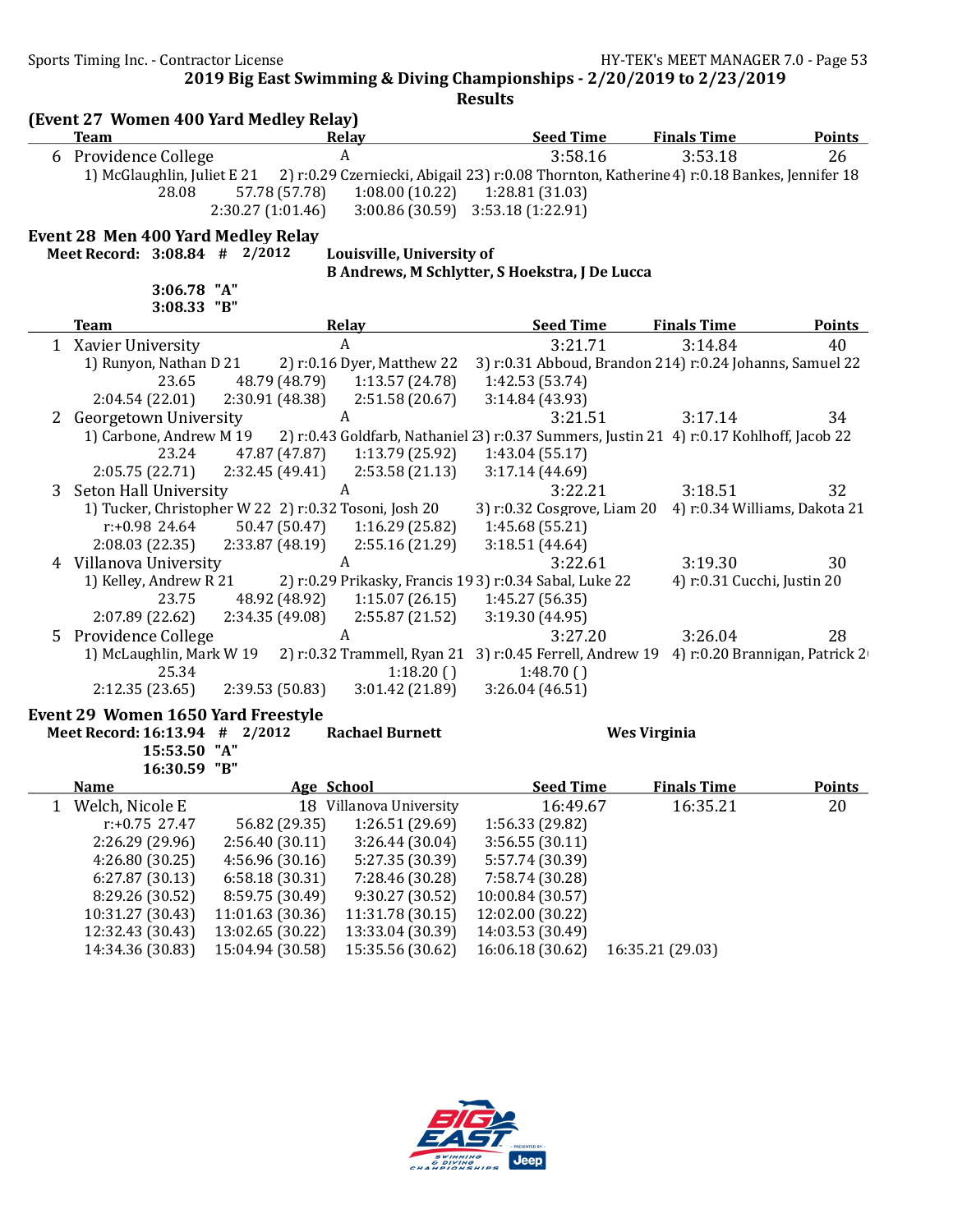Sports Timing Inc. - Contractor License Gas Andrew HY-TEK's MEET MANAGER 7.0 - Page 53

2019 Big East Swimming & Diving Championships - 2/20/2019 to 2/23/2019

|   | (Event 27 Women 400 Yard Medley Relay)<br><b>Team</b> |                   | Relay                      | <b>Seed Time</b>                                       | <b>Finals Time</b>                                                                          | <b>Points</b> |
|---|-------------------------------------------------------|-------------------|----------------------------|--------------------------------------------------------|---------------------------------------------------------------------------------------------|---------------|
|   | 6 Providence College                                  |                   | A                          | 3:58.16                                                | 3:53.18                                                                                     | 26            |
|   | 1) McGlaughlin, Juliet E 21                           |                   |                            |                                                        | 2) r:0.29 Czerniecki, Abigail 2.3) r:0.08 Thornton, Katherine 4) r:0.18 Bankes, Jennifer 18 |               |
|   | 28.08                                                 | 57.78 (57.78)     | 1:08.00(10.22)             | 1:28.81 (31.03)                                        |                                                                                             |               |
|   |                                                       | 2:30.27 (1:01.46) |                            | 3:00.86 (30.59) 3:53.18 (1:22.91)                      |                                                                                             |               |
|   |                                                       |                   |                            |                                                        |                                                                                             |               |
|   | <b>Event 28 Men 400 Yard Medley Relay</b>             |                   |                            |                                                        |                                                                                             |               |
|   | Meet Record: 3:08.84 # 2/2012                         |                   | Louisville, University of  |                                                        |                                                                                             |               |
|   | 3:06.78 "A"                                           |                   |                            | B Andrews, M Schlytter, S Hoekstra, J De Lucca         |                                                                                             |               |
|   | 3:08.33 "B"                                           |                   |                            |                                                        |                                                                                             |               |
|   | <b>Team</b>                                           |                   | <u>Relay</u>               | <b>Seed Time</b>                                       | <b>Finals Time</b>                                                                          | <b>Points</b> |
|   | 1 Xavier University                                   |                   | A                          | 3:21.71                                                | 3:14.84                                                                                     | 40            |
|   | 1) Runyon, Nathan D 21                                |                   | 2) r:0.16 Dyer, Matthew 22 |                                                        | 3) r:0.31 Abboud, Brandon 214) r:0.24 Johanns, Samuel 22                                    |               |
|   | 23.65                                                 | 48.79 (48.79)     | 1:13.57 (24.78)            | 1:42.53 (53.74)                                        |                                                                                             |               |
|   | 2:04.54(22.01)                                        | 2:30.91(48.38)    | 2:51.58(20.67)             | 3:14.84 (43.93)                                        |                                                                                             |               |
|   | 2 Georgetown University                               |                   | A                          | 3:21.51                                                | 3:17.14                                                                                     | 34            |
|   | 1) Carbone, Andrew M 19                               |                   |                            |                                                        | 2) r:0.43 Goldfarb, Nathaniel (3) r:0.37 Summers, Justin 21 4) r:0.17 Kohlhoff, Jacob 22    |               |
|   | 23.24                                                 | 47.87 (47.87)     | 1:13.79 (25.92)            | 1:43.04 (55.17)                                        |                                                                                             |               |
|   | 2:05.75 (22.71)                                       | 2:32.45 (49.41)   | 2:53.58(21.13)             | 3:17.14(44.69)                                         |                                                                                             |               |
| 3 | Seton Hall University                                 |                   | A                          | 3:22.21                                                | 3:18.51                                                                                     | 32            |
|   | 1) Tucker, Christopher W 22 2) r:0.32 Tosoni, Josh 20 |                   |                            |                                                        | 3) r:0.32 Cosgrove, Liam 20 4) r:0.34 Williams, Dakota 21                                   |               |
|   | $r: +0.98$ 24.64                                      | 50.47 (50.47)     | 1:16.29(25.82)             | 1:45.68 (55.21)                                        |                                                                                             |               |
|   | 2:08.03(22.35)                                        | 2:33.87(48.19)    | 2:55.16 (21.29)            | 3:18.51(44.64)                                         |                                                                                             |               |
|   | 4 Villanova University                                |                   | A                          | 3:22.61                                                | 3:19.30                                                                                     | 30            |
|   | 1) Kelley, Andrew R 21                                |                   |                            | 2) r:0.29 Prikasky, Francis 193) r:0.34 Sabal, Luke 22 | 4) r:0.31 Cucchi, Justin 20                                                                 |               |
|   | 23.75                                                 | 48.92 (48.92)     | 1:15.07(26.15)             | 1:45.27 (56.35)                                        |                                                                                             |               |
|   | 2:07.89 (22.62)                                       | 2:34.35 (49.08)   | 2:55.87 (21.52)            | 3:19.30 (44.95)                                        |                                                                                             |               |
| 5 | Providence College                                    |                   | A                          | 3:27.20                                                | 3:26.04                                                                                     | 28            |
|   | 1) McLaughlin, Mark W 19                              |                   |                            |                                                        | 2) r:0.32 Trammell, Ryan 21 3) r:0.45 Ferrell, Andrew 19 4) r:0.20 Brannigan, Patrick 2     |               |
|   | 25.34                                                 |                   | 1:18.20()                  | 1:48.70()                                              |                                                                                             |               |
|   | 2:12.35(23.65)                                        | 2:39.53(50.83)    | 3:01.42(21.89)             | 3:26.04(46.51)                                         |                                                                                             |               |
|   | Event 29 Women 1650 Yard Freestyle                    |                   |                            |                                                        |                                                                                             |               |
|   | Meet Record: 16:13.94 # 2/2012                        |                   | <b>Rachael Burnett</b>     |                                                        | <b>Wes Virginia</b>                                                                         |               |
|   | 15:53.50 "A"                                          |                   |                            |                                                        |                                                                                             |               |
|   | 16:30.59 "B"                                          |                   |                            |                                                        |                                                                                             |               |
|   | <u>Name</u>                                           | Age School        |                            | <b>Seed Time</b>                                       | <b>Finals Time</b>                                                                          | <b>Points</b> |
|   | 1 Welch, Nicole E                                     |                   | 18 Villanova University    | 16:49.67                                               | 16:35.21                                                                                    | 20            |
|   | $r: +0.75$ 27.47                                      | 56.82 (29.35)     | 1:26.51 (29.69)            | 1:56.33 (29.82)                                        |                                                                                             |               |
|   | 2:26.29 (29.96)                                       | 2:56.40 (30.11)   | 3:26.44 (30.04)            | 3:56.55(30.11)                                         |                                                                                             |               |
|   | 4:26.80 (30.25)                                       | 4:56.96(30.16)    | 5:27.35 (30.39)            | 5:57.74 (30.39)                                        |                                                                                             |               |
|   | 6:27.87 (30.13)                                       | 6:58.18 (30.31)   | 7:28.46 (30.28)            | 7:58.74 (30.28)                                        |                                                                                             |               |
|   | 8:29.26 (30.52)                                       | 8:59.75 (30.49)   | 9:30.27 (30.52)            | 10:00.84 (30.57)                                       |                                                                                             |               |
|   | 10:31.27 (30.43)                                      | 11:01.63 (30.36)  | 11:31.78 (30.15)           | 12:02.00 (30.22)                                       |                                                                                             |               |
|   | 12:32.43 (30.43)                                      | 13:02.65 (30.22)  | 13:33.04 (30.39)           | 14:03.53 (30.49)                                       |                                                                                             |               |
|   | 14:34.36 (30.83)                                      | 15:04.94 (30.58)  | 15:35.56 (30.62)           | 16:06.18 (30.62)                                       | 16:35.21 (29.03)                                                                            |               |

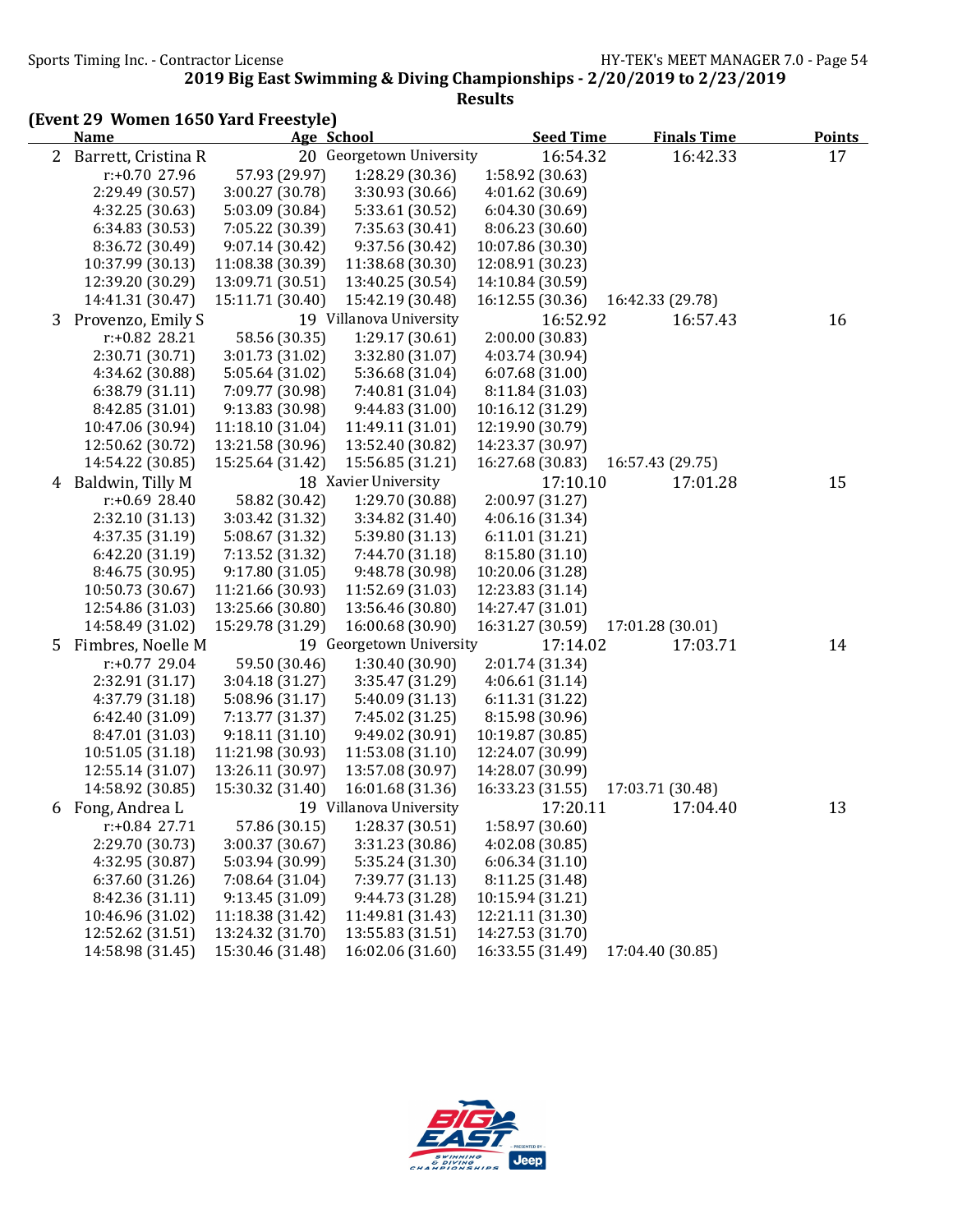|   | (Event 29 Women 1650 Yard Freestyle)<br><b>Name</b> |                  | Age School               | <b>Seed Time</b> | <b>Finals Time</b> | <b>Points</b> |
|---|-----------------------------------------------------|------------------|--------------------------|------------------|--------------------|---------------|
|   | 2 Barrett, Cristina R                               |                  | 20 Georgetown University | 16:54.32         | 16:42.33           | 17            |
|   | r:+0.70 27.96                                       | 57.93 (29.97)    | 1:28.29 (30.36)          | 1:58.92 (30.63)  |                    |               |
|   | 2:29.49 (30.57)                                     | 3:00.27 (30.78)  | 3:30.93 (30.66)          | 4:01.62 (30.69)  |                    |               |
|   | 4:32.25 (30.63)                                     | 5:03.09 (30.84)  | 5:33.61 (30.52)          | 6:04.30(30.69)   |                    |               |
|   | 6:34.83 (30.53)                                     | 7:05.22 (30.39)  | 7:35.63 (30.41)          | 8:06.23 (30.60)  |                    |               |
|   | 8:36.72 (30.49)                                     | 9:07.14(30.42)   | 9:37.56 (30.42)          | 10:07.86 (30.30) |                    |               |
|   | 10:37.99 (30.13)                                    | 11:08.38 (30.39) | 11:38.68 (30.30)         | 12:08.91 (30.23) |                    |               |
|   | 12:39.20 (30.29)                                    | 13:09.71 (30.51) | 13:40.25 (30.54)         | 14:10.84 (30.59) |                    |               |
|   | 14:41.31 (30.47)                                    | 15:11.71 (30.40) | 15:42.19 (30.48)         | 16:12.55 (30.36) | 16:42.33 (29.78)   |               |
| 3 | Provenzo, Emily S                                   |                  | 19 Villanova University  | 16:52.92         | 16:57.43           | 16            |
|   | r:+0.82 28.21                                       | 58.56 (30.35)    | 1:29.17(30.61)           | 2:00.00 (30.83)  |                    |               |
|   | 2:30.71 (30.71)                                     | 3:01.73 (31.02)  | 3:32.80 (31.07)          | 4:03.74 (30.94)  |                    |               |
|   | 4:34.62 (30.88)                                     | 5:05.64 (31.02)  | 5:36.68 (31.04)          | 6:07.68(31.00)   |                    |               |
|   | 6:38.79 (31.11)                                     | 7:09.77 (30.98)  | 7:40.81 (31.04)          | 8:11.84 (31.03)  |                    |               |
|   | 8:42.85 (31.01)                                     | 9:13.83 (30.98)  | 9:44.83 (31.00)          | 10:16.12 (31.29) |                    |               |
|   | 10:47.06 (30.94)                                    | 11:18.10 (31.04) | 11:49.11 (31.01)         | 12:19.90 (30.79) |                    |               |
|   | 12:50.62 (30.72)                                    | 13:21.58 (30.96) | 13:52.40 (30.82)         | 14:23.37 (30.97) |                    |               |
|   | 14:54.22 (30.85)                                    | 15:25.64 (31.42) | 15:56.85 (31.21)         | 16:27.68 (30.83) | 16:57.43 (29.75)   |               |
| 4 | Baldwin, Tilly M                                    |                  | 18 Xavier University     | 17:10.10         | 17:01.28           | 15            |
|   | r:+0.69 28.40                                       | 58.82 (30.42)    | 1:29.70 (30.88)          | 2:00.97 (31.27)  |                    |               |
|   | 2:32.10 (31.13)                                     | 3:03.42 (31.32)  | 3:34.82 (31.40)          | 4:06.16 (31.34)  |                    |               |
|   | 4:37.35 (31.19)                                     | 5:08.67 (31.32)  | 5:39.80 (31.13)          | 6:11.01(31.21)   |                    |               |
|   | 6:42.20 (31.19)                                     | 7:13.52 (31.32)  | 7:44.70 (31.18)          | 8:15.80 (31.10)  |                    |               |
|   | 8:46.75 (30.95)                                     | 9:17.80(31.05)   | 9:48.78 (30.98)          | 10:20.06 (31.28) |                    |               |
|   | 10:50.73 (30.67)                                    | 11:21.66 (30.93) | 11:52.69 (31.03)         | 12:23.83 (31.14) |                    |               |
|   | 12:54.86 (31.03)                                    | 13:25.66 (30.80) | 13:56.46 (30.80)         | 14:27.47 (31.01) |                    |               |
|   | 14:58.49 (31.02)                                    | 15:29.78 (31.29) | 16:00.68 (30.90)         | 16:31.27 (30.59) | 17:01.28 (30.01)   |               |
| 5 | Fimbres, Noelle M                                   |                  | 19 Georgetown University | 17:14.02         | 17:03.71           | 14            |
|   | $r: +0.77$ 29.04                                    | 59.50 (30.46)    | 1:30.40 (30.90)          | 2:01.74 (31.34)  |                    |               |
|   | 2:32.91 (31.17)                                     | 3:04.18 (31.27)  | 3:35.47 (31.29)          | 4:06.61(31.14)   |                    |               |
|   | 4:37.79 (31.18)                                     | 5:08.96 (31.17)  | 5:40.09 (31.13)          | 6:11.31 (31.22)  |                    |               |
|   | 6:42.40 (31.09)                                     | 7:13.77 (31.37)  | 7:45.02 (31.25)          | 8:15.98 (30.96)  |                    |               |
|   | 8:47.01 (31.03)                                     | 9:18.11(31.10)   | 9:49.02 (30.91)          | 10:19.87 (30.85) |                    |               |
|   | 10:51.05 (31.18)                                    | 11:21.98 (30.93) | 11:53.08 (31.10)         | 12:24.07 (30.99) |                    |               |
|   | 12:55.14 (31.07)                                    | 13:26.11 (30.97) | 13:57.08 (30.97)         | 14:28.07 (30.99) |                    |               |
|   | 14:58.92 (30.85)                                    | 15:30.32 (31.40) | 16:01.68 (31.36)         | 16:33.23 (31.55) | 17:03.71 (30.48)   |               |
|   | 6 Fong, Andrea L                                    |                  | 19 Villanova University  | 17:20.11         | 17:04.40           | 13            |
|   | $r: +0.84$ 27.71                                    | 57.86 (30.15)    | 1:28.37 (30.51)          | 1:58.97 (30.60)  |                    |               |
|   | 2:29.70 (30.73)                                     | 3:00.37 (30.67)  | 3:31.23 (30.86)          | 4:02.08 (30.85)  |                    |               |
|   | 4:32.95 (30.87)                                     | 5:03.94 (30.99)  | 5:35.24 (31.30)          | 6:06.34(31.10)   |                    |               |
|   | 6:37.60 (31.26)                                     | 7:08.64 (31.04)  | 7:39.77 (31.13)          | 8:11.25 (31.48)  |                    |               |
|   | 8:42.36 (31.11)                                     | 9:13.45(31.09)   | 9:44.73 (31.28)          | 10:15.94 (31.21) |                    |               |
|   | 10:46.96 (31.02)                                    | 11:18.38 (31.42) | 11:49.81 (31.43)         | 12:21.11 (31.30) |                    |               |
|   | 12:52.62 (31.51)                                    | 13:24.32 (31.70) | 13:55.83 (31.51)         | 14:27.53 (31.70) |                    |               |
|   | 14:58.98 (31.45)                                    | 15:30.46 (31.48) | 16:02.06 (31.60)         | 16:33.55 (31.49) | 17:04.40 (30.85)   |               |

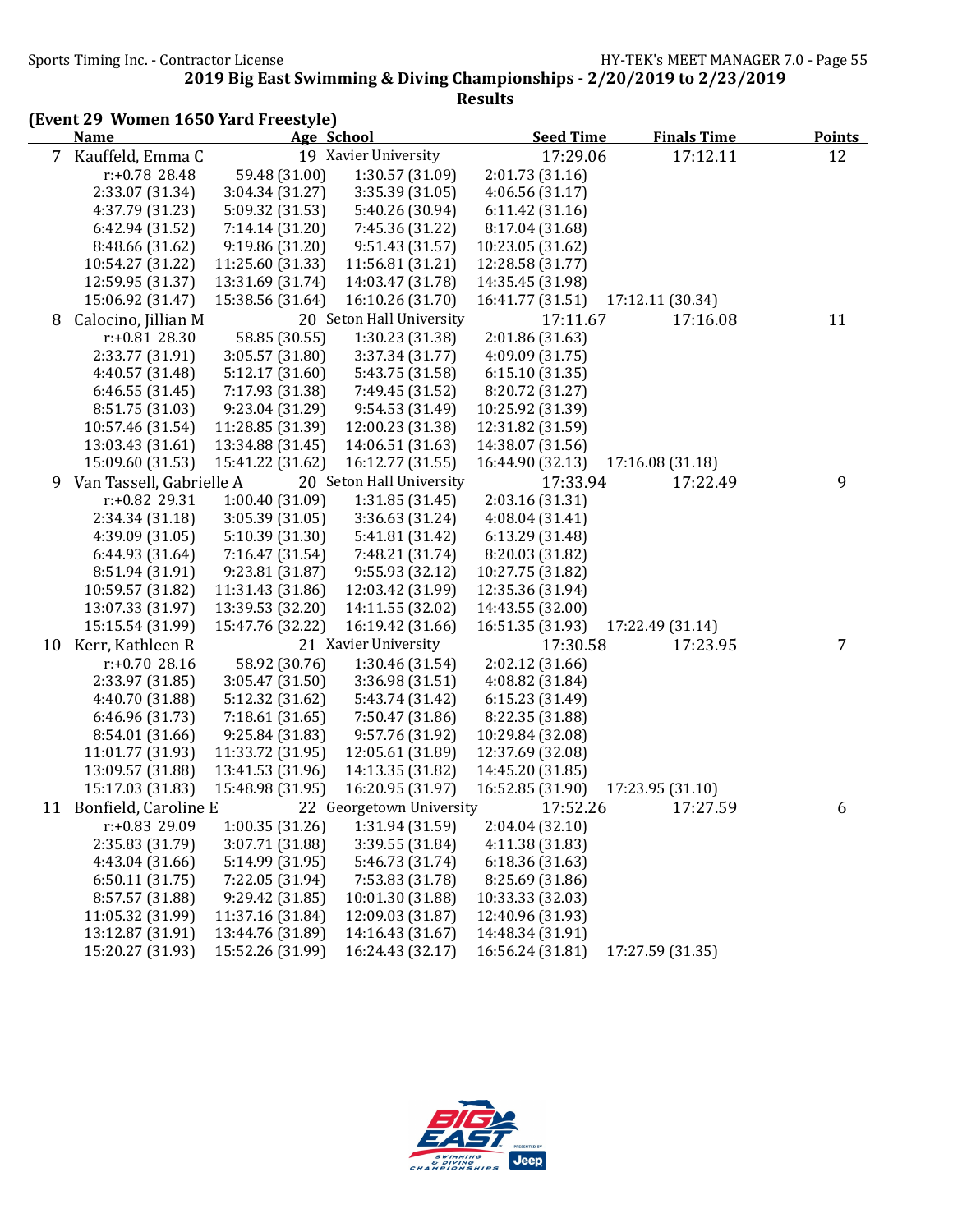Sports Timing Inc. - Contractor License Government Contractor License HY-TEK's MEET MANAGER 7.0 - Page 55

|    | (Event 29 Women 1650 Yard Freestyle) |                  |                          |                  |                    |                |
|----|--------------------------------------|------------------|--------------------------|------------------|--------------------|----------------|
|    | <b>Name</b>                          |                  | Age School               | <b>Seed Time</b> | <b>Finals Time</b> | <b>Points</b>  |
|    | 7 Kauffeld, Emma C                   |                  | 19 Xavier University     | 17:29.06         | 17:12.11           | 12             |
|    | r:+0.78 28.48                        | 59.48 (31.00)    | 1:30.57 (31.09)          | 2:01.73(31.16)   |                    |                |
|    | 2:33.07 (31.34)                      | 3:04.34(31.27)   | 3:35.39 (31.05)          | 4:06.56(31.17)   |                    |                |
|    | 4:37.79 (31.23)                      | 5:09.32 (31.53)  | 5:40.26 (30.94)          | 6:11.42(31.16)   |                    |                |
|    | 6:42.94 (31.52)                      | 7:14.14 (31.20)  | 7:45.36 (31.22)          | 8:17.04 (31.68)  |                    |                |
|    | 8:48.66 (31.62)                      | 9:19.86 (31.20)  | 9:51.43(31.57)           | 10:23.05 (31.62) |                    |                |
|    | 10:54.27 (31.22)                     | 11:25.60 (31.33) | 11:56.81 (31.21)         | 12:28.58 (31.77) |                    |                |
|    | 12:59.95 (31.37)                     | 13:31.69 (31.74) | 14:03.47 (31.78)         | 14:35.45 (31.98) |                    |                |
|    | 15:06.92 (31.47)                     | 15:38.56 (31.64) | 16:10.26 (31.70)         | 16:41.77 (31.51) | 17:12.11 (30.34)   |                |
| 8  | Calocino, Jillian M                  |                  | 20 Seton Hall University | 17:11.67         | 17:16.08           | 11             |
|    | r:+0.81 28.30                        | 58.85 (30.55)    | 1:30.23 (31.38)          | 2:01.86 (31.63)  |                    |                |
|    | 2:33.77 (31.91)                      | 3:05.57 (31.80)  | 3:37.34 (31.77)          | 4:09.09 (31.75)  |                    |                |
|    | 4:40.57 (31.48)                      | 5:12.17 (31.60)  | 5:43.75 (31.58)          | 6:15.10 (31.35)  |                    |                |
|    | 6:46.55(31.45)                       | 7:17.93 (31.38)  | 7:49.45 (31.52)          | 8:20.72 (31.27)  |                    |                |
|    | 8:51.75 (31.03)                      | 9:23.04 (31.29)  | 9:54.53 (31.49)          | 10:25.92 (31.39) |                    |                |
|    | 10:57.46 (31.54)                     | 11:28.85 (31.39) | 12:00.23 (31.38)         | 12:31.82 (31.59) |                    |                |
|    | 13:03.43 (31.61)                     | 13:34.88 (31.45) | 14:06.51 (31.63)         | 14:38.07 (31.56) |                    |                |
|    | 15:09.60 (31.53)                     | 15:41.22 (31.62) | 16:12.77 (31.55)         | 16:44.90 (32.13) | 17:16.08 (31.18)   |                |
| 9  | Van Tassell, Gabrielle A             |                  | 20 Seton Hall University | 17:33.94         | 17:22.49           | 9              |
|    | r:+0.82 29.31                        | 1:00.40 (31.09)  | 1:31.85 (31.45)          | 2:03.16 (31.31)  |                    |                |
|    | 2:34.34 (31.18)                      | 3:05.39 (31.05)  | 3:36.63 (31.24)          | 4:08.04 (31.41)  |                    |                |
|    | 4:39.09 (31.05)                      | 5:10.39 (31.30)  | 5:41.81 (31.42)          | 6:13.29 (31.48)  |                    |                |
|    | 6:44.93 (31.64)                      | 7:16.47 (31.54)  | 7:48.21 (31.74)          | 8:20.03 (31.82)  |                    |                |
|    | 8:51.94 (31.91)                      | 9:23.81 (31.87)  | 9:55.93 (32.12)          | 10:27.75 (31.82) |                    |                |
|    | 10:59.57 (31.82)                     | 11:31.43 (31.86) | 12:03.42 (31.99)         | 12:35.36 (31.94) |                    |                |
|    | 13:07.33 (31.97)                     | 13:39.53 (32.20) | 14:11.55 (32.02)         | 14:43.55 (32.00) |                    |                |
|    | 15:15.54 (31.99)                     | 15:47.76 (32.22) | 16:19.42 (31.66)         | 16:51.35 (31.93) | 17:22.49 (31.14)   |                |
| 10 | Kerr, Kathleen R                     |                  | 21 Xavier University     | 17:30.58         | 17:23.95           | $\overline{7}$ |
|    | $r: +0.7028.16$                      | 58.92 (30.76)    | 1:30.46 (31.54)          | 2:02.12 (31.66)  |                    |                |
|    | 2:33.97 (31.85)                      | 3:05.47 (31.50)  | 3:36.98 (31.51)          | 4:08.82 (31.84)  |                    |                |
|    | 4:40.70 (31.88)                      | 5:12.32 (31.62)  | 5:43.74 (31.42)          | 6:15.23 (31.49)  |                    |                |
|    | 6:46.96 (31.73)                      | 7:18.61(31.65)   | 7:50.47 (31.86)          | 8:22.35 (31.88)  |                    |                |
|    | 8:54.01 (31.66)                      | 9:25.84 (31.83)  | 9:57.76 (31.92)          | 10:29.84 (32.08) |                    |                |
|    | 11:01.77 (31.93)                     | 11:33.72 (31.95) | 12:05.61 (31.89)         | 12:37.69 (32.08) |                    |                |
|    | 13:09.57 (31.88)                     | 13:41.53 (31.96) | 14:13.35 (31.82)         | 14:45.20 (31.85) |                    |                |
|    | 15:17.03 (31.83)                     | 15:48.98 (31.95) | 16:20.95 (31.97)         | 16:52.85 (31.90) | 17:23.95 (31.10)   |                |
| 11 | Bonfield, Caroline E                 |                  | 22 Georgetown University | 17:52.26         | 17:27.59           | 6              |
|    | r:+0.83 29.09                        | 1:00.35(31.26)   | 1:31.94 (31.59)          | 2:04.04(32.10)   |                    |                |
|    | 2:35.83 (31.79)                      | 3:07.71 (31.88)  | 3:39.55 (31.84)          | 4:11.38 (31.83)  |                    |                |
|    | 4:43.04 (31.66)                      | 5:14.99 (31.95)  | 5:46.73 (31.74)          | 6:18.36(31.63)   |                    |                |
|    | 6:50.11(31.75)                       | 7:22.05 (31.94)  | 7:53.83 (31.78)          | 8:25.69 (31.86)  |                    |                |
|    | 8:57.57 (31.88)                      | 9:29.42 (31.85)  | 10:01.30 (31.88)         | 10:33.33 (32.03) |                    |                |
|    | 11:05.32 (31.99)                     | 11:37.16 (31.84) | 12:09.03 (31.87)         | 12:40.96 (31.93) |                    |                |
|    | 13:12.87 (31.91)                     | 13:44.76 (31.89) | 14:16.43 (31.67)         | 14:48.34 (31.91) |                    |                |
|    | 15:20.27 (31.93)                     | 15:52.26 (31.99) | 16:24.43 (32.17)         | 16:56.24 (31.81) | 17:27.59 (31.35)   |                |

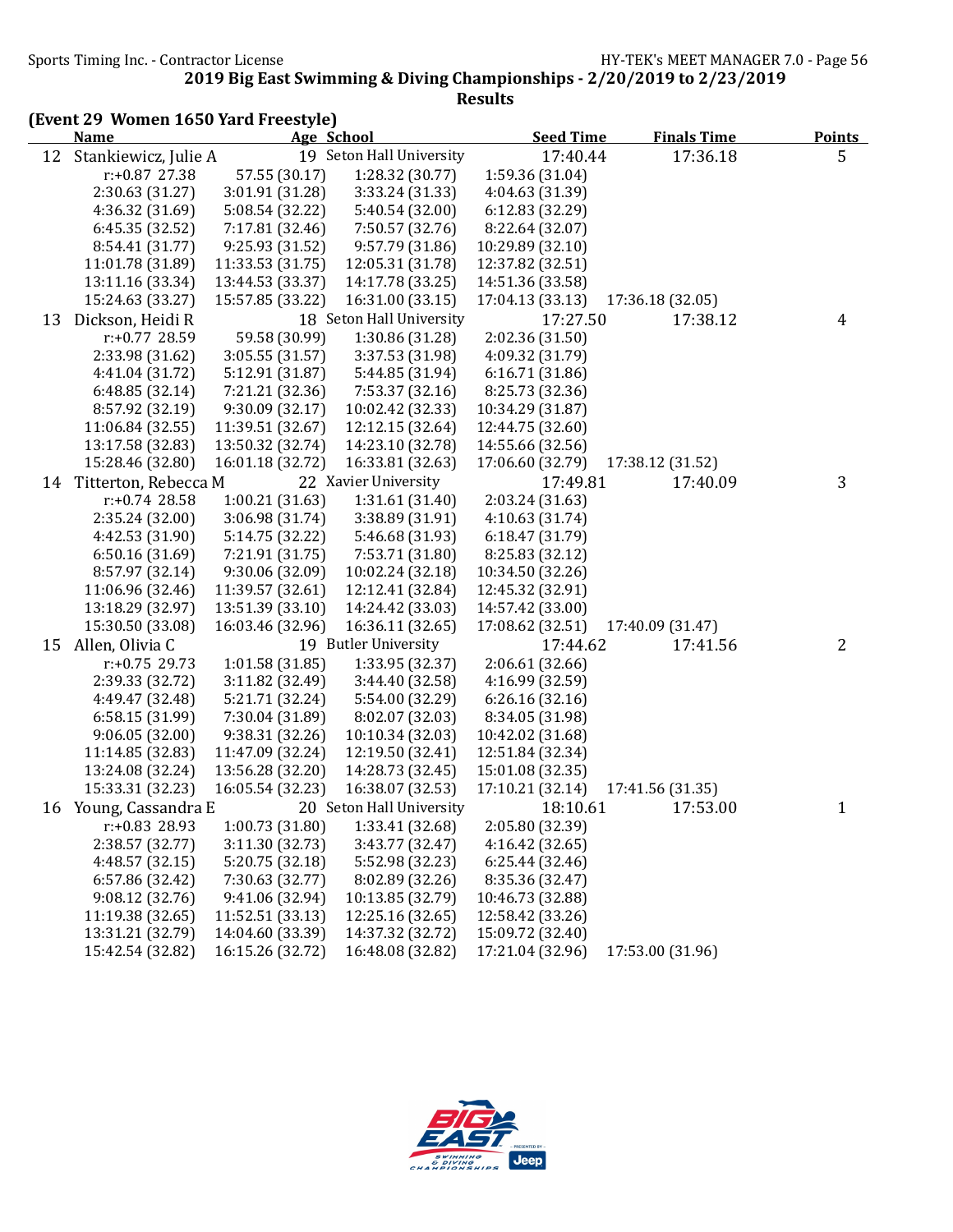|    | (Event 29 Women 1650 Yard Freestyle)<br><b>Name</b> |                                     |                                     |                                      |                    |               |
|----|-----------------------------------------------------|-------------------------------------|-------------------------------------|--------------------------------------|--------------------|---------------|
|    |                                                     |                                     | Age School                          | <b>Seed Time</b>                     | <b>Finals Time</b> | <b>Points</b> |
| 12 | Stankiewicz, Julie A                                |                                     | 19 Seton Hall University            | 17:40.44                             | 17:36.18           | 5             |
|    | $r: +0.87$ 27.38                                    | 57.55 (30.17)                       | 1:28.32 (30.77)                     | 1:59.36 (31.04)                      |                    |               |
|    | 2:30.63 (31.27)                                     | 3:01.91 (31.28)                     | 3:33.24 (31.33)                     | 4:04.63 (31.39)                      |                    |               |
|    | 4:36.32 (31.69)                                     | 5:08.54 (32.22)                     | 5:40.54 (32.00)                     | 6:12.83(32.29)                       |                    |               |
|    | 6:45.35(32.52)                                      | 7:17.81 (32.46)                     | 7:50.57 (32.76)                     | 8:22.64 (32.07)                      |                    |               |
|    | 8:54.41 (31.77)<br>11:01.78 (31.89)                 | 9:25.93 (31.52)<br>11:33.53 (31.75) | 9:57.79 (31.86)<br>12:05.31 (31.78) | 10:29.89 (32.10)<br>12:37.82 (32.51) |                    |               |
|    | 13:11.16 (33.34)                                    | 13:44.53 (33.37)                    | 14:17.78 (33.25)                    | 14:51.36 (33.58)                     |                    |               |
|    | 15:24.63 (33.27)                                    | 15:57.85 (33.22)                    | 16:31.00 (33.15)                    | 17:04.13 (33.13)                     | 17:36.18 (32.05)   |               |
|    | Dickson, Heidi R                                    |                                     | 18 Seton Hall University            | 17:27.50                             | 17:38.12           |               |
| 13 | $r: +0.77$ 28.59                                    | 59.58 (30.99)                       | 1:30.86 (31.28)                     | 2:02.36 (31.50)                      |                    | 4             |
|    | 2:33.98 (31.62)                                     | 3:05.55(31.57)                      | 3:37.53 (31.98)                     | 4:09.32 (31.79)                      |                    |               |
|    | 4:41.04 (31.72)                                     | 5:12.91 (31.87)                     | 5:44.85 (31.94)                     | 6:16.71(31.86)                       |                    |               |
|    | 6:48.85 (32.14)                                     | 7:21.21 (32.36)                     | 7:53.37 (32.16)                     | 8:25.73 (32.36)                      |                    |               |
|    | 8:57.92 (32.19)                                     | 9:30.09 (32.17)                     | 10:02.42 (32.33)                    | 10:34.29 (31.87)                     |                    |               |
|    | 11:06.84 (32.55)                                    | 11:39.51 (32.67)                    | 12:12.15 (32.64)                    | 12:44.75 (32.60)                     |                    |               |
|    | 13:17.58 (32.83)                                    | 13:50.32 (32.74)                    | 14:23.10 (32.78)                    | 14:55.66 (32.56)                     |                    |               |
|    | 15:28.46 (32.80)                                    | 16:01.18 (32.72)                    | 16:33.81 (32.63)                    | 17:06.60 (32.79)                     | 17:38.12 (31.52)   |               |
|    | 14 Titterton, Rebecca M                             |                                     | 22 Xavier University                | 17:49.81                             | 17:40.09           | 3             |
|    | $r: +0.74$ 28.58                                    | 1:00.21(31.63)                      | 1:31.61 (31.40)                     | 2:03.24 (31.63)                      |                    |               |
|    | 2:35.24 (32.00)                                     | 3:06.98 (31.74)                     | 3:38.89 (31.91)                     | 4:10.63 (31.74)                      |                    |               |
|    | 4:42.53 (31.90)                                     | 5:14.75 (32.22)                     | 5:46.68 (31.93)                     | 6:18.47 (31.79)                      |                    |               |
|    | 6:50.16(31.69)                                      | 7:21.91 (31.75)                     | 7:53.71 (31.80)                     | 8:25.83 (32.12)                      |                    |               |
|    | 8:57.97 (32.14)                                     | 9:30.06 (32.09)                     | 10:02.24 (32.18)                    | 10:34.50 (32.26)                     |                    |               |
|    | 11:06.96 (32.46)                                    | 11:39.57 (32.61)                    | 12:12.41 (32.84)                    | 12:45.32 (32.91)                     |                    |               |
|    | 13:18.29 (32.97)                                    | 13:51.39 (33.10)                    | 14:24.42 (33.03)                    | 14:57.42 (33.00)                     |                    |               |
|    | 15:30.50 (33.08)                                    | 16:03.46 (32.96)                    | 16:36.11 (32.65)                    | 17:08.62 (32.51)                     | 17:40.09 (31.47)   |               |
| 15 | Allen, Olivia C                                     |                                     | 19 Butler University                | 17:44.62                             | 17:41.56           | 2             |
|    | $r: +0.75$ 29.73                                    | 1:01.58 (31.85)                     | 1:33.95 (32.37)                     | 2:06.61 (32.66)                      |                    |               |
|    | 2:39.33 (32.72)                                     | 3:11.82 (32.49)                     | 3:44.40 (32.58)                     | 4:16.99 (32.59)                      |                    |               |
|    | 4:49.47 (32.48)                                     | 5:21.71 (32.24)                     | 5:54.00 (32.29)                     | 6:26.16(32.16)                       |                    |               |
|    | 6:58.15(31.99)                                      | 7:30.04 (31.89)                     | 8:02.07 (32.03)                     | 8:34.05 (31.98)                      |                    |               |
|    | 9:06.05(32.00)                                      | 9:38.31 (32.26)                     | 10:10.34 (32.03)                    | 10:42.02 (31.68)                     |                    |               |
|    | 11:14.85 (32.83)                                    | 11:47.09 (32.24)                    | 12:19.50 (32.41)                    | 12:51.84 (32.34)                     |                    |               |
|    | 13:24.08 (32.24)                                    | 13:56.28 (32.20)                    | 14:28.73 (32.45)                    | 15:01.08 (32.35)                     |                    |               |
|    | 15:33.31 (32.23)                                    | 16:05.54 (32.23)                    | 16:38.07 (32.53)                    | 17:10.21 (32.14)                     | 17:41.56 (31.35)   |               |
|    | 16 Young, Cassandra E                               |                                     | 20 Seton Hall University            | 18:10.61                             | 17:53.00           | $\mathbf{1}$  |
|    | r:+0.83 28.93                                       | 1:00.73 (31.80)                     | 1:33.41 (32.68)                     | 2:05.80 (32.39)                      |                    |               |
|    | 2:38.57 (32.77)                                     | 3:11.30 (32.73)                     | 3:43.77 (32.47)                     | 4:16.42 (32.65)                      |                    |               |
|    | 4:48.57 (32.15)                                     | 5:20.75 (32.18)                     | 5:52.98 (32.23)                     | 6:25.44(32.46)                       |                    |               |
|    | 6:57.86 (32.42)                                     | 7:30.63 (32.77)                     | 8:02.89 (32.26)                     | 8:35.36 (32.47)                      |                    |               |
|    | 9:08.12(32.76)                                      | 9:41.06 (32.94)                     | 10:13.85 (32.79)                    | 10:46.73 (32.88)                     |                    |               |
|    | 11:19.38 (32.65)                                    | 11:52.51 (33.13)                    | 12:25.16 (32.65)                    | 12:58.42 (33.26)                     |                    |               |
|    | 13:31.21 (32.79)                                    | 14:04.60 (33.39)                    | 14:37.32 (32.72)                    | 15:09.72 (32.40)                     |                    |               |
|    | 15:42.54 (32.82)                                    | 16:15.26 (32.72)                    | 16:48.08 (32.82)                    | 17:21.04 (32.96)                     | 17:53.00 (31.96)   |               |

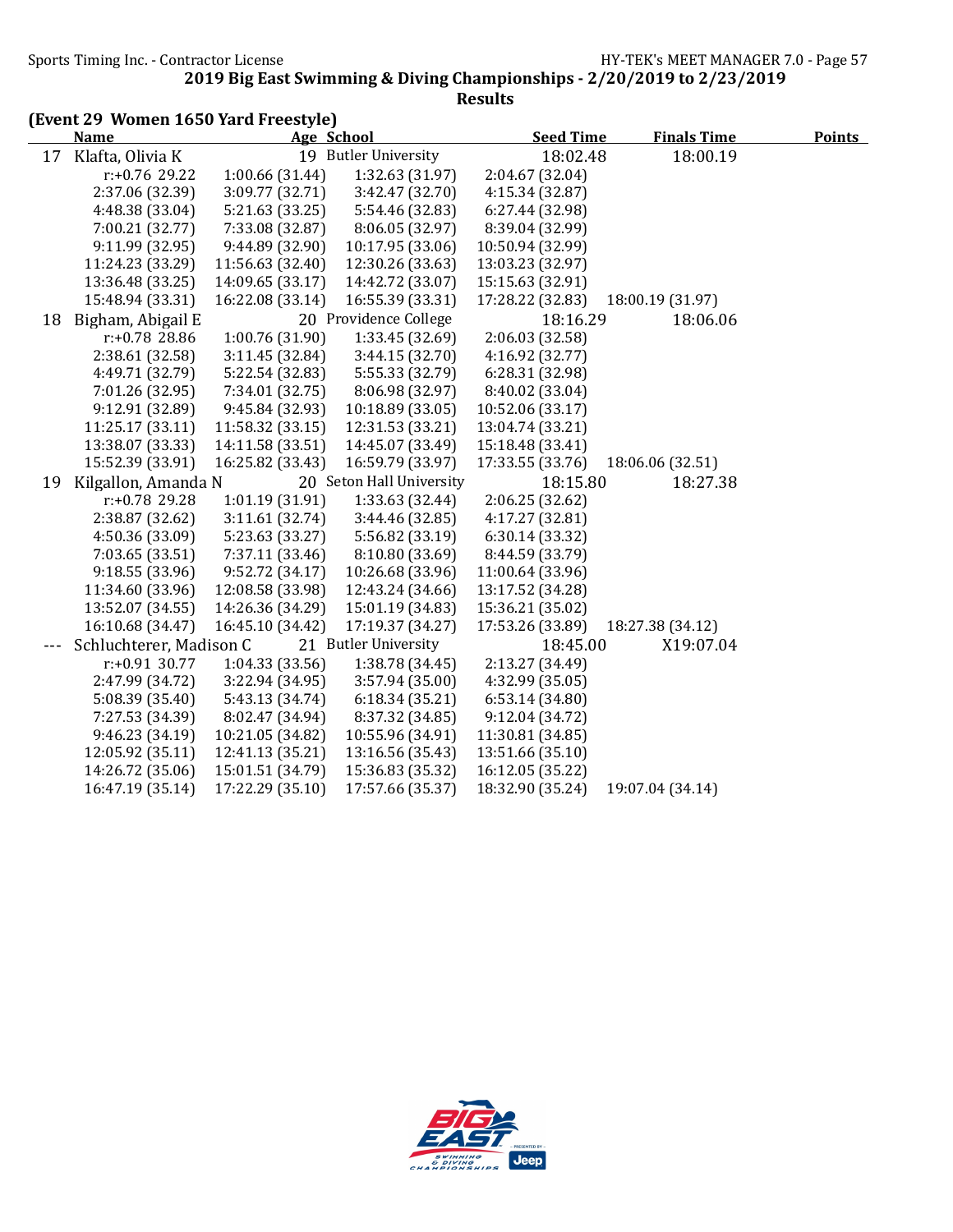Sports Timing Inc. - Contractor License Government Contractor License HY-TEK's MEET MANAGER 7.0 - Page 57

|    | (Event 29 Women 1650 Yard Freestyle) |                  |                          |                  |                    |               |
|----|--------------------------------------|------------------|--------------------------|------------------|--------------------|---------------|
|    | <b>Name</b>                          |                  | Age School               | <b>Seed Time</b> | <b>Finals Time</b> | <b>Points</b> |
| 17 | Klafta, Olivia K                     |                  | 19 Butler University     | 18:02.48         | 18:00.19           |               |
|    | $r: +0.76$ 29.22                     | 1:00.66 (31.44)  | 1:32.63 (31.97)          | 2:04.67 (32.04)  |                    |               |
|    | 2:37.06 (32.39)                      | 3:09.77 (32.71)  | 3:42.47 (32.70)          | 4:15.34 (32.87)  |                    |               |
|    | 4:48.38 (33.04)                      | 5:21.63 (33.25)  | 5:54.46 (32.83)          | 6:27.44 (32.98)  |                    |               |
|    | 7:00.21 (32.77)                      | 7:33.08 (32.87)  | 8:06.05 (32.97)          | 8:39.04 (32.99)  |                    |               |
|    | 9:11.99(32.95)                       | 9:44.89 (32.90)  | 10:17.95 (33.06)         | 10:50.94 (32.99) |                    |               |
|    | 11:24.23 (33.29)                     | 11:56.63 (32.40) | 12:30.26 (33.63)         | 13:03.23 (32.97) |                    |               |
|    | 13:36.48 (33.25)                     | 14:09.65 (33.17) | 14:42.72 (33.07)         | 15:15.63 (32.91) |                    |               |
|    | 15:48.94 (33.31)                     | 16:22.08 (33.14) | 16:55.39 (33.31)         | 17:28.22 (32.83) | 18:00.19 (31.97)   |               |
| 18 | Bigham, Abigail E                    |                  | 20 Providence College    | 18:16.29         | 18:06.06           |               |
|    | r:+0.78 28.86                        | 1:00.76 (31.90)  | 1:33.45 (32.69)          | 2:06.03 (32.58)  |                    |               |
|    | 2:38.61 (32.58)                      | 3:11.45 (32.84)  | 3:44.15 (32.70)          | 4:16.92 (32.77)  |                    |               |
|    | 4:49.71 (32.79)                      | 5:22.54 (32.83)  | 5:55.33 (32.79)          | 6:28.31 (32.98)  |                    |               |
|    | 7:01.26 (32.95)                      | 7:34.01 (32.75)  | 8:06.98 (32.97)          | 8:40.02 (33.04)  |                    |               |
|    | 9:12.91 (32.89)                      | 9:45.84 (32.93)  | 10:18.89 (33.05)         | 10:52.06 (33.17) |                    |               |
|    | 11:25.17 (33.11)                     | 11:58.32 (33.15) | 12:31.53 (33.21)         | 13:04.74 (33.21) |                    |               |
|    | 13:38.07 (33.33)                     | 14:11.58 (33.51) | 14:45.07 (33.49)         | 15:18.48 (33.41) |                    |               |
|    | 15:52.39 (33.91)                     | 16:25.82 (33.43) | 16:59.79 (33.97)         | 17:33.55 (33.76) | 18:06.06 (32.51)   |               |
| 19 | Kilgallon, Amanda N                  |                  | 20 Seton Hall University | 18:15.80         | 18:27.38           |               |
|    | r:+0.78 29.28                        | 1:01.19 (31.91)  | 1:33.63 (32.44)          | 2:06.25 (32.62)  |                    |               |
|    | 2:38.87 (32.62)                      | 3:11.61 (32.74)  | 3:44.46 (32.85)          | 4:17.27 (32.81)  |                    |               |
|    | 4:50.36 (33.09)                      | 5:23.63 (33.27)  | 5:56.82 (33.19)          | 6:30.14 (33.32)  |                    |               |
|    | 7:03.65 (33.51)                      | 7:37.11 (33.46)  | 8:10.80 (33.69)          | 8:44.59 (33.79)  |                    |               |
|    | 9:18.55(33.96)                       | 9:52.72 (34.17)  | 10:26.68 (33.96)         | 11:00.64 (33.96) |                    |               |
|    | 11:34.60 (33.96)                     | 12:08.58 (33.98) | 12:43.24 (34.66)         | 13:17.52 (34.28) |                    |               |
|    | 13:52.07 (34.55)                     | 14:26.36 (34.29) | 15:01.19 (34.83)         | 15:36.21 (35.02) |                    |               |
|    | 16:10.68 (34.47)                     | 16:45.10 (34.42) | 17:19.37 (34.27)         | 17:53.26 (33.89) | 18:27.38 (34.12)   |               |
|    | Schluchterer, Madison C              |                  | 21 Butler University     | 18:45.00         | X19:07.04          |               |
|    | $r: +0.91$ 30.77                     | 1:04.33(33.56)   | 1:38.78 (34.45)          | 2:13.27 (34.49)  |                    |               |
|    | 2:47.99 (34.72)                      | 3:22.94 (34.95)  | 3:57.94 (35.00)          | 4:32.99 (35.05)  |                    |               |
|    | 5:08.39 (35.40)                      | 5:43.13 (34.74)  | 6:18.34(35.21)           | 6:53.14(34.80)   |                    |               |
|    | 7:27.53 (34.39)                      | 8:02.47 (34.94)  | 8:37.32 (34.85)          | 9:12.04 (34.72)  |                    |               |
|    | 9:46.23 (34.19)                      | 10:21.05 (34.82) | 10:55.96 (34.91)         | 11:30.81 (34.85) |                    |               |
|    | 12:05.92 (35.11)                     | 12:41.13 (35.21) | 13:16.56 (35.43)         | 13:51.66 (35.10) |                    |               |
|    | 14:26.72 (35.06)                     | 15:01.51 (34.79) | 15:36.83 (35.32)         | 16:12.05 (35.22) |                    |               |
|    | 16:47.19 (35.14)                     | 17:22.29 (35.10) | 17:57.66 (35.37)         | 18:32.90 (35.24) | 19:07.04 (34.14)   |               |

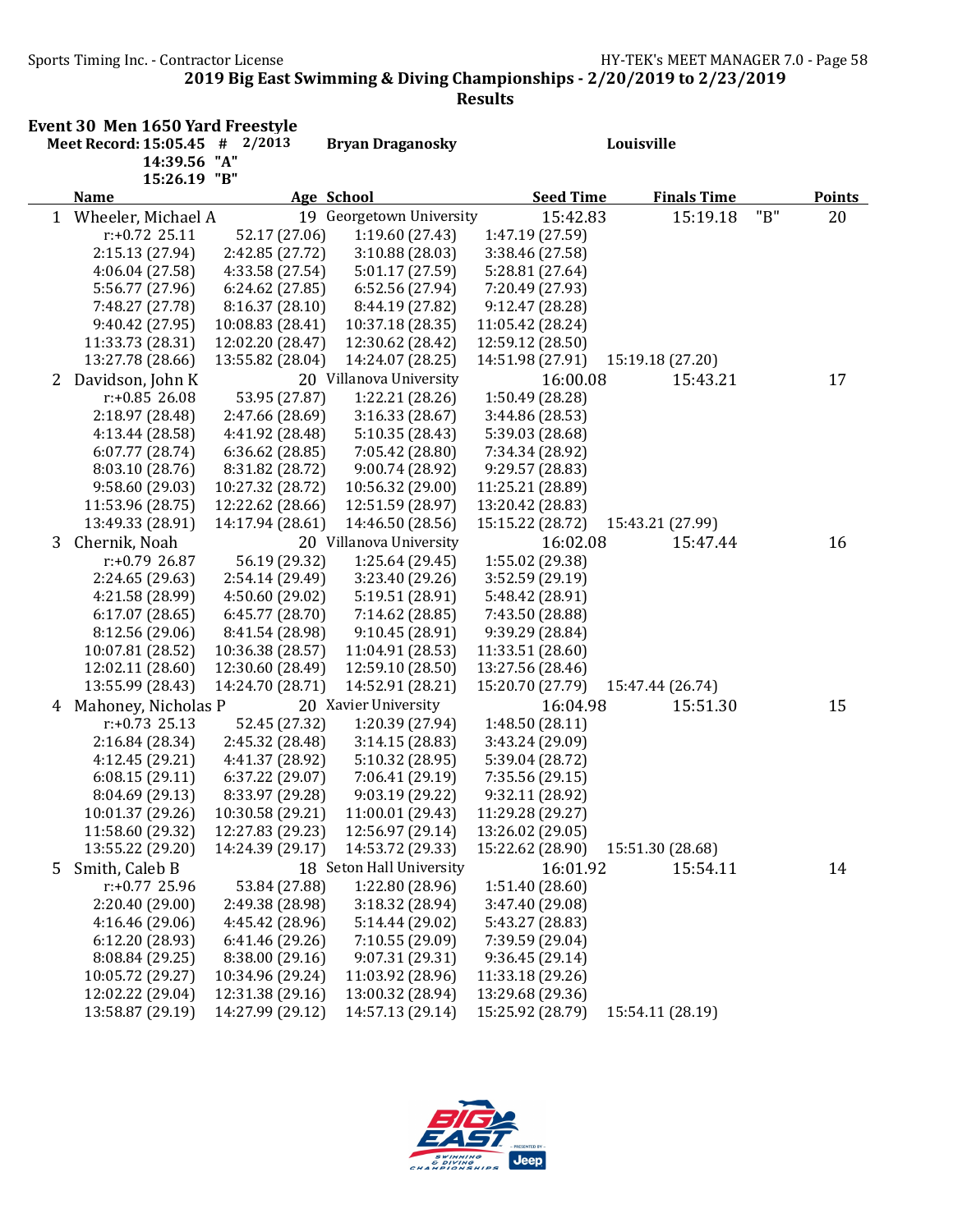|   | <b>Event 30 Men 1650 Yard Freestyle</b><br>Meet Record: 15:05.45 # 2/2013<br>14:39.56 "A" |                                      | <b>Bryan Draganosky</b>              |                                      | Louisville         |     |               |
|---|-------------------------------------------------------------------------------------------|--------------------------------------|--------------------------------------|--------------------------------------|--------------------|-----|---------------|
|   | 15:26.19 "B"<br><b>Name</b>                                                               |                                      | Age School                           | <b>Seed Time</b>                     | <b>Finals Time</b> |     | <b>Points</b> |
|   | 1 Wheeler, Michael A                                                                      |                                      | 19 Georgetown University             | 15:42.83                             | 15:19.18           | "B" | 20            |
|   | $r: +0.72$ 25.11                                                                          | 52.17 (27.06)                        | 1:19.60 (27.43)                      | 1:47.19 (27.59)                      |                    |     |               |
|   | 2:15.13 (27.94)                                                                           | 2:42.85 (27.72)                      | 3:10.88(28.03)                       | 3:38.46 (27.58)                      |                    |     |               |
|   | 4:06.04(27.58)                                                                            | 4:33.58 (27.54)                      | 5:01.17 (27.59)                      | 5:28.81 (27.64)                      |                    |     |               |
|   | 5:56.77 (27.96)                                                                           | 6:24.62 (27.85)                      | 6:52.56 (27.94)                      | 7:20.49 (27.93)                      |                    |     |               |
|   | 7:48.27 (27.78)                                                                           | 8:16.37(28.10)                       | 8:44.19 (27.82)                      | 9:12.47 (28.28)                      |                    |     |               |
|   | 9:40.42 (27.95)                                                                           | 10:08.83 (28.41)                     | 10:37.18 (28.35)                     | 11:05.42 (28.24)                     |                    |     |               |
|   | 11:33.73 (28.31)                                                                          | 12:02.20 (28.47)                     | 12:30.62 (28.42)                     | 12:59.12 (28.50)                     |                    |     |               |
|   | 13:27.78 (28.66)                                                                          | 13:55.82 (28.04)                     | 14:24.07 (28.25)                     | 14:51.98 (27.91)                     | 15:19.18 (27.20)   |     |               |
|   | 2 Davidson, John K                                                                        |                                      | 20 Villanova University              | 16:00.08                             | 15:43.21           |     | 17            |
|   | $r: +0.85$ 26.08                                                                          | 53.95 (27.87)                        | 1:22.21 (28.26)                      | 1:50.49 (28.28)                      |                    |     |               |
|   | 2:18.97 (28.48)                                                                           | 2:47.66 (28.69)                      | 3:16.33(28.67)                       | 3:44.86 (28.53)                      |                    |     |               |
|   | 4:13.44 (28.58)                                                                           | 4:41.92 (28.48)                      | 5:10.35 (28.43)                      | 5:39.03 (28.68)                      |                    |     |               |
|   | 6:07.77(28.74)                                                                            | 6:36.62 (28.85)                      | 7:05.42 (28.80)                      | 7:34.34 (28.92)                      |                    |     |               |
|   | 8:03.10 (28.76)                                                                           | 8:31.82 (28.72)                      | 9:00.74 (28.92)                      | 9:29.57 (28.83)                      |                    |     |               |
|   | 9:58.60 (29.03)                                                                           | 10:27.32 (28.72)                     | 10:56.32 (29.00)                     | 11:25.21 (28.89)                     |                    |     |               |
|   | 11:53.96 (28.75)                                                                          | 12:22.62 (28.66)                     | 12:51.59 (28.97)                     | 13:20.42 (28.83)                     |                    |     |               |
|   | 13:49.33 (28.91)                                                                          | 14:17.94 (28.61)                     | 14:46.50 (28.56)                     | 15:15.22 (28.72)                     | 15:43.21 (27.99)   |     |               |
| 3 | Chernik, Noah                                                                             |                                      | 20 Villanova University              | 16:02.08                             | 15:47.44           |     | 16            |
|   | $r: +0.79$ 26.87                                                                          | 56.19 (29.32)                        | 1:25.64(29.45)                       | 1:55.02 (29.38)                      |                    |     |               |
|   | 2:24.65 (29.63)                                                                           | 2:54.14 (29.49)                      | 3:23.40 (29.26)                      | 3:52.59 (29.19)                      |                    |     |               |
|   |                                                                                           | 4:50.60 (29.02)                      | 5:19.51 (28.91)                      |                                      |                    |     |               |
|   | 4:21.58 (28.99)<br>6:17.07(28.65)                                                         |                                      |                                      | 5:48.42 (28.91)<br>7:43.50 (28.88)   |                    |     |               |
|   | 8:12.56 (29.06)                                                                           | 6:45.77 (28.70)<br>8:41.54 (28.98)   | 7:14.62 (28.85)<br>9:10.45 (28.91)   | 9:39.29 (28.84)                      |                    |     |               |
|   | 10:07.81 (28.52)                                                                          | 10:36.38 (28.57)                     | 11:04.91 (28.53)                     | 11:33.51 (28.60)                     |                    |     |               |
|   | 12:02.11 (28.60)                                                                          | 12:30.60 (28.49)                     | 12:59.10 (28.50)                     | 13:27.56 (28.46)                     |                    |     |               |
|   | 13:55.99 (28.43)                                                                          | 14:24.70 (28.71)                     | 14:52.91 (28.21)                     | 15:20.70 (27.79)                     | 15:47.44 (26.74)   |     |               |
|   |                                                                                           |                                      | 20 Xavier University                 |                                      |                    |     |               |
|   | 4 Mahoney, Nicholas P                                                                     |                                      |                                      | 16:04.98                             | 15:51.30           |     | 15            |
|   | $r: +0.73$ 25.13                                                                          | 52.45 (27.32)                        | 1:20.39 (27.94)                      | 1:48.50 (28.11)                      |                    |     |               |
|   | 2:16.84 (28.34)                                                                           | 2:45.32 (28.48)                      | 3:14.15(28.83)                       | 3:43.24 (29.09)                      |                    |     |               |
|   | 4:12.45 (29.21)                                                                           | 4:41.37 (28.92)                      | 5:10.32 (28.95)                      | 5:39.04 (28.72)                      |                    |     |               |
|   | 6:08.15(29.11)                                                                            | 6:37.22 (29.07)                      | 7:06.41 (29.19)                      | 7:35.56 (29.15)                      |                    |     |               |
|   | 8:04.69 (29.13)                                                                           | 8:33.97 (29.28)                      | 9:03.19 (29.22)                      | 9:32.11 (28.92)                      |                    |     |               |
|   | 10:01.37 (29.26)                                                                          | 10:30.58 (29.21)<br>12:27.83 (29.23) | 11:00.01 (29.43)<br>12:56.97 (29.14) | 11:29.28 (29.27)                     |                    |     |               |
|   | 11:58.60 (29.32)                                                                          |                                      | 14:53.72 (29.33)                     | 13:26.02 (29.05)<br>15:22.62 (28.90) | 15:51.30 (28.68)   |     |               |
|   | 13:55.22 (29.20)                                                                          | 14:24.39 (29.17)                     |                                      |                                      |                    |     |               |
| 5 | Smith, Caleb B                                                                            |                                      | 18 Seton Hall University             | 16:01.92                             | 15:54.11           |     | 14            |
|   | $r: +0.77$ 25.96                                                                          | 53.84 (27.88)                        | 1:22.80 (28.96)                      | 1:51.40 (28.60)                      |                    |     |               |
|   | 2:20.40 (29.00)                                                                           | 2:49.38 (28.98)                      | 3:18.32 (28.94)                      | 3:47.40 (29.08)                      |                    |     |               |
|   | 4:16.46 (29.06)                                                                           | 4:45.42 (28.96)                      | 5:14.44 (29.02)                      | 5:43.27 (28.83)                      |                    |     |               |
|   | 6:12.20 (28.93)                                                                           | 6:41.46 (29.26)                      | 7:10.55 (29.09)                      | 7:39.59 (29.04)                      |                    |     |               |
|   | 8:08.84 (29.25)                                                                           | 8:38.00 (29.16)                      | 9:07.31 (29.31)                      | 9:36.45 (29.14)                      |                    |     |               |
|   | 10:05.72 (29.27)<br>12:02.22 (29.04)                                                      | 10:34.96 (29.24)                     | 11:03.92 (28.96)                     | 11:33.18 (29.26)                     |                    |     |               |
|   | 13:58.87 (29.19)                                                                          | 12:31.38 (29.16)<br>14:27.99 (29.12) | 13:00.32 (28.94)<br>14:57.13 (29.14) | 13:29.68 (29.36)<br>15:25.92 (28.79) | 15:54.11 (28.19)   |     |               |
|   |                                                                                           |                                      |                                      |                                      |                    |     |               |

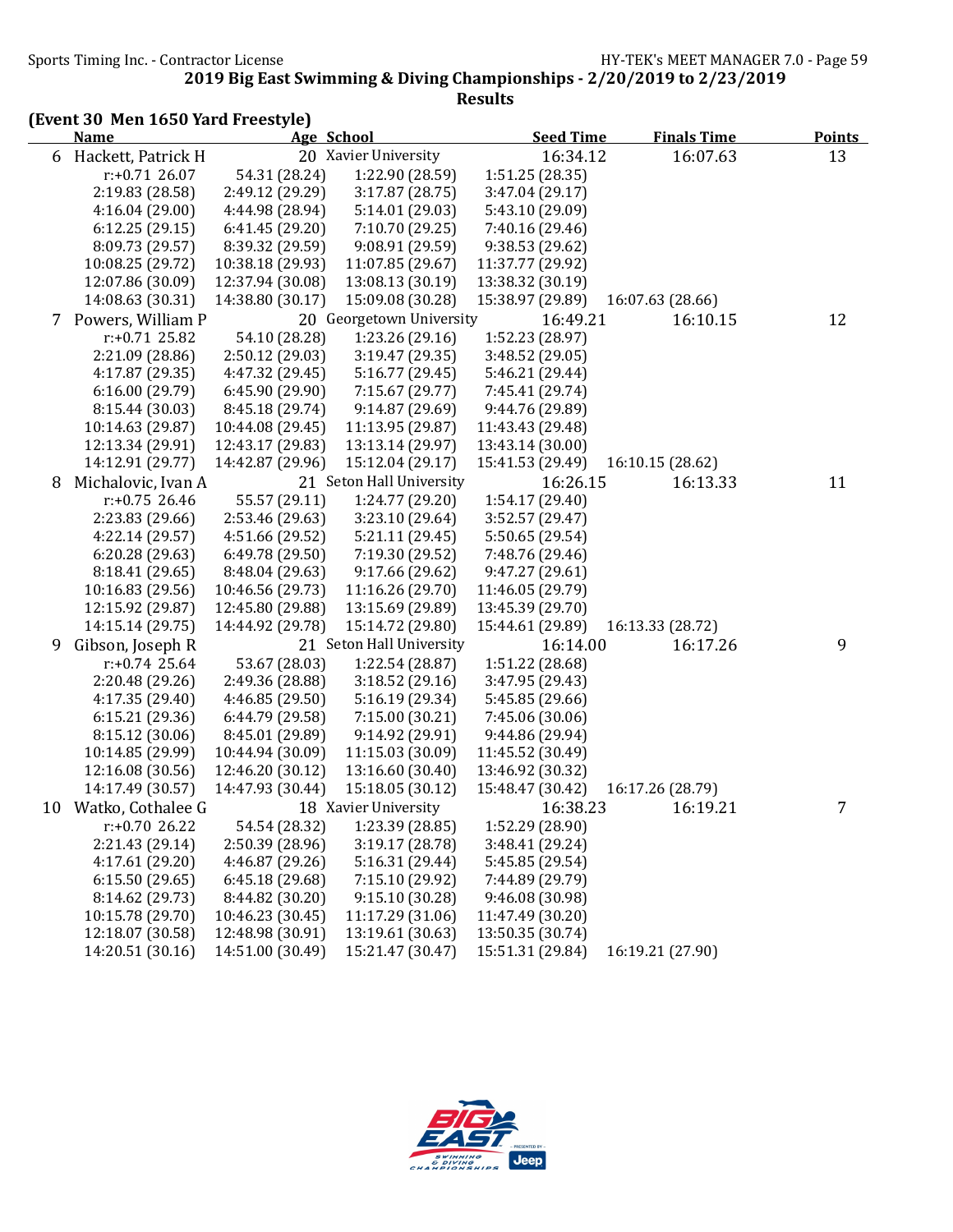Sports Timing Inc. - Contractor License Government Contractor License HY-TEK's MEET MANAGER 7.0 - Page 59

2019 Big East Swimming & Diving Championships - 2/20/2019 to 2/23/2019

|   | (Event 30 Men 1650 Yard Freestyle) |                  |                          |                  |                    |               |
|---|------------------------------------|------------------|--------------------------|------------------|--------------------|---------------|
|   | <b>Name</b>                        |                  | Age School               | <b>Seed Time</b> | <b>Finals Time</b> | <b>Points</b> |
| 6 | Hackett, Patrick H                 |                  | 20 Xavier University     | 16:34.12         | 16:07.63           | 13            |
|   | $r: +0.71$ 26.07                   | 54.31 (28.24)    | 1:22.90 (28.59)          | 1:51.25 (28.35)  |                    |               |
|   | 2:19.83 (28.58)                    | 2:49.12 (29.29)  | 3:17.87 (28.75)          | 3:47.04 (29.17)  |                    |               |
|   | 4:16.04(29.00)                     | 4:44.98 (28.94)  | 5:14.01 (29.03)          | 5:43.10 (29.09)  |                    |               |
|   | 6:12.25(29.15)                     | 6:41.45 (29.20)  | 7:10.70 (29.25)          | 7:40.16 (29.46)  |                    |               |
|   | 8:09.73 (29.57)                    | 8:39.32 (29.59)  | 9:08.91 (29.59)          | 9:38.53 (29.62)  |                    |               |
|   | 10:08.25 (29.72)                   | 10:38.18 (29.93) | 11:07.85 (29.67)         | 11:37.77 (29.92) |                    |               |
|   | 12:07.86 (30.09)                   | 12:37.94 (30.08) | 13:08.13 (30.19)         | 13:38.32 (30.19) |                    |               |
|   | 14:08.63 (30.31)                   | 14:38.80 (30.17) | 15:09.08 (30.28)         | 15:38.97 (29.89) | 16:07.63 (28.66)   |               |
|   | 7 Powers, William P                |                  | 20 Georgetown University | 16:49.21         | 16:10.15           | 12            |
|   | $r: +0.71$ 25.82                   | 54.10 (28.28)    | 1:23.26 (29.16)          | 1:52.23 (28.97)  |                    |               |
|   | 2:21.09 (28.86)                    | 2:50.12 (29.03)  | 3:19.47(29.35)           | 3:48.52 (29.05)  |                    |               |
|   | 4:17.87 (29.35)                    | 4:47.32 (29.45)  | 5:16.77 (29.45)          | 5:46.21 (29.44)  |                    |               |
|   | 6:16.00(29.79)                     | 6:45.90(29.90)   | 7:15.67 (29.77)          | 7:45.41 (29.74)  |                    |               |
|   | 8:15.44 (30.03)                    | 8:45.18 (29.74)  | 9:14.87(29.69)           | 9:44.76 (29.89)  |                    |               |
|   | 10:14.63 (29.87)                   | 10:44.08 (29.45) | 11:13.95 (29.87)         | 11:43.43 (29.48) |                    |               |
|   | 12:13.34 (29.91)                   | 12:43.17 (29.83) | 13:13.14 (29.97)         | 13:43.14 (30.00) |                    |               |
|   | 14:12.91 (29.77)                   | 14:42.87 (29.96) | 15:12.04 (29.17)         | 15:41.53 (29.49) | 16:10.15 (28.62)   |               |
| 8 | Michalovic, Ivan A                 |                  | 21 Seton Hall University | 16:26.15         | 16:13.33           | 11            |
|   | $r: +0.75$ 26.46                   | 55.57 (29.11)    | 1:24.77 (29.20)          | 1:54.17 (29.40)  |                    |               |
|   | 2:23.83 (29.66)                    | 2:53.46 (29.63)  | 3:23.10 (29.64)          | 3:52.57 (29.47)  |                    |               |
|   | 4:22.14 (29.57)                    | 4:51.66 (29.52)  | 5:21.11(29.45)           | 5:50.65 (29.54)  |                    |               |
|   | 6:20.28(29.63)                     | 6:49.78 (29.50)  | 7:19.30 (29.52)          | 7:48.76 (29.46)  |                    |               |
|   | 8:18.41 (29.65)                    | 8:48.04 (29.63)  | 9:17.66 (29.62)          | 9:47.27 (29.61)  |                    |               |
|   | 10:16.83 (29.56)                   | 10:46.56 (29.73) | 11:16.26 (29.70)         | 11:46.05 (29.79) |                    |               |
|   | 12:15.92 (29.87)                   | 12:45.80 (29.88) | 13:15.69 (29.89)         | 13:45.39 (29.70) |                    |               |
|   | 14:15.14 (29.75)                   | 14:44.92 (29.78) | 15:14.72 (29.80)         | 15:44.61 (29.89) | 16:13.33 (28.72)   |               |
| 9 | Gibson, Joseph R                   |                  | 21 Seton Hall University | 16:14.00         | 16:17.26           | 9             |
|   | $r: +0.74$ 25.64                   | 53.67 (28.03)    | 1:22.54 (28.87)          | 1:51.22 (28.68)  |                    |               |
|   | 2:20.48 (29.26)                    | 2:49.36 (28.88)  | 3:18.52(29.16)           | 3:47.95 (29.43)  |                    |               |
|   | 4:17.35 (29.40)                    | 4:46.85 (29.50)  | 5:16.19 (29.34)          | 5:45.85 (29.66)  |                    |               |
|   | 6:15.21(29.36)                     | 6:44.79 (29.58)  | 7:15.00 (30.21)          | 7:45.06 (30.06)  |                    |               |
|   | 8:15.12 (30.06)                    | 8:45.01 (29.89)  | 9:14.92 (29.91)          | 9:44.86 (29.94)  |                    |               |
|   | 10:14.85 (29.99)                   | 10:44.94 (30.09) | 11:15.03 (30.09)         | 11:45.52 (30.49) |                    |               |
|   | 12:16.08 (30.56)                   | 12:46.20 (30.12) | 13:16.60 (30.40)         | 13:46.92 (30.32) |                    |               |
|   | 14:17.49 (30.57)                   | 14:47.93 (30.44) | 15:18.05 (30.12)         | 15:48.47 (30.42) | 16:17.26 (28.79)   |               |
|   | 10 Watko, Cothalee G               |                  | 18 Xavier University     | 16:38.23         | 16:19.21           | 7             |
|   | $r: +0.7026.22$                    | 54.54 (28.32)    | 1:23.39 (28.85)          | 1:52.29 (28.90)  |                    |               |
|   | 2:21.43 (29.14)                    | 2:50.39 (28.96)  | 3:19.17 (28.78)          | 3:48.41 (29.24)  |                    |               |
|   | 4:17.61 (29.20)                    | 4:46.87 (29.26)  | 5:16.31 (29.44)          | 5:45.85 (29.54)  |                    |               |
|   | 6:15.50(29.65)                     | 6:45.18 (29.68)  | 7:15.10 (29.92)          | 7:44.89 (29.79)  |                    |               |
|   | 8:14.62 (29.73)                    | 8:44.82 (30.20)  | 9:15.10 (30.28)          | 9:46.08 (30.98)  |                    |               |
|   | 10:15.78 (29.70)                   | 10:46.23 (30.45) | 11:17.29 (31.06)         | 11:47.49 (30.20) |                    |               |
|   | 12:18.07 (30.58)                   | 12:48.98 (30.91) | 13:19.61 (30.63)         | 13:50.35 (30.74) |                    |               |
|   | 14:20.51 (30.16)                   | 14:51.00 (30.49) | 15:21.47 (30.47)         | 15:51.31 (29.84) | 16:19.21 (27.90)   |               |

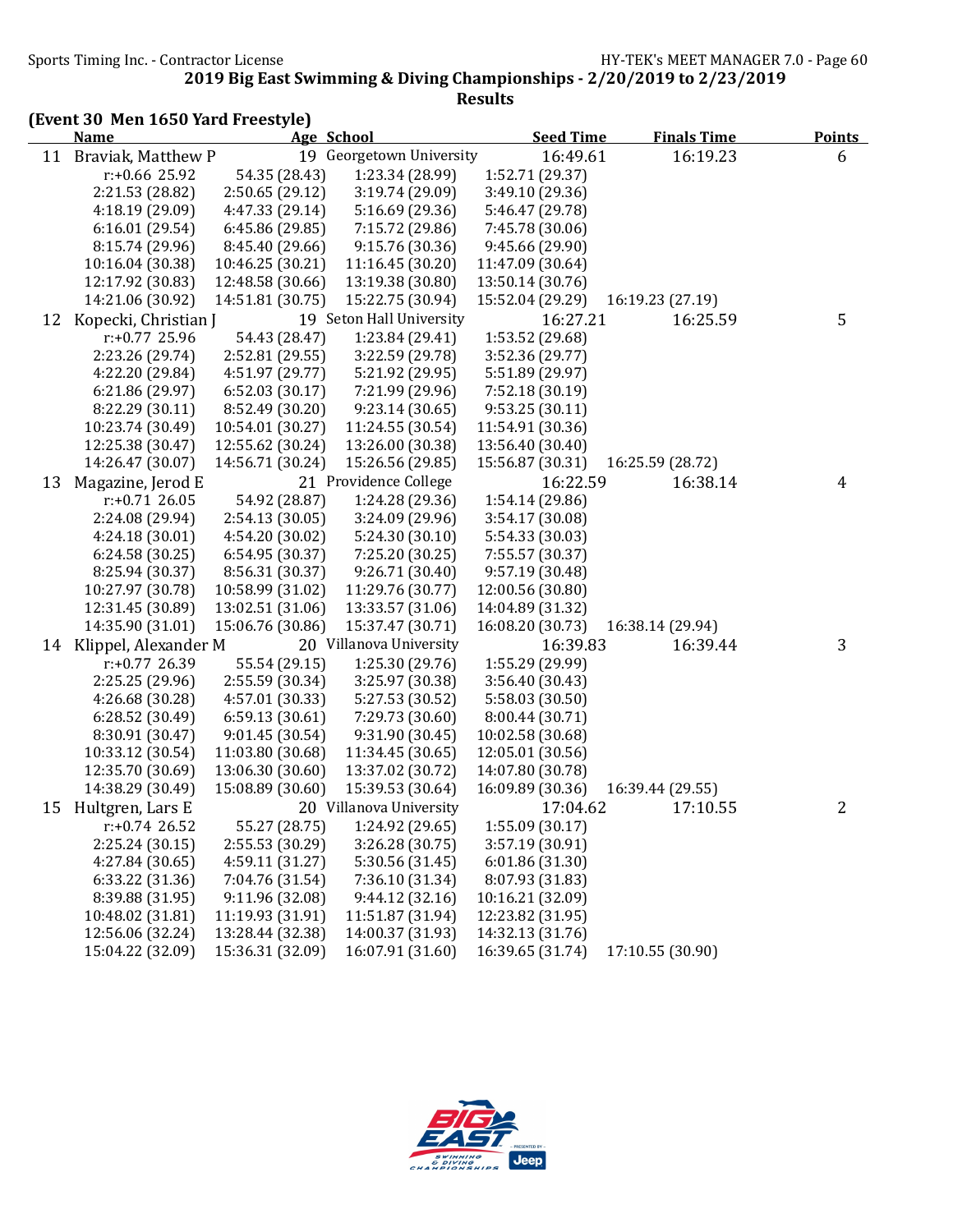Sports Timing Inc. - Contractor License Government Contractor License HY-TEK's MEET MANAGER 7.0 - Page 60

2019 Big East Swimming & Diving Championships - 2/20/2019 to 2/23/2019

| <b>Name</b><br>Age School<br><b>Seed Time</b><br><b>Finals Time</b><br><b>Points</b><br>Braviak, Matthew P<br>19 Georgetown University<br>16:49.61<br>11<br>16:19.23<br>6<br>54.35 (28.43)<br>1:23.34 (28.99)<br>1:52.71 (29.37)<br>$r$ :+0.66 25.92<br>2:21.53 (28.82)<br>3:19.74 (29.09)<br>3:49.10 (29.36)<br>2:50.65 (29.12)<br>4:18.19 (29.09)<br>5:16.69 (29.36)<br>5:46.47 (29.78)<br>4:47.33 (29.14)<br>6:16.01(29.54)<br>6:45.86 (29.85)<br>7:15.72 (29.86)<br>7:45.78 (30.06)<br>9:15.76 (30.36)<br>9:45.66 (29.90)<br>8:15.74 (29.96)<br>8:45.40 (29.66)<br>10:46.25 (30.21)<br>11:16.45 (30.20)<br>11:47.09 (30.64)<br>10:16.04 (30.38)<br>12:17.92 (30.83)<br>12:48.58 (30.66)<br>13:19.38 (30.80)<br>13:50.14 (30.76)<br>14:21.06 (30.92)<br>14:51.81 (30.75)<br>15:22.75 (30.94)<br>15:52.04 (29.29)<br>16:19.23 (27.19)<br>19 Seton Hall University<br>Kopecki, Christian J<br>16:27.21<br>16:25.59<br>5<br>12<br>$r: +0.77$ 25.96<br>54.43 (28.47)<br>1:23.84 (29.41)<br>1:53.52 (29.68)<br>2:23.26 (29.74)<br>2:52.81 (29.55)<br>3:22.59 (29.78)<br>3:52.36 (29.77)<br>4:22.20 (29.84)<br>4:51.97 (29.77)<br>5:21.92 (29.95)<br>5:51.89 (29.97)<br>6:21.86(29.97)<br>6:52.03(30.17)<br>7:21.99 (29.96)<br>7:52.18 (30.19)<br>9:23.14 (30.65)<br>9:53.25(30.11)<br>8:22.29 (30.11)<br>8:52.49 (30.20)<br>10:23.74 (30.49)<br>10:54.01 (30.27)<br>11:24.55 (30.54)<br>11:54.91 (30.36)<br>12:25.38 (30.47)<br>12:55.62 (30.24)<br>13:26.00 (30.38)<br>13:56.40 (30.40)<br>14:26.47 (30.07)<br>14:56.71 (30.24)<br>15:26.56 (29.85)<br>15:56.87 (30.31)<br>16:25.59 (28.72)<br>21 Providence College<br>Magazine, Jerod E<br>16:22.59<br>16:38.14<br>13<br>$\overline{4}$<br>1:24.28 (29.36)<br>$r: +0.71$ 26.05<br>54.92 (28.87)<br>1:54.14 (29.86)<br>2:24.08 (29.94)<br>2:54.13 (30.05)<br>3:24.09 (29.96)<br>3:54.17 (30.08)<br>5:24.30 (30.10)<br>5:54.33 (30.03)<br>4:24.18 (30.01)<br>4:54.20 (30.02)<br>6:54.95 (30.37)<br>7:55.57 (30.37)<br>6:24.58(30.25)<br>7:25.20 (30.25)<br>8:25.94 (30.37)<br>8:56.31 (30.37)<br>9:26.71 (30.40)<br>9:57.19 (30.48)<br>10:27.97 (30.78)<br>10:58.99 (31.02)<br>11:29.76 (30.77)<br>12:00.56 (30.80)<br>12:31.45 (30.89)<br>13:02.51 (31.06)<br>13:33.57 (31.06)<br>14:04.89 (31.32)<br>14:35.90 (31.01)<br>15:06.76 (30.86)<br>15:37.47 (30.71)<br>16:08.20 (30.73)<br>16:38.14 (29.94)<br>14 Klippel, Alexander M<br>20 Villanova University<br>16:39.83<br>3<br>16:39.44<br>55.54 (29.15)<br>1:25.30(29.76)<br>1:55.29 (29.99)<br>$r: +0.77$ 26.39<br>2:25.25 (29.96)<br>2:55.59 (30.34)<br>3:25.97 (30.38)<br>3:56.40 (30.43)<br>4:26.68 (30.28)<br>4:57.01 (30.33)<br>5:27.53 (30.52)<br>5:58.03 (30.50)<br>6:28.52(30.49)<br>6:59.13(30.61)<br>7:29.73 (30.60)<br>8:00.44 (30.71)<br>8:30.91 (30.47)<br>9:01.45(30.54)<br>9:31.90 (30.45)<br>10:02.58 (30.68)<br>10:33.12 (30.54)<br>11:03.80 (30.68)<br>11:34.45 (30.65)<br>12:05.01 (30.56)<br>12:35.70 (30.69)<br>13:06.30 (30.60)<br>13:37.02 (30.72)<br>14:07.80 (30.78)<br>15:08.89 (30.60)<br>16:09.89 (30.36)<br>14:38.29 (30.49)<br>15:39.53 (30.64)<br>16:39.44 (29.55)<br>20 Villanova University<br>17:04.62<br>15 Hultgren, Lars E<br>17:10.55<br>2<br>1:24.92 (29.65)<br>$r: +0.74$ 26.52<br>55.27 (28.75)<br>1:55.09(30.17)<br>2:25.24(30.15)<br>2:55.53 (30.29)<br>3:26.28 (30.75)<br>3:57.19 (30.91)<br>5:30.56 (31.45)<br>6:01.86(31.30)<br>4:27.84 (30.65)<br>4:59.11 (31.27)<br>7:36.10 (31.34)<br>8:07.93 (31.83)<br>6:33.22 (31.36)<br>7:04.76 (31.54)<br>8:39.88 (31.95)<br>9:11.96 (32.08)<br>9:44.12(32.16)<br>10:16.21 (32.09)<br>12:23.82 (31.95)<br>10:48.02 (31.81)<br>11:19.93 (31.91)<br>11:51.87 (31.94)<br>12:56.06 (32.24)<br>13:28.44 (32.38)<br>14:00.37 (31.93)<br>14:32.13 (31.76) | (Event 30 Men 1650 Yard Freestyle) |  |  |  |
|----------------------------------------------------------------------------------------------------------------------------------------------------------------------------------------------------------------------------------------------------------------------------------------------------------------------------------------------------------------------------------------------------------------------------------------------------------------------------------------------------------------------------------------------------------------------------------------------------------------------------------------------------------------------------------------------------------------------------------------------------------------------------------------------------------------------------------------------------------------------------------------------------------------------------------------------------------------------------------------------------------------------------------------------------------------------------------------------------------------------------------------------------------------------------------------------------------------------------------------------------------------------------------------------------------------------------------------------------------------------------------------------------------------------------------------------------------------------------------------------------------------------------------------------------------------------------------------------------------------------------------------------------------------------------------------------------------------------------------------------------------------------------------------------------------------------------------------------------------------------------------------------------------------------------------------------------------------------------------------------------------------------------------------------------------------------------------------------------------------------------------------------------------------------------------------------------------------------------------------------------------------------------------------------------------------------------------------------------------------------------------------------------------------------------------------------------------------------------------------------------------------------------------------------------------------------------------------------------------------------------------------------------------------------------------------------------------------------------------------------------------------------------------------------------------------------------------------------------------------------------------------------------------------------------------------------------------------------------------------------------------------------------------------------------------------------------------------------------------------------------------------------------------------------------------------------------------------------------------------------------------------------------------------------------------------------------------------------------------------------------------------------------------------------------------------------------------------------------------------------------------------------------------------------------------------------------------------------------------------------------------------------------------------------------------------------------------------------------------------------|------------------------------------|--|--|--|
|                                                                                                                                                                                                                                                                                                                                                                                                                                                                                                                                                                                                                                                                                                                                                                                                                                                                                                                                                                                                                                                                                                                                                                                                                                                                                                                                                                                                                                                                                                                                                                                                                                                                                                                                                                                                                                                                                                                                                                                                                                                                                                                                                                                                                                                                                                                                                                                                                                                                                                                                                                                                                                                                                                                                                                                                                                                                                                                                                                                                                                                                                                                                                                                                                                                                                                                                                                                                                                                                                                                                                                                                                                                                                                                                              |                                    |  |  |  |
|                                                                                                                                                                                                                                                                                                                                                                                                                                                                                                                                                                                                                                                                                                                                                                                                                                                                                                                                                                                                                                                                                                                                                                                                                                                                                                                                                                                                                                                                                                                                                                                                                                                                                                                                                                                                                                                                                                                                                                                                                                                                                                                                                                                                                                                                                                                                                                                                                                                                                                                                                                                                                                                                                                                                                                                                                                                                                                                                                                                                                                                                                                                                                                                                                                                                                                                                                                                                                                                                                                                                                                                                                                                                                                                                              |                                    |  |  |  |
|                                                                                                                                                                                                                                                                                                                                                                                                                                                                                                                                                                                                                                                                                                                                                                                                                                                                                                                                                                                                                                                                                                                                                                                                                                                                                                                                                                                                                                                                                                                                                                                                                                                                                                                                                                                                                                                                                                                                                                                                                                                                                                                                                                                                                                                                                                                                                                                                                                                                                                                                                                                                                                                                                                                                                                                                                                                                                                                                                                                                                                                                                                                                                                                                                                                                                                                                                                                                                                                                                                                                                                                                                                                                                                                                              |                                    |  |  |  |
|                                                                                                                                                                                                                                                                                                                                                                                                                                                                                                                                                                                                                                                                                                                                                                                                                                                                                                                                                                                                                                                                                                                                                                                                                                                                                                                                                                                                                                                                                                                                                                                                                                                                                                                                                                                                                                                                                                                                                                                                                                                                                                                                                                                                                                                                                                                                                                                                                                                                                                                                                                                                                                                                                                                                                                                                                                                                                                                                                                                                                                                                                                                                                                                                                                                                                                                                                                                                                                                                                                                                                                                                                                                                                                                                              |                                    |  |  |  |
|                                                                                                                                                                                                                                                                                                                                                                                                                                                                                                                                                                                                                                                                                                                                                                                                                                                                                                                                                                                                                                                                                                                                                                                                                                                                                                                                                                                                                                                                                                                                                                                                                                                                                                                                                                                                                                                                                                                                                                                                                                                                                                                                                                                                                                                                                                                                                                                                                                                                                                                                                                                                                                                                                                                                                                                                                                                                                                                                                                                                                                                                                                                                                                                                                                                                                                                                                                                                                                                                                                                                                                                                                                                                                                                                              |                                    |  |  |  |
|                                                                                                                                                                                                                                                                                                                                                                                                                                                                                                                                                                                                                                                                                                                                                                                                                                                                                                                                                                                                                                                                                                                                                                                                                                                                                                                                                                                                                                                                                                                                                                                                                                                                                                                                                                                                                                                                                                                                                                                                                                                                                                                                                                                                                                                                                                                                                                                                                                                                                                                                                                                                                                                                                                                                                                                                                                                                                                                                                                                                                                                                                                                                                                                                                                                                                                                                                                                                                                                                                                                                                                                                                                                                                                                                              |                                    |  |  |  |
|                                                                                                                                                                                                                                                                                                                                                                                                                                                                                                                                                                                                                                                                                                                                                                                                                                                                                                                                                                                                                                                                                                                                                                                                                                                                                                                                                                                                                                                                                                                                                                                                                                                                                                                                                                                                                                                                                                                                                                                                                                                                                                                                                                                                                                                                                                                                                                                                                                                                                                                                                                                                                                                                                                                                                                                                                                                                                                                                                                                                                                                                                                                                                                                                                                                                                                                                                                                                                                                                                                                                                                                                                                                                                                                                              |                                    |  |  |  |
|                                                                                                                                                                                                                                                                                                                                                                                                                                                                                                                                                                                                                                                                                                                                                                                                                                                                                                                                                                                                                                                                                                                                                                                                                                                                                                                                                                                                                                                                                                                                                                                                                                                                                                                                                                                                                                                                                                                                                                                                                                                                                                                                                                                                                                                                                                                                                                                                                                                                                                                                                                                                                                                                                                                                                                                                                                                                                                                                                                                                                                                                                                                                                                                                                                                                                                                                                                                                                                                                                                                                                                                                                                                                                                                                              |                                    |  |  |  |
|                                                                                                                                                                                                                                                                                                                                                                                                                                                                                                                                                                                                                                                                                                                                                                                                                                                                                                                                                                                                                                                                                                                                                                                                                                                                                                                                                                                                                                                                                                                                                                                                                                                                                                                                                                                                                                                                                                                                                                                                                                                                                                                                                                                                                                                                                                                                                                                                                                                                                                                                                                                                                                                                                                                                                                                                                                                                                                                                                                                                                                                                                                                                                                                                                                                                                                                                                                                                                                                                                                                                                                                                                                                                                                                                              |                                    |  |  |  |
|                                                                                                                                                                                                                                                                                                                                                                                                                                                                                                                                                                                                                                                                                                                                                                                                                                                                                                                                                                                                                                                                                                                                                                                                                                                                                                                                                                                                                                                                                                                                                                                                                                                                                                                                                                                                                                                                                                                                                                                                                                                                                                                                                                                                                                                                                                                                                                                                                                                                                                                                                                                                                                                                                                                                                                                                                                                                                                                                                                                                                                                                                                                                                                                                                                                                                                                                                                                                                                                                                                                                                                                                                                                                                                                                              |                                    |  |  |  |
|                                                                                                                                                                                                                                                                                                                                                                                                                                                                                                                                                                                                                                                                                                                                                                                                                                                                                                                                                                                                                                                                                                                                                                                                                                                                                                                                                                                                                                                                                                                                                                                                                                                                                                                                                                                                                                                                                                                                                                                                                                                                                                                                                                                                                                                                                                                                                                                                                                                                                                                                                                                                                                                                                                                                                                                                                                                                                                                                                                                                                                                                                                                                                                                                                                                                                                                                                                                                                                                                                                                                                                                                                                                                                                                                              |                                    |  |  |  |
|                                                                                                                                                                                                                                                                                                                                                                                                                                                                                                                                                                                                                                                                                                                                                                                                                                                                                                                                                                                                                                                                                                                                                                                                                                                                                                                                                                                                                                                                                                                                                                                                                                                                                                                                                                                                                                                                                                                                                                                                                                                                                                                                                                                                                                                                                                                                                                                                                                                                                                                                                                                                                                                                                                                                                                                                                                                                                                                                                                                                                                                                                                                                                                                                                                                                                                                                                                                                                                                                                                                                                                                                                                                                                                                                              |                                    |  |  |  |
|                                                                                                                                                                                                                                                                                                                                                                                                                                                                                                                                                                                                                                                                                                                                                                                                                                                                                                                                                                                                                                                                                                                                                                                                                                                                                                                                                                                                                                                                                                                                                                                                                                                                                                                                                                                                                                                                                                                                                                                                                                                                                                                                                                                                                                                                                                                                                                                                                                                                                                                                                                                                                                                                                                                                                                                                                                                                                                                                                                                                                                                                                                                                                                                                                                                                                                                                                                                                                                                                                                                                                                                                                                                                                                                                              |                                    |  |  |  |
|                                                                                                                                                                                                                                                                                                                                                                                                                                                                                                                                                                                                                                                                                                                                                                                                                                                                                                                                                                                                                                                                                                                                                                                                                                                                                                                                                                                                                                                                                                                                                                                                                                                                                                                                                                                                                                                                                                                                                                                                                                                                                                                                                                                                                                                                                                                                                                                                                                                                                                                                                                                                                                                                                                                                                                                                                                                                                                                                                                                                                                                                                                                                                                                                                                                                                                                                                                                                                                                                                                                                                                                                                                                                                                                                              |                                    |  |  |  |
|                                                                                                                                                                                                                                                                                                                                                                                                                                                                                                                                                                                                                                                                                                                                                                                                                                                                                                                                                                                                                                                                                                                                                                                                                                                                                                                                                                                                                                                                                                                                                                                                                                                                                                                                                                                                                                                                                                                                                                                                                                                                                                                                                                                                                                                                                                                                                                                                                                                                                                                                                                                                                                                                                                                                                                                                                                                                                                                                                                                                                                                                                                                                                                                                                                                                                                                                                                                                                                                                                                                                                                                                                                                                                                                                              |                                    |  |  |  |
|                                                                                                                                                                                                                                                                                                                                                                                                                                                                                                                                                                                                                                                                                                                                                                                                                                                                                                                                                                                                                                                                                                                                                                                                                                                                                                                                                                                                                                                                                                                                                                                                                                                                                                                                                                                                                                                                                                                                                                                                                                                                                                                                                                                                                                                                                                                                                                                                                                                                                                                                                                                                                                                                                                                                                                                                                                                                                                                                                                                                                                                                                                                                                                                                                                                                                                                                                                                                                                                                                                                                                                                                                                                                                                                                              |                                    |  |  |  |
|                                                                                                                                                                                                                                                                                                                                                                                                                                                                                                                                                                                                                                                                                                                                                                                                                                                                                                                                                                                                                                                                                                                                                                                                                                                                                                                                                                                                                                                                                                                                                                                                                                                                                                                                                                                                                                                                                                                                                                                                                                                                                                                                                                                                                                                                                                                                                                                                                                                                                                                                                                                                                                                                                                                                                                                                                                                                                                                                                                                                                                                                                                                                                                                                                                                                                                                                                                                                                                                                                                                                                                                                                                                                                                                                              |                                    |  |  |  |
|                                                                                                                                                                                                                                                                                                                                                                                                                                                                                                                                                                                                                                                                                                                                                                                                                                                                                                                                                                                                                                                                                                                                                                                                                                                                                                                                                                                                                                                                                                                                                                                                                                                                                                                                                                                                                                                                                                                                                                                                                                                                                                                                                                                                                                                                                                                                                                                                                                                                                                                                                                                                                                                                                                                                                                                                                                                                                                                                                                                                                                                                                                                                                                                                                                                                                                                                                                                                                                                                                                                                                                                                                                                                                                                                              |                                    |  |  |  |
|                                                                                                                                                                                                                                                                                                                                                                                                                                                                                                                                                                                                                                                                                                                                                                                                                                                                                                                                                                                                                                                                                                                                                                                                                                                                                                                                                                                                                                                                                                                                                                                                                                                                                                                                                                                                                                                                                                                                                                                                                                                                                                                                                                                                                                                                                                                                                                                                                                                                                                                                                                                                                                                                                                                                                                                                                                                                                                                                                                                                                                                                                                                                                                                                                                                                                                                                                                                                                                                                                                                                                                                                                                                                                                                                              |                                    |  |  |  |
|                                                                                                                                                                                                                                                                                                                                                                                                                                                                                                                                                                                                                                                                                                                                                                                                                                                                                                                                                                                                                                                                                                                                                                                                                                                                                                                                                                                                                                                                                                                                                                                                                                                                                                                                                                                                                                                                                                                                                                                                                                                                                                                                                                                                                                                                                                                                                                                                                                                                                                                                                                                                                                                                                                                                                                                                                                                                                                                                                                                                                                                                                                                                                                                                                                                                                                                                                                                                                                                                                                                                                                                                                                                                                                                                              |                                    |  |  |  |
|                                                                                                                                                                                                                                                                                                                                                                                                                                                                                                                                                                                                                                                                                                                                                                                                                                                                                                                                                                                                                                                                                                                                                                                                                                                                                                                                                                                                                                                                                                                                                                                                                                                                                                                                                                                                                                                                                                                                                                                                                                                                                                                                                                                                                                                                                                                                                                                                                                                                                                                                                                                                                                                                                                                                                                                                                                                                                                                                                                                                                                                                                                                                                                                                                                                                                                                                                                                                                                                                                                                                                                                                                                                                                                                                              |                                    |  |  |  |
|                                                                                                                                                                                                                                                                                                                                                                                                                                                                                                                                                                                                                                                                                                                                                                                                                                                                                                                                                                                                                                                                                                                                                                                                                                                                                                                                                                                                                                                                                                                                                                                                                                                                                                                                                                                                                                                                                                                                                                                                                                                                                                                                                                                                                                                                                                                                                                                                                                                                                                                                                                                                                                                                                                                                                                                                                                                                                                                                                                                                                                                                                                                                                                                                                                                                                                                                                                                                                                                                                                                                                                                                                                                                                                                                              |                                    |  |  |  |
|                                                                                                                                                                                                                                                                                                                                                                                                                                                                                                                                                                                                                                                                                                                                                                                                                                                                                                                                                                                                                                                                                                                                                                                                                                                                                                                                                                                                                                                                                                                                                                                                                                                                                                                                                                                                                                                                                                                                                                                                                                                                                                                                                                                                                                                                                                                                                                                                                                                                                                                                                                                                                                                                                                                                                                                                                                                                                                                                                                                                                                                                                                                                                                                                                                                                                                                                                                                                                                                                                                                                                                                                                                                                                                                                              |                                    |  |  |  |
|                                                                                                                                                                                                                                                                                                                                                                                                                                                                                                                                                                                                                                                                                                                                                                                                                                                                                                                                                                                                                                                                                                                                                                                                                                                                                                                                                                                                                                                                                                                                                                                                                                                                                                                                                                                                                                                                                                                                                                                                                                                                                                                                                                                                                                                                                                                                                                                                                                                                                                                                                                                                                                                                                                                                                                                                                                                                                                                                                                                                                                                                                                                                                                                                                                                                                                                                                                                                                                                                                                                                                                                                                                                                                                                                              |                                    |  |  |  |
|                                                                                                                                                                                                                                                                                                                                                                                                                                                                                                                                                                                                                                                                                                                                                                                                                                                                                                                                                                                                                                                                                                                                                                                                                                                                                                                                                                                                                                                                                                                                                                                                                                                                                                                                                                                                                                                                                                                                                                                                                                                                                                                                                                                                                                                                                                                                                                                                                                                                                                                                                                                                                                                                                                                                                                                                                                                                                                                                                                                                                                                                                                                                                                                                                                                                                                                                                                                                                                                                                                                                                                                                                                                                                                                                              |                                    |  |  |  |
|                                                                                                                                                                                                                                                                                                                                                                                                                                                                                                                                                                                                                                                                                                                                                                                                                                                                                                                                                                                                                                                                                                                                                                                                                                                                                                                                                                                                                                                                                                                                                                                                                                                                                                                                                                                                                                                                                                                                                                                                                                                                                                                                                                                                                                                                                                                                                                                                                                                                                                                                                                                                                                                                                                                                                                                                                                                                                                                                                                                                                                                                                                                                                                                                                                                                                                                                                                                                                                                                                                                                                                                                                                                                                                                                              |                                    |  |  |  |
|                                                                                                                                                                                                                                                                                                                                                                                                                                                                                                                                                                                                                                                                                                                                                                                                                                                                                                                                                                                                                                                                                                                                                                                                                                                                                                                                                                                                                                                                                                                                                                                                                                                                                                                                                                                                                                                                                                                                                                                                                                                                                                                                                                                                                                                                                                                                                                                                                                                                                                                                                                                                                                                                                                                                                                                                                                                                                                                                                                                                                                                                                                                                                                                                                                                                                                                                                                                                                                                                                                                                                                                                                                                                                                                                              |                                    |  |  |  |
|                                                                                                                                                                                                                                                                                                                                                                                                                                                                                                                                                                                                                                                                                                                                                                                                                                                                                                                                                                                                                                                                                                                                                                                                                                                                                                                                                                                                                                                                                                                                                                                                                                                                                                                                                                                                                                                                                                                                                                                                                                                                                                                                                                                                                                                                                                                                                                                                                                                                                                                                                                                                                                                                                                                                                                                                                                                                                                                                                                                                                                                                                                                                                                                                                                                                                                                                                                                                                                                                                                                                                                                                                                                                                                                                              |                                    |  |  |  |
|                                                                                                                                                                                                                                                                                                                                                                                                                                                                                                                                                                                                                                                                                                                                                                                                                                                                                                                                                                                                                                                                                                                                                                                                                                                                                                                                                                                                                                                                                                                                                                                                                                                                                                                                                                                                                                                                                                                                                                                                                                                                                                                                                                                                                                                                                                                                                                                                                                                                                                                                                                                                                                                                                                                                                                                                                                                                                                                                                                                                                                                                                                                                                                                                                                                                                                                                                                                                                                                                                                                                                                                                                                                                                                                                              |                                    |  |  |  |
|                                                                                                                                                                                                                                                                                                                                                                                                                                                                                                                                                                                                                                                                                                                                                                                                                                                                                                                                                                                                                                                                                                                                                                                                                                                                                                                                                                                                                                                                                                                                                                                                                                                                                                                                                                                                                                                                                                                                                                                                                                                                                                                                                                                                                                                                                                                                                                                                                                                                                                                                                                                                                                                                                                                                                                                                                                                                                                                                                                                                                                                                                                                                                                                                                                                                                                                                                                                                                                                                                                                                                                                                                                                                                                                                              |                                    |  |  |  |
|                                                                                                                                                                                                                                                                                                                                                                                                                                                                                                                                                                                                                                                                                                                                                                                                                                                                                                                                                                                                                                                                                                                                                                                                                                                                                                                                                                                                                                                                                                                                                                                                                                                                                                                                                                                                                                                                                                                                                                                                                                                                                                                                                                                                                                                                                                                                                                                                                                                                                                                                                                                                                                                                                                                                                                                                                                                                                                                                                                                                                                                                                                                                                                                                                                                                                                                                                                                                                                                                                                                                                                                                                                                                                                                                              |                                    |  |  |  |
|                                                                                                                                                                                                                                                                                                                                                                                                                                                                                                                                                                                                                                                                                                                                                                                                                                                                                                                                                                                                                                                                                                                                                                                                                                                                                                                                                                                                                                                                                                                                                                                                                                                                                                                                                                                                                                                                                                                                                                                                                                                                                                                                                                                                                                                                                                                                                                                                                                                                                                                                                                                                                                                                                                                                                                                                                                                                                                                                                                                                                                                                                                                                                                                                                                                                                                                                                                                                                                                                                                                                                                                                                                                                                                                                              |                                    |  |  |  |
|                                                                                                                                                                                                                                                                                                                                                                                                                                                                                                                                                                                                                                                                                                                                                                                                                                                                                                                                                                                                                                                                                                                                                                                                                                                                                                                                                                                                                                                                                                                                                                                                                                                                                                                                                                                                                                                                                                                                                                                                                                                                                                                                                                                                                                                                                                                                                                                                                                                                                                                                                                                                                                                                                                                                                                                                                                                                                                                                                                                                                                                                                                                                                                                                                                                                                                                                                                                                                                                                                                                                                                                                                                                                                                                                              |                                    |  |  |  |
|                                                                                                                                                                                                                                                                                                                                                                                                                                                                                                                                                                                                                                                                                                                                                                                                                                                                                                                                                                                                                                                                                                                                                                                                                                                                                                                                                                                                                                                                                                                                                                                                                                                                                                                                                                                                                                                                                                                                                                                                                                                                                                                                                                                                                                                                                                                                                                                                                                                                                                                                                                                                                                                                                                                                                                                                                                                                                                                                                                                                                                                                                                                                                                                                                                                                                                                                                                                                                                                                                                                                                                                                                                                                                                                                              |                                    |  |  |  |
|                                                                                                                                                                                                                                                                                                                                                                                                                                                                                                                                                                                                                                                                                                                                                                                                                                                                                                                                                                                                                                                                                                                                                                                                                                                                                                                                                                                                                                                                                                                                                                                                                                                                                                                                                                                                                                                                                                                                                                                                                                                                                                                                                                                                                                                                                                                                                                                                                                                                                                                                                                                                                                                                                                                                                                                                                                                                                                                                                                                                                                                                                                                                                                                                                                                                                                                                                                                                                                                                                                                                                                                                                                                                                                                                              |                                    |  |  |  |
|                                                                                                                                                                                                                                                                                                                                                                                                                                                                                                                                                                                                                                                                                                                                                                                                                                                                                                                                                                                                                                                                                                                                                                                                                                                                                                                                                                                                                                                                                                                                                                                                                                                                                                                                                                                                                                                                                                                                                                                                                                                                                                                                                                                                                                                                                                                                                                                                                                                                                                                                                                                                                                                                                                                                                                                                                                                                                                                                                                                                                                                                                                                                                                                                                                                                                                                                                                                                                                                                                                                                                                                                                                                                                                                                              |                                    |  |  |  |
|                                                                                                                                                                                                                                                                                                                                                                                                                                                                                                                                                                                                                                                                                                                                                                                                                                                                                                                                                                                                                                                                                                                                                                                                                                                                                                                                                                                                                                                                                                                                                                                                                                                                                                                                                                                                                                                                                                                                                                                                                                                                                                                                                                                                                                                                                                                                                                                                                                                                                                                                                                                                                                                                                                                                                                                                                                                                                                                                                                                                                                                                                                                                                                                                                                                                                                                                                                                                                                                                                                                                                                                                                                                                                                                                              |                                    |  |  |  |
|                                                                                                                                                                                                                                                                                                                                                                                                                                                                                                                                                                                                                                                                                                                                                                                                                                                                                                                                                                                                                                                                                                                                                                                                                                                                                                                                                                                                                                                                                                                                                                                                                                                                                                                                                                                                                                                                                                                                                                                                                                                                                                                                                                                                                                                                                                                                                                                                                                                                                                                                                                                                                                                                                                                                                                                                                                                                                                                                                                                                                                                                                                                                                                                                                                                                                                                                                                                                                                                                                                                                                                                                                                                                                                                                              |                                    |  |  |  |
|                                                                                                                                                                                                                                                                                                                                                                                                                                                                                                                                                                                                                                                                                                                                                                                                                                                                                                                                                                                                                                                                                                                                                                                                                                                                                                                                                                                                                                                                                                                                                                                                                                                                                                                                                                                                                                                                                                                                                                                                                                                                                                                                                                                                                                                                                                                                                                                                                                                                                                                                                                                                                                                                                                                                                                                                                                                                                                                                                                                                                                                                                                                                                                                                                                                                                                                                                                                                                                                                                                                                                                                                                                                                                                                                              |                                    |  |  |  |
|                                                                                                                                                                                                                                                                                                                                                                                                                                                                                                                                                                                                                                                                                                                                                                                                                                                                                                                                                                                                                                                                                                                                                                                                                                                                                                                                                                                                                                                                                                                                                                                                                                                                                                                                                                                                                                                                                                                                                                                                                                                                                                                                                                                                                                                                                                                                                                                                                                                                                                                                                                                                                                                                                                                                                                                                                                                                                                                                                                                                                                                                                                                                                                                                                                                                                                                                                                                                                                                                                                                                                                                                                                                                                                                                              |                                    |  |  |  |
|                                                                                                                                                                                                                                                                                                                                                                                                                                                                                                                                                                                                                                                                                                                                                                                                                                                                                                                                                                                                                                                                                                                                                                                                                                                                                                                                                                                                                                                                                                                                                                                                                                                                                                                                                                                                                                                                                                                                                                                                                                                                                                                                                                                                                                                                                                                                                                                                                                                                                                                                                                                                                                                                                                                                                                                                                                                                                                                                                                                                                                                                                                                                                                                                                                                                                                                                                                                                                                                                                                                                                                                                                                                                                                                                              |                                    |  |  |  |
|                                                                                                                                                                                                                                                                                                                                                                                                                                                                                                                                                                                                                                                                                                                                                                                                                                                                                                                                                                                                                                                                                                                                                                                                                                                                                                                                                                                                                                                                                                                                                                                                                                                                                                                                                                                                                                                                                                                                                                                                                                                                                                                                                                                                                                                                                                                                                                                                                                                                                                                                                                                                                                                                                                                                                                                                                                                                                                                                                                                                                                                                                                                                                                                                                                                                                                                                                                                                                                                                                                                                                                                                                                                                                                                                              |                                    |  |  |  |
|                                                                                                                                                                                                                                                                                                                                                                                                                                                                                                                                                                                                                                                                                                                                                                                                                                                                                                                                                                                                                                                                                                                                                                                                                                                                                                                                                                                                                                                                                                                                                                                                                                                                                                                                                                                                                                                                                                                                                                                                                                                                                                                                                                                                                                                                                                                                                                                                                                                                                                                                                                                                                                                                                                                                                                                                                                                                                                                                                                                                                                                                                                                                                                                                                                                                                                                                                                                                                                                                                                                                                                                                                                                                                                                                              |                                    |  |  |  |
|                                                                                                                                                                                                                                                                                                                                                                                                                                                                                                                                                                                                                                                                                                                                                                                                                                                                                                                                                                                                                                                                                                                                                                                                                                                                                                                                                                                                                                                                                                                                                                                                                                                                                                                                                                                                                                                                                                                                                                                                                                                                                                                                                                                                                                                                                                                                                                                                                                                                                                                                                                                                                                                                                                                                                                                                                                                                                                                                                                                                                                                                                                                                                                                                                                                                                                                                                                                                                                                                                                                                                                                                                                                                                                                                              |                                    |  |  |  |
|                                                                                                                                                                                                                                                                                                                                                                                                                                                                                                                                                                                                                                                                                                                                                                                                                                                                                                                                                                                                                                                                                                                                                                                                                                                                                                                                                                                                                                                                                                                                                                                                                                                                                                                                                                                                                                                                                                                                                                                                                                                                                                                                                                                                                                                                                                                                                                                                                                                                                                                                                                                                                                                                                                                                                                                                                                                                                                                                                                                                                                                                                                                                                                                                                                                                                                                                                                                                                                                                                                                                                                                                                                                                                                                                              |                                    |  |  |  |
| 15:04.22 (32.09)<br>15:36.31 (32.09)<br>16:07.91 (31.60)<br>16:39.65 (31.74)<br>17:10.55 (30.90)                                                                                                                                                                                                                                                                                                                                                                                                                                                                                                                                                                                                                                                                                                                                                                                                                                                                                                                                                                                                                                                                                                                                                                                                                                                                                                                                                                                                                                                                                                                                                                                                                                                                                                                                                                                                                                                                                                                                                                                                                                                                                                                                                                                                                                                                                                                                                                                                                                                                                                                                                                                                                                                                                                                                                                                                                                                                                                                                                                                                                                                                                                                                                                                                                                                                                                                                                                                                                                                                                                                                                                                                                                             |                                    |  |  |  |

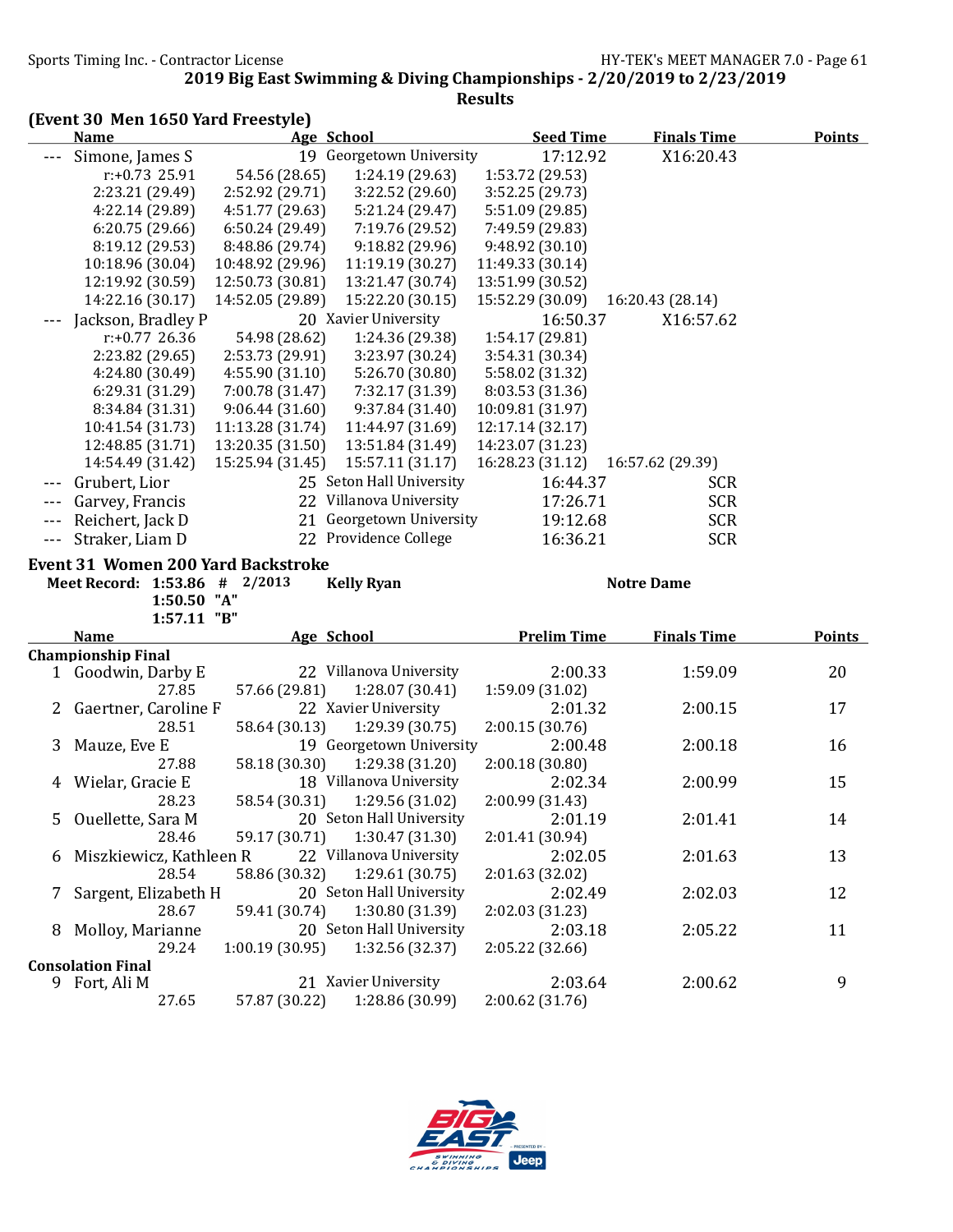|         | (Event 30 Men 1650 Yard Freestyle)        |                  |                          |                    |                    |               |
|---------|-------------------------------------------|------------------|--------------------------|--------------------|--------------------|---------------|
|         | <b>Name</b>                               |                  | <b>Age School</b>        | <b>Seed Time</b>   | <b>Finals Time</b> | <b>Points</b> |
| $- - -$ | Simone, James S                           |                  | 19 Georgetown University | 17:12.92           | X16:20.43          |               |
|         | r:+0.73 25.91                             | 54.56 (28.65)    | 1:24.19 (29.63)          | 1:53.72 (29.53)    |                    |               |
|         | 2:23.21 (29.49)                           | 2:52.92 (29.71)  | 3:22.52 (29.60)          | 3:52.25 (29.73)    |                    |               |
|         | 4:22.14 (29.89)                           | 4:51.77 (29.63)  | 5:21.24 (29.47)          | 5:51.09 (29.85)    |                    |               |
|         | 6:20.75(29.66)                            | 6:50.24(29.49)   | 7:19.76 (29.52)          | 7:49.59 (29.83)    |                    |               |
|         | 8:19.12 (29.53)                           | 8:48.86 (29.74)  | 9:18.82 (29.96)          | 9:48.92 (30.10)    |                    |               |
|         | 10:18.96 (30.04)                          | 10:48.92 (29.96) | 11:19.19 (30.27)         | 11:49.33 (30.14)   |                    |               |
|         | 12:19.92 (30.59)                          | 12:50.73 (30.81) | 13:21.47 (30.74)         | 13:51.99 (30.52)   |                    |               |
|         | 14:22.16 (30.17)                          | 14:52.05 (29.89) | 15:22.20 (30.15)         | 15:52.29 (30.09)   | 16:20.43 (28.14)   |               |
|         | Jackson, Bradley P                        |                  | 20 Xavier University     | 16:50.37           | X16:57.62          |               |
|         | $r: +0.77$ 26.36                          | 54.98 (28.62)    | 1:24.36 (29.38)          | 1:54.17 (29.81)    |                    |               |
|         | 2:23.82 (29.65)                           | 2:53.73 (29.91)  | 3:23.97 (30.24)          | 3:54.31 (30.34)    |                    |               |
|         | 4:24.80 (30.49)                           | 4:55.90 (31.10)  | 5:26.70 (30.80)          | 5:58.02 (31.32)    |                    |               |
|         | 6:29.31 (31.29)                           | 7:00.78 (31.47)  | 7:32.17 (31.39)          | 8:03.53 (31.36)    |                    |               |
|         | 8:34.84 (31.31)                           | 9:06.44(31.60)   | 9:37.84 (31.40)          | 10:09.81 (31.97)   |                    |               |
|         | 10:41.54 (31.73)                          | 11:13.28 (31.74) | 11:44.97 (31.69)         | 12:17.14 (32.17)   |                    |               |
|         | 12:48.85 (31.71)                          | 13:20.35 (31.50) | 13:51.84 (31.49)         | 14:23.07 (31.23)   |                    |               |
|         | 14:54.49 (31.42)                          | 15:25.94 (31.45) | 15:57.11 (31.17)         | 16:28.23 (31.12)   | 16:57.62 (29.39)   |               |
|         | Grubert, Lior                             |                  | 25 Seton Hall University | 16:44.37           | <b>SCR</b>         |               |
|         | Garvey, Francis                           |                  | 22 Villanova University  | 17:26.71           | <b>SCR</b>         |               |
|         | Reichert, Jack D                          |                  | 21 Georgetown University | 19:12.68           | <b>SCR</b>         |               |
| $- - -$ | Straker, Liam D                           |                  | 22 Providence College    | 16:36.21           | <b>SCR</b>         |               |
|         | <b>Event 31 Women 200 Yard Backstroke</b> |                  |                          |                    |                    |               |
|         | Meet Record: 1:53.86 # 2/2013             |                  | <b>Kelly Ryan</b>        |                    | <b>Notre Dame</b>  |               |
|         | 1:50.50 "A"                               |                  |                          |                    |                    |               |
|         | 1:57.11 "B"                               |                  |                          |                    |                    |               |
|         | <b>Name</b>                               |                  | Age School               | <b>Prelim Time</b> | <b>Finals Time</b> | <b>Points</b> |
|         | <b>Championship Final</b>                 |                  |                          |                    |                    |               |
| 1       | Goodwin, Darby E                          |                  | 22 Villanova University  | 2:00.33            | 1:59.09            | 20            |
|         | 27.85                                     | 57.66 (29.81)    | 1:28.07 (30.41)          | 1:59.09 (31.02)    |                    |               |
|         | 2 Gaertner, Caroline F                    |                  | 22 Xavier University     | 2:01.32            | 2:00.15            | 17            |
|         | 28.51                                     | 58.64 (30.13)    | 1:29.39 (30.75)          | 2:00.15(30.76)     |                    |               |
| 3       | Mauze, Eve E                              |                  | 19 Georgetown University | 2:00.48            | 2:00.18            | 16            |
|         |                                           |                  |                          |                    |                    |               |
|         | 27.88                                     | 58.18 (30.30)    | 1:29.38 (31.20)          | 2:00.18 (30.80)    |                    |               |
|         | 4 Wielar, Gracie E                        |                  | 18 Villanova University  | 2:02.34            | 2:00.99            | 15            |
|         | 28.23                                     | 58.54 (30.31)    | 1:29.56 (31.02)          | 2:00.99 (31.43)    |                    |               |
| 5       | Ouellette, Sara M                         |                  | 20 Seton Hall University | 2:01.19            | 2:01.41            | 14            |
|         | 28.46                                     | 59.17 (30.71)    | 1:30.47 (31.30)          | 2:01.41 (30.94)    |                    |               |
|         |                                           |                  | 22 Villanova University  | 2:02.05            |                    |               |
| 6       | Miszkiewicz, Kathleen R                   |                  |                          |                    | 2:01.63            | 13            |
|         | 28.54                                     | 58.86 (30.32)    | 1:29.61(30.75)           | 2:01.63 (32.02)    |                    |               |
| 7       | Sargent, Elizabeth H                      |                  | 20 Seton Hall University | 2:02.49            | 2:02.03            | 12            |
|         | 28.67                                     | 59.41 (30.74)    | 1:30.80 (31.39)          | 2:02.03 (31.23)    |                    |               |
| 8       | Molloy, Marianne                          |                  | 20 Seton Hall University | 2:03.18            | 2:05.22            | 11            |
|         | 29.24                                     | 1:00.19(30.95)   | 1:32.56 (32.37)          | 2:05.22 (32.66)    |                    |               |
|         | <b>Consolation Final</b><br>9 Fort, Ali M |                  | 21 Xavier University     | 2:03.64            | 2:00.62            | 9             |

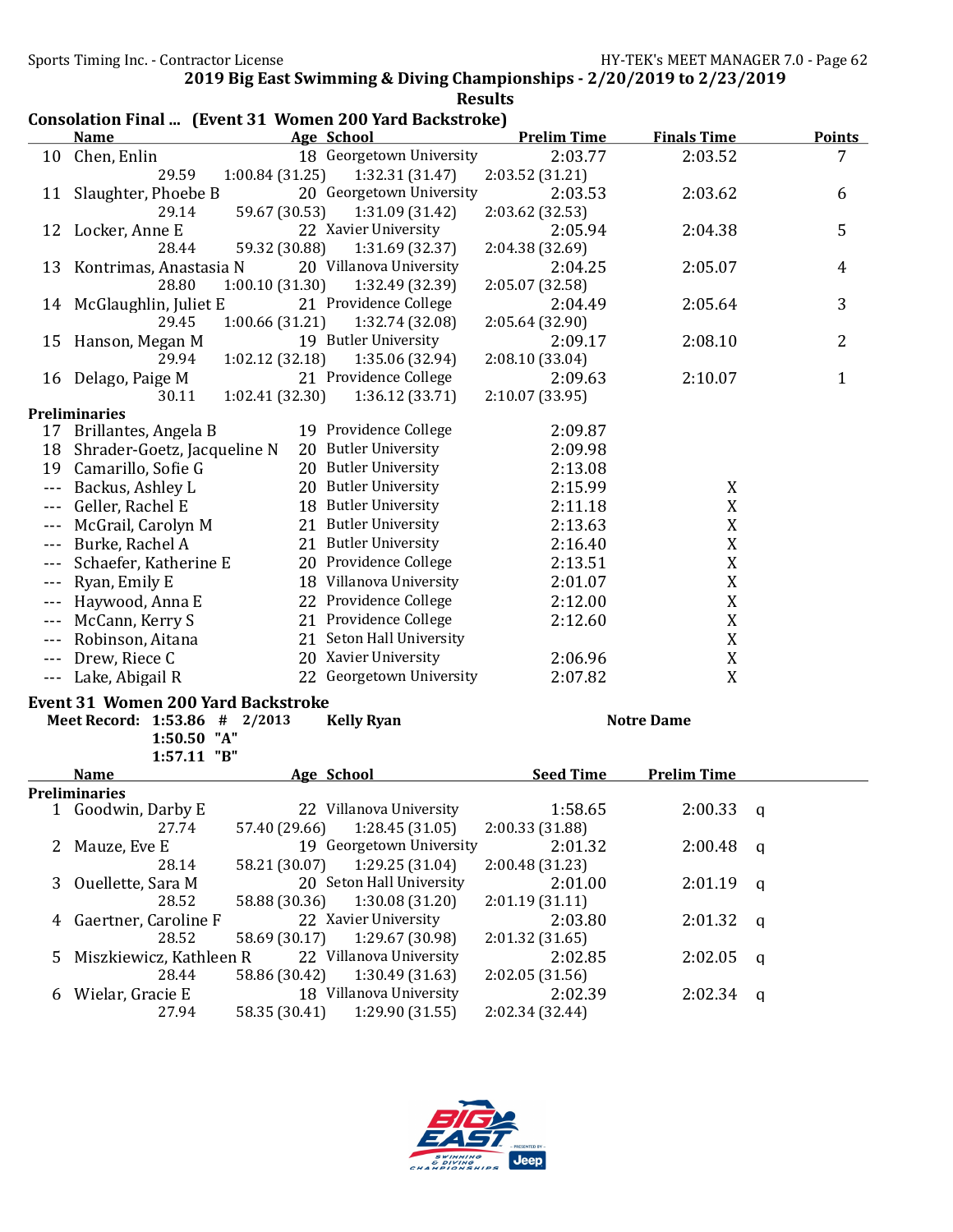|       |                                                                               |                 |                          | <b>Results</b>     |                    |               |
|-------|-------------------------------------------------------------------------------|-----------------|--------------------------|--------------------|--------------------|---------------|
|       | <b>Consolation Final  (Event 31 Women 200 Yard Backstroke)</b><br><b>Name</b> |                 | Age School               | <b>Prelim Time</b> | <b>Finals Time</b> | <b>Points</b> |
| 10    | Chen, Enlin                                                                   |                 | 18 Georgetown University | 2:03.77            | 2:03.52            | 7             |
|       | 29.59                                                                         | 1:00.84 (31.25) | 1:32.31 (31.47)          | 2:03.52 (31.21)    |                    |               |
|       | 11 Slaughter, Phoebe B                                                        |                 | 20 Georgetown University | 2:03.53            | 2:03.62            | 6             |
|       | 29.14                                                                         | 59.67 (30.53)   | 1:31.09 (31.42)          | 2:03.62 (32.53)    |                    |               |
| 12    | Locker, Anne E                                                                |                 | 22 Xavier University     | 2:05.94            | 2:04.38            | 5             |
|       | 28.44                                                                         | 59.32 (30.88)   | 1:31.69 (32.37)          | 2:04.38 (32.69)    |                    |               |
| 13    | Kontrimas, Anastasia N                                                        |                 | 20 Villanova University  | 2:04.25            | 2:05.07            | 4             |
|       | 28.80                                                                         | 1:00.10(31.30)  | 1:32.49 (32.39)          | 2:05.07 (32.58)    |                    |               |
| 14    | McGlaughlin, Juliet E                                                         |                 | 21 Providence College    | 2:04.49            | 2:05.64            | 3             |
|       | 29.45                                                                         | 1:00.66(31.21)  | 1:32.74 (32.08)          | 2:05.64 (32.90)    |                    |               |
| 15    | Hanson, Megan M                                                               |                 | 19 Butler University     | 2:09.17            | 2:08.10            | 2             |
|       | 29.94                                                                         | 1:02.12 (32.18) | 1:35.06 (32.94)          | 2:08.10 (33.04)    |                    |               |
|       |                                                                               |                 | 21 Providence College    | 2:09.63            | 2:10.07            | 1             |
|       | 16 Delago, Paige M<br>30.11                                                   | 1:02.41 (32.30) | 1:36.12 (33.71)          | 2:10.07 (33.95)    |                    |               |
|       | <b>Preliminaries</b>                                                          |                 |                          |                    |                    |               |
|       | 17 Brillantes, Angela B                                                       |                 | 19 Providence College    | 2:09.87            |                    |               |
| 18    | Shrader-Goetz, Jacqueline N                                                   |                 | 20 Butler University     | 2:09.98            |                    |               |
| 19    | Camarillo, Sofie G                                                            |                 | 20 Butler University     | 2:13.08            |                    |               |
| $---$ | Backus, Ashley L                                                              |                 | 20 Butler University     | 2:15.99            | X                  |               |
|       |                                                                               |                 | 18 Butler University     |                    |                    |               |
|       | Geller, Rachel E                                                              |                 |                          | 2:11.18            | X                  |               |
|       | McGrail, Carolyn M                                                            |                 | 21 Butler University     | 2:13.63            | $\mathbf X$        |               |
|       | Burke, Rachel A                                                               |                 | 21 Butler University     | 2:16.40            | $\mathbf X$        |               |
|       | Schaefer, Katherine E                                                         |                 | 20 Providence College    | 2:13.51            | $\mathbf X$        |               |
|       | Ryan, Emily E                                                                 |                 | 18 Villanova University  | 2:01.07            | $\mathbf X$        |               |
|       | Haywood, Anna E                                                               |                 | 22 Providence College    | 2:12.00            | $\mathbf X$        |               |
|       | McCann, Kerry S                                                               |                 | 21 Providence College    | 2:12.60            | $\mathbf X$        |               |
|       | Robinson, Aitana                                                              |                 | 21 Seton Hall University |                    | $\mathbf X$        |               |
|       | Drew, Riece C                                                                 |                 | 20 Xavier University     | 2:06.96            | $\mathbf X$        |               |
|       | Lake, Abigail R                                                               |                 | 22 Georgetown University | 2:07.82            | X                  |               |
|       | <b>Event 31 Women 200 Yard Backstroke</b>                                     |                 |                          |                    |                    |               |
|       | Meet Record: 1:53.86 # 2/2013                                                 |                 | <b>Kelly Ryan</b>        |                    | <b>Notre Dame</b>  |               |
|       | 1:50.50 "A"                                                                   |                 |                          |                    |                    |               |
|       | 1:57.11 "B"                                                                   |                 |                          |                    |                    |               |
|       | <b>Name</b>                                                                   |                 | <b>Age School</b>        | <b>Seed Time</b>   | <b>Prelim Time</b> |               |
|       | Preliminaries                                                                 |                 |                          |                    |                    |               |
|       | 1 Goodwin, Darby E                                                            |                 | 22 Villanova University  | 1:58.65            | 2:00.33            | q             |
|       | 27.74                                                                         | 57.40 (29.66)   | 1:28.45(31.05)           | 2:00.33 (31.88)    |                    |               |
| 2     | Mauze, Eve E                                                                  |                 | 19 Georgetown University | 2:01.32            | 2:00.48            | $\mathfrak q$ |
|       | 28.14                                                                         | 58.21 (30.07)   | 1:29.25 (31.04)          | 2:00.48 (31.23)    |                    |               |
| 3     | Ouellette, Sara M                                                             |                 | 20 Seton Hall University | 2:01.00            | 2:01.19            | $\mathsf{q}$  |
|       | 28.52                                                                         | 58.88 (30.36)   | 1:30.08 (31.20)          | 2:01.19(31.11)     |                    |               |
| 4     | Gaertner, Caroline F                                                          |                 | 22 Xavier University     | 2:03.80            | 2:01.32            | $\mathbf q$   |
|       | 28.52                                                                         | 58.69 (30.17)   | 1:29.67 (30.98)          | 2:01.32 (31.65)    |                    |               |
| 5     | Miszkiewicz, Kathleen R                                                       |                 | 22 Villanova University  | 2:02.85            | 2:02.05            |               |
|       | 28.44                                                                         | 58.86 (30.42)   | 1:30.49 (31.63)          | 2:02.05 (31.56)    |                    | $\mathbf q$   |
| 6     | Wielar, Gracie E                                                              |                 | 18 Villanova University  | 2:02.39            | 2:02.34            |               |
|       | 27.94                                                                         | 58.35 (30.41)   | 1:29.90 (31.55)          | 2:02.34 (32.44)    |                    | q             |
|       |                                                                               |                 |                          |                    |                    |               |

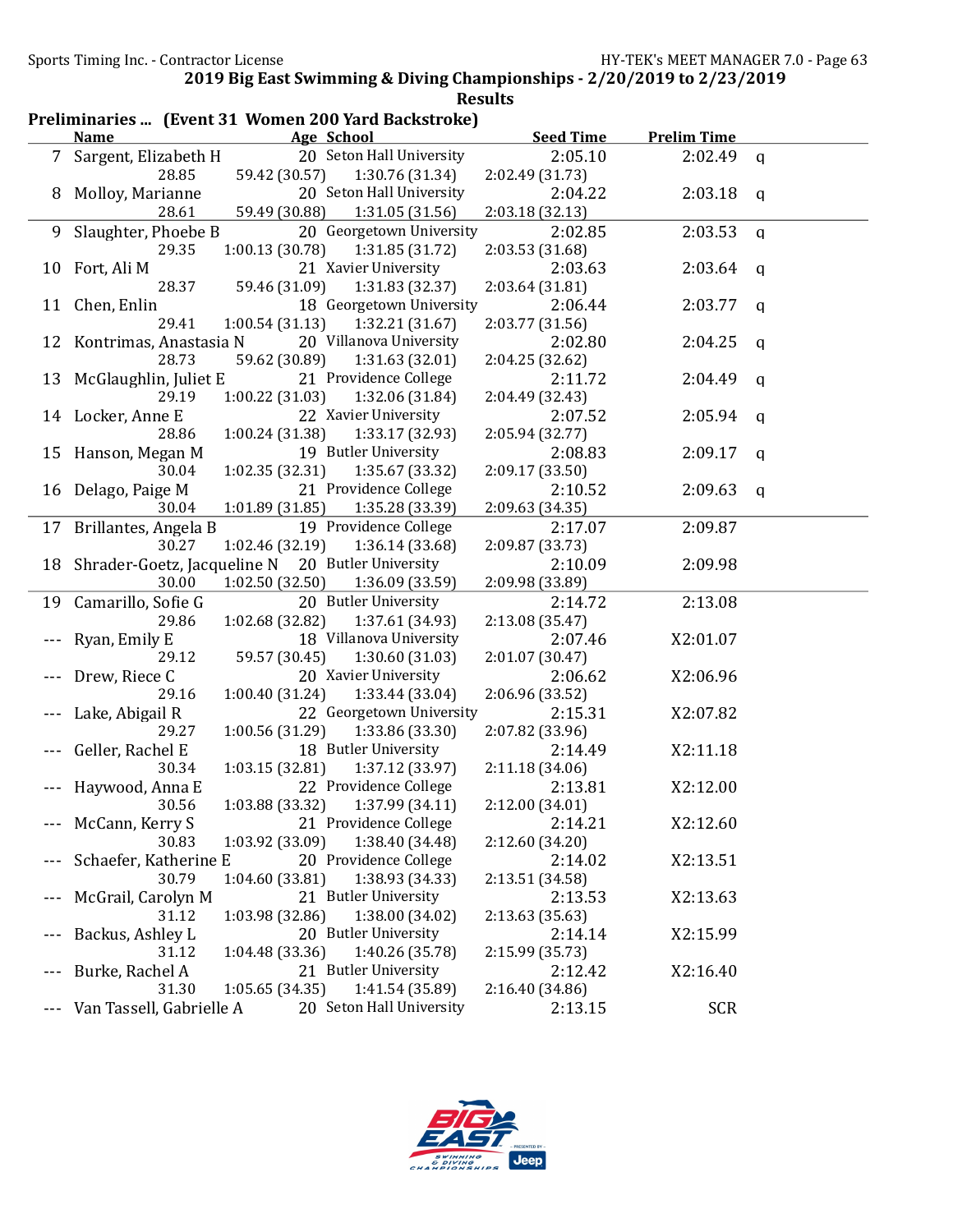| Preliminaries  (Event 31 Women 200 Yard Backstroke) |                             |                 |                          |                  |                    |             |
|-----------------------------------------------------|-----------------------------|-----------------|--------------------------|------------------|--------------------|-------------|
|                                                     | <u>Name</u>                 |                 | Age School               | <b>Seed Time</b> | <b>Prelim Time</b> |             |
|                                                     | 7 Sargent, Elizabeth H      |                 | 20 Seton Hall University | 2:05.10          | 2:02.49            | q           |
|                                                     | 28.85                       | 59.42 (30.57)   | 1:30.76 (31.34)          | 2:02.49 (31.73)  |                    |             |
| 8                                                   | Molloy, Marianne            |                 | 20 Seton Hall University | 2:04.22          | 2:03.18            | q           |
|                                                     | 28.61                       | 59.49 (30.88)   | 1:31.05 (31.56)          | 2:03.18 (32.13)  |                    |             |
| 9                                                   | Slaughter, Phoebe B         |                 | 20 Georgetown University | 2:02.85          | 2:03.53            | $\mathbf q$ |
|                                                     | 29.35                       | 1:00.13(30.78)  | 1:31.85 (31.72)          | 2:03.53 (31.68)  |                    |             |
| 10                                                  | Fort, Ali M                 |                 | 21 Xavier University     | 2:03.63          | 2:03.64            | q           |
|                                                     | 28.37                       | 59.46 (31.09)   | 1:31.83 (32.37)          | 2:03.64 (31.81)  |                    |             |
| 11                                                  | Chen, Enlin                 |                 | 18 Georgetown University | 2:06.44          | 2:03.77            | q           |
|                                                     | 29.41                       | 1:00.54(31.13)  | 1:32.21(31.67)           | 2:03.77 (31.56)  |                    |             |
| 12                                                  | Kontrimas, Anastasia N      |                 | 20 Villanova University  | 2:02.80          | 2:04.25            | q           |
|                                                     | 28.73                       | 59.62 (30.89)   | 1:31.63(32.01)           | 2:04.25 (32.62)  |                    |             |
| 13                                                  | McGlaughlin, Juliet E       |                 | 21 Providence College    | 2:11.72          | 2:04.49            | q           |
|                                                     | 29.19                       | 1:00.22(31.03)  | 1:32.06 (31.84)          | 2:04.49 (32.43)  |                    |             |
|                                                     | 14 Locker, Anne E           |                 | 22 Xavier University     | 2:07.52          | 2:05.94            | q           |
|                                                     | 28.86                       | 1:00.24(31.38)  | 1:33.17 (32.93)          | 2:05.94 (32.77)  |                    |             |
| 15                                                  | Hanson, Megan M             |                 | 19 Butler University     | 2:08.83          | 2:09.17            | q           |
|                                                     | 30.04                       | 1:02.35(32.31)  | 1:35.67 (33.32)          | 2:09.17 (33.50)  |                    |             |
| 16                                                  | Delago, Paige M             |                 | 21 Providence College    | 2:10.52          | 2:09.63            | q           |
|                                                     | 30.04                       | 1:01.89(31.85)  | 1:35.28 (33.39)          | 2:09.63 (34.35)  |                    |             |
|                                                     | 17 Brillantes, Angela B     |                 | 19 Providence College    | 2:17.07          | 2:09.87            |             |
|                                                     | 30.27                       | 1:02.46 (32.19) | 1:36.14(33.68)           | 2:09.87 (33.73)  |                    |             |
| 18                                                  | Shrader-Goetz, Jacqueline N |                 | 20 Butler University     | 2:10.09          | 2:09.98            |             |
|                                                     | 30.00                       | 1:02.50(32.50)  | 1:36.09 (33.59)          | 2:09.98 (33.89)  |                    |             |
| 19                                                  | Camarillo, Sofie G          |                 | 20 Butler University     | 2:14.72          | 2:13.08            |             |
|                                                     | 29.86                       | 1:02.68 (32.82) | 1:37.61 (34.93)          | 2:13.08 (35.47)  |                    |             |
|                                                     | Ryan, Emily E               |                 | 18 Villanova University  | 2:07.46          | X2:01.07           |             |
|                                                     | 29.12                       | 59.57 (30.45)   | 1:30.60(31.03)           | 2:01.07 (30.47)  |                    |             |
|                                                     | Drew, Riece C               |                 | 20 Xavier University     | 2:06.62          | X2:06.96           |             |
|                                                     | 29.16                       | 1:00.40(31.24)  | 1:33.44 (33.04)          | 2:06.96 (33.52)  |                    |             |
|                                                     | Lake, Abigail R             |                 | 22 Georgetown University | 2:15.31          | X2:07.82           |             |
|                                                     | 29.27                       | 1:00.56(31.29)  | 1:33.86 (33.30)          | 2:07.82 (33.96)  |                    |             |
|                                                     | Geller, Rachel E            |                 | 18 Butler University     | 2:14.49          | X2:11.18           |             |
|                                                     | 30.34                       | 1:03.15(32.81)  | 1:37.12 (33.97)          | 2:11.18 (34.06)  |                    |             |
|                                                     | Haywood, Anna E             |                 | 22 Providence College    | 2:13.81          | X2:12.00           |             |
|                                                     | 30.56                       | 1:03.88 (33.32) | 1:37.99 (34.11)          | 2:12.00 (34.01)  |                    |             |
|                                                     | McCann, Kerry S             |                 | 21 Providence College    | 2:14.21          | X2:12.60           |             |
|                                                     | 30.83                       | 1:03.92 (33.09) | 1:38.40 (34.48)          | 2:12.60 (34.20)  |                    |             |
| $---$                                               | Schaefer, Katherine E       |                 | 20 Providence College    | 2:14.02          | X2:13.51           |             |
|                                                     | 30.79                       | 1:04.60 (33.81) | 1:38.93 (34.33)          | 2:13.51 (34.58)  |                    |             |
| $- - -$                                             | McGrail, Carolyn M          |                 | 21 Butler University     | 2:13.53          | X2:13.63           |             |
|                                                     | 31.12                       | 1:03.98 (32.86) | 1:38.00 (34.02)          | 2:13.63 (35.63)  |                    |             |
| $- - -$                                             | Backus, Ashley L            |                 | 20 Butler University     | 2:14.14          | X2:15.99           |             |
|                                                     | 31.12                       | 1:04.48 (33.36) | 1:40.26 (35.78)          | 2:15.99 (35.73)  |                    |             |
| $---$                                               | Burke, Rachel A             |                 | 21 Butler University     | 2:12.42          | X2:16.40           |             |
|                                                     | 31.30                       | 1:05.65(34.35)  | 1:41.54 (35.89)          | 2:16.40 (34.86)  |                    |             |
| $\cdots$                                            | Van Tassell, Gabrielle A    |                 | 20 Seton Hall University | 2:13.15          | <b>SCR</b>         |             |

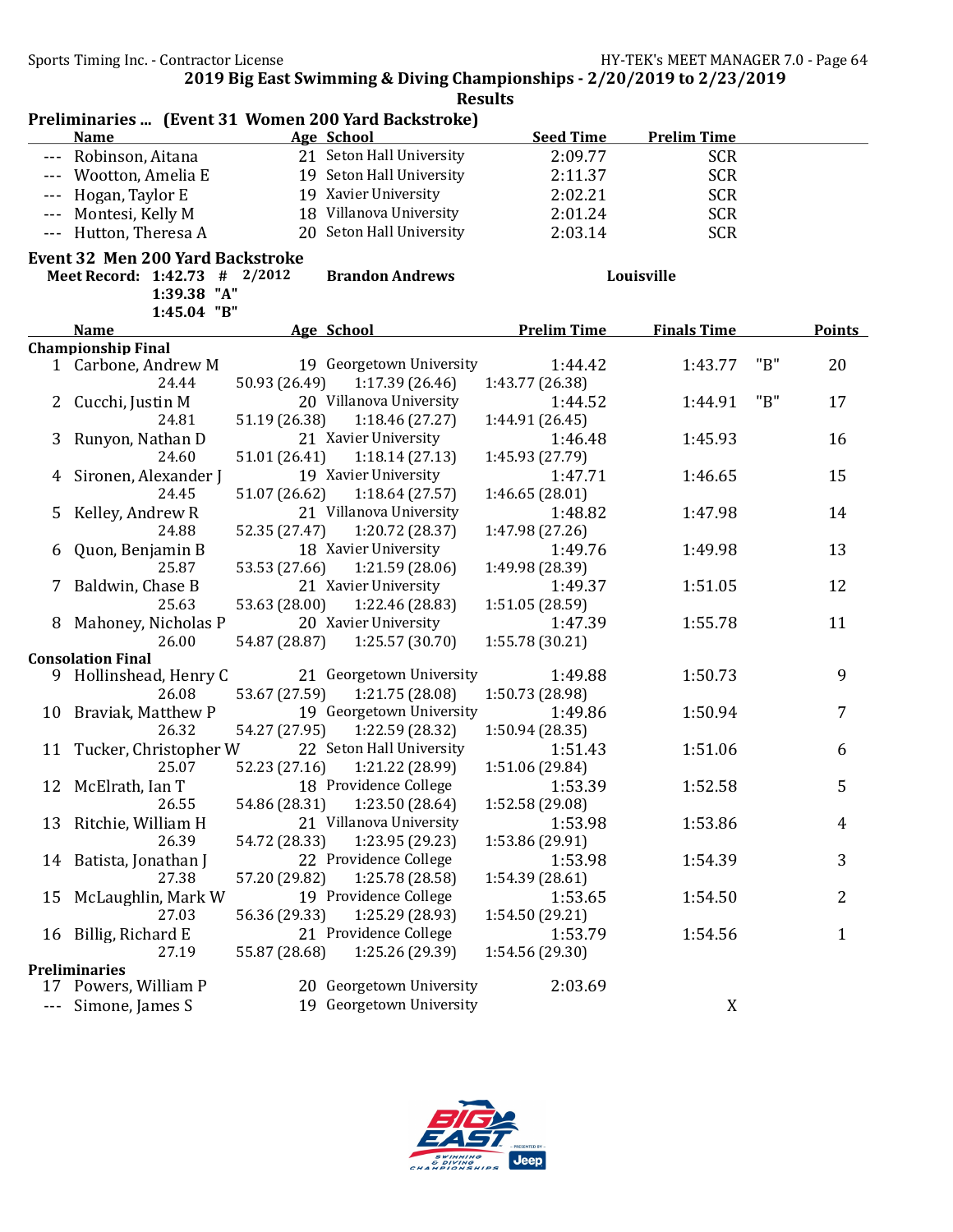|                                                                                                                                                                                                                                                                                                                                                                                              | Preliminaries  (Event 31 Women 200 Yard Backstroke) |               |                                            |                            |                    |     |               |
|----------------------------------------------------------------------------------------------------------------------------------------------------------------------------------------------------------------------------------------------------------------------------------------------------------------------------------------------------------------------------------------------|-----------------------------------------------------|---------------|--------------------------------------------|----------------------------|--------------------|-----|---------------|
|                                                                                                                                                                                                                                                                                                                                                                                              | <b>Name</b>                                         |               | Age School                                 | <b>Seed Time</b>           | <b>Prelim Time</b> |     |               |
| $\frac{1}{2} \frac{1}{2} \frac{1}{2} \frac{1}{2} \frac{1}{2} \frac{1}{2} \frac{1}{2} \frac{1}{2} \frac{1}{2} \frac{1}{2} \frac{1}{2} \frac{1}{2} \frac{1}{2} \frac{1}{2} \frac{1}{2} \frac{1}{2} \frac{1}{2} \frac{1}{2} \frac{1}{2} \frac{1}{2} \frac{1}{2} \frac{1}{2} \frac{1}{2} \frac{1}{2} \frac{1}{2} \frac{1}{2} \frac{1}{2} \frac{1}{2} \frac{1}{2} \frac{1}{2} \frac{1}{2} \frac{$ | Robinson, Aitana                                    |               | 21 Seton Hall University                   | 2:09.77                    | <b>SCR</b>         |     |               |
|                                                                                                                                                                                                                                                                                                                                                                                              | Wootton, Amelia E                                   |               | 19 Seton Hall University                   | 2:11.37                    | <b>SCR</b>         |     |               |
| $- - -$                                                                                                                                                                                                                                                                                                                                                                                      | Hogan, Taylor E                                     |               | 19 Xavier University                       | 2:02.21                    | <b>SCR</b>         |     |               |
| $- - -$                                                                                                                                                                                                                                                                                                                                                                                      | Montesi, Kelly M                                    |               | 18 Villanova University                    | 2:01.24                    | <b>SCR</b>         |     |               |
| $- - -$                                                                                                                                                                                                                                                                                                                                                                                      | Hutton, Theresa A                                   |               | 20 Seton Hall University                   | 2:03.14                    | <b>SCR</b>         |     |               |
|                                                                                                                                                                                                                                                                                                                                                                                              | <b>Event 32 Men 200 Yard Backstroke</b>             |               |                                            |                            |                    |     |               |
|                                                                                                                                                                                                                                                                                                                                                                                              | Meet Record: 1:42.73 # 2/2012                       |               | <b>Brandon Andrews</b>                     |                            | Louisville         |     |               |
|                                                                                                                                                                                                                                                                                                                                                                                              | 1:39.38 "A"                                         |               |                                            |                            |                    |     |               |
|                                                                                                                                                                                                                                                                                                                                                                                              | 1:45.04 "B"                                         |               |                                            |                            |                    |     |               |
|                                                                                                                                                                                                                                                                                                                                                                                              | <b>Name</b>                                         |               | Age School                                 | <b>Prelim Time</b>         | <b>Finals Time</b> |     | <b>Points</b> |
|                                                                                                                                                                                                                                                                                                                                                                                              | <b>Championship Final</b>                           |               |                                            |                            |                    |     |               |
|                                                                                                                                                                                                                                                                                                                                                                                              | 1 Carbone, Andrew M                                 |               | 19 Georgetown University                   | 1:44.42                    | 1:43.77            | "B" | 20            |
|                                                                                                                                                                                                                                                                                                                                                                                              | 24.44                                               | 50.93 (26.49) | 1:17.39(26.46)                             | 1:43.77 (26.38)            |                    |     |               |
|                                                                                                                                                                                                                                                                                                                                                                                              | 2 Cucchi, Justin M                                  |               | 20 Villanova University                    | 1:44.52                    | 1:44.91            | "B" | 17            |
|                                                                                                                                                                                                                                                                                                                                                                                              | 24.81                                               | 51.19 (26.38) | 1:18.46(27.27)                             | 1:44.91 (26.45)            |                    |     |               |
| 3                                                                                                                                                                                                                                                                                                                                                                                            | Runyon, Nathan D                                    |               | 21 Xavier University                       | 1:46.48                    | 1:45.93            |     | 16            |
|                                                                                                                                                                                                                                                                                                                                                                                              | 24.60                                               | 51.01 (26.41) | 1:18.14(27.13)                             | 1:45.93 (27.79)            |                    |     |               |
|                                                                                                                                                                                                                                                                                                                                                                                              | Sironen, Alexander J                                |               | 19 Xavier University                       | 1:47.71                    | 1:46.65            |     | 15            |
|                                                                                                                                                                                                                                                                                                                                                                                              | 24.45                                               | 51.07 (26.62) | 1:18.64(27.57)                             | 1:46.65 (28.01)            |                    |     |               |
| 5                                                                                                                                                                                                                                                                                                                                                                                            | Kelley, Andrew R                                    |               | 21 Villanova University                    | 1:48.82                    | 1:47.98            |     | 14            |
|                                                                                                                                                                                                                                                                                                                                                                                              | 24.88                                               | 52.35 (27.47) | 1:20.72 (28.37)                            | 1:47.98 (27.26)            |                    |     |               |
| 6                                                                                                                                                                                                                                                                                                                                                                                            | Quon, Benjamin B                                    |               | 18 Xavier University                       | 1:49.76                    | 1:49.98            |     | 13            |
|                                                                                                                                                                                                                                                                                                                                                                                              | 25.87                                               | 53.53 (27.66) | 1:21.59(28.06)                             | 1:49.98 (28.39)            |                    |     |               |
| 7.                                                                                                                                                                                                                                                                                                                                                                                           | Baldwin, Chase B                                    |               | 21 Xavier University                       | 1:49.37                    | 1:51.05            |     | 12            |
|                                                                                                                                                                                                                                                                                                                                                                                              | 25.63                                               | 53.63 (28.00) | 1:22.46 (28.83)                            | 1:51.05 (28.59)            |                    |     |               |
| 8                                                                                                                                                                                                                                                                                                                                                                                            | Mahoney, Nicholas P                                 |               | 20 Xavier University                       | 1:47.39                    | 1:55.78            |     | 11            |
|                                                                                                                                                                                                                                                                                                                                                                                              | 26.00                                               | 54.87 (28.87) | 1:25.57(30.70)                             | 1:55.78 (30.21)            |                    |     |               |
|                                                                                                                                                                                                                                                                                                                                                                                              | <b>Consolation Final</b>                            |               |                                            |                            |                    |     |               |
|                                                                                                                                                                                                                                                                                                                                                                                              | 9 Hollinshead, Henry C                              |               | 21 Georgetown University                   | 1:49.88                    | 1:50.73            |     | 9             |
|                                                                                                                                                                                                                                                                                                                                                                                              | 26.08                                               | 53.67 (27.59) | 1:21.75 (28.08)                            | 1:50.73 (28.98)            |                    |     |               |
|                                                                                                                                                                                                                                                                                                                                                                                              | 10 Braviak, Matthew P                               |               | 19 Georgetown University                   | 1:49.86                    | 1:50.94            |     | 7             |
|                                                                                                                                                                                                                                                                                                                                                                                              | 26.32                                               | 54.27 (27.95) | 1:22.59 (28.32)                            | 1:50.94 (28.35)            |                    |     |               |
|                                                                                                                                                                                                                                                                                                                                                                                              | 11 Tucker, Christopher W                            |               | 22 Seton Hall University                   | 1:51.43                    | 1:51.06            |     | 6             |
|                                                                                                                                                                                                                                                                                                                                                                                              | 25.07                                               | 52.23 (27.16) | 1:21.22 (28.99)                            | 1:51.06 (29.84)            |                    |     |               |
|                                                                                                                                                                                                                                                                                                                                                                                              | 12 McElrath, Ian T                                  |               | 18 Providence College                      | 1:53.39                    | 1:52.58            |     | 5             |
|                                                                                                                                                                                                                                                                                                                                                                                              | 26.55                                               |               | 54.86 (28.31) 1:23.50 (28.64)              | 1:52.58 (29.08)            |                    |     |               |
| 13                                                                                                                                                                                                                                                                                                                                                                                           | Ritchie, William H<br>26.39                         | 54.72 (28.33) | 21 Villanova University<br>1:23.95 (29.23) | 1:53.98<br>1:53.86 (29.91) | 1:53.86            |     | 4             |
|                                                                                                                                                                                                                                                                                                                                                                                              | Batista, Jonathan J                                 |               | 22 Providence College                      | 1:53.98                    | 1:54.39            |     |               |
| 14                                                                                                                                                                                                                                                                                                                                                                                           | 27.38                                               | 57.20 (29.82) | 1:25.78 (28.58)                            | 1:54.39 (28.61)            |                    |     | 3             |
|                                                                                                                                                                                                                                                                                                                                                                                              |                                                     |               | 19 Providence College                      |                            | 1:54.50            |     | 2             |
| 15                                                                                                                                                                                                                                                                                                                                                                                           | McLaughlin, Mark W<br>27.03                         | 56.36 (29.33) | 1:25.29 (28.93)                            | 1:53.65<br>1:54.50 (29.21) |                    |     |               |
|                                                                                                                                                                                                                                                                                                                                                                                              |                                                     |               | 21 Providence College                      |                            | 1:54.56            |     |               |
| 16                                                                                                                                                                                                                                                                                                                                                                                           | Billig, Richard E<br>27.19                          | 55.87 (28.68) | 1:25.26 (29.39)                            | 1:53.79<br>1:54.56 (29.30) |                    |     | $\mathbf{1}$  |
|                                                                                                                                                                                                                                                                                                                                                                                              | <b>Preliminaries</b>                                |               |                                            |                            |                    |     |               |
|                                                                                                                                                                                                                                                                                                                                                                                              | 17 Powers, William P                                |               | 20 Georgetown University                   | 2:03.69                    |                    |     |               |
| $\scriptstyle\cdots$ .                                                                                                                                                                                                                                                                                                                                                                       | Simone, James S                                     |               | 19 Georgetown University                   |                            | X                  |     |               |

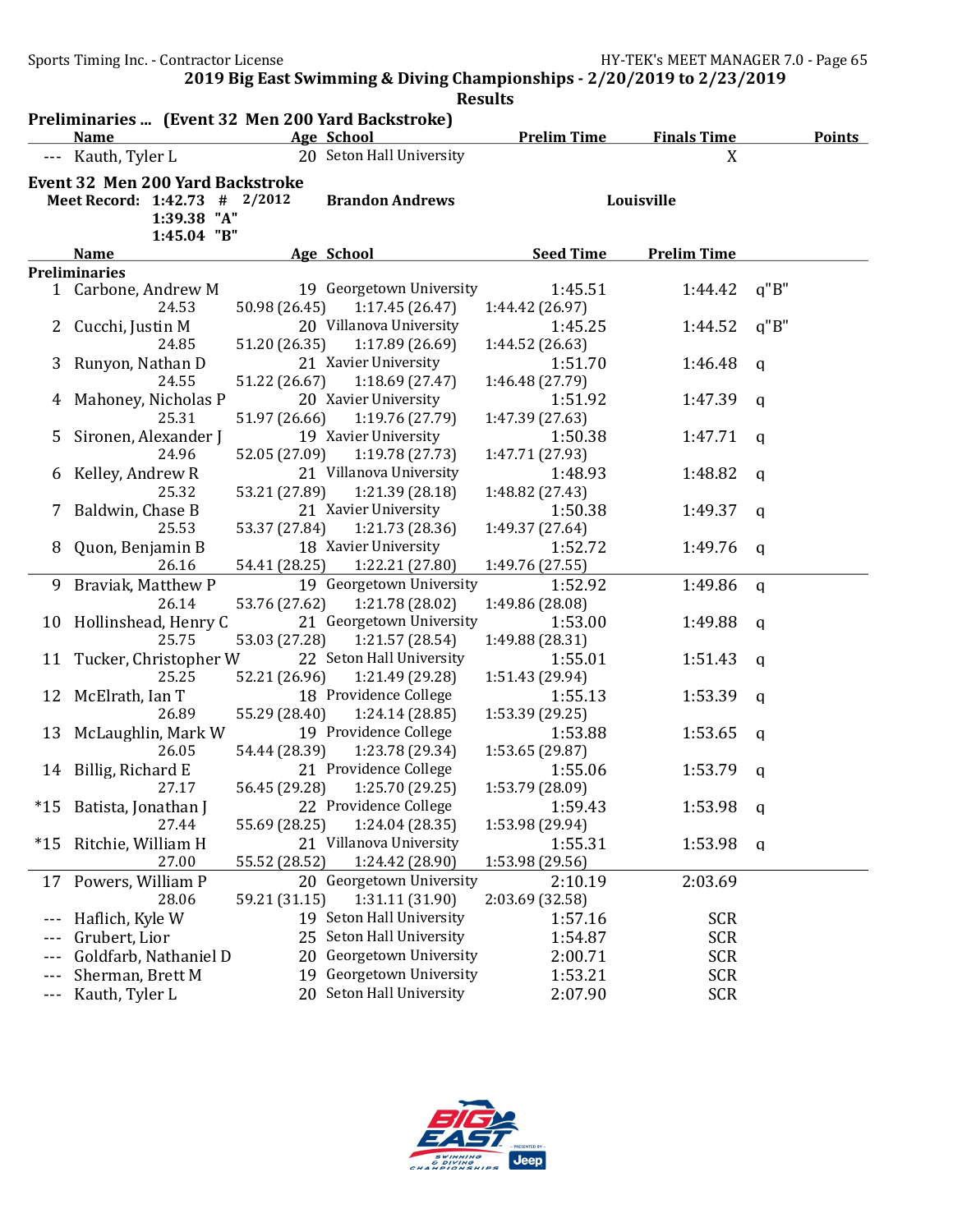|         |                                                                  |               |                                             | <b>Results</b>             |                    |               |
|---------|------------------------------------------------------------------|---------------|---------------------------------------------|----------------------------|--------------------|---------------|
|         | Preliminaries  (Event 32 Men 200 Yard Backstroke)<br><b>Name</b> |               | Age School                                  | <b>Prelim Time</b>         | <b>Finals Time</b> | <b>Points</b> |
| $- - -$ | Kauth, Tyler L                                                   |               | 20 Seton Hall University                    |                            | X                  |               |
|         |                                                                  |               |                                             |                            |                    |               |
|         | <b>Event 32 Men 200 Yard Backstroke</b>                          |               |                                             |                            |                    |               |
|         | Meet Record: 1:42.73 # 2/2012<br>1:39.38 "A"                     |               | <b>Brandon Andrews</b>                      |                            | Louisville         |               |
|         | 1:45.04 "B"                                                      |               |                                             |                            |                    |               |
|         | <b>Name</b>                                                      |               | Age School                                  | <b>Seed Time</b>           | <b>Prelim Time</b> |               |
|         | <b>Preliminaries</b>                                             |               |                                             |                            |                    |               |
|         | 1 Carbone, Andrew M                                              |               | 19 Georgetown University                    | 1:45.51                    | 1:44.42            | q''B''        |
|         | 24.53                                                            | 50.98 (26.45) | 1:17.45(26.47)                              | 1:44.42 (26.97)            |                    |               |
| 2       | Cucchi, Justin M                                                 |               | 20 Villanova University                     | 1:45.25                    | 1:44.52            | q''B''        |
|         | 24.85                                                            | 51.20 (26.35) | 1:17.89(26.69)                              | 1:44.52 (26.63)            |                    |               |
| 3       | Runyon, Nathan D                                                 |               | 21 Xavier University                        | 1:51.70                    | 1:46.48            | a             |
|         | 24.55                                                            | 51.22 (26.67) | 1:18.69(27.47)                              | 1:46.48 (27.79)            |                    |               |
|         | Mahoney, Nicholas P                                              |               | 20 Xavier University                        | 1:51.92                    | 1:47.39            | q             |
|         | 25.31                                                            | 51.97 (26.66) | 1:19.76 (27.79)                             | 1:47.39 (27.63)            |                    |               |
| 5       | Sironen, Alexander J                                             |               | 19 Xavier University                        | 1:50.38                    | 1:47.71            | a             |
|         | 24.96                                                            | 52.05 (27.09) | 1:19.78 (27.73)                             | 1:47.71 (27.93)            |                    |               |
| b       | Kelley, Andrew R                                                 |               | 21 Villanova University                     | 1:48.93                    | 1:48.82            | a             |
|         | 25.32                                                            | 53.21 (27.89) | 1:21.39 (28.18)                             | 1:48.82 (27.43)            |                    |               |
|         | Baldwin, Chase B                                                 |               | 21 Xavier University                        | 1:50.38                    | 1:49.37            | a             |
|         | 25.53                                                            | 53.37 (27.84) | 1:21.73 (28.36)                             | 1:49.37 (27.64)            |                    |               |
| 8       | Quon, Benjamin B                                                 |               | 18 Xavier University                        | 1:52.72                    | 1:49.76            | q             |
|         | 26.16                                                            | 54.41 (28.25) | 1:22.21 (27.80)                             | 1:49.76 (27.55)            |                    |               |
| 9       | Braviak, Matthew P                                               |               | 19 Georgetown University                    | 1:52.92                    | 1:49.86            | q             |
|         | 26.14                                                            | 53.76 (27.62) | 1:21.78 (28.02)                             | 1:49.86 (28.08)            |                    |               |
| 10      | Hollinshead, Henry C                                             |               | 21 Georgetown University                    | 1:53.00                    | 1:49.88            | a             |
|         | 25.75                                                            | 53.03 (27.28) | 1:21.57 (28.54)                             | 1:49.88 (28.31)            |                    |               |
| 11      | Tucker, Christopher W<br>25.25                                   |               | 22 Seton Hall University<br>1:21.49 (29.28) | 1:55.01                    | 1:51.43            | a             |
| 12      | McElrath, Ian T                                                  | 52.21 (26.96) | 18 Providence College                       | 1:51.43 (29.94)<br>1:55.13 | 1:53.39            |               |
|         | 26.89                                                            | 55.29 (28.40) | 1:24.14 (28.85)                             | 1:53.39 (29.25)            |                    | a             |
| 13      | McLaughlin, Mark W                                               |               | 19 Providence College                       | 1:53.88                    | 1:53.65            | q             |
|         | 26.05                                                            | 54.44 (28.39) | 1:23.78 (29.34)                             | 1:53.65 (29.87)            |                    |               |
|         | 14 Billig, Richard E                                             |               | 21 Providence College                       | 1:55.06                    | 1:53.79            | q             |
|         | 27.17                                                            |               | 56.45 (29.28) 1:25.70 (29.25)               | 1:53.79 (28.09)            |                    |               |
| $*15$   | Batista, Jonathan J                                              |               | 22 Providence College                       | 1:59.43                    | 1:53.98            | q             |
|         | 27.44                                                            | 55.69 (28.25) | 1:24.04 (28.35)                             | 1:53.98 (29.94)            |                    |               |
| $*15$   | Ritchie, William H                                               |               | 21 Villanova University                     | 1:55.31                    | 1:53.98            | q             |
|         | 27.00                                                            | 55.52 (28.52) | 1:24.42 (28.90)                             | 1:53.98 (29.56)            |                    |               |
| 17      | Powers, William P                                                |               | 20 Georgetown University                    | 2:10.19                    | 2:03.69            |               |
|         | 28.06                                                            | 59.21 (31.15) | 1:31.11 (31.90)                             | 2:03.69 (32.58)            |                    |               |
|         | Haflich, Kyle W                                                  |               | 19 Seton Hall University                    | 1:57.16                    | <b>SCR</b>         |               |
| $---$   | Grubert, Lior                                                    |               | 25 Seton Hall University                    | 1:54.87                    | <b>SCR</b>         |               |
| $---$   | Goldfarb, Nathaniel D                                            |               | 20 Georgetown University                    | 2:00.71                    | <b>SCR</b>         |               |
| $---$   | Sherman, Brett M                                                 |               | 19 Georgetown University                    | 1:53.21                    | <b>SCR</b>         |               |
| ---     | Kauth, Tyler L                                                   |               | 20 Seton Hall University                    | 2:07.90                    | <b>SCR</b>         |               |

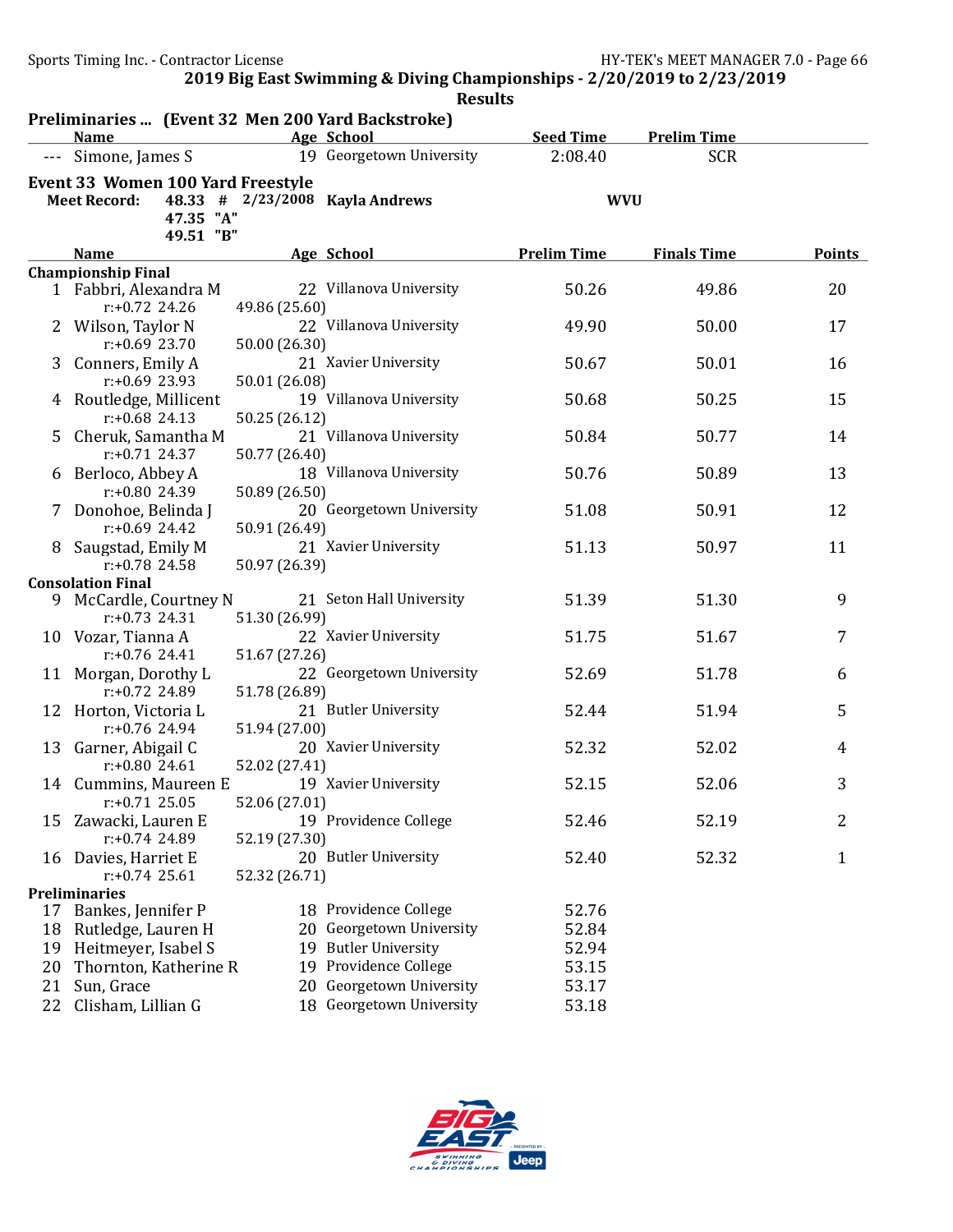|    |                                                                                    |                                | <b>Results</b>                  |                    |                    |               |
|----|------------------------------------------------------------------------------------|--------------------------------|---------------------------------|--------------------|--------------------|---------------|
|    | Preliminaries  (Event 32 Men 200 Yard Backstroke)<br><b>Name</b>                   |                                | Age School                      | <b>Seed Time</b>   | <b>Prelim Time</b> |               |
|    | --- Simone, James S                                                                |                                | 19 Georgetown University        | 2:08.40            | <b>SCR</b>         |               |
|    | Event 33 Women 100 Yard Freestyle<br><b>Meet Record:</b><br>47.35 "A"<br>49.51 "B" |                                | 48.33 # 2/23/2008 Kayla Andrews | <b>WVU</b>         |                    |               |
|    | <b>Name</b>                                                                        |                                | Age School                      | <b>Prelim Time</b> | <b>Finals Time</b> | <b>Points</b> |
|    | <b>Championship Final</b>                                                          |                                |                                 |                    |                    |               |
|    | 1 Fabbri, Alexandra M<br>$r: +0.72$ 24.26                                          | 49.86 (25.60)                  | 22 Villanova University         | 50.26              | 49.86              | 20            |
|    | 2 Wilson, Taylor N<br>$r: +0.69$ 23.70                                             | 50.00 (26.30)                  | 22 Villanova University         | 49.90              | 50.00              | 17            |
| 3  | Conners, Emily A<br>$r: +0.69$ 23.93                                               | 50.01 (26.08)                  | 21 Xavier University            | 50.67              | 50.01              | 16            |
|    | 4 Routledge, Millicent<br>$r: +0.68$ 24.13                                         | 50.25 (26.12)                  | 19 Villanova University         | 50.68              | 50.25              | 15            |
| 5  | Cheruk, Samantha M<br>$r: +0.71$ 24.37                                             | 50.77 (26.40)                  | 21 Villanova University         | 50.84              | 50.77              | 14            |
|    | 6 Berloco, Abbey A<br>$r: +0.80$ 24.39                                             | 50.89 (26.50)                  | 18 Villanova University         | 50.76              | 50.89              | 13            |
|    | 7 Donohoe, Belinda J                                                               |                                | 20 Georgetown University        | 51.08              | 50.91              | 12            |
|    | $r: +0.69$ 24.42<br>Saugstad, Emily M                                              | 50.91 (26.49)                  | 21 Xavier University            | 51.13              | 50.97              | 11            |
|    | $r: +0.78$ 24.58<br><b>Consolation Final</b>                                       | 50.97 (26.39)                  |                                 |                    |                    |               |
|    | 9 McCardle, Courtney N<br>$r: +0.73$ 24.31                                         |                                | 21 Seton Hall University        | 51.39              | 51.30              | 9             |
|    | 10 Vozar, Tianna A                                                                 | 51.30 (26.99)                  | 22 Xavier University            | 51.75              | 51.67              | 7             |
|    | $r: +0.76$ 24.41<br>11 Morgan, Dorothy L                                           | 51.67 (27.26)                  | 22 Georgetown University        | 52.69              | 51.78              | 6             |
|    | r:+0.72 24.89<br>12 Horton, Victoria L                                             | 51.78 (26.89)                  | 21 Butler University            | 52.44              | 51.94              | 5             |
|    | r:+0.76 24.94<br>13 Garner, Abigail C                                              | 51.94 (27.00)                  | 20 Xavier University            | 52.32              | 52.02              | 4             |
|    | $r: +0.8024.61$<br>14 Cummins, Maureen E 19 Xavier University<br>$r: +0.71$ 25.05  | 52.02 (27.41)<br>52.06 (27.01) |                                 | 52.15              | 52.06              | 3             |
| 15 | Zawacki, Lauren E<br>$r: +0.74$ 24.89                                              | 52.19 (27.30)                  | 19 Providence College           | 52.46              | 52.19              | 2             |
|    | 16 Davies, Harriet E<br>$r: +0.74$ 25.61                                           | 52.32 (26.71)                  | 20 Butler University            | 52.40              | 52.32              | 1             |
|    | <b>Preliminaries</b>                                                               |                                |                                 |                    |                    |               |
|    | 17 Bankes, Jennifer P                                                              |                                | 18 Providence College           | 52.76              |                    |               |
| 18 | Rutledge, Lauren H                                                                 |                                | 20 Georgetown University        | 52.84              |                    |               |
| 19 | Heitmeyer, Isabel S                                                                |                                | 19 Butler University            | 52.94              |                    |               |
| 20 | Thornton, Katherine R                                                              |                                | 19 Providence College           | 53.15              |                    |               |
| 21 | Sun, Grace                                                                         | 20                             | Georgetown University           | 53.17              |                    |               |
| 22 | Clisham, Lillian G                                                                 |                                | 18 Georgetown University        | 53.18              |                    |               |

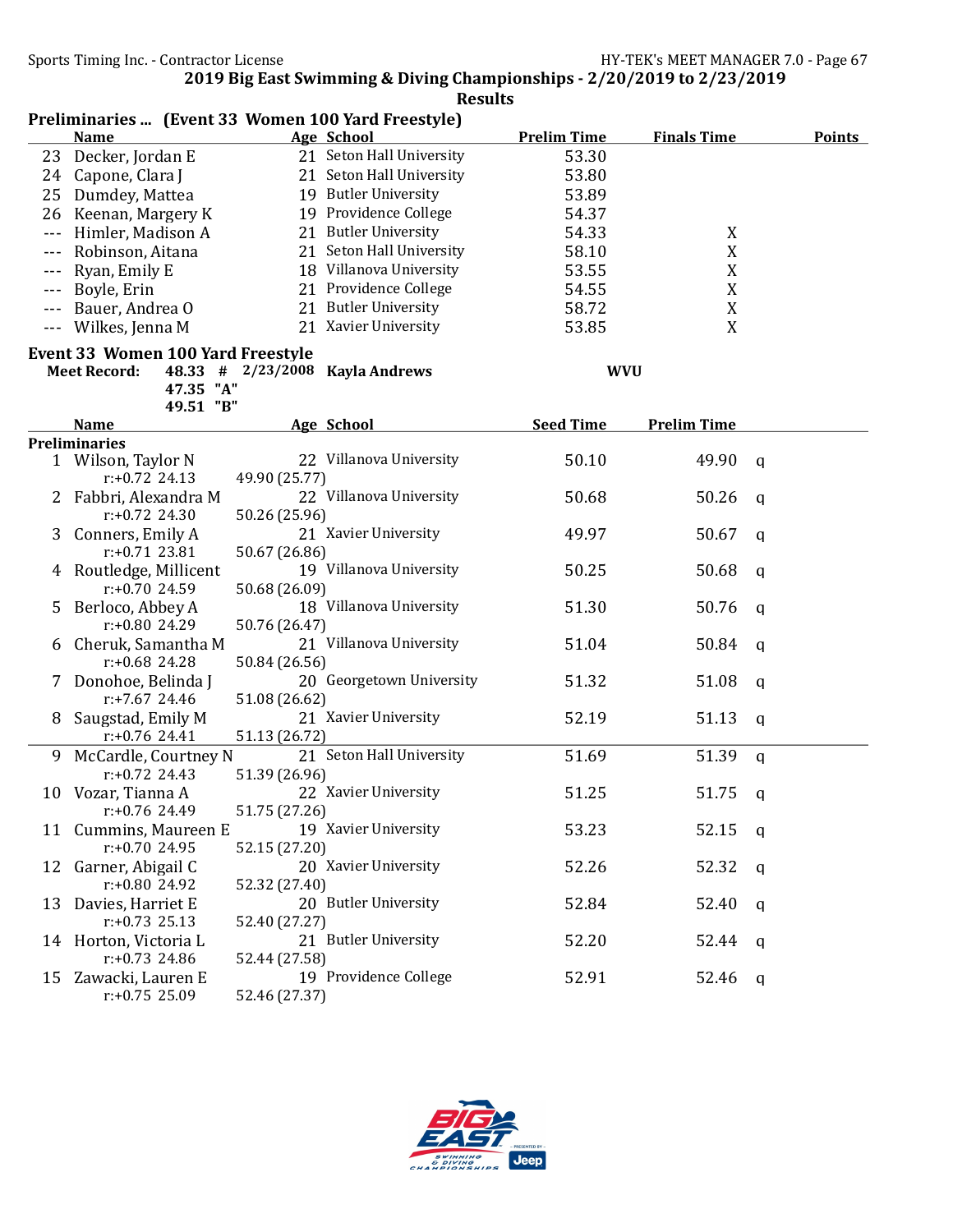|                      | Preliminaries  (Event 33 Women 100 Yard Freestyle) |               |                                 |                    |                    |             |               |
|----------------------|----------------------------------------------------|---------------|---------------------------------|--------------------|--------------------|-------------|---------------|
|                      | <b>Name</b>                                        |               | Age School                      | <b>Prelim Time</b> | <b>Finals Time</b> |             | <b>Points</b> |
| 23                   | Decker, Jordan E                                   |               | 21 Seton Hall University        | 53.30              |                    |             |               |
|                      | 24 Capone, Clara J                                 |               | 21 Seton Hall University        | 53.80              |                    |             |               |
| 25                   | Dumdey, Mattea                                     |               | 19 Butler University            | 53.89              |                    |             |               |
| 26                   | Keenan, Margery K                                  |               | 19 Providence College           | 54.37              |                    |             |               |
| $\sim$ $\sim$ $\sim$ | Himler, Madison A                                  |               | 21 Butler University            | 54.33              | X                  |             |               |
|                      | Robinson, Aitana                                   |               | 21 Seton Hall University        | 58.10              | X                  |             |               |
| $---$                | Ryan, Emily E                                      |               | 18 Villanova University         | 53.55              | X                  |             |               |
| $ -$                 | Boyle, Erin                                        |               | 21 Providence College           | 54.55              | X                  |             |               |
| $- - -$              | Bauer, Andrea O                                    |               | 21 Butler University            | 58.72              | X                  |             |               |
|                      | --- Wilkes, Jenna M                                |               | 21 Xavier University            | 53.85              | X                  |             |               |
|                      | Event 33 Women 100 Yard Freestyle                  |               |                                 |                    |                    |             |               |
|                      | <b>Meet Record:</b>                                |               | 48.33 # 2/23/2008 Kayla Andrews |                    | <b>WVU</b>         |             |               |
|                      | 47.35 "A"                                          |               |                                 |                    |                    |             |               |
|                      | 49.51 "B"                                          |               |                                 |                    |                    |             |               |
|                      | <b>Name</b>                                        |               | Age School                      | <b>Seed Time</b>   | <b>Prelim Time</b> |             |               |
|                      | <b>Preliminaries</b>                               |               |                                 |                    |                    |             |               |
|                      | 1 Wilson, Taylor N<br>$r: +0.72$ 24.13             |               | 22 Villanova University         | 50.10              | 49.90              | q           |               |
|                      |                                                    | 49.90 (25.77) | 22 Villanova University         |                    |                    |             |               |
|                      | Fabbri, Alexandra M<br>$r: +0.72$ 24.30            | 50.26 (25.96) |                                 | 50.68              | 50.26              | q           |               |
|                      |                                                    |               | 21 Xavier University            | 49.97              | 50.67              |             |               |
| 3                    | Conners, Emily A<br>$r: +0.71$ 23.81               | 50.67 (26.86) |                                 |                    |                    | a           |               |
|                      | 4 Routledge, Millicent                             |               | 19 Villanova University         | 50.25              | 50.68              |             |               |
|                      | $r: +0.70$ 24.59                                   | 50.68 (26.09) |                                 |                    |                    | q           |               |
| 5.                   | Berloco, Abbey A                                   |               | 18 Villanova University         | 51.30              | 50.76              | q           |               |
|                      | $r: +0.80$ 24.29                                   | 50.76 (26.47) |                                 |                    |                    |             |               |
| 6                    | Cheruk, Samantha M                                 |               | 21 Villanova University         | 51.04              | 50.84              | q           |               |
|                      | $r: +0.68$ 24.28                                   | 50.84 (26.56) |                                 |                    |                    |             |               |
| 7                    | Donohoe, Belinda J                                 |               | 20 Georgetown University        | 51.32              | 51.08              | q           |               |
|                      | $r: +7.67$ 24.46                                   | 51.08 (26.62) |                                 |                    |                    |             |               |
| 8                    | Saugstad, Emily M                                  |               | 21 Xavier University            | 52.19              | 51.13              | q           |               |
|                      | $r: +0.76$ 24.41                                   | 51.13 (26.72) |                                 |                    |                    |             |               |
| 9                    | McCardle, Courtney N                               |               | 21 Seton Hall University        | 51.69              | 51.39              | $\mathbf q$ |               |
|                      | $r: +0.72$ 24.43                                   | 51.39 (26.96) |                                 |                    |                    |             |               |
|                      | 10 Vozar, Tianna A                                 |               | 22 Xavier University            | 51.25              | 51.75              | q           |               |
|                      | $r: +0.76$ 24.49                                   | 51.75 (27.26) |                                 |                    |                    |             |               |
|                      | 11 Cummins, Maureen E                              |               | 19 Xavier University            | 53.23              | 52.15              | q           |               |
|                      | $r: +0.70$ 24.95                                   | 52.15 (27.20) |                                 |                    |                    |             |               |
|                      | 12 Garner, Abigail C                               |               | 20 Xavier University            | 52.26              | 52.32              | q           |               |
|                      | r:+0.80 24.92                                      | 52.32 (27.40) |                                 |                    |                    |             |               |
|                      | 13 Davies, Harriet E                               |               | 20 Butler University            | 52.84              | 52.40              | q           |               |
|                      | $r: +0.73$ 25.13                                   | 52.40 (27.27) |                                 |                    |                    |             |               |
|                      | 14 Horton, Victoria L                              |               | 21 Butler University            | 52.20              | 52.44              | q           |               |
|                      | $r: +0.73$ 24.86                                   | 52.44 (27.58) |                                 |                    |                    |             |               |
|                      | 15 Zawacki, Lauren E                               |               | 19 Providence College           | 52.91              | 52.46              | q           |               |
|                      | $r: +0.75$ 25.09                                   | 52.46 (27.37) |                                 |                    |                    |             |               |

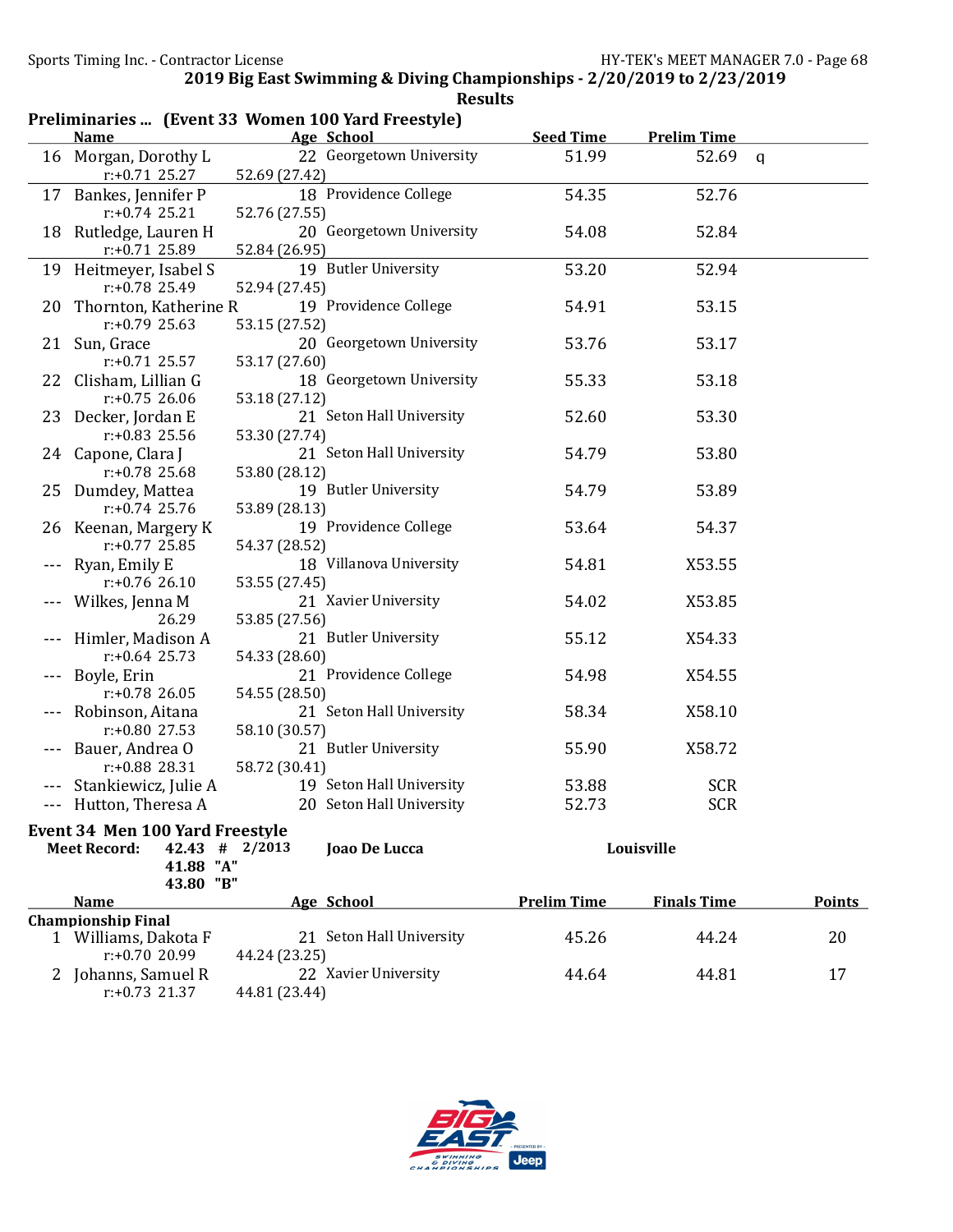|    |                                                    |                  | <b>Results</b>                         |                           |                             |               |
|----|----------------------------------------------------|------------------|----------------------------------------|---------------------------|-----------------------------|---------------|
|    | Preliminaries  (Event 33 Women 100 Yard Freestyle) |                  |                                        |                           |                             |               |
|    | <b>Name</b><br>16 Morgan, Dorothy L                |                  | Age School<br>22 Georgetown University | <b>Seed Time</b><br>51.99 | <b>Prelim Time</b><br>52.69 |               |
|    | $r: +0.71$ 25.27                                   | 52.69 (27.42)    |                                        |                           |                             | $\mathsf{q}$  |
|    | 17 Bankes, Jennifer P                              |                  | 18 Providence College                  | 54.35                     | 52.76                       |               |
|    | $r: +0.74$ 25.21                                   | 52.76 (27.55)    |                                        |                           |                             |               |
| 18 | Rutledge, Lauren H                                 |                  | 20 Georgetown University               | 54.08                     | 52.84                       |               |
|    | r:+0.71 25.89                                      | 52.84 (26.95)    |                                        |                           |                             |               |
|    | 19 Heitmeyer, Isabel S                             |                  | 19 Butler University                   | 53.20                     | 52.94                       |               |
|    | $r: +0.78$ 25.49                                   | 52.94 (27.45)    |                                        |                           |                             |               |
| 20 | Thornton, Katherine R                              |                  | 19 Providence College                  | 54.91                     | 53.15                       |               |
|    | $r: +0.79$ 25.63                                   | 53.15 (27.52)    |                                        |                           |                             |               |
|    | 21 Sun, Grace<br>$r: +0.71$ 25.57                  | 53.17 (27.60)    | 20 Georgetown University               | 53.76                     | 53.17                       |               |
|    | 22 Clisham, Lillian G                              |                  | 18 Georgetown University               | 55.33                     | 53.18                       |               |
|    | $r: +0.75$ 26.06                                   | 53.18 (27.12)    |                                        |                           |                             |               |
|    | 23 Decker, Jordan E                                |                  | 21 Seton Hall University               | 52.60                     | 53.30                       |               |
|    | $r: +0.83$ 25.56                                   | 53.30 (27.74)    |                                        |                           |                             |               |
|    | 24 Capone, Clara J                                 |                  | 21 Seton Hall University               | 54.79                     | 53.80                       |               |
|    | $r: +0.78$ 25.68                                   | 53.80 (28.12)    |                                        |                           |                             |               |
|    | 25 Dumdey, Mattea                                  |                  | 19 Butler University                   | 54.79                     | 53.89                       |               |
|    | $r: +0.74$ 25.76                                   | 53.89 (28.13)    | 19 Providence College                  | 53.64                     |                             |               |
| 26 | Keenan, Margery K<br>$r: +0.77$ 25.85              | 54.37 (28.52)    |                                        |                           | 54.37                       |               |
|    | Ryan, Emily E                                      |                  | 18 Villanova University                | 54.81                     | X53.55                      |               |
|    | $r: +0.76$ 26.10                                   | 53.55 (27.45)    |                                        |                           |                             |               |
|    | Wilkes, Jenna M                                    |                  | 21 Xavier University                   | 54.02                     | X53.85                      |               |
|    | 26.29                                              | 53.85 (27.56)    |                                        |                           |                             |               |
|    | Himler, Madison A                                  |                  | 21 Butler University                   | 55.12                     | X54.33                      |               |
|    | $r: +0.64$ 25.73                                   | 54.33 (28.60)    |                                        |                           |                             |               |
|    | Boyle, Erin<br>$r: +0.78$ 26.05                    |                  | 21 Providence College                  | 54.98                     | X54.55                      |               |
|    | Robinson, Aitana                                   | 54.55 (28.50)    | 21 Seton Hall University               | 58.34                     | X58.10                      |               |
|    | $r: +0.80$ 27.53                                   | 58.10 (30.57)    |                                        |                           |                             |               |
|    | Bauer, Andrea O                                    |                  | 21 Butler University                   | 55.90                     | X58.72                      |               |
|    | r:+0.88 28.31                                      | 58.72 (30.41)    |                                        |                           |                             |               |
|    | Stankiewicz, Julie A                               |                  | 19 Seton Hall University               | 53.88                     | <b>SCR</b>                  |               |
|    | --- Hutton, Theresa A                              |                  | 20 Seton Hall University               | 52.73                     | <b>SCR</b>                  |               |
|    | <b>Event 34 Men 100 Yard Freestyle</b>             |                  |                                        |                           |                             |               |
|    | <b>Meet Record:</b>                                | $42.43$ # 2/2013 | Joao De Lucca                          |                           | Louisville                  |               |
|    | 41.88 "A"                                          |                  |                                        |                           |                             |               |
|    | 43.80 "B"<br><b>Name</b>                           |                  | Age School                             | <b>Prelim Time</b>        | <b>Finals Time</b>          | <b>Points</b> |
|    | <b>Championship Final</b>                          |                  |                                        |                           |                             |               |
|    | 1 Williams, Dakota F                               |                  | 21 Seton Hall University               | 45.26                     | 44.24                       | 20            |
|    | $r: +0.7020.99$                                    | 44.24 (23.25)    |                                        |                           |                             |               |
|    | 2 Johanns, Samuel R                                |                  | 22 Xavier University                   | 44.64                     | 44.81                       | 17            |
|    | $r: +0.73$ 21.37                                   | 44.81 (23.44)    |                                        |                           |                             |               |

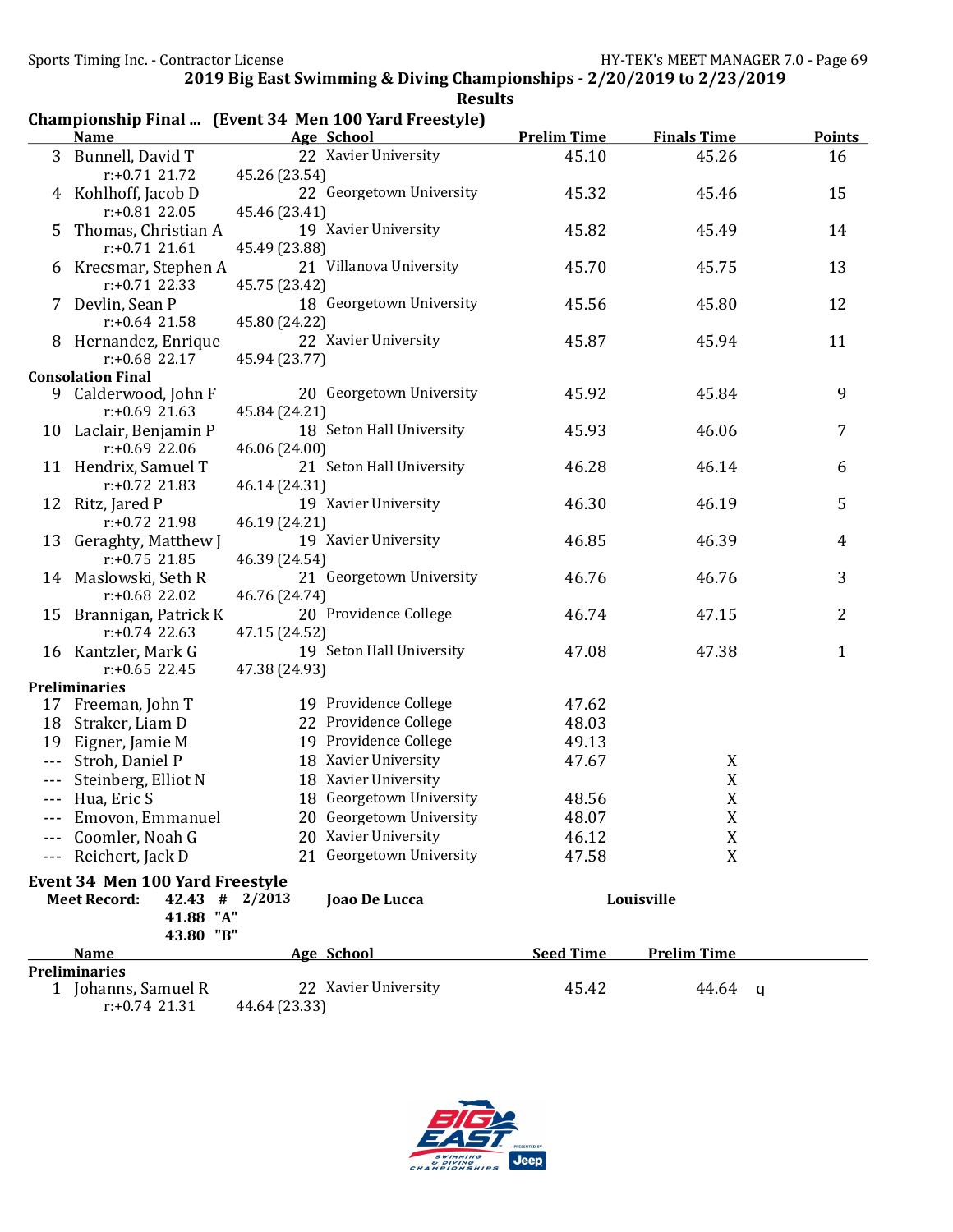|                        |                                             |               | Championship Final  (Event 34 Men 100 Yard Freestyle) |                    |                    |                |
|------------------------|---------------------------------------------|---------------|-------------------------------------------------------|--------------------|--------------------|----------------|
|                        | <b>Name</b>                                 |               | <b>Age School</b>                                     | <b>Prelim Time</b> | <b>Finals Time</b> | <b>Points</b>  |
|                        | 3 Bunnell, David T                          |               | 22 Xavier University                                  | 45.10              | 45.26              | 16             |
|                        | $r: +0.71$ 21.72                            | 45.26 (23.54) |                                                       |                    |                    |                |
|                        | 4 Kohlhoff, Jacob D                         |               | 22 Georgetown University                              | 45.32              | 45.46              | 15             |
|                        | $r: +0.81$ 22.05                            | 45.46 (23.41) |                                                       |                    |                    |                |
| 5                      | Thomas, Christian A                         |               | 19 Xavier University                                  | 45.82              | 45.49              | 14             |
|                        | $r: +0.71$ 21.61                            | 45.49 (23.88) |                                                       |                    |                    |                |
|                        | 6 Krecsmar, Stephen A                       |               | 21 Villanova University                               | 45.70              | 45.75              | 13             |
|                        | $r: +0.71$ 22.33                            | 45.75 (23.42) |                                                       |                    |                    |                |
|                        | 7 Devlin, Sean P                            |               | 18 Georgetown University                              | 45.56              | 45.80              | 12             |
|                        | $r: +0.64$ 21.58                            | 45.80 (24.22) |                                                       |                    |                    |                |
|                        | 8 Hernandez, Enrique                        |               | 22 Xavier University                                  | 45.87              | 45.94              | 11             |
|                        | $r: +0.68$ 22.17                            | 45.94 (23.77) |                                                       |                    |                    |                |
|                        | <b>Consolation Final</b>                    |               |                                                       |                    |                    |                |
| 9                      | Calderwood, John F                          |               | 20 Georgetown University                              | 45.92              | 45.84              | 9              |
|                        | $r: +0.69$ 21.63                            | 45.84 (24.21) |                                                       |                    |                    |                |
|                        | 10 Laclair, Benjamin P                      |               | 18 Seton Hall University                              | 45.93              | 46.06              | 7              |
|                        | $r: +0.69$ 22.06                            | 46.06 (24.00) |                                                       |                    |                    |                |
|                        | 11 Hendrix, Samuel T                        |               | 21 Seton Hall University                              | 46.28              | 46.14              | 6              |
|                        | $r: +0.72$ 21.83                            | 46.14 (24.31) |                                                       |                    |                    |                |
|                        | 12 Ritz, Jared P                            |               | 19 Xavier University                                  | 46.30              | 46.19              | 5              |
|                        | $r: +0.72$ 21.98                            | 46.19 (24.21) |                                                       |                    |                    |                |
|                        | 13 Geraghty, Matthew J                      |               | 19 Xavier University                                  | 46.85              | 46.39              | $\overline{4}$ |
|                        | $r: +0.75$ 21.85                            | 46.39 (24.54) |                                                       |                    |                    |                |
|                        | 14 Maslowski, Seth R                        |               | 21 Georgetown University                              | 46.76              | 46.76              | 3              |
|                        | $r: +0.68$ 22.02                            | 46.76 (24.74) | 20 Providence College                                 |                    |                    | $\overline{2}$ |
|                        | 15 Brannigan, Patrick K<br>$r: +0.74$ 22.63 | 47.15 (24.52) |                                                       | 46.74              | 47.15              |                |
|                        |                                             |               | 19 Seton Hall University                              | 47.08              | 47.38              | $\mathbf{1}$   |
|                        | 16 Kantzler, Mark G<br>$r: +0.65$ 22.45     | 47.38 (24.93) |                                                       |                    |                    |                |
|                        | <b>Preliminaries</b>                        |               |                                                       |                    |                    |                |
|                        | 17 Freeman, John T                          |               | 19 Providence College                                 | 47.62              |                    |                |
|                        | 18 Straker, Liam D                          |               | 22 Providence College                                 | 48.03              |                    |                |
|                        | 19 Eigner, Jamie M                          |               | 19 Providence College                                 | 49.13              |                    |                |
| $\sim$ $\sim$          | Stroh, Daniel P                             |               | 18 Xavier University                                  | 47.67              | X                  |                |
| $\scriptstyle\cdots$ . | Steinberg, Elliot N                         |               | 18 Xavier University                                  |                    | $\mathbf X$        |                |
|                        | --- Hua, Eric S                             |               | 18 Georgetown University                              | 48.56              | X                  |                |
|                        | Emovon, Emmanuel                            |               | 20 Georgetown University                              | 48.07              | X                  |                |
|                        | Coomler, Noah G                             |               | 20 Xavier University                                  | 46.12              | X                  |                |
|                        | Reichert, Jack D                            |               | 21 Georgetown University                              | 47.58              | X                  |                |
|                        |                                             |               |                                                       |                    |                    |                |
|                        | <b>Event 34 Men 100 Yard Freestyle</b>      |               |                                                       |                    |                    |                |
|                        | $42.43$ # 2/2013<br><b>Meet Record:</b>     |               | Joao De Lucca                                         |                    | Louisville         |                |
|                        | 41.88 "A"                                   |               |                                                       |                    |                    |                |
|                        | 43.80 "B"                                   |               |                                                       |                    | <b>Prelim Time</b> |                |
|                        | Name<br><b>Preliminaries</b>                |               | Age School                                            | <b>Seed Time</b>   |                    |                |
|                        | 1 Johanns, Samuel R                         |               | 22 Xavier University                                  | 45.42              | 44.64              | q              |
|                        |                                             |               |                                                       |                    |                    |                |

r:+0.74 21.31 44.64 (23.33)

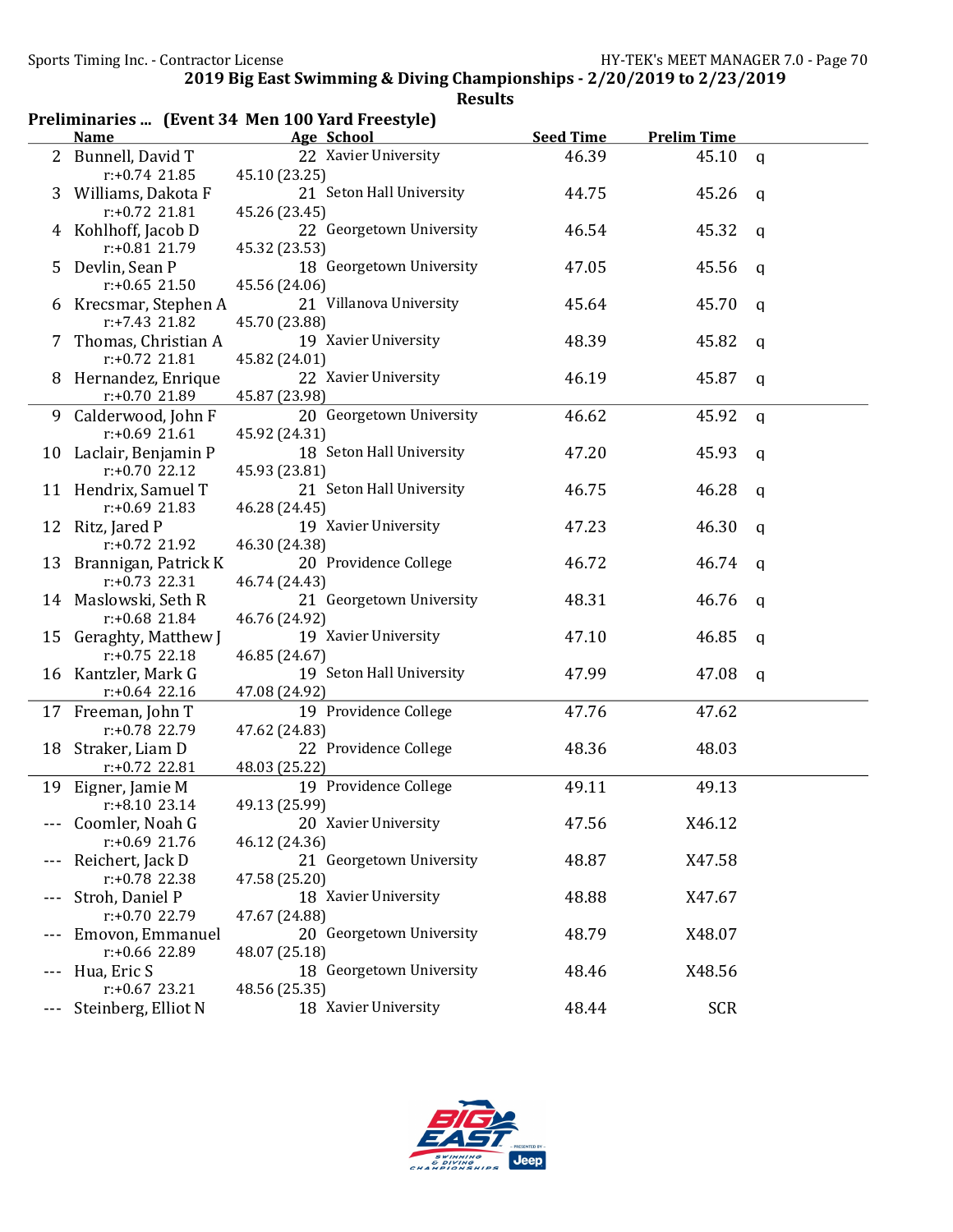|                |                      | Preliminaries  (Event 34 Men 100 Yard Freestyle) |                  |                    |              |
|----------------|----------------------|--------------------------------------------------|------------------|--------------------|--------------|
|                | <b>Name</b>          | Age School                                       | <b>Seed Time</b> | <b>Prelim Time</b> |              |
| 2 <sup>1</sup> | Bunnell, David T     | 22 Xavier University                             | 46.39            | 45.10              | $\mathbf q$  |
|                | $r: +0.74$ 21.85     | 45.10 (23.25)                                    |                  |                    |              |
| 3              | Williams, Dakota F   | 21 Seton Hall University                         | 44.75            | 45.26              | a            |
|                | $r: +0.72$ 21.81     | 45.26 (23.45)                                    |                  |                    |              |
| 4              | Kohlhoff, Jacob D    | 22 Georgetown University                         | 46.54            | 45.32              | a            |
|                | r:+0.81 21.79        | 45.32 (23.53)                                    |                  |                    |              |
| 5              | Devlin, Sean P       | 18 Georgetown University                         | 47.05            | 45.56              | q            |
|                | $r: +0.65$ 21.50     | 45.56 (24.06)                                    |                  |                    |              |
| 6              | Krecsmar, Stephen A  | 21 Villanova University                          | 45.64            | 45.70              | q            |
|                | r:+7.43 21.82        | 45.70 (23.88)                                    |                  |                    |              |
| 7              | Thomas, Christian A  | 19 Xavier University                             | 48.39            | 45.82              | q            |
|                | $r: +0.72$ 21.81     | 45.82 (24.01)                                    |                  |                    |              |
| 8              | Hernandez, Enrique   | 22 Xavier University                             | 46.19            | 45.87              | q            |
|                | r:+0.70 21.89        | 45.87 (23.98)                                    |                  |                    |              |
| 9              | Calderwood, John F   | 20 Georgetown University                         | 46.62            | 45.92              | q            |
|                | $r: +0.69$ 21.61     | 45.92 (24.31)                                    |                  |                    |              |
| 10             | Laclair, Benjamin P  | 18 Seton Hall University                         | 47.20            | 45.93              | a            |
|                | $r: +0.70$ 22.12     | 45.93 (23.81)                                    |                  |                    |              |
|                | 11 Hendrix, Samuel T | 21 Seton Hall University                         | 46.75            | 46.28              | q            |
|                | $r: +0.69$ 21.83     | 46.28 (24.45)                                    |                  |                    |              |
|                | 12 Ritz, Jared P     | 19 Xavier University                             | 47.23            | 46.30              | a            |
|                | r:+0.72 21.92        | 46.30 (24.38)                                    |                  |                    |              |
| 13             | Brannigan, Patrick K | 20 Providence College                            | 46.72            | 46.74              | a            |
|                | $r: +0.73$ 22.31     | 46.74 (24.43)                                    |                  |                    |              |
|                | 14 Maslowski, Seth R | 21 Georgetown University                         | 48.31            | 46.76              | a            |
|                | r:+0.68 21.84        | 46.76 (24.92)                                    |                  |                    |              |
| 15             | Geraghty, Matthew J  | 19 Xavier University                             | 47.10            | 46.85              | $\mathbf{q}$ |
|                | $r: +0.75$ 22.18     | 46.85 (24.67)                                    |                  |                    |              |
|                | 16 Kantzler, Mark G  | 19 Seton Hall University                         | 47.99            | 47.08              | $\mathsf{q}$ |
|                | $r: +0.64$ 22.16     | 47.08 (24.92)                                    |                  |                    |              |
|                | 17 Freeman, John T   | 19 Providence College                            | 47.76            | 47.62              |              |
|                | r:+0.78 22.79        | 47.62 (24.83)                                    |                  |                    |              |
| 18             | Straker, Liam D      | 22 Providence College                            | 48.36            | 48.03              |              |
|                | r:+0.72 22.81        | 48.03 (25.22)                                    |                  |                    |              |
|                | 19 Eigner, Jamie M   | 19 Providence College                            | 49.11            | 49.13              |              |
|                | r:+8.10 23.14        | 49.13 (25.99)                                    |                  |                    |              |
|                | Coomler, Noah G      | 20 Xavier University                             | 47.56            | X46.12             |              |
|                | $r: +0.69$ 21.76     | 46.12 (24.36)                                    |                  |                    |              |
|                | Reichert, Jack D     | 21 Georgetown University                         | 48.87            | X47.58             |              |
|                | r:+0.78 22.38        | 47.58 (25.20)                                    |                  |                    |              |
|                | Stroh, Daniel P      | 18 Xavier University                             | 48.88            | X47.67             |              |
|                | r:+0.70 22.79        | 47.67 (24.88)                                    |                  |                    |              |
|                | Emovon, Emmanuel     | 20 Georgetown University                         | 48.79            | X48.07             |              |
|                | r:+0.66 22.89        | 48.07 (25.18)                                    |                  |                    |              |
| $---$          | Hua, Eric S          | 18 Georgetown University                         | 48.46            | X48.56             |              |
|                | $r: +0.67$ 23.21     | 48.56 (25.35)                                    |                  |                    |              |
| ---            | Steinberg, Elliot N  | 18 Xavier University                             | 48.44            | <b>SCR</b>         |              |

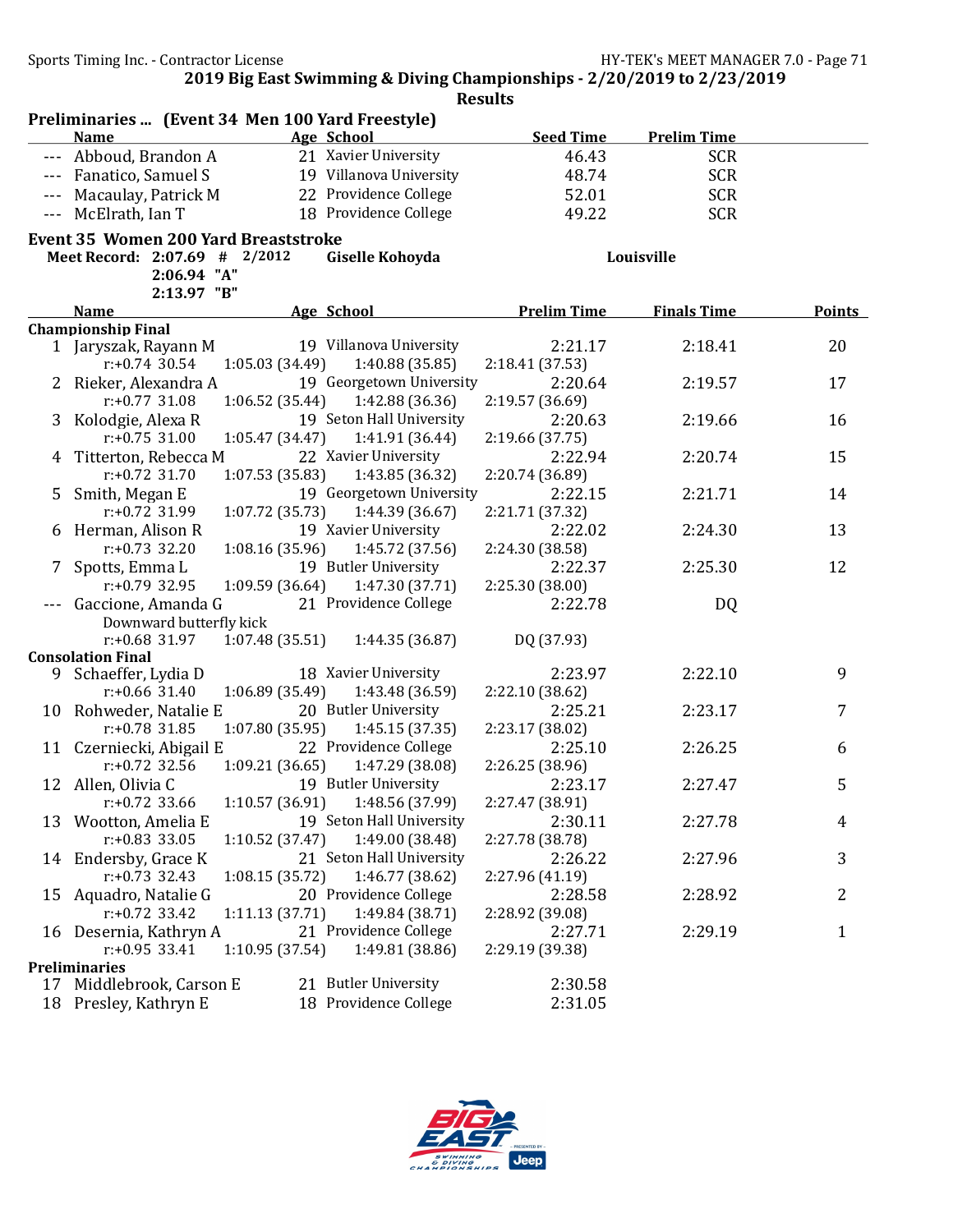|         | Preliminaries  (Event 34 Men 100 Yard Freestyle) |                 |                          |                    |                    |               |
|---------|--------------------------------------------------|-----------------|--------------------------|--------------------|--------------------|---------------|
|         | <b>Name</b>                                      |                 | Age School               | <b>Seed Time</b>   | <b>Prelim Time</b> |               |
|         | Abboud, Brandon A                                |                 | 21 Xavier University     | 46.43              | <b>SCR</b>         |               |
| $---$   | Fanatico, Samuel S                               |                 | 19 Villanova University  | 48.74              | <b>SCR</b>         |               |
| $- - -$ | Macaulay, Patrick M                              |                 | 22 Providence College    | 52.01              | <b>SCR</b>         |               |
| $- - -$ | McElrath, Ian T                                  |                 | 18 Providence College    | 49.22              | <b>SCR</b>         |               |
|         | <b>Event 35 Women 200 Yard Breaststroke</b>      |                 |                          |                    |                    |               |
|         | Meet Record: 2:07.69 # 2/2012                    |                 | Giselle Kohoyda          |                    | Louisville         |               |
|         | 2:06.94 "A"                                      |                 |                          |                    |                    |               |
|         | 2:13.97 "B"                                      |                 |                          |                    |                    |               |
|         | <b>Name</b>                                      |                 | Age School               | <b>Prelim Time</b> | <b>Finals Time</b> | <b>Points</b> |
|         | <b>Championship Final</b>                        |                 |                          |                    |                    |               |
|         | 1 Jaryszak, Rayann M                             |                 | 19 Villanova University  | 2:21.17            | 2:18.41            | 20            |
|         | $r: +0.74$ 30.54                                 | 1:05.03(34.49)  | 1:40.88 (35.85)          | 2:18.41 (37.53)    |                    |               |
|         | 2 Rieker, Alexandra A                            |                 | 19 Georgetown University | 2:20.64            | 2:19.57            | 17            |
|         | $r: +0.77$ 31.08                                 | 1:06.52 (35.44) | 1:42.88 (36.36)          | 2:19.57 (36.69)    |                    |               |
| 3       | Kolodgie, Alexa R                                |                 | 19 Seton Hall University | 2:20.63            | 2:19.66            | 16            |
|         | $r: +0.75$ 31.00                                 | 1:05.47 (34.47) | 1:41.91 (36.44)          | 2:19.66 (37.75)    |                    |               |
| 4       | Titterton, Rebecca M                             |                 | 22 Xavier University     | 2:22.94            | 2:20.74            | 15            |
|         | $r: +0.72$ 31.70                                 | 1:07.53(35.83)  | 1:43.85 (36.32)          | 2:20.74 (36.89)    |                    |               |
| 5.      | Smith, Megan E                                   |                 | 19 Georgetown University | 2:22.15            | 2:21.71            | 14            |
|         | r:+0.72 31.99                                    | 1:07.72 (35.73) | 1:44.39 (36.67)          | 2:21.71 (37.32)    |                    |               |
|         | 6 Herman, Alison R                               |                 | 19 Xavier University     | 2:22.02            | 2:24.30            | 13            |
|         | $r: +0.73$ 32.20                                 | 1:08.16 (35.96) | 1:45.72 (37.56)          | 2:24.30 (38.58)    |                    |               |
| 7.      | Spotts, Emma L                                   |                 | 19 Butler University     | 2:22.37            | 2:25.30            | 12            |
|         | $r: +0.79$ 32.95                                 | 1:09.59 (36.64) | 1:47.30 (37.71)          | 2:25.30 (38.00)    |                    |               |
|         | Gaccione, Amanda G                               |                 | 21 Providence College    | 2:22.78            | DQ                 |               |
|         | Downward butterfly kick                          |                 |                          |                    |                    |               |
|         | $r: +0.68$ 31.97                                 | 1:07.48(35.51)  | 1:44.35 (36.87)          | DQ (37.93)         |                    |               |
|         | <b>Consolation Final</b>                         |                 |                          |                    |                    |               |
|         | 9 Schaeffer, Lydia D                             |                 | 18 Xavier University     | 2:23.97            | 2:22.10            | 9             |
|         | $r: +0.66$ 31.40                                 | 1:06.89 (35.49) | 1:43.48 (36.59)          | 2:22.10 (38.62)    |                    |               |
|         | 10 Rohweder, Natalie E                           |                 | 20 Butler University     | 2:25.21            | 2:23.17            | 7             |
|         | $r: +0.78$ 31.85                                 | 1:07.80 (35.95) | 1:45.15 (37.35)          | 2:23.17 (38.02)    |                    |               |
|         | 11 Czerniecki, Abigail E                         |                 | 22 Providence College    | 2:25.10            | 2:26.25            | 6             |
|         | $r: +0.72$ 32.56                                 | 1:09.21 (36.65) | 1:47.29 (38.08)          | 2:26.25 (38.96)    |                    |               |
|         | 12 Allen, Olivia C                               |                 | 19 Butler University     | 2:23.17            | 2:27.47            | 5             |
|         | $r: +0.72$ 33.66                                 | 1:10.57 (36.91) | 1:48.56 (37.99)          | 2:27.47 (38.91)    |                    |               |
| 13      | Wootton, Amelia E                                |                 | 19 Seton Hall University | 2:30.11            | 2:27.78            | 4             |
|         | $r: +0.83$ 33.05                                 | 1:10.52 (37.47) | 1:49.00 (38.48)          | 2:27.78 (38.78)    |                    |               |
| 14      | Endersby, Grace K                                |                 | 21 Seton Hall University | 2:26.22            | 2:27.96            | 3             |
|         | $r: +0.73$ 32.43                                 | 1:08.15 (35.72) | 1:46.77 (38.62)          | 2:27.96 (41.19)    |                    |               |
| 15      | Aquadro, Natalie G                               |                 | 20 Providence College    | 2:28.58            | 2:28.92            | 2             |
|         | $r: +0.72$ 33.42                                 | 1:11.13 (37.71) | 1:49.84 (38.71)          | 2:28.92 (39.08)    |                    |               |
|         | 16 Desernia, Kathryn A                           |                 | 21 Providence College    | 2:27.71            | 2:29.19            | 1             |
|         | r:+0.95 33.41                                    | 1:10.95 (37.54) | 1:49.81 (38.86)          | 2:29.19 (39.38)    |                    |               |
|         | <b>Preliminaries</b>                             |                 |                          |                    |                    |               |
|         | 17 Middlebrook, Carson E                         |                 | 21 Butler University     | 2:30.58            |                    |               |
|         | 18 Presley, Kathryn E                            |                 | 18 Providence College    | 2:31.05            |                    |               |

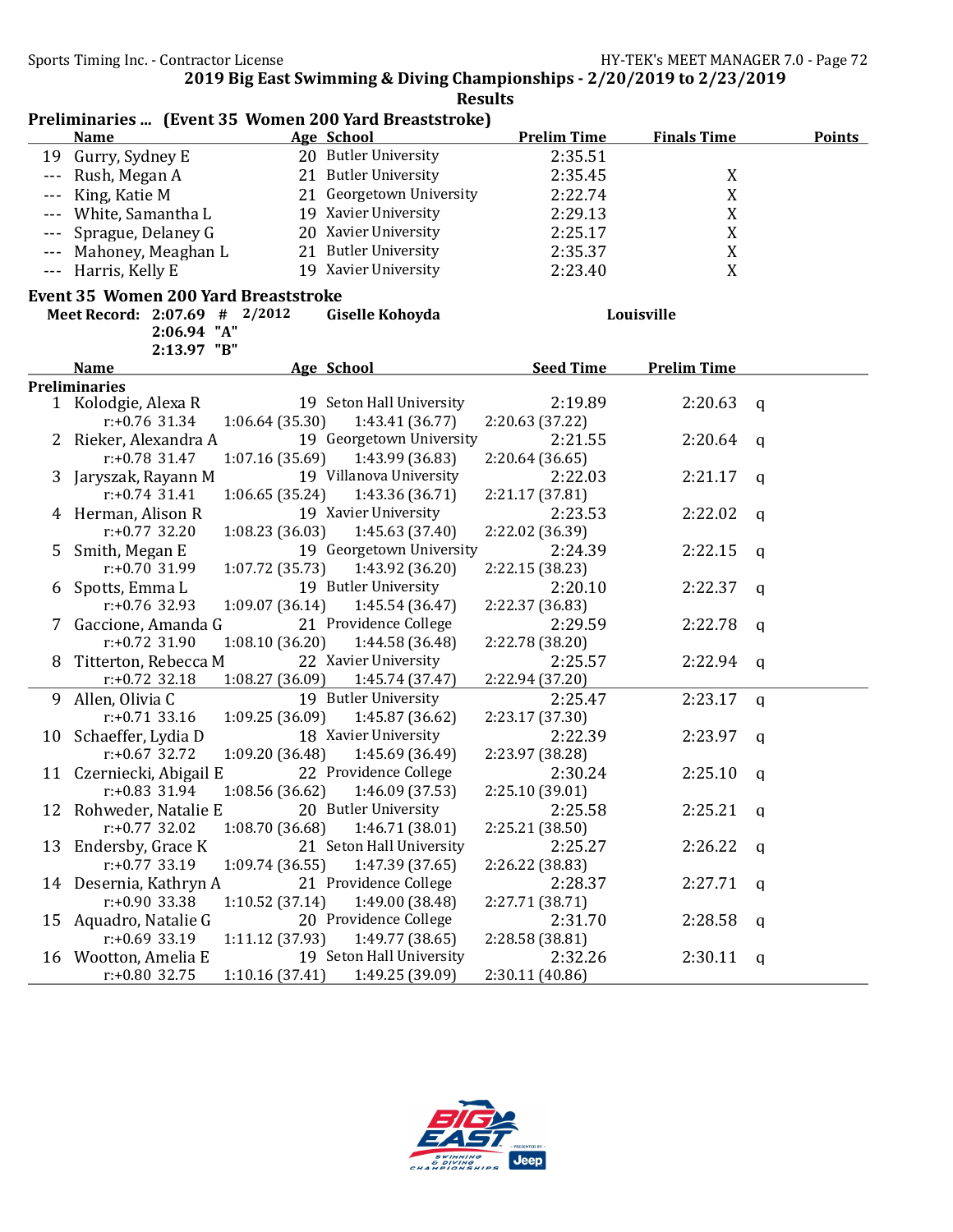|                                                                                     | <b>Name</b>                |                 | Age School                        | <b>Prelim Time</b> | <b>Finals Time</b> | <b>Points</b> |  |  |  |
|-------------------------------------------------------------------------------------|----------------------------|-----------------|-----------------------------------|--------------------|--------------------|---------------|--|--|--|
| 19                                                                                  | Gurry, Sydney E            |                 | 20 Butler University              | 2:35.51            |                    |               |  |  |  |
| $- - -$                                                                             | Rush, Megan A              |                 | 21 Butler University              | 2:35.45            | X                  |               |  |  |  |
|                                                                                     | King, Katie M              |                 | 21 Georgetown University          | 2:22.74            | $\mathbf X$        |               |  |  |  |
|                                                                                     | White, Samantha L          |                 | 19 Xavier University              | 2:29.13            | $\mathbf X$        |               |  |  |  |
| $---$                                                                               | Sprague, Delaney G         |                 | 20 Xavier University              | 2:25.17            | $\mathbf X$        |               |  |  |  |
| $---$                                                                               | Mahoney, Meaghan L         |                 | 21 Butler University              | 2:35.37            | $\mathbf X$        |               |  |  |  |
| $- - -$                                                                             | Harris, Kelly E            |                 | 19 Xavier University              | 2:23.40            | $\boldsymbol{X}$   |               |  |  |  |
|                                                                                     |                            |                 |                                   |                    |                    |               |  |  |  |
| Event 35 Women 200 Yard Breaststroke<br>Meet Record: 2:07.69 # 2/2012<br>Louisville |                            |                 |                                   |                    |                    |               |  |  |  |
|                                                                                     |                            |                 | Giselle Kohoyda                   |                    |                    |               |  |  |  |
|                                                                                     | 2:06.94 "A"<br>2:13.97 "B" |                 |                                   |                    |                    |               |  |  |  |
|                                                                                     | <b>Name</b>                |                 | <b>Age School</b>                 | <b>Seed Time</b>   | <b>Prelim Time</b> |               |  |  |  |
|                                                                                     | <b>Preliminaries</b>       |                 |                                   |                    |                    |               |  |  |  |
|                                                                                     | 1 Kolodgie, Alexa R        |                 | 19 Seton Hall University          | 2:19.89            | 2:20.63            | a             |  |  |  |
|                                                                                     | $r: +0.76$ 31.34           | 1:06.64(35.30)  | 1:43.41 (36.77)                   | 2:20.63 (37.22)    |                    |               |  |  |  |
| 2                                                                                   | Rieker, Alexandra A        |                 | 19 Georgetown University          | 2:21.55            | 2:20.64            | q             |  |  |  |
|                                                                                     | $r: +0.78$ 31.47           | 1:07.16(35.69)  | 1:43.99 (36.83)                   | 2:20.64 (36.65)    |                    |               |  |  |  |
| 3                                                                                   | Jaryszak, Rayann M         |                 | 19 Villanova University           | 2:22.03            | 2:21.17            | q             |  |  |  |
|                                                                                     | $r: +0.74$ 31.41           | 1:06.65(35.24)  | 1:43.36 (36.71)                   | 2:21.17 (37.81)    |                    |               |  |  |  |
|                                                                                     | 4 Herman, Alison R         |                 | 19 Xavier University              | 2:23.53            | 2:22.02            | a             |  |  |  |
|                                                                                     | $r: +0.77$ 32.20           | 1:08.23 (36.03) | 1:45.63 (37.40)                   | 2:22.02 (36.39)    |                    |               |  |  |  |
| 5                                                                                   | Smith, Megan E             |                 | 19 Georgetown University          | 2:24.39            | 2:22.15            | $\mathbf{q}$  |  |  |  |
|                                                                                     | $r: +0.70$ 31.99           | 1:07.72 (35.73) | 1:43.92 (36.20)                   | 2:22.15 (38.23)    |                    |               |  |  |  |
| 6                                                                                   | Spotts, Emma L             |                 | 19 Butler University              | 2:20.10            | 2:22.37            | a             |  |  |  |
|                                                                                     | r:+0.76 32.93              | 1:09.07 (36.14) | 1:45.54 (36.47)                   | 2:22.37 (36.83)    |                    |               |  |  |  |
|                                                                                     | Gaccione, Amanda G         |                 | 21 Providence College             | 2:29.59            | 2:22.78            | q             |  |  |  |
|                                                                                     | $r: +0.72$ 31.90           | 1:08.10(36.20)  | 1:44.58 (36.48)                   | 2:22.78 (38.20)    |                    |               |  |  |  |
| 8                                                                                   | Titterton, Rebecca M       |                 | 22 Xavier University              | 2:25.57            | 2:22.94            | q             |  |  |  |
|                                                                                     | $r: +0.72$ 32.18           | 1:08.27 (36.09) | 1:45.74 (37.47)                   | 2:22.94 (37.20)    |                    |               |  |  |  |
| 9                                                                                   | Allen, Olivia C            |                 | 19 Butler University              | 2:25.47            | 2:23.17            | $\mathsf{q}$  |  |  |  |
|                                                                                     | $r: +0.71$ 33.16           | 1:09.25 (36.09) | 1:45.87 (36.62)                   | 2:23.17 (37.30)    |                    |               |  |  |  |
|                                                                                     | 10 Schaeffer, Lydia D      |                 | 18 Xavier University              | 2:22.39            | 2:23.97            | q             |  |  |  |
|                                                                                     | $r: +0.67$ 32.72           | 1:09.20 (36.48) | 1:45.69 (36.49)                   | 2:23.97 (38.28)    |                    |               |  |  |  |
|                                                                                     | 11 Czerniecki, Abigail E   |                 | 22 Providence College             | 2:30.24            | 2:25.10            | a             |  |  |  |
|                                                                                     | $r: +0.83$ 31.94           | 1:08.56 (36.62) | 1:46.09 (37.53)                   | 2:25.10 (39.01)    |                    |               |  |  |  |
|                                                                                     | 12 Rohweder, Natalie E     |                 | 20 Butler University              | 2:25.58            | 2:25.21            | q             |  |  |  |
|                                                                                     | r:+0.77 32.02              |                 | $1:08.70(36.68)$ $1:46.71(38.01)$ | 2:25.21 (38.50)    |                    |               |  |  |  |
| 13                                                                                  | Endersby, Grace K          |                 | 21 Seton Hall University          | 2:25.27            | 2:26.22            | q             |  |  |  |
|                                                                                     | $r: +0.77$ 33.19           | 1:09.74(36.55)  | 1:47.39 (37.65)                   | 2:26.22 (38.83)    |                    |               |  |  |  |
|                                                                                     | 14 Desernia, Kathryn A     |                 | 21 Providence College             | 2:28.37            | 2:27.71            | q             |  |  |  |
|                                                                                     | r:+0.90 33.38              | 1:10.52 (37.14) | 1:49.00 (38.48)                   | 2:27.71 (38.71)    |                    |               |  |  |  |
| 15                                                                                  | Aquadro, Natalie G         |                 | 20 Providence College             | 2:31.70            | 2:28.58            | $\mathsf{q}$  |  |  |  |
|                                                                                     | $r: +0.69$ 33.19           | 1:11.12 (37.93) | 1:49.77 (38.65)                   | 2:28.58 (38.81)    |                    |               |  |  |  |
|                                                                                     | 16 Wootton, Amelia E       |                 | 19 Seton Hall University          | 2:32.26            | 2:30.11            | q             |  |  |  |
|                                                                                     | r:+0.80 32.75              | 1:10.16(37.41)  | 1:49.25 (39.09)                   | 2:30.11 (40.86)    |                    |               |  |  |  |



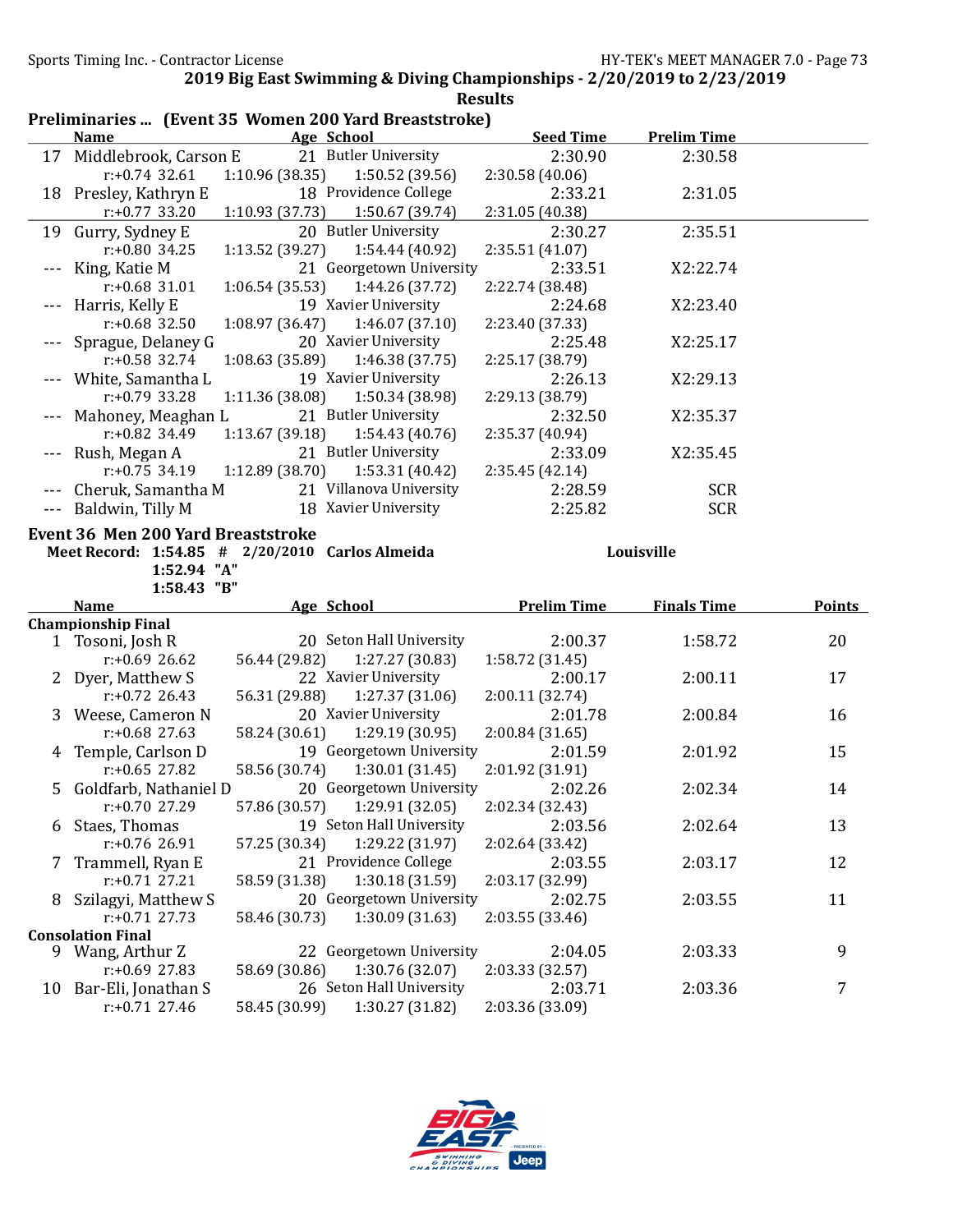|    | Preliminaries  (Event 35 Women 200 Yard Breaststroke) |                 |                                               |                            |                    |               |
|----|-------------------------------------------------------|-----------------|-----------------------------------------------|----------------------------|--------------------|---------------|
|    | <b>Name</b>                                           |                 | Age School                                    | <b>Seed Time</b>           | <b>Prelim Time</b> |               |
|    | 17 Middlebrook, Carson E                              |                 | 21 Butler University                          | 2:30.90                    | 2:30.58            |               |
|    | $r: +0.74$ 32.61                                      | 1:10.96(38.35)  | 1:50.52 (39.56)                               | 2:30.58(40.06)             |                    |               |
|    | 18 Presley, Kathryn E                                 |                 | 18 Providence College                         | 2:33.21                    | 2:31.05            |               |
|    | $r: +0.77$ 33.20                                      | 1:10.93(37.73)  | 1:50.67 (39.74)                               | 2:31.05 (40.38)            |                    |               |
| 19 | Gurry, Sydney E                                       |                 | 20 Butler University                          | 2:30.27                    | 2:35.51            |               |
|    | $r: +0.80$ 34.25                                      | 1:13.52 (39.27) | 1:54.44 (40.92)                               | 2:35.51 (41.07)            |                    |               |
|    | King, Katie M                                         |                 | 21 Georgetown University                      | 2:33.51                    | X2:22.74           |               |
|    | $r: +0.68$ 31.01                                      | 1:06.54(35.53)  | 1:44.26 (37.72)                               | 2:22.74 (38.48)            |                    |               |
|    | Harris, Kelly E                                       |                 | 19 Xavier University                          | 2:24.68                    | X2:23.40           |               |
|    | $r: +0.68$ 32.50                                      | 1:08.97 (36.47) | 1:46.07(37.10)                                | 2:23.40 (37.33)            |                    |               |
|    | Sprague, Delaney G                                    |                 | 20 Xavier University                          | 2:25.48                    | X2:25.17           |               |
|    | $r: +0.58$ 32.74                                      | 1:08.63 (35.89) | 1:46.38 (37.75)                               | 2:25.17 (38.79)            |                    |               |
|    | White, Samantha L                                     |                 | 19 Xavier University                          | 2:26.13                    | X2:29.13           |               |
|    | $r: +0.79$ 33.28                                      | 1:11.36 (38.08) | 1:50.34 (38.98)                               | 2:29.13 (38.79)            |                    |               |
|    | Mahoney, Meaghan L                                    |                 | 21 Butler University                          | 2:32.50                    | X2:35.37           |               |
|    | $r: +0.82$ 34.49                                      | 1:13.67 (39.18) | 1:54.43 (40.76)                               | 2:35.37 (40.94)            |                    |               |
|    | Rush, Megan A                                         |                 | 21 Butler University                          | 2:33.09                    | X2:35.45           |               |
|    | $r: +0.75$ 34.19                                      | 1:12.89 (38.70) | 1:53.31 (40.42)                               | 2:35.45 (42.14)            |                    |               |
|    | Cheruk, Samantha M                                    |                 | 21 Villanova University                       | 2:28.59                    | <b>SCR</b>         |               |
|    | Baldwin, Tilly M                                      |                 | 18 Xavier University                          | 2:25.82                    | <b>SCR</b>         |               |
|    | 1:52.94 "A"                                           |                 |                                               |                            |                    |               |
|    | 1:58.43 "B"                                           |                 |                                               |                            |                    |               |
|    | <b>Name</b>                                           | Age School      |                                               | <b>Prelim Time</b>         | <b>Finals Time</b> | <b>Points</b> |
|    | <b>Championship Final</b>                             |                 | 20 Seton Hall University                      | 2:00.37                    | 1:58.72            | 20            |
|    | 1 Tosoni, Josh R<br>$r: +0.69$ 26.62                  | 56.44 (29.82)   | 1:27.27 (30.83)                               | 1:58.72 (31.45)            |                    |               |
|    |                                                       |                 | 22 Xavier University                          | 2:00.17                    | 2:00.11            | 17            |
|    | Dyer, Matthew S<br>$r: +0.72$ 26.43                   | 56.31 (29.88)   | 1:27.37 (31.06)                               | 2:00.11 (32.74)            |                    |               |
|    |                                                       |                 | 20 Xavier University                          | 2:01.78                    | 2:00.84            | 16            |
|    | Weese, Cameron N<br>$r: +0.68$ 27.63                  | 58.24 (30.61)   | 1:29.19 (30.95)                               | 2:00.84(31.65)             |                    |               |
|    | 4 Temple, Carlson D                                   |                 | 19 Georgetown University                      | 2:01.59                    | 2:01.92            | 15            |
|    | $r: +0.65$ 27.82                                      | 58.56 (30.74)   | 1:30.01(31.45)                                | 2:01.92 (31.91)            |                    |               |
|    | 5 Goldfarb, Nathaniel D                               |                 | 20 Georgetown University                      | 2:02.26                    | 2:02.34            | 14            |
|    | r:+0.70 27.29                                         |                 | 57.86 (30.57) 1:29.91 (32.05) 2:02.34 (32.43) |                            |                    |               |
| 6  | Staes, Thomas                                         |                 | 19 Seton Hall University                      | 2:03.56                    | 2:02.64            | 13            |
|    | r:+0.76 26.91                                         | 57.25 (30.34)   | 1:29.22 (31.97)                               | 2:02.64 (33.42)            |                    |               |
| 7  | Trammell, Ryan E                                      |                 | 21 Providence College                         | 2:03.55                    | 2:03.17            | 12            |
|    | $r: +0.71$ 27.21                                      | 58.59 (31.38)   | 1:30.18 (31.59)                               | 2:03.17 (32.99)            |                    |               |
| 8  | Szilagyi, Matthew S                                   |                 | 20 Georgetown University                      | 2:02.75                    | 2:03.55            | 11            |
|    | $r: +0.71$ 27.73                                      | 58.46 (30.73)   | 1:30.09 (31.63)                               | 2:03.55 (33.46)            |                    |               |
|    | <b>Consolation Final</b>                              |                 |                                               |                            |                    |               |
|    | 9 Wang, Arthur Z                                      |                 | 22 Georgetown University                      | 2:04.05                    | 2:03.33            | 9             |
|    | $r: +0.69$ 27.83                                      | 58.69 (30.86)   | 1:30.76 (32.07)                               | 2:03.33 (32.57)            |                    |               |
|    | 10 Bar-Eli, Jonathan S<br>$r: +0.71$ 27.46            | 58.45 (30.99)   | 26 Seton Hall University<br>1:30.27 (31.82)   | 2:03.71<br>2:03.36 (33.09) | 2:03.36            | 7             |

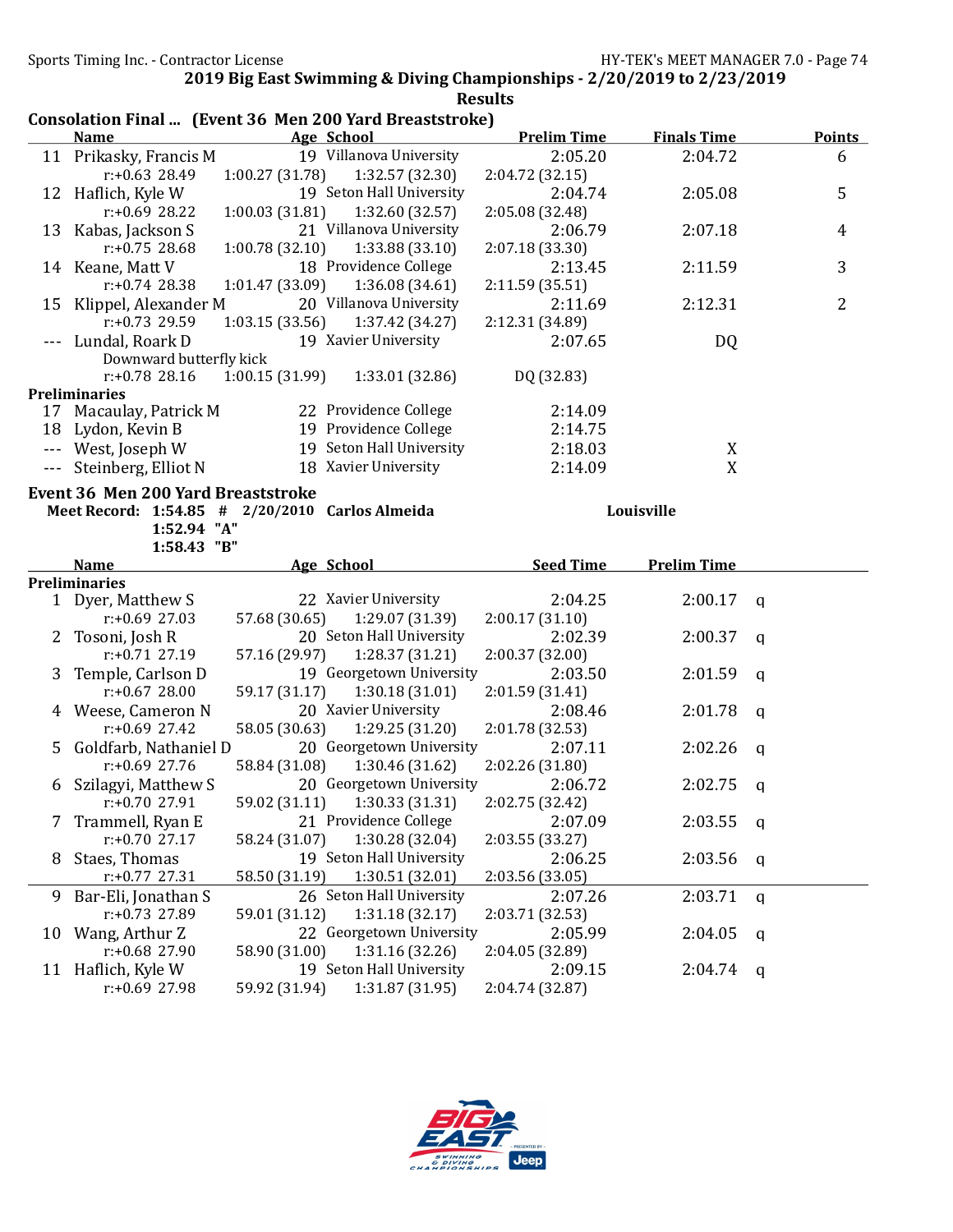|                      |                                                                        |                 |                          | <b>Results</b>             |                    |             |                |
|----------------------|------------------------------------------------------------------------|-----------------|--------------------------|----------------------------|--------------------|-------------|----------------|
|                      | Consolation Final  (Event 36 Men 200 Yard Breaststroke)<br><b>Name</b> |                 | Age School               | <b>Prelim Time</b>         | <b>Finals Time</b> |             | <b>Points</b>  |
|                      | 11 Prikasky, Francis M                                                 |                 | 19 Villanova University  | 2:05.20                    | 2:04.72            |             | 6              |
|                      | $r: +0.63$ 28.49                                                       | 1:00.27 (31.78) | 1:32.57 (32.30)          | 2:04.72 (32.15)            |                    |             |                |
|                      |                                                                        |                 | 19 Seton Hall University | 2:04.74                    | 2:05.08            |             | 5              |
|                      | 12 Haflich, Kyle W                                                     |                 |                          |                            |                    |             |                |
|                      | $r: +0.69$ 28.22                                                       | 1:00.03 (31.81) | 1:32.60 (32.57)          | 2:05.08 (32.48)            |                    |             |                |
|                      | 13 Kabas, Jackson S                                                    |                 | 21 Villanova University  | 2:06.79                    | 2:07.18            |             | 4              |
|                      | $r: +0.75$ 28.68                                                       | 1:00.78 (32.10) | 1:33.88 (33.10)          | 2:07.18 (33.30)            |                    |             |                |
|                      | 14 Keane, Matt V                                                       |                 | 18 Providence College    | 2:13.45                    | 2:11.59            |             | 3              |
|                      | $r: +0.74$ 28.38                                                       | 1:01.47 (33.09) | 1:36.08(34.61)           | 2:11.59 (35.51)            |                    |             |                |
|                      | 15 Klippel, Alexander M                                                |                 | 20 Villanova University  | 2:11.69                    | 2:12.31            |             | $\overline{2}$ |
|                      | $r: +0.73$ 29.59                                                       | 1:03.15(33.56)  | 1:37.42 (34.27)          | 2:12.31 (34.89)            |                    |             |                |
|                      | Lundal, Roark D                                                        |                 | 19 Xavier University     | 2:07.65                    | DQ                 |             |                |
|                      | Downward butterfly kick                                                |                 |                          |                            |                    |             |                |
|                      | $r: +0.78$ 28.16                                                       | 1:00.15(31.99)  | 1:33.01 (32.86)          | DQ (32.83)                 |                    |             |                |
|                      | <b>Preliminaries</b>                                                   |                 |                          |                            |                    |             |                |
|                      | 17 Macaulay, Patrick M                                                 |                 | 22 Providence College    | 2:14.09                    |                    |             |                |
| 18                   | Lydon, Kevin B                                                         |                 | 19 Providence College    | 2:14.75                    |                    |             |                |
| $\scriptstyle\cdots$ | West, Joseph W                                                         |                 | 19 Seton Hall University | 2:18.03                    | X                  |             |                |
|                      | --- Steinberg, Elliot N                                                |                 | 18 Xavier University     | 2:14.09                    | X                  |             |                |
|                      | 1:52.94 "A"<br>1:58.43 "B"                                             |                 |                          |                            |                    |             |                |
|                      | <b>Name</b>                                                            | Age School      |                          | <b>Seed Time</b>           | <b>Prelim Time</b> |             |                |
|                      | <b>Preliminaries</b>                                                   |                 |                          |                            |                    |             |                |
|                      | 1 Dyer, Matthew S                                                      |                 | 22 Xavier University     | 2:04.25                    | 2:00.17            | q           |                |
|                      | $r: +0.69$ 27.03                                                       | 57.68 (30.65)   | 1:29.07 (31.39)          | 2:00.17(31.10)             |                    |             |                |
| $\mathbf{Z}$         | Tosoni, Josh R                                                         |                 | 20 Seton Hall University | 2:02.39                    | 2:00.37            | q           |                |
|                      | $r: +0.71$ 27.19                                                       | 57.16 (29.97)   | 1:28.37 (31.21)          | 2:00.37 (32.00)            |                    |             |                |
| 3                    | Temple, Carlson D                                                      |                 | 19 Georgetown University | 2:03.50                    | 2:01.59            | q           |                |
|                      | $r: +0.67$ 28.00                                                       | 59.17 (31.17)   | 1:30.18(31.01)           | 2:01.59 (31.41)            |                    |             |                |
| 4                    | Weese, Cameron N                                                       |                 | 20 Xavier University     | 2:08.46                    | 2:01.78            | q           |                |
|                      | r:+0.69 27.42                                                          | 58.05 (30.63)   | 1:29.25 (31.20)          | 2:01.78 (32.53)            |                    |             |                |
| 5.                   | Goldfarb, Nathaniel D                                                  |                 | 20 Georgetown University | 2:07.11                    | 2:02.26            | a           |                |
|                      | $r: +0.69$ 27.76                                                       | 58.84 (31.08)   | 1:30.46 (31.62)          | 2:02.26 (31.80)            |                    |             |                |
|                      | 6 Szilagyi, Matthew S                                                  |                 | 20 Georgetown University | 2:06.72                    | $2:02.75$ q        |             |                |
|                      | r:+0.70 27.91                                                          | 59.02 (31.11)   | 1:30.33(31.31)           | 2:02.75 (32.42)            |                    |             |                |
| 7                    | Trammell, Ryan E                                                       |                 | 21 Providence College    | 2:07.09                    | 2:03.55            | q           |                |
|                      | $r: +0.70$ 27.17                                                       | 58.24 (31.07)   | 1:30.28 (32.04)          | 2:03.55 (33.27)            |                    |             |                |
| 8                    |                                                                        |                 |                          |                            |                    |             |                |
|                      | Staes, Thomas                                                          |                 | 19 Seton Hall University | 2:06.25                    | 2:03.56            | q           |                |
|                      | $r: +0.77$ 27.31                                                       | 58.50 (31.19)   | 1:30.51 (32.01)          | 2:03.56 (33.05)            |                    |             |                |
| 9                    | Bar-Eli, Jonathan S                                                    |                 | 26 Seton Hall University | 2:07.26                    | 2:03.71            | $\mathbf q$ |                |
|                      | r:+0.73 27.89                                                          | 59.01 (31.12)   | 1:31.18(32.17)           | 2:03.71 (32.53)            |                    |             |                |
| 10                   | Wang, Arthur Z                                                         |                 | 22 Georgetown University | 2:05.99                    | 2:04.05            | $\mathbf q$ |                |
|                      | $r: +0.68$ 27.90                                                       | 58.90 (31.00)   | 1:31.16(32.26)           |                            |                    |             |                |
|                      | 11 Haflich, Kyle W                                                     |                 | 19 Seton Hall University | 2:04.05 (32.89)<br>2:09.15 | 2:04.74            | q           |                |

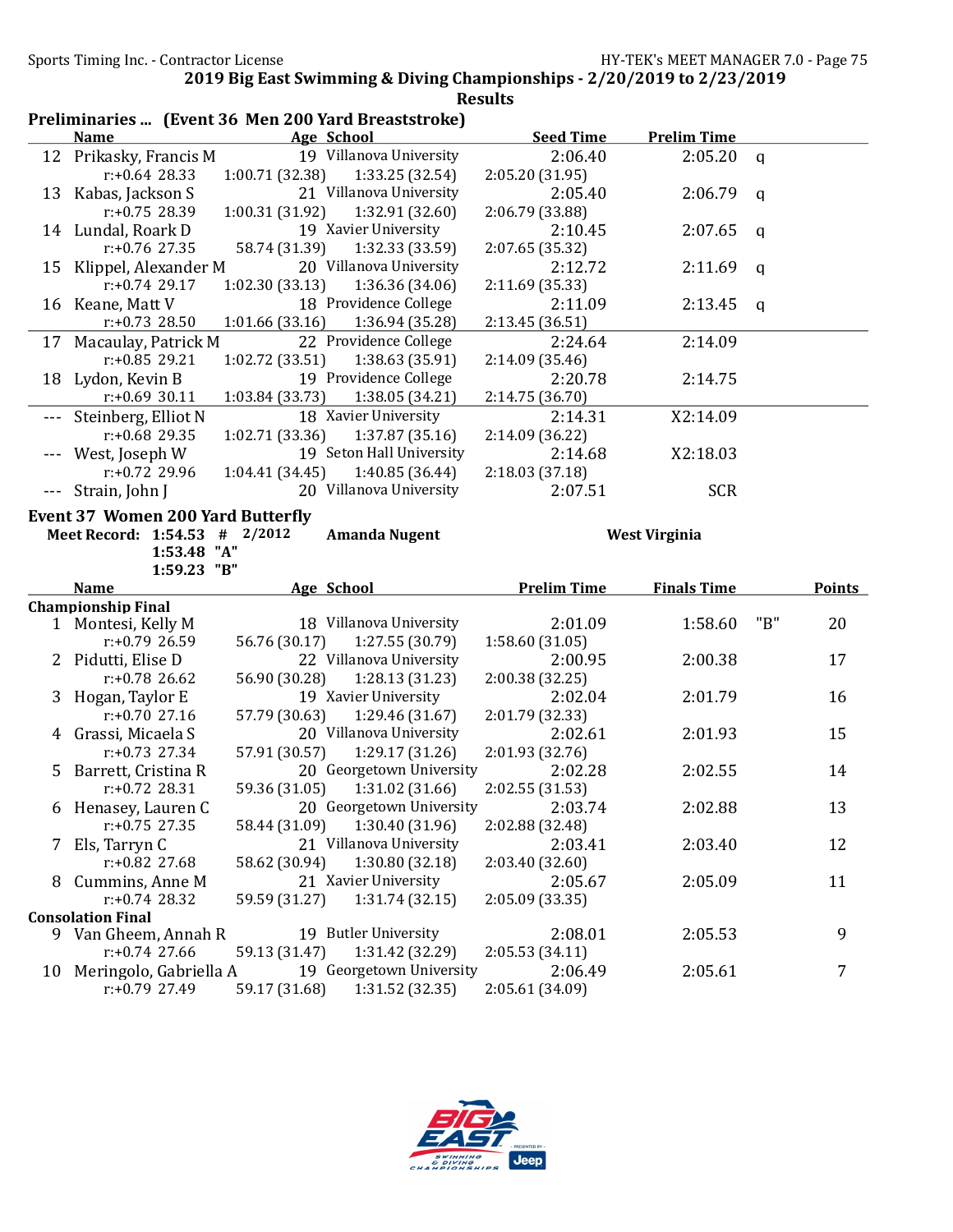|    |                                                     |                 |                                             | <b>Results</b>     |                      |     |               |
|----|-----------------------------------------------------|-----------------|---------------------------------------------|--------------------|----------------------|-----|---------------|
|    | Preliminaries  (Event 36 Men 200 Yard Breaststroke) |                 |                                             |                    |                      |     |               |
|    | <b>Name</b>                                         |                 | Age School                                  | <b>Seed Time</b>   | <b>Prelim Time</b>   |     |               |
|    | 12 Prikasky, Francis M                              |                 | 19 Villanova University                     | 2:06.40            | 2:05.20              | q   |               |
|    | $r: +0.64$ 28.33                                    | 1:00.71 (32.38) | 1:33.25 (32.54)                             | 2:05.20 (31.95)    |                      |     |               |
|    | 13 Kabas, Jackson S                                 |                 | 21 Villanova University                     | 2:05.40            | 2:06.79              | a   |               |
|    | $r: +0.75$ 28.39                                    | 1:00.31 (31.92) | 1:32.91 (32.60)                             | 2:06.79 (33.88)    |                      |     |               |
|    | 14 Lundal, Roark D                                  |                 | 19 Xavier University                        | 2:10.45            | 2:07.65              | a   |               |
|    | $r: +0.76$ 27.35                                    | 58.74 (31.39)   | 1:32.33 (33.59)                             | 2:07.65 (35.32)    |                      |     |               |
|    | 15 Klippel, Alexander M                             |                 | 20 Villanova University                     | 2:12.72            | 2:11.69              | q   |               |
|    | $r: +0.74$ 29.17                                    | 1:02.30 (33.13) | 1:36.36 (34.06)                             | 2:11.69 (35.33)    |                      |     |               |
|    | 16 Keane, Matt V                                    |                 | 18 Providence College                       | 2:11.09            | 2:13.45              | q   |               |
|    | $r: +0.73$ 28.50                                    | 1:01.66 (33.16) | 1:36.94 (35.28)                             | 2:13.45 (36.51)    |                      |     |               |
| 17 | Macaulay, Patrick M                                 |                 | 22 Providence College                       | 2:24.64            | 2:14.09              |     |               |
|    | $r: +0.85$ 29.21                                    | 1:02.72 (33.51) | 1:38.63 (35.91)                             | 2:14.09 (35.46)    |                      |     |               |
|    | 18 Lydon, Kevin B                                   |                 | 19 Providence College                       | 2:20.78            | 2:14.75              |     |               |
|    | $r: +0.69$ 30.11                                    | 1:03.84 (33.73) | 1:38.05 (34.21)                             | 2:14.75 (36.70)    |                      |     |               |
|    | Steinberg, Elliot N                                 |                 | 18 Xavier University                        | 2:14.31            | X2:14.09             |     |               |
|    | $r: +0.68$ 29.35                                    | 1:02.71 (33.36) | 1:37.87 (35.16)                             | 2:14.09 (36.22)    |                      |     |               |
|    | West, Joseph W                                      |                 | 19 Seton Hall University                    | 2:14.68            | X2:18.03             |     |               |
|    | $r: +0.72$ 29.96                                    | 1:04.41(34.45)  | 1:40.85 (36.44)                             | 2:18.03 (37.18)    |                      |     |               |
|    | Strain, John J                                      |                 | 20 Villanova University                     | 2:07.51            | <b>SCR</b>           |     |               |
|    |                                                     |                 |                                             |                    |                      |     |               |
|    | <b>Event 37 Women 200 Yard Butterfly</b>            |                 |                                             |                    |                      |     |               |
|    | Meet Record: 1:54.53 #                              | 2/2012          | <b>Amanda Nugent</b>                        |                    | <b>West Virginia</b> |     |               |
|    |                                                     |                 |                                             |                    |                      |     |               |
|    | 1:53.48 "A"                                         |                 |                                             |                    |                      |     |               |
|    | 1:59.23 "B"                                         |                 |                                             |                    |                      |     |               |
|    | <b>Name</b>                                         |                 | Age School                                  | <b>Prelim Time</b> | <b>Finals Time</b>   |     | <b>Points</b> |
|    | <b>Championship Final</b>                           |                 |                                             |                    |                      |     |               |
|    | 1 Montesi, Kelly M                                  |                 | 18 Villanova University                     | 2:01.09            | 1:58.60              | "B" | 20            |
|    | $r: +0.79$ 26.59                                    | 56.76 (30.17)   | 1:27.55(30.79)                              | 1:58.60 (31.05)    |                      |     |               |
|    | 2 Pidutti, Elise D                                  |                 | 22 Villanova University                     | 2:00.95            | 2:00.38              |     | 17            |
|    | $r: +0.78$ 26.62                                    | 56.90 (30.28)   | 1:28.13 (31.23)                             | 2:00.38 (32.25)    |                      |     |               |
| 3  | Hogan, Taylor E                                     |                 | 19 Xavier University                        | 2:02.04            | 2:01.79              |     | 16            |
|    | $r: +0.70$ 27.16                                    | 57.79 (30.63)   | 1:29.46 (31.67)                             | 2:01.79 (32.33)    |                      |     |               |
|    | 4 Grassi, Micaela S                                 |                 | 20 Villanova University                     | 2:02.61            | 2:01.93              |     | 15            |
|    | $r: +0.73$ 27.34                                    | 57.91 (30.57)   | 1:29.17 (31.26)                             | 2:01.93 (32.76)    |                      |     |               |
|    | 5 Barrett, Cristina R                               |                 | 20 Georgetown University                    | 2:02.28            | 2:02.55              |     | 14            |
|    | $r$ :+0.72 28.31                                    | 59.36 (31.05)   | 1:31.02 (31.66)                             | 2:02.55 (31.53)    |                      |     |               |
| 6  | Henasey, Lauren C                                   |                 | 20 Georgetown University                    | 2:03.74            | 2:02.88              |     | 13            |
|    | $r: +0.75$ 27.35                                    | 58.44 (31.09)   | 1:30.40 (31.96)                             | 2:02.88 (32.48)    |                      |     |               |
| 7  | Els, Tarryn C                                       |                 | 21 Villanova University                     | 2:03.41            | 2:03.40              |     | 12            |
|    | r:+0.82 27.68                                       | 58.62 (30.94)   | 1:30.80 (32.18)                             | 2:03.40 (32.60)    |                      |     |               |
| 8  | Cummins, Anne M                                     |                 | 21 Xavier University                        | 2:05.67            | 2:05.09              |     | 11            |
|    | $r: +0.74$ 28.32                                    | 59.59 (31.27)   | 1:31.74(32.15)                              | 2:05.09 (33.35)    |                      |     |               |
|    | <b>Consolation Final</b>                            |                 |                                             |                    |                      |     |               |
|    | 9 Van Gheem, Annah R                                |                 | 19 Butler University                        | 2:08.01            | 2:05.53              |     | 9             |
|    | $r: +0.74$ 27.66                                    | 59.13 (31.47)   | 1:31.42 (32.29)                             | 2:05.53 (34.11)    |                      |     |               |
| 10 | Meringolo, Gabriella A                              |                 | 19 Georgetown University<br>1:31.52 (32.35) | 2:06.49            | 2:05.61              |     | 7             |

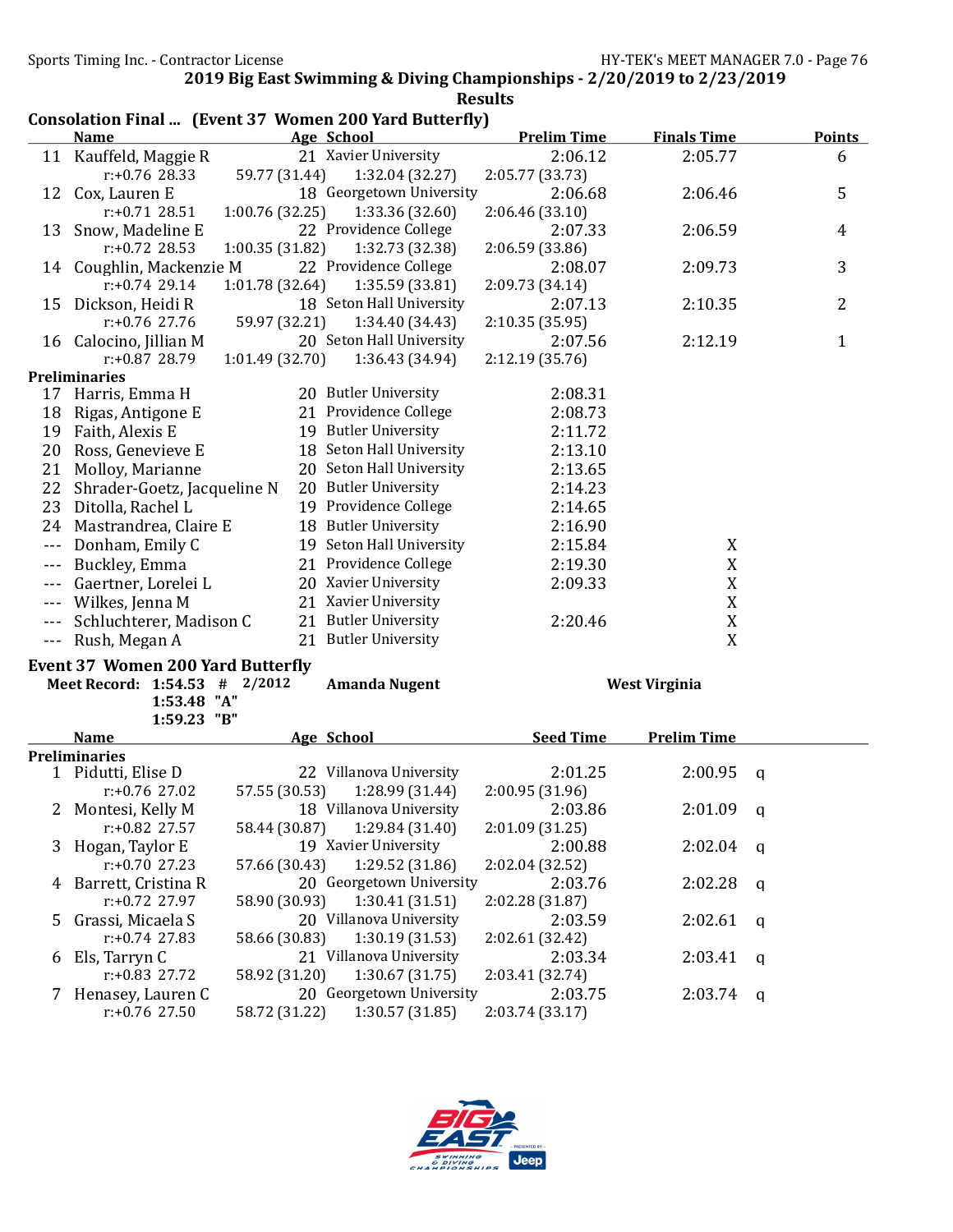|              |                                          |                 |                                                                             | <b>Results</b>     |                      |                |
|--------------|------------------------------------------|-----------------|-----------------------------------------------------------------------------|--------------------|----------------------|----------------|
|              | <b>Name</b>                              |                 | Consolation Final  (Event 37 Women 200 Yard Butterfly)<br><b>Age School</b> | <b>Prelim Time</b> | <b>Finals Time</b>   | <b>Points</b>  |
|              | 11 Kauffeld, Maggie R                    |                 | 21 Xavier University                                                        | 2:06.12            | 2:05.77              | 6              |
|              | $r: +0.76$ 28.33                         | 59.77 (31.44)   | 1:32.04 (32.27)                                                             | 2:05.77 (33.73)    |                      |                |
| 12           | Cox, Lauren E                            |                 | 18 Georgetown University                                                    | 2:06.68            | 2:06.46              | 5              |
|              | $r: +0.71$ 28.51                         | 1:00.76(32.25)  | 1:33.36 (32.60)                                                             | 2:06.46(33.10)     |                      |                |
| 13           | Snow, Madeline E                         |                 | 22 Providence College                                                       | 2:07.33            | 2:06.59              | 4              |
|              | $r: +0.72$ 28.53                         | 1:00.35(31.82)  | 1:32.73 (32.38)                                                             | 2:06.59 (33.86)    |                      |                |
| 14           | Coughlin, Mackenzie M                    |                 | 22 Providence College                                                       | 2:08.07            | 2:09.73              | 3              |
|              | $r: +0.74$ 29.14                         | 1:01.78 (32.64) | 1:35.59 (33.81)                                                             | 2:09.73 (34.14)    |                      |                |
| 15           | Dickson, Heidi R                         |                 | 18 Seton Hall University                                                    | 2:07.13            | 2:10.35              | $\overline{2}$ |
|              | r:+0.76 27.76                            | 59.97 (32.21)   | 1:34.40 (34.43)                                                             | 2:10.35 (35.95)    |                      |                |
|              | 16 Calocino, Jillian M                   |                 | 20 Seton Hall University                                                    | 2:07.56            | 2:12.19              | $\mathbf{1}$   |
|              | $r: +0.87$ 28.79                         | 1:01.49(32.70)  | 1:36.43 (34.94)                                                             | 2:12.19 (35.76)    |                      |                |
|              | <b>Preliminaries</b>                     |                 |                                                                             |                    |                      |                |
|              | 17 Harris, Emma H                        |                 | 20 Butler University                                                        | 2:08.31            |                      |                |
| 18           | Rigas, Antigone E                        |                 | 21 Providence College                                                       | 2:08.73            |                      |                |
| 19           | Faith, Alexis E                          |                 | 19 Butler University                                                        | 2:11.72            |                      |                |
| 20           | Ross, Genevieve E                        |                 | 18 Seton Hall University                                                    | 2:13.10            |                      |                |
| 21           | Molloy, Marianne                         |                 | 20 Seton Hall University                                                    |                    |                      |                |
|              |                                          |                 | 20 Butler University                                                        | 2:13.65            |                      |                |
| 22           | Shrader-Goetz, Jacqueline N              |                 |                                                                             | 2:14.23            |                      |                |
| 23           | Ditolla, Rachel L                        |                 | 19 Providence College                                                       | 2:14.65            |                      |                |
| 24           | Mastrandrea, Claire E                    |                 | 18 Butler University                                                        | 2:16.90            |                      |                |
| $- - -$      | Donham, Emily C                          |                 | 19 Seton Hall University                                                    | 2:15.84            | X                    |                |
| $---$        | Buckley, Emma                            |                 | 21 Providence College                                                       | 2:19.30            | $\mathbf X$          |                |
| $- - -$      | Gaertner, Lorelei L                      |                 | 20 Xavier University                                                        | 2:09.33            | $\mathbf X$          |                |
| $- - -$      | Wilkes, Jenna M                          |                 | 21 Xavier University                                                        |                    | $\mathbf X$          |                |
|              | Schluchterer, Madison C                  |                 | 21 Butler University                                                        | 2:20.46            | $\mathbf X$          |                |
| $- - -$      | Rush, Megan A                            |                 | 21 Butler University                                                        |                    | $\mathbf X$          |                |
|              | <b>Event 37 Women 200 Yard Butterfly</b> |                 |                                                                             |                    |                      |                |
|              | Meet Record: 1:54.53 #                   | 2/2012          | <b>Amanda Nugent</b>                                                        |                    | <b>West Virginia</b> |                |
|              | 1:53.48 "A"                              |                 |                                                                             |                    |                      |                |
|              | 1:59.23 "B"                              |                 |                                                                             |                    |                      |                |
|              | <b>Name</b>                              |                 | <b>Age School</b>                                                           | <b>Seed Time</b>   | <b>Prelim Time</b>   |                |
|              | <b>Preliminaries</b>                     |                 |                                                                             |                    |                      |                |
|              | 1 Pidutti, Elise D                       |                 | 22 Villanova University                                                     | 2:01.25            | 2:00.95              | q              |
|              | r:+0.76 27.02                            | 57.55 (30.53)   | 1:28.99 (31.44)                                                             | 2:00.95 (31.96)    |                      |                |
| $\mathbf{Z}$ | Montesi, Kelly M                         |                 | 18 Villanova University                                                     | 2:03.86            | 2:01.09              | q              |
|              | $r: +0.82$ 27.57                         | 58.44 (30.87)   | 1:29.84 (31.40)                                                             | 2:01.09 (31.25)    |                      |                |
| 3            | Hogan, Taylor E                          |                 | 19 Xavier University                                                        | 2:00.88            | 2:02.04              | q              |
|              | $r: +0.70$ 27.23                         | 57.66 (30.43)   | 1:29.52 (31.86)                                                             | 2:02.04 (32.52)    |                      |                |
|              | 4 Barrett, Cristina R                    |                 | 20 Georgetown University                                                    | 2:03.76            | 2:02.28              | q              |
|              | r:+0.72 27.97                            | 58.90 (30.93)   | 1:30.41 (31.51)                                                             | 2:02.28 (31.87)    |                      |                |
| 5            | Grassi, Micaela S                        |                 | 20 Villanova University                                                     | 2:03.59            | 2:02.61              | $\mathsf{q}$   |
|              | $r: +0.74$ 27.83                         | 58.66 (30.83)   | 1:30.19(31.53)                                                              | 2:02.61 (32.42)    |                      |                |
| 6            | Els, Tarryn C                            |                 | 21 Villanova University                                                     | 2:03.34            | 2:03.41              | q              |
|              | r:+0.83 27.72                            | 58.92 (31.20)   | 1:30.67(31.75)                                                              | 2:03.41 (32.74)    |                      |                |
|              | 7 Henasey, Lauren C                      |                 | 20 Georgetown University                                                    | 2:03.75            | 2:03.74              | q              |
|              | r:+0.76 27.50                            | 58.72 (31.22)   | 1:30.57(31.85)                                                              | 2:03.74 (33.17)    |                      |                |

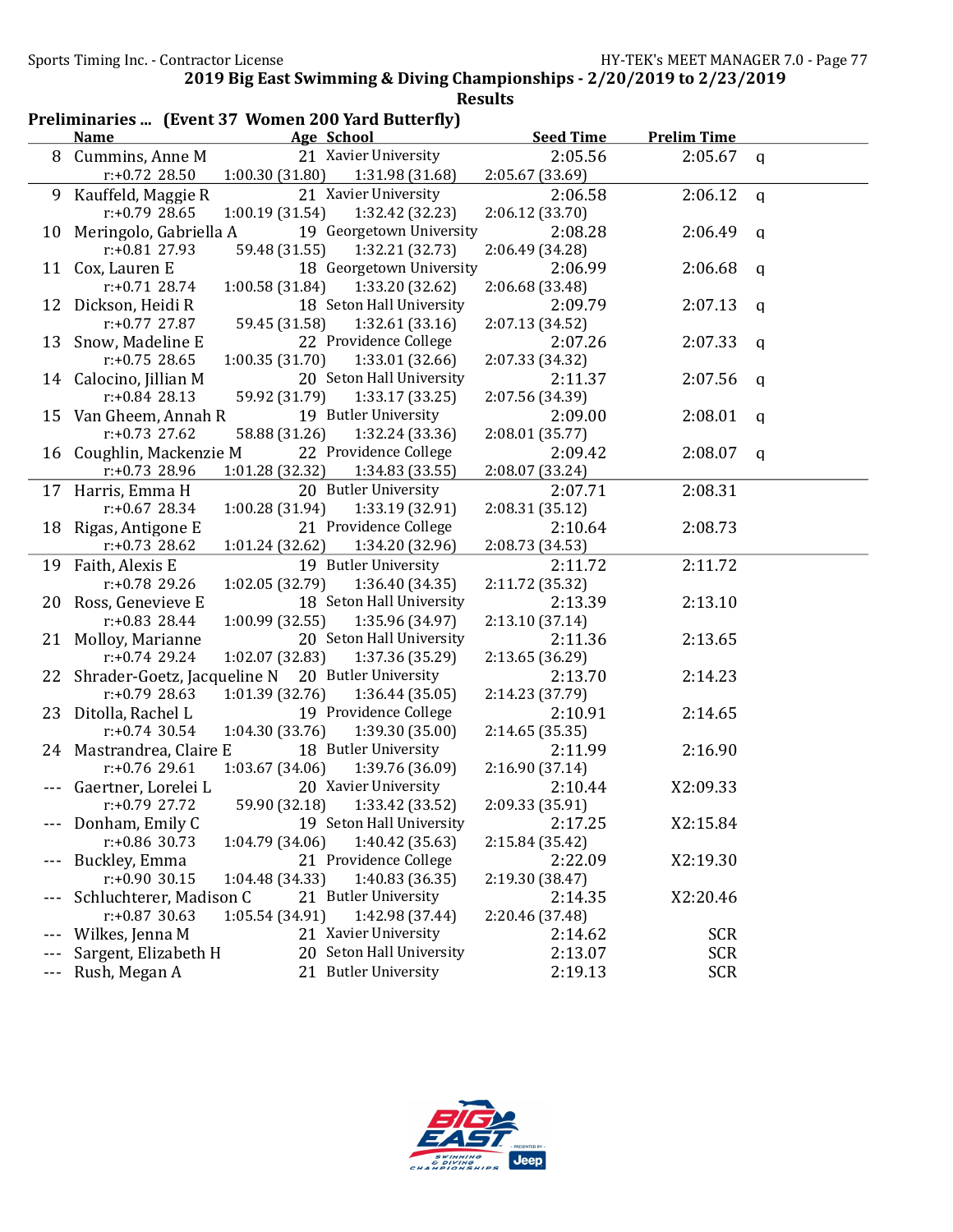| <b>Age School</b><br><b>Seed Time</b><br><b>Prelim Time</b><br><b>Name</b><br>21 Xavier University<br>2:05.56<br>2:05.67<br>Cummins, Anne M<br>8<br>$\mathbf q$<br>1:00.30 (31.80)<br>$r: +0.72$ 28.50<br>1:31.98 (31.68)<br>2:05.67 (33.69)<br>21 Xavier University<br>Kauffeld, Maggie R<br>2:06.58<br>2:06.12<br>9<br>$\mathbf q$<br>1:00.19 (31.54)<br>1:32.42 (32.23)<br>$r: +0.79$ 28.65<br>2:06.12 (33.70)<br>19 Georgetown University<br>Meringolo, Gabriella A<br>2:08.28<br>2:06.49<br>10<br>q<br>59.48 (31.55)<br>1:32.21 (32.73)<br>$r: +0.81$ 27.93<br>2:06.49 (34.28)<br>18 Georgetown University<br>2:06.68<br>Cox, Lauren E<br>2:06.99<br>11<br>$\mathbf q$<br>$r: +0.71$ 28.74<br>1:00.58 (31.84)<br>1:33.20 (32.62)<br>2:06.68 (33.48)<br>Dickson, Heidi R<br>18 Seton Hall University<br>2:07.13<br>2:09.79<br>12<br>q<br>59.45 (31.58)<br>1:32.61 (33.16)<br>$r: +0.77$ 27.87<br>2:07.13 (34.52)<br>22 Providence College<br>Snow, Madeline E<br>2:07.33<br>2:07.26<br>13<br>q<br>1:00.35 (31.70)<br>1:33.01 (32.66)<br>$r: +0.75$ 28.65<br>2:07.33 (34.32)<br>20 Seton Hall University<br>Calocino, Jillian M<br>2:07.56<br>2:11.37<br>14<br>q<br>$r: +0.84$ 28.13<br>59.92 (31.79)<br>1:33.17 (33.25)<br>2:07.56 (34.39)<br>19 Butler University<br>15 Van Gheem, Annah R<br>2:08.01<br>2:09.00<br>q<br>$r: +0.73$ 27.62<br>58.88 (31.26)<br>1:32.24 (33.36)<br>2:08.01 (35.77)<br>Coughlin, Mackenzie M<br>22 Providence College<br>2:09.42<br>2:08.07<br>16<br>q<br>r:+0.73 28.96<br>1:01.28 (32.32)<br>1:34.83(33.55)<br>2:08.07 (33.24)<br>Harris, Emma H<br>20 Butler University<br>2:07.71<br>2:08.31<br>17<br>$r: +0.67$ 28.34<br>1:00.28 (31.94)<br>1:33.19 (32.91)<br>2:08.31(35.12)<br>21 Providence College<br>Rigas, Antigone E<br>2:10.64<br>2:08.73<br>18<br>1:34.20 (32.96)<br>$r: +0.73$ 28.62<br>1:01.24(32.62)<br>2:08.73 (34.53)<br>19 Butler University<br>Faith, Alexis E<br>2:11.72<br>2:11.72<br>19<br>$r: +0.78$ 29.26<br>1:02.05 (32.79)<br>1:36.40 (34.35)<br>2:11.72 (35.32)<br>18 Seton Hall University<br>Ross, Genevieve E<br>2:13.10<br>2:13.39<br>20<br>$r: +0.83$ 28.44<br>1:00.99(32.55)<br>1:35.96 (34.97)<br>2:13.10 (37.14)<br>20 Seton Hall University<br>Molloy, Marianne<br>2:11.36<br>2:13.65<br>21<br>$r: +0.74$ 29.24<br>1:02.07 (32.83)<br>1:37.36 (35.29)<br>2:13.65 (36.29)<br>Shrader-Goetz, Jacqueline N<br>20 Butler University<br>2:13.70<br>2:14.23<br>22<br>1:01.39(32.76)<br>$r: +0.79$ 28.63<br>1:36.44(35.05)<br>2:14.23 (37.79)<br>23 Ditolla, Rachel L<br>19 Providence College<br>2:10.91<br>2:14.65<br>$r: +0.74$ 30.54<br>1:04.30 (33.76)<br>1:39.30 (35.00)<br>2:14.65 (35.35)<br>18 Butler University<br>24 Mastrandrea, Claire E<br>2:11.99<br>2:16.90<br>$r: +0.76$ 29.61<br>1:03.67(34.06)<br>1:39.76 (36.09)<br>2:16.90 (37.14)<br>20 Xavier University<br>2:10.44<br>X2:09.33<br>Gaertner, Lorelei L<br>59.90 (32.18)<br>1:33.42 (33.52)<br>2:09.33 (35.91)<br>r:+0.79 27.72<br>19 Seton Hall University<br>Donham, Emily C<br>2:17.25<br>X2:15.84<br>r:+0.86 30.73<br>1:40.42 (35.63)<br>1:04.79 (34.06)<br>2:15.84 (35.42)<br>Buckley, Emma<br>21 Providence College<br>2:22.09<br>X2:19.30<br>$r: +0.90$ 30.15<br>1:04.48 (34.33)<br>1:40.83(36.35)<br>2:19.30 (38.47)<br>Schluchterer, Madison C<br>21 Butler University<br>X2:20.46<br>2:14.35 | Preliminaries  (Event 37 Women 200 Yard Butterfly) |                 |                 |                 |  |  |  |
|----------------------------------------------------------------------------------------------------------------------------------------------------------------------------------------------------------------------------------------------------------------------------------------------------------------------------------------------------------------------------------------------------------------------------------------------------------------------------------------------------------------------------------------------------------------------------------------------------------------------------------------------------------------------------------------------------------------------------------------------------------------------------------------------------------------------------------------------------------------------------------------------------------------------------------------------------------------------------------------------------------------------------------------------------------------------------------------------------------------------------------------------------------------------------------------------------------------------------------------------------------------------------------------------------------------------------------------------------------------------------------------------------------------------------------------------------------------------------------------------------------------------------------------------------------------------------------------------------------------------------------------------------------------------------------------------------------------------------------------------------------------------------------------------------------------------------------------------------------------------------------------------------------------------------------------------------------------------------------------------------------------------------------------------------------------------------------------------------------------------------------------------------------------------------------------------------------------------------------------------------------------------------------------------------------------------------------------------------------------------------------------------------------------------------------------------------------------------------------------------------------------------------------------------------------------------------------------------------------------------------------------------------------------------------------------------------------------------------------------------------------------------------------------------------------------------------------------------------------------------------------------------------------------------------------------------------------------------------------------------------------------------------------------------------------------------------------------------------------------------------------------------------------------------------------------------------------------------------------------------------------------------------------------------------------------------------------------------|----------------------------------------------------|-----------------|-----------------|-----------------|--|--|--|
|                                                                                                                                                                                                                                                                                                                                                                                                                                                                                                                                                                                                                                                                                                                                                                                                                                                                                                                                                                                                                                                                                                                                                                                                                                                                                                                                                                                                                                                                                                                                                                                                                                                                                                                                                                                                                                                                                                                                                                                                                                                                                                                                                                                                                                                                                                                                                                                                                                                                                                                                                                                                                                                                                                                                                                                                                                                                                                                                                                                                                                                                                                                                                                                                                                                                                                                                              |                                                    |                 |                 |                 |  |  |  |
|                                                                                                                                                                                                                                                                                                                                                                                                                                                                                                                                                                                                                                                                                                                                                                                                                                                                                                                                                                                                                                                                                                                                                                                                                                                                                                                                                                                                                                                                                                                                                                                                                                                                                                                                                                                                                                                                                                                                                                                                                                                                                                                                                                                                                                                                                                                                                                                                                                                                                                                                                                                                                                                                                                                                                                                                                                                                                                                                                                                                                                                                                                                                                                                                                                                                                                                                              |                                                    |                 |                 |                 |  |  |  |
|                                                                                                                                                                                                                                                                                                                                                                                                                                                                                                                                                                                                                                                                                                                                                                                                                                                                                                                                                                                                                                                                                                                                                                                                                                                                                                                                                                                                                                                                                                                                                                                                                                                                                                                                                                                                                                                                                                                                                                                                                                                                                                                                                                                                                                                                                                                                                                                                                                                                                                                                                                                                                                                                                                                                                                                                                                                                                                                                                                                                                                                                                                                                                                                                                                                                                                                                              |                                                    |                 |                 |                 |  |  |  |
|                                                                                                                                                                                                                                                                                                                                                                                                                                                                                                                                                                                                                                                                                                                                                                                                                                                                                                                                                                                                                                                                                                                                                                                                                                                                                                                                                                                                                                                                                                                                                                                                                                                                                                                                                                                                                                                                                                                                                                                                                                                                                                                                                                                                                                                                                                                                                                                                                                                                                                                                                                                                                                                                                                                                                                                                                                                                                                                                                                                                                                                                                                                                                                                                                                                                                                                                              |                                                    |                 |                 |                 |  |  |  |
|                                                                                                                                                                                                                                                                                                                                                                                                                                                                                                                                                                                                                                                                                                                                                                                                                                                                                                                                                                                                                                                                                                                                                                                                                                                                                                                                                                                                                                                                                                                                                                                                                                                                                                                                                                                                                                                                                                                                                                                                                                                                                                                                                                                                                                                                                                                                                                                                                                                                                                                                                                                                                                                                                                                                                                                                                                                                                                                                                                                                                                                                                                                                                                                                                                                                                                                                              |                                                    |                 |                 |                 |  |  |  |
|                                                                                                                                                                                                                                                                                                                                                                                                                                                                                                                                                                                                                                                                                                                                                                                                                                                                                                                                                                                                                                                                                                                                                                                                                                                                                                                                                                                                                                                                                                                                                                                                                                                                                                                                                                                                                                                                                                                                                                                                                                                                                                                                                                                                                                                                                                                                                                                                                                                                                                                                                                                                                                                                                                                                                                                                                                                                                                                                                                                                                                                                                                                                                                                                                                                                                                                                              |                                                    |                 |                 |                 |  |  |  |
|                                                                                                                                                                                                                                                                                                                                                                                                                                                                                                                                                                                                                                                                                                                                                                                                                                                                                                                                                                                                                                                                                                                                                                                                                                                                                                                                                                                                                                                                                                                                                                                                                                                                                                                                                                                                                                                                                                                                                                                                                                                                                                                                                                                                                                                                                                                                                                                                                                                                                                                                                                                                                                                                                                                                                                                                                                                                                                                                                                                                                                                                                                                                                                                                                                                                                                                                              |                                                    |                 |                 |                 |  |  |  |
|                                                                                                                                                                                                                                                                                                                                                                                                                                                                                                                                                                                                                                                                                                                                                                                                                                                                                                                                                                                                                                                                                                                                                                                                                                                                                                                                                                                                                                                                                                                                                                                                                                                                                                                                                                                                                                                                                                                                                                                                                                                                                                                                                                                                                                                                                                                                                                                                                                                                                                                                                                                                                                                                                                                                                                                                                                                                                                                                                                                                                                                                                                                                                                                                                                                                                                                                              |                                                    |                 |                 |                 |  |  |  |
|                                                                                                                                                                                                                                                                                                                                                                                                                                                                                                                                                                                                                                                                                                                                                                                                                                                                                                                                                                                                                                                                                                                                                                                                                                                                                                                                                                                                                                                                                                                                                                                                                                                                                                                                                                                                                                                                                                                                                                                                                                                                                                                                                                                                                                                                                                                                                                                                                                                                                                                                                                                                                                                                                                                                                                                                                                                                                                                                                                                                                                                                                                                                                                                                                                                                                                                                              |                                                    |                 |                 |                 |  |  |  |
|                                                                                                                                                                                                                                                                                                                                                                                                                                                                                                                                                                                                                                                                                                                                                                                                                                                                                                                                                                                                                                                                                                                                                                                                                                                                                                                                                                                                                                                                                                                                                                                                                                                                                                                                                                                                                                                                                                                                                                                                                                                                                                                                                                                                                                                                                                                                                                                                                                                                                                                                                                                                                                                                                                                                                                                                                                                                                                                                                                                                                                                                                                                                                                                                                                                                                                                                              |                                                    |                 |                 |                 |  |  |  |
|                                                                                                                                                                                                                                                                                                                                                                                                                                                                                                                                                                                                                                                                                                                                                                                                                                                                                                                                                                                                                                                                                                                                                                                                                                                                                                                                                                                                                                                                                                                                                                                                                                                                                                                                                                                                                                                                                                                                                                                                                                                                                                                                                                                                                                                                                                                                                                                                                                                                                                                                                                                                                                                                                                                                                                                                                                                                                                                                                                                                                                                                                                                                                                                                                                                                                                                                              |                                                    |                 |                 |                 |  |  |  |
|                                                                                                                                                                                                                                                                                                                                                                                                                                                                                                                                                                                                                                                                                                                                                                                                                                                                                                                                                                                                                                                                                                                                                                                                                                                                                                                                                                                                                                                                                                                                                                                                                                                                                                                                                                                                                                                                                                                                                                                                                                                                                                                                                                                                                                                                                                                                                                                                                                                                                                                                                                                                                                                                                                                                                                                                                                                                                                                                                                                                                                                                                                                                                                                                                                                                                                                                              |                                                    |                 |                 |                 |  |  |  |
|                                                                                                                                                                                                                                                                                                                                                                                                                                                                                                                                                                                                                                                                                                                                                                                                                                                                                                                                                                                                                                                                                                                                                                                                                                                                                                                                                                                                                                                                                                                                                                                                                                                                                                                                                                                                                                                                                                                                                                                                                                                                                                                                                                                                                                                                                                                                                                                                                                                                                                                                                                                                                                                                                                                                                                                                                                                                                                                                                                                                                                                                                                                                                                                                                                                                                                                                              |                                                    |                 |                 |                 |  |  |  |
|                                                                                                                                                                                                                                                                                                                                                                                                                                                                                                                                                                                                                                                                                                                                                                                                                                                                                                                                                                                                                                                                                                                                                                                                                                                                                                                                                                                                                                                                                                                                                                                                                                                                                                                                                                                                                                                                                                                                                                                                                                                                                                                                                                                                                                                                                                                                                                                                                                                                                                                                                                                                                                                                                                                                                                                                                                                                                                                                                                                                                                                                                                                                                                                                                                                                                                                                              |                                                    |                 |                 |                 |  |  |  |
|                                                                                                                                                                                                                                                                                                                                                                                                                                                                                                                                                                                                                                                                                                                                                                                                                                                                                                                                                                                                                                                                                                                                                                                                                                                                                                                                                                                                                                                                                                                                                                                                                                                                                                                                                                                                                                                                                                                                                                                                                                                                                                                                                                                                                                                                                                                                                                                                                                                                                                                                                                                                                                                                                                                                                                                                                                                                                                                                                                                                                                                                                                                                                                                                                                                                                                                                              |                                                    |                 |                 |                 |  |  |  |
|                                                                                                                                                                                                                                                                                                                                                                                                                                                                                                                                                                                                                                                                                                                                                                                                                                                                                                                                                                                                                                                                                                                                                                                                                                                                                                                                                                                                                                                                                                                                                                                                                                                                                                                                                                                                                                                                                                                                                                                                                                                                                                                                                                                                                                                                                                                                                                                                                                                                                                                                                                                                                                                                                                                                                                                                                                                                                                                                                                                                                                                                                                                                                                                                                                                                                                                                              |                                                    |                 |                 |                 |  |  |  |
|                                                                                                                                                                                                                                                                                                                                                                                                                                                                                                                                                                                                                                                                                                                                                                                                                                                                                                                                                                                                                                                                                                                                                                                                                                                                                                                                                                                                                                                                                                                                                                                                                                                                                                                                                                                                                                                                                                                                                                                                                                                                                                                                                                                                                                                                                                                                                                                                                                                                                                                                                                                                                                                                                                                                                                                                                                                                                                                                                                                                                                                                                                                                                                                                                                                                                                                                              |                                                    |                 |                 |                 |  |  |  |
|                                                                                                                                                                                                                                                                                                                                                                                                                                                                                                                                                                                                                                                                                                                                                                                                                                                                                                                                                                                                                                                                                                                                                                                                                                                                                                                                                                                                                                                                                                                                                                                                                                                                                                                                                                                                                                                                                                                                                                                                                                                                                                                                                                                                                                                                                                                                                                                                                                                                                                                                                                                                                                                                                                                                                                                                                                                                                                                                                                                                                                                                                                                                                                                                                                                                                                                                              |                                                    |                 |                 |                 |  |  |  |
|                                                                                                                                                                                                                                                                                                                                                                                                                                                                                                                                                                                                                                                                                                                                                                                                                                                                                                                                                                                                                                                                                                                                                                                                                                                                                                                                                                                                                                                                                                                                                                                                                                                                                                                                                                                                                                                                                                                                                                                                                                                                                                                                                                                                                                                                                                                                                                                                                                                                                                                                                                                                                                                                                                                                                                                                                                                                                                                                                                                                                                                                                                                                                                                                                                                                                                                                              |                                                    |                 |                 |                 |  |  |  |
|                                                                                                                                                                                                                                                                                                                                                                                                                                                                                                                                                                                                                                                                                                                                                                                                                                                                                                                                                                                                                                                                                                                                                                                                                                                                                                                                                                                                                                                                                                                                                                                                                                                                                                                                                                                                                                                                                                                                                                                                                                                                                                                                                                                                                                                                                                                                                                                                                                                                                                                                                                                                                                                                                                                                                                                                                                                                                                                                                                                                                                                                                                                                                                                                                                                                                                                                              |                                                    |                 |                 |                 |  |  |  |
|                                                                                                                                                                                                                                                                                                                                                                                                                                                                                                                                                                                                                                                                                                                                                                                                                                                                                                                                                                                                                                                                                                                                                                                                                                                                                                                                                                                                                                                                                                                                                                                                                                                                                                                                                                                                                                                                                                                                                                                                                                                                                                                                                                                                                                                                                                                                                                                                                                                                                                                                                                                                                                                                                                                                                                                                                                                                                                                                                                                                                                                                                                                                                                                                                                                                                                                                              |                                                    |                 |                 |                 |  |  |  |
|                                                                                                                                                                                                                                                                                                                                                                                                                                                                                                                                                                                                                                                                                                                                                                                                                                                                                                                                                                                                                                                                                                                                                                                                                                                                                                                                                                                                                                                                                                                                                                                                                                                                                                                                                                                                                                                                                                                                                                                                                                                                                                                                                                                                                                                                                                                                                                                                                                                                                                                                                                                                                                                                                                                                                                                                                                                                                                                                                                                                                                                                                                                                                                                                                                                                                                                                              |                                                    |                 |                 |                 |  |  |  |
|                                                                                                                                                                                                                                                                                                                                                                                                                                                                                                                                                                                                                                                                                                                                                                                                                                                                                                                                                                                                                                                                                                                                                                                                                                                                                                                                                                                                                                                                                                                                                                                                                                                                                                                                                                                                                                                                                                                                                                                                                                                                                                                                                                                                                                                                                                                                                                                                                                                                                                                                                                                                                                                                                                                                                                                                                                                                                                                                                                                                                                                                                                                                                                                                                                                                                                                                              |                                                    |                 |                 |                 |  |  |  |
|                                                                                                                                                                                                                                                                                                                                                                                                                                                                                                                                                                                                                                                                                                                                                                                                                                                                                                                                                                                                                                                                                                                                                                                                                                                                                                                                                                                                                                                                                                                                                                                                                                                                                                                                                                                                                                                                                                                                                                                                                                                                                                                                                                                                                                                                                                                                                                                                                                                                                                                                                                                                                                                                                                                                                                                                                                                                                                                                                                                                                                                                                                                                                                                                                                                                                                                                              |                                                    |                 |                 |                 |  |  |  |
|                                                                                                                                                                                                                                                                                                                                                                                                                                                                                                                                                                                                                                                                                                                                                                                                                                                                                                                                                                                                                                                                                                                                                                                                                                                                                                                                                                                                                                                                                                                                                                                                                                                                                                                                                                                                                                                                                                                                                                                                                                                                                                                                                                                                                                                                                                                                                                                                                                                                                                                                                                                                                                                                                                                                                                                                                                                                                                                                                                                                                                                                                                                                                                                                                                                                                                                                              |                                                    |                 |                 |                 |  |  |  |
|                                                                                                                                                                                                                                                                                                                                                                                                                                                                                                                                                                                                                                                                                                                                                                                                                                                                                                                                                                                                                                                                                                                                                                                                                                                                                                                                                                                                                                                                                                                                                                                                                                                                                                                                                                                                                                                                                                                                                                                                                                                                                                                                                                                                                                                                                                                                                                                                                                                                                                                                                                                                                                                                                                                                                                                                                                                                                                                                                                                                                                                                                                                                                                                                                                                                                                                                              |                                                    |                 |                 |                 |  |  |  |
|                                                                                                                                                                                                                                                                                                                                                                                                                                                                                                                                                                                                                                                                                                                                                                                                                                                                                                                                                                                                                                                                                                                                                                                                                                                                                                                                                                                                                                                                                                                                                                                                                                                                                                                                                                                                                                                                                                                                                                                                                                                                                                                                                                                                                                                                                                                                                                                                                                                                                                                                                                                                                                                                                                                                                                                                                                                                                                                                                                                                                                                                                                                                                                                                                                                                                                                                              |                                                    |                 |                 |                 |  |  |  |
|                                                                                                                                                                                                                                                                                                                                                                                                                                                                                                                                                                                                                                                                                                                                                                                                                                                                                                                                                                                                                                                                                                                                                                                                                                                                                                                                                                                                                                                                                                                                                                                                                                                                                                                                                                                                                                                                                                                                                                                                                                                                                                                                                                                                                                                                                                                                                                                                                                                                                                                                                                                                                                                                                                                                                                                                                                                                                                                                                                                                                                                                                                                                                                                                                                                                                                                                              |                                                    |                 |                 |                 |  |  |  |
|                                                                                                                                                                                                                                                                                                                                                                                                                                                                                                                                                                                                                                                                                                                                                                                                                                                                                                                                                                                                                                                                                                                                                                                                                                                                                                                                                                                                                                                                                                                                                                                                                                                                                                                                                                                                                                                                                                                                                                                                                                                                                                                                                                                                                                                                                                                                                                                                                                                                                                                                                                                                                                                                                                                                                                                                                                                                                                                                                                                                                                                                                                                                                                                                                                                                                                                                              |                                                    |                 |                 |                 |  |  |  |
|                                                                                                                                                                                                                                                                                                                                                                                                                                                                                                                                                                                                                                                                                                                                                                                                                                                                                                                                                                                                                                                                                                                                                                                                                                                                                                                                                                                                                                                                                                                                                                                                                                                                                                                                                                                                                                                                                                                                                                                                                                                                                                                                                                                                                                                                                                                                                                                                                                                                                                                                                                                                                                                                                                                                                                                                                                                                                                                                                                                                                                                                                                                                                                                                                                                                                                                                              |                                                    |                 |                 |                 |  |  |  |
|                                                                                                                                                                                                                                                                                                                                                                                                                                                                                                                                                                                                                                                                                                                                                                                                                                                                                                                                                                                                                                                                                                                                                                                                                                                                                                                                                                                                                                                                                                                                                                                                                                                                                                                                                                                                                                                                                                                                                                                                                                                                                                                                                                                                                                                                                                                                                                                                                                                                                                                                                                                                                                                                                                                                                                                                                                                                                                                                                                                                                                                                                                                                                                                                                                                                                                                                              |                                                    |                 |                 |                 |  |  |  |
|                                                                                                                                                                                                                                                                                                                                                                                                                                                                                                                                                                                                                                                                                                                                                                                                                                                                                                                                                                                                                                                                                                                                                                                                                                                                                                                                                                                                                                                                                                                                                                                                                                                                                                                                                                                                                                                                                                                                                                                                                                                                                                                                                                                                                                                                                                                                                                                                                                                                                                                                                                                                                                                                                                                                                                                                                                                                                                                                                                                                                                                                                                                                                                                                                                                                                                                                              |                                                    |                 |                 |                 |  |  |  |
|                                                                                                                                                                                                                                                                                                                                                                                                                                                                                                                                                                                                                                                                                                                                                                                                                                                                                                                                                                                                                                                                                                                                                                                                                                                                                                                                                                                                                                                                                                                                                                                                                                                                                                                                                                                                                                                                                                                                                                                                                                                                                                                                                                                                                                                                                                                                                                                                                                                                                                                                                                                                                                                                                                                                                                                                                                                                                                                                                                                                                                                                                                                                                                                                                                                                                                                                              |                                                    |                 |                 |                 |  |  |  |
|                                                                                                                                                                                                                                                                                                                                                                                                                                                                                                                                                                                                                                                                                                                                                                                                                                                                                                                                                                                                                                                                                                                                                                                                                                                                                                                                                                                                                                                                                                                                                                                                                                                                                                                                                                                                                                                                                                                                                                                                                                                                                                                                                                                                                                                                                                                                                                                                                                                                                                                                                                                                                                                                                                                                                                                                                                                                                                                                                                                                                                                                                                                                                                                                                                                                                                                                              |                                                    |                 |                 |                 |  |  |  |
|                                                                                                                                                                                                                                                                                                                                                                                                                                                                                                                                                                                                                                                                                                                                                                                                                                                                                                                                                                                                                                                                                                                                                                                                                                                                                                                                                                                                                                                                                                                                                                                                                                                                                                                                                                                                                                                                                                                                                                                                                                                                                                                                                                                                                                                                                                                                                                                                                                                                                                                                                                                                                                                                                                                                                                                                                                                                                                                                                                                                                                                                                                                                                                                                                                                                                                                                              |                                                    |                 |                 |                 |  |  |  |
|                                                                                                                                                                                                                                                                                                                                                                                                                                                                                                                                                                                                                                                                                                                                                                                                                                                                                                                                                                                                                                                                                                                                                                                                                                                                                                                                                                                                                                                                                                                                                                                                                                                                                                                                                                                                                                                                                                                                                                                                                                                                                                                                                                                                                                                                                                                                                                                                                                                                                                                                                                                                                                                                                                                                                                                                                                                                                                                                                                                                                                                                                                                                                                                                                                                                                                                                              |                                                    |                 |                 |                 |  |  |  |
|                                                                                                                                                                                                                                                                                                                                                                                                                                                                                                                                                                                                                                                                                                                                                                                                                                                                                                                                                                                                                                                                                                                                                                                                                                                                                                                                                                                                                                                                                                                                                                                                                                                                                                                                                                                                                                                                                                                                                                                                                                                                                                                                                                                                                                                                                                                                                                                                                                                                                                                                                                                                                                                                                                                                                                                                                                                                                                                                                                                                                                                                                                                                                                                                                                                                                                                                              |                                                    |                 |                 |                 |  |  |  |
|                                                                                                                                                                                                                                                                                                                                                                                                                                                                                                                                                                                                                                                                                                                                                                                                                                                                                                                                                                                                                                                                                                                                                                                                                                                                                                                                                                                                                                                                                                                                                                                                                                                                                                                                                                                                                                                                                                                                                                                                                                                                                                                                                                                                                                                                                                                                                                                                                                                                                                                                                                                                                                                                                                                                                                                                                                                                                                                                                                                                                                                                                                                                                                                                                                                                                                                                              |                                                    |                 |                 |                 |  |  |  |
|                                                                                                                                                                                                                                                                                                                                                                                                                                                                                                                                                                                                                                                                                                                                                                                                                                                                                                                                                                                                                                                                                                                                                                                                                                                                                                                                                                                                                                                                                                                                                                                                                                                                                                                                                                                                                                                                                                                                                                                                                                                                                                                                                                                                                                                                                                                                                                                                                                                                                                                                                                                                                                                                                                                                                                                                                                                                                                                                                                                                                                                                                                                                                                                                                                                                                                                                              |                                                    |                 |                 |                 |  |  |  |
|                                                                                                                                                                                                                                                                                                                                                                                                                                                                                                                                                                                                                                                                                                                                                                                                                                                                                                                                                                                                                                                                                                                                                                                                                                                                                                                                                                                                                                                                                                                                                                                                                                                                                                                                                                                                                                                                                                                                                                                                                                                                                                                                                                                                                                                                                                                                                                                                                                                                                                                                                                                                                                                                                                                                                                                                                                                                                                                                                                                                                                                                                                                                                                                                                                                                                                                                              |                                                    |                 |                 |                 |  |  |  |
|                                                                                                                                                                                                                                                                                                                                                                                                                                                                                                                                                                                                                                                                                                                                                                                                                                                                                                                                                                                                                                                                                                                                                                                                                                                                                                                                                                                                                                                                                                                                                                                                                                                                                                                                                                                                                                                                                                                                                                                                                                                                                                                                                                                                                                                                                                                                                                                                                                                                                                                                                                                                                                                                                                                                                                                                                                                                                                                                                                                                                                                                                                                                                                                                                                                                                                                                              |                                                    |                 |                 |                 |  |  |  |
|                                                                                                                                                                                                                                                                                                                                                                                                                                                                                                                                                                                                                                                                                                                                                                                                                                                                                                                                                                                                                                                                                                                                                                                                                                                                                                                                                                                                                                                                                                                                                                                                                                                                                                                                                                                                                                                                                                                                                                                                                                                                                                                                                                                                                                                                                                                                                                                                                                                                                                                                                                                                                                                                                                                                                                                                                                                                                                                                                                                                                                                                                                                                                                                                                                                                                                                                              | $r: +0.87$ 30.63                                   | 1:05.54 (34.91) | 1:42.98 (37.44) | 2:20.46 (37.48) |  |  |  |
| 21 Xavier University<br>Wilkes, Jenna M<br>2:14.62<br><b>SCR</b>                                                                                                                                                                                                                                                                                                                                                                                                                                                                                                                                                                                                                                                                                                                                                                                                                                                                                                                                                                                                                                                                                                                                                                                                                                                                                                                                                                                                                                                                                                                                                                                                                                                                                                                                                                                                                                                                                                                                                                                                                                                                                                                                                                                                                                                                                                                                                                                                                                                                                                                                                                                                                                                                                                                                                                                                                                                                                                                                                                                                                                                                                                                                                                                                                                                                             |                                                    |                 |                 |                 |  |  |  |
| 20 Seton Hall University<br>Sargent, Elizabeth H<br>2:13.07<br><b>SCR</b>                                                                                                                                                                                                                                                                                                                                                                                                                                                                                                                                                                                                                                                                                                                                                                                                                                                                                                                                                                                                                                                                                                                                                                                                                                                                                                                                                                                                                                                                                                                                                                                                                                                                                                                                                                                                                                                                                                                                                                                                                                                                                                                                                                                                                                                                                                                                                                                                                                                                                                                                                                                                                                                                                                                                                                                                                                                                                                                                                                                                                                                                                                                                                                                                                                                                    |                                                    |                 |                 |                 |  |  |  |
| 21 Butler University<br><b>SCR</b><br>Rush, Megan A<br>2:19.13<br>$\scriptstyle\cdots$                                                                                                                                                                                                                                                                                                                                                                                                                                                                                                                                                                                                                                                                                                                                                                                                                                                                                                                                                                                                                                                                                                                                                                                                                                                                                                                                                                                                                                                                                                                                                                                                                                                                                                                                                                                                                                                                                                                                                                                                                                                                                                                                                                                                                                                                                                                                                                                                                                                                                                                                                                                                                                                                                                                                                                                                                                                                                                                                                                                                                                                                                                                                                                                                                                                       |                                                    |                 |                 |                 |  |  |  |

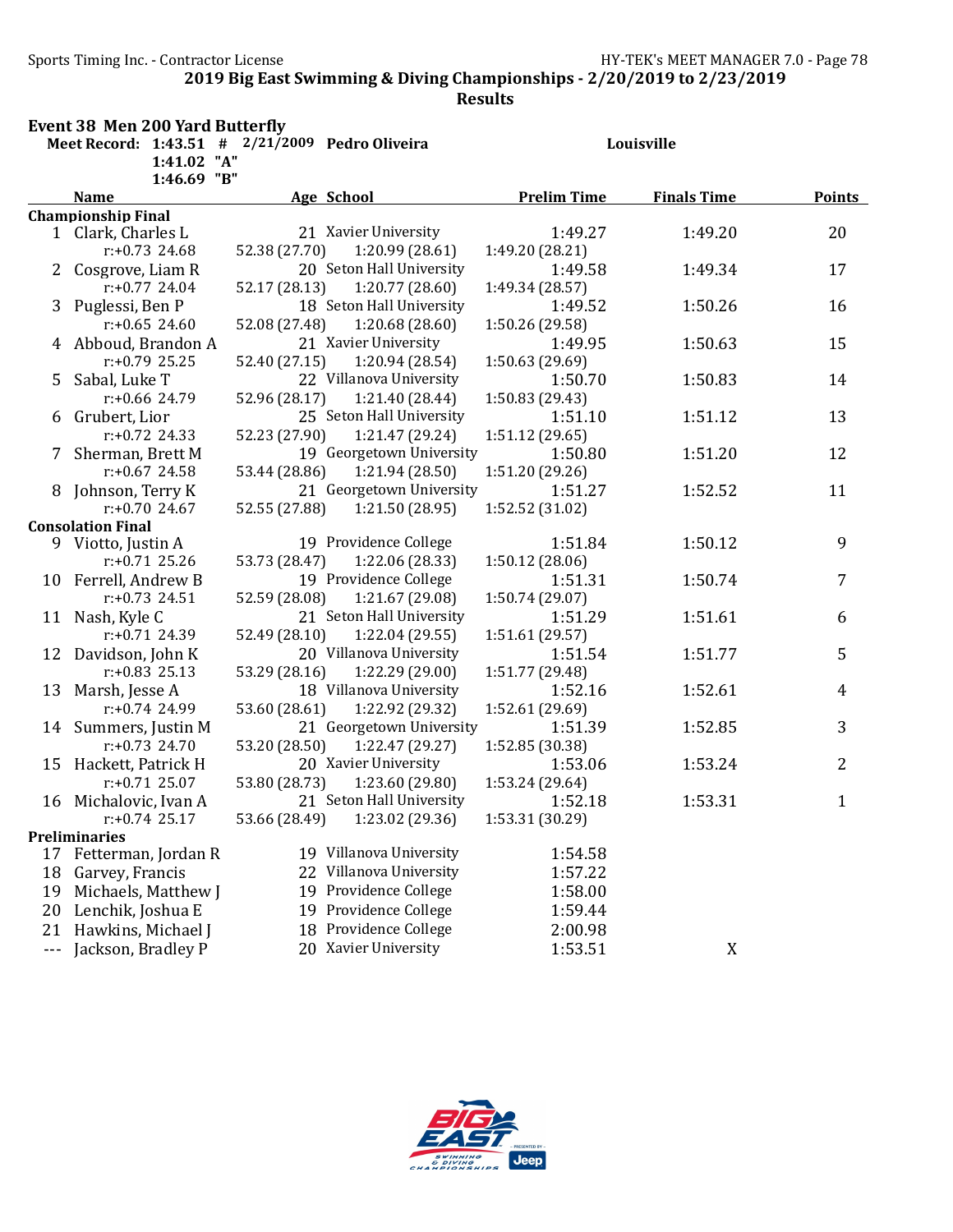Sports Timing Inc. - Contractor License General Accords 2008 HY-TEK's MEET MANAGER 7.0 - Page 78

2019 Big East Swimming & Diving Championships - 2/20/2019 to 2/23/2019

Results

|     | <b>Event 38 Men 200 Yard Butterfly</b>   |                                                 |                    |                    |               |
|-----|------------------------------------------|-------------------------------------------------|--------------------|--------------------|---------------|
|     |                                          | Meet Record: 1:43.51 # 2/21/2009 Pedro Oliveira |                    | Louisville         |               |
|     | 1:41.02 "A"                              |                                                 |                    |                    |               |
|     | 1:46.69 "B"                              |                                                 |                    |                    |               |
|     | <b>Name</b>                              | Age School                                      | <b>Prelim Time</b> | <b>Finals Time</b> | <b>Points</b> |
|     | <b>Championship Final</b>                |                                                 |                    |                    |               |
|     | 1 Clark, Charles L                       | 21 Xavier University                            | 1:49.27            | 1:49.20            | 20            |
|     | $r: +0.73$ 24.68                         | 52.38 (27.70)<br>1:20.99(28.61)                 | 1:49.20 (28.21)    |                    |               |
|     | 2 Cosgrove, Liam R                       | 20 Seton Hall University                        | 1:49.58            | 1:49.34            | 17            |
|     | $r: +0.77$ 24.04                         | 52.17 (28.13)<br>1:20.77 (28.60)                | 1:49.34 (28.57)    |                    |               |
|     | 3 Puglessi, Ben P                        | 18 Seton Hall University                        | 1:49.52            | 1:50.26            | 16            |
|     | $r: +0.65$ 24.60                         | 52.08 (27.48)<br>1:20.68(28.60)                 | 1:50.26 (29.58)    |                    |               |
|     | 4 Abboud, Brandon A                      | 21 Xavier University                            | 1:49.95            | 1:50.63            | 15            |
|     | $r: +0.79$ 25.25                         | 52.40 (27.15)<br>1:20.94 (28.54)                | 1:50.63 (29.69)    |                    |               |
|     | 5 Sabal, Luke T                          | 22 Villanova University                         | 1:50.70            | 1:50.83            | 14            |
|     | $r: +0.66$ 24.79                         | 52.96 (28.17)<br>1:21.40 (28.44)                | 1:50.83 (29.43)    |                    |               |
|     | 6 Grubert, Lior                          | 25 Seton Hall University                        | 1:51.10            | 1:51.12            | 13            |
|     | $r: +0.72$ 24.33                         | 52.23 (27.90)<br>1:21.47 (29.24)                | 1:51.12 (29.65)    |                    |               |
| 7   | Sherman, Brett M                         | 19 Georgetown University                        | 1:50.80            | 1:51.20            | 12            |
|     | $r: +0.67$ 24.58                         | 53.44 (28.86)<br>1:21.94 (28.50)                | 1:51.20 (29.26)    |                    |               |
|     | 8 Johnson, Terry K                       | 21 Georgetown University                        | 1:51.27            | 1:52.52            | 11            |
|     | $r: +0.70$ 24.67                         | 52.55 (27.88)<br>1:21.50 (28.95)                | 1:52.52 (31.02)    |                    |               |
|     | <b>Consolation Final</b>                 | 19 Providence College                           | 1:51.84            | 1:50.12            | 9             |
|     | 9 Viotto, Justin A<br>$r: +0.71$ 25.26   | 53.73 (28.47)<br>1:22.06 (28.33)                |                    |                    |               |
|     |                                          | 19 Providence College                           | 1:50.12 (28.06)    |                    | 7             |
|     | 10 Ferrell, Andrew B<br>$r: +0.73$ 24.51 |                                                 | 1:51.31            | 1:50.74            |               |
|     |                                          | 52.59 (28.08)<br>1:21.67 (29.08)                | 1:50.74 (29.07)    |                    |               |
|     | 11 Nash, Kyle C                          | 21 Seton Hall University                        | 1:51.29            | 1:51.61            | 6             |
|     | $r: +0.71$ 24.39                         | 52.49 (28.10)<br>1:22.04 (29.55)                | 1:51.61 (29.57)    |                    |               |
|     | 12 Davidson, John K                      | 20 Villanova University                         | 1:51.54            | 1:51.77            | 5             |
|     | $r: +0.83$ 25.13                         | 53.29 (28.16)<br>1:22.29 (29.00)                | 1:51.77 (29.48)    |                    |               |
|     | 13 Marsh, Jesse A                        | 18 Villanova University                         | 1:52.16            | 1:52.61            | 4             |
|     | $r: +0.74$ 24.99                         | 53.60 (28.61)<br>1:22.92 (29.32)                | 1:52.61 (29.69)    |                    |               |
|     | 14 Summers, Justin M                     | 21 Georgetown University                        | 1:51.39            | 1:52.85            | 3             |
|     | $r: +0.73$ 24.70                         | 53.20 (28.50)<br>1:22.47 (29.27)                | 1:52.85 (30.38)    |                    |               |
|     | 15 Hackett, Patrick H                    | 20 Xavier University                            | 1:53.06            | 1:53.24            | 2             |
|     | $r: +0.71$ 25.07                         | 53.80 (28.73)<br>1:23.60(29.80)                 | 1:53.24 (29.64)    |                    |               |
|     | 16 Michalovic, Ivan A                    | 21 Seton Hall University                        | 1:52.18            | 1:53.31            | $\mathbf{1}$  |
|     | $r: +0.74$ 25.17                         | 53.66 (28.49)<br>1:23.02 (29.36)                | 1:53.31 (30.29)    |                    |               |
|     | <b>Preliminaries</b>                     |                                                 |                    |                    |               |
|     | 17 Fetterman, Jordan R                   | 19 Villanova University                         | 1:54.58            |                    |               |
| 18  | Garvey, Francis                          | 22 Villanova University                         | 1:57.22            |                    |               |
| 19  | Michaels, Matthew J                      | Providence College<br>19                        | 1:58.00            |                    |               |
| 20  | Lenchik, Joshua E                        | Providence College<br>19                        | 1:59.44            |                    |               |
| 21  | Hawkins, Michael J                       | Providence College<br>18                        | 2:00.98            |                    |               |
| --- | Jackson, Bradley P                       | 20 Xavier University                            | 1:53.51            | X                  |               |

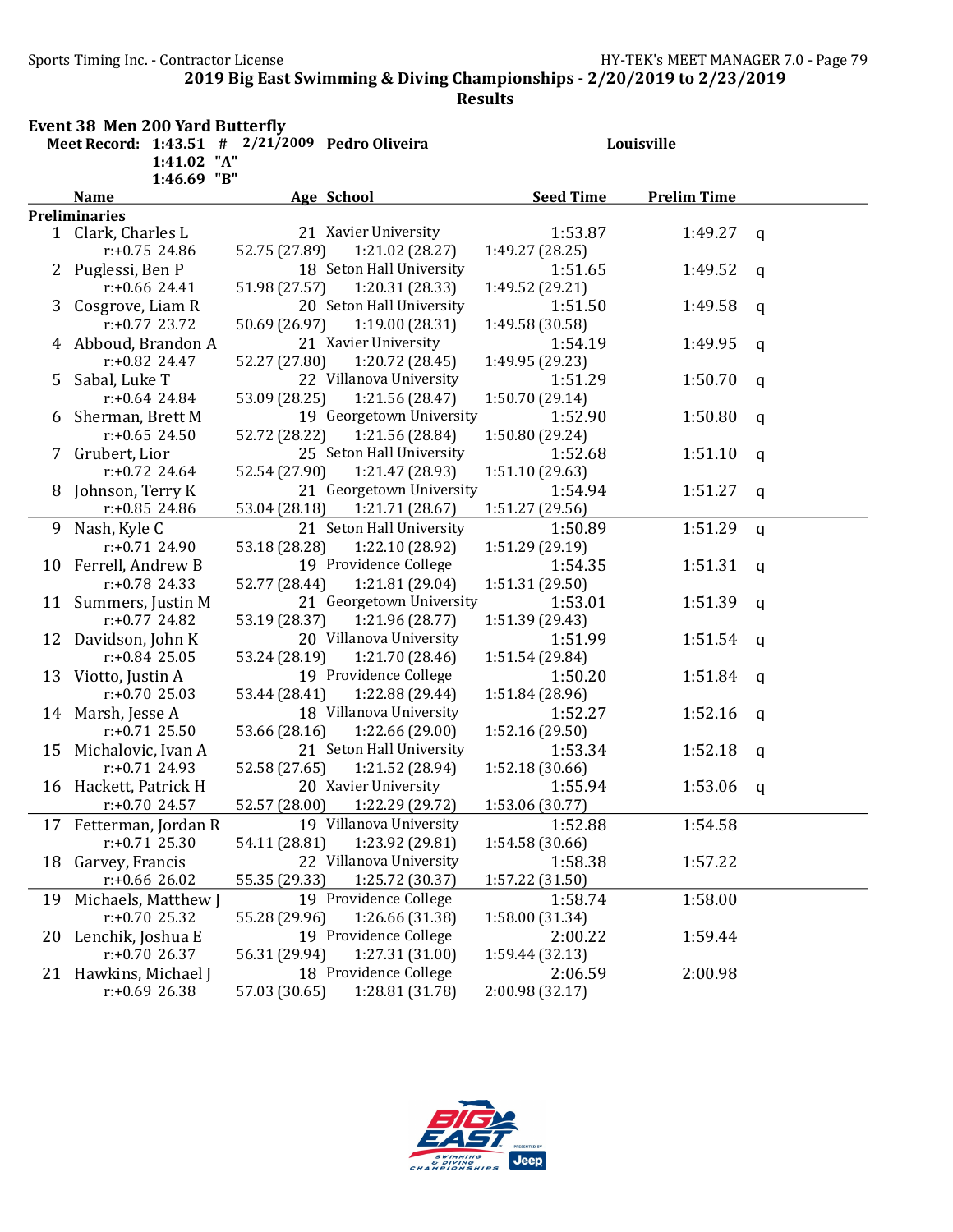Sports Timing Inc. - Contractor License Germany Sports Timing Inc. - Contractor License

2019 Big East Swimming & Diving Championships - 2/20/2019 to 2/23/2019

Results

|    | <b>Event 38 Men 200 Yard Butterfly</b>                         |               |                          |                  |                    |              |  |
|----|----------------------------------------------------------------|---------------|--------------------------|------------------|--------------------|--------------|--|
|    | Meet Record: 1:43.51 # 2/21/2009 Pedro Oliveira<br>1:41.02 "A" |               |                          |                  | Louisville         |              |  |
|    | 1:46.69 "B"                                                    |               |                          |                  |                    |              |  |
|    | <b>Name</b>                                                    |               | <b>Age School</b>        | <b>Seed Time</b> | <b>Prelim Time</b> |              |  |
|    | <b>Preliminaries</b>                                           |               |                          |                  |                    |              |  |
|    | 1 Clark, Charles L                                             |               | 21 Xavier University     | 1:53.87          | 1:49.27 $q$        |              |  |
|    | $r: +0.75$ 24.86                                               | 52.75 (27.89) | 1:21.02 (28.27)          | 1:49.27 (28.25)  |                    |              |  |
|    | 2 Puglessi, Ben P                                              |               | 18 Seton Hall University | 1:51.65          | 1:49.52            | q            |  |
|    | r:+0.66 24.41                                                  | 51.98 (27.57) | 1:20.31(28.33)           | 1:49.52 (29.21)  |                    |              |  |
| 3  | Cosgrove, Liam R                                               |               | 20 Seton Hall University | 1:51.50          | 1:49.58            | $\mathbf q$  |  |
|    | $r: +0.77$ 23.72                                               | 50.69 (26.97) | 1:19.00 (28.31)          | 1:49.58 (30.58)  |                    |              |  |
|    | 4 Abboud, Brandon A                                            |               | 21 Xavier University     | 1:54.19          | 1:49.95            | $\mathbf q$  |  |
|    | r:+0.82 24.47                                                  | 52.27 (27.80) | 1:20.72 (28.45)          | 1:49.95 (29.23)  |                    |              |  |
| 5. | Sabal, Luke T                                                  |               | 22 Villanova University  | 1:51.29          | 1:50.70            | $\mathbf{q}$ |  |
|    | $r: +0.64$ 24.84                                               | 53.09 (28.25) | 1:21.56 (28.47)          | 1:50.70 (29.14)  |                    |              |  |
|    | 6 Sherman, Brett M                                             |               | 19 Georgetown University | 1:52.90          | 1:50.80            | $\mathbf q$  |  |
|    | $r: +0.65$ 24.50                                               | 52.72 (28.22) | 1:21.56 (28.84)          | 1:50.80 (29.24)  |                    |              |  |
|    | 7 Grubert, Lior                                                |               | 25 Seton Hall University | 1:52.68          | 1:51.10            | $\mathbf q$  |  |
|    | $r: +0.72$ 24.64                                               | 52.54 (27.90) | 1:21.47 (28.93)          | 1:51.10(29.63)   |                    |              |  |
| 8. | Johnson, Terry K                                               |               | 21 Georgetown University | 1:54.94          | 1:51.27            | $\mathsf{q}$ |  |
|    | $r: +0.85$ 24.86                                               | 53.04 (28.18) | 1:21.71 (28.67)          | 1:51.27 (29.56)  |                    |              |  |
| 9  | Nash, Kyle C                                                   |               | 21 Seton Hall University | 1:50.89          | 1:51.29            | q            |  |
|    | $r: +0.71$ 24.90                                               | 53.18 (28.28) | 1:22.10 (28.92)          | 1:51.29 (29.19)  |                    |              |  |
|    | 10 Ferrell, Andrew B                                           |               | 19 Providence College    | 1:54.35          | 1:51.31            | $\mathsf{q}$ |  |
|    | $r: +0.78$ 24.33                                               | 52.77 (28.44) | 1:21.81 (29.04)          | 1:51.31 (29.50)  |                    |              |  |
|    | 11 Summers, Justin M                                           |               | 21 Georgetown University | 1:53.01          | 1:51.39            | $\mathbf q$  |  |
|    | $r: +0.77$ 24.82                                               | 53.19 (28.37) | 1:21.96 (28.77)          | 1:51.39 (29.43)  |                    |              |  |
|    | 12 Davidson, John K                                            |               | 20 Villanova University  | 1:51.99          | 1:51.54            | $\mathbf q$  |  |
|    | $r: +0.84$ 25.05                                               | 53.24 (28.19) | 1:21.70 (28.46)          | 1:51.54 (29.84)  |                    |              |  |
|    | 13 Viotto, Justin A                                            |               | 19 Providence College    | 1:50.20          | 1:51.84            | $\mathsf{q}$ |  |
|    | $r: +0.70$ 25.03                                               | 53.44 (28.41) | 1:22.88 (29.44)          | 1:51.84 (28.96)  |                    |              |  |
|    | 14 Marsh, Jesse A                                              |               | 18 Villanova University  | 1:52.27          | 1:52.16            | $\mathbf q$  |  |
|    | $r: +0.71$ 25.50                                               | 53.66 (28.16) | 1:22.66 (29.00)          | 1:52.16(29.50)   |                    |              |  |
|    | 15 Michalovic, Ivan A                                          |               | 21 Seton Hall University | 1:53.34          | 1:52.18            | $\mathbf q$  |  |
|    | $r: +0.71$ 24.93                                               | 52.58 (27.65) | 1:21.52 (28.94)          | 1:52.18 (30.66)  |                    |              |  |
|    | 16 Hackett, Patrick H                                          |               | 20 Xavier University     | 1:55.94          | 1:53.06            | q            |  |
|    | $r: +0.70$ 24.57                                               | 52.57 (28.00) | 1:22.29 (29.72)          | 1:53.06 (30.77)  |                    |              |  |
| 17 | Fetterman, Jordan R                                            |               | 19 Villanova University  | 1:52.88          | 1:54.58            |              |  |
|    | $r: +0.71$ 25.30                                               | 54.11 (28.81) | 1:23.92 (29.81)          | 1:54.58 (30.66)  |                    |              |  |
| 18 | Garvey, Francis                                                |               | 22 Villanova University  | 1:58.38          | 1:57.22            |              |  |
|    | $r: +0.66$ 26.02                                               | 55.35 (29.33) | 1:25.72 (30.37)          | 1:57.22 (31.50)  |                    |              |  |
| 19 | Michaels, Matthew J                                            |               | 19 Providence College    | 1:58.74          | 1:58.00            |              |  |
|    | $r: +0.70$ 25.32                                               | 55.28 (29.96) | 1:26.66 (31.38)          | 1:58.00 (31.34)  |                    |              |  |
| 20 | Lenchik, Joshua E                                              |               | 19 Providence College    | 2:00.22          | 1:59.44            |              |  |
|    | $r: +0.7026.37$                                                | 56.31 (29.94) | 1:27.31 (31.00)          | 1:59.44 (32.13)  |                    |              |  |
|    | 21 Hawkins, Michael J                                          |               | 18 Providence College    | 2:06.59          | 2:00.98            |              |  |
|    | $r: +0.69$ 26.38                                               | 57.03 (30.65) | 1:28.81 (31.78)          | 2:00.98 (32.17)  |                    |              |  |

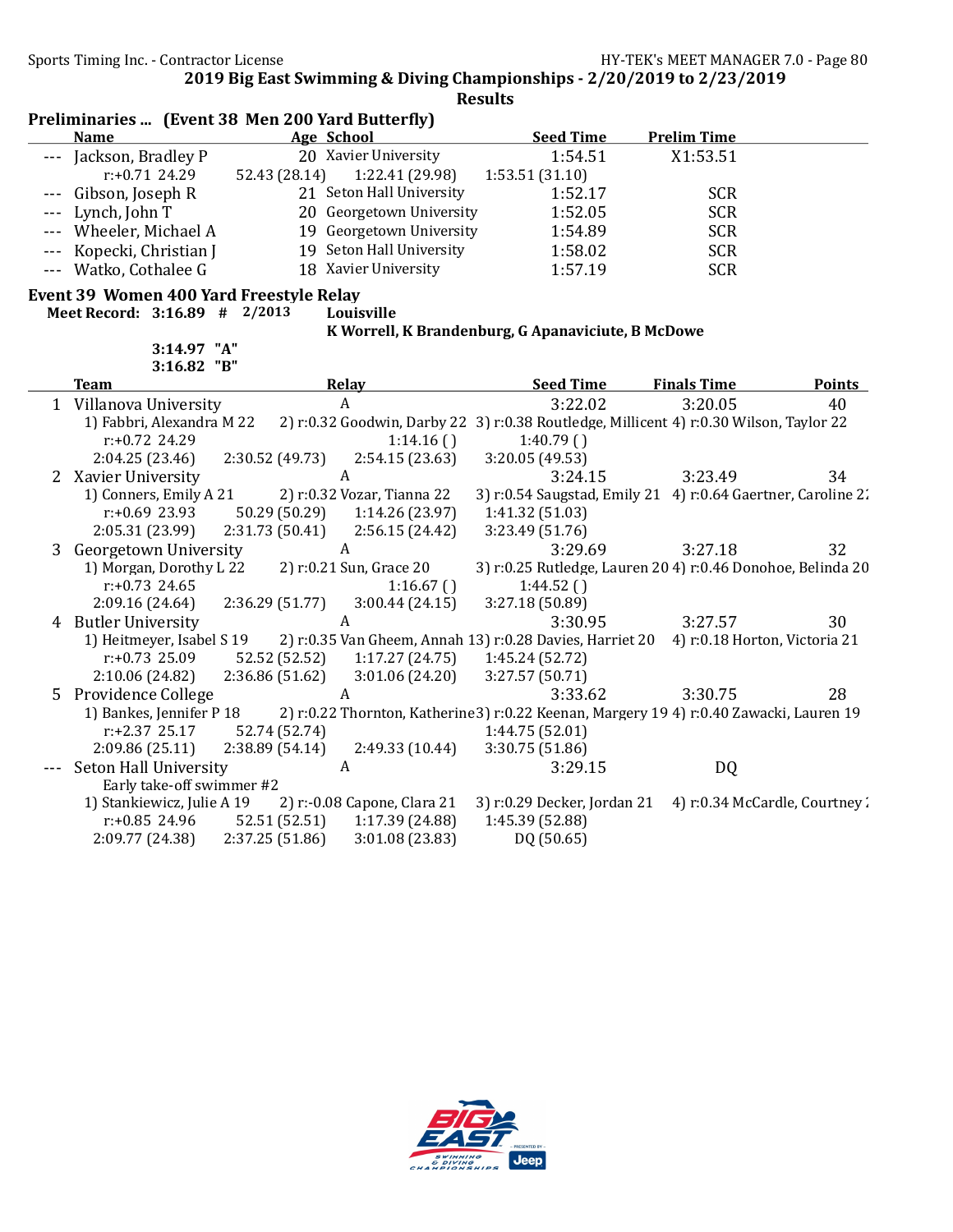Sports Timing Inc. - Contractor License Government Contractor License HY-TEK's MEET MANAGER 7.0 - Page 80

2019 Big East Swimming & Diving Championships - 2/20/2019 to 2/23/2019

Results

|  |  | Preliminaries  (Event 38 Men 200 Yard Butterfly) |
|--|--|--------------------------------------------------|
|--|--|--------------------------------------------------|

| Name                     | Age School                       | <b>Seed Time</b> | <b>Prelim Time</b> |  |
|--------------------------|----------------------------------|------------------|--------------------|--|
| --- Jackson, Bradley P   | 20 Xavier University             | 1:54.51          | X1:53.51           |  |
| $r: +0.71$ 24.29         | 1:22.41 (29.98)<br>52.43 (28.14) | 1:53.51 (31.10)  |                    |  |
| --- Gibson, Joseph R     | 21 Seton Hall University         | 1:52.17          | <b>SCR</b>         |  |
| $--$ Lynch, John T       | 20 Georgetown University         | 1:52.05          | <b>SCR</b>         |  |
| --- Wheeler, Michael A   | 19 Georgetown University         | 1:54.89          | <b>SCR</b>         |  |
| --- Kopecki, Christian J | 19 Seton Hall University         | 1:58.02          | <b>SCR</b>         |  |
| --- Watko, Cothalee G    | 18 Xavier University             | 1:57.19          | <b>SCR</b>         |  |

# Event 39 Women 400 Yard Freestyle Relay

Meet Record: 3:16.89 # 2/2013 Louisville

3:14.97 "A"

#### K Worrell, K Brandenburg, G Apanaviciute, B McDowe

|   | $3:16.82$ "B"              |                |                             |                                                                                         |                               |               |
|---|----------------------------|----------------|-----------------------------|-----------------------------------------------------------------------------------------|-------------------------------|---------------|
|   | <b>Team</b>                |                | Relay                       | <b>Seed Time</b>                                                                        | <b>Finals Time</b>            | <b>Points</b> |
|   | 1 Villanova University     |                | A                           | 3:22.02                                                                                 | 3:20.05                       | 40            |
|   | 1) Fabbri, Alexandra M 22  |                |                             | 2) r:0.32 Goodwin, Darby 22 3) r:0.38 Routledge, Millicent 4) r:0.30 Wilson, Taylor 22  |                               |               |
|   | $r: +0.72$ 24.29           |                | 1:14.16()                   | 1:40.79()                                                                               |                               |               |
|   | 2:04.25(23.46)             | 2:30.52(49.73) | 2:54.15(23.63)              | 3:20.05 (49.53)                                                                         |                               |               |
| 2 | Xavier University          |                | A                           | 3:24.15                                                                                 | 3:23.49                       | 34            |
|   | 1) Conners, Emily A 21     |                | 2) r:0.32 Vozar, Tianna 22  | 3) r:0.54 Saugstad, Emily 21 4) r:0.64 Gaertner, Caroline 2.                            |                               |               |
|   | $r: +0.69$ 23.93           | 50.29 (50.29)  | 1:14.26(23.97)              | 1:41.32 (51.03)                                                                         |                               |               |
|   | 2:05.31 (23.99)            | 2:31.73(50.41) | 2:56.15(24.42)              | 3:23.49 (51.76)                                                                         |                               |               |
|   | 3 Georgetown University    |                | A                           | 3:29.69                                                                                 | 3:27.18                       | 32            |
|   | 1) Morgan, Dorothy L 22    |                | 2) r:0.21 Sun, Grace 20     | 3) r:0.25 Rutledge, Lauren 20 4) r:0.46 Donohoe, Belinda 20                             |                               |               |
|   | $r: +0.73$ 24.65           |                | 1:16.67()                   | 1:44.52()                                                                               |                               |               |
|   | 2:09.16(24.64)             | 2:36.29(51.77) | 3:00.44(24.15)              | 3:27.18 (50.89)                                                                         |                               |               |
| 4 | <b>Butler University</b>   |                | A                           | 3:30.95                                                                                 | 3:27.57                       | 30            |
|   | 1) Heitmeyer, Isabel S 19  |                |                             | 2) r:0.35 Van Gheem, Annah 13) r:0.28 Davies, Harriet 20                                | 4) r:0.18 Horton, Victoria 21 |               |
|   | r:+0.73 25.09              | 52.52 (52.52)  | 1:17.27 (24.75)             | 1:45.24 (52.72)                                                                         |                               |               |
|   | 2:10.06 (24.82)            | 2:36.86(51.62) | 3:01.06(24.20)              | 3:27.57 (50.71)                                                                         |                               |               |
| 5 | Providence College         |                | A                           | 3:33.62                                                                                 | 3:30.75                       | 28            |
|   | 1) Bankes, Jennifer P 18   |                |                             | 2) r:0.22 Thornton, Katherine 3) r:0.22 Keenan, Margery 19 4) r:0.40 Zawacki, Lauren 19 |                               |               |
|   | $r: +2.37$ 25.17           | 52.74 (52.74)  |                             | 1:44.75 (52.01)                                                                         |                               |               |
|   | 2:09.86(25.11)             | 2:38.89(54.14) | 2:49.33 (10.44)             | 3:30.75 (51.86)                                                                         |                               |               |
|   | Seton Hall University      |                | A                           | 3:29.15                                                                                 | DQ                            |               |
|   | Early take-off swimmer #2  |                |                             |                                                                                         |                               |               |
|   | 1) Stankiewicz, Julie A 19 |                | 2) r:-0.08 Capone, Clara 21 | 3) r:0.29 Decker, Jordan 21                                                             | 4) r:0.34 McCardle, Courtney: |               |
|   | $r: +0.85$ 24.96           | 52.51 (52.51)  | 1:17.39(24.88)              | 1:45.39 (52.88)                                                                         |                               |               |
|   | 2:09.77 (24.38)            | 2:37.25(51.86) | 3:01.08(23.83)              | DQ (50.65)                                                                              |                               |               |